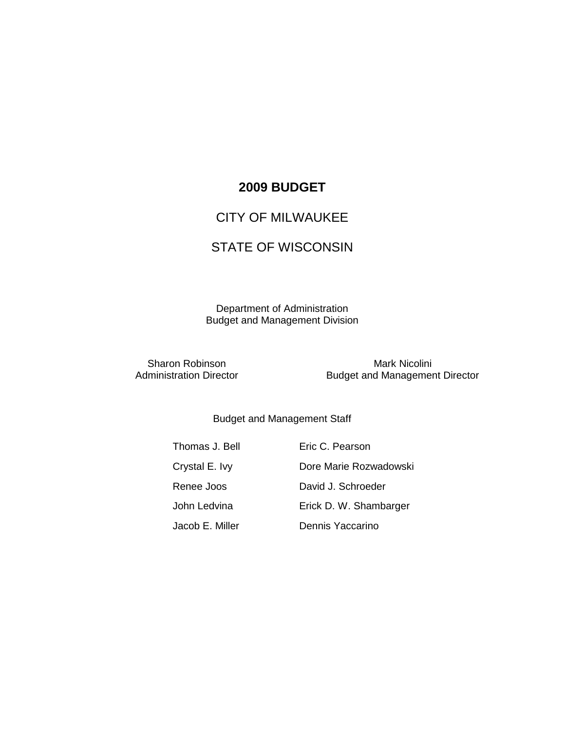### **2009 BUDGET**

### CITY OF MILWAUKEE

## STATE OF WISCONSIN

Department of Administration Budget and Management Division

Sharon Robinson<br>
Administration Director<br>
Budget and Managemer **Budget and Management Director** 

### Budget and Management Staff

Thomas J. Bell **Eric C. Pearson** Crystal E. Ivy **Dore Marie Rozwadowski** Renee Joos David J. Schroeder John Ledvina Erick D. W. Shambarger Jacob E. Miller Dennis Yaccarino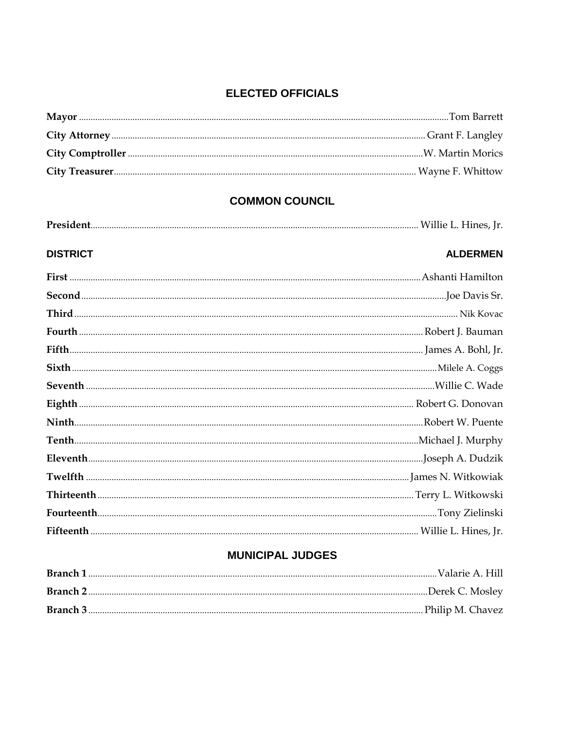### **ELECTED OFFICIALS**

# **COMMON COUNCIL**

|--|--|--|--|

| <b>DISTRICT</b> | <b>ALDERMEN</b> |
|-----------------|-----------------|
|                 |                 |
|                 |                 |
|                 |                 |
|                 |                 |
|                 |                 |
|                 |                 |
|                 |                 |
|                 |                 |
|                 |                 |
|                 |                 |
|                 |                 |
|                 |                 |
|                 |                 |
|                 |                 |
|                 |                 |

### **MUNICIPAL JUDGES**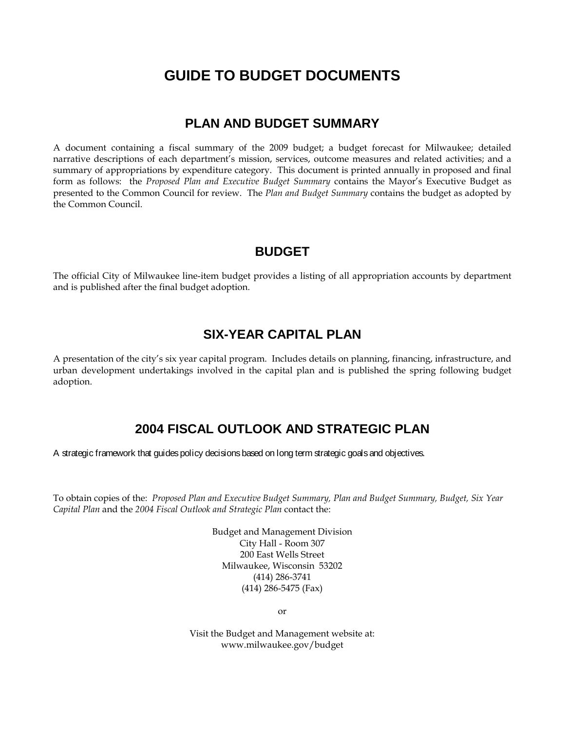# **GUIDE TO BUDGET DOCUMENTS**

### **PLAN AND BUDGET SUMMARY**

A document containing a fiscal summary of the 2009 budget; a budget forecast for Milwaukee; detailed narrative descriptions of each department's mission, services, outcome measures and related activities; and a summary of appropriations by expenditure category. This document is printed annually in proposed and final form as follows: the *Proposed Plan and Executive Budget Summary* contains the Mayor's Executive Budget as presented to the Common Council for review. The *Plan and Budget Summary* contains the budget as adopted by the Common Council.

### **BUDGET**

The official City of Milwaukee line-item budget provides a listing of all appropriation accounts by department and is published after the final budget adoption.

### **SIX-YEAR CAPITAL PLAN**

A presentation of the city's six year capital program. Includes details on planning, financing, infrastructure, and urban development undertakings involved in the capital plan and is published the spring following budget adoption.

### **2004 FISCAL OUTLOOK AND STRATEGIC PLAN**

A strategic framework that guides policy decisions based on long term strategic goals and objectives.

To obtain copies of the: *Proposed Plan and Executive Budget Summary, Plan and Budget Summary, Budget, Six Year Capital Plan* and the *2004 Fiscal Outlook and Strategic Plan* contact the:

> Budget and Management Division City Hall - Room 307 200 East Wells Street Milwaukee, Wisconsin 53202 (414) 286-3741 (414) 286-5475 (Fax)

> > or

Visit the Budget and Management website at: www.milwaukee.gov/budget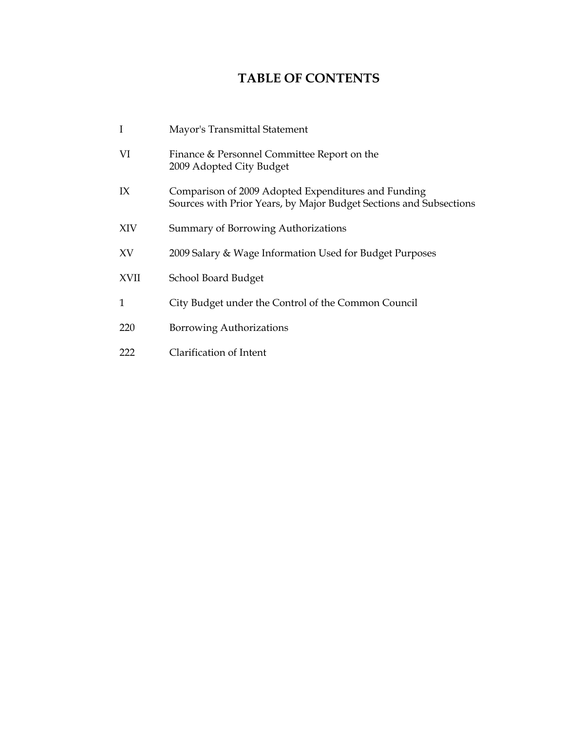# **TABLE OF CONTENTS**

| I           | Mayor's Transmittal Statement                                                                                             |
|-------------|---------------------------------------------------------------------------------------------------------------------------|
| VI          | Finance & Personnel Committee Report on the<br>2009 Adopted City Budget                                                   |
| IX          | Comparison of 2009 Adopted Expenditures and Funding<br>Sources with Prior Years, by Major Budget Sections and Subsections |
| XIV         | Summary of Borrowing Authorizations                                                                                       |
| XV          | 2009 Salary & Wage Information Used for Budget Purposes                                                                   |
| <b>XVII</b> | School Board Budget                                                                                                       |
| 1           | City Budget under the Control of the Common Council                                                                       |
| 220         | Borrowing Authorizations                                                                                                  |
| 222         | Clarification of Intent                                                                                                   |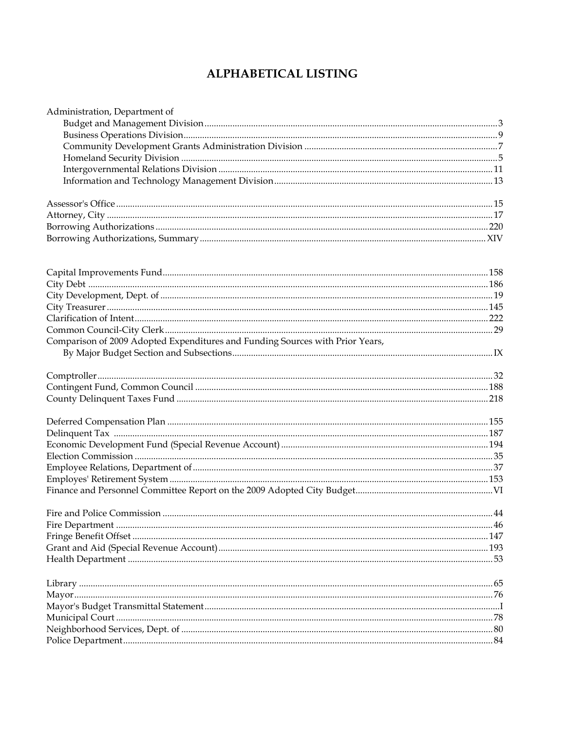# **ALPHABETICAL LISTING**

| Administration, Department of                                                 |  |
|-------------------------------------------------------------------------------|--|
|                                                                               |  |
|                                                                               |  |
|                                                                               |  |
|                                                                               |  |
|                                                                               |  |
|                                                                               |  |
|                                                                               |  |
|                                                                               |  |
|                                                                               |  |
|                                                                               |  |
|                                                                               |  |
|                                                                               |  |
|                                                                               |  |
|                                                                               |  |
|                                                                               |  |
|                                                                               |  |
|                                                                               |  |
| Comparison of 2009 Adopted Expenditures and Funding Sources with Prior Years, |  |
|                                                                               |  |
|                                                                               |  |
|                                                                               |  |
|                                                                               |  |
|                                                                               |  |
|                                                                               |  |
|                                                                               |  |
|                                                                               |  |
|                                                                               |  |
|                                                                               |  |
|                                                                               |  |
|                                                                               |  |
|                                                                               |  |
|                                                                               |  |
|                                                                               |  |
|                                                                               |  |
|                                                                               |  |
|                                                                               |  |
|                                                                               |  |
|                                                                               |  |
|                                                                               |  |
|                                                                               |  |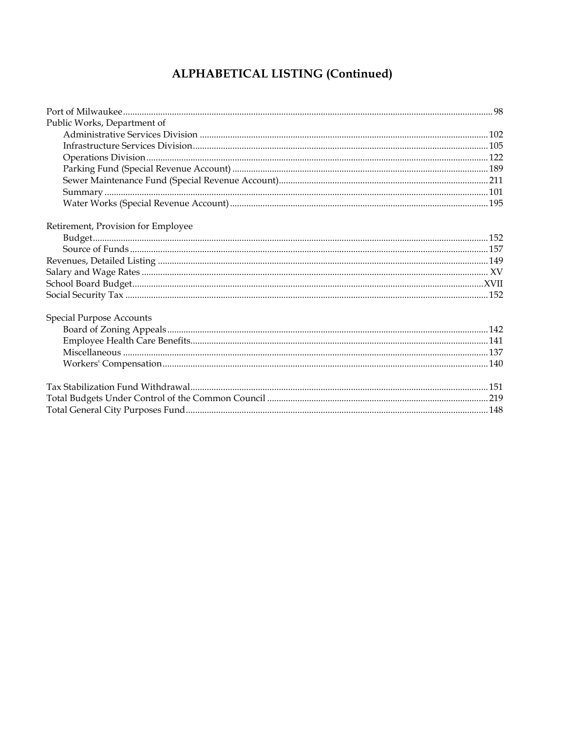# ALPHABETICAL LISTING (Continued)

| Public Works, Department of        |  |
|------------------------------------|--|
|                                    |  |
|                                    |  |
|                                    |  |
|                                    |  |
|                                    |  |
|                                    |  |
|                                    |  |
| Retirement, Provision for Employee |  |
|                                    |  |
|                                    |  |
|                                    |  |
|                                    |  |
|                                    |  |
|                                    |  |
| <b>Special Purpose Accounts</b>    |  |
|                                    |  |
|                                    |  |
|                                    |  |
|                                    |  |
|                                    |  |
|                                    |  |
|                                    |  |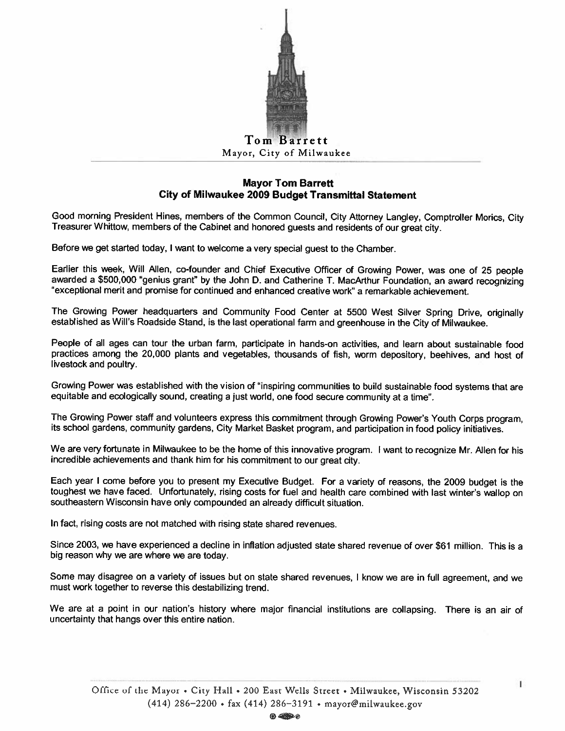

#### **Mayor Tom Barrett** City of Milwaukee 2009 Budget Transmittal Statement

Good morning President Hines, members of the Common Council, City Attorney Langley, Comptroller Morics, City Treasurer Whittow, members of the Cabinet and honored guests and residents of our great city.

Before we get started today, I want to welcome a very special guest to the Chamber.

Earlier this week, Will Allen, co-founder and Chief Executive Officer of Growing Power, was one of 25 people awarded a \$500,000 "genius grant" by the John D. and Catherine T. MacArthur Foundation, an award recognizing "exceptional merit and promise for continued and enhanced creative work" a remarkable achievement.

The Growing Power headquarters and Community Food Center at 5500 West Silver Spring Drive, originally established as Will's Roadside Stand, is the last operational farm and greenhouse in the City of Milwaukee.

People of all ages can tour the urban farm, participate in hands-on activities, and learn about sustainable food practices among the 20,000 plants and vegetables, thousands of fish, worm depository, beehives, and host of livestock and poultry.

Growing Power was established with the vision of "inspiring communities to build sustainable food systems that are equitable and ecologically sound, creating a just world, one food secure community at a time".

The Growing Power staff and volunteers express this commitment through Growing Power's Youth Corps program. its school gardens, community gardens, City Market Basket program, and participation in food policy initiatives.

We are very fortunate in Milwaukee to be the home of this innovative program. I want to recognize Mr. Allen for his incredible achievements and thank him for his commitment to our great city.

Each year I come before you to present my Executive Budget. For a variety of reasons, the 2009 budget is the toughest we have faced. Unfortunately, rising costs for fuel and health care combined with last winter's wallop on southeastern Wisconsin have only compounded an already difficult situation.

In fact, rising costs are not matched with rising state shared revenues.

Since 2003, we have experienced a decline in inflation adjusted state shared revenue of over \$61 million. This is a big reason why we are where we are today.

Some may disagree on a variety of issues but on state shared revenues, I know we are in full agreement, and we must work together to reverse this destabilizing trend.

We are at a point in our nation's history where major financial institutions are collapsing. There is an air of uncertainty that hangs over this entire nation.

 $\mathbf{I}$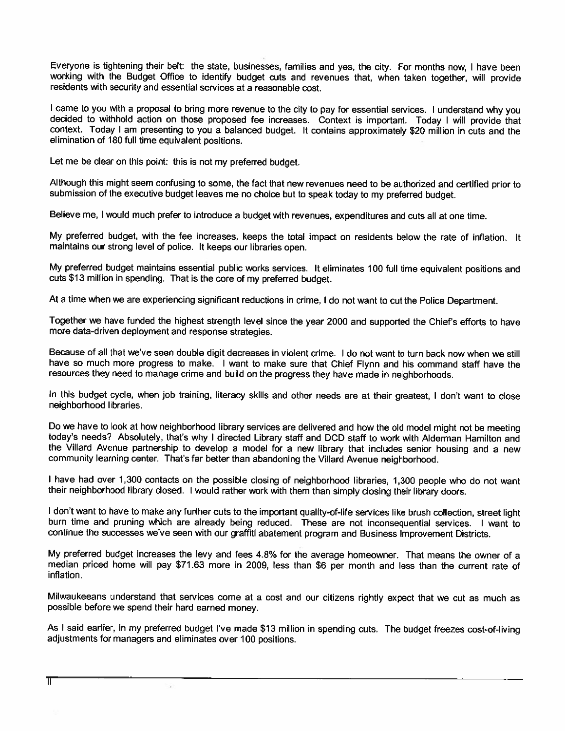Everyone is tightening their belt: the state, businesses, families and yes, the city. For months now, I have been working with the Budget Office to identify budget cuts and revenues that, when taken together, will provide residents with security and essential services at a reasonable cost.

I came to you with a proposal to bring more revenue to the city to pay for essential services. I understand why you decided to withhold action on those proposed fee increases. Context is important. Today I will provide that context. Today I am presenting to you a balanced budget. It contains approximately \$20 million in cuts and the elimination of 180 full time equivalent positions.

Let me be clear on this point: this is not my preferred budget.

 $\overline{\phantom{a}}$ 

Although this might seem confusing to some, the fact that new revenues need to be authorized and certified prior to submission of the executive budget leaves me no choice but to speak today to my preferred budget.

Believe me, I would much prefer to introduce a budget with revenues, expenditures and cuts all at one time.

My preferred budget, with the fee increases, keeps the total impact on residents below the rate of inflation. It maintains our strong level of police. It keeps our libraries open.

My preferred budget maintains essential public works services. It eliminates 100 full time equivalent positions and cuts \$13 million in spending. That is the core of my preferred budget.

At a time when we are experiencing significant reductions in crime, I do not want to cut the Police Department.

Together we have funded the highest strength level since the year 2000 and supported the Chief's efforts to have more data-driven deployment and response strategies.

Because of all that we've seen double digit decreases in violent crime. I do not want to turn back now when we still have so much more progress to make. I want to make sure that Chief Flynn and his command staff have the resources they need to manage crime and build on the progress they have made in neighborhoods.

In this budget cycle, when job training, literacy skills and other needs are at their greatest, I don't want to close neighborhood libraries.

Do we have to look at how neighborhood library services are delivered and how the old model might not be meeting today's needs? Absolutely, that's why I directed Library staff and DCD staff to work with Alderman Hamilton and the Villard Avenue partnership to develop a model for a new library that includes senior housing and a new community learning center. That's far better than abandoning the Villard Avenue neighborhood.

I have had over 1,300 contacts on the possible closing of neighborhood libraries, 1,300 people who do not want their neighborhood library closed. I would rather work with them than simply closing their library doors.

I don't want to have to make any further cuts to the important quality-of-life services like brush collection, street light burn time and pruning which are already being reduced. These are not inconsequential services. I want to continue the successes we've seen with our graffiti abatement program and Business Improvement Districts.

My preferred budget increases the levy and fees 4.8% for the average homeowner. That means the owner of a median priced home will pay \$71.63 more in 2009, less than \$6 per month and less than the current rate of inflation.

Milwaukeeans understand that services come at a cost and our citizens rightly expect that we cut as much as possible before we spend their hard earned money.

As I said earlier, in my preferred budget I've made \$13 million in spending cuts. The budget freezes cost-of-living adjustments for managers and eliminates over 100 positions.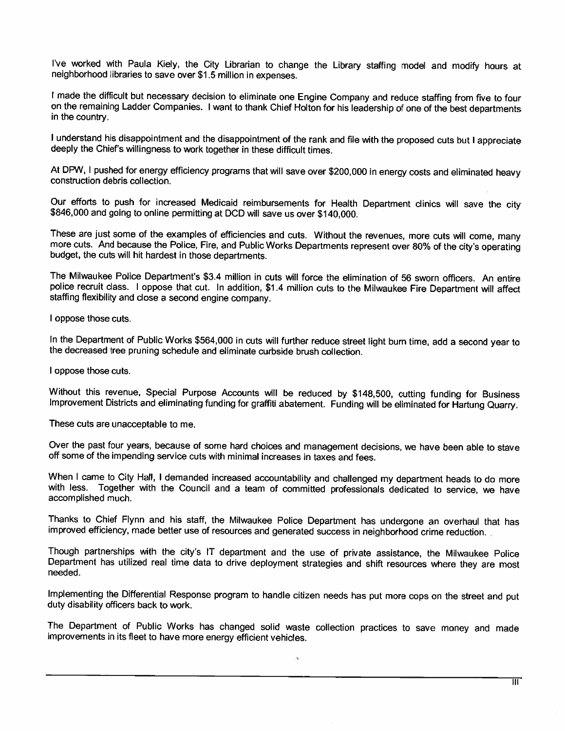I've worked with Paula Kiely, the City Librarian to change the Library staffing model and modify hours at neighborhood libraries to save over \$1.5 million in expenses.

I made the difficult but necessary decision to eliminate one Engine Company and reduce staffing from five to four on the remaining Ladder Companies. I want to thank Chief Holton for his leadership of one of the best departments in the country.

I understand his disappointment and the disappointment of the rank and file with the proposed cuts but I appreciate deeply the Chief's willingness to work together in these difficult times.

At DPW, I pushed for energy efficiency programs that will save over \$200,000 in energy costs and eliminated heavy construction debris collection.

Our efforts to push for increased Medicaid reimbursements for Health Department clinics will save the city \$846,000 and going to online permitting at DCD will save us over \$140,000.

These are just some of the examples of efficiencies and cuts. Without the revenues, more cuts will come, many more cuts. And because the Police, Fire, and Public Works Departments represent over 80% of the city's operating budget, the cuts will hit hardest in those departments.

The Milwaukee Police Department's \$3.4 million in cuts will force the elimination of 56 sworn officers. An entire police recruit class. I oppose that cut. In addition, \$1.4 million cuts to the Milwaukee Fire Department will affect staffing flexibility and close a second engine company.

I oppose those cuts.

In the Department of Public Works \$564,000 in cuts will further reduce street light burn time, add a second year to the decreased tree pruning schedule and eliminate curbside brush collection.

I oppose those cuts.

Without this revenue, Special Purpose Accounts will be reduced by \$148,500, cutting funding for Business Improvement Districts and eliminating funding for graffiti abatement. Funding will be eliminated for Hartung Quarry.

These cuts are unacceptable to me.

Over the past four years, because of some hard choices and management decisions, we have been able to stave off some of the impending service cuts with minimal increases in taxes and fees.

When I came to City Hall, I demanded increased accountability and challenged my department heads to do more with less. Together with the Council and a team of committed professionals dedicated to service, we have accomplished much.

Thanks to Chief Flynn and his staff, the Milwaukee Police Department has undergone an overhaul that has improved efficiency, made better use of resources and generated success in neighborhood crime reduction.

Though partnerships with the city's IT department and the use of private assistance, the Milwaukee Police Department has utilized real time data to drive deployment strategies and shift resources where they are most needed.

Implementing the Differential Response program to handle citizen needs has put more cops on the street and put duty disability officers back to work.

The Department of Public Works has changed solid waste collection practices to save money and made improvements in its fleet to have more energy efficient vehicles.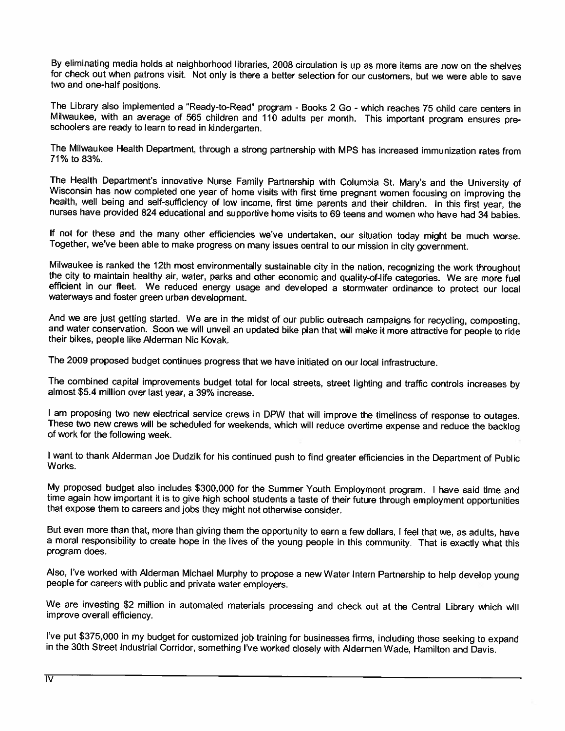By eliminating media holds at neighborhood libraries, 2008 circulation is up as more items are now on the shelves for check out when patrons visit. Not only is there a better selection for our customers, but we were able to save two and one-half positions.

The Library also implemented a "Ready-to-Read" program - Books 2 Go - which reaches 75 child care centers in Milwaukee, with an average of 565 children and 110 adults per month. This important program ensures preschoolers are ready to learn to read in kindergarten.

The Milwaukee Health Department, through a strong partnership with MPS has increased immunization rates from 71% to 83%.

The Health Department's innovative Nurse Family Partnership with Columbia St. Mary's and the University of Wisconsin has now completed one year of home visits with first time pregnant women focusing on improving the health, well being and self-sufficiency of low income, first time parents and their children. In this first year, the nurses have provided 824 educational and supportive home visits to 69 teens and women who have had 34 babies.

If not for these and the many other efficiencies we've undertaken, our situation today might be much worse. Together, we've been able to make progress on many issues central to our mission in city government.

Milwaukee is ranked the 12th most environmentally sustainable city in the nation, recognizing the work throughout the city to maintain healthy air, water, parks and other economic and quality-of-life categories. We are more fuel efficient in our fleet. We reduced energy usage and developed a stormwater ordinance to protect our local waterways and foster green urban development.

And we are just getting started. We are in the midst of our public outreach campaigns for recycling, composting, and water conservation. Soon we will unveil an updated bike plan that will make it more attractive for people to ride their bikes, people like Alderman Nic Kovak.

The 2009 proposed budget continues progress that we have initiated on our local infrastructure.

The combined capital improvements budget total for local streets, street lighting and traffic controls increases by almost \$5.4 million over last year, a 39% increase.

I am proposing two new electrical service crews in DPW that will improve the timeliness of response to outages. These two new crews will be scheduled for weekends, which will reduce overtime expense and reduce the backlog of work for the following week.

I want to thank Alderman Joe Dudzik for his continued push to find greater efficiencies in the Department of Public Works.

My proposed budget also includes \$300,000 for the Summer Youth Employment program. I have said time and time again how important it is to give high school students a taste of their future through employment opportunities that expose them to careers and jobs they might not otherwise consider.

But even more than that, more than giving them the opportunity to earn a few dollars, I feel that we, as adults, have a moral responsibility to create hope in the lives of the young people in this community. That is exactly what this program does.

Also, I've worked with Alderman Michael Murphy to propose a new Water Intern Partnership to help develop young people for careers with public and private water employers.

We are investing \$2 million in automated materials processing and check out at the Central Library which will improve overall efficiency.

I've put \$375,000 in my budget for customized job training for businesses firms, including those seeking to expand in the 30th Street Industrial Corridor, something I've worked closely with Aldermen Wade, Hamilton and Davis.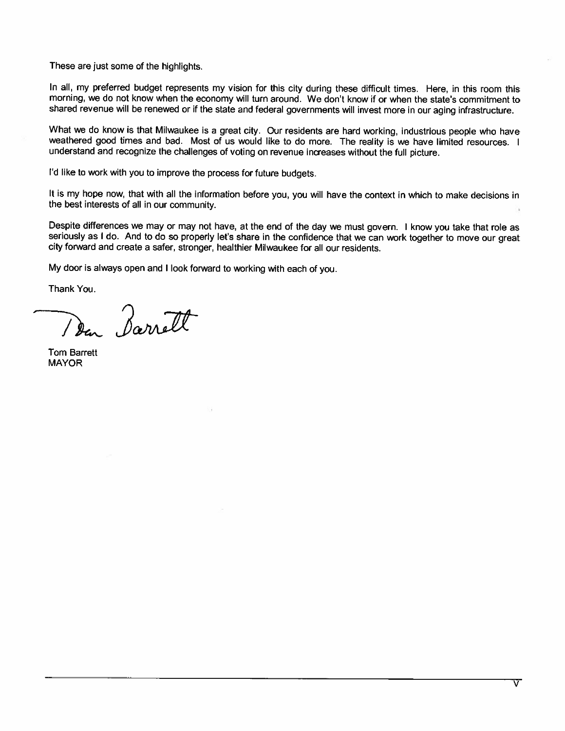These are just some of the highlights.

In all, my preferred budget represents my vision for this city during these difficult times. Here, in this room this morning, we do not know when the economy will turn around. We don't know if or when the state's commitment to shared revenue will be renewed or if the state and federal governments will invest more in our aging infrastructure.

What we do know is that Milwaukee is a great city. Our residents are hard working, industrious people who have weathered good times and bad. Most of us would like to do more. The reality is we have limited resources. I understand and recognize the challenges of voting on revenue increases without the full picture.

I'd like to work with you to improve the process for future budgets.

It is my hope now, that with all the information before you, you will have the context in which to make decisions in the best interests of all in our community.

Despite differences we may or may not have, at the end of the day we must govern. I know you take that role as seriously as I do. And to do so properly let's share in the confidence that we can work together to move our great city forward and create a safer, stronger, healthier Milwaukee for all our residents.

My door is always open and I look forward to working with each of you.

Thank You.

Den Barrett

**Tom Barrett MAYOR**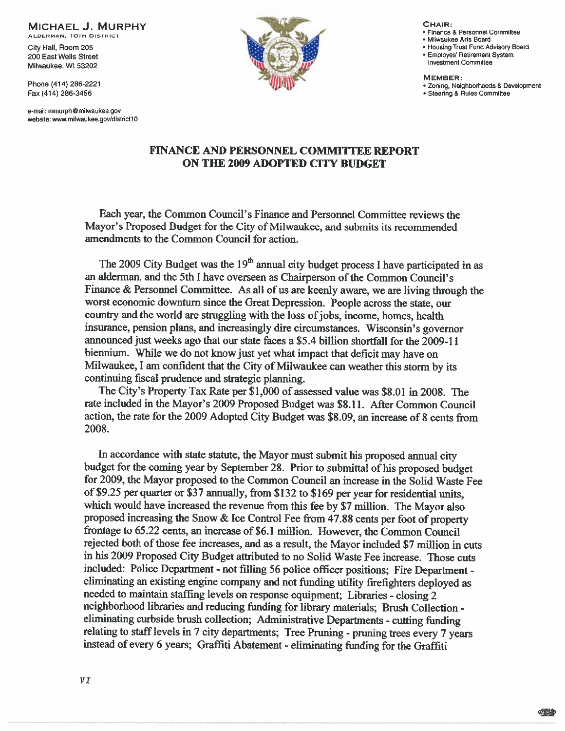**MICHAEL J. MURPHY** 

ALDERMAN, 10TH DISTRICT City Hall, Room 205 200 East Wells Street

Milwaukee, WI 53202 Phone (414) 286-2221 Fax (414) 286-3456

e-mail: mmurph@milwaukee.gov website: www.milwaukee.gov/district10



CHAIR:

- · Finance & Personnel Committee
- · Milwaukee Arts Board
- . Housing Trust Fund Advisory Board
- · Employes' Retirement System
- Investment Committee

MEMBER:

- · Zoning, Neighborhoods & Development · Steering & Rules Committee
	-

#### **FINANCE AND PERSONNEL COMMITTEE REPORT ON THE 2009 ADOPTED CITY BUDGET**

Each year, the Common Council's Finance and Personnel Committee reviews the Mavor's Proposed Budget for the City of Milwaukee, and submits its recommended amendments to the Common Council for action.

The 2009 City Budget was the  $19<sup>th</sup>$  annual city budget process I have participated in as an alderman, and the 5th I have overseen as Chairperson of the Common Council's Finance & Personnel Committee. As all of us are keenly aware, we are living through the worst economic downturn since the Great Depression. People across the state, our country and the world are struggling with the loss of jobs, income, homes, health insurance, pension plans, and increasingly dire circumstances. Wisconsin's governor announced just weeks ago that our state faces a \$5.4 billion shortfall for the 2009-11 biennium. While we do not know just yet what impact that deficit may have on Milwaukee, I am confident that the City of Milwaukee can weather this storm by its continuing fiscal prudence and strategic planning.

The City's Property Tax Rate per \$1,000 of assessed value was \$8.01 in 2008. The rate included in the Mayor's 2009 Proposed Budget was \$8.11. After Common Council action, the rate for the 2009 Adopted City Budget was \$8.09, an increase of 8 cents from 2008.

In accordance with state statute, the Mayor must submit his proposed annual city budget for the coming year by September 28. Prior to submittal of his proposed budget for 2009, the Mayor proposed to the Common Council an increase in the Solid Waste Fee of \$9.25 per quarter or \$37 annually, from \$132 to \$169 per year for residential units, which would have increased the revenue from this fee by \$7 million. The Mayor also proposed increasing the Snow & Ice Control Fee from 47.88 cents per foot of property frontage to 65.22 cents, an increase of \$6.1 million. However, the Common Council rejected both of those fee increases, and as a result, the Mayor included \$7 million in cuts in his 2009 Proposed City Budget attributed to no Solid Waste Fee increase. Those cuts included: Police Department - not filling 56 police officer positions; Fire Department eliminating an existing engine company and not funding utility firefighters deployed as needed to maintain staffing levels on response equipment; Libraries - closing 2 neighborhood libraries and reducing funding for library materials; Brush Collection eliminating curbside brush collection; Administrative Departments - cutting funding relating to staff levels in 7 city departments; Tree Pruning - pruning trees every 7 years instead of every 6 years; Graffiti Abatement - eliminating funding for the Graffiti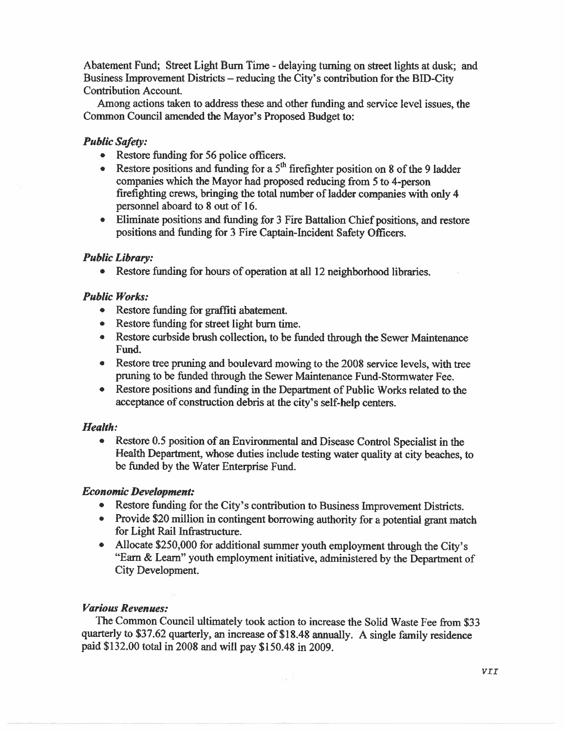Abatement Fund; Street Light Burn Time - delaying turning on street lights at dusk; and Business Improvement Districts – reducing the City's contribution for the BID-City Contribution Account.

Among actions taken to address these and other funding and service level issues, the Common Council amended the Mayor's Proposed Budget to:

### **Public Safety:**

- Restore funding for 56 police officers.
- Restore positions and funding for a  $5<sup>th</sup>$  firefighter position on 8 of the 9 ladder companies which the Mayor had proposed reducing from 5 to 4-person firefighting crews, bringing the total number of ladder companies with only 4 personnel aboard to 8 out of 16.
- Eliminate positions and funding for 3 Fire Battalion Chief positions, and restore positions and funding for 3 Fire Captain-Incident Safety Officers.

#### **Public Library:**

Restore funding for hours of operation at all 12 neighborhood libraries.  $\bullet$ 

#### **Public Works:**

- Restore funding for graffiti abatement.
- Restore funding for street light burn time.
- Restore curbside brush collection, to be funded through the Sewer Maintenance Fund.
- Restore tree pruning and boulevard mowing to the 2008 service levels, with tree pruning to be funded through the Sewer Maintenance Fund-Stormwater Fee.
- Restore positions and funding in the Department of Public Works related to the acceptance of construction debris at the city's self-help centers.

#### **Health:**

Restore 0.5 position of an Environmental and Disease Control Specialist in the  $\bullet$ Health Department, whose duties include testing water quality at city beaches, to be funded by the Water Enterprise Fund.

#### **Economic Development:**

- Restore funding for the City's contribution to Business Improvement Districts.
- Provide \$20 million in contingent borrowing authority for a potential grant match for Light Rail Infrastructure.
- Allocate \$250,000 for additional summer youth employment through the City's "Earn & Learn" youth employment initiative, administered by the Department of City Development.

### **Various Revenues:**

The Common Council ultimately took action to increase the Solid Waste Fee from \$33 quarterly to \$37.62 quarterly, an increase of \$18.48 annually. A single family residence paid \$132.00 total in 2008 and will pay \$150.48 in 2009.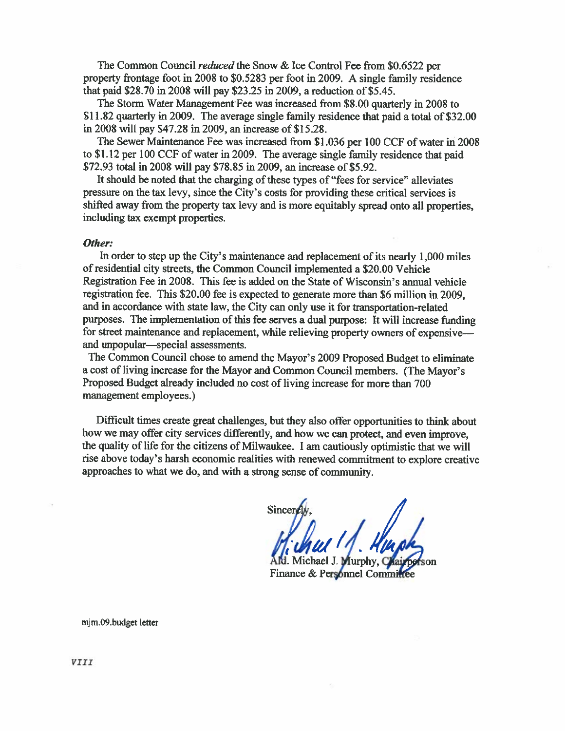The Common Council *reduced* the Snow & Ice Control Fee from \$0.6522 per property frontage foot in 2008 to \$0.5283 per foot in 2009. A single family residence that paid \$28.70 in 2008 will pay \$23.25 in 2009, a reduction of \$5.45.

The Storm Water Management Fee was increased from \$8.00 quarterly in 2008 to \$11.82 quarterly in 2009. The average single family residence that paid a total of \$32.00 in 2008 will pay \$47.28 in 2009, an increase of \$15.28.

The Sewer Maintenance Fee was increased from \$1,036 per 100 CCF of water in 2008 to \$1.12 per 100 CCF of water in 2009. The average single family residence that paid \$72.93 total in 2008 will pay \$78.85 in 2009, an increase of \$5.92.

It should be noted that the charging of these types of "fees for service" alleviates pressure on the tax levy, since the City's costs for providing these critical services is shifted away from the property tax levy and is more equitably spread onto all properties, including tax exempt properties.

#### Other:

In order to step up the City's maintenance and replacement of its nearly 1,000 miles of residential city streets, the Common Council implemented a \$20.00 Vehicle Registration Fee in 2008. This fee is added on the State of Wisconsin's annual vehicle registration fee. This \$20.00 fee is expected to generate more than \$6 million in 2009, and in accordance with state law, the City can only use it for transportation-related purposes. The implementation of this fee serves a dual purpose: It will increase funding for street maintenance and replacement, while relieving property owners of expensive and unpopular—special assessments.

The Common Council chose to amend the Mayor's 2009 Proposed Budget to eliminate a cost of living increase for the Mayor and Common Council members. (The Mayor's Proposed Budget already included no cost of living increase for more than 700 management employees.)

Difficult times create great challenges, but they also offer opportunities to think about how we may offer city services differently, and how we can protect, and even improve. the quality of life for the citizens of Milwaukee. I am cautiously optimistic that we will rise above today's harsh economic realities with renewed commitment to explore creative approaches to what we do, and with a strong sense of community.

Sincer

Michael J. Jurnhy. C son Finance & Personnel Committee

mjm.09.budget letter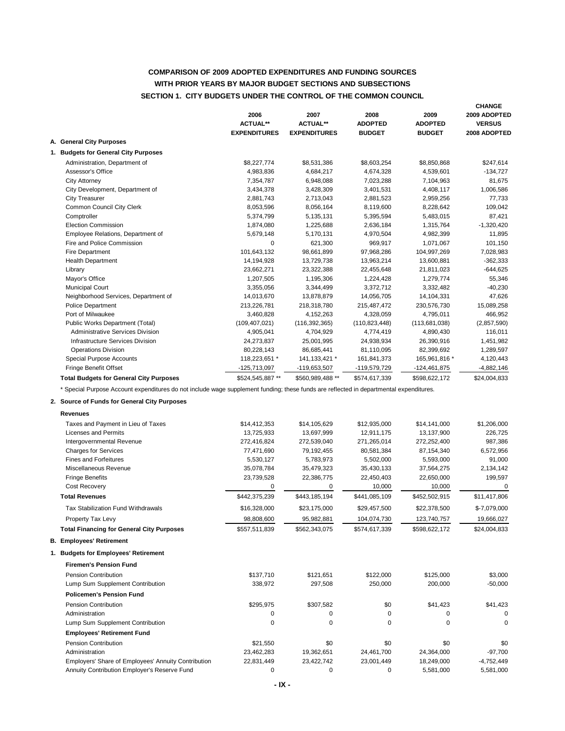#### **COMPARISON OF 2009 ADOPTED EXPENDITURES AND FUNDING SOURCES SECTION 1. CITY BUDGETS UNDER THE CONTROL OF THE COMMON COUNCIL WITH PRIOR YEARS BY MAJOR BUDGET SECTIONS AND SUBSECTIONS**

|                                                | 2006<br><b>ACTUAL**</b><br><b>EXPENDITURES</b> | 2007<br><b>ACTUAL**</b><br><b>EXPENDITURES</b> | 2008<br><b>ADOPTED</b><br><b>BUDGET</b> | 2009<br><b>ADOPTED</b><br><b>BUDGET</b> | <b>CHANGE</b><br>2009 ADOPTED<br><b>VERSUS</b><br>2008 ADOPTED |
|------------------------------------------------|------------------------------------------------|------------------------------------------------|-----------------------------------------|-----------------------------------------|----------------------------------------------------------------|
| A. General City Purposes                       |                                                |                                                |                                         |                                         |                                                                |
| 1. Budgets for General City Purposes           |                                                |                                                |                                         |                                         |                                                                |
| Administration, Department of                  | \$8,227,774                                    | \$8,531,386                                    | \$8,603,254                             | \$8,850,868                             | \$247,614                                                      |
| Assessor's Office                              | 4,983,836                                      | 4,684,217                                      | 4,674,328                               | 4,539,601                               | $-134,727$                                                     |
| <b>City Attorney</b>                           | 7,354,787                                      | 6,948,088                                      | 7,023,288                               | 7,104,963                               | 81,675                                                         |
| City Development, Department of                | 3,434,378                                      | 3,428,309                                      | 3,401,531                               | 4,408,117                               | 1,006,586                                                      |
| <b>City Treasurer</b>                          | 2,881,743                                      | 2,713,043                                      | 2,881,523                               | 2,959,256                               | 77,733                                                         |
| Common Council City Clerk                      | 8,053,596                                      | 8,056,164                                      | 8,119,600                               | 8,228,642                               | 109,042                                                        |
| Comptroller                                    | 5,374,799                                      | 5,135,131                                      | 5,395,594                               | 5,483,015                               | 87,421                                                         |
| <b>Election Commission</b>                     | 1,874,080                                      | 1,225,688                                      | 2,636,184                               | 1,315,764                               | $-1,320,420$                                                   |
| Employee Relations, Department of              | 5,679,148                                      | 5,170,131                                      | 4,970,504                               | 4,982,399                               | 11,895                                                         |
| Fire and Police Commission                     | 0                                              | 621,300                                        | 969,917                                 | 1,071,067                               | 101,150                                                        |
| <b>Fire Department</b>                         | 101,643,132                                    | 98,661,899                                     | 97,968,286                              | 104,997,269                             | 7,028,983                                                      |
| <b>Health Department</b>                       | 14,194,928                                     | 13,729,738                                     | 13,963,214                              | 13,600,881                              | $-362,333$                                                     |
| Library                                        | 23,662,271                                     | 23,322,388                                     | 22,455,648                              | 21,811,023                              | $-644,625$                                                     |
| Mayor's Office                                 | 1,207,505                                      | 1,195,306                                      | 1,224,428                               | 1,279,774                               | 55,346                                                         |
| <b>Municipal Court</b>                         | 3,355,056                                      | 3,344,499                                      | 3,372,712                               | 3,332,482                               | $-40,230$                                                      |
| Neighborhood Services, Department of           | 14,013,670                                     | 13,878,879                                     | 14,056,705                              | 14,104,331                              | 47,626                                                         |
| <b>Police Department</b>                       | 213,226,781                                    | 218,318,780                                    | 215,487,472                             | 230,576,730                             | 15,089,258                                                     |
| Port of Milwaukee                              | 3,460,828                                      | 4,152,263                                      | 4,328,059                               | 4,795,011                               | 466,952                                                        |
| Public Works Department (Total)                | (109, 407, 021)                                | (116, 392, 365)                                | (110, 823, 448)                         | (113,681,038)                           | (2,857,590)                                                    |
| <b>Administrative Services Division</b>        | 4,905,041                                      | 4,704,929                                      | 4,774,419                               | 4,890,430                               | 116,011                                                        |
| Infrastructure Services Division               | 24,273,837                                     | 25,001,995                                     | 24,938,934                              | 26,390,916                              | 1,451,982                                                      |
| <b>Operations Division</b>                     | 80,228,143                                     | 86,685,441                                     | 81,110,095                              | 82,399,692                              | 1,289,597                                                      |
| Special Purpose Accounts                       | 118,223,651 *                                  | 141, 133, 421 *                                | 161,841,373                             | 165,961,816 *                           | 4,120,443                                                      |
| Fringe Benefit Offset                          | $-125,713,097$                                 | $-119,653,507$                                 | -119,579,729                            | $-124,461,875$                          | $-4,882,146$                                                   |
| <b>Total Budgets for General City Purposes</b> | \$524,545,887 **                               | \$560.989.488 **                               | \$574,617,339                           | \$598,622,172                           | \$24,004,833                                                   |

#### **2. Source of Funds for General City Purposes**

| <b>Revenues</b>                                     |               |               |               |               |              |
|-----------------------------------------------------|---------------|---------------|---------------|---------------|--------------|
| Taxes and Payment in Lieu of Taxes                  | \$14,412,353  | \$14,105,629  | \$12,935,000  | \$14,141,000  | \$1,206,000  |
| Licenses and Permits                                | 13,725,933    | 13,697,999    | 12,911,175    | 13,137,900    | 226,725      |
| Intergovernmental Revenue                           | 272,416,824   | 272,539,040   | 271,265,014   | 272,252,400   | 987,386      |
| <b>Charges for Services</b>                         | 77,471,690    | 79,192,455    | 80,581,384    | 87,154,340    | 6,572,956    |
| <b>Fines and Forfeitures</b>                        | 5,530,127     | 5,783,973     | 5,502,000     | 5,593,000     | 91,000       |
| Miscellaneous Revenue                               | 35,078,784    | 35,479,323    | 35,430,133    | 37,564,275    | 2,134,142    |
| <b>Fringe Benefits</b>                              | 23,739,528    | 22,386,775    | 22,450,403    | 22,650,000    | 199,597      |
| Cost Recovery                                       | 0             | 0             | 10,000        | 10,000        | $\mathbf 0$  |
| <b>Total Revenues</b>                               | \$442,375,239 | \$443,185,194 | \$441,085,109 | \$452,502,915 | \$11,417,806 |
| Tax Stabilization Fund Withdrawals                  | \$16,328,000  | \$23,175,000  | \$29,457,500  | \$22,378,500  | \$-7,079,000 |
| Property Tax Levy                                   | 98,808,600    | 95,982,881    | 104,074,730   | 123,740,757   | 19,666,027   |
| <b>Total Financing for General City Purposes</b>    | \$557,511,839 | \$562,343,075 | \$574,617,339 | \$598,622,172 | \$24,004,833 |
| <b>B. Employees' Retirement</b>                     |               |               |               |               |              |
| 1. Budgets for Employees' Retirement                |               |               |               |               |              |
| <b>Firemen's Pension Fund</b>                       |               |               |               |               |              |
| <b>Pension Contribution</b>                         | \$137,710     | \$121,651     | \$122,000     | \$125,000     | \$3,000      |
| Lump Sum Supplement Contribution                    | 338,972       | 297,508       | 250,000       | 200,000       | $-50,000$    |
| <b>Policemen's Pension Fund</b>                     |               |               |               |               |              |
| <b>Pension Contribution</b>                         | \$295,975     | \$307,582     | \$0           | \$41,423      | \$41,423     |
| Administration                                      | 0             | $\Omega$      | $\Omega$      | 0             | 0            |
| Lump Sum Supplement Contribution                    | 0             | $\Omega$      | $\Omega$      | $\Omega$      | $\Omega$     |
| <b>Employees' Retirement Fund</b>                   |               |               |               |               |              |
| <b>Pension Contribution</b>                         | \$21,550      | \$0           | \$0           | \$0           | \$0          |
| Administration                                      | 23,462,283    | 19,362,651    | 24,461,700    | 24,364,000    | $-97,700$    |
| Employers' Share of Employees' Annuity Contribution | 22,831,449    | 23,422,742    | 23,001,449    | 18,249,000    | $-4,752,449$ |
| Annuity Contribution Employer's Reserve Fund        | 0             | 0             | 0             | 5,581,000     | 5,581,000    |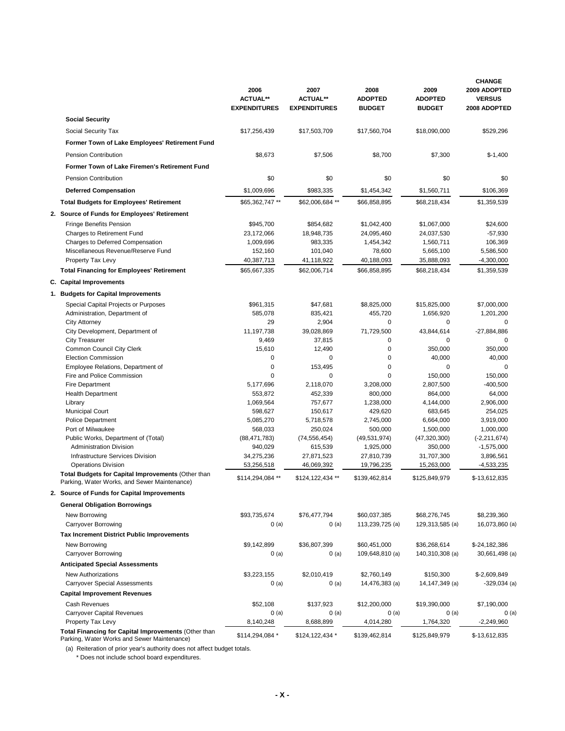|                                                                                                     | 2006<br><b>ACTUAL**</b><br><b>EXPENDITURES</b> | 2007<br><b>ACTUAL**</b><br><b>EXPENDITURES</b> | 2008<br><b>ADOPTED</b><br><b>BUDGET</b> | 2009<br><b>ADOPTED</b><br><b>BUDGET</b> | <b>CHANGE</b><br>2009 ADOPTED<br><b>VERSUS</b><br>2008 ADOPTED |
|-----------------------------------------------------------------------------------------------------|------------------------------------------------|------------------------------------------------|-----------------------------------------|-----------------------------------------|----------------------------------------------------------------|
| <b>Social Security</b>                                                                              |                                                |                                                |                                         |                                         |                                                                |
| Social Security Tax                                                                                 | \$17,256,439                                   | \$17,503,709                                   | \$17,560,704                            | \$18,090,000                            | \$529,296                                                      |
| Former Town of Lake Employees' Retirement Fund                                                      |                                                |                                                |                                         |                                         |                                                                |
| <b>Pension Contribution</b>                                                                         | \$8,673                                        | \$7,506                                        | \$8,700                                 | \$7,300                                 | $$-1,400$                                                      |
|                                                                                                     |                                                |                                                |                                         |                                         |                                                                |
| Former Town of Lake Firemen's Retirement Fund                                                       |                                                |                                                |                                         |                                         |                                                                |
| <b>Pension Contribution</b>                                                                         | \$0                                            | \$0                                            | \$0                                     | \$0                                     | \$0                                                            |
| <b>Deferred Compensation</b>                                                                        | \$1,009,696                                    | \$983,335                                      | \$1,454,342                             | \$1,560,711                             | \$106,369                                                      |
| <b>Total Budgets for Employees' Retirement</b>                                                      | \$65,362,747 **                                | \$62,006,684 **                                | \$66,858,895                            | \$68,218,434                            | \$1,359,539                                                    |
| 2. Source of Funds for Employees' Retirement                                                        |                                                |                                                |                                         |                                         |                                                                |
| <b>Fringe Benefits Pension</b>                                                                      | \$945,700                                      | \$854,682                                      | \$1,042,400                             | \$1,067,000                             | \$24,600                                                       |
| Charges to Retirement Fund                                                                          | 23,172,066                                     | 18,948,735                                     | 24,095,460                              | 24,037,530                              | $-57,930$                                                      |
| Charges to Deferred Compensation                                                                    | 1,009,696                                      | 983,335                                        | 1,454,342                               | 1,560,711                               | 106,369                                                        |
| Miscellaneous Revenue/Reserve Fund                                                                  | 152,160                                        | 101,040                                        | 78,600                                  | 5,665,100                               | 5,586,500                                                      |
| Property Tax Levy                                                                                   | 40,387,713                                     | 41,118,922                                     | 40,188,093                              | 35,888,093                              | $-4,300,000$                                                   |
| <b>Total Financing for Employees' Retirement</b>                                                    | \$65,667,335                                   | \$62,006,714                                   | \$66,858,895                            | \$68,218,434                            | \$1,359,539                                                    |
| C. Capital Improvements                                                                             |                                                |                                                |                                         |                                         |                                                                |
| 1. Budgets for Capital Improvements                                                                 |                                                |                                                |                                         |                                         |                                                                |
| Special Capital Projects or Purposes                                                                | \$961,315                                      | \$47,681                                       | \$8,825,000                             | \$15,825,000                            | \$7,000,000                                                    |
| Administration, Department of                                                                       | 585,078                                        | 835,421                                        | 455,720                                 | 1,656,920                               | 1,201,200                                                      |
| <b>City Attorney</b>                                                                                | 29                                             | 2,904                                          | 0                                       | 0                                       | 0                                                              |
| City Development, Department of                                                                     | 11,197,738                                     | 39,028,869                                     | 71,729,500                              | 43,844,614                              | $-27,884,886$                                                  |
| <b>City Treasurer</b>                                                                               | 9,469                                          | 37,815                                         | 0                                       | 0                                       | 0                                                              |
| Common Council City Clerk                                                                           | 15,610                                         | 12,490                                         | $\mathbf 0$                             | 350,000                                 | 350,000                                                        |
| <b>Election Commission</b>                                                                          | $\mathbf 0$<br>0                               | 0                                              | 0                                       | 40,000<br>0                             | 40,000                                                         |
| Employee Relations, Department of<br>Fire and Police Commission                                     | $\Omega$                                       | 153,495<br>0                                   | 0<br>$\Omega$                           | 150,000                                 | 0<br>150,000                                                   |
| Fire Department                                                                                     | 5,177,696                                      | 2,118,070                                      | 3,208,000                               | 2,807,500                               | $-400,500$                                                     |
| <b>Health Department</b>                                                                            | 553,872                                        | 452,339                                        | 800,000                                 | 864,000                                 | 64,000                                                         |
| Library                                                                                             | 1,069,564                                      | 757,677                                        | 1,238,000                               | 4,144,000                               | 2,906,000                                                      |
| <b>Municipal Court</b>                                                                              | 598,627                                        | 150,617                                        | 429,620                                 | 683,645                                 | 254,025                                                        |
| <b>Police Department</b>                                                                            | 5,085,270                                      | 5,718,578                                      | 2,745,000                               | 6,664,000                               | 3,919,000                                                      |
| Port of Milwaukee                                                                                   | 568,033                                        | 250,024                                        | 500,000                                 | 1,500,000                               | 1,000,000                                                      |
| Public Works, Department of (Total)                                                                 | (88, 471, 783)                                 | (74, 556, 454)                                 | (49, 531, 974)                          | (47, 320, 300)                          | $(-2, 211, 674)$                                               |
| <b>Administration Division</b>                                                                      | 940,029                                        | 615,539                                        | 1,925,000                               | 350,000                                 | $-1,575,000$                                                   |
| Infrastructure Services Division                                                                    | 34,275,236                                     | 27,871,523                                     | 27,810,739                              | 31,707,300                              | 3,896,561                                                      |
| <b>Operations Division</b>                                                                          | 53,256,518                                     | 46,069,392                                     | 19,796,235                              | 15,263,000                              | -4,533,235                                                     |
| Total Budgets for Capital Improvements (Other than<br>Parking, Water Works, and Sewer Maintenance)  | \$114,294,084 **                               | \$124,122,434 **                               | \$139,462,814                           | \$125,849,979                           | \$-13,612,835                                                  |
| <b>Source of Funds for Capital Improvements</b>                                                     |                                                |                                                |                                         |                                         |                                                                |
| <b>General Obligation Borrowings</b>                                                                |                                                |                                                |                                         |                                         |                                                                |
| New Borrowing                                                                                       | \$93,735,674                                   | \$76,477,794                                   | \$60,037,385                            | \$68,276,745                            | \$8,239,360                                                    |
| Carryover Borrowing                                                                                 | 0(a)                                           | 0(a)                                           | 113,239,725 (a)                         | 129,313,585 (a)                         | 16,073,860 (a)                                                 |
| <b>Tax Increment District Public Improvements</b>                                                   |                                                |                                                |                                         |                                         |                                                                |
| New Borrowing                                                                                       | \$9,142,899                                    | \$36,807,399                                   | \$60,451,000                            | \$36,268,614                            | \$-24,182,386                                                  |
| Carryover Borrowing                                                                                 | 0(a)                                           | 0(a)                                           | 109,648,810 (a)                         | 140,310,308 (a)                         | 30,661,498 (a)                                                 |
| <b>Anticipated Special Assessments</b>                                                              |                                                |                                                |                                         |                                         |                                                                |
| <b>New Authorizations</b><br><b>Carryover Special Assessments</b>                                   | \$3,223,155                                    | \$2,010,419                                    | \$2,760,149                             | \$150,300                               | \$-2,609,849                                                   |
|                                                                                                     | 0(a)                                           | 0(a)                                           | 14,476,383 (a)                          | 14,147,349 (a)                          | -329,034 (a)                                                   |
| <b>Capital Improvement Revenues</b>                                                                 |                                                |                                                |                                         |                                         |                                                                |
| <b>Cash Revenues</b>                                                                                | \$52,108                                       | \$137,923                                      | \$12,200,000                            | \$19,390,000                            | \$7,190,000                                                    |
| <b>Carryover Capital Revenues</b><br>Property Tax Levy                                              | 0(a)<br>8,140,248                              | 0(a)<br>8,688,899                              | 0(a)<br>4,014,280                       | 0(a)<br>1,764,320                       | 0(a)<br>-2,249,960                                             |
| Total Financing for Capital Improvements (Other than<br>Parking, Water Works and Sewer Maintenance) | \$114,294,084 *                                | \$124,122,434 *                                | \$139,462,814                           | \$125,849,979                           | \$-13,612,835                                                  |

(a) Reiteration of prior year's authority does not affect budget totals.

\* Does not include school board expenditures.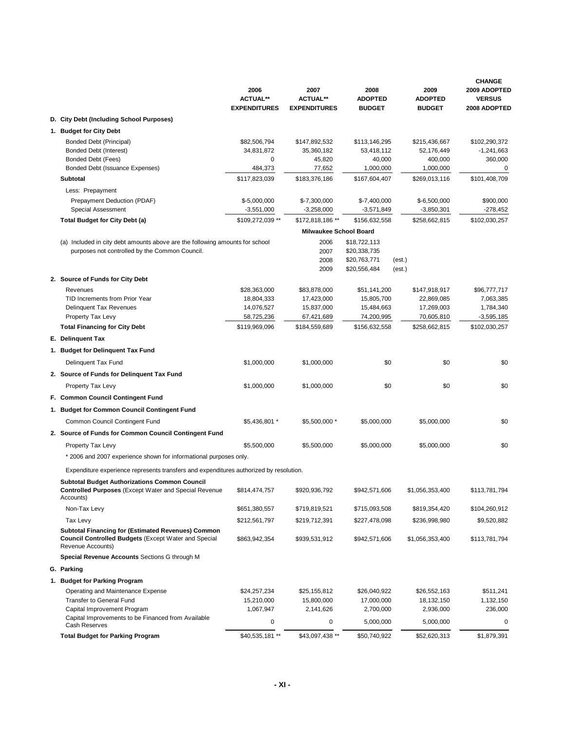|                                                                                                                                               | 2006<br><b>ACTUAL**</b><br><b>EXPENDITURES</b> | 2007<br><b>ACTUAL**</b><br><b>EXPENDITURES</b> | 2008<br><b>ADOPTED</b><br><b>BUDGET</b> | 2009<br><b>ADOPTED</b><br><b>BUDGET</b> | <b>CHANGE</b><br>2009 ADOPTED<br><b>VERSUS</b><br>2008 ADOPTED |  |  |
|-----------------------------------------------------------------------------------------------------------------------------------------------|------------------------------------------------|------------------------------------------------|-----------------------------------------|-----------------------------------------|----------------------------------------------------------------|--|--|
| D. City Debt (Including School Purposes)                                                                                                      |                                                |                                                |                                         |                                         |                                                                |  |  |
| 1. Budget for City Debt                                                                                                                       |                                                |                                                |                                         |                                         |                                                                |  |  |
| <b>Bonded Debt (Principal)</b>                                                                                                                | \$82,506,794                                   | \$147,892,532                                  | \$113,146,295                           | \$215,436,667                           | \$102,290,372                                                  |  |  |
| Bonded Debt (Interest)                                                                                                                        | 34,831,872                                     | 35,360,182                                     | 53,418,112                              | 52,176,449                              | $-1,241,663$                                                   |  |  |
| Bonded Debt (Fees)                                                                                                                            | 0                                              | 45,820                                         | 40,000                                  | 400,000                                 | 360,000                                                        |  |  |
| Bonded Debt (Issuance Expenses)                                                                                                               | 484,373                                        | 77,652                                         | 1,000,000                               | 1,000,000                               | 0                                                              |  |  |
| <b>Subtotal</b>                                                                                                                               | \$117,823,039                                  | \$183,376,186                                  | \$167,604,407                           | \$269,013,116                           | \$101,408,709                                                  |  |  |
| Less: Prepayment                                                                                                                              |                                                |                                                |                                         |                                         |                                                                |  |  |
| Prepayment Deduction (PDAF)                                                                                                                   | \$-5,000,000                                   | $$-7,300,000$                                  | $$-7,400,000$                           | $$-6,500,000$                           | \$900,000                                                      |  |  |
| <b>Special Assessment</b>                                                                                                                     | $-3,551,000$                                   | $-3,258,000$                                   | $-3,571,849$                            | $-3,850,301$                            | -278,452                                                       |  |  |
| Total Budget for City Debt (a)                                                                                                                | \$109,272,039 **                               | \$172,818,186 **                               | \$156,632,558                           | \$258,662,815                           | \$102,030,257                                                  |  |  |
|                                                                                                                                               |                                                | <b>Milwaukee School Board</b>                  |                                         |                                         |                                                                |  |  |
| (a) Included in city debt amounts above are the following amounts for school                                                                  |                                                | 2006                                           | \$18,722,113<br>\$20,338,735            |                                         |                                                                |  |  |
| purposes not controlled by the Common Council.                                                                                                |                                                | 2007<br>2008                                   | \$20,763,771                            | (est.)                                  |                                                                |  |  |
|                                                                                                                                               |                                                | 2009                                           | \$20,556,484                            | (est.)                                  |                                                                |  |  |
| 2. Source of Funds for City Debt                                                                                                              |                                                |                                                |                                         |                                         |                                                                |  |  |
| Revenues                                                                                                                                      | \$28,363,000                                   | \$83,878,000                                   | \$51,141,200                            | \$147,918,917                           | \$96,777,717                                                   |  |  |
| TID Increments from Prior Year                                                                                                                | 18,804,333                                     | 17,423,000                                     | 15,805,700                              | 22,869,085                              | 7,063,385                                                      |  |  |
| <b>Delinquent Tax Revenues</b>                                                                                                                | 14,076,527                                     | 15,837,000                                     | 15,484,663                              | 17,269,003                              | 1,784,340                                                      |  |  |
| Property Tax Levy                                                                                                                             | 58,725,236                                     | 67,421,689                                     | 74,200,995                              | 70,605,810                              | $-3,595,185$                                                   |  |  |
| <b>Total Financing for City Debt</b>                                                                                                          | \$119,969,096                                  | \$184,559,689                                  | \$156,632,558                           | \$258,662,815                           | \$102,030,257                                                  |  |  |
| E. Delinguent Tax                                                                                                                             |                                                |                                                |                                         |                                         |                                                                |  |  |
| 1. Budget for Delinquent Tax Fund                                                                                                             |                                                |                                                |                                         |                                         |                                                                |  |  |
| Delinquent Tax Fund                                                                                                                           | \$1,000,000                                    | \$1,000,000                                    | \$0                                     | \$0                                     | \$0                                                            |  |  |
| 2. Source of Funds for Delinquent Tax Fund                                                                                                    |                                                |                                                |                                         |                                         |                                                                |  |  |
| Property Tax Levy                                                                                                                             | \$1,000,000                                    | \$1,000,000                                    | \$0                                     | \$0                                     | \$0                                                            |  |  |
| F. Common Council Contingent Fund                                                                                                             |                                                |                                                |                                         |                                         |                                                                |  |  |
| 1. Budget for Common Council Contingent Fund                                                                                                  |                                                |                                                |                                         |                                         |                                                                |  |  |
| Common Council Contingent Fund                                                                                                                | \$5,436,801 *                                  | \$5,500,000 *                                  | \$5,000,000                             | \$5,000,000                             | \$0                                                            |  |  |
| 2. Source of Funds for Common Council Contingent Fund                                                                                         |                                                |                                                |                                         |                                         |                                                                |  |  |
| Property Tax Levy                                                                                                                             | \$5,500,000                                    | \$5,500,000                                    | \$5,000,000                             | \$5,000,000                             | \$0                                                            |  |  |
|                                                                                                                                               |                                                |                                                |                                         |                                         |                                                                |  |  |
| * 2006 and 2007 experience shown for informational purposes only.                                                                             |                                                |                                                |                                         |                                         |                                                                |  |  |
| Expenditure experience represents transfers and expenditures authorized by resolution.                                                        |                                                |                                                |                                         |                                         |                                                                |  |  |
| <b>Subtotal Budget Authorizations Common Council</b><br><b>Controlled Purposes</b> (Except Water and Special Revenue<br>Accounts)             | \$814,474,757                                  | \$920,936,792                                  | \$942,571,606                           | \$1,056,353,400                         | \$113,781,794                                                  |  |  |
| Non-Tax Levy                                                                                                                                  | \$651,380,557                                  | \$719,819,521                                  | \$715,093,508                           | \$819,354,420                           | \$104,260,912                                                  |  |  |
| Tax Levy                                                                                                                                      | \$212,561,797                                  | \$219,712,391                                  | \$227,478,098                           | \$236,998,980                           | \$9,520,882                                                    |  |  |
| <b>Subtotal Financing for (Estimated Revenues) Common</b><br><b>Council Controlled Budgets (Except Water and Special</b><br>Revenue Accounts) | \$863,942,354                                  | \$939,531,912                                  | \$942,571,606                           | \$1,056,353,400                         | \$113,781,794                                                  |  |  |
| Special Revenue Accounts Sections G through M                                                                                                 |                                                |                                                |                                         |                                         |                                                                |  |  |
| G. Parking                                                                                                                                    |                                                |                                                |                                         |                                         |                                                                |  |  |
|                                                                                                                                               |                                                |                                                |                                         |                                         |                                                                |  |  |
| 1. Budget for Parking Program<br>Operating and Maintenance Expense                                                                            | \$24,257,234                                   | \$25,155,812                                   | \$26,040,922                            | \$26,552,163                            | \$511,241                                                      |  |  |
| Transfer to General Fund                                                                                                                      | 15,210,000                                     | 15,800,000                                     | 17,000,000                              | 18,132,150                              | 1,132,150                                                      |  |  |
| Capital Improvement Program                                                                                                                   | 1,067,947                                      | 2,141,626                                      | 2,700,000                               | 2,936,000                               | 236,000                                                        |  |  |
| Capital Improvements to be Financed from Available<br>Cash Reserves                                                                           | 0                                              | 0                                              | 5,000,000                               | 5,000,000                               | $\mathbf 0$                                                    |  |  |
| <b>Total Budget for Parking Program</b>                                                                                                       | \$40,535,181 **                                | \$43,097,438 **                                | \$50,740,922                            | \$52,620,313                            | \$1,879,391                                                    |  |  |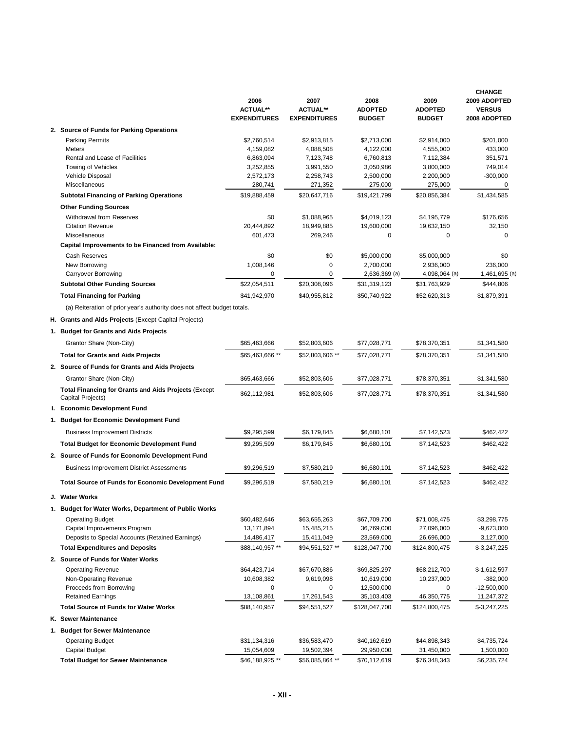|                                                                                  | 2006<br><b>ACTUAL**</b>       | 2007<br><b>ACTUAL**</b>       | 2008<br><b>ADOPTED</b>     | 2009<br><b>ADOPTED</b>     | <b>CHANGE</b><br>2009 ADOPTED<br><b>VERSUS</b> |
|----------------------------------------------------------------------------------|-------------------------------|-------------------------------|----------------------------|----------------------------|------------------------------------------------|
|                                                                                  | <b>EXPENDITURES</b>           | <b>EXPENDITURES</b>           | <b>BUDGET</b>              | <b>BUDGET</b>              | 2008 ADOPTED                                   |
| 2. Source of Funds for Parking Operations                                        |                               |                               |                            |                            |                                                |
| <b>Parking Permits</b>                                                           | \$2,760,514                   | \$2,913,815                   | \$2,713,000                | \$2,914,000                | \$201,000                                      |
| Meters                                                                           | 4,159,082                     | 4,088,508                     | 4,122,000                  | 4,555,000                  | 433,000                                        |
| Rental and Lease of Facilities                                                   | 6,863,094                     | 7,123,748                     | 6,760,813                  | 7,112,384                  | 351,571                                        |
| Towing of Vehicles<br>Vehicle Disposal                                           | 3,252,855<br>2,572,173        | 3,991,550<br>2,258,743        | 3,050,986<br>2,500,000     | 3,800,000<br>2,200,000     | 749,014<br>$-300,000$                          |
| Miscellaneous                                                                    | 280,741                       | 271,352                       | 275,000                    | 275,000                    | 0                                              |
| <b>Subtotal Financing of Parking Operations</b>                                  | \$19,888,459                  | \$20,647,716                  | \$19,421,799               | \$20,856,384               | \$1,434,585                                    |
| <b>Other Funding Sources</b>                                                     |                               |                               |                            |                            |                                                |
| Withdrawal from Reserves                                                         | \$0                           | \$1,088,965                   | \$4,019,123                | \$4,195,779                | \$176,656                                      |
| <b>Citation Revenue</b>                                                          | 20,444,892                    | 18,949,885                    | 19,600,000                 | 19,632,150                 | 32,150                                         |
| Miscellaneous                                                                    | 601,473                       | 269,246                       | $\mathbf 0$                | 0                          | 0                                              |
| Capital Improvements to be Financed from Available:                              |                               |                               |                            |                            |                                                |
| Cash Reserves                                                                    | \$0                           | \$0                           | \$5,000,000                | \$5,000,000                | \$0                                            |
| New Borrowing                                                                    | 1,008,146                     | $\mathbf 0$                   | 2,700,000                  | 2,936,000                  | 236,000                                        |
| Carryover Borrowing                                                              | 0                             | $\mathbf 0$                   | 2,636,369 (a)              | 4,098,064 (a)              | 1,461,695 (a)                                  |
| <b>Subtotal Other Funding Sources</b>                                            | \$22,054,511                  | \$20,308,096                  | \$31,319,123               | \$31,763,929               | \$444,806                                      |
| <b>Total Financing for Parking</b>                                               | \$41,942,970                  | \$40,955,812                  | \$50,740,922               | \$52,620,313               | \$1,879,391                                    |
| (a) Reiteration of prior year's authority does not affect budget totals.         |                               |                               |                            |                            |                                                |
| H. Grants and Aids Projects (Except Capital Projects)                            |                               |                               |                            |                            |                                                |
| 1. Budget for Grants and Aids Projects                                           |                               |                               |                            |                            |                                                |
|                                                                                  |                               |                               |                            |                            |                                                |
| Grantor Share (Non-City)                                                         | \$65,463,666                  | \$52,803,606                  | \$77,028,771               | \$78,370,351               | \$1,341,580                                    |
| <b>Total for Grants and Aids Projects</b>                                        | \$65,463,666 **               | \$52,803,606 **               | \$77,028,771               | \$78,370,351               | \$1,341,580                                    |
| 2. Source of Funds for Grants and Aids Projects                                  |                               |                               |                            |                            |                                                |
| Grantor Share (Non-City)                                                         | \$65,463,666                  | \$52,803,606                  | \$77,028,771               | \$78,370,351               | \$1,341,580                                    |
| <b>Total Financing for Grants and Aids Projects (Except</b><br>Capital Projects) | \$62,112,981                  | \$52,803,606                  | \$77,028,771               | \$78,370,351               | \$1,341,580                                    |
| I. Economic Development Fund                                                     |                               |                               |                            |                            |                                                |
| 1. Budget for Economic Development Fund                                          |                               |                               |                            |                            |                                                |
| <b>Business Improvement Districts</b>                                            | \$9,295,599                   | \$6,179,845                   | \$6,680,101                | \$7,142,523                | \$462,422                                      |
| <b>Total Budget for Economic Development Fund</b>                                | \$9,295,599                   | \$6.179.845                   | \$6,680,101                | \$7,142,523                | \$462,422                                      |
| 2. Source of Funds for Economic Development Fund                                 |                               |                               |                            |                            |                                                |
|                                                                                  |                               |                               |                            |                            |                                                |
| <b>Business Improvement District Assessments</b>                                 | \$9,296,519                   | \$7,580,219                   | \$6,680,101                | \$7,142,523                | \$462,422                                      |
| <b>Total Source of Funds for Economic Development Fund</b>                       | \$9,296,519                   | \$7,580,219                   | \$6,680,101                | \$7,142,523                | \$462,422                                      |
| J. Water Works                                                                   |                               |                               |                            |                            |                                                |
| 1. Budget for Water Works, Department of Public Works                            |                               |                               |                            |                            |                                                |
| <b>Operating Budget</b>                                                          | \$60,482,646                  | \$63,655,263                  | \$67,709,700               | \$71,008,475               | \$3,298,775                                    |
| Capital Improvements Program                                                     | 13,171,894                    | 15,485,215                    | 36,769,000                 | 27,096,000                 | $-9,673,000$                                   |
| Deposits to Special Accounts (Retained Earnings)                                 | 14,486,417                    | 15,411,049                    | 23,569,000                 | 26,696,000                 | 3,127,000                                      |
| <b>Total Expenditures and Deposits</b>                                           | \$88,140,957 **               | \$94,551,527 **               | \$128,047,700              | \$124,800,475              | $$-3,247,225$                                  |
| 2. Source of Funds for Water Works                                               |                               |                               |                            |                            |                                                |
| Operating Revenue                                                                | \$64,423,714                  | \$67,670,886                  | \$69,825,297               | \$68,212,700               | $$-1,612,597$                                  |
| Non-Operating Revenue<br>Proceeds from Borrowing                                 | 10,608,382<br>0               | 9,619,098<br>0                | 10,619,000<br>12,500,000   | 10,237,000<br>0            | $-382,000$<br>-12,500,000                      |
| <b>Retained Earnings</b>                                                         | 13,108,861                    | 17,261,543                    | 35,103,403                 | 46,350,775                 | 11,247,372                                     |
| <b>Total Source of Funds for Water Works</b>                                     | \$88,140,957                  | \$94,551,527                  | \$128,047,700              | \$124,800,475              | \$-3,247,225                                   |
| K. Sewer Maintenance                                                             |                               |                               |                            |                            |                                                |
|                                                                                  |                               |                               |                            |                            |                                                |
| 1. Budget for Sewer Maintenance                                                  |                               |                               |                            |                            |                                                |
| <b>Operating Budget</b><br><b>Capital Budget</b>                                 | \$31,134,316                  | \$36,583,470                  | \$40,162,619               | \$44,898,343               | \$4,735,724                                    |
| <b>Total Budget for Sewer Maintenance</b>                                        | 15,054,609<br>\$46,188,925 ** | 19,502,394<br>\$56,085,864 ** | 29,950,000<br>\$70,112,619 | 31,450,000<br>\$76,348,343 | 1,500,000<br>\$6,235,724                       |
|                                                                                  |                               |                               |                            |                            |                                                |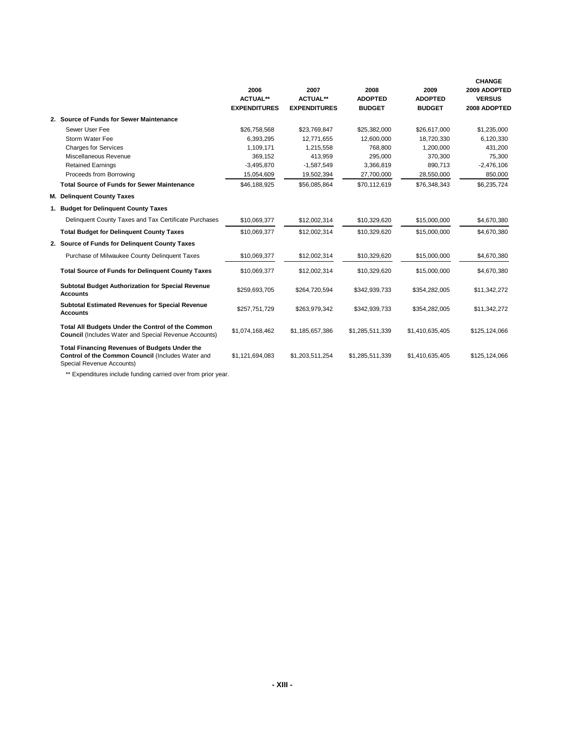|                                                                                                                                        | 2006<br><b>ACTUAL**</b><br><b>EXPENDITURES</b> | 2007<br><b>ACTUAL**</b><br><b>EXPENDITURES</b> | 2008<br><b>ADOPTED</b><br><b>BUDGET</b> | 2009<br><b>ADOPTED</b><br><b>BUDGET</b> | <b>CHANGE</b><br>2009 ADOPTED<br><b>VERSUS</b><br>2008 ADOPTED |
|----------------------------------------------------------------------------------------------------------------------------------------|------------------------------------------------|------------------------------------------------|-----------------------------------------|-----------------------------------------|----------------------------------------------------------------|
| 2. Source of Funds for Sewer Maintenance                                                                                               |                                                |                                                |                                         |                                         |                                                                |
| Sewer User Fee                                                                                                                         | \$26,758,568                                   | \$23,769,847                                   | \$25,382,000                            | \$26,617,000                            | \$1,235,000                                                    |
| Storm Water Fee                                                                                                                        | 6.393.295                                      | 12.771.655                                     | 12.600.000                              | 18.720.330                              | 6,120,330                                                      |
| <b>Charges for Services</b>                                                                                                            | 1,109,171                                      | 1,215,558                                      | 768,800                                 | 1,200,000                               | 431,200                                                        |
| Miscellaneous Revenue                                                                                                                  | 369,152                                        | 413,959                                        | 295,000                                 | 370,300                                 | 75,300                                                         |
| <b>Retained Earnings</b>                                                                                                               | $-3,495,870$                                   | $-1,587,549$                                   | 3,366,819                               | 890,713                                 | $-2,476,106$                                                   |
| Proceeds from Borrowing                                                                                                                | 15,054,609                                     | 19,502,394                                     | 27,700,000                              | 28,550,000                              | 850,000                                                        |
| <b>Total Source of Funds for Sewer Maintenance</b>                                                                                     | \$46,188,925                                   | \$56,085,864                                   | \$70,112,619                            | \$76,348,343                            | \$6,235,724                                                    |
| M. Delinquent County Taxes                                                                                                             |                                                |                                                |                                         |                                         |                                                                |
| 1. Budget for Delinguent County Taxes                                                                                                  |                                                |                                                |                                         |                                         |                                                                |
| Delinquent County Taxes and Tax Certificate Purchases                                                                                  | \$10,069,377                                   | \$12,002,314                                   | \$10,329,620                            | \$15,000,000                            | \$4,670,380                                                    |
| <b>Total Budget for Delinguent County Taxes</b>                                                                                        | \$10,069,377                                   | \$12,002,314                                   | \$10,329,620                            | \$15,000,000                            | \$4,670,380                                                    |
| 2. Source of Funds for Delinguent County Taxes                                                                                         |                                                |                                                |                                         |                                         |                                                                |
| Purchase of Milwaukee County Delinquent Taxes                                                                                          | \$10,069,377                                   | \$12,002,314                                   | \$10,329,620                            | \$15,000,000                            | \$4,670,380                                                    |
| <b>Total Source of Funds for Delinquent County Taxes</b>                                                                               | \$10,069,377                                   | \$12,002,314                                   | \$10,329,620                            | \$15,000,000                            | \$4,670,380                                                    |
| <b>Subtotal Budget Authorization for Special Revenue</b><br><b>Accounts</b>                                                            | \$259,693,705                                  | \$264.720.594                                  | \$342,939,733                           | \$354,282,005                           | \$11,342,272                                                   |
| <b>Subtotal Estimated Revenues for Special Revenue</b><br><b>Accounts</b>                                                              | \$257,751,729                                  | \$263,979,342                                  | \$342,939,733                           | \$354,282,005                           | \$11,342,272                                                   |
| Total All Budgets Under the Control of the Common<br><b>Council</b> (Includes Water and Special Revenue Accounts)                      | \$1,074,168,462                                | \$1,185,657,386                                | \$1,285,511,339                         | \$1,410,635,405                         | \$125,124,066                                                  |
| <b>Total Financing Revenues of Budgets Under the</b><br>Control of the Common Council (Includes Water and<br>Special Revenue Accounts) | \$1,121,694,083                                | \$1,203,511,254                                | \$1,285,511,339                         | \$1,410,635,405                         | \$125,124,066                                                  |

\*\* Expenditures include funding carried over from prior year.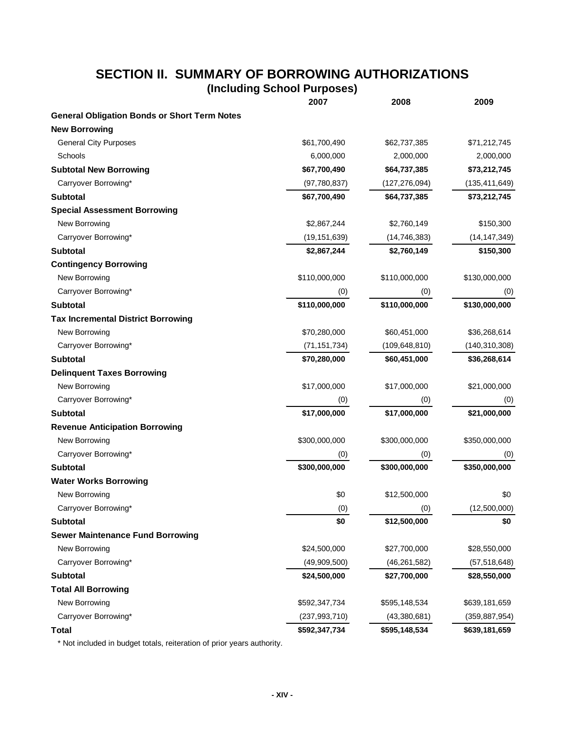# **SECTION II. SUMMARY OF BORROWING AUTHORIZATIONS**

**(Including School Purposes)**

|                                                     | 2007            | 2008            | 2009            |
|-----------------------------------------------------|-----------------|-----------------|-----------------|
| <b>General Obligation Bonds or Short Term Notes</b> |                 |                 |                 |
| <b>New Borrowing</b>                                |                 |                 |                 |
| <b>General City Purposes</b>                        | \$61,700,490    | \$62,737,385    | \$71,212,745    |
| Schools                                             | 6,000,000       | 2,000,000       | 2,000,000       |
| <b>Subtotal New Borrowing</b>                       | \$67,700,490    | \$64,737,385    | \$73,212,745    |
| Carryover Borrowing*                                | (97,780,837)    | (127, 276, 094) | (135, 411, 649) |
| <b>Subtotal</b>                                     | \$67,700,490    | \$64,737,385    | \$73,212,745    |
| <b>Special Assessment Borrowing</b>                 |                 |                 |                 |
| New Borrowing                                       | \$2,867,244     | \$2,760,149     | \$150,300       |
| Carryover Borrowing*                                | (19, 151, 639)  | (14, 746, 383)  | (14, 147, 349)  |
| <b>Subtotal</b>                                     | \$2,867,244     | \$2,760,149     | \$150,300       |
| <b>Contingency Borrowing</b>                        |                 |                 |                 |
| New Borrowing                                       | \$110,000,000   | \$110,000,000   | \$130,000,000   |
| Carryover Borrowing*                                | (0)             | (0)             | (0)             |
| <b>Subtotal</b>                                     | \$110,000,000   | \$110,000,000   | \$130,000,000   |
| <b>Tax Incremental District Borrowing</b>           |                 |                 |                 |
| New Borrowing                                       | \$70,280,000    | \$60,451,000    | \$36,268,614    |
| Carryover Borrowing*                                | (71, 151, 734)  | (109, 648, 810) | (140, 310, 308) |
| <b>Subtotal</b>                                     | \$70,280,000    | \$60,451,000    | \$36,268,614    |
| <b>Delinquent Taxes Borrowing</b>                   |                 |                 |                 |
| New Borrowing                                       | \$17,000,000    | \$17,000,000    | \$21,000,000    |
| Carryover Borrowing*                                | (0)             | (0)             | (0)             |
| <b>Subtotal</b>                                     | \$17,000,000    | \$17,000,000    | \$21,000,000    |
| <b>Revenue Anticipation Borrowing</b>               |                 |                 |                 |
| New Borrowing                                       | \$300,000,000   | \$300,000,000   | \$350,000,000   |
| Carryover Borrowing*                                | (0)             | (0)             | (0)             |
| <b>Subtotal</b>                                     | \$300,000,000   | \$300,000,000   | \$350,000,000   |
| <b>Water Works Borrowing</b>                        |                 |                 |                 |
| New Borrowing                                       | \$0             | \$12,500,000    | \$0             |
| Carryover Borrowing*                                | (0)             | (0)             | (12,500,000)    |
| <b>Subtotal</b>                                     | \$0             | \$12,500,000    | \$0             |
| <b>Sewer Maintenance Fund Borrowing</b>             |                 |                 |                 |
| New Borrowing                                       | \$24,500,000    | \$27,700,000    | \$28,550,000    |
| Carryover Borrowing*                                | (49,909,500)    | (46, 261, 582)  | (57, 518, 648)  |
| <b>Subtotal</b>                                     | \$24,500,000    | \$27,700,000    | \$28,550,000    |
| <b>Total All Borrowing</b>                          |                 |                 |                 |
| New Borrowing                                       | \$592,347,734   | \$595,148,534   | \$639,181,659   |
| Carryover Borrowing*                                | (237, 993, 710) | (43,380,681)    | (359, 887, 954) |
| <b>Total</b>                                        | \$592,347,734   | \$595,148,534   | \$639,181,659   |

\* Not included in budget totals, reiteration of prior years authority.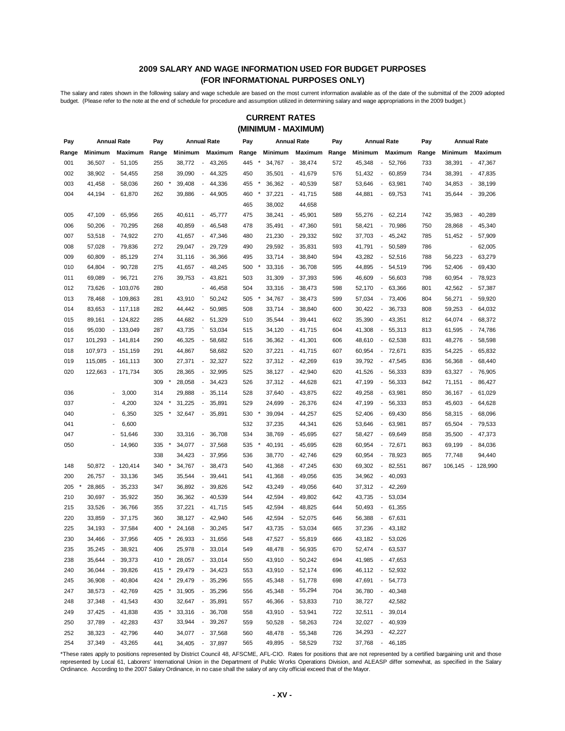#### **2009 SALARY AND WAGE INFORMATION USED FOR BUDGET PURPOSES (FOR INFORMATIONAL PURPOSES ONLY)**

The salary and rates shown in the following salary and wage schedule are based on the most current information available as of the date of the submittal of the 2009 adopted budget. (Please refer to the note at the end of schedule for procedure and assumption utilized in determining salary and wage appropriations in the 2009 budget.)

#### **(MINIMUM - MAXIMUM) CURRENT RATES**

| Pay   | <b>Annual Rate</b>                 |                                    | Pay   |                 | <b>Annual Rate</b>                 | Pay   |                 | <b>Annual Rate</b>                 | Pay   |         | <b>Annual Rate</b>                 | Pay   |         | <b>Annual Rate</b>                     |
|-------|------------------------------------|------------------------------------|-------|-----------------|------------------------------------|-------|-----------------|------------------------------------|-------|---------|------------------------------------|-------|---------|----------------------------------------|
| Range |                                    | Minimum Maximum                    | Range | Minimum         | Maximum                            | Range |                 | Minimum Maximum                    | Range | Minimum | Maximum                            | Range | Minimum | Maximum                                |
| 001   | 36,507                             | 51,105<br>$\sim$                   | 255   | 38,772          | 43,265<br>$\overline{\phantom{a}}$ | 445   | 34,767          | 38,474<br>$\overline{\phantom{a}}$ | 572   | 45,348  | 52,766<br>$\overline{\phantom{a}}$ | 733   | 38,391  | 47,367<br>$\overline{\phantom{a}}$     |
| 002   | 38,902                             | $\sim$<br>54,455                   | 258   | 39,090          | 44,325<br>$\overline{\phantom{a}}$ | 450   | 35,501          | 41,679<br>$\overline{\phantom{a}}$ | 576   | 51,432  | 60,859<br>$\overline{\phantom{a}}$ | 734   | 38,391  | $-47,835$                              |
| 003   | 41,458                             | 58,036<br>$\sim$                   | 260   | 39,408          | 44,336<br>$\overline{\phantom{a}}$ | 455   | 36,362          | 40,539<br>$\overline{\phantom{a}}$ | 587   | 53,646  | 63,981<br>$\overline{\phantom{a}}$ | 740   | 34,853  | 38,199<br>$\overline{\phantom{a}}$     |
| 004   | 44,194                             | 61,870<br>$\sim$                   | 262   | 39,886          | 44,905<br>$\overline{\phantom{a}}$ | 460   | 37,221          | 41,715<br>$\overline{\phantom{a}}$ | 588   | 44,881  | 69,753<br>$\blacksquare$           | 741   | 35,644  | 39,206<br>$\overline{\phantom{a}}$     |
|       |                                    |                                    |       |                 |                                    | 465   | 38,002          | 44,658                             |       |         |                                    |       |         |                                        |
| 005   | 47,109<br>$\blacksquare$           | 65,956                             | 265   | 40,611          | 45,777<br>$\overline{\phantom{a}}$ | 475   | 38,241          | 45,901<br>$\overline{\phantom{a}}$ | 589   | 55,276  | 62,214<br>$\overline{\phantom{a}}$ | 742   | 35,983  | 40,289<br>÷,                           |
| 006   | 50,206                             | 70,295<br>$\overline{\phantom{a}}$ | 268   | 40,859          | 46,548<br>$\overline{\phantom{a}}$ | 478   | 35,491          | 47,360<br>$\overline{\phantom{a}}$ | 591   | 58,421  | 70,986<br>$\overline{\phantom{a}}$ | 750   | 28,868  | 45,340<br>$\overline{\phantom{a}}$     |
| 007   | 53,518                             | 74,922<br>$\sim$                   | 270   | 41,657          | 47,346<br>$\overline{\phantom{a}}$ | 480   | 21,230          | 29,332<br>$\blacksquare$           | 592   | 37,703  | 45,242<br>$\overline{\phantom{a}}$ | 785   | 51,452  | 57,909<br>$\overline{\phantom{a}}$     |
| 008   | 57,028                             | $\sim$<br>79,836                   | 272   | 29,047          | 29,729<br>$\overline{\phantom{a}}$ | 490   | 29,592          | 35,831<br>$\overline{\phantom{a}}$ | 593   | 41,791  | 50,589<br>$\overline{\phantom{a}}$ | 786   |         | 62,005<br>$\qquad \qquad \blacksquare$ |
| 009   | 60,809                             | 85,129<br>$\sim$                   | 274   | 31,116          | 36,366<br>$\blacksquare$           | 495   | 33,714          | $\blacksquare$<br>38,840           | 594   | 43,282  | 52,516<br>$\overline{\phantom{a}}$ | 788   | 56,223  | 63,279<br>$\overline{\phantom{a}}$     |
| 010   | 64,804                             | 90,728<br>$\sim$                   | 275   | 41,657          | 48,245<br>$\overline{\phantom{a}}$ | 500   | 33,316          | 36,708<br>$\overline{\phantom{a}}$ | 595   | 44,895  | 54,519<br>$\overline{\phantom{a}}$ | 796   | 52,406  | 69,430<br>$\overline{\phantom{a}}$     |
| 011   | 69,089                             | 96,721<br>$\sim$                   | 276   | 39,753          | 43,821<br>$\overline{\phantom{a}}$ | 503   | 31,309          | 37,393<br>$\overline{\phantom{a}}$ | 596   | 46,609  | 56,603<br>$\overline{\phantom{a}}$ | 798   | 60,954  | 78,923<br>$\overline{\phantom{a}}$     |
| 012   | 73,626                             | $-103,076$                         | 280   |                 | 46,458<br>۰                        | 504   | 33,316          | 38,473<br>$\overline{\phantom{a}}$ | 598   | 52,170  | 63,366<br>$\overline{\phantom{a}}$ | 801   | 42,562  | 57,387<br>$\overline{\phantom{a}}$     |
| 013   | 78,468                             | $-109,863$                         | 281   | 43,910          | 50,242                             | 505   | 34,767          | 38,473<br>$\overline{\phantom{a}}$ | 599   | 57,034  | 73,406<br>$\overline{\phantom{a}}$ | 804   | 56,271  | 59,920<br>$\overline{\phantom{a}}$     |
| 014   | 83,653                             | $-117,118$                         | 282   | 44,442          | 50,985<br>$\overline{\phantom{a}}$ | 508   | 33,714          | 38,840<br>$\overline{\phantom{a}}$ | 600   | 30,422  | 36,733<br>$\overline{\phantom{a}}$ | 808   | 59,253  | 64,032<br>$\overline{\phantom{a}}$     |
| 015   | 89,161                             | $-124,822$                         | 285   | 44,682          | 51,329<br>$\overline{\phantom{a}}$ | 510   | 35,544          | 39,441<br>$\overline{\phantom{a}}$ | 602   | 35,390  | 43,351<br>$\overline{\phantom{a}}$ | 812   | 64,074  | 68,372<br>$\sim$                       |
| 016   | 95,030                             | $-133,049$                         | 287   | 43,735          | 53,034                             | 515   | 34,120          | 41,715<br>$\blacksquare$           | 604   | 41,308  | 55,313<br>$\overline{\phantom{a}}$ | 813   | 61,595  | $-74,786$                              |
| 017   | 101,293                            | - 141,814                          | 290   | 46,325          | 58,682<br>$\overline{\phantom{a}}$ | 516   | 36,362          | 41,301<br>$\overline{\phantom{a}}$ | 606   | 48,610  | 62,538<br>$\overline{\phantom{a}}$ | 831   | 48,276  | 58,598<br>$\overline{\phantom{a}}$     |
| 018   | 107,973                            | - 151,159                          | 291   | 44,867          | 58,682                             | 520   | 37,221          | $\overline{\phantom{a}}$<br>41,715 | 607   | 60,954  | 72,671<br>$\overline{\phantom{a}}$ | 835   | 54,225  | 65,832<br>$\overline{\phantom{a}}$     |
| 019   | 115,085                            | - 161,113                          | 300   | 27,371          | 32,327<br>$\overline{\phantom{a}}$ | 522   | 37,312          | 42,269<br>$\overline{\phantom{a}}$ | 619   | 39,792  | 47,545<br>$\overline{\phantom{a}}$ | 836   | 56,368  | 68,440<br>$\overline{\phantom{a}}$     |
| 020   | 122,663                            | - 171,734                          | 305   | 28,365          | 32,995<br>$\overline{\phantom{a}}$ | 525   | 38,127          | 42,940<br>$\overline{\phantom{a}}$ | 620   | 41,526  | 56,333<br>$\overline{\phantom{a}}$ | 839   | 63,327  | 76,905<br>$\overline{\phantom{a}}$     |
|       |                                    |                                    | 309   | 28,058          | 34,423<br>$\overline{\phantom{a}}$ | 526   | 37,312          | 44,628<br>$\overline{\phantom{a}}$ | 621   | 47,199  | 56,333<br>$\overline{\phantom{a}}$ | 842   | 71,151  | 86,427<br>$\overline{\phantom{a}}$     |
| 036   |                                    | 3,000<br>$\overline{\phantom{a}}$  | 314   | 29,888          | 35,114<br>$\overline{\phantom{a}}$ | 528   | 37,640          | 43,875<br>$\overline{\phantom{a}}$ | 622   | 49,258  | 63,981<br>$\overline{\phantom{a}}$ | 850   | 36,167  | 61,029<br>$\overline{\phantom{a}}$     |
| 037   |                                    | 4,200                              | 324   | 31,225          | 35,891<br>$\overline{\phantom{a}}$ | 529   | 24,699          | 26,376<br>$\overline{\phantom{a}}$ | 624   | 47,199  | 56,333<br>$\overline{\phantom{a}}$ | 853   | 45,603  | 64,628<br>$\overline{\phantom{a}}$     |
| 040   |                                    | 6,350<br>$\overline{\phantom{a}}$  | 325   | 32,647          | 35,891<br>$\overline{\phantom{a}}$ | 530   | 39,094          | 44,257<br>$\overline{\phantom{a}}$ | 625   | 52,406  | 69,430<br>$\overline{\phantom{a}}$ | 856   | 58,315  | 68,096<br>$\overline{\phantom{a}}$     |
| 041   |                                    | 6,600                              |       |                 |                                    | 532   | 37,235          | 44,341                             | 626   | 53,646  | $\overline{\phantom{a}}$<br>63,981 | 857   | 65,504  | $\blacksquare$<br>79,533               |
| 047   |                                    | 51,646                             | 330   | 33,316          | 36,708<br>$\overline{\phantom{a}}$ | 534   | 38,769          | $\blacksquare$<br>45,695           | 627   | 58,427  | 69,649<br>$\overline{\phantom{a}}$ | 858   | 35,500  | $-47,373$                              |
| 050   |                                    | 14,960                             | 335   | 34,077          | 37,568<br>$\overline{\phantom{a}}$ | 535   | 40,191          | 45,695<br>$\overline{\phantom{a}}$ | 628   | 60,954  | 72,671<br>$\overline{\phantom{a}}$ | 863   | 69,199  | 84,036<br>$\overline{\phantom{a}}$     |
|       |                                    |                                    | 338   | 34,423          | 37,956<br>$\overline{\phantom{a}}$ | 536   | 38,770          | 42,746<br>$\overline{\phantom{a}}$ | 629   | 60,954  | 78,923<br>$\overline{\phantom{a}}$ | 865   | 77,748  | 94,440                                 |
| 148   | 50,872                             | $-120,414$                         | 340   | 34,767          | 38,473<br>$\blacksquare$           | 540   | 41,368          | 47,245<br>$\blacksquare$           | 630   | 69,302  | 82,551<br>$\overline{\phantom{a}}$ | 867   | 106,145 | - 128,990                              |
| 200   | 26,757<br>$\overline{\phantom{a}}$ | 33,136                             | 345   | 35,544          | 39,441<br>$\overline{\phantom{a}}$ | 541   | 41,368          | 49,056<br>$\overline{\phantom{a}}$ | 635   | 34,962  | 40,093<br>$\overline{\phantom{a}}$ |       |         |                                        |
| 205   | 28,865                             | 35,233<br>$\overline{\phantom{a}}$ | 347   | 36,892          | $\overline{\phantom{a}}$<br>39,826 | 542   | 43,249          | 49,056<br>$\overline{\phantom{a}}$ | 640   | 37,312  | 42,269<br>$\overline{\phantom{a}}$ |       |         |                                        |
| 210   | 30,697                             | 35,922<br>$\sim$                   | 350   | 36,362          | 40,539<br>$\overline{\phantom{a}}$ | 544   | 42,594          | 49,802<br>$\overline{\phantom{a}}$ | 642   | 43,735  | 53,034<br>$\overline{\phantom{a}}$ |       |         |                                        |
| 215   | 33,526                             | 36,766<br>$\sim$                   | 355   | 37,221          | 41,715<br>$\overline{\phantom{a}}$ | 545   | 42,594          | 48,825<br>$\overline{\phantom{a}}$ | 644   | 50,493  | 61,355<br>$\overline{\phantom{a}}$ |       |         |                                        |
| 220   | 33,859                             | $\sim$<br>37,175                   | 360   | 38,127          | $\sim$<br>42,940                   | 546   | 42,594          | 52,075<br>$\blacksquare$           | 646   | 56,388  | $\overline{\phantom{a}}$<br>67,631 |       |         |                                        |
| 225   | 34,193                             | $\sim$<br>37,584                   | 400   | 24,168          | 30,245<br>$\overline{\phantom{a}}$ | 547   | 43,735          | 53,034<br>$\overline{\phantom{a}}$ | 665   | 37,236  | 43,182<br>$\overline{\phantom{a}}$ |       |         |                                        |
| 230   | 34,466                             | 37,956<br>$\sim$                   | 405   | 26,933          | $-31,656$                          | 548   | 47,527          | 55,819<br>$\blacksquare$           | 666   | 43,182  | 53,026<br>$\sim$                   |       |         |                                        |
| 235   | 35,245 - 38,921                    |                                    | 406   | 25,978          | $-33,014$                          | 549   | 48,478 - 56,935 |                                    | 670   |         | 52,474 - 63,537                    |       |         |                                        |
| 238   | 35,644                             | - 39,373                           | 410 * | 28,057 - 33,014 |                                    | 550   | 43,910 - 50,242 |                                    | 694   | 41,985  | - 47,653                           |       |         |                                        |
| 240   | 36,044                             | 39,826<br>$\sim$                   | 415   | 29,479          | 34,423<br>$\overline{\phantom{a}}$ | 553   | 43,910          | 52,174<br>$\overline{\phantom{a}}$ | 696   | 46,112  | 52,932                             |       |         |                                        |
| 245   | 36,908                             | 40,804<br>$\sim$                   | 424   | 29,479          | $-35,296$                          | 555   | 45,348          | $-51,778$                          | 698   | 47,691  | $-54,773$                          |       |         |                                        |
| 247   | 38,573                             | $-42,769$                          | 425   | 31,905          | $-35,296$                          | 556   | 45,348          | 55,294<br>$\sim$                   | 704   | 36,780  | 40,348<br>$\sim$                   |       |         |                                        |
| 248   | 37,348                             | $-41,543$                          | 430   | 32,647          | $-35,891$                          | 557   | 46,366          | 53,833<br>$\sim$                   | 710   | 38,727  | 42,582                             |       |         |                                        |
| 249   | 37,425                             | $-41,838$                          | 435   | 33,316          | $-36,708$                          | 558   | 43,910          | 53,941<br>$\overline{\phantom{a}}$ | 722   | 32,511  | 39,014<br>$\sim$                   |       |         |                                        |
| 250   | 37,789                             | $-42,283$                          | 437   | 33,944          | $-39,267$                          | 559   | 50,528          | 58,263<br>$\sim$                   | 724   | 32,027  | $-40,939$                          |       |         |                                        |
| 252   | 38,323                             | $-42,796$                          | 440   | 34,077          | $-37,568$                          | 560   | 48,478          | 55,348<br>$\sim$                   | 726   | 34,293  | $-42,227$                          |       |         |                                        |
| 254   | 37,349 - 43,265                    |                                    | 441   | 34,405 - 37,897 |                                    | 565   | 49,895          | - 58,529                           | 732   | 37,768  | - 46,185                           |       |         |                                        |

\*These rates apply to positions represented by District Council 48, AFSCME, AFL-CIO. Rates for positions that are not represented by a certified bargaining unit and those represented by Local 61, Laborers' International Union in the Department of Public Works Operations Division, and ALEASP differ somewhat, as specified in the Salary Ordinance. According to the 2007 Salary Ordinance, in no case shall the salary of any city official exceed that of the Mayor.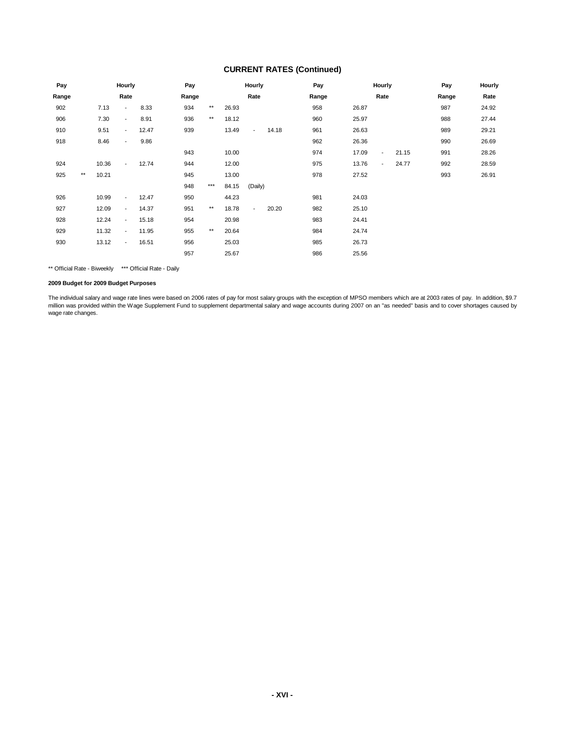#### **CURRENT RATES (Continued)**

| Pay   |              |       | Hourly                   |       | Pay   |              |       | Hourly         |       | Pay   |       | Hourly         |       | Pay   | Hourly |
|-------|--------------|-------|--------------------------|-------|-------|--------------|-------|----------------|-------|-------|-------|----------------|-------|-------|--------|
| Range |              |       | Rate                     |       | Range |              |       | Rate           |       | Range |       | Rate           |       | Range | Rate   |
| 902   |              | 7.13  | ٠                        | 8.33  | 934   | $\star\star$ | 26.93 |                |       | 958   | 26.87 |                |       | 987   | 24.92  |
| 906   |              | 7.30  | $\sim$                   | 8.91  | 936   | $\star\star$ | 18.12 |                |       | 960   | 25.97 |                |       | 988   | 27.44  |
| 910   |              | 9.51  | $\sim$                   | 12.47 | 939   |              | 13.49 | $\blacksquare$ | 14.18 | 961   | 26.63 |                |       | 989   | 29.21  |
| 918   |              | 8.46  | $\blacksquare$           | 9.86  |       |              |       |                |       | 962   | 26.36 |                |       | 990   | 26.69  |
|       |              |       |                          |       | 943   |              | 10.00 |                |       | 974   | 17.09 | $\blacksquare$ | 21.15 | 991   | 28.26  |
| 924   |              | 10.36 | $\blacksquare$           | 12.74 | 944   |              | 12.00 |                |       | 975   | 13.76 | $\blacksquare$ | 24.77 | 992   | 28.59  |
| 925   | $\star\star$ | 10.21 |                          |       | 945   |              | 13.00 |                |       | 978   | 27.52 |                |       | 993   | 26.91  |
|       |              |       |                          |       | 948   | $***$        | 84.15 | (Daily)        |       |       |       |                |       |       |        |
| 926   |              | 10.99 | $\sim$                   | 12.47 | 950   |              | 44.23 |                |       | 981   | 24.03 |                |       |       |        |
| 927   |              | 12.09 | $\blacksquare$           | 14.37 | 951   | $\star\star$ | 18.78 | $\sim$         | 20.20 | 982   | 25.10 |                |       |       |        |
| 928   |              | 12.24 | $\overline{\phantom{a}}$ | 15.18 | 954   |              | 20.98 |                |       | 983   | 24.41 |                |       |       |        |
| 929   |              | 11.32 | $\blacksquare$           | 11.95 | 955   | $\star\star$ | 20.64 |                |       | 984   | 24.74 |                |       |       |        |
| 930   |              | 13.12 | $\blacksquare$           | 16.51 | 956   |              | 25.03 |                |       | 985   | 26.73 |                |       |       |        |
|       |              |       |                          |       | 957   |              | 25.67 |                |       | 986   | 25.56 |                |       |       |        |

\*\* Official Rate - Biweekly \*\*\* Official Rate - Daily

**2009 Budget for 2009 Budget Purposes**

The individual salary and wage rate lines were based on 2006 rates of pay for most salary groups with the exception of MPSO members which are at 2003 rates of pay. In addition, \$9.7 million was provided within the Wage Supplement Fund to supplement departmental salary and wage accounts during 2007 on an "as needed" basis and to cover shortages caused by wage rate changes.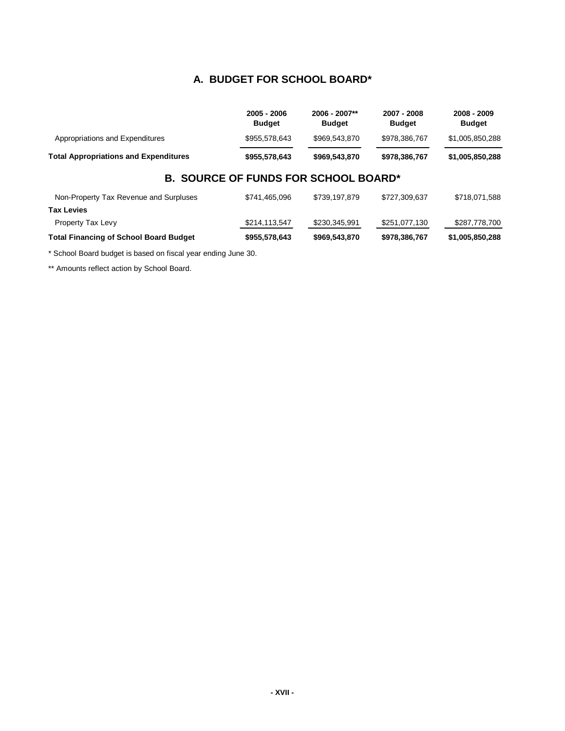#### **A. BUDGET FOR SCHOOL BOARD\***

|                                              | 2005 - 2006<br><b>Budget</b> | 2006 - 2007**<br><b>Budget</b> | 2007 - 2008<br><b>Budget</b> | 2008 - 2009<br><b>Budget</b> |
|----------------------------------------------|------------------------------|--------------------------------|------------------------------|------------------------------|
| Appropriations and Expenditures              | \$955,578,643                | \$969,543,870                  | \$978,386,767                | \$1,005,850,288              |
| <b>Total Appropriations and Expenditures</b> | \$955,578,643                | \$969.543.870                  | \$978,386,767                | \$1,005,850,288              |

### **B. SOURCE OF FUNDS FOR SCHOOL BOARD\***

| \$287,778,700 |
|---------------|
|               |
|               |
| \$718.071.588 |
|               |

\* School Board budget is based on fiscal year ending June 30.

\*\* Amounts reflect action by School Board.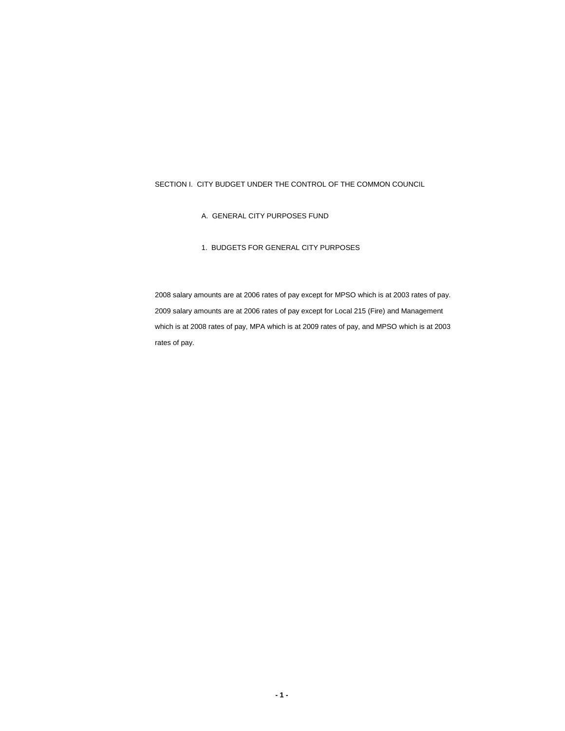#### SECTION I. CITY BUDGET UNDER THE CONTROL OF THE COMMON COUNCIL

- A. GENERAL CITY PURPOSES FUND
- 1. BUDGETS FOR GENERAL CITY PURPOSES

2008 salary amounts are at 2006 rates of pay except for MPSO which is at 2003 rates of pay. 2009 salary amounts are at 2006 rates of pay except for Local 215 (Fire) and Management which is at 2008 rates of pay, MPA which is at 2009 rates of pay, and MPSO which is at 2003 rates of pay.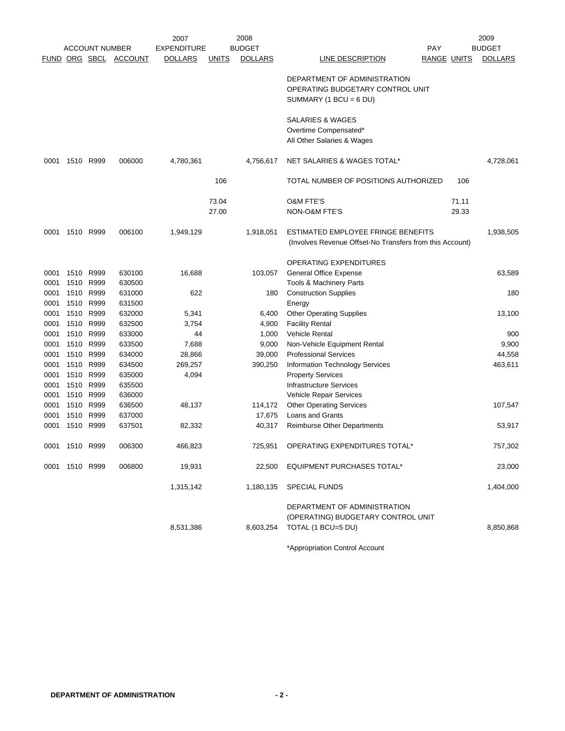|                      |                |                       |                  | 2007               |              | 2008           | 2009                                                                                           |                |  |  |  |
|----------------------|----------------|-----------------------|------------------|--------------------|--------------|----------------|------------------------------------------------------------------------------------------------|----------------|--|--|--|
|                      |                | <b>ACCOUNT NUMBER</b> |                  | <b>EXPENDITURE</b> |              | <b>BUDGET</b>  | PAY                                                                                            | <b>BUDGET</b>  |  |  |  |
| <b>FUND ORG SBCL</b> |                |                       | <b>ACCOUNT</b>   | <b>DOLLARS</b>     | <u>UNITS</u> | <b>DOLLARS</b> | LINE DESCRIPTION<br><b>RANGE UNITS</b>                                                         | <b>DOLLARS</b> |  |  |  |
|                      |                |                       |                  |                    |              |                | DEPARTMENT OF ADMINISTRATION<br>OPERATING BUDGETARY CONTROL UNIT<br>SUMMARY (1 BCU = $6$ DU)   |                |  |  |  |
|                      |                |                       |                  |                    |              |                | SALARIES & WAGES<br>Overtime Compensated*<br>All Other Salaries & Wages                        |                |  |  |  |
| 0001                 |                | 1510 R999             | 006000           | 4,780,361          |              | 4,756,617      | NET SALARIES & WAGES TOTAL*                                                                    | 4,728,061      |  |  |  |
|                      |                |                       |                  |                    | 106          |                | TOTAL NUMBER OF POSITIONS AUTHORIZED<br>106                                                    |                |  |  |  |
|                      |                |                       |                  |                    | 73.04        |                | 71.11<br><b>O&amp;M FTE'S</b>                                                                  |                |  |  |  |
|                      |                |                       |                  |                    | 27.00        |                | NON-O&M FTE'S<br>29.33                                                                         |                |  |  |  |
| 0001                 | 1510 R999      |                       | 006100           | 1,949,129          |              | 1,918,051      | ESTIMATED EMPLOYEE FRINGE BENEFITS<br>(Involves Revenue Offset-No Transfers from this Account) | 1,938,505      |  |  |  |
|                      |                |                       |                  |                    |              |                | <b>OPERATING EXPENDITURES</b>                                                                  |                |  |  |  |
| 0001                 |                | 1510 R999             | 630100           | 16,688             |              | 103,057        | General Office Expense                                                                         | 63,589         |  |  |  |
| 0001                 | 1510           | R999                  | 630500           |                    |              |                | Tools & Machinery Parts                                                                        |                |  |  |  |
| 0001                 |                | 1510 R999             | 631000           | 622                |              | 180            | <b>Construction Supplies</b>                                                                   | 180            |  |  |  |
| 0001                 |                | 1510 R999             | 631500           |                    |              |                | Energy                                                                                         |                |  |  |  |
| 0001                 | 1510           | R999                  | 632000           | 5,341              |              | 6,400          | <b>Other Operating Supplies</b>                                                                | 13,100         |  |  |  |
| 0001                 | 1510 R999      |                       | 632500           | 3,754              |              | 4,900          | <b>Facility Rental</b>                                                                         |                |  |  |  |
| 0001                 |                | 1510 R999             | 633000           | 44                 |              | 1,000          | <b>Vehicle Rental</b>                                                                          | 900            |  |  |  |
| 0001                 |                | 1510 R999             | 633500           | 7,688              |              | 9,000          | Non-Vehicle Equipment Rental                                                                   | 9,900          |  |  |  |
| 0001                 | 1510 R999      |                       | 634000           | 28,866             |              | 39,000         | <b>Professional Services</b>                                                                   | 44,558         |  |  |  |
| 0001<br>0001         | 1510           | 1510 R999<br>R999     | 634500<br>635000 | 269,257<br>4,094   |              | 390,250        | Information Technology Services<br><b>Property Services</b>                                    | 463,611        |  |  |  |
| 0001                 | 1510           | R999                  | 635500           |                    |              |                | <b>Infrastructure Services</b>                                                                 |                |  |  |  |
| 0001                 |                | 1510 R999             | 636000           |                    |              |                | Vehicle Repair Services                                                                        |                |  |  |  |
| 0001                 |                | 1510 R999             | 636500           | 48,137             |              | 114,172        | <b>Other Operating Services</b>                                                                | 107,547        |  |  |  |
| 0001                 | 1510           | R999                  | 637000           |                    |              | 17,675         | <b>Loans and Grants</b>                                                                        |                |  |  |  |
| 0001                 |                | 1510 R999             | 637501           | 82,332             |              | 40,317         | <b>Reimburse Other Departments</b>                                                             | 53,917         |  |  |  |
| 0001                 | 1510 R999      |                       | 006300           | 466,823            |              | 725,951        | OPERATING EXPENDITURES TOTAL*                                                                  | 757,302        |  |  |  |
|                      | 0001 1510 R999 |                       | 006800           | 19,931             |              | 22.500         | <b>EQUIPMENT PURCHASES TOTAL*</b>                                                              | 23,000         |  |  |  |
|                      |                |                       |                  | 1,315,142          |              | 1,180,135      | SPECIAL FUNDS                                                                                  | 1,404,000      |  |  |  |
|                      |                |                       |                  | 8,531,386          |              | 8,603,254      | DEPARTMENT OF ADMINISTRATION<br>(OPERATING) BUDGETARY CONTROL UNIT<br>TOTAL (1 BCU=5 DU)       | 8,850,868      |  |  |  |
|                      |                |                       |                  |                    |              |                | *Appropriation Control Account                                                                 |                |  |  |  |

\*Appropriation Control Account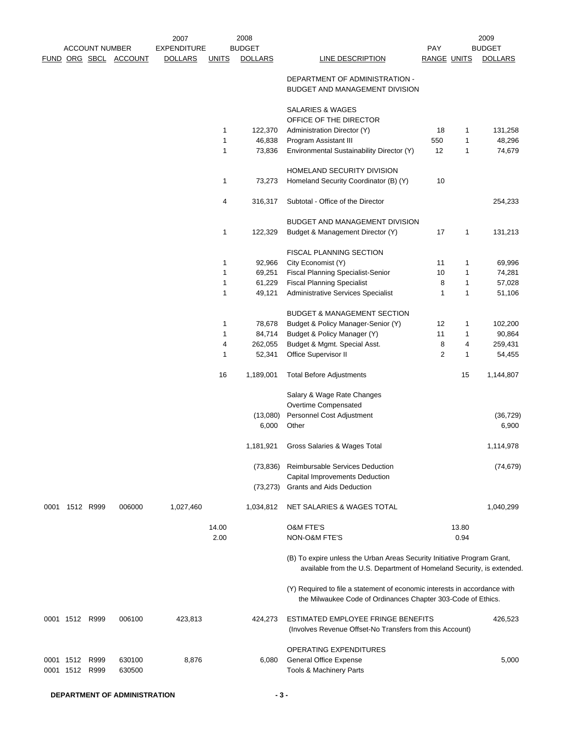|      |                |                       |                       | 2007               |              | 2008              |                                                                                                                                                  |                    |        | 2009              |
|------|----------------|-----------------------|-----------------------|--------------------|--------------|-------------------|--------------------------------------------------------------------------------------------------------------------------------------------------|--------------------|--------|-------------------|
|      |                | <b>ACCOUNT NUMBER</b> |                       | <b>EXPENDITURE</b> |              | <b>BUDGET</b>     |                                                                                                                                                  | <b>PAY</b>         |        | <b>BUDGET</b>     |
|      |                |                       | FUND ORG SBCL ACCOUNT | <b>DOLLARS</b>     | <b>UNITS</b> | <b>DOLLARS</b>    | LINE DESCRIPTION                                                                                                                                 | <b>RANGE UNITS</b> |        | <b>DOLLARS</b>    |
|      |                |                       |                       |                    |              |                   | DEPARTMENT OF ADMINISTRATION -<br>BUDGET AND MANAGEMENT DIVISION                                                                                 |                    |        |                   |
|      |                |                       |                       |                    |              |                   | SALARIES & WAGES                                                                                                                                 |                    |        |                   |
|      |                |                       |                       |                    | 1            |                   | OFFICE OF THE DIRECTOR                                                                                                                           |                    |        |                   |
|      |                |                       |                       |                    | 1            | 122,370<br>46,838 | Administration Director (Y)<br>Program Assistant III                                                                                             | 18<br>550          | 1<br>1 | 131,258<br>48,296 |
|      |                |                       |                       |                    | 1            | 73,836            | Environmental Sustainability Director (Y)                                                                                                        | 12                 | 1      | 74,679            |
|      |                |                       |                       |                    |              |                   |                                                                                                                                                  |                    |        |                   |
|      |                |                       |                       |                    |              |                   | HOMELAND SECURITY DIVISION                                                                                                                       |                    |        |                   |
|      |                |                       |                       |                    | 1            | 73,273            | Homeland Security Coordinator (B) (Y)                                                                                                            | 10                 |        |                   |
|      |                |                       |                       |                    | 4            | 316,317           | Subtotal - Office of the Director                                                                                                                |                    |        | 254,233           |
|      |                |                       |                       |                    |              |                   | <b>BUDGET AND MANAGEMENT DIVISION</b>                                                                                                            |                    |        |                   |
|      |                |                       |                       |                    | 1            | 122,329           | Budget & Management Director (Y)                                                                                                                 | 17                 | 1      | 131,213           |
|      |                |                       |                       |                    |              |                   |                                                                                                                                                  |                    |        |                   |
|      |                |                       |                       |                    |              |                   | <b>FISCAL PLANNING SECTION</b>                                                                                                                   |                    |        |                   |
|      |                |                       |                       |                    | 1            | 92,966            | City Economist (Y)                                                                                                                               | 11                 | 1      | 69,996            |
|      |                |                       |                       |                    | 1            | 69,251            | <b>Fiscal Planning Specialist-Senior</b>                                                                                                         | 10                 | 1      | 74,281            |
|      |                |                       |                       |                    | 1            | 61,229            | <b>Fiscal Planning Specialist</b>                                                                                                                | 8                  | 1      | 57,028            |
|      |                |                       |                       |                    | 1            | 49,121            | Administrative Services Specialist                                                                                                               | 1                  | 1      | 51,106            |
|      |                |                       |                       |                    |              |                   | <b>BUDGET &amp; MANAGEMENT SECTION</b>                                                                                                           |                    |        |                   |
|      |                |                       |                       |                    | 1            | 78,678            | Budget & Policy Manager-Senior (Y)                                                                                                               | 12                 | 1      | 102,200           |
|      |                |                       |                       |                    | 1            | 84,714            | Budget & Policy Manager (Y)                                                                                                                      | 11                 | 1      | 90,864            |
|      |                |                       |                       |                    | 4            | 262,055           | Budget & Mgmt. Special Asst.                                                                                                                     | 8                  | 4      | 259,431           |
|      |                |                       |                       |                    | 1            | 52,341            | Office Supervisor II                                                                                                                             | $\overline{c}$     | 1      | 54,455            |
|      |                |                       |                       |                    | 16           | 1,189,001         | <b>Total Before Adjustments</b>                                                                                                                  |                    | 15     | 1,144,807         |
|      |                |                       |                       |                    |              |                   | Salary & Wage Rate Changes<br>Overtime Compensated                                                                                               |                    |        |                   |
|      |                |                       |                       |                    |              | (13,080)          | Personnel Cost Adjustment                                                                                                                        |                    |        | (36, 729)         |
|      |                |                       |                       |                    |              | 6,000             | Other                                                                                                                                            |                    |        | 6,900             |
|      |                |                       |                       |                    |              | 1,181,921         | Gross Salaries & Wages Total                                                                                                                     |                    |        | 1,114,978         |
|      |                |                       |                       |                    |              | (73, 836)         | Reimbursable Services Deduction<br>Capital Improvements Deduction                                                                                |                    |        | (74, 679)         |
|      |                |                       |                       |                    |              | (73, 273)         | <b>Grants and Aids Deduction</b>                                                                                                                 |                    |        |                   |
| 0001 |                | 1512 R999             | 006000                | 1,027,460          |              | 1,034,812         | NET SALARIES & WAGES TOTAL                                                                                                                       |                    |        | 1,040,299         |
|      |                |                       |                       |                    | 14.00        |                   | <b>O&amp;M FTE'S</b>                                                                                                                             |                    | 13.80  |                   |
|      |                |                       |                       |                    | 2.00         |                   | NON-O&M FTE'S                                                                                                                                    |                    | 0.94   |                   |
|      |                |                       |                       |                    |              |                   | (B) To expire unless the Urban Areas Security Initiative Program Grant,<br>available from the U.S. Department of Homeland Security, is extended. |                    |        |                   |
|      |                |                       |                       |                    |              |                   | (Y) Required to file a statement of economic interests in accordance with<br>the Milwaukee Code of Ordinances Chapter 303-Code of Ethics.        |                    |        |                   |
|      | 0001 1512 R999 |                       | 006100                | 423,813            |              | 424,273           | ESTIMATED EMPLOYEE FRINGE BENEFITS<br>(Involves Revenue Offset-No Transfers from this Account)                                                   |                    |        | 426,523           |
|      |                |                       |                       |                    |              |                   | <b>OPERATING EXPENDITURES</b>                                                                                                                    |                    |        |                   |
|      | 0001 1512      | R999                  | 630100                | 8,876              |              | 6,080             | <b>General Office Expense</b>                                                                                                                    |                    |        | 5,000             |
|      | 0001 1512      | R999                  | 630500                |                    |              |                   | Tools & Machinery Parts                                                                                                                          |                    |        |                   |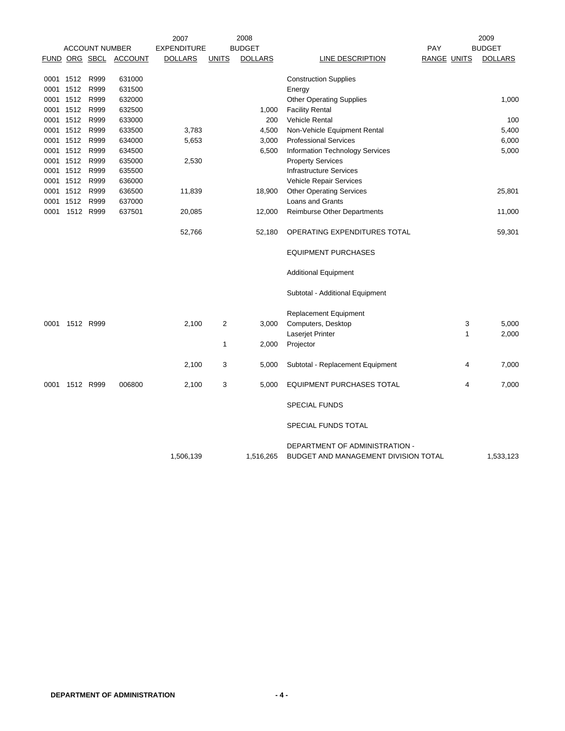|      |           |                       |                              | 2007               |                  | 2008           |                                      |                    |   | 2009           |
|------|-----------|-----------------------|------------------------------|--------------------|------------------|----------------|--------------------------------------|--------------------|---|----------------|
|      |           | <b>ACCOUNT NUMBER</b> |                              | <b>EXPENDITURE</b> |                  | <b>BUDGET</b>  |                                      | PAY                |   | <b>BUDGET</b>  |
|      |           |                       | <b>FUND ORG SBCL ACCOUNT</b> | <b>DOLLARS</b>     | <b>UNITS</b>     | <b>DOLLARS</b> | <b>LINE DESCRIPTION</b>              | <b>RANGE UNITS</b> |   | <b>DOLLARS</b> |
|      | 0001 1512 | R999                  | 631000                       |                    |                  |                | <b>Construction Supplies</b>         |                    |   |                |
|      | 0001 1512 | R999                  | 631500                       |                    |                  |                | Energy                               |                    |   |                |
|      | 0001 1512 | R999                  | 632000                       |                    |                  |                | <b>Other Operating Supplies</b>      |                    |   | 1,000          |
|      | 0001 1512 | R999                  | 632500                       |                    |                  | 1,000          | <b>Facility Rental</b>               |                    |   |                |
|      | 0001 1512 | R999                  | 633000                       |                    |                  | 200            | Vehicle Rental                       |                    |   | 100            |
|      | 0001 1512 | R999                  | 633500                       | 3,783              |                  | 4,500          | Non-Vehicle Equipment Rental         |                    |   | 5,400          |
|      | 0001 1512 | R999                  | 634000                       | 5,653              |                  | 3,000          | <b>Professional Services</b>         |                    |   | 6,000          |
|      | 0001 1512 | R999                  | 634500                       |                    |                  | 6,500          | Information Technology Services      |                    |   | 5,000          |
|      | 0001 1512 | R999                  | 635000                       | 2,530              |                  |                | <b>Property Services</b>             |                    |   |                |
|      | 0001 1512 | R999                  | 635500                       |                    |                  |                | <b>Infrastructure Services</b>       |                    |   |                |
|      | 0001 1512 | R999                  | 636000                       |                    |                  |                | Vehicle Repair Services              |                    |   |                |
|      | 0001 1512 | R999                  | 636500                       | 11,839             |                  | 18,900         | <b>Other Operating Services</b>      |                    |   | 25,801         |
| 0001 | 1512      | R999                  | 637000                       |                    |                  |                | Loans and Grants                     |                    |   |                |
| 0001 | 1512 R999 |                       | 637501                       | 20,085             |                  | 12,000         | Reimburse Other Departments          |                    |   | 11,000         |
|      |           |                       |                              | 52,766             |                  | 52,180         | OPERATING EXPENDITURES TOTAL         |                    |   | 59,301         |
|      |           |                       |                              |                    |                  |                | <b>EQUIPMENT PURCHASES</b>           |                    |   |                |
|      |           |                       |                              |                    |                  |                | <b>Additional Equipment</b>          |                    |   |                |
|      |           |                       |                              |                    |                  |                | Subtotal - Additional Equipment      |                    |   |                |
|      |           |                       |                              |                    |                  |                | <b>Replacement Equipment</b>         |                    |   |                |
| 0001 | 1512 R999 |                       |                              | 2,100              | $\boldsymbol{2}$ | 3,000          | Computers, Desktop                   |                    | 3 | 5,000          |
|      |           |                       |                              |                    |                  |                | Laserjet Printer                     |                    | 1 | 2,000          |
|      |           |                       |                              |                    | 1                | 2,000          | Projector                            |                    |   |                |
|      |           |                       |                              | 2,100              | 3                | 5,000          | Subtotal - Replacement Equipment     |                    | 4 | 7,000          |
| 0001 | 1512 R999 |                       | 006800                       | 2,100              | 3                | 5,000          | <b>EQUIPMENT PURCHASES TOTAL</b>     |                    | 4 | 7,000          |
|      |           |                       |                              |                    |                  |                | <b>SPECIAL FUNDS</b>                 |                    |   |                |
|      |           |                       |                              |                    |                  |                | SPECIAL FUNDS TOTAL                  |                    |   |                |
|      |           |                       |                              |                    |                  |                | DEPARTMENT OF ADMINISTRATION -       |                    |   |                |
|      |           |                       |                              | 1,506,139          |                  | 1,516,265      | BUDGET AND MANAGEMENT DIVISION TOTAL |                    |   | 1,533,123      |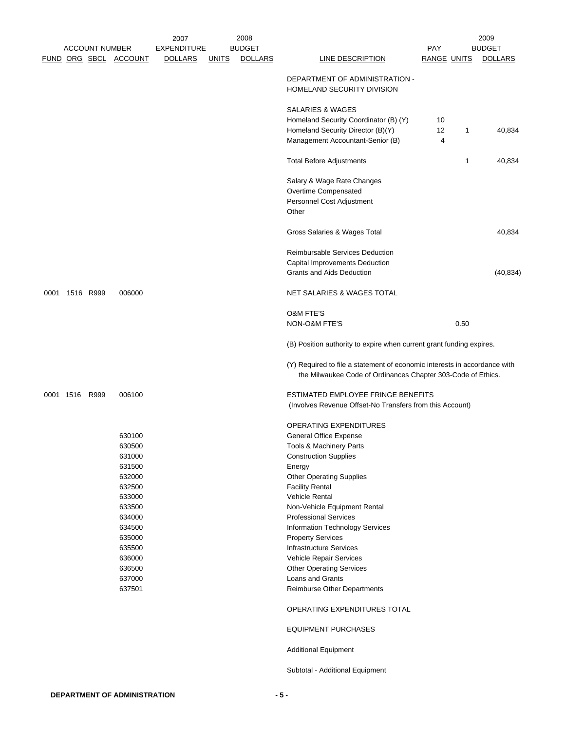|      |                |                       | 2007               | 2008                           |                                                                                                                                           |                    |      | 2009           |
|------|----------------|-----------------------|--------------------|--------------------------------|-------------------------------------------------------------------------------------------------------------------------------------------|--------------------|------|----------------|
|      |                | <b>ACCOUNT NUMBER</b> | <b>EXPENDITURE</b> | <b>BUDGET</b>                  |                                                                                                                                           | PAY                |      | <b>BUDGET</b>  |
|      |                | FUND ORG SBCL ACCOUNT | <b>DOLLARS</b>     | <b>DOLLARS</b><br><b>UNITS</b> | <b>LINE DESCRIPTION</b>                                                                                                                   | <b>RANGE UNITS</b> |      | <b>DOLLARS</b> |
|      |                |                       |                    |                                | DEPARTMENT OF ADMINISTRATION -<br>HOMELAND SECURITY DIVISION                                                                              |                    |      |                |
|      |                |                       |                    |                                | SALARIES & WAGES                                                                                                                          |                    |      |                |
|      |                |                       |                    |                                | Homeland Security Coordinator (B) (Y)                                                                                                     | 10                 |      |                |
|      |                |                       |                    |                                | Homeland Security Director (B)(Y)                                                                                                         | 12                 | 1    | 40,834         |
|      |                |                       |                    |                                | Management Accountant-Senior (B)                                                                                                          | 4                  |      |                |
|      |                |                       |                    |                                | <b>Total Before Adjustments</b>                                                                                                           |                    | 1    | 40,834         |
|      |                |                       |                    |                                | Salary & Wage Rate Changes                                                                                                                |                    |      |                |
|      |                |                       |                    |                                | Overtime Compensated                                                                                                                      |                    |      |                |
|      |                |                       |                    |                                | Personnel Cost Adjustment                                                                                                                 |                    |      |                |
|      |                |                       |                    |                                | Other                                                                                                                                     |                    |      |                |
|      |                |                       |                    |                                | Gross Salaries & Wages Total                                                                                                              |                    |      | 40,834         |
|      |                |                       |                    |                                | <b>Reimbursable Services Deduction</b>                                                                                                    |                    |      |                |
|      |                |                       |                    |                                | Capital Improvements Deduction                                                                                                            |                    |      |                |
|      |                |                       |                    |                                | Grants and Aids Deduction                                                                                                                 |                    |      | (40, 834)      |
| 0001 | 1516 R999      | 006000                |                    |                                | NET SALARIES & WAGES TOTAL                                                                                                                |                    |      |                |
|      |                |                       |                    |                                |                                                                                                                                           |                    |      |                |
|      |                |                       |                    |                                | <b>O&amp;M FTE'S</b><br>NON-O&M FTE'S                                                                                                     |                    | 0.50 |                |
|      |                |                       |                    |                                | (B) Position authority to expire when current grant funding expires.                                                                      |                    |      |                |
|      |                |                       |                    |                                | (Y) Required to file a statement of economic interests in accordance with<br>the Milwaukee Code of Ordinances Chapter 303-Code of Ethics. |                    |      |                |
|      | 0001 1516 R999 | 006100                |                    |                                | ESTIMATED EMPLOYEE FRINGE BENEFITS<br>(Involves Revenue Offset-No Transfers from this Account)                                            |                    |      |                |
|      |                |                       |                    |                                | OPERATING EXPENDITURES                                                                                                                    |                    |      |                |
|      |                | 630100                |                    |                                | General Office Expense                                                                                                                    |                    |      |                |
|      |                | 630500                |                    |                                | <b>Tools &amp; Machinery Parts</b>                                                                                                        |                    |      |                |
|      |                | 631000                |                    |                                | <b>Construction Supplies</b>                                                                                                              |                    |      |                |
|      |                | 631500                |                    |                                | Energy                                                                                                                                    |                    |      |                |
|      |                | 632000                |                    |                                | <b>Other Operating Supplies</b>                                                                                                           |                    |      |                |
|      |                | 632500                |                    |                                | <b>Facility Rental</b>                                                                                                                    |                    |      |                |
|      |                | 633000                |                    |                                | <b>Vehicle Rental</b>                                                                                                                     |                    |      |                |
|      |                | 633500                |                    |                                | Non-Vehicle Equipment Rental                                                                                                              |                    |      |                |
|      |                | 634000                |                    |                                | <b>Professional Services</b>                                                                                                              |                    |      |                |
|      |                | 634500                |                    |                                | Information Technology Services                                                                                                           |                    |      |                |
|      |                | 635000                |                    |                                | <b>Property Services</b>                                                                                                                  |                    |      |                |
|      |                | 635500                |                    |                                | <b>Infrastructure Services</b>                                                                                                            |                    |      |                |
|      |                | 636000                |                    |                                | Vehicle Repair Services                                                                                                                   |                    |      |                |
|      |                | 636500<br>637000      |                    |                                | <b>Other Operating Services</b><br>Loans and Grants                                                                                       |                    |      |                |
|      |                | 637501                |                    |                                | Reimburse Other Departments                                                                                                               |                    |      |                |
|      |                |                       |                    |                                | OPERATING EXPENDITURES TOTAL                                                                                                              |                    |      |                |
|      |                |                       |                    |                                | <b>EQUIPMENT PURCHASES</b>                                                                                                                |                    |      |                |
|      |                |                       |                    |                                | <b>Additional Equipment</b>                                                                                                               |                    |      |                |
|      |                |                       |                    |                                | Subtotal - Additional Equipment                                                                                                           |                    |      |                |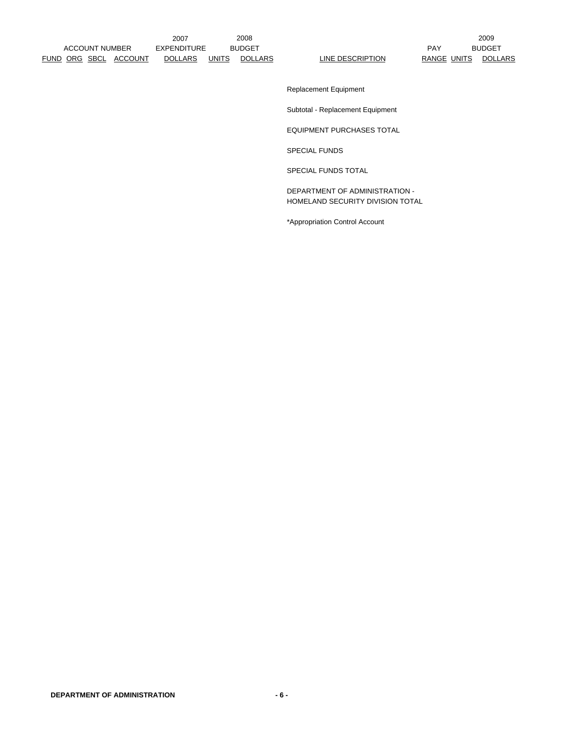Replacement Equipment

Subtotal - Replacement Equipment

EQUIPMENT PURCHASES TOTAL

SPECIAL FUNDS

SPECIAL FUNDS TOTAL

DEPARTMENT OF ADMINISTRATION - HOMELAND SECURITY DIVISION TOTAL

\*Appropriation Control Account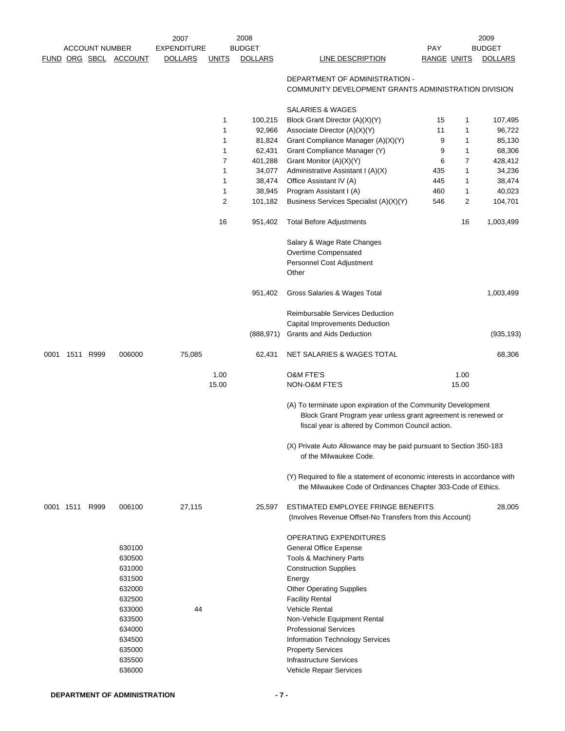|      |                |                       |                                                                                                            | 2007               |              | 2008           |                                                                                                                                                                                                                                                                                                                                            |                    |       | 2009           |
|------|----------------|-----------------------|------------------------------------------------------------------------------------------------------------|--------------------|--------------|----------------|--------------------------------------------------------------------------------------------------------------------------------------------------------------------------------------------------------------------------------------------------------------------------------------------------------------------------------------------|--------------------|-------|----------------|
|      |                | <b>ACCOUNT NUMBER</b> |                                                                                                            | <b>EXPENDITURE</b> |              | <b>BUDGET</b>  |                                                                                                                                                                                                                                                                                                                                            | <b>PAY</b>         |       | <b>BUDGET</b>  |
|      |                |                       | FUND ORG SBCL ACCOUNT                                                                                      | <b>DOLLARS</b>     | <b>UNITS</b> | <b>DOLLARS</b> | LINE DESCRIPTION                                                                                                                                                                                                                                                                                                                           | <b>RANGE UNITS</b> |       | <b>DOLLARS</b> |
|      |                |                       |                                                                                                            |                    |              |                | DEPARTMENT OF ADMINISTRATION -<br>COMMUNITY DEVELOPMENT GRANTS ADMINISTRATION DIVISION                                                                                                                                                                                                                                                     |                    |       |                |
|      |                |                       |                                                                                                            |                    |              |                | SALARIES & WAGES                                                                                                                                                                                                                                                                                                                           |                    |       |                |
|      |                |                       |                                                                                                            |                    | 1            | 100,215        | Block Grant Director (A)(X)(Y)                                                                                                                                                                                                                                                                                                             | 15                 | 1     | 107,495        |
|      |                |                       |                                                                                                            |                    | 1            | 92,966         | Associate Director (A)(X)(Y)                                                                                                                                                                                                                                                                                                               | 11                 | 1     | 96,722         |
|      |                |                       |                                                                                                            |                    | 1            | 81,824         | Grant Compliance Manager (A)(X)(Y)                                                                                                                                                                                                                                                                                                         | 9                  | 1     | 85,130         |
|      |                |                       |                                                                                                            |                    | 1            | 62,431         | Grant Compliance Manager (Y)                                                                                                                                                                                                                                                                                                               | 9                  | 1     | 68,306         |
|      |                |                       |                                                                                                            |                    | 7            | 401,288        | Grant Monitor (A)(X)(Y)                                                                                                                                                                                                                                                                                                                    | 6                  | 7     | 428,412        |
|      |                |                       |                                                                                                            |                    | 1            | 34,077         | Administrative Assistant I (A)(X)                                                                                                                                                                                                                                                                                                          | 435                | 1     | 34,236         |
|      |                |                       |                                                                                                            |                    | 1            | 38,474         | Office Assistant IV (A)                                                                                                                                                                                                                                                                                                                    | 445                | 1     | 38,474         |
|      |                |                       |                                                                                                            |                    | 1            | 38,945         | Program Assistant I (A)                                                                                                                                                                                                                                                                                                                    | 460                | 1     | 40,023         |
|      |                |                       |                                                                                                            |                    | 2            | 101,182        | Business Services Specialist (A)(X)(Y)                                                                                                                                                                                                                                                                                                     | 546                | 2     | 104,701        |
|      |                |                       |                                                                                                            |                    | 16           | 951,402        | <b>Total Before Adjustments</b>                                                                                                                                                                                                                                                                                                            |                    | 16    | 1,003,499      |
|      |                |                       |                                                                                                            |                    |              |                | Salary & Wage Rate Changes<br>Overtime Compensated<br>Personnel Cost Adjustment<br>Other                                                                                                                                                                                                                                                   |                    |       |                |
|      |                |                       |                                                                                                            |                    |              | 951,402        | Gross Salaries & Wages Total                                                                                                                                                                                                                                                                                                               |                    |       | 1,003,499      |
|      |                |                       |                                                                                                            |                    |              |                |                                                                                                                                                                                                                                                                                                                                            |                    |       |                |
|      |                |                       |                                                                                                            |                    |              |                | Reimbursable Services Deduction                                                                                                                                                                                                                                                                                                            |                    |       |                |
|      |                |                       |                                                                                                            |                    |              | (888,971)      | Capital Improvements Deduction<br>Grants and Aids Deduction                                                                                                                                                                                                                                                                                |                    |       | (935, 193)     |
|      |                |                       |                                                                                                            |                    |              |                |                                                                                                                                                                                                                                                                                                                                            |                    |       |                |
| 0001 | 1511 R999      |                       | 006000                                                                                                     | 75,085             |              | 62,431         | NET SALARIES & WAGES TOTAL                                                                                                                                                                                                                                                                                                                 |                    |       | 68,306         |
|      |                |                       |                                                                                                            |                    | 1.00         |                | <b>O&amp;M FTE'S</b>                                                                                                                                                                                                                                                                                                                       |                    | 1.00  |                |
|      |                |                       |                                                                                                            |                    | 15.00        |                | NON-O&M FTE'S                                                                                                                                                                                                                                                                                                                              |                    | 15.00 |                |
|      |                |                       |                                                                                                            |                    |              |                | (A) To terminate upon expiration of the Community Development<br>Block Grant Program year unless grant agreement is renewed or<br>fiscal year is altered by Common Council action.                                                                                                                                                         |                    |       |                |
|      |                |                       |                                                                                                            |                    |              |                | (X) Private Auto Allowance may be paid pursuant to Section 350-183<br>of the Milwaukee Code.                                                                                                                                                                                                                                               |                    |       |                |
|      |                |                       |                                                                                                            |                    |              |                | (Y) Required to file a statement of economic interests in accordance with<br>the Milwaukee Code of Ordinances Chapter 303-Code of Ethics.                                                                                                                                                                                                  |                    |       |                |
|      | 0001 1511 R999 |                       | 006100                                                                                                     | 27,115             |              | 25,597         | ESTIMATED EMPLOYEE FRINGE BENEFITS<br>(Involves Revenue Offset-No Transfers from this Account)                                                                                                                                                                                                                                             |                    |       | 28,005         |
|      |                |                       | 630100<br>630500<br>631000<br>631500<br>632000<br>632500<br>633000<br>633500<br>634000<br>634500<br>635000 | 44                 |              |                | OPERATING EXPENDITURES<br>General Office Expense<br>Tools & Machinery Parts<br><b>Construction Supplies</b><br>Energy<br><b>Other Operating Supplies</b><br><b>Facility Rental</b><br><b>Vehicle Rental</b><br>Non-Vehicle Equipment Rental<br><b>Professional Services</b><br>Information Technology Services<br><b>Property Services</b> |                    |       |                |
|      |                |                       | 635500                                                                                                     |                    |              |                | <b>Infrastructure Services</b>                                                                                                                                                                                                                                                                                                             |                    |       |                |
|      |                |                       | 636000                                                                                                     |                    |              |                | Vehicle Repair Services                                                                                                                                                                                                                                                                                                                    |                    |       |                |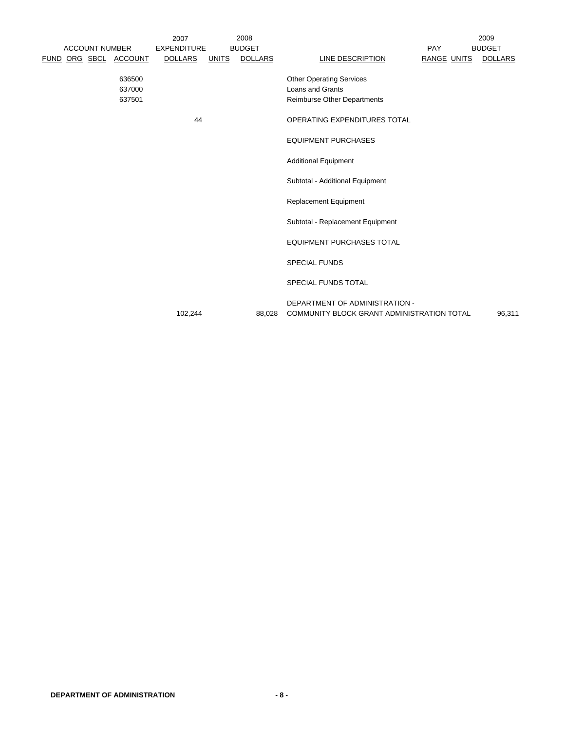|                       |                            | 2007               |              | 2008           | 2009                                                                                             |                    |  |                |  |
|-----------------------|----------------------------|--------------------|--------------|----------------|--------------------------------------------------------------------------------------------------|--------------------|--|----------------|--|
| <b>ACCOUNT NUMBER</b> |                            | <b>EXPENDITURE</b> |              | <b>BUDGET</b>  |                                                                                                  | PAY                |  | <b>BUDGET</b>  |  |
| FUND ORG SBCL ACCOUNT |                            | <b>DOLLARS</b>     | <b>UNITS</b> | <b>DOLLARS</b> | LINE DESCRIPTION                                                                                 | <b>RANGE UNITS</b> |  | <b>DOLLARS</b> |  |
|                       | 636500<br>637000<br>637501 |                    |              |                | <b>Other Operating Services</b><br><b>Loans and Grants</b><br><b>Reimburse Other Departments</b> |                    |  |                |  |
|                       |                            | 44                 |              |                | OPERATING EXPENDITURES TOTAL                                                                     |                    |  |                |  |
|                       |                            |                    |              |                | <b>EQUIPMENT PURCHASES</b>                                                                       |                    |  |                |  |
|                       |                            |                    |              |                | <b>Additional Equipment</b>                                                                      |                    |  |                |  |
|                       |                            |                    |              |                | Subtotal - Additional Equipment                                                                  |                    |  |                |  |
|                       |                            |                    |              |                | <b>Replacement Equipment</b>                                                                     |                    |  |                |  |
|                       |                            |                    |              |                | Subtotal - Replacement Equipment                                                                 |                    |  |                |  |
|                       |                            |                    |              |                | <b>EQUIPMENT PURCHASES TOTAL</b>                                                                 |                    |  |                |  |
|                       |                            |                    |              |                | <b>SPECIAL FUNDS</b>                                                                             |                    |  |                |  |
|                       |                            |                    |              |                | <b>SPECIAL FUNDS TOTAL</b>                                                                       |                    |  |                |  |
|                       |                            | 102,244            |              | 88,028         | DEPARTMENT OF ADMINISTRATION -<br><b>COMMUNITY BLOCK GRANT ADMINISTRATION TOTAL</b>              |                    |  | 96,311         |  |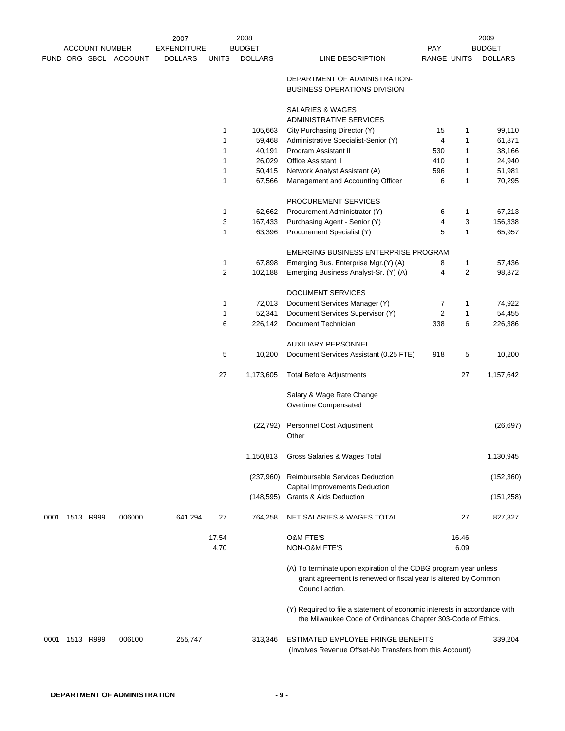|      |                |                       |                       | 2007               |               | 2008           |                                                                                                                                           |                                                                                                                                    |               | 2009           |  |
|------|----------------|-----------------------|-----------------------|--------------------|---------------|----------------|-------------------------------------------------------------------------------------------------------------------------------------------|------------------------------------------------------------------------------------------------------------------------------------|---------------|----------------|--|
|      |                | <b>ACCOUNT NUMBER</b> |                       | <b>EXPENDITURE</b> |               | <b>BUDGET</b>  |                                                                                                                                           | <b>PAY</b>                                                                                                                         |               | <b>BUDGET</b>  |  |
|      |                |                       | FUND ORG SBCL ACCOUNT | <b>DOLLARS</b>     | <b>UNITS</b>  | <b>DOLLARS</b> | <b>LINE DESCRIPTION</b>                                                                                                                   | RANGE UNITS                                                                                                                        |               | <b>DOLLARS</b> |  |
|      |                |                       |                       |                    |               |                | DEPARTMENT OF ADMINISTRATION-<br><b>BUSINESS OPERATIONS DIVISION</b>                                                                      |                                                                                                                                    |               |                |  |
|      |                |                       |                       |                    |               |                | SALARIES & WAGES                                                                                                                          |                                                                                                                                    |               |                |  |
|      |                |                       |                       |                    |               |                | <b>ADMINISTRATIVE SERVICES</b>                                                                                                            |                                                                                                                                    |               |                |  |
|      |                |                       |                       |                    | 1             | 105,663        | City Purchasing Director (Y)                                                                                                              | 15                                                                                                                                 | 1             | 99,110         |  |
|      |                |                       |                       |                    | 1             | 59,468         | Administrative Specialist-Senior (Y)                                                                                                      | 4                                                                                                                                  | 1             | 61,871         |  |
|      |                |                       |                       |                    | $\mathbf{1}$  | 40,191         | Program Assistant II                                                                                                                      | 530                                                                                                                                | 1             | 38,166         |  |
|      |                |                       |                       |                    | 1             | 26,029         | Office Assistant II                                                                                                                       | 410                                                                                                                                | 1             | 24,940         |  |
|      |                |                       |                       |                    | $\mathbf{1}$  | 50,415         | Network Analyst Assistant (A)                                                                                                             | 596                                                                                                                                | 1             | 51,981         |  |
|      |                |                       |                       |                    | 1             | 67,566         | Management and Accounting Officer                                                                                                         | 6                                                                                                                                  | 1             | 70,295         |  |
|      |                |                       |                       |                    |               |                | PROCUREMENT SERVICES                                                                                                                      |                                                                                                                                    |               |                |  |
|      |                |                       |                       |                    | $\mathbf{1}$  | 62,662         | Procurement Administrator (Y)                                                                                                             | 6                                                                                                                                  | 1             | 67,213         |  |
|      |                |                       |                       |                    | 3             | 167,433        | Purchasing Agent - Senior (Y)                                                                                                             | 4                                                                                                                                  | 3             | 156,338        |  |
|      |                |                       |                       |                    | $\mathbf{1}$  | 63,396         | Procurement Specialist (Y)                                                                                                                | 5                                                                                                                                  | $\mathbf{1}$  | 65,957         |  |
|      |                |                       |                       |                    |               |                | EMERGING BUSINESS ENTERPRISE PROGRAM                                                                                                      |                                                                                                                                    |               |                |  |
|      |                |                       |                       |                    | $\mathbf{1}$  | 67,898         | Emerging Bus. Enterprise Mgr.(Y) (A)                                                                                                      | 8                                                                                                                                  | 1             | 57,436         |  |
|      |                |                       |                       |                    | 2             | 102,188        | Emerging Business Analyst-Sr. (Y) (A)                                                                                                     | 4                                                                                                                                  | 2             | 98,372         |  |
|      |                |                       |                       |                    |               |                | <b>DOCUMENT SERVICES</b>                                                                                                                  |                                                                                                                                    |               |                |  |
|      |                |                       |                       |                    | 1             | 72,013         | Document Services Manager (Y)                                                                                                             | 7                                                                                                                                  | 1             | 74,922         |  |
|      |                |                       |                       |                    | $\mathbf{1}$  | 52,341         | Document Services Supervisor (Y)                                                                                                          | $\overline{2}$                                                                                                                     | 1             | 54,455         |  |
|      |                |                       |                       |                    | 6             | 226,142        | Document Technician                                                                                                                       | 338                                                                                                                                | 6             | 226,386        |  |
|      |                |                       |                       |                    |               |                | AUXILIARY PERSONNEL                                                                                                                       |                                                                                                                                    |               |                |  |
|      |                |                       |                       |                    | 5             | 10,200         | Document Services Assistant (0.25 FTE)                                                                                                    | 918                                                                                                                                | 5             | 10,200         |  |
|      |                |                       |                       |                    | 27            | 1,173,605      | <b>Total Before Adjustments</b>                                                                                                           |                                                                                                                                    | 27            | 1,157,642      |  |
|      |                |                       |                       |                    |               |                | Salary & Wage Rate Change<br>Overtime Compensated                                                                                         |                                                                                                                                    |               |                |  |
|      |                |                       |                       |                    |               | (22, 792)      | Personnel Cost Adjustment<br>Other                                                                                                        |                                                                                                                                    |               | (26, 697)      |  |
|      |                |                       |                       |                    |               | 1,150,813      | Gross Salaries & Wages Total                                                                                                              |                                                                                                                                    |               | 1,130,945      |  |
|      |                |                       |                       |                    |               | (237,960)      | Reimbursable Services Deduction<br>Capital Improvements Deduction                                                                         |                                                                                                                                    |               | (152, 360)     |  |
|      |                |                       |                       |                    |               | (148, 595)     | Grants & Aids Deduction                                                                                                                   |                                                                                                                                    |               | (151, 258)     |  |
|      | 0001 1513 R999 |                       | 006000                | 641,294            | 27            | 764,258        | NET SALARIES & WAGES TOTAL                                                                                                                |                                                                                                                                    | 27            | 827,327        |  |
|      |                |                       |                       |                    | 17.54<br>4.70 |                | <b>O&amp;M FTE'S</b><br>NON-O&M FTE'S                                                                                                     |                                                                                                                                    | 16.46<br>6.09 |                |  |
|      |                |                       |                       |                    |               |                | Council action.                                                                                                                           | (A) To terminate upon expiration of the CDBG program year unless<br>grant agreement is renewed or fiscal year is altered by Common |               |                |  |
|      |                |                       |                       |                    |               |                | (Y) Required to file a statement of economic interests in accordance with<br>the Milwaukee Code of Ordinances Chapter 303-Code of Ethics. |                                                                                                                                    |               |                |  |
| 0001 | 1513 R999      |                       | 006100                | 255,747            |               | 313,346        | ESTIMATED EMPLOYEE FRINGE BENEFITS<br>(Involves Revenue Offset-No Transfers from this Account)                                            |                                                                                                                                    |               | 339,204        |  |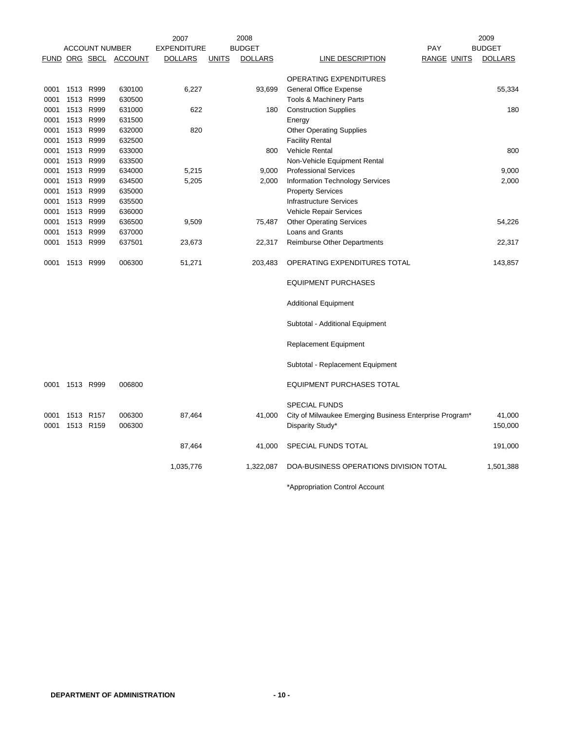|              |           |                        |                              | 2007               |              | 2008           |                                                                             |                    | 2009              |
|--------------|-----------|------------------------|------------------------------|--------------------|--------------|----------------|-----------------------------------------------------------------------------|--------------------|-------------------|
|              |           | <b>ACCOUNT NUMBER</b>  |                              | <b>EXPENDITURE</b> |              | <b>BUDGET</b>  |                                                                             | PAY                | <b>BUDGET</b>     |
|              |           |                        | <b>FUND ORG SBCL ACCOUNT</b> | <b>DOLLARS</b>     | <b>UNITS</b> | <b>DOLLARS</b> | <b>LINE DESCRIPTION</b>                                                     | <b>RANGE UNITS</b> | <b>DOLLARS</b>    |
|              |           |                        |                              |                    |              |                | OPERATING EXPENDITURES                                                      |                    |                   |
| 0001         | 1513 R999 |                        | 630100                       | 6,227              |              | 93,699         | <b>General Office Expense</b>                                               |                    | 55,334            |
| 0001         | 1513      | R999                   | 630500                       |                    |              |                | Tools & Machinery Parts                                                     |                    |                   |
| 0001         | 1513      | R999                   | 631000                       | 622                |              | 180            | <b>Construction Supplies</b>                                                |                    | 180               |
| 0001         |           | 1513 R999              | 631500                       |                    |              |                | Energy                                                                      |                    |                   |
| 0001         |           | 1513 R999              | 632000                       | 820                |              |                | <b>Other Operating Supplies</b>                                             |                    |                   |
| 0001         |           | 1513 R999              | 632500                       |                    |              |                | <b>Facility Rental</b>                                                      |                    |                   |
| 0001         | 1513      | R999                   | 633000                       |                    |              | 800            | <b>Vehicle Rental</b>                                                       |                    | 800               |
| 0001         |           | 1513 R999              | 633500                       |                    |              |                | Non-Vehicle Equipment Rental                                                |                    |                   |
| 0001         |           | 1513 R999              | 634000                       | 5,215              |              | 9,000          | <b>Professional Services</b>                                                |                    | 9,000             |
| 0001         | 1513      | R999                   | 634500                       | 5,205              |              | 2,000          | Information Technology Services                                             |                    | 2,000             |
| 0001         |           | 1513 R999              | 635000                       |                    |              |                | <b>Property Services</b>                                                    |                    |                   |
| 0001         | 1513 R999 |                        | 635500                       |                    |              |                | <b>Infrastructure Services</b>                                              |                    |                   |
| 0001         | 1513      | R999                   | 636000                       |                    |              |                | Vehicle Repair Services                                                     |                    |                   |
| 0001         |           | 1513 R999              | 636500                       | 9,509              |              | 75,487         | <b>Other Operating Services</b>                                             |                    | 54,226            |
| 0001         |           | 1513 R999              | 637000                       |                    |              |                | Loans and Grants                                                            |                    |                   |
| 0001         |           | 1513 R999              | 637501                       | 23,673             |              | 22,317         | Reimburse Other Departments                                                 |                    | 22,317            |
|              |           |                        |                              |                    |              |                |                                                                             |                    |                   |
| 0001         | 1513 R999 |                        | 006300                       | 51,271             |              | 203,483        | OPERATING EXPENDITURES TOTAL                                                |                    | 143,857           |
|              |           |                        |                              |                    |              |                | <b>EQUIPMENT PURCHASES</b>                                                  |                    |                   |
|              |           |                        |                              |                    |              |                | <b>Additional Equipment</b>                                                 |                    |                   |
|              |           |                        |                              |                    |              |                | Subtotal - Additional Equipment                                             |                    |                   |
|              |           |                        |                              |                    |              |                | <b>Replacement Equipment</b>                                                |                    |                   |
|              |           |                        |                              |                    |              |                | Subtotal - Replacement Equipment                                            |                    |                   |
| 0001         | 1513 R999 |                        | 006800                       |                    |              |                | <b>EQUIPMENT PURCHASES TOTAL</b>                                            |                    |                   |
|              |           |                        |                              |                    |              |                | <b>SPECIAL FUNDS</b>                                                        |                    |                   |
| 0001<br>0001 |           | 1513 R157<br>1513 R159 | 006300<br>006300             | 87,464             |              | 41,000         | City of Milwaukee Emerging Business Enterprise Program*<br>Disparity Study* |                    | 41,000<br>150,000 |
|              |           |                        |                              | 87,464             |              | 41,000         | SPECIAL FUNDS TOTAL                                                         |                    | 191,000           |
|              |           |                        |                              | 1,035,776          |              | 1,322,087      | DOA-BUSINESS OPERATIONS DIVISION TOTAL                                      |                    | 1,501,388         |

\*Appropriation Control Account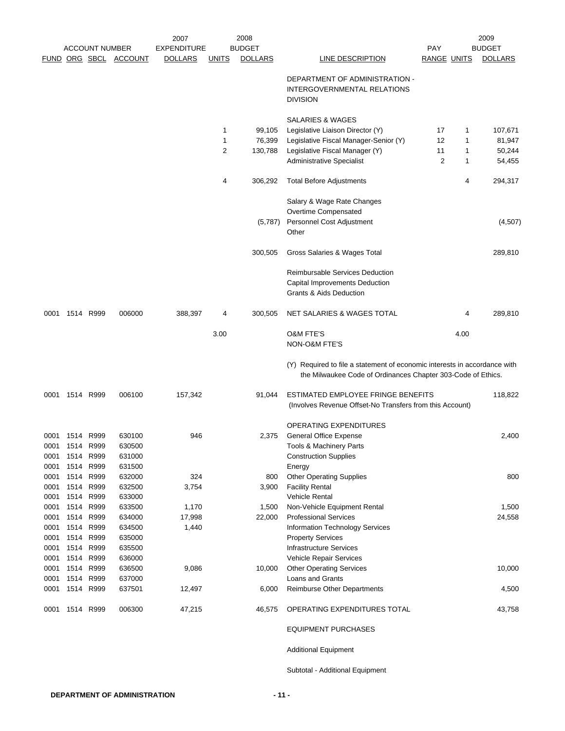|              |                |                        |                       | 2007               |                | 2008           |                                                                                                                                           |                    |      | 2009           |
|--------------|----------------|------------------------|-----------------------|--------------------|----------------|----------------|-------------------------------------------------------------------------------------------------------------------------------------------|--------------------|------|----------------|
|              |                | <b>ACCOUNT NUMBER</b>  |                       | <b>EXPENDITURE</b> |                | <b>BUDGET</b>  |                                                                                                                                           | <b>PAY</b>         |      | <b>BUDGET</b>  |
|              |                |                        | FUND ORG SBCL ACCOUNT | <b>DOLLARS</b>     | <u>UNITS</u>   | <b>DOLLARS</b> | LINE DESCRIPTION                                                                                                                          | <b>RANGE UNITS</b> |      | <b>DOLLARS</b> |
|              |                |                        |                       |                    |                |                | DEPARTMENT OF ADMINISTRATION -<br>INTERGOVERNMENTAL RELATIONS                                                                             |                    |      |                |
|              |                |                        |                       |                    |                |                | <b>DIVISION</b>                                                                                                                           |                    |      |                |
|              |                |                        |                       |                    |                |                | <b>SALARIES &amp; WAGES</b>                                                                                                               |                    |      |                |
|              |                |                        |                       |                    | $\mathbf{1}$   | 99,105         | Legislative Liaison Director (Y)                                                                                                          | 17                 | 1    | 107,671        |
|              |                |                        |                       |                    | $\mathbf{1}$   | 76,399         | Legislative Fiscal Manager-Senior (Y)                                                                                                     | 12                 | 1    | 81,947         |
|              |                |                        |                       |                    | $\overline{2}$ | 130,788        | Legislative Fiscal Manager (Y)                                                                                                            | 11                 | 1    | 50,244         |
|              |                |                        |                       |                    |                |                | <b>Administrative Specialist</b>                                                                                                          | 2                  | 1    | 54,455         |
|              |                |                        |                       |                    | 4              | 306,292        | <b>Total Before Adjustments</b>                                                                                                           |                    | 4    | 294,317        |
|              |                |                        |                       |                    |                |                | Salary & Wage Rate Changes                                                                                                                |                    |      |                |
|              |                |                        |                       |                    |                |                | Overtime Compensated                                                                                                                      |                    |      |                |
|              |                |                        |                       |                    |                | (5,787)        | Personnel Cost Adjustment<br>Other                                                                                                        |                    |      | (4,507)        |
|              |                |                        |                       |                    |                | 300,505        | Gross Salaries & Wages Total                                                                                                              |                    |      | 289,810        |
|              |                |                        |                       |                    |                |                | <b>Reimbursable Services Deduction</b>                                                                                                    |                    |      |                |
|              |                |                        |                       |                    |                |                | Capital Improvements Deduction<br><b>Grants &amp; Aids Deduction</b>                                                                      |                    |      |                |
| 0001         | 1514 R999      |                        | 006000                | 388,397            | 4              | 300,505        | NET SALARIES & WAGES TOTAL                                                                                                                |                    | 4    | 289,810        |
|              |                |                        |                       |                    | 3.00           |                | <b>O&amp;M FTE'S</b>                                                                                                                      |                    | 4.00 |                |
|              |                |                        |                       |                    |                |                | NON-O&M FTE'S                                                                                                                             |                    |      |                |
|              |                |                        |                       |                    |                |                | (Y) Required to file a statement of economic interests in accordance with<br>the Milwaukee Code of Ordinances Chapter 303-Code of Ethics. |                    |      |                |
|              | 0001 1514 R999 |                        | 006100                | 157,342            |                | 91,044         | ESTIMATED EMPLOYEE FRINGE BENEFITS<br>(Involves Revenue Offset-No Transfers from this Account)                                            |                    |      | 118,822        |
|              |                |                        |                       |                    |                |                | OPERATING EXPENDITURES                                                                                                                    |                    |      |                |
|              | 0001 1514 R999 |                        | 630100                | 946                |                | 2,375          | <b>General Office Expense</b>                                                                                                             |                    |      | 2,400          |
|              |                | 0001 1514 R999         | 630500                |                    |                |                | Tools & Machinery Parts                                                                                                                   |                    |      |                |
| 0001         |                | 1514 R999              | 631000                |                    |                |                | <b>Construction Supplies</b>                                                                                                              |                    |      |                |
| 0001         |                | 1514 R999              | 631500                |                    |                |                | Energy                                                                                                                                    |                    |      |                |
| 0001         |                | 1514 R999              | 632000                | 324                |                | 800            | <b>Other Operating Supplies</b>                                                                                                           |                    |      | 800            |
| 0001         |                | 1514 R999              | 632500                | 3,754              |                | 3,900          | <b>Facility Rental</b>                                                                                                                    |                    |      |                |
| 0001         |                | 1514 R999              | 633000                |                    |                |                | <b>Vehicle Rental</b>                                                                                                                     |                    |      |                |
| 0001         | 1514           | R999                   | 633500                | 1,170              |                | 1,500          | Non-Vehicle Equipment Rental                                                                                                              |                    |      | 1,500          |
| 0001         | 1514           | R999                   | 634000                | 17,998             |                | 22,000         | <b>Professional Services</b>                                                                                                              |                    |      | 24,558         |
| 0001         |                | 1514 R999              | 634500                | 1,440              |                |                | Information Technology Services                                                                                                           |                    |      |                |
| 0001<br>0001 |                | 1514 R999<br>1514 R999 | 635000<br>635500      |                    |                |                | <b>Property Services</b><br><b>Infrastructure Services</b>                                                                                |                    |      |                |
| 0001         |                | 1514 R999              | 636000                |                    |                |                | Vehicle Repair Services                                                                                                                   |                    |      |                |
| 0001         |                | 1514 R999              | 636500                | 9,086              |                | 10,000         | <b>Other Operating Services</b>                                                                                                           |                    |      | 10,000         |
| 0001         |                | 1514 R999              | 637000                |                    |                |                | Loans and Grants                                                                                                                          |                    |      |                |
| 0001         |                | 1514 R999              | 637501                | 12,497             |                | 6,000          | <b>Reimburse Other Departments</b>                                                                                                        |                    |      | 4,500          |
| 0001         |                | 1514 R999              | 006300                | 47,215             |                | 46,575         | OPERATING EXPENDITURES TOTAL                                                                                                              |                    |      | 43,758         |
|              |                |                        |                       |                    |                |                | <b>EQUIPMENT PURCHASES</b>                                                                                                                |                    |      |                |
|              |                |                        |                       |                    |                |                | <b>Additional Equipment</b>                                                                                                               |                    |      |                |
|              |                |                        |                       |                    |                |                | Subtotal - Additional Equipment                                                                                                           |                    |      |                |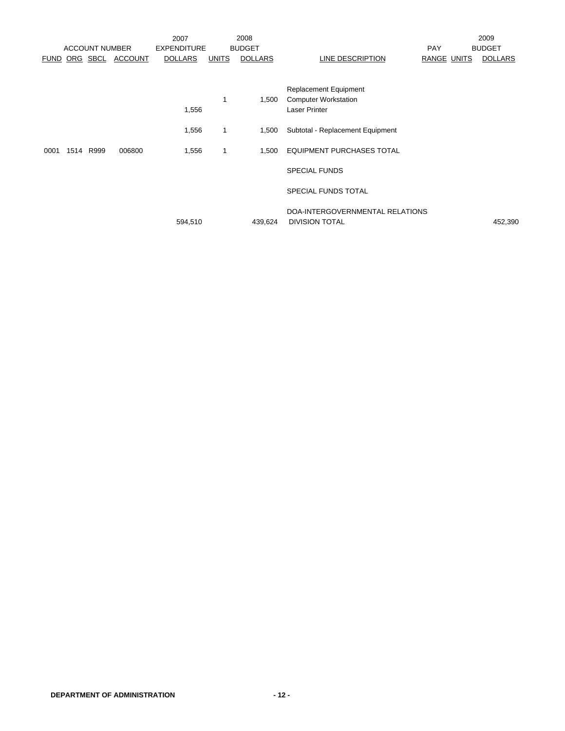|      |      |                       |                | 2007               |              | 2008           |                                                             |             | 2009           |
|------|------|-----------------------|----------------|--------------------|--------------|----------------|-------------------------------------------------------------|-------------|----------------|
|      |      | <b>ACCOUNT NUMBER</b> |                | <b>EXPENDITURE</b> |              | <b>BUDGET</b>  |                                                             | <b>PAY</b>  | <b>BUDGET</b>  |
|      |      | FUND ORG SBCL         | <b>ACCOUNT</b> | <b>DOLLARS</b>     | <b>UNITS</b> | <b>DOLLARS</b> | LINE DESCRIPTION                                            | RANGE UNITS | <b>DOLLARS</b> |
|      |      |                       |                |                    | $\mathbf 1$  | 1,500          | <b>Replacement Equipment</b><br><b>Computer Workstation</b> |             |                |
|      |      |                       |                | 1,556<br>1,556     | $\mathbf{1}$ | 1,500          | Laser Printer<br>Subtotal - Replacement Equipment           |             |                |
| 0001 | 1514 | R999                  | 006800         | 1,556              | $\mathbf{1}$ | 1,500          | <b>EQUIPMENT PURCHASES TOTAL</b>                            |             |                |
|      |      |                       |                |                    |              |                | <b>SPECIAL FUNDS</b>                                        |             |                |
|      |      |                       |                |                    |              |                | <b>SPECIAL FUNDS TOTAL</b>                                  |             |                |
|      |      |                       |                | 594,510            |              | 439,624        | DOA-INTERGOVERNMENTAL RELATIONS<br><b>DIVISION TOTAL</b>    |             | 452,390        |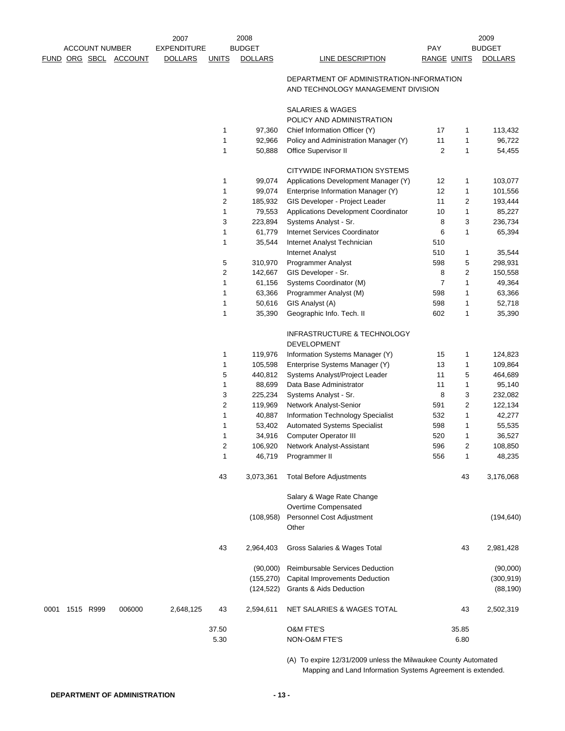|      | <b>ACCOUNT NUMBER</b> |           | 2008<br>2007          |                    |                |                  | 2009                                                                           |                |              |                  |
|------|-----------------------|-----------|-----------------------|--------------------|----------------|------------------|--------------------------------------------------------------------------------|----------------|--------------|------------------|
|      |                       |           |                       | <b>EXPENDITURE</b> |                | <b>BUDGET</b>    |                                                                                | <b>PAY</b>     |              | <b>BUDGET</b>    |
|      |                       |           | FUND ORG SBCL ACCOUNT | <b>DOLLARS</b>     | <b>UNITS</b>   | <b>DOLLARS</b>   | LINE DESCRIPTION                                                               | RANGE UNITS    |              | <b>DOLLARS</b>   |
|      |                       |           |                       |                    |                |                  | DEPARTMENT OF ADMINISTRATION-INFORMATION<br>AND TECHNOLOGY MANAGEMENT DIVISION |                |              |                  |
|      |                       |           |                       |                    |                |                  |                                                                                |                |              |                  |
|      |                       |           |                       |                    |                |                  | SALARIES & WAGES                                                               |                |              |                  |
|      |                       |           |                       |                    |                |                  | POLICY AND ADMINISTRATION                                                      |                |              |                  |
|      |                       |           |                       |                    | 1<br>1         | 97,360           | Chief Information Officer (Y)                                                  | 17<br>11       | 1<br>1       | 113,432          |
|      |                       |           |                       |                    | 1              | 92,966<br>50,888 | Policy and Administration Manager (Y)<br>Office Supervisor II                  | 2              | $\mathbf{1}$ | 96,722<br>54,455 |
|      |                       |           |                       |                    |                |                  |                                                                                |                |              |                  |
|      |                       |           |                       |                    |                |                  | CITYWIDE INFORMATION SYSTEMS                                                   |                |              |                  |
|      |                       |           |                       |                    | $\mathbf{1}$   | 99,074           | Applications Development Manager (Y)                                           | 12             | 1            | 103,077          |
|      |                       |           |                       |                    | 1              | 99,074           | Enterprise Information Manager (Y)                                             | 12             | 1            | 101,556          |
|      |                       |           |                       |                    | 2              | 185,932          | GIS Developer - Project Leader                                                 | 11             | 2            | 193,444          |
|      |                       |           |                       |                    | 1              | 79,553           | Applications Development Coordinator                                           | 10             | 1            | 85,227           |
|      |                       |           |                       |                    | 3              | 223,894          | Systems Analyst - Sr.                                                          | 8              | 3            | 236,734          |
|      |                       |           |                       |                    | 1              | 61,779           | Internet Services Coordinator                                                  | 6              | 1            | 65,394           |
|      |                       |           |                       |                    | $\mathbf{1}$   | 35,544           | Internet Analyst Technician                                                    | 510            |              |                  |
|      |                       |           |                       |                    |                |                  | <b>Internet Analyst</b>                                                        | 510            | 1            | 35,544           |
|      |                       |           |                       |                    | 5              | 310,970          | <b>Programmer Analyst</b>                                                      | 598            | 5            | 298,931          |
|      |                       |           |                       |                    | 2              | 142,667          | GIS Developer - Sr.                                                            | 8              | 2            | 150,558          |
|      |                       |           |                       |                    | 1              | 61,156           | Systems Coordinator (M)                                                        | $\overline{7}$ | 1            | 49,364           |
|      |                       |           |                       |                    | 1              | 63,366           | Programmer Analyst (M)                                                         | 598            | 1            | 63,366           |
|      |                       |           |                       |                    | 1              | 50,616           | GIS Analyst (A)                                                                | 598            | 1            | 52,718           |
|      |                       |           |                       |                    | 1              | 35,390           | Geographic Info. Tech. II                                                      | 602            | 1            | 35,390           |
|      |                       |           |                       |                    |                |                  | INFRASTRUCTURE & TECHNOLOGY                                                    |                |              |                  |
|      |                       |           |                       |                    |                |                  | DEVELOPMENT                                                                    |                |              |                  |
|      |                       |           |                       |                    | 1              | 119,976          | Information Systems Manager (Y)                                                | 15             | 1            | 124,823          |
|      |                       |           |                       |                    | 1              | 105,598          | Enterprise Systems Manager (Y)                                                 | 13             | 1            | 109,864          |
|      |                       |           |                       |                    | 5              | 440,812          | Systems Analyst/Project Leader                                                 | 11             | 5            | 464,689          |
|      |                       |           |                       |                    | 1              | 88,699           | Data Base Administrator                                                        | 11             | 1            | 95,140           |
|      |                       |           |                       |                    | 3              | 225,234          | Systems Analyst - Sr.                                                          | 8              | 3            | 232,082          |
|      |                       |           |                       |                    | 2              | 119,969          | Network Analyst-Senior                                                         | 591            | 2            | 122,134          |
|      |                       |           |                       |                    | 1              | 40,887           | Information Technology Specialist                                              | 532            | 1            | 42,277           |
|      |                       |           |                       |                    | 1              | 53,402           | <b>Automated Systems Specialist</b>                                            | 598            | 1            | 55,535           |
|      |                       |           |                       |                    | 1              | 34,916           | <b>Computer Operator III</b>                                                   | 520            | 1            | 36,527           |
|      |                       |           |                       |                    | $\overline{c}$ | 106,920          | Network Analyst-Assistant                                                      | 596            | 2            | 108,850          |
|      |                       |           |                       |                    | 1              | 46,719           | Programmer II                                                                  | 556            | 1            | 48,235           |
|      |                       |           |                       |                    |                |                  |                                                                                |                |              |                  |
|      |                       |           |                       |                    | 43             | 3,073,361        | <b>Total Before Adjustments</b>                                                |                | 43           | 3,176,068        |
|      |                       |           |                       |                    |                |                  | Salary & Wage Rate Change                                                      |                |              |                  |
|      |                       |           |                       |                    |                |                  | Overtime Compensated                                                           |                |              |                  |
|      |                       |           |                       |                    |                | (108, 958)       | Personnel Cost Adjustment                                                      |                |              | (194, 640)       |
|      |                       |           |                       |                    |                |                  | Other                                                                          |                |              |                  |
|      |                       |           |                       |                    | 43             | 2,964,403        | Gross Salaries & Wages Total                                                   |                | 43           | 2,981,428        |
|      |                       |           |                       |                    |                | (90,000)         | Reimbursable Services Deduction                                                |                |              | (90,000)         |
|      |                       |           |                       |                    |                | (155, 270)       | Capital Improvements Deduction                                                 |                |              | (300, 919)       |
|      |                       |           |                       |                    |                | (124, 522)       | <b>Grants &amp; Aids Deduction</b>                                             |                |              | (88, 190)        |
| 0001 |                       | 1515 R999 | 006000                | 2,648,125          | 43             | 2,594,611        | NET SALARIES & WAGES TOTAL                                                     |                | 43           | 2,502,319        |
|      |                       |           |                       |                    | 37.50          |                  | <b>O&amp;M FTE'S</b>                                                           |                | 35.85        |                  |
|      |                       |           |                       |                    | 5.30           |                  | NON-O&M FTE'S                                                                  |                | 6.80         |                  |
|      |                       |           |                       |                    |                |                  |                                                                                |                |              |                  |

(A) To expire 12/31/2009 unless the Milwaukee County Automated Mapping and Land Information Systems Agreement is extended.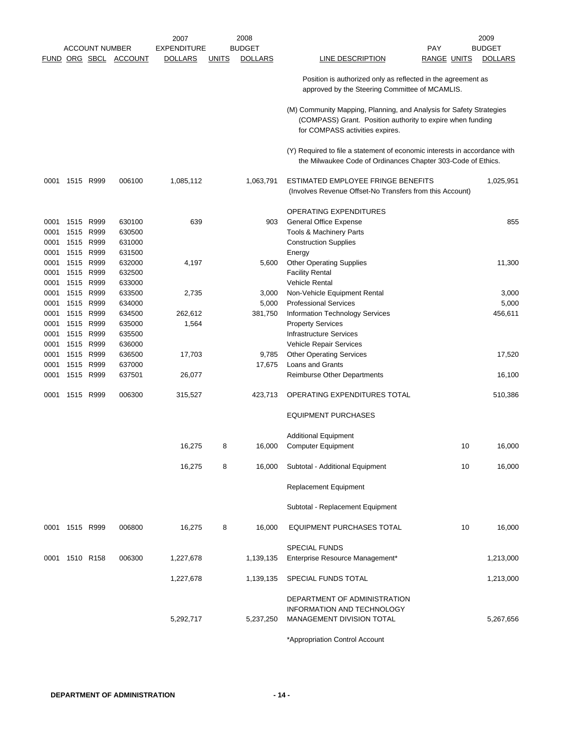|      |                |                       |                       | 2007               |              | 2008           |                                                                                                                                                                      | 2009           |
|------|----------------|-----------------------|-----------------------|--------------------|--------------|----------------|----------------------------------------------------------------------------------------------------------------------------------------------------------------------|----------------|
|      |                | <b>ACCOUNT NUMBER</b> |                       | <b>EXPENDITURE</b> |              | <b>BUDGET</b>  | PAY                                                                                                                                                                  | <b>BUDGET</b>  |
|      |                |                       | FUND ORG SBCL ACCOUNT | <b>DOLLARS</b>     | <b>UNITS</b> | <b>DOLLARS</b> | <b>RANGE UNITS</b><br><u>LINE DESCRIPTION</u>                                                                                                                        | <b>DOLLARS</b> |
|      |                |                       |                       |                    |              |                | Position is authorized only as reflected in the agreement as<br>approved by the Steering Committee of MCAMLIS.                                                       |                |
|      |                |                       |                       |                    |              |                | (M) Community Mapping, Planning, and Analysis for Safety Strategies<br>(COMPASS) Grant. Position authority to expire when funding<br>for COMPASS activities expires. |                |
|      |                |                       |                       |                    |              |                | (Y) Required to file a statement of economic interests in accordance with<br>the Milwaukee Code of Ordinances Chapter 303-Code of Ethics.                            |                |
| 0001 |                | 1515 R999             | 006100                | 1,085,112          |              | 1,063,791      | ESTIMATED EMPLOYEE FRINGE BENEFITS<br>(Involves Revenue Offset-No Transfers from this Account)                                                                       | 1,025,951      |
|      |                |                       |                       |                    |              |                | OPERATING EXPENDITURES                                                                                                                                               |                |
| 0001 | 1515 R999      |                       | 630100                | 639                |              | 903            | General Office Expense                                                                                                                                               | 855            |
| 0001 |                | 1515 R999             | 630500                |                    |              |                | Tools & Machinery Parts                                                                                                                                              |                |
| 0001 |                | 1515 R999             | 631000                |                    |              |                | <b>Construction Supplies</b>                                                                                                                                         |                |
| 0001 | 1515           | R999                  | 631500                |                    |              |                | Energy                                                                                                                                                               |                |
| 0001 |                | 1515 R999             | 632000                | 4,197              |              | 5,600          | <b>Other Operating Supplies</b>                                                                                                                                      | 11,300         |
| 0001 |                | 1515 R999             | 632500                |                    |              |                | <b>Facility Rental</b>                                                                                                                                               |                |
| 0001 | 1515 R999      |                       | 633000                |                    |              |                | <b>Vehicle Rental</b>                                                                                                                                                |                |
| 0001 |                | 1515 R999             | 633500                | 2,735              |              | 3,000          |                                                                                                                                                                      | 3,000          |
|      |                |                       |                       |                    |              |                | Non-Vehicle Equipment Rental                                                                                                                                         |                |
| 0001 |                | 1515 R999             | 634000                |                    |              | 5,000          | <b>Professional Services</b>                                                                                                                                         | 5,000          |
| 0001 |                | 1515 R999             | 634500                | 262,612            |              | 381,750        | Information Technology Services                                                                                                                                      | 456,611        |
| 0001 |                | 1515 R999             | 635000                | 1,564              |              |                | <b>Property Services</b>                                                                                                                                             |                |
| 0001 |                | 1515 R999             | 635500                |                    |              |                | Infrastructure Services                                                                                                                                              |                |
| 0001 | 1515 R999      |                       | 636000                |                    |              |                | Vehicle Repair Services                                                                                                                                              |                |
| 0001 |                | 1515 R999             | 636500                | 17,703             |              | 9,785          | <b>Other Operating Services</b>                                                                                                                                      | 17,520         |
| 0001 |                | 1515 R999             | 637000                |                    |              | 17,675         | Loans and Grants                                                                                                                                                     |                |
| 0001 |                | 1515 R999             | 637501                | 26,077             |              |                | <b>Reimburse Other Departments</b>                                                                                                                                   | 16,100         |
| 0001 | 1515 R999      |                       | 006300                | 315,527            |              | 423,713        | OPERATING EXPENDITURES TOTAL                                                                                                                                         | 510,386        |
|      |                |                       |                       |                    |              |                | <b>EQUIPMENT PURCHASES</b>                                                                                                                                           |                |
|      |                |                       |                       |                    |              |                | <b>Additional Equipment</b>                                                                                                                                          |                |
|      |                |                       |                       | 16,275             | 8            | 16,000         | <b>Computer Equipment</b><br>10                                                                                                                                      | 16,000         |
|      |                |                       |                       | 16,275             | 8            | 16,000         | Subtotal - Additional Equipment<br>10                                                                                                                                | 16,000         |
|      |                |                       |                       |                    |              |                | Replacement Equipment                                                                                                                                                |                |
|      |                |                       |                       |                    |              |                | Subtotal - Replacement Equipment                                                                                                                                     |                |
|      | 0001 1515 R999 |                       | 006800                | 16,275             | 8            | 16,000         | EQUIPMENT PURCHASES TOTAL<br>10                                                                                                                                      | 16,000         |
|      | 0001 1510 R158 |                       | 006300                | 1,227,678          |              | 1,139,135      | <b>SPECIAL FUNDS</b><br>Enterprise Resource Management*                                                                                                              | 1,213,000      |
|      |                |                       |                       | 1,227,678          |              | 1,139,135      | SPECIAL FUNDS TOTAL                                                                                                                                                  | 1,213,000      |
|      |                |                       |                       | 5,292,717          |              | 5,237,250      | DEPARTMENT OF ADMINISTRATION<br>INFORMATION AND TECHNOLOGY<br>MANAGEMENT DIVISION TOTAL                                                                              | 5,267,656      |
|      |                |                       |                       |                    |              |                | *Annropriation Control Agonunt                                                                                                                                       |                |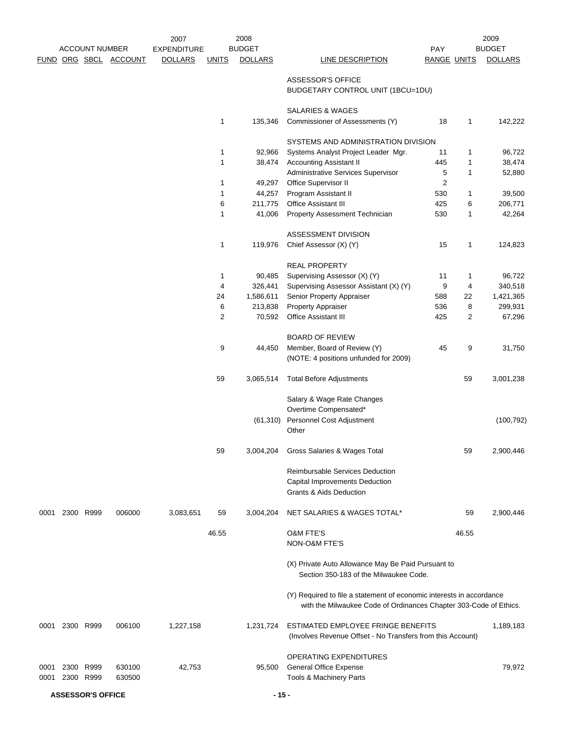|      |      |                       |                       | 2007               |              | 2008           |                                                                                                                                           |                    |              | 2009           |
|------|------|-----------------------|-----------------------|--------------------|--------------|----------------|-------------------------------------------------------------------------------------------------------------------------------------------|--------------------|--------------|----------------|
|      |      | <b>ACCOUNT NUMBER</b> |                       | <b>EXPENDITURE</b> |              | <b>BUDGET</b>  |                                                                                                                                           | <b>PAY</b>         |              | <b>BUDGET</b>  |
|      |      |                       | FUND ORG SBCL ACCOUNT | <b>DOLLARS</b>     | <b>UNITS</b> | <b>DOLLARS</b> | LINE DESCRIPTION                                                                                                                          | <b>RANGE UNITS</b> |              | <b>DOLLARS</b> |
|      |      |                       |                       |                    |              |                | <b>ASSESSOR'S OFFICE</b><br>BUDGETARY CONTROL UNIT (1BCU=1DU)                                                                             |                    |              |                |
|      |      |                       |                       |                    |              |                | SALARIES & WAGES                                                                                                                          |                    |              |                |
|      |      |                       |                       |                    | 1            | 135,346        | Commissioner of Assessments (Y)                                                                                                           | 18                 | $\mathbf{1}$ | 142,222        |
|      |      |                       |                       |                    |              |                | SYSTEMS AND ADMINISTRATION DIVISION                                                                                                       |                    |              |                |
|      |      |                       |                       |                    | 1            | 92,966         | Systems Analyst Project Leader Mgr.                                                                                                       | 11                 | 1            | 96,722         |
|      |      |                       |                       |                    | 1            | 38,474         | <b>Accounting Assistant II</b>                                                                                                            | 445                | 1            | 38,474         |
|      |      |                       |                       |                    |              |                | Administrative Services Supervisor                                                                                                        | 5                  | 1            | 52,880         |
|      |      |                       |                       |                    | 1            | 49,297         | Office Supervisor II                                                                                                                      | $\overline{2}$     |              |                |
|      |      |                       |                       |                    | 1            | 44,257         | Program Assistant II                                                                                                                      | 530                | 1            | 39,500         |
|      |      |                       |                       |                    | 6            | 211,775        | Office Assistant III                                                                                                                      | 425                | 6            | 206,771        |
|      |      |                       |                       |                    | $\mathbf{1}$ | 41,006         | Property Assessment Technician                                                                                                            | 530                | 1            | 42,264         |
|      |      |                       |                       |                    |              |                |                                                                                                                                           |                    |              |                |
|      |      |                       |                       |                    |              |                | ASSESSMENT DIVISION                                                                                                                       |                    |              |                |
|      |      |                       |                       |                    | 1            | 119,976        | Chief Assessor (X) (Y)                                                                                                                    | 15                 | 1            | 124,823        |
|      |      |                       |                       |                    |              |                | <b>REAL PROPERTY</b>                                                                                                                      |                    |              |                |
|      |      |                       |                       |                    | 1            | 90,485         | Supervising Assessor (X) (Y)                                                                                                              | 11                 | 1            | 96,722         |
|      |      |                       |                       |                    | 4            | 326,441        | Supervising Assessor Assistant (X) (Y)                                                                                                    | 9                  | 4            | 340,518        |
|      |      |                       |                       |                    | 24           | 1,586,611      | Senior Property Appraiser                                                                                                                 | 588                | 22           | 1,421,365      |
|      |      |                       |                       |                    | 6            | 213,838        | Property Appraiser                                                                                                                        | 536                | 8            | 299,931        |
|      |      |                       |                       |                    | 2            | 70,592         | <b>Office Assistant III</b>                                                                                                               | 425                | 2            | 67,296         |
|      |      |                       |                       |                    |              |                | <b>BOARD OF REVIEW</b>                                                                                                                    |                    |              |                |
|      |      |                       |                       |                    | 9            | 44,450         | Member, Board of Review (Y)                                                                                                               | 45                 | 9            | 31,750         |
|      |      |                       |                       |                    |              |                | (NOTE: 4 positions unfunded for 2009)                                                                                                     |                    |              |                |
|      |      |                       |                       |                    | 59           | 3,065,514      | <b>Total Before Adjustments</b>                                                                                                           |                    | 59           | 3,001,238      |
|      |      |                       |                       |                    |              |                | Salary & Wage Rate Changes<br>Overtime Compensated*                                                                                       |                    |              |                |
|      |      |                       |                       |                    |              |                | Personnel Cost Adjustment                                                                                                                 |                    |              | (100, 792)     |
|      |      |                       |                       |                    |              | (61, 310)      | Other                                                                                                                                     |                    |              |                |
|      |      |                       |                       |                    | 59           | 3,004,204      | Gross Salaries & Wages Total                                                                                                              |                    | 59           | 2,900,446      |
|      |      |                       |                       |                    |              |                | Reimbursable Services Deduction<br>Capital Improvements Deduction                                                                         |                    |              |                |
|      |      |                       |                       |                    |              |                | <b>Grants &amp; Aids Deduction</b>                                                                                                        |                    |              |                |
| 0001 |      | 2300 R999             | 006000                | 3,083,651          | 59           | 3,004,204      | NET SALARIES & WAGES TOTAL*                                                                                                               |                    | 59           | 2,900,446      |
|      |      |                       |                       |                    | 46.55        |                | <b>O&amp;M FTE'S</b><br><b>NON-O&amp;M FTE'S</b>                                                                                          |                    | 46.55        |                |
|      |      |                       |                       |                    |              |                | (X) Private Auto Allowance May Be Paid Pursuant to<br>Section 350-183 of the Milwaukee Code.                                              |                    |              |                |
|      |      |                       |                       |                    |              |                | (Y) Required to file a statement of economic interests in accordance<br>with the Milwaukee Code of Ordinances Chapter 303-Code of Ethics. |                    |              |                |
| 0001 |      | 2300 R999             | 006100                | 1,227,158          |              | 1,231,724      | ESTIMATED EMPLOYEE FRINGE BENEFITS<br>(Involves Revenue Offset - No Transfers from this Account)                                          |                    |              | 1,189,183      |
| 0001 |      | 2300 R999             | 630100                | 42,753             |              | 95,500         | OPERATING EXPENDITURES<br><b>General Office Expense</b>                                                                                   |                    |              | 79,972         |
| 0001 | 2300 | R999                  | 630500                |                    |              |                | Tools & Machinery Parts                                                                                                                   |                    |              |                |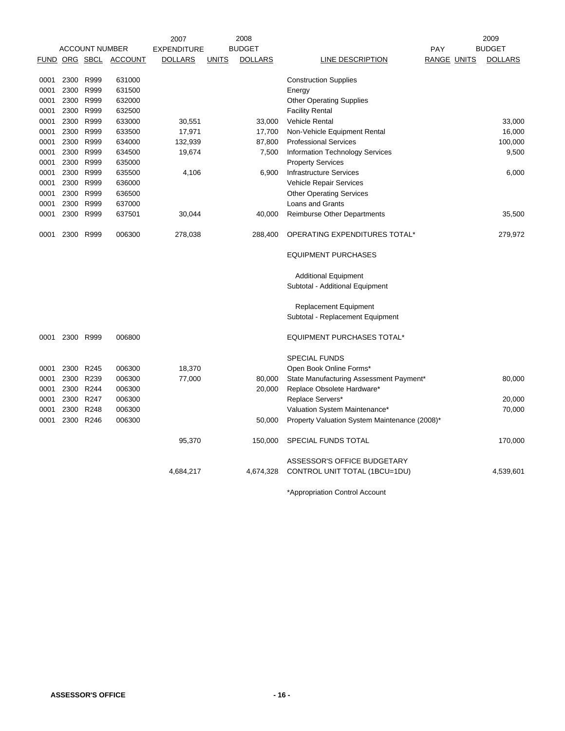|      |           |                       |                | 2008<br>2007       |              |                | 2009                                          |                    |  |                |
|------|-----------|-----------------------|----------------|--------------------|--------------|----------------|-----------------------------------------------|--------------------|--|----------------|
|      |           | <b>ACCOUNT NUMBER</b> |                | <b>EXPENDITURE</b> |              | <b>BUDGET</b>  |                                               | <b>PAY</b>         |  | <b>BUDGET</b>  |
|      |           | FUND ORG SBCL         | <b>ACCOUNT</b> | <b>DOLLARS</b>     | <b>UNITS</b> | <b>DOLLARS</b> | LINE DESCRIPTION                              | <b>RANGE UNITS</b> |  | <b>DOLLARS</b> |
| 0001 |           | 2300 R999             | 631000         |                    |              |                | <b>Construction Supplies</b>                  |                    |  |                |
| 0001 |           | 2300 R999             | 631500         |                    |              |                | Energy                                        |                    |  |                |
| 0001 |           | 2300 R999             | 632000         |                    |              |                | <b>Other Operating Supplies</b>               |                    |  |                |
| 0001 |           | 2300 R999             | 632500         |                    |              |                | <b>Facility Rental</b>                        |                    |  |                |
| 0001 |           | 2300 R999             | 633000         | 30,551             |              | 33,000         | Vehicle Rental                                |                    |  | 33,000         |
| 0001 |           | 2300 R999             | 633500         | 17,971             |              | 17,700         | Non-Vehicle Equipment Rental                  |                    |  | 16,000         |
| 0001 |           | 2300 R999             | 634000         | 132,939            |              | 87,800         | <b>Professional Services</b>                  |                    |  | 100,000        |
| 0001 |           | 2300 R999             | 634500         | 19,674             |              | 7,500          | Information Technology Services               |                    |  | 9,500          |
| 0001 |           | 2300 R999             | 635000         |                    |              |                | <b>Property Services</b>                      |                    |  |                |
| 0001 |           | 2300 R999             | 635500         | 4,106              |              | 6,900          | <b>Infrastructure Services</b>                |                    |  | 6,000          |
| 0001 |           | 2300 R999             | 636000         |                    |              |                | Vehicle Repair Services                       |                    |  |                |
| 0001 |           | 2300 R999             | 636500         |                    |              |                | <b>Other Operating Services</b>               |                    |  |                |
| 0001 |           | 2300 R999             | 637000         |                    |              |                | <b>Loans and Grants</b>                       |                    |  |                |
| 0001 |           | 2300 R999             | 637501         | 30,044             |              | 40,000         | <b>Reimburse Other Departments</b>            |                    |  | 35,500         |
| 0001 |           | 2300 R999             | 006300         | 278,038            |              | 288,400        | OPERATING EXPENDITURES TOTAL*                 |                    |  | 279,972        |
|      |           |                       |                |                    |              |                | <b>EQUIPMENT PURCHASES</b>                    |                    |  |                |
|      |           |                       |                |                    |              |                | <b>Additional Equipment</b>                   |                    |  |                |
|      |           |                       |                |                    |              |                | Subtotal - Additional Equipment               |                    |  |                |
|      |           |                       |                |                    |              |                | <b>Replacement Equipment</b>                  |                    |  |                |
|      |           |                       |                |                    |              |                | Subtotal - Replacement Equipment              |                    |  |                |
| 0001 |           | 2300 R999             | 006800         |                    |              |                | <b>EQUIPMENT PURCHASES TOTAL*</b>             |                    |  |                |
|      |           |                       |                |                    |              |                | <b>SPECIAL FUNDS</b>                          |                    |  |                |
| 0001 | 2300 R245 |                       | 006300         | 18,370             |              |                | Open Book Online Forms*                       |                    |  |                |
| 0001 |           | 2300 R239             | 006300         | 77,000             |              | 80,000         | State Manufacturing Assessment Payment*       |                    |  | 80,000         |
| 0001 |           | 2300 R244             | 006300         |                    |              | 20,000         | Replace Obsolete Hardware*                    |                    |  |                |
| 0001 |           | 2300 R247             | 006300         |                    |              |                | Replace Servers*                              |                    |  | 20,000         |
| 0001 |           | 2300 R248             | 006300         |                    |              |                | Valuation System Maintenance*                 |                    |  | 70,000         |
| 0001 |           | 2300 R246             | 006300         |                    |              | 50,000         | Property Valuation System Maintenance (2008)* |                    |  |                |
|      |           |                       |                | 95,370             |              | 150,000        | SPECIAL FUNDS TOTAL                           |                    |  | 170,000        |
|      |           |                       |                |                    |              |                | ASSESSOR'S OFFICE BUDGETARY                   |                    |  |                |
|      |           |                       |                | 4,684,217          |              | 4,674,328      | CONTROL UNIT TOTAL (1BCU=1DU)                 |                    |  | 4,539,601      |
|      |           |                       |                |                    |              |                |                                               |                    |  |                |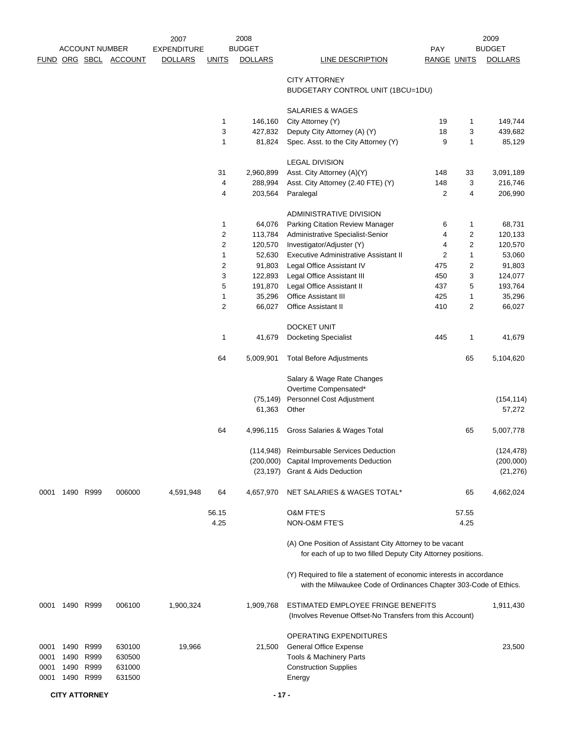|      |           | <b>ACCOUNT NUMBER</b> |                       | 2007<br><b>EXPENDITURE</b> |                     | 2008<br><b>BUDGET</b> |                                                                                                                                           | PAY                |                | 2009<br><b>BUDGET</b> |
|------|-----------|-----------------------|-----------------------|----------------------------|---------------------|-----------------------|-------------------------------------------------------------------------------------------------------------------------------------------|--------------------|----------------|-----------------------|
|      |           |                       | FUND ORG SBCL ACCOUNT | <b>DOLLARS</b>             | <b>UNITS</b>        | <b>DOLLARS</b>        | LINE DESCRIPTION                                                                                                                          | <b>RANGE UNITS</b> |                | <b>DOLLARS</b>        |
|      |           |                       |                       |                            |                     |                       | <b>CITY ATTORNEY</b><br>BUDGETARY CONTROL UNIT (1BCU=1DU)                                                                                 |                    |                |                       |
|      |           |                       |                       |                            |                     |                       | SALARIES & WAGES                                                                                                                          |                    |                |                       |
|      |           |                       |                       |                            | 1                   | 146,160               | City Attorney (Y)                                                                                                                         | 19                 | 1              | 149,744               |
|      |           |                       |                       |                            | 3                   | 427,832               | Deputy City Attorney (A) (Y)                                                                                                              | 18                 | 3              | 439,682               |
|      |           |                       |                       |                            | 1                   | 81,824                | Spec. Asst. to the City Attorney (Y)                                                                                                      | 9                  | $\mathbf{1}$   | 85,129                |
|      |           |                       |                       |                            |                     |                       | <b>LEGAL DIVISION</b>                                                                                                                     |                    |                |                       |
|      |           |                       |                       |                            | 31                  | 2,960,899             | Asst. City Attorney (A)(Y)                                                                                                                | 148                | 33             | 3,091,189             |
|      |           |                       |                       |                            | 4                   | 288,994               | Asst. City Attorney (2.40 FTE) (Y)                                                                                                        | 148                | 3              | 216,746               |
|      |           |                       |                       |                            | $\overline{4}$      | 203,564               | Paralegal                                                                                                                                 | 2                  | $\overline{4}$ | 206,990               |
|      |           |                       |                       |                            |                     |                       | ADMINISTRATIVE DIVISION                                                                                                                   |                    |                |                       |
|      |           |                       |                       |                            | 1                   | 64,076                | Parking Citation Review Manager                                                                                                           | 6                  | 1              | 68,731                |
|      |           |                       |                       |                            | $\overline{c}$      | 113,784               | Administrative Specialist-Senior                                                                                                          | 4                  | 2              | 120,133               |
|      |           |                       |                       |                            | $\overline{2}$      | 120,570               | Investigator/Adjuster (Y)                                                                                                                 | 4                  | 2              | 120,570               |
|      |           |                       |                       |                            | 1<br>$\overline{c}$ | 52,630<br>91,803      | <b>Executive Administrative Assistant II</b><br>Legal Office Assistant IV                                                                 | 2<br>475           | 1<br>2         | 53,060<br>91,803      |
|      |           |                       |                       |                            | 3                   | 122,893               | Legal Office Assistant III                                                                                                                | 450                | 3              | 124,077               |
|      |           |                       |                       |                            | 5                   | 191,870               | Legal Office Assistant II                                                                                                                 | 437                | 5              | 193,764               |
|      |           |                       |                       |                            | 1                   | 35,296                | <b>Office Assistant III</b>                                                                                                               | 425                | 1              | 35,296                |
|      |           |                       |                       |                            | 2                   | 66,027                | <b>Office Assistant II</b>                                                                                                                | 410                | 2              | 66,027                |
|      |           |                       |                       |                            |                     |                       |                                                                                                                                           |                    |                |                       |
|      |           |                       |                       |                            |                     |                       | DOCKET UNIT                                                                                                                               |                    |                |                       |
|      |           |                       |                       |                            | 1                   | 41,679                | Docketing Specialist                                                                                                                      | 445                | 1              | 41,679                |
|      |           |                       |                       |                            | 64                  | 5,009,901             | <b>Total Before Adjustments</b>                                                                                                           |                    | 65             | 5,104,620             |
|      |           |                       |                       |                            |                     |                       | Salary & Wage Rate Changes                                                                                                                |                    |                |                       |
|      |           |                       |                       |                            |                     |                       | Overtime Compensated*                                                                                                                     |                    |                |                       |
|      |           |                       |                       |                            |                     | (75, 149)             | Personnel Cost Adjustment                                                                                                                 |                    |                | (154, 114)            |
|      |           |                       |                       |                            |                     | 61,363                | Other                                                                                                                                     |                    |                | 57,272                |
|      |           |                       |                       |                            | 64                  | 4,996,115             | Gross Salaries & Wages Total                                                                                                              |                    | 65             | 5,007,778             |
|      |           |                       |                       |                            |                     |                       | (114,948) Reimbursable Services Deduction                                                                                                 |                    |                | (124, 478)            |
|      |           |                       |                       |                            |                     |                       | (200,000) Capital Improvements Deduction                                                                                                  |                    |                | (200,000)             |
|      |           |                       |                       |                            |                     |                       | (23,197) Grant & Aids Deduction                                                                                                           |                    |                | (21, 276)             |
| 0001 |           | 1490 R999             | 006000                | 4,591,948                  | 64                  | 4,657,970             | NET SALARIES & WAGES TOTAL*                                                                                                               |                    | 65             | 4,662,024             |
|      |           |                       |                       |                            | 56.15               |                       | <b>O&amp;M FTE'S</b>                                                                                                                      |                    | 57.55          |                       |
|      |           |                       |                       |                            | 4.25                |                       | NON-O&M FTE'S                                                                                                                             |                    | 4.25           |                       |
|      |           |                       |                       |                            |                     |                       | (A) One Position of Assistant City Attorney to be vacant<br>for each of up to two filled Deputy City Attorney positions.                  |                    |                |                       |
|      |           |                       |                       |                            |                     |                       | (Y) Required to file a statement of economic interests in accordance<br>with the Milwaukee Code of Ordinances Chapter 303-Code of Ethics. |                    |                |                       |
| 0001 | 1490 R999 |                       | 006100                | 1,900,324                  |                     | 1,909,768             | ESTIMATED EMPLOYEE FRINGE BENEFITS<br>(Involves Revenue Offset-No Transfers from this Account)                                            |                    |                | 1,911,430             |
|      |           |                       |                       |                            |                     |                       | OPERATING EXPENDITURES                                                                                                                    |                    |                |                       |
| 0001 |           | 1490 R999             | 630100                | 19,966                     |                     | 21,500                | <b>General Office Expense</b>                                                                                                             |                    |                | 23,500                |
| 0001 |           | 1490 R999             | 630500                |                            |                     |                       | Tools & Machinery Parts                                                                                                                   |                    |                |                       |
| 0001 |           | 1490 R999             | 631000                |                            |                     |                       | <b>Construction Supplies</b>                                                                                                              |                    |                |                       |
| 0001 |           | 1490 R999             | 631500                |                            |                     |                       | Energy                                                                                                                                    |                    |                |                       |
|      |           | <b>CITY ATTORNEY</b>  |                       |                            |                     | $-17-$                |                                                                                                                                           |                    |                |                       |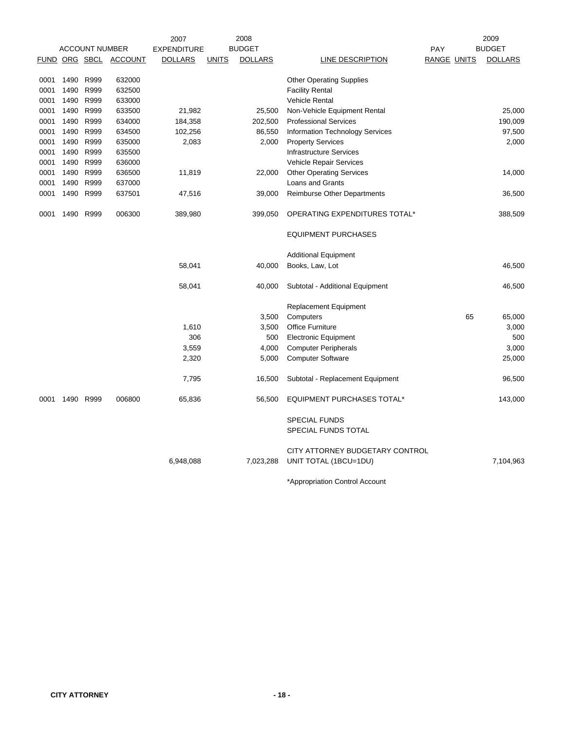|             |           |                       |                  | 2007               |              | 2008           |                                        |                    | 2009           |
|-------------|-----------|-----------------------|------------------|--------------------|--------------|----------------|----------------------------------------|--------------------|----------------|
|             |           | <b>ACCOUNT NUMBER</b> |                  | <b>EXPENDITURE</b> |              | <b>BUDGET</b>  |                                        | PAY                | <b>BUDGET</b>  |
| <b>FUND</b> |           |                       | ORG SBCL ACCOUNT | <b>DOLLARS</b>     | <b>UNITS</b> | <b>DOLLARS</b> | LINE DESCRIPTION                       | <b>RANGE UNITS</b> | <b>DOLLARS</b> |
| 0001        | 1490      | R999                  | 632000           |                    |              |                | <b>Other Operating Supplies</b>        |                    |                |
| 0001        | 1490      | R999                  | 632500           |                    |              |                | <b>Facility Rental</b>                 |                    |                |
| 0001        | 1490 R999 |                       | 633000           |                    |              |                | <b>Vehicle Rental</b>                  |                    |                |
| 0001        | 1490 R999 |                       | 633500           | 21,982             |              | 25,500         | Non-Vehicle Equipment Rental           |                    | 25,000         |
| 0001        | 1490      | R999                  | 634000           | 184,358            |              | 202,500        | <b>Professional Services</b>           |                    | 190,009        |
| 0001        | 1490      | R999                  | 634500           | 102,256            |              | 86,550         | <b>Information Technology Services</b> |                    | 97,500         |
| 0001        | 1490 R999 |                       | 635000           | 2,083              |              | 2,000          | <b>Property Services</b>               |                    | 2,000          |
| 0001        | 1490      | R999                  | 635500           |                    |              |                | <b>Infrastructure Services</b>         |                    |                |
| 0001        | 1490      | R999                  | 636000           |                    |              |                | Vehicle Repair Services                |                    |                |
| 0001        | 1490      | R999                  | 636500           | 11,819             |              | 22,000         | <b>Other Operating Services</b>        |                    | 14,000         |
| 0001        | 1490      | R999                  | 637000           |                    |              |                | Loans and Grants                       |                    |                |
| 0001        | 1490 R999 |                       | 637501           | 47,516             |              | 39,000         | <b>Reimburse Other Departments</b>     |                    | 36,500         |
| 0001        | 1490      | R999                  | 006300           | 389,980            |              | 399,050        | OPERATING EXPENDITURES TOTAL*          |                    | 388,509        |
|             |           |                       |                  |                    |              |                | <b>EQUIPMENT PURCHASES</b>             |                    |                |
|             |           |                       |                  |                    |              |                | <b>Additional Equipment</b>            |                    |                |
|             |           |                       |                  | 58,041             |              | 40,000         | Books, Law, Lot                        |                    | 46,500         |
|             |           |                       |                  | 58,041             |              | 40,000         | Subtotal - Additional Equipment        |                    | 46,500         |
|             |           |                       |                  |                    |              |                | Replacement Equipment                  |                    |                |
|             |           |                       |                  |                    |              | 3,500          | Computers                              | 65                 | 65,000         |
|             |           |                       |                  | 1,610              |              | 3,500          | <b>Office Furniture</b>                |                    | 3,000          |
|             |           |                       |                  | 306                |              | 500            | <b>Electronic Equipment</b>            |                    | 500            |
|             |           |                       |                  | 3,559              |              | 4,000          | <b>Computer Peripherals</b>            |                    | 3,000          |
|             |           |                       |                  | 2,320              |              | 5,000          | <b>Computer Software</b>               |                    | 25,000         |
|             |           |                       |                  | 7,795              |              | 16,500         | Subtotal - Replacement Equipment       |                    | 96,500         |
| 0001        | 1490      | R999                  | 006800           | 65,836             |              | 56,500         | <b>EQUIPMENT PURCHASES TOTAL*</b>      |                    | 143,000        |
|             |           |                       |                  |                    |              |                | <b>SPECIAL FUNDS</b>                   |                    |                |
|             |           |                       |                  |                    |              |                | SPECIAL FUNDS TOTAL                    |                    |                |
|             |           |                       |                  |                    |              |                | CITY ATTORNEY BUDGETARY CONTROL        |                    |                |
|             |           |                       |                  | 6,948,088          |              | 7,023,288      | UNIT TOTAL (1BCU=1DU)                  |                    | 7,104,963      |
|             |           |                       |                  |                    |              |                |                                        |                    |                |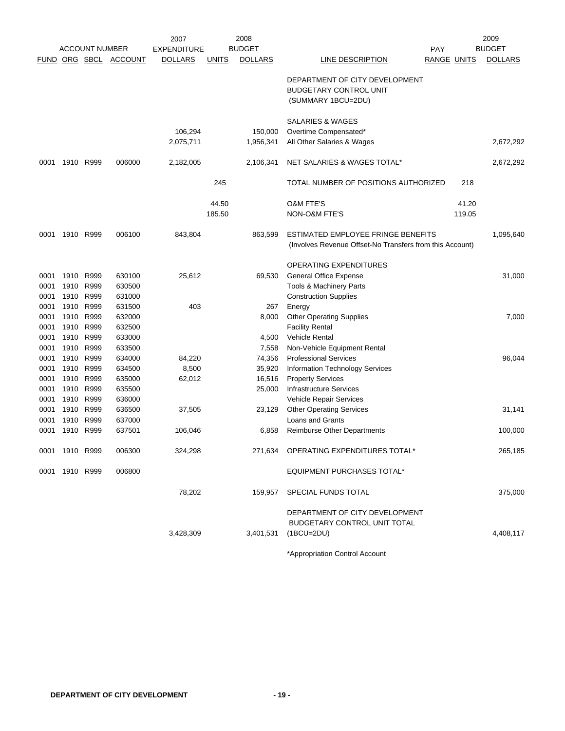|      |                |                       |                       | 2007               |              | 2008           |                                                          |                    |        | 2009           |
|------|----------------|-----------------------|-----------------------|--------------------|--------------|----------------|----------------------------------------------------------|--------------------|--------|----------------|
|      |                | <b>ACCOUNT NUMBER</b> |                       | <b>EXPENDITURE</b> |              | <b>BUDGET</b>  |                                                          | <b>PAY</b>         |        | <b>BUDGET</b>  |
|      |                |                       | FUND ORG SBCL ACCOUNT | <b>DOLLARS</b>     | <b>UNITS</b> | <b>DOLLARS</b> | LINE DESCRIPTION                                         | <b>RANGE UNITS</b> |        | <b>DOLLARS</b> |
|      |                |                       |                       |                    |              |                | DEPARTMENT OF CITY DEVELOPMENT                           |                    |        |                |
|      |                |                       |                       |                    |              |                | <b>BUDGETARY CONTROL UNIT</b>                            |                    |        |                |
|      |                |                       |                       |                    |              |                | (SUMMARY 1BCU=2DU)                                       |                    |        |                |
|      |                |                       |                       |                    |              |                | <b>SALARIES &amp; WAGES</b>                              |                    |        |                |
|      |                |                       |                       | 106,294            |              | 150,000        | Overtime Compensated*                                    |                    |        |                |
|      |                |                       |                       | 2,075,711          |              | 1,956,341      | All Other Salaries & Wages                               |                    |        | 2,672,292      |
|      |                |                       |                       |                    |              |                |                                                          |                    |        |                |
| 0001 |                | 1910 R999             | 006000                | 2,182,005          |              | 2,106,341      | NET SALARIES & WAGES TOTAL*                              |                    |        | 2,672,292      |
|      |                |                       |                       |                    | 245          |                | TOTAL NUMBER OF POSITIONS AUTHORIZED                     |                    | 218    |                |
|      |                |                       |                       |                    | 44.50        |                | <b>O&amp;M FTE'S</b>                                     |                    | 41.20  |                |
|      |                |                       |                       |                    | 185.50       |                | NON-O&M FTE'S                                            |                    | 119.05 |                |
| 0001 |                | 1910 R999             | 006100                | 843,804            |              | 863,599        | ESTIMATED EMPLOYEE FRINGE BENEFITS                       |                    |        | 1,095,640      |
|      |                |                       |                       |                    |              |                | (Involves Revenue Offset-No Transfers from this Account) |                    |        |                |
|      |                |                       |                       |                    |              |                | <b>OPERATING EXPENDITURES</b>                            |                    |        |                |
| 0001 |                | 1910 R999             | 630100                | 25,612             |              | 69,530         | <b>General Office Expense</b>                            |                    |        | 31,000         |
| 0001 | 1910           | R999                  | 630500                |                    |              |                | Tools & Machinery Parts                                  |                    |        |                |
| 0001 | 1910           | R999                  | 631000                |                    |              |                | <b>Construction Supplies</b>                             |                    |        |                |
| 0001 |                | 1910 R999             | 631500                | 403                |              | 267            | Energy                                                   |                    |        |                |
| 0001 |                | 1910 R999             | 632000                |                    |              | 8,000          | <b>Other Operating Supplies</b>                          |                    |        | 7,000          |
| 0001 | 1910           | R999                  | 632500                |                    |              |                | <b>Facility Rental</b>                                   |                    |        |                |
| 0001 | 1910           | R999                  | 633000                |                    |              | 4,500          | Vehicle Rental                                           |                    |        |                |
| 0001 |                | 1910 R999             | 633500                |                    |              | 7,558          | Non-Vehicle Equipment Rental                             |                    |        |                |
| 0001 | 1910           | R999                  | 634000                | 84,220             |              | 74,356         | <b>Professional Services</b>                             |                    |        | 96,044         |
| 0001 | 1910           | R999                  | 634500                | 8,500              |              | 35,920         | <b>Information Technology Services</b>                   |                    |        |                |
| 0001 |                | 1910 R999             | 635000                | 62,012             |              | 16,516         | <b>Property Services</b>                                 |                    |        |                |
| 0001 |                | 1910 R999             | 635500                |                    |              | 25,000         | <b>Infrastructure Services</b>                           |                    |        |                |
| 0001 | 1910           | R999                  | 636000                |                    |              |                | Vehicle Repair Services                                  |                    |        |                |
| 0001 | 1910           | R999                  | 636500                | 37,505             |              | 23,129         | <b>Other Operating Services</b>                          |                    |        | 31,141         |
| 0001 |                | 1910 R999             | 637000                |                    |              |                | <b>Loans and Grants</b>                                  |                    |        |                |
| 0001 | 1910           | R999                  | 637501                | 106,046            |              | 6,858          | <b>Reimburse Other Departments</b>                       |                    |        | 100,000        |
|      | 0001 1910 R999 |                       | 006300                | 324,298            |              |                | 271,634 OPERATING EXPENDITURES TOTAL*                    |                    |        | 265,185        |
|      | 0001 1910 R999 |                       | 006800                |                    |              |                | <b>EQUIPMENT PURCHASES TOTAL*</b>                        |                    |        |                |
|      |                |                       |                       | 78,202             |              | 159,957        | SPECIAL FUNDS TOTAL                                      |                    |        | 375,000        |
|      |                |                       |                       |                    |              |                |                                                          |                    |        |                |
|      |                |                       |                       |                    |              |                | DEPARTMENT OF CITY DEVELOPMENT                           |                    |        |                |
|      |                |                       |                       | 3,428,309          |              |                | BUDGETARY CONTROL UNIT TOTAL                             |                    |        |                |
|      |                |                       |                       |                    |              | 3,401,531      | $(1BCU=2DU)$                                             |                    |        | 4,408,117      |
|      |                |                       |                       |                    |              |                |                                                          |                    |        |                |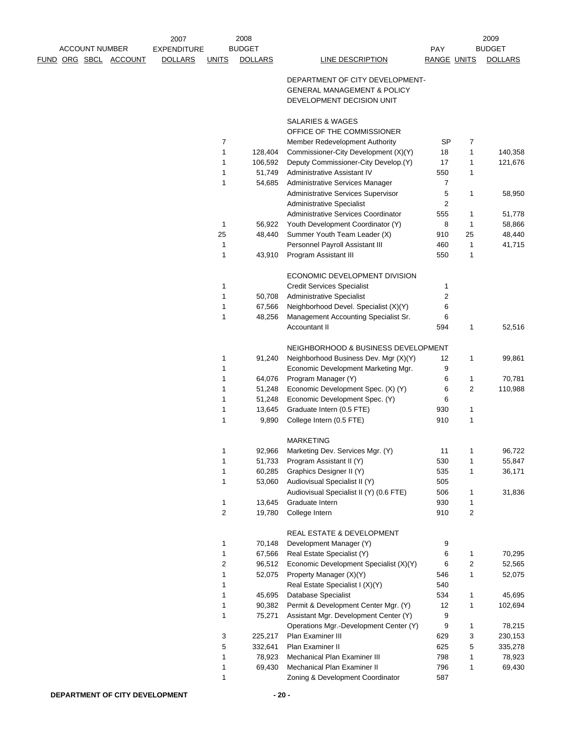|  |                       |                       | 2007               |                | 2008           |                                                              |                         |                | 2009           |
|--|-----------------------|-----------------------|--------------------|----------------|----------------|--------------------------------------------------------------|-------------------------|----------------|----------------|
|  | <b>ACCOUNT NUMBER</b> |                       | <b>EXPENDITURE</b> |                | <b>BUDGET</b>  |                                                              | <b>PAY</b>              |                | <b>BUDGET</b>  |
|  |                       | FUND ORG SBCL ACCOUNT | <b>DOLLARS</b>     | <b>UNITS</b>   | <b>DOLLARS</b> | LINE DESCRIPTION                                             | RANGE UNITS             |                | <b>DOLLARS</b> |
|  |                       |                       |                    |                |                | DEPARTMENT OF CITY DEVELOPMENT-                              |                         |                |                |
|  |                       |                       |                    |                |                | <b>GENERAL MANAGEMENT &amp; POLICY</b>                       |                         |                |                |
|  |                       |                       |                    |                |                | DEVELOPMENT DECISION UNIT                                    |                         |                |                |
|  |                       |                       |                    |                |                | SALARIES & WAGES                                             |                         |                |                |
|  |                       |                       |                    |                |                | OFFICE OF THE COMMISSIONER                                   |                         |                |                |
|  |                       |                       |                    | 7              |                | Member Redevelopment Authority                               | <b>SP</b>               | 7              |                |
|  |                       |                       |                    | 1              | 128,404        | Commissioner-City Development (X)(Y)                         | 18                      | 1              | 140,358        |
|  |                       |                       |                    | 1              | 106,592        | Deputy Commissioner-City Develop.(Y)                         | 17                      | 1              | 121,676        |
|  |                       |                       |                    | 1              | 51,749         | Administrative Assistant IV                                  | 550                     | 1              |                |
|  |                       |                       |                    | 1              | 54,685         | Administrative Services Manager                              | 7                       |                |                |
|  |                       |                       |                    |                |                | Administrative Services Supervisor                           | 5                       | 1              | 58,950         |
|  |                       |                       |                    |                |                | <b>Administrative Specialist</b>                             | $\overline{\mathbf{c}}$ |                |                |
|  |                       |                       |                    |                |                | Administrative Services Coordinator                          | 555                     | 1              | 51,778         |
|  |                       |                       |                    | 1              | 56,922         | Youth Development Coordinator (Y)                            | 8                       | 1              | 58,866         |
|  |                       |                       |                    | 25             | 48,440         | Summer Youth Team Leader (X)                                 | 910                     | 25             | 48,440         |
|  |                       |                       |                    | 1              |                | Personnel Payroll Assistant III                              | 460                     | 1              | 41,715         |
|  |                       |                       |                    | 1              | 43,910         | Program Assistant III                                        | 550                     | 1              |                |
|  |                       |                       |                    |                |                |                                                              |                         |                |                |
|  |                       |                       |                    |                |                | ECONOMIC DEVELOPMENT DIVISION                                |                         |                |                |
|  |                       |                       |                    | 1              |                | <b>Credit Services Specialist</b>                            | 1                       |                |                |
|  |                       |                       |                    | 1              | 50,708         | <b>Administrative Specialist</b>                             | 2                       |                |                |
|  |                       |                       |                    | 1              | 67,566         | Neighborhood Devel. Specialist (X)(Y)                        | 6                       |                |                |
|  |                       |                       |                    | 1              | 48,256         | Management Accounting Specialist Sr.<br><b>Accountant II</b> | 6<br>594                | 1              | 52,516         |
|  |                       |                       |                    |                |                | NEIGHBORHOOD & BUSINESS DEVELOPMENT                          |                         |                |                |
|  |                       |                       |                    | 1              | 91,240         | Neighborhood Business Dev. Mgr (X)(Y)                        | 12                      | 1              | 99,861         |
|  |                       |                       |                    | 1              |                | Economic Development Marketing Mgr.                          | 9                       |                |                |
|  |                       |                       |                    | 1              | 64,076         | Program Manager (Y)                                          | 6                       | 1              | 70,781         |
|  |                       |                       |                    | 1              | 51,248         | Economic Development Spec. (X) (Y)                           | 6                       | $\overline{2}$ | 110,988        |
|  |                       |                       |                    | 1              | 51,248         | Economic Development Spec. (Y)                               | 6                       |                |                |
|  |                       |                       |                    | 1              | 13,645         | Graduate Intern (0.5 FTE)                                    | 930                     | 1              |                |
|  |                       |                       |                    | 1              | 9,890          | College Intern (0.5 FTE)                                     | 910                     | 1              |                |
|  |                       |                       |                    |                |                | <b>MARKETING</b>                                             |                         |                |                |
|  |                       |                       |                    | 1              | 92,966         | Marketing Dev. Services Mgr. (Y)                             | 11                      | 1              | 96,722         |
|  |                       |                       |                    | 1              | 51,733         | Program Assistant II (Y)                                     | 530                     | 1              | 55,847         |
|  |                       |                       |                    | 1              | 60,285         | Graphics Designer II (Y)                                     | 535                     | 1              | 36,171         |
|  |                       |                       |                    | 1              | 53,060         | Audiovisual Specialist II (Y)                                | 505                     |                |                |
|  |                       |                       |                    |                |                | Audiovisual Specialist II (Y) (0.6 FTE)                      | 506                     | 1              | 31,836         |
|  |                       |                       |                    | 1              | 13,645         | Graduate Intern                                              | 930                     | 1              |                |
|  |                       |                       |                    | $\overline{c}$ | 19,780         | College Intern                                               | 910                     | 2              |                |
|  |                       |                       |                    |                |                | REAL ESTATE & DEVELOPMENT                                    |                         |                |                |
|  |                       |                       |                    | 1              | 70,148         | Development Manager (Y)                                      | 9                       |                |                |
|  |                       |                       |                    | 1              | 67,566         | Real Estate Specialist (Y)                                   | 6                       | 1              | 70,295         |
|  |                       |                       |                    | $\overline{c}$ | 96,512         | Economic Development Specialist (X)(Y)                       | 6                       | $\overline{c}$ | 52,565         |
|  |                       |                       |                    | 1              | 52,075         | Property Manager (X)(Y)                                      | 546                     | 1              | 52,075         |
|  |                       |                       |                    | 1              |                | Real Estate Specialist I (X)(Y)                              | 540                     |                |                |
|  |                       |                       |                    | 1              | 45,695         | Database Specialist                                          | 534                     | 1              | 45,695         |
|  |                       |                       |                    | 1              | 90,382         | Permit & Development Center Mgr. (Y)                         | 12                      | 1              | 102,694        |
|  |                       |                       |                    | 1              | 75,271         | Assistant Mgr. Development Center (Y)                        | 9                       |                |                |
|  |                       |                       |                    |                |                | Operations Mgr.-Development Center (Y)                       | 9                       | 1              | 78,215         |
|  |                       |                       |                    | 3              | 225,217        | Plan Examiner III                                            | 629                     | 3              | 230,153        |
|  |                       |                       |                    | 5              | 332,641        | Plan Examiner II                                             | 625                     | 5              | 335,278        |
|  |                       |                       |                    | 1              | 78,923         | Mechanical Plan Examiner III                                 | 798                     | 1              | 78,923         |
|  |                       |                       |                    | 1              | 69,430         | Mechanical Plan Examiner II                                  | 796                     | 1              | 69,430         |
|  |                       |                       |                    | 1              |                | Zoning & Development Coordinator                             | 587                     |                |                |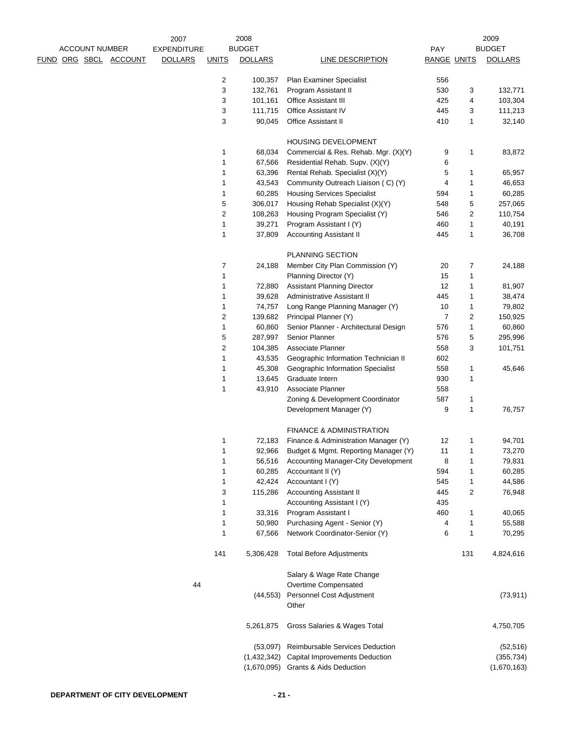|  |                       |                       | 2007               |                         | 2008           |                                       |                    |     | 2009           |
|--|-----------------------|-----------------------|--------------------|-------------------------|----------------|---------------------------------------|--------------------|-----|----------------|
|  | <b>ACCOUNT NUMBER</b> |                       | <b>EXPENDITURE</b> |                         | <b>BUDGET</b>  |                                       | PAY                |     | <b>BUDGET</b>  |
|  |                       | FUND ORG SBCL ACCOUNT | <b>DOLLARS</b>     | <b>UNITS</b>            | <b>DOLLARS</b> | <b>LINE DESCRIPTION</b>               | <b>RANGE UNITS</b> |     | <b>DOLLARS</b> |
|  |                       |                       |                    |                         |                |                                       |                    |     |                |
|  |                       |                       |                    | 2                       | 100,357        | Plan Examiner Specialist              | 556                |     |                |
|  |                       |                       |                    | 3                       | 132,761        | Program Assistant II                  | 530                | 3   | 132,771        |
|  |                       |                       |                    | 3                       | 101,161        | Office Assistant III                  | 425                | 4   | 103,304        |
|  |                       |                       |                    | 3                       | 111,715        | Office Assistant IV                   | 445                | 3   | 111,213        |
|  |                       |                       |                    | 3                       | 90,045         | <b>Office Assistant II</b>            | 410                | 1   | 32,140         |
|  |                       |                       |                    |                         |                |                                       |                    |     |                |
|  |                       |                       |                    |                         |                | HOUSING DEVELOPMENT                   |                    |     |                |
|  |                       |                       |                    | 1                       | 68,034         | Commercial & Res. Rehab. Mgr. (X)(Y)  | 9                  | 1   | 83,872         |
|  |                       |                       |                    | 1                       | 67,566         | Residential Rehab. Supv. (X)(Y)       | 6                  |     |                |
|  |                       |                       |                    | 1                       | 63,396         | Rental Rehab. Specialist (X)(Y)       | 5                  | 1   | 65,957         |
|  |                       |                       |                    | 1                       | 43,543         | Community Outreach Liaison (C) (Y)    | 4                  | 1   | 46,653         |
|  |                       |                       |                    | 1                       | 60,285         | <b>Housing Services Specialist</b>    | 594                | 1   | 60,285         |
|  |                       |                       |                    | 5                       | 306,017        | Housing Rehab Specialist (X)(Y)       | 548                | 5   | 257,065        |
|  |                       |                       |                    | 2                       | 108,263        | Housing Program Specialist (Y)        | 546                | 2   | 110,754        |
|  |                       |                       |                    | 1                       | 39,271         | Program Assistant I (Y)               | 460                | 1   | 40,191         |
|  |                       |                       |                    | 1                       | 37,809         | <b>Accounting Assistant II</b>        | 445                | 1   | 36,708         |
|  |                       |                       |                    |                         |                |                                       |                    |     |                |
|  |                       |                       |                    |                         |                | PLANNING SECTION                      |                    |     |                |
|  |                       |                       |                    | 7                       | 24,188         | Member City Plan Commission (Y)       | 20                 | 7   | 24,188         |
|  |                       |                       |                    | 1                       |                | Planning Director (Y)                 | 15                 | 1   |                |
|  |                       |                       |                    | 1                       | 72,880         | <b>Assistant Planning Director</b>    | 12                 | 1   | 81,907         |
|  |                       |                       |                    | 1                       | 39,628         | Administrative Assistant II           | 445                | 1   | 38,474         |
|  |                       |                       |                    | 1                       | 74,757         | Long Range Planning Manager (Y)       | 10                 | 1   | 79,802         |
|  |                       |                       |                    | $\overline{\mathbf{c}}$ | 139,682        | Principal Planner (Y)                 | $\overline{7}$     | 2   | 150,925        |
|  |                       |                       |                    | 1                       | 60,860         | Senior Planner - Architectural Design | 576                | 1   | 60,860         |
|  |                       |                       |                    | 5                       | 287,997        | Senior Planner                        | 576                | 5   | 295,996        |
|  |                       |                       |                    | $\overline{2}$          | 104,385        | Associate Planner                     | 558                | 3   | 101,751        |
|  |                       |                       |                    | 1                       | 43,535         | Geographic Information Technician II  | 602                |     |                |
|  |                       |                       |                    | 1                       | 45,308         | Geographic Information Specialist     | 558                | 1   | 45,646         |
|  |                       |                       |                    | 1                       | 13,645         | Graduate Intern                       | 930                | 1   |                |
|  |                       |                       |                    | 1                       | 43,910         | Associate Planner                     | 558                |     |                |
|  |                       |                       |                    |                         |                | Zoning & Development Coordinator      | 587                | 1   |                |
|  |                       |                       |                    |                         |                | Development Manager (Y)               | 9                  | 1   | 76,757         |
|  |                       |                       |                    |                         |                |                                       |                    |     |                |
|  |                       |                       |                    |                         |                | <b>FINANCE &amp; ADMINISTRATION</b>   |                    |     |                |
|  |                       |                       |                    | 1                       | 72,183         | Finance & Administration Manager (Y)  | 12                 | 1   | 94,701         |
|  |                       |                       |                    | 1                       | 92,966         | Budget & Mgmt. Reporting Manager (Y)  | 11                 | 1   | 73,270         |
|  |                       |                       |                    | 1                       | 56,516         | Accounting Manager-City Development   | 8                  | 1   | 79,831         |
|  |                       |                       |                    | 1                       | 60,285         | Accountant II (Y)                     | 594                | 1   | 60,285         |
|  |                       |                       |                    | 1                       | 42,424         | Accountant I (Y)                      | 545                | 1   | 44,586         |
|  |                       |                       |                    | 3                       | 115,286        | <b>Accounting Assistant II</b>        | 445                | 2   | 76,948         |
|  |                       |                       |                    | 1                       |                | Accounting Assistant I (Y)            | 435                |     |                |
|  |                       |                       |                    | 1                       | 33,316         | Program Assistant I                   | 460                | 1   | 40,065         |
|  |                       |                       |                    | 1                       | 50,980         | Purchasing Agent - Senior (Y)         | 4                  | 1   | 55,588         |
|  |                       |                       |                    | 1                       | 67,566         | Network Coordinator-Senior (Y)        | 6                  | 1   | 70,295         |
|  |                       |                       |                    |                         |                |                                       |                    |     |                |
|  |                       |                       |                    | 141                     | 5,306,428      | <b>Total Before Adjustments</b>       |                    | 131 | 4,824,616      |
|  |                       |                       |                    |                         |                |                                       |                    |     |                |
|  |                       |                       |                    |                         |                | Salary & Wage Rate Change             |                    |     |                |
|  |                       |                       | 44                 |                         |                | Overtime Compensated                  |                    |     |                |
|  |                       |                       |                    |                         |                | Personnel Cost Adjustment             |                    |     | (73, 911)      |
|  |                       |                       |                    |                         | (44, 553)      | Other                                 |                    |     |                |
|  |                       |                       |                    |                         |                |                                       |                    |     |                |
|  |                       |                       |                    |                         | 5,261,875      | Gross Salaries & Wages Total          |                    |     | 4,750,705      |
|  |                       |                       |                    |                         |                |                                       |                    |     |                |
|  |                       |                       |                    |                         | (53,097)       | Reimbursable Services Deduction       |                    |     | (52, 516)      |
|  |                       |                       |                    |                         | (1,432,342)    | Capital Improvements Deduction        |                    |     | (355, 734)     |
|  |                       |                       |                    |                         | (1,670,095)    | <b>Grants &amp; Aids Deduction</b>    |                    |     | (1,670,163)    |
|  |                       |                       |                    |                         |                |                                       |                    |     |                |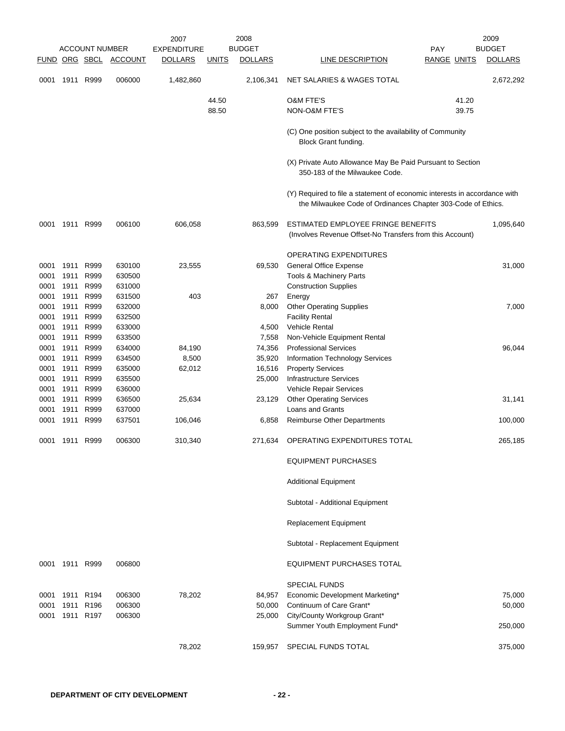|                              |                              | <b>ACCOUNT NUMBER</b><br>FUND ORG SBCL | ACCOUNT                              | 2007<br><b>EXPENDITURE</b><br><b>DOLLARS</b> | <b>UNITS</b>   | 2008<br><b>BUDGET</b><br><b>DOLLARS</b> | LINE DESCRIPTION                                                                                                                          | PAY<br><b>RANGE UNITS</b> | 2009<br><b>BUDGET</b><br><b>DOLLARS</b> |
|------------------------------|------------------------------|----------------------------------------|--------------------------------------|----------------------------------------------|----------------|-----------------------------------------|-------------------------------------------------------------------------------------------------------------------------------------------|---------------------------|-----------------------------------------|
| 0001                         | 1911                         | R999                                   | 006000                               | 1,482,860                                    |                | 2,106,341                               | NET SALARIES & WAGES TOTAL                                                                                                                |                           | 2,672,292                               |
|                              |                              |                                        |                                      |                                              | 44.50<br>88.50 |                                         | <b>O&amp;M FTE'S</b><br>NON-O&M FTE'S                                                                                                     | 41.20<br>39.75            |                                         |
|                              |                              |                                        |                                      |                                              |                |                                         | (C) One position subject to the availability of Community<br>Block Grant funding.                                                         |                           |                                         |
|                              |                              |                                        |                                      |                                              |                |                                         | (X) Private Auto Allowance May Be Paid Pursuant to Section<br>350-183 of the Milwaukee Code.                                              |                           |                                         |
|                              |                              |                                        |                                      |                                              |                |                                         | (Y) Required to file a statement of economic interests in accordance with<br>the Milwaukee Code of Ordinances Chapter 303-Code of Ethics. |                           |                                         |
| 0001                         | 1911                         | R999                                   | 006100                               | 606,058                                      |                | 863,599                                 | ESTIMATED EMPLOYEE FRINGE BENEFITS<br>(Involves Revenue Offset-No Transfers from this Account)                                            |                           | 1,095,640                               |
| 0001<br>0001                 | 1911<br>1911                 | R999<br>R999                           | 630100<br>630500                     | 23,555                                       |                | 69,530                                  | OPERATING EXPENDITURES<br><b>General Office Expense</b><br>Tools & Machinery Parts                                                        |                           | 31,000                                  |
| 0001<br>0001<br>0001<br>0001 | 1911<br>1911<br>1911<br>1911 | R999<br>R999<br>R999<br>R999           | 631000<br>631500<br>632000<br>632500 | 403                                          |                | 267<br>8,000                            | <b>Construction Supplies</b><br>Energy<br><b>Other Operating Supplies</b><br><b>Facility Rental</b>                                       |                           | 7,000                                   |
| 0001<br>0001                 | 1911<br>1911                 | R999<br>R999                           | 633000<br>633500                     |                                              |                | 4,500<br>7,558                          | <b>Vehicle Rental</b><br>Non-Vehicle Equipment Rental                                                                                     |                           |                                         |
| 0001<br>0001<br>0001         | 1911<br>1911<br>1911         | R999<br>R999<br>R999                   | 634000<br>634500<br>635000           | 84,190<br>8,500<br>62,012                    |                | 74,356<br>35,920<br>16,516              | <b>Professional Services</b><br>Information Technology Services<br><b>Property Services</b>                                               |                           | 96,044                                  |
| 0001<br>0001<br>0001         | 1911<br>1911<br>1911         | R999<br>R999<br>R999                   | 635500<br>636000<br>636500           | 25,634                                       |                | 25,000<br>23,129                        | <b>Infrastructure Services</b><br>Vehicle Repair Services<br><b>Other Operating Services</b>                                              |                           | 31,141                                  |
| 0001<br>0001                 | 1911<br>1911                 | R999<br>R999                           | 637000<br>637501                     | 106,046                                      |                | 6,858                                   | <b>Loans and Grants</b><br>Reimburse Other Departments                                                                                    |                           | 100,000                                 |
| 0001                         | 1911                         | R999                                   | 006300                               | 310,340                                      |                | 271,634                                 | OPERATING EXPENDITURES TOTAL                                                                                                              |                           | 265,185                                 |
|                              |                              |                                        |                                      |                                              |                |                                         | <b>EQUIPMENT PURCHASES</b>                                                                                                                |                           |                                         |
|                              |                              |                                        |                                      |                                              |                |                                         | <b>Additional Equipment</b>                                                                                                               |                           |                                         |
|                              |                              |                                        |                                      |                                              |                |                                         | Subtotal - Additional Equipment<br>Replacement Equipment                                                                                  |                           |                                         |
|                              |                              |                                        |                                      |                                              |                |                                         | Subtotal - Replacement Equipment                                                                                                          |                           |                                         |
| 0001                         | 1911 R999                    |                                        | 006800                               |                                              |                |                                         | <b>EQUIPMENT PURCHASES TOTAL</b>                                                                                                          |                           |                                         |
|                              |                              |                                        |                                      |                                              |                |                                         | <b>SPECIAL FUNDS</b>                                                                                                                      |                           |                                         |
| 0001<br>0001                 | 1911 R194<br>1911            | R <sub>196</sub>                       | 006300<br>006300                     | 78,202                                       |                | 84,957<br>50,000                        | Economic Development Marketing*<br>Continuum of Care Grant*                                                                               |                           | 75,000<br>50,000                        |
| 0001                         |                              | 1911 R197                              | 006300                               |                                              |                | 25,000                                  | City/County Workgroup Grant*<br>Summer Youth Employment Fund*                                                                             |                           | 250,000                                 |
|                              |                              |                                        |                                      | 78,202                                       |                | 159,957                                 | SPECIAL FUNDS TOTAL                                                                                                                       |                           | 375,000                                 |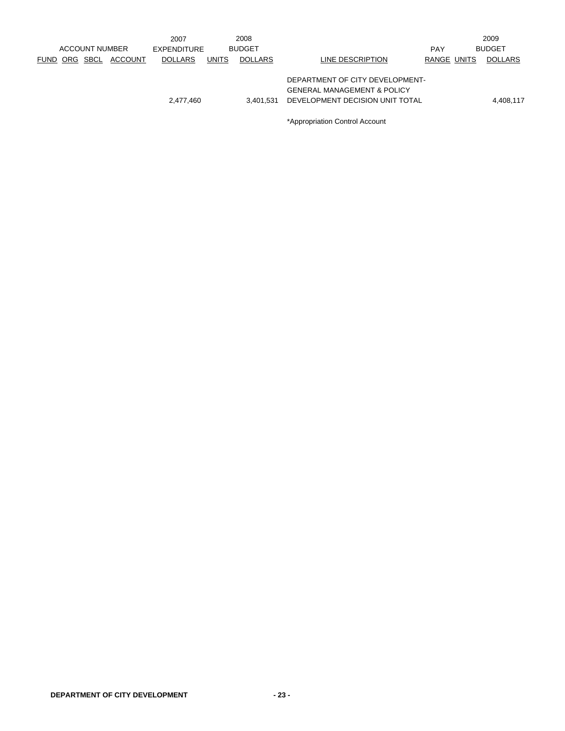|  | <b>ACCOUNT NUMBER</b> |         | 2007<br><b>EXPENDITURE</b> |              | 2008<br><b>BUDGET</b> |                                                                                                              | <b>PAY</b>  | 2009<br><b>BUDGET</b> |
|--|-----------------------|---------|----------------------------|--------------|-----------------------|--------------------------------------------------------------------------------------------------------------|-------------|-----------------------|
|  | FUND ORG SBCL         | ACCOUNT | <b>DOLLARS</b>             | <b>UNITS</b> | <b>DOLLARS</b>        | LINE DESCRIPTION                                                                                             | RANGE UNITS | <b>DOLLARS</b>        |
|  |                       |         | 2,477,460                  |              | 3.401.531             | DEPARTMENT OF CITY DEVELOPMENT-<br><b>GENERAL MANAGEMENT &amp; POLICY</b><br>DEVELOPMENT DECISION UNIT TOTAL |             | 4,408,117             |
|  |                       |         |                            |              |                       |                                                                                                              |             |                       |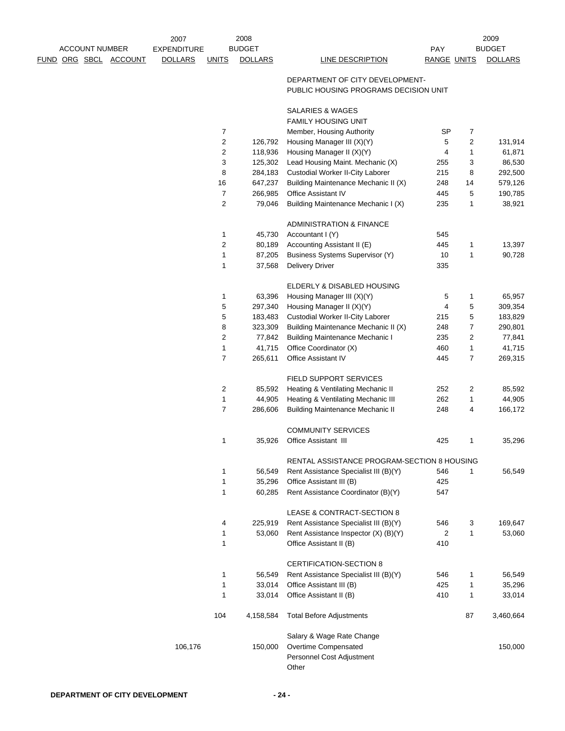|                       | 2007               |                         | 2008             |                                                                          |                    |                | 2009           |
|-----------------------|--------------------|-------------------------|------------------|--------------------------------------------------------------------------|--------------------|----------------|----------------|
| <b>ACCOUNT NUMBER</b> | <b>EXPENDITURE</b> |                         | <b>BUDGET</b>    |                                                                          | <b>PAY</b>         |                | <b>BUDGET</b>  |
| FUND ORG SBCL ACCOUNT | <b>DOLLARS</b>     | <b>UNITS</b>            | <b>DOLLARS</b>   | <b>LINE DESCRIPTION</b>                                                  | <b>RANGE UNITS</b> |                | <b>DOLLARS</b> |
|                       |                    |                         |                  | DEPARTMENT OF CITY DEVELOPMENT-<br>PUBLIC HOUSING PROGRAMS DECISION UNIT |                    |                |                |
|                       |                    |                         |                  | SALARIES & WAGES<br><b>FAMILY HOUSING UNIT</b>                           |                    |                |                |
|                       |                    | $\overline{7}$          |                  | Member, Housing Authority                                                | <b>SP</b>          | 7              |                |
|                       |                    | $\overline{\mathbf{c}}$ | 126,792          | Housing Manager III (X)(Y)                                               | 5                  | $\overline{c}$ | 131,914        |
|                       |                    | 2                       | 118,936          | Housing Manager II (X)(Y)                                                | 4                  | $\mathbf{1}$   | 61,871         |
|                       |                    | 3                       | 125,302          | Lead Housing Maint. Mechanic (X)                                         | 255                | 3              | 86,530         |
|                       |                    | 8                       | 284,183          | Custodial Worker II-City Laborer                                         | 215                | 8              | 292,500        |
|                       |                    | 16                      | 647,237          | Building Maintenance Mechanic II (X)                                     | 248                | 14             | 579,126        |
|                       |                    | 7                       | 266,985          | Office Assistant IV                                                      | 445                | 5              | 190,785        |
|                       |                    | 2                       | 79,046           | Building Maintenance Mechanic I (X)                                      | 235                | 1              | 38,921         |
|                       |                    |                         |                  |                                                                          |                    |                |                |
|                       |                    |                         |                  | <b>ADMINISTRATION &amp; FINANCE</b>                                      |                    |                |                |
|                       |                    | 1                       | 45,730           | Accountant I (Y)                                                         | 545                |                |                |
|                       |                    | $\overline{\mathbf{c}}$ | 80,189           | Accounting Assistant II (E)                                              | 445                | 1              | 13,397         |
|                       |                    | 1<br>1                  | 87,205<br>37,568 | Business Systems Supervisor (Y)<br><b>Delivery Driver</b>                | 10<br>335          | 1              | 90,728         |
|                       |                    |                         |                  |                                                                          |                    |                |                |
|                       |                    |                         |                  | ELDERLY & DISABLED HOUSING                                               |                    |                |                |
|                       |                    | 1                       | 63,396           | Housing Manager III (X)(Y)                                               | 5                  | 1              | 65,957         |
|                       |                    | 5                       | 297,340          | Housing Manager II (X)(Y)                                                | 4                  | 5              | 309,354        |
|                       |                    | 5                       | 183,483          | Custodial Worker II-City Laborer                                         | 215                | 5              | 183,829        |
|                       |                    | 8                       | 323,309          | Building Maintenance Mechanic II (X)                                     | 248                | 7              | 290,801        |
|                       |                    | 2                       | 77,842           | <b>Building Maintenance Mechanic I</b>                                   | 235                | 2              | 77,841         |
|                       |                    | 1                       | 41,715           | Office Coordinator (X)                                                   | 460                | 1              | 41,715         |
|                       |                    | $\overline{7}$          | 265,611          | Office Assistant IV                                                      | 445                | 7              | 269,315        |
|                       |                    |                         |                  | FIELD SUPPORT SERVICES                                                   |                    |                |                |
|                       |                    | 2                       | 85,592           | Heating & Ventilating Mechanic II                                        | 252                | 2              | 85,592         |
|                       |                    | 1                       | 44,905           | Heating & Ventilating Mechanic III                                       | 262                | 1              | 44,905         |
|                       |                    | $\overline{7}$          | 286,606          | <b>Building Maintenance Mechanic II</b>                                  | 248                | 4              | 166,172        |
|                       |                    |                         |                  | <b>COMMUNITY SERVICES</b>                                                |                    |                |                |
|                       |                    | 1                       | 35,926           | Office Assistant III                                                     | 425                | 1              | 35,296         |
|                       |                    |                         |                  | RENTAL ASSISTANCE PROGRAM-SECTION 8 HOUSING                              |                    |                |                |
|                       |                    | 1                       | 56,549           | Rent Assistance Specialist III (B)(Y)                                    | 546                | 1              | 56,549         |
|                       |                    | 1                       | 35,296           | Office Assistant III (B)                                                 | 425                |                |                |
|                       |                    | 1                       | 60,285           | Rent Assistance Coordinator (B)(Y)                                       | 547                |                |                |
|                       |                    |                         |                  | LEASE & CONTRACT-SECTION 8                                               |                    |                |                |
|                       |                    | 4                       | 225,919          | Rent Assistance Specialist III (B)(Y)                                    | 546                | 3              | 169,647        |
|                       |                    | 1                       | 53,060           | Rent Assistance Inspector (X) (B)(Y)                                     | 2                  | 1              | 53,060         |
|                       |                    | 1                       |                  | Office Assistant II (B)                                                  | 410                |                |                |
|                       |                    |                         |                  | <b>CERTIFICATION-SECTION 8</b>                                           |                    |                |                |
|                       |                    | 1                       | 56,549           | Rent Assistance Specialist III (B)(Y)                                    | 546                | 1              | 56,549         |
|                       |                    | 1                       | 33,014           | Office Assistant III (B)                                                 | 425                | 1              | 35,296         |
|                       |                    | 1                       | 33,014           | Office Assistant II (B)                                                  | 410                | 1              | 33,014         |
|                       |                    | 104                     | 4,158,584        | <b>Total Before Adjustments</b>                                          |                    | 87             | 3,460,664      |
|                       |                    |                         |                  | Salary & Wage Rate Change                                                |                    |                |                |
|                       | 106,176            |                         | 150,000          | Overtime Compensated                                                     |                    |                | 150,000        |
|                       |                    |                         |                  | Personnel Cost Adjustment                                                |                    |                |                |
|                       |                    |                         |                  | Other                                                                    |                    |                |                |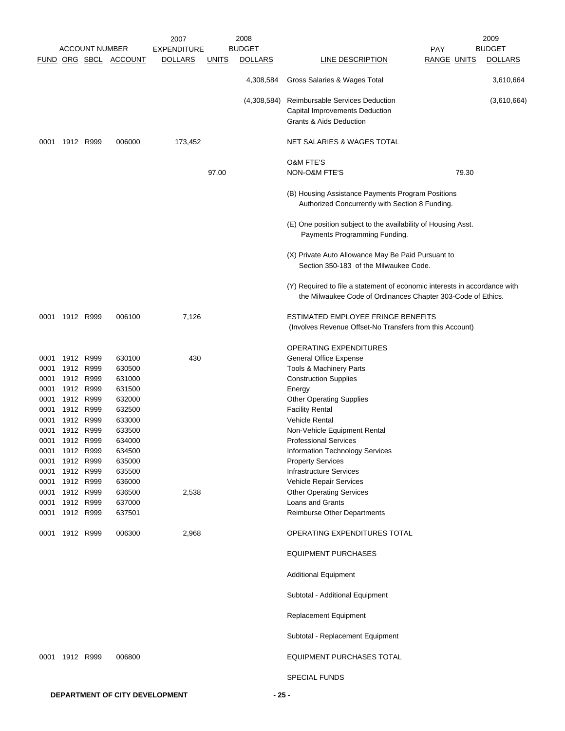|      |                |                       |                       | 2007               |              | 2008           |                                                                                                                                           |                    | 2009           |
|------|----------------|-----------------------|-----------------------|--------------------|--------------|----------------|-------------------------------------------------------------------------------------------------------------------------------------------|--------------------|----------------|
|      |                | <b>ACCOUNT NUMBER</b> |                       | <b>EXPENDITURE</b> |              | <b>BUDGET</b>  |                                                                                                                                           | <b>PAY</b>         | <b>BUDGET</b>  |
|      |                |                       | FUND ORG SBCL ACCOUNT | <b>DOLLARS</b>     | <u>UNITS</u> | <b>DOLLARS</b> | LINE DESCRIPTION                                                                                                                          | <b>RANGE UNITS</b> | <b>DOLLARS</b> |
|      |                |                       |                       |                    |              | 4,308,584      | Gross Salaries & Wages Total                                                                                                              |                    | 3,610,664      |
|      |                |                       |                       |                    |              | (4,308,584)    | <b>Reimbursable Services Deduction</b>                                                                                                    |                    | (3,610,664)    |
|      |                |                       |                       |                    |              |                | Capital Improvements Deduction                                                                                                            |                    |                |
|      |                |                       |                       |                    |              |                | Grants & Aids Deduction                                                                                                                   |                    |                |
| 0001 | 1912 R999      |                       | 006000                | 173,452            |              |                | NET SALARIES & WAGES TOTAL                                                                                                                |                    |                |
|      |                |                       |                       |                    |              |                | <b>O&amp;M FTE'S</b>                                                                                                                      |                    |                |
|      |                |                       |                       |                    | 97.00        |                | NON-O&M FTE'S                                                                                                                             | 79.30              |                |
|      |                |                       |                       |                    |              |                | (B) Housing Assistance Payments Program Positions<br>Authorized Concurrently with Section 8 Funding.                                      |                    |                |
|      |                |                       |                       |                    |              |                | (E) One position subject to the availability of Housing Asst.<br>Payments Programming Funding.                                            |                    |                |
|      |                |                       |                       |                    |              |                | (X) Private Auto Allowance May Be Paid Pursuant to<br>Section 350-183 of the Milwaukee Code.                                              |                    |                |
|      |                |                       |                       |                    |              |                | (Y) Required to file a statement of economic interests in accordance with<br>the Milwaukee Code of Ordinances Chapter 303-Code of Ethics. |                    |                |
| 0001 | 1912 R999      |                       | 006100                | 7,126              |              |                | ESTIMATED EMPLOYEE FRINGE BENEFITS<br>(Involves Revenue Offset-No Transfers from this Account)                                            |                    |                |
|      |                |                       |                       |                    |              |                | OPERATING EXPENDITURES                                                                                                                    |                    |                |
| 0001 | 1912 R999      |                       | 630100                | 430                |              |                | <b>General Office Expense</b>                                                                                                             |                    |                |
| 0001 | 1912 R999      |                       | 630500                |                    |              |                | Tools & Machinery Parts                                                                                                                   |                    |                |
| 0001 | 1912 R999      |                       | 631000                |                    |              |                | <b>Construction Supplies</b>                                                                                                              |                    |                |
| 0001 | 1912 R999      |                       | 631500                |                    |              |                | Energy                                                                                                                                    |                    |                |
| 0001 | 1912 R999      |                       | 632000                |                    |              |                | <b>Other Operating Supplies</b>                                                                                                           |                    |                |
| 0001 | 1912 R999      |                       | 632500                |                    |              |                | <b>Facility Rental</b>                                                                                                                    |                    |                |
| 0001 | 1912 R999      |                       | 633000                |                    |              |                | <b>Vehicle Rental</b>                                                                                                                     |                    |                |
| 0001 | 1912           | R999                  | 633500                |                    |              |                | Non-Vehicle Equipment Rental                                                                                                              |                    |                |
| 0001 | 1912 R999      |                       | 634000                |                    |              |                | <b>Professional Services</b>                                                                                                              |                    |                |
| 0001 | 1912 R999      |                       | 634500                |                    |              |                | Information Technology Services                                                                                                           |                    |                |
| 0001 | 1912 R999      |                       | 635000                |                    |              |                | <b>Property Services</b>                                                                                                                  |                    |                |
| 0001 | 1912 R999      |                       | 635500                |                    |              |                | <b>Infrastructure Services</b>                                                                                                            |                    |                |
| 0001 | 1912 R999      |                       | 636000                |                    |              |                | Vehicle Repair Services                                                                                                                   |                    |                |
| 0001 | 1912 R999      |                       | 636500                | 2,538              |              |                | <b>Other Operating Services</b>                                                                                                           |                    |                |
| 0001 | 1912 R999      |                       | 637000                |                    |              |                | Loans and Grants                                                                                                                          |                    |                |
| 0001 | 1912 R999      |                       | 637501                |                    |              |                | Reimburse Other Departments                                                                                                               |                    |                |
|      | 0001 1912 R999 |                       | 006300                | 2,968              |              |                | OPERATING EXPENDITURES TOTAL                                                                                                              |                    |                |
|      |                |                       |                       |                    |              |                | <b>EQUIPMENT PURCHASES</b>                                                                                                                |                    |                |
|      |                |                       |                       |                    |              |                | <b>Additional Equipment</b>                                                                                                               |                    |                |
|      |                |                       |                       |                    |              |                | Subtotal - Additional Equipment                                                                                                           |                    |                |
|      |                |                       |                       |                    |              |                | Replacement Equipment                                                                                                                     |                    |                |
|      |                |                       |                       |                    |              |                | Subtotal - Replacement Equipment                                                                                                          |                    |                |
|      | 0001 1912 R999 |                       | 006800                |                    |              |                | EQUIPMENT PURCHASES TOTAL                                                                                                                 |                    |                |
|      |                |                       |                       |                    |              |                | <b>SPECIAL FUNDS</b>                                                                                                                      |                    |                |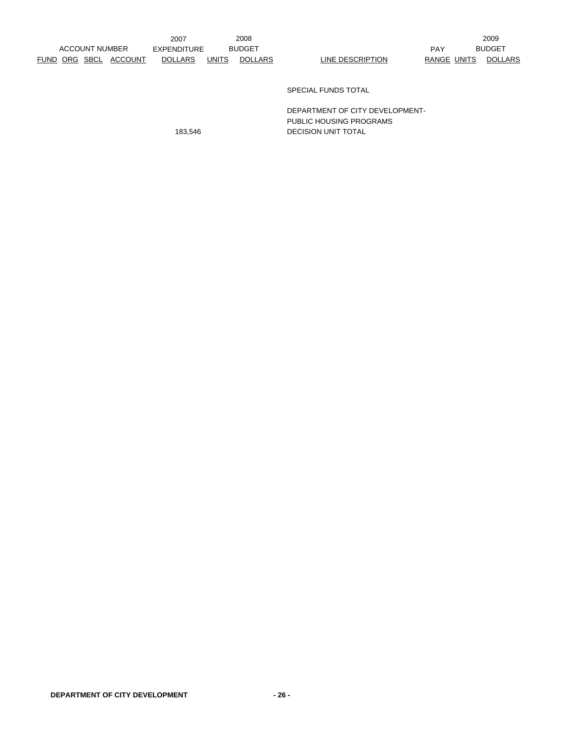2009 BUDGET

SPECIAL FUNDS TOTAL

DEPARTMENT OF CITY DEVELOPMENT-PUBLIC HOUSING PROGRAMS 183,546 DECISION UNIT TOTAL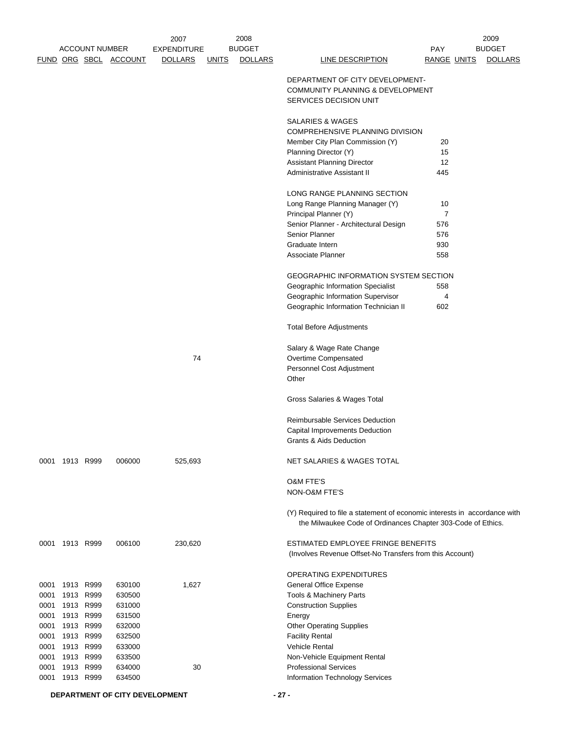|      |                | <b>ACCOUNT NUMBER</b> | FUND ORG SBCL ACCOUNT | 2007<br><b>EXPENDITURE</b><br><b>DOLLARS</b> | <u>UNITS</u> | 2008<br><b>BUDGET</b><br><b>DOLLARS</b> | <b>LINE DESCRIPTION</b>                                                                                                                   | PAY<br><b>RANGE UNITS</b> | 2009<br><b>BUDGET</b><br><b>DOLLARS</b> |
|------|----------------|-----------------------|-----------------------|----------------------------------------------|--------------|-----------------------------------------|-------------------------------------------------------------------------------------------------------------------------------------------|---------------------------|-----------------------------------------|
|      |                |                       |                       |                                              |              |                                         | DEPARTMENT OF CITY DEVELOPMENT-<br>COMMUNITY PLANNING & DEVELOPMENT<br>SERVICES DECISION UNIT                                             |                           |                                         |
|      |                |                       |                       |                                              |              |                                         | <b>SALARIES &amp; WAGES</b><br>COMPREHENSIVE PLANNING DIVISION                                                                            |                           |                                         |
|      |                |                       |                       |                                              |              |                                         | Member City Plan Commission (Y)                                                                                                           | 20                        |                                         |
|      |                |                       |                       |                                              |              |                                         | Planning Director (Y)                                                                                                                     | 15                        |                                         |
|      |                |                       |                       |                                              |              |                                         | <b>Assistant Planning Director</b>                                                                                                        | 12                        |                                         |
|      |                |                       |                       |                                              |              |                                         | Administrative Assistant II                                                                                                               | 445                       |                                         |
|      |                |                       |                       |                                              |              |                                         | LONG RANGE PLANNING SECTION                                                                                                               |                           |                                         |
|      |                |                       |                       |                                              |              |                                         | Long Range Planning Manager (Y)                                                                                                           | 10                        |                                         |
|      |                |                       |                       |                                              |              |                                         | Principal Planner (Y)                                                                                                                     | $\overline{7}$            |                                         |
|      |                |                       |                       |                                              |              |                                         | Senior Planner - Architectural Design                                                                                                     | 576                       |                                         |
|      |                |                       |                       |                                              |              |                                         | Senior Planner                                                                                                                            | 576                       |                                         |
|      |                |                       |                       |                                              |              |                                         | Graduate Intern                                                                                                                           | 930                       |                                         |
|      |                |                       |                       |                                              |              |                                         | Associate Planner                                                                                                                         | 558                       |                                         |
|      |                |                       |                       |                                              |              |                                         | GEOGRAPHIC INFORMATION SYSTEM SECTION                                                                                                     |                           |                                         |
|      |                |                       |                       |                                              |              |                                         | Geographic Information Specialist                                                                                                         | 558                       |                                         |
|      |                |                       |                       |                                              |              |                                         | Geographic Information Supervisor                                                                                                         | 4                         |                                         |
|      |                |                       |                       |                                              |              |                                         | Geographic Information Technician II                                                                                                      | 602                       |                                         |
|      |                |                       |                       |                                              |              |                                         | <b>Total Before Adjustments</b>                                                                                                           |                           |                                         |
|      |                |                       |                       |                                              |              |                                         | Salary & Wage Rate Change                                                                                                                 |                           |                                         |
|      |                |                       |                       | 74                                           |              |                                         | Overtime Compensated                                                                                                                      |                           |                                         |
|      |                |                       |                       |                                              |              |                                         | Personnel Cost Adjustment                                                                                                                 |                           |                                         |
|      |                |                       |                       |                                              |              |                                         | Other                                                                                                                                     |                           |                                         |
|      |                |                       |                       |                                              |              |                                         | Gross Salaries & Wages Total                                                                                                              |                           |                                         |
|      |                |                       |                       |                                              |              |                                         | Reimbursable Services Deduction                                                                                                           |                           |                                         |
|      |                |                       |                       |                                              |              |                                         | Capital Improvements Deduction                                                                                                            |                           |                                         |
|      |                |                       |                       |                                              |              |                                         | Grants & Aids Deduction                                                                                                                   |                           |                                         |
|      | 0001 1913 R999 |                       | 006000                | 525,693                                      |              |                                         | NET SALARIES & WAGES TOTAL                                                                                                                |                           |                                         |
|      |                |                       |                       |                                              |              |                                         | <b>O&amp;M FTE'S</b>                                                                                                                      |                           |                                         |
|      |                |                       |                       |                                              |              |                                         | NON-O&M FTE'S                                                                                                                             |                           |                                         |
|      |                |                       |                       |                                              |              |                                         | (Y) Required to file a statement of economic interests in accordance with<br>the Milwaukee Code of Ordinances Chapter 303-Code of Ethics. |                           |                                         |
|      | 0001 1913 R999 |                       | 006100                | 230,620                                      |              |                                         | ESTIMATED EMPLOYEE FRINGE BENEFITS                                                                                                        |                           |                                         |
|      |                |                       |                       |                                              |              |                                         | (Involves Revenue Offset-No Transfers from this Account)                                                                                  |                           |                                         |
|      |                |                       |                       |                                              |              |                                         | OPERATING EXPENDITURES                                                                                                                    |                           |                                         |
| 0001 |                | 1913 R999             | 630100                | 1,627                                        |              |                                         | General Office Expense                                                                                                                    |                           |                                         |
| 0001 |                | 1913 R999             | 630500                |                                              |              |                                         | Tools & Machinery Parts                                                                                                                   |                           |                                         |
| 0001 | 1913 R999      |                       | 631000                |                                              |              |                                         | <b>Construction Supplies</b>                                                                                                              |                           |                                         |
| 0001 | 1913 R999      |                       | 631500                |                                              |              |                                         | Energy                                                                                                                                    |                           |                                         |
| 0001 |                | 1913 R999             | 632000                |                                              |              |                                         | <b>Other Operating Supplies</b>                                                                                                           |                           |                                         |
| 0001 |                | 1913 R999             | 632500                |                                              |              |                                         | <b>Facility Rental</b>                                                                                                                    |                           |                                         |
| 0001 | 1913 R999      |                       | 633000                |                                              |              |                                         | <b>Vehicle Rental</b>                                                                                                                     |                           |                                         |
| 0001 |                | 1913 R999             | 633500                |                                              |              |                                         | Non-Vehicle Equipment Rental                                                                                                              |                           |                                         |
| 0001 | 1913 R999      |                       | 634000                | 30                                           |              |                                         | <b>Professional Services</b>                                                                                                              |                           |                                         |
| 0001 | 1913 R999      |                       | 634500                |                                              |              |                                         | Information Technology Services                                                                                                           |                           |                                         |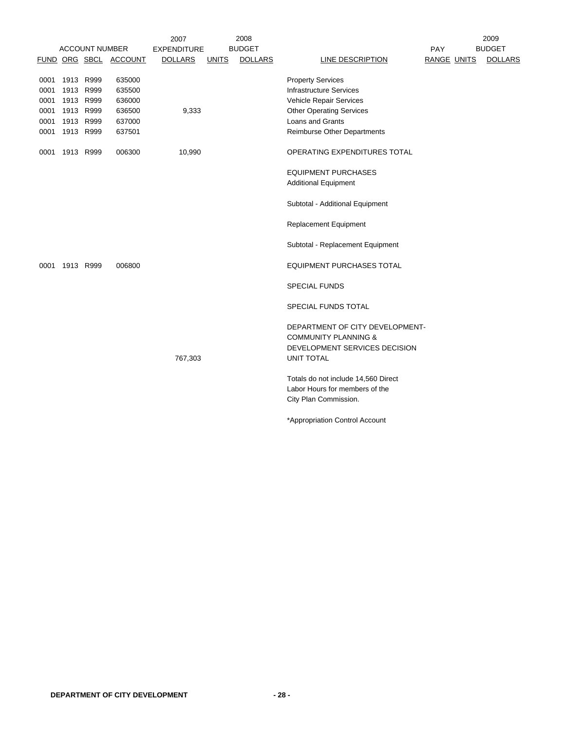|      |           |                       |                       | 2007               |              | 2008           |                                     |                    | 2009           |
|------|-----------|-----------------------|-----------------------|--------------------|--------------|----------------|-------------------------------------|--------------------|----------------|
|      |           | <b>ACCOUNT NUMBER</b> |                       | <b>EXPENDITURE</b> |              | <b>BUDGET</b>  |                                     | PAY                | <b>BUDGET</b>  |
|      |           |                       | FUND ORG SBCL ACCOUNT | <b>DOLLARS</b>     | <b>UNITS</b> | <b>DOLLARS</b> | LINE DESCRIPTION                    | <b>RANGE UNITS</b> | <b>DOLLARS</b> |
|      |           |                       |                       |                    |              |                |                                     |                    |                |
| 0001 | 1913 R999 |                       | 635000                |                    |              |                | <b>Property Services</b>            |                    |                |
| 0001 | 1913 R999 |                       | 635500                |                    |              |                | <b>Infrastructure Services</b>      |                    |                |
| 0001 | 1913 R999 |                       | 636000                |                    |              |                | Vehicle Repair Services             |                    |                |
| 0001 |           | 1913 R999             | 636500                | 9,333              |              |                | <b>Other Operating Services</b>     |                    |                |
| 0001 |           | 1913 R999             | 637000                |                    |              |                | Loans and Grants                    |                    |                |
| 0001 | 1913 R999 |                       | 637501                |                    |              |                | Reimburse Other Departments         |                    |                |
| 0001 |           | 1913 R999             | 006300                | 10,990             |              |                | OPERATING EXPENDITURES TOTAL        |                    |                |
|      |           |                       |                       |                    |              |                | <b>EQUIPMENT PURCHASES</b>          |                    |                |
|      |           |                       |                       |                    |              |                | <b>Additional Equipment</b>         |                    |                |
|      |           |                       |                       |                    |              |                | Subtotal - Additional Equipment     |                    |                |
|      |           |                       |                       |                    |              |                | <b>Replacement Equipment</b>        |                    |                |
|      |           |                       |                       |                    |              |                | Subtotal - Replacement Equipment    |                    |                |
| 0001 | 1913 R999 |                       | 006800                |                    |              |                | <b>EQUIPMENT PURCHASES TOTAL</b>    |                    |                |
|      |           |                       |                       |                    |              |                | <b>SPECIAL FUNDS</b>                |                    |                |
|      |           |                       |                       |                    |              |                | SPECIAL FUNDS TOTAL                 |                    |                |
|      |           |                       |                       |                    |              |                | DEPARTMENT OF CITY DEVELOPMENT-     |                    |                |
|      |           |                       |                       |                    |              |                | <b>COMMUNITY PLANNING &amp;</b>     |                    |                |
|      |           |                       |                       |                    |              |                | DEVELOPMENT SERVICES DECISION       |                    |                |
|      |           |                       |                       | 767,303            |              |                | <b>UNIT TOTAL</b>                   |                    |                |
|      |           |                       |                       |                    |              |                | Totals do not include 14,560 Direct |                    |                |
|      |           |                       |                       |                    |              |                | Labor Hours for members of the      |                    |                |
|      |           |                       |                       |                    |              |                | City Plan Commission.               |                    |                |
|      |           |                       |                       |                    |              |                | *Appropriation Control Account      |                    |                |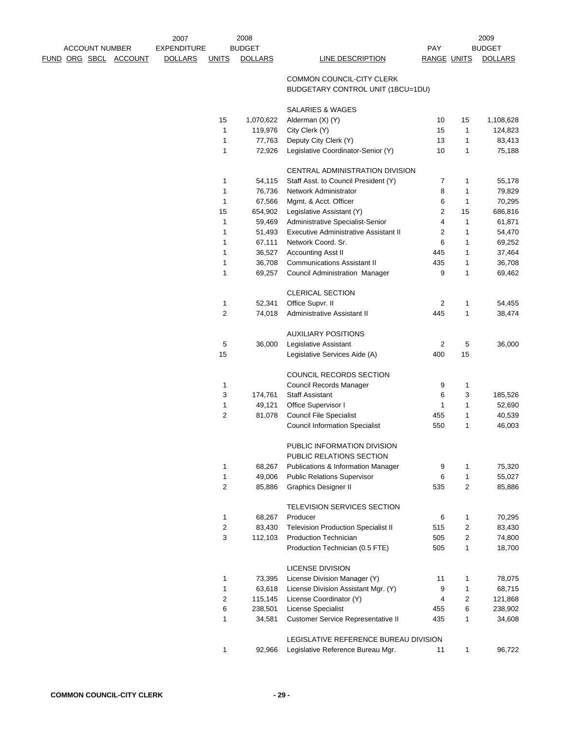|                              | 2007               |                | 2008           |                                                |                    |                | 2009           |
|------------------------------|--------------------|----------------|----------------|------------------------------------------------|--------------------|----------------|----------------|
| <b>ACCOUNT NUMBER</b>        | <b>EXPENDITURE</b> |                | <b>BUDGET</b>  |                                                | <b>PAY</b>         |                | <b>BUDGET</b>  |
| <u>FUND ORG SBCL ACCOUNT</u> | <b>DOLLARS</b>     | <b>UNITS</b>   | <b>DOLLARS</b> | LINE DESCRIPTION                               | <b>RANGE UNITS</b> |                | <b>DOLLARS</b> |
|                              |                    |                |                | COMMON COUNCIL-CITY CLERK                      |                    |                |                |
|                              |                    |                |                | BUDGETARY CONTROL UNIT (1BCU=1DU)              |                    |                |                |
|                              |                    |                |                |                                                |                    |                |                |
|                              |                    |                |                | <b>SALARIES &amp; WAGES</b>                    |                    |                |                |
|                              |                    | 15             | 1,070,622      | Alderman (X) (Y)                               | 10                 | 15             | 1,108,628      |
|                              |                    | $\mathbf{1}$   | 119,976        | City Clerk (Y)                                 | 15                 | 1              | 124,823        |
|                              |                    | 1              | 77,763         | Deputy City Clerk (Y)                          | 13                 | $\mathbf{1}$   | 83,413         |
|                              |                    | 1              | 72,926         | Legislative Coordinator-Senior (Y)             | 10                 | 1              | 75,188         |
|                              |                    |                |                |                                                |                    |                |                |
|                              |                    |                |                | CENTRAL ADMINISTRATION DIVISION                |                    |                |                |
|                              |                    | 1              | 54,115         | Staff Asst. to Council President (Y)           | 7                  | 1              | 55,178         |
|                              |                    | $\mathbf{1}$   | 76,736         | Network Administrator                          | 8                  | 1              | 79,829         |
|                              |                    | 1              | 67,566         | Mgmt. & Acct. Officer                          | 6                  | 1              | 70,295         |
|                              |                    | 15             | 654,902        | Legislative Assistant (Y)                      | 2                  | 15             | 686,816        |
|                              |                    | $\mathbf{1}$   | 59,469         | Administrative Specialist-Senior               | 4                  | 1              | 61,871         |
|                              |                    | 1              | 51,493         | Executive Administrative Assistant II          | 2                  | 1              | 54,470         |
|                              |                    | 1              | 67,111         | Network Coord, Sr.                             | 6                  | 1              | 69,252         |
|                              |                    | 1              | 36,527         | <b>Accounting Asst II</b>                      | 445                | 1              | 37,464         |
|                              |                    | 1              | 36,708         | <b>Communications Assistant II</b>             | 435                | $\mathbf{1}$   | 36,708         |
|                              |                    | 1              | 69,257         | Council Administration Manager                 | 9                  | 1              | 69,462         |
|                              |                    |                |                | <b>CLERICAL SECTION</b>                        |                    |                |                |
|                              |                    | 1              | 52,341         | Office Supvr. II                               | 2                  | 1              | 54,455         |
|                              |                    | $\overline{2}$ | 74,018         | Administrative Assistant II                    | 445                | 1              | 38,474         |
|                              |                    |                |                |                                                |                    |                |                |
|                              |                    |                |                | <b>AUXILIARY POSITIONS</b>                     |                    |                |                |
|                              |                    | 5              | 36,000         | Legislative Assistant                          | 2                  | 5              | 36,000         |
|                              |                    | 15             |                | Legislative Services Aide (A)                  | 400                | 15             |                |
|                              |                    |                |                |                                                |                    |                |                |
|                              |                    |                |                | COUNCIL RECORDS SECTION                        |                    |                |                |
|                              |                    | 1              |                | Council Records Manager                        | 9                  | 1              |                |
|                              |                    | 3              | 174,761        | <b>Staff Assistant</b>                         | 6                  | 3              | 185,526        |
|                              |                    | 1              | 49,121         | Office Supervisor I                            | 1                  | 1              | 52,690         |
|                              |                    | 2              | 81,078         | <b>Council File Specialist</b>                 | 455                | 1              | 40,539         |
|                              |                    |                |                | <b>Council Information Specialist</b>          | 550                | 1              | 46,003         |
|                              |                    |                |                |                                                |                    |                |                |
|                              |                    |                |                | PUBLIC INFORMATION DIVISION                    |                    |                |                |
|                              |                    |                |                | PUBLIC RELATIONS SECTION                       |                    |                |                |
|                              |                    | 1              | 68,267         | Publications & Information Manager             | 9                  | 1              | 75,320         |
|                              |                    | $\mathbf{1}$   | 49,006         | <b>Public Relations Supervisor</b>             | 6                  | $\mathbf{1}$   | 55,027         |
|                              |                    | $\overline{c}$ | 85,886         | Graphics Designer II                           | 535                | $\overline{c}$ | 85,886         |
|                              |                    |                |                |                                                |                    |                |                |
|                              |                    | 1              | 68,267         | <b>TELEVISION SERVICES SECTION</b><br>Producer | 6                  | 1              | 70,295         |
|                              |                    | $\overline{c}$ | 83,430         | <b>Television Production Specialist II</b>     | 515                | 2              | 83,430         |
|                              |                    | 3              | 112,103        | Production Technician                          | 505                | 2              | 74,800         |
|                              |                    |                |                | Production Technician (0.5 FTE)                | 505                | 1              | 18,700         |
|                              |                    |                |                |                                                |                    |                |                |
|                              |                    |                |                | LICENSE DIVISION                               |                    |                |                |
|                              |                    | 1              | 73,395         | License Division Manager (Y)                   | 11                 | $\mathbf{1}$   | 78,075         |
|                              |                    | $\mathbf{1}$   | 63,618         | License Division Assistant Mgr. (Y)            | 9                  | 1              | 68,715         |
|                              |                    | 2              | 115,145        | License Coordinator (Y)                        | 4                  | 2              | 121,868        |
|                              |                    | 6              | 238,501        | License Specialist                             | 455                | 6              | 238,902        |
|                              |                    | 1              | 34,581         | Customer Service Representative II             | 435                | 1              | 34,608         |
|                              |                    |                |                |                                                |                    |                |                |
|                              |                    |                |                | LEGISLATIVE REFERENCE BUREAU DIVISION          |                    |                |                |
|                              |                    | $\mathbf{1}$   | 92,966         | Legislative Reference Bureau Mgr.              | 11                 | $\mathbf{1}$   | 96,722         |
|                              |                    |                |                |                                                |                    |                |                |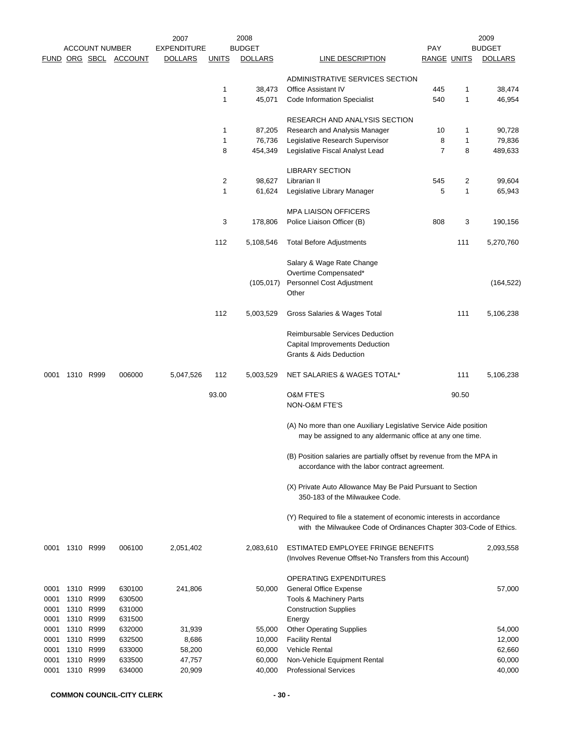|              |           |                                               |                  | 2007                                 |              | 2008                            |                                                                                                                                           |                                  |        | 2009                            |
|--------------|-----------|-----------------------------------------------|------------------|--------------------------------------|--------------|---------------------------------|-------------------------------------------------------------------------------------------------------------------------------------------|----------------------------------|--------|---------------------------------|
|              |           | <b>ACCOUNT NUMBER</b><br><u>FUND ORG SBCL</u> | <b>ACCOUNT</b>   | <b>EXPENDITURE</b><br><b>DOLLARS</b> | <b>UNITS</b> | <b>BUDGET</b><br><b>DOLLARS</b> | <b>LINE DESCRIPTION</b>                                                                                                                   | <b>PAY</b><br><b>RANGE UNITS</b> |        | <b>BUDGET</b><br><b>DOLLARS</b> |
|              |           |                                               |                  |                                      |              |                                 |                                                                                                                                           |                                  |        |                                 |
|              |           |                                               |                  |                                      |              |                                 | ADMINISTRATIVE SERVICES SECTION                                                                                                           |                                  |        |                                 |
|              |           |                                               |                  |                                      | 1            | 38,473                          | <b>Office Assistant IV</b>                                                                                                                | 445                              | 1      | 38,474                          |
|              |           |                                               |                  |                                      | $\mathbf{1}$ | 45,071                          | <b>Code Information Specialist</b>                                                                                                        | 540                              | 1      | 46,954                          |
|              |           |                                               |                  |                                      |              |                                 | RESEARCH AND ANALYSIS SECTION                                                                                                             |                                  |        |                                 |
|              |           |                                               |                  |                                      | 1            | 87,205                          | Research and Analysis Manager                                                                                                             | 10                               | 1      | 90,728                          |
|              |           |                                               |                  |                                      | $\mathbf{1}$ | 76,736                          | Legislative Research Supervisor                                                                                                           | 8                                | 1      | 79,836                          |
|              |           |                                               |                  |                                      | 8            | 454,349                         | Legislative Fiscal Analyst Lead                                                                                                           | $\overline{7}$                   | 8      | 489,633                         |
|              |           |                                               |                  |                                      |              |                                 |                                                                                                                                           |                                  |        |                                 |
|              |           |                                               |                  |                                      | 2            |                                 | <b>LIBRARY SECTION</b>                                                                                                                    |                                  |        |                                 |
|              |           |                                               |                  |                                      | $\mathbf{1}$ | 98,627<br>61,624                | Librarian II<br>Legislative Library Manager                                                                                               | 545<br>5                         | 2<br>1 | 99,604<br>65,943                |
|              |           |                                               |                  |                                      |              |                                 |                                                                                                                                           |                                  |        |                                 |
|              |           |                                               |                  |                                      |              |                                 | <b>MPA LIAISON OFFICERS</b>                                                                                                               |                                  |        |                                 |
|              |           |                                               |                  |                                      | 3            | 178,806                         | Police Liaison Officer (B)                                                                                                                | 808                              | 3      | 190,156                         |
|              |           |                                               |                  |                                      |              |                                 |                                                                                                                                           |                                  |        |                                 |
|              |           |                                               |                  |                                      | 112          | 5,108,546                       | <b>Total Before Adjustments</b>                                                                                                           |                                  | 111    | 5,270,760                       |
|              |           |                                               |                  |                                      |              |                                 | Salary & Wage Rate Change                                                                                                                 |                                  |        |                                 |
|              |           |                                               |                  |                                      |              |                                 | Overtime Compensated*                                                                                                                     |                                  |        |                                 |
|              |           |                                               |                  |                                      |              | (105, 017)                      | Personnel Cost Adjustment                                                                                                                 |                                  |        | (164, 522)                      |
|              |           |                                               |                  |                                      |              |                                 | Other                                                                                                                                     |                                  |        |                                 |
|              |           |                                               |                  |                                      | 112          | 5,003,529                       | Gross Salaries & Wages Total                                                                                                              |                                  | 111    | 5,106,238                       |
|              |           |                                               |                  |                                      |              |                                 |                                                                                                                                           |                                  |        |                                 |
|              |           |                                               |                  |                                      |              |                                 | Reimbursable Services Deduction                                                                                                           |                                  |        |                                 |
|              |           |                                               |                  |                                      |              |                                 | Capital Improvements Deduction<br>Grants & Aids Deduction                                                                                 |                                  |        |                                 |
|              |           |                                               |                  |                                      |              |                                 |                                                                                                                                           |                                  |        |                                 |
| 0001         |           | 1310 R999                                     | 006000           | 5,047,526                            | 112          | 5,003,529                       | NET SALARIES & WAGES TOTAL*                                                                                                               |                                  | 111    | 5,106,238                       |
|              |           |                                               |                  |                                      | 93.00        |                                 | <b>O&amp;M FTE'S</b>                                                                                                                      |                                  | 90.50  |                                 |
|              |           |                                               |                  |                                      |              |                                 | NON-O&M FTE'S                                                                                                                             |                                  |        |                                 |
|              |           |                                               |                  |                                      |              |                                 |                                                                                                                                           |                                  |        |                                 |
|              |           |                                               |                  |                                      |              |                                 | (A) No more than one Auxiliary Legislative Service Aide position<br>may be assigned to any aldermanic office at any one time.             |                                  |        |                                 |
|              |           |                                               |                  |                                      |              |                                 |                                                                                                                                           |                                  |        |                                 |
|              |           |                                               |                  |                                      |              |                                 | (B) Position salaries are partially offset by revenue from the MPA in<br>accordance with the labor contract agreement.                    |                                  |        |                                 |
|              |           |                                               |                  |                                      |              |                                 |                                                                                                                                           |                                  |        |                                 |
|              |           |                                               |                  |                                      |              |                                 | (X) Private Auto Allowance May Be Paid Pursuant to Section<br>350-183 of the Milwaukee Code.                                              |                                  |        |                                 |
|              |           |                                               |                  |                                      |              |                                 |                                                                                                                                           |                                  |        |                                 |
|              |           |                                               |                  |                                      |              |                                 | (Y) Required to file a statement of economic interests in accordance<br>with the Milwaukee Code of Ordinances Chapter 303-Code of Ethics. |                                  |        |                                 |
|              |           |                                               |                  |                                      |              |                                 |                                                                                                                                           |                                  |        |                                 |
| 0001         | 1310 R999 |                                               | 006100           | 2,051,402                            |              | 2,083,610                       | ESTIMATED EMPLOYEE FRINGE BENEFITS                                                                                                        |                                  |        | 2,093,558                       |
|              |           |                                               |                  |                                      |              |                                 | (Involves Revenue Offset-No Transfers from this Account)                                                                                  |                                  |        |                                 |
|              |           |                                               |                  |                                      |              |                                 | OPERATING EXPENDITURES                                                                                                                    |                                  |        |                                 |
| 0001         |           | 1310 R999                                     | 630100           | 241,806                              |              | 50,000                          | <b>General Office Expense</b>                                                                                                             |                                  |        | 57,000                          |
| 0001         | 1310      | R999                                          | 630500           |                                      |              |                                 | Tools & Machinery Parts                                                                                                                   |                                  |        |                                 |
| 0001         |           | 1310 R999                                     | 631000           |                                      |              |                                 | <b>Construction Supplies</b>                                                                                                              |                                  |        |                                 |
| 0001         |           | 1310 R999                                     | 631500           |                                      |              |                                 | Energy                                                                                                                                    |                                  |        |                                 |
| 0001         | 1310      | R999                                          | 632000           | 31,939                               |              | 55,000                          | <b>Other Operating Supplies</b>                                                                                                           |                                  |        | 54,000                          |
| 0001<br>0001 | 1310      | 1310 R999<br>R999                             | 632500<br>633000 | 8,686<br>58,200                      |              | 10,000<br>60,000                | <b>Facility Rental</b><br>Vehicle Rental                                                                                                  |                                  |        | 12,000<br>62,660                |
| 0001         | 1310      | R999                                          | 633500           | 47,757                               |              | 60,000                          | Non-Vehicle Equipment Rental                                                                                                              |                                  |        | 60,000                          |
| 0001         | 1310 R999 |                                               | 634000           | 20,909                               |              | 40,000                          | <b>Professional Services</b>                                                                                                              |                                  |        | 40,000                          |
|              |           |                                               |                  |                                      |              |                                 |                                                                                                                                           |                                  |        |                                 |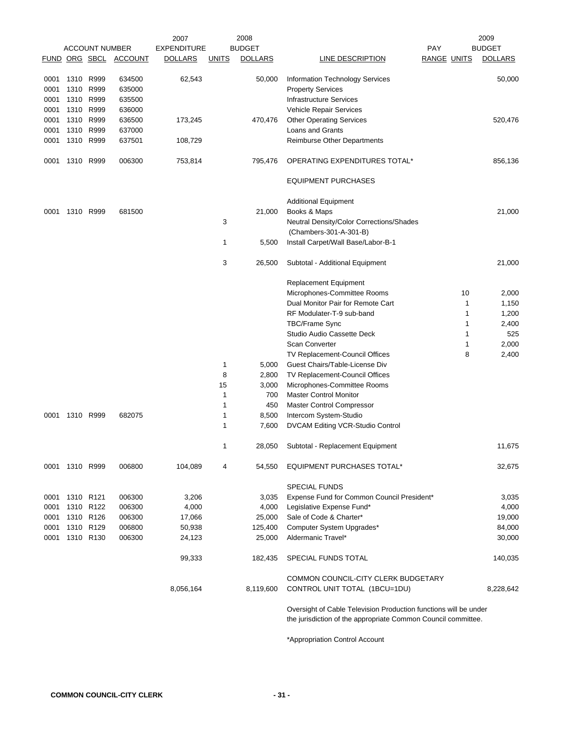|      |           | <b>ACCOUNT NUMBER</b> |                       | 2007<br><b>EXPENDITURE</b> |              | 2008<br><b>BUDGET</b> |                                                                                                                                   | <b>PAY</b>         |        | 2009<br><b>BUDGET</b> |
|------|-----------|-----------------------|-----------------------|----------------------------|--------------|-----------------------|-----------------------------------------------------------------------------------------------------------------------------------|--------------------|--------|-----------------------|
|      |           |                       | FUND ORG SBCL ACCOUNT | <b>DOLLARS</b>             | <b>UNITS</b> | <b>DOLLARS</b>        | LINE DESCRIPTION                                                                                                                  | <b>RANGE UNITS</b> |        | <b>DOLLARS</b>        |
| 0001 | 1310 R999 |                       | 634500                | 62,543                     |              | 50,000                | Information Technology Services                                                                                                   |                    |        | 50,000                |
| 0001 |           | 1310 R999             | 635000                |                            |              |                       | <b>Property Services</b>                                                                                                          |                    |        |                       |
| 0001 | 1310 R999 |                       | 635500                |                            |              |                       | <b>Infrastructure Services</b>                                                                                                    |                    |        |                       |
| 0001 | 1310 R999 |                       | 636000                |                            |              |                       | Vehicle Repair Services                                                                                                           |                    |        |                       |
| 0001 |           | 1310 R999             | 636500                | 173,245                    |              | 470,476               | <b>Other Operating Services</b>                                                                                                   |                    |        | 520,476               |
| 0001 | 1310 R999 |                       | 637000                |                            |              |                       | Loans and Grants                                                                                                                  |                    |        |                       |
| 0001 |           | 1310 R999             | 637501                | 108,729                    |              |                       | <b>Reimburse Other Departments</b>                                                                                                |                    |        |                       |
| 0001 | 1310 R999 |                       | 006300                | 753,814                    |              | 795,476               | OPERATING EXPENDITURES TOTAL*                                                                                                     |                    |        | 856,136               |
|      |           |                       |                       |                            |              |                       | <b>EQUIPMENT PURCHASES</b>                                                                                                        |                    |        |                       |
|      |           |                       |                       |                            |              |                       | <b>Additional Equipment</b>                                                                                                       |                    |        |                       |
| 0001 | 1310 R999 |                       | 681500                |                            |              | 21,000                | Books & Maps                                                                                                                      |                    |        | 21,000                |
|      |           |                       |                       |                            | 3            |                       | Neutral Density/Color Corrections/Shades                                                                                          |                    |        |                       |
|      |           |                       |                       |                            |              |                       | (Chambers-301-A-301-B)                                                                                                            |                    |        |                       |
|      |           |                       |                       |                            | 1            | 5,500                 | Install Carpet/Wall Base/Labor-B-1                                                                                                |                    |        |                       |
|      |           |                       |                       |                            | 3            | 26,500                | Subtotal - Additional Equipment                                                                                                   |                    |        | 21,000                |
|      |           |                       |                       |                            |              |                       | <b>Replacement Equipment</b>                                                                                                      |                    |        |                       |
|      |           |                       |                       |                            |              |                       | Microphones-Committee Rooms                                                                                                       |                    | 10     | 2,000                 |
|      |           |                       |                       |                            |              |                       | Dual Monitor Pair for Remote Cart                                                                                                 |                    | 1      | 1,150                 |
|      |           |                       |                       |                            |              |                       | RF Modulater-T-9 sub-band                                                                                                         |                    | 1      | 1,200                 |
|      |           |                       |                       |                            |              |                       | <b>TBC/Frame Sync</b>                                                                                                             |                    | 1      | 2,400                 |
|      |           |                       |                       |                            |              |                       | Studio Audio Cassette Deck<br><b>Scan Converter</b>                                                                               |                    | 1      | 525                   |
|      |           |                       |                       |                            |              |                       | TV Replacement-Council Offices                                                                                                    |                    | 1<br>8 | 2,000<br>2,400        |
|      |           |                       |                       |                            | 1            | 5,000                 | Guest Chairs/Table-License Div                                                                                                    |                    |        |                       |
|      |           |                       |                       |                            | 8            | 2,800                 | TV Replacement-Council Offices                                                                                                    |                    |        |                       |
|      |           |                       |                       |                            | 15           | 3,000                 | Microphones-Committee Rooms                                                                                                       |                    |        |                       |
|      |           |                       |                       |                            | 1            | 700                   | <b>Master Control Monitor</b>                                                                                                     |                    |        |                       |
|      |           |                       |                       |                            | 1            | 450                   | Master Control Compressor                                                                                                         |                    |        |                       |
| 0001 | 1310 R999 |                       | 682075                |                            | 1            | 8,500                 | Intercom System-Studio                                                                                                            |                    |        |                       |
|      |           |                       |                       |                            | 1            | 7,600                 | DVCAM Editing VCR-Studio Control                                                                                                  |                    |        |                       |
|      |           |                       |                       |                            | 1            | 28,050                | Subtotal - Replacement Equipment                                                                                                  |                    |        | 11,675                |
| 0001 | 1310 R999 |                       | 006800                | 104,089                    | 4            | 54,550                | <b>EQUIPMENT PURCHASES TOTAL*</b>                                                                                                 |                    |        | 32,675                |
|      |           |                       |                       |                            |              |                       | <b>SPECIAL FUNDS</b>                                                                                                              |                    |        |                       |
| 0001 | 1310 R121 |                       | 006300                | 3,206                      |              | 3,035                 | Expense Fund for Common Council President*                                                                                        |                    |        | 3,035                 |
| 0001 | 1310 R122 |                       | 006300                | 4,000                      |              | 4,000                 | Legislative Expense Fund*                                                                                                         |                    |        | 4,000                 |
| 0001 | 1310 R126 |                       | 006300                | 17,066                     |              | 25,000                | Sale of Code & Charter*                                                                                                           |                    |        | 19,000                |
| 0001 | 1310 R129 |                       | 006800                | 50,938                     |              | 125,400               | Computer System Upgrades*                                                                                                         |                    |        | 84,000                |
| 0001 |           | 1310 R130             | 006300                | 24,123                     |              | 25,000                | Aldermanic Travel*                                                                                                                |                    |        | 30,000                |
|      |           |                       |                       | 99,333                     |              | 182,435               | SPECIAL FUNDS TOTAL                                                                                                               |                    |        | 140,035               |
|      |           |                       |                       | 8,056,164                  |              | 8,119,600             | COMMON COUNCIL-CITY CLERK BUDGETARY<br>CONTROL UNIT TOTAL (1BCU=1DU)                                                              |                    |        | 8,228,642             |
|      |           |                       |                       |                            |              |                       | Oversight of Cable Television Production functions will be under<br>the jurisdiction of the appropriate Common Council committee. |                    |        |                       |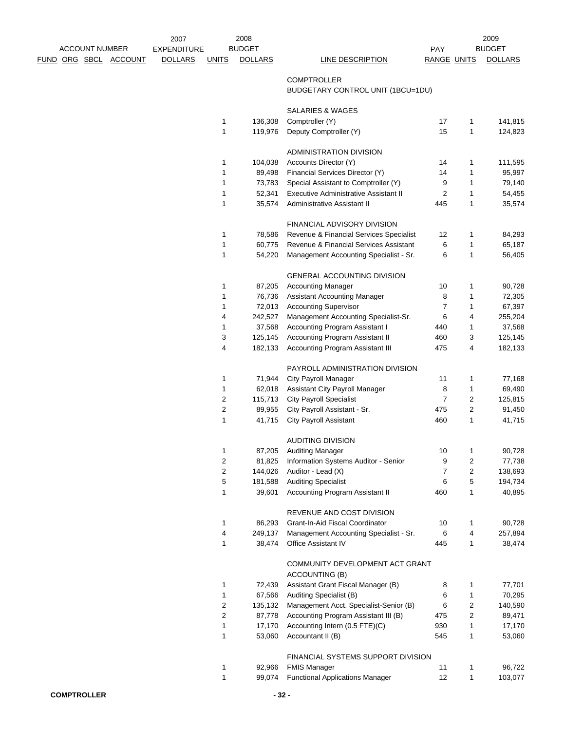|  | <b>ACCOUNT NUMBER</b> |                              | 2007<br><b>EXPENDITURE</b> |                         | 2008<br><b>BUDGET</b> |                                                         | <b>PAY</b>         |   | 2009<br><b>BUDGET</b> |
|--|-----------------------|------------------------------|----------------------------|-------------------------|-----------------------|---------------------------------------------------------|--------------------|---|-----------------------|
|  |                       | <u>FUND ORG SBCL ACCOUNT</u> | <b>DOLLARS</b>             | <b>UNITS</b>            | <b>DOLLARS</b>        | <b>LINE DESCRIPTION</b>                                 | <b>RANGE UNITS</b> |   | <b>DOLLARS</b>        |
|  |                       |                              |                            |                         |                       | <b>COMPTROLLER</b><br>BUDGETARY CONTROL UNIT (1BCU=1DU) |                    |   |                       |
|  |                       |                              |                            |                         |                       | SALARIES & WAGES                                        |                    |   |                       |
|  |                       |                              |                            | $\mathbf{1}$            | 136,308               | Comptroller (Y)                                         | 17                 | 1 | 141,815               |
|  |                       |                              |                            | $\mathbf{1}$            | 119,976               | Deputy Comptroller (Y)                                  | 15                 | 1 | 124,823               |
|  |                       |                              |                            |                         |                       | ADMINISTRATION DIVISION                                 |                    |   |                       |
|  |                       |                              |                            | 1                       | 104,038               | Accounts Director (Y)                                   | 14                 | 1 | 111,595               |
|  |                       |                              |                            | 1                       | 89,498                | Financial Services Director (Y)                         | 14                 | 1 | 95,997                |
|  |                       |                              |                            | 1                       | 73,783                | Special Assistant to Comptroller (Y)                    | 9                  | 1 | 79,140                |
|  |                       |                              |                            | $\mathbf{1}$            | 52,341                | Executive Administrative Assistant II                   | 2                  | 1 | 54,455                |
|  |                       |                              |                            | 1                       | 35,574                | Administrative Assistant II                             | 445                | 1 | 35,574                |
|  |                       |                              |                            |                         |                       | FINANCIAL ADVISORY DIVISION                             |                    |   |                       |
|  |                       |                              |                            | 1                       | 78,586                | Revenue & Financial Services Specialist                 | 12                 | 1 | 84,293                |
|  |                       |                              |                            | $\mathbf{1}$            | 60,775                | Revenue & Financial Services Assistant                  | 6                  | 1 | 65,187                |
|  |                       |                              |                            | 1                       | 54,220                | Management Accounting Specialist - Sr.                  | 6                  | 1 | 56,405                |
|  |                       |                              |                            |                         |                       | <b>GENERAL ACCOUNTING DIVISION</b>                      |                    |   |                       |
|  |                       |                              |                            | 1                       | 87,205                | <b>Accounting Manager</b>                               | 10                 | 1 | 90,728                |
|  |                       |                              |                            | 1                       | 76,736                | <b>Assistant Accounting Manager</b>                     | 8                  | 1 | 72,305                |
|  |                       |                              |                            | 1                       | 72,013                | <b>Accounting Supervisor</b>                            | $\overline{7}$     | 1 | 67,397                |
|  |                       |                              |                            | 4                       | 242,527               | Management Accounting Specialist-Sr.                    | 6                  | 4 | 255,204               |
|  |                       |                              |                            | 1                       | 37,568                | Accounting Program Assistant I                          | 440                | 1 | 37,568                |
|  |                       |                              |                            | 3                       | 125,145               | Accounting Program Assistant II                         | 460                | 3 | 125,145               |
|  |                       |                              |                            | 4                       | 182,133               | Accounting Program Assistant III                        | 475                | 4 | 182,133               |
|  |                       |                              |                            |                         |                       | PAYROLL ADMINISTRATION DIVISION                         |                    |   |                       |
|  |                       |                              |                            | 1                       | 71,944                | <b>City Payroll Manager</b>                             | 11                 | 1 | 77,168                |
|  |                       |                              |                            | 1                       | 62,018                | Assistant City Payroll Manager                          | 8                  | 1 | 69,490                |
|  |                       |                              |                            | 2                       | 115,713               | <b>City Payroll Specialist</b>                          | 7                  | 2 | 125,815               |
|  |                       |                              |                            | $\overline{\mathbf{c}}$ | 89,955                | City Payroll Assistant - Sr.                            | 475                | 2 | 91,450                |
|  |                       |                              |                            | 1                       | 41,715                | <b>City Payroll Assistant</b>                           | 460                | 1 | 41,715                |
|  |                       |                              |                            |                         |                       | <b>AUDITING DIVISION</b>                                |                    |   |                       |
|  |                       |                              |                            | 1                       | 87,205                | <b>Auditing Manager</b>                                 | 10                 | 1 | 90,728                |
|  |                       |                              |                            | $\overline{c}$          | 81,825                | Information Systems Auditor - Senior                    | 9                  | 2 | 77,738                |
|  |                       |                              |                            | 2                       | 144,026               | Auditor - Lead (X)                                      | 7                  | 2 | 138,693               |
|  |                       |                              |                            | 5                       | 181,588               | <b>Auditing Specialist</b>                              | 6                  | 5 | 194,734               |
|  |                       |                              |                            | 1                       | 39,601                | Accounting Program Assistant II                         | 460                | 1 | 40,895                |
|  |                       |                              |                            |                         |                       | REVENUE AND COST DIVISION                               |                    |   |                       |
|  |                       |                              |                            | 1                       | 86,293                | Grant-In-Aid Fiscal Coordinator                         | 10                 | 1 | 90,728                |
|  |                       |                              |                            | 4                       | 249,137               | Management Accounting Specialist - Sr.                  | 6                  | 4 | 257,894               |
|  |                       |                              |                            | 1                       | 38,474                | Office Assistant IV                                     | 445                | 1 | 38,474                |
|  |                       |                              |                            |                         |                       | COMMUNITY DEVELOPMENT ACT GRANT<br>ACCOUNTING (B)       |                    |   |                       |
|  |                       |                              |                            | 1                       | 72,439                | Assistant Grant Fiscal Manager (B)                      | 8                  | 1 | 77,701                |
|  |                       |                              |                            | $\mathbf{1}$            | 67,566                | Auditing Specialist (B)                                 | 6                  | 1 | 70,295                |
|  |                       |                              |                            | $\overline{2}$          | 135,132               | Management Acct. Specialist-Senior (B)                  | 6                  | 2 | 140,590               |
|  |                       |                              |                            | 2                       | 87,778                | Accounting Program Assistant III (B)                    | 475                | 2 | 89,471                |
|  |                       |                              |                            | $\mathbf{1}$            | 17,170                | Accounting Intern (0.5 FTE)(C)                          | 930                | 1 | 17,170                |
|  |                       |                              |                            | 1                       | 53,060                | Accountant II (B)                                       | 545                | 1 | 53,060                |
|  |                       |                              |                            |                         |                       | FINANCIAL SYSTEMS SUPPORT DIVISION                      |                    |   |                       |
|  |                       |                              |                            | 1                       | 92,966                | <b>FMIS Manager</b>                                     | 11                 | 1 | 96,722                |
|  |                       |                              |                            | 1                       | 99,074                | <b>Functional Applications Manager</b>                  | 12                 | 1 | 103,077               |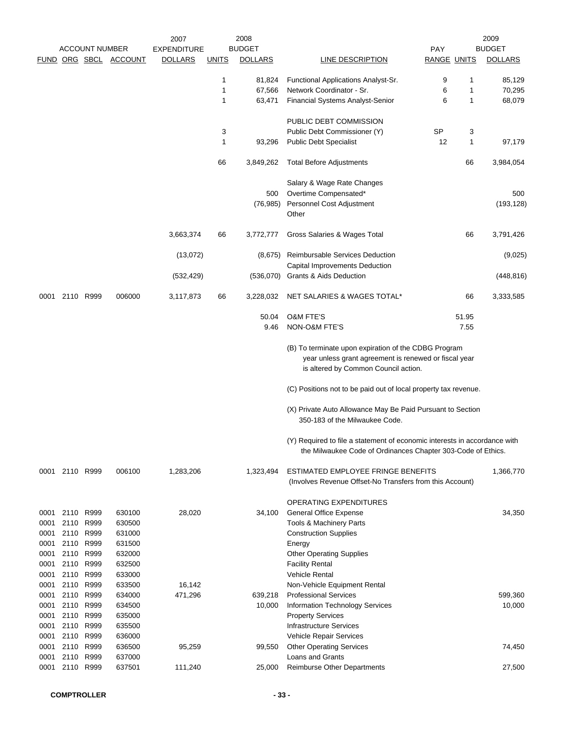|              |              | <b>ACCOUNT NUMBER</b> | FUND ORG SBCL ACCOUNT | 2007<br><b>EXPENDITURE</b><br><b>DOLLARS</b> | <b>UNITS</b> | 2008<br><b>BUDGET</b><br><b>DOLLARS</b> | <b>LINE DESCRIPTION</b>                                                                                                                               | <b>PAY</b><br><b>RANGE UNITS</b> |        | 2009<br><b>BUDGET</b><br><b>DOLLARS</b> |
|--------------|--------------|-----------------------|-----------------------|----------------------------------------------|--------------|-----------------------------------------|-------------------------------------------------------------------------------------------------------------------------------------------------------|----------------------------------|--------|-----------------------------------------|
|              |              |                       |                       |                                              |              |                                         |                                                                                                                                                       |                                  |        |                                         |
|              |              |                       |                       |                                              | 1<br>1       | 81,824<br>67,566                        | Functional Applications Analyst-Sr.<br>Network Coordinator - Sr.                                                                                      | 9<br>6                           | 1<br>1 | 85,129<br>70,295                        |
|              |              |                       |                       |                                              | 1            | 63,471                                  | <b>Financial Systems Analyst-Senior</b>                                                                                                               | 6                                | 1      | 68,079                                  |
|              |              |                       |                       |                                              |              |                                         | PUBLIC DEBT COMMISSION                                                                                                                                |                                  |        |                                         |
|              |              |                       |                       |                                              | 3            |                                         | Public Debt Commissioner (Y)                                                                                                                          | SP                               | 3      |                                         |
|              |              |                       |                       |                                              | 1            | 93,296                                  | <b>Public Debt Specialist</b>                                                                                                                         | 12                               | 1      | 97,179                                  |
|              |              |                       |                       |                                              | 66           | 3,849,262                               | <b>Total Before Adjustments</b>                                                                                                                       |                                  | 66     | 3,984,054                               |
|              |              |                       |                       |                                              |              |                                         | Salary & Wage Rate Changes                                                                                                                            |                                  |        |                                         |
|              |              |                       |                       |                                              |              | 500                                     | Overtime Compensated*                                                                                                                                 |                                  |        | 500                                     |
|              |              |                       |                       |                                              |              | (76, 985)                               | Personnel Cost Adjustment                                                                                                                             |                                  |        | (193, 128)                              |
|              |              |                       |                       |                                              |              |                                         | Other                                                                                                                                                 |                                  |        |                                         |
|              |              |                       |                       | 3,663,374                                    | 66           | 3,772,777                               | Gross Salaries & Wages Total                                                                                                                          |                                  | 66     | 3,791,426                               |
|              |              |                       |                       | (13,072)                                     |              | (8,675)                                 | Reimbursable Services Deduction<br>Capital Improvements Deduction                                                                                     |                                  |        | (9,025)                                 |
|              |              |                       |                       | (532, 429)                                   |              | (536,070)                               | Grants & Aids Deduction                                                                                                                               |                                  |        | (448, 816)                              |
| 0001         |              | 2110 R999             | 006000                | 3,117,873                                    | 66           | 3,228,032                               | NET SALARIES & WAGES TOTAL*                                                                                                                           |                                  | 66     | 3,333,585                               |
|              |              |                       |                       |                                              |              | 50.04                                   | <b>O&amp;M FTE'S</b>                                                                                                                                  |                                  | 51.95  |                                         |
|              |              |                       |                       |                                              |              | 9.46                                    | NON-O&M FTE'S                                                                                                                                         |                                  | 7.55   |                                         |
|              |              |                       |                       |                                              |              |                                         | (B) To terminate upon expiration of the CDBG Program<br>year unless grant agreement is renewed or fiscal year<br>is altered by Common Council action. |                                  |        |                                         |
|              |              |                       |                       |                                              |              |                                         | (C) Positions not to be paid out of local property tax revenue.                                                                                       |                                  |        |                                         |
|              |              |                       |                       |                                              |              |                                         | (X) Private Auto Allowance May Be Paid Pursuant to Section<br>350-183 of the Milwaukee Code.                                                          |                                  |        |                                         |
|              |              |                       |                       |                                              |              |                                         | (Y) Required to file a statement of economic interests in accordance with<br>the Milwaukee Code of Ordinances Chapter 303-Code of Ethics.             |                                  |        |                                         |
| 0001         | 2110 R999    |                       | 006100                | 1,283,206                                    |              | 1,323,494                               | ESTIMATED EMPLOYEE FRINGE BENEFITS<br>(Involves Revenue Offset-No Transfers from this Account)                                                        |                                  |        | 1,366,770                               |
|              |              |                       |                       |                                              |              |                                         | <b>OPERATING EXPENDITURES</b>                                                                                                                         |                                  |        |                                         |
| 0001         |              | 2110 R999             | 630100                | 28,020                                       |              | 34,100                                  | <b>General Office Expense</b>                                                                                                                         |                                  |        | 34,350                                  |
| 0001         | 2110         | R999                  | 630500                |                                              |              |                                         | Tools & Machinery Parts                                                                                                                               |                                  |        |                                         |
| 0001         | 2110         | R999                  | 631000                |                                              |              |                                         | <b>Construction Supplies</b>                                                                                                                          |                                  |        |                                         |
| 0001         | 2110         | R999                  | 631500                |                                              |              |                                         | Energy                                                                                                                                                |                                  |        |                                         |
| 0001         | 2110         | R999                  | 632000                |                                              |              |                                         | <b>Other Operating Supplies</b>                                                                                                                       |                                  |        |                                         |
| 0001         | 2110         | R999                  | 632500                |                                              |              |                                         | <b>Facility Rental</b>                                                                                                                                |                                  |        |                                         |
| 0001<br>0001 | 2110<br>2110 | R999<br>R999          | 633000<br>633500      | 16,142                                       |              |                                         | <b>Vehicle Rental</b><br>Non-Vehicle Equipment Rental                                                                                                 |                                  |        |                                         |
| 0001         | 2110         | R999                  | 634000                | 471,296                                      |              | 639,218                                 | <b>Professional Services</b>                                                                                                                          |                                  |        | 599,360                                 |
| 0001         | 2110         | R999                  | 634500                |                                              |              | 10,000                                  | <b>Information Technology Services</b>                                                                                                                |                                  |        | 10,000                                  |
| 0001         | 2110         | R999                  | 635000                |                                              |              |                                         | <b>Property Services</b>                                                                                                                              |                                  |        |                                         |
| 0001         | 2110         | R999                  | 635500                |                                              |              |                                         | <b>Infrastructure Services</b>                                                                                                                        |                                  |        |                                         |
| 0001         | 2110         | R999                  | 636000                |                                              |              |                                         | Vehicle Repair Services                                                                                                                               |                                  |        |                                         |
| 0001         | 2110         | R999                  | 636500                | 95,259                                       |              | 99,550                                  | <b>Other Operating Services</b>                                                                                                                       |                                  |        | 74,450                                  |
| 0001         | 2110         | R999                  | 637000                |                                              |              |                                         | Loans and Grants                                                                                                                                      |                                  |        |                                         |
| 0001         |              | 2110 R999             | 637501                | 111,240                                      |              | 25,000                                  | <b>Reimburse Other Departments</b>                                                                                                                    |                                  |        | 27,500                                  |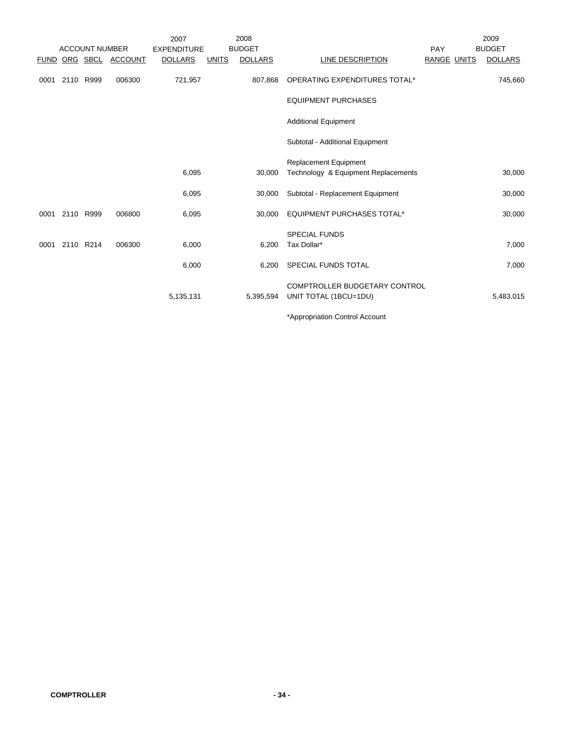|      |           | <b>ACCOUNT NUMBER</b> |                       | 2007<br><b>EXPENDITURE</b> |              | 2008<br><b>BUDGET</b> |                                     | PAY         | 2009<br><b>BUDGET</b> |
|------|-----------|-----------------------|-----------------------|----------------------------|--------------|-----------------------|-------------------------------------|-------------|-----------------------|
|      |           |                       | FUND ORG SBCL ACCOUNT | <b>DOLLARS</b>             | <b>UNITS</b> | <b>DOLLARS</b>        | LINE DESCRIPTION                    | RANGE UNITS | <b>DOLLARS</b>        |
| 0001 | 2110 R999 |                       | 006300                | 721,957                    |              | 807,868               | OPERATING EXPENDITURES TOTAL*       |             | 745,660               |
|      |           |                       |                       |                            |              |                       | <b>EQUIPMENT PURCHASES</b>          |             |                       |
|      |           |                       |                       |                            |              |                       | <b>Additional Equipment</b>         |             |                       |
|      |           |                       |                       |                            |              |                       | Subtotal - Additional Equipment     |             |                       |
|      |           |                       |                       |                            |              |                       | <b>Replacement Equipment</b>        |             |                       |
|      |           |                       |                       | 6,095                      |              | 30,000                | Technology & Equipment Replacements |             | 30,000                |
|      |           |                       |                       | 6,095                      |              | 30,000                | Subtotal - Replacement Equipment    |             | 30,000                |
| 0001 | 2110 R999 |                       | 006800                | 6,095                      |              | 30,000                | <b>EQUIPMENT PURCHASES TOTAL*</b>   |             | 30,000                |
|      |           |                       |                       |                            |              |                       | <b>SPECIAL FUNDS</b>                |             |                       |
| 0001 | 2110 R214 |                       | 006300                | 6,000                      |              | 6,200                 | Tax Dollar*                         |             | 7,000                 |
|      |           |                       |                       | 6,000                      |              | 6,200                 | SPECIAL FUNDS TOTAL                 |             | 7,000                 |
|      |           |                       |                       |                            |              |                       | COMPTROLLER BUDGETARY CONTROL       |             |                       |
|      |           |                       |                       | 5,135,131                  |              | 5,395,594             | UNIT TOTAL (1BCU=1DU)               |             | 5,483,015             |
|      |           |                       |                       |                            |              |                       | $*$ Anneonsiotion Control Account   |             |                       |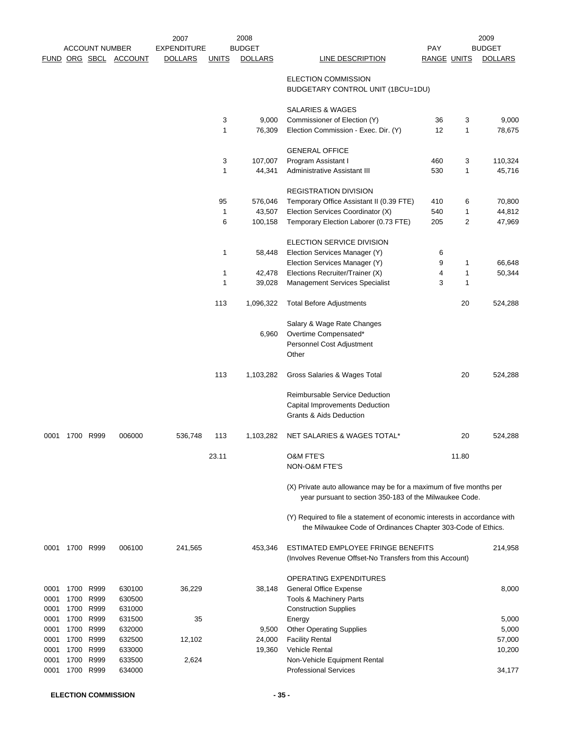|      |           | <b>ACCOUNT NUMBER</b><br><u>FUND ORG SBCL</u> | <b>ACCOUNT</b> | 2007<br><b>EXPENDITURE</b><br><b>DOLLARS</b> | <u>UNITS</u> | 2008<br><b>BUDGET</b><br><b>DOLLARS</b> | LINE DESCRIPTION                                                                                                                          | <b>PAY</b><br><b>RANGE UNITS</b> |                | 2009<br><b>BUDGET</b><br><b>DOLLARS</b> |
|------|-----------|-----------------------------------------------|----------------|----------------------------------------------|--------------|-----------------------------------------|-------------------------------------------------------------------------------------------------------------------------------------------|----------------------------------|----------------|-----------------------------------------|
|      |           |                                               |                |                                              |              |                                         | ELECTION COMMISSION<br>BUDGETARY CONTROL UNIT (1BCU=1DU)                                                                                  |                                  |                |                                         |
|      |           |                                               |                |                                              |              |                                         | SALARIES & WAGES                                                                                                                          |                                  |                |                                         |
|      |           |                                               |                |                                              | 3            | 9,000                                   | Commissioner of Election (Y)                                                                                                              | 36                               | 3              | 9,000                                   |
|      |           |                                               |                |                                              | $\mathbf{1}$ | 76,309                                  | Election Commission - Exec. Dir. (Y)                                                                                                      | 12                               | 1              | 78,675                                  |
|      |           |                                               |                |                                              |              |                                         | <b>GENERAL OFFICE</b>                                                                                                                     |                                  |                |                                         |
|      |           |                                               |                |                                              | 3            | 107,007                                 | Program Assistant I                                                                                                                       | 460                              | 3              | 110,324                                 |
|      |           |                                               |                |                                              | 1            | 44,341                                  | Administrative Assistant III                                                                                                              | 530                              | 1              | 45,716                                  |
|      |           |                                               |                |                                              | 95           | 576,046                                 | <b>REGISTRATION DIVISION</b><br>Temporary Office Assistant II (0.39 FTE)                                                                  | 410                              | 6              | 70,800                                  |
|      |           |                                               |                |                                              | 1            | 43,507                                  | Election Services Coordinator (X)                                                                                                         | 540                              | $\mathbf 1$    | 44,812                                  |
|      |           |                                               |                |                                              | 6            | 100,158                                 | Temporary Election Laborer (0.73 FTE)                                                                                                     | 205                              | $\overline{2}$ | 47,969                                  |
|      |           |                                               |                |                                              |              |                                         |                                                                                                                                           |                                  |                |                                         |
|      |           |                                               |                |                                              |              |                                         | ELECTION SERVICE DIVISION                                                                                                                 |                                  |                |                                         |
|      |           |                                               |                |                                              | 1            | 58,448                                  | Election Services Manager (Y)<br>Election Services Manager (Y)                                                                            | 6<br>9                           | 1              | 66,648                                  |
|      |           |                                               |                |                                              | 1            | 42,478                                  | Elections Recruiter/Trainer (X)                                                                                                           | 4                                | 1              | 50,344                                  |
|      |           |                                               |                |                                              | 1            | 39,028                                  | <b>Management Services Specialist</b>                                                                                                     | 3                                | 1              |                                         |
|      |           |                                               |                |                                              | 113          | 1,096,322                               |                                                                                                                                           |                                  | 20             | 524,288                                 |
|      |           |                                               |                |                                              |              |                                         | <b>Total Before Adjustments</b>                                                                                                           |                                  |                |                                         |
|      |           |                                               |                |                                              |              |                                         | Salary & Wage Rate Changes                                                                                                                |                                  |                |                                         |
|      |           |                                               |                |                                              |              | 6,960                                   | Overtime Compensated*                                                                                                                     |                                  |                |                                         |
|      |           |                                               |                |                                              |              |                                         | Personnel Cost Adjustment<br>Other                                                                                                        |                                  |                |                                         |
|      |           |                                               |                |                                              | 113          | 1,103,282                               | Gross Salaries & Wages Total                                                                                                              |                                  | 20             | 524,288                                 |
|      |           |                                               |                |                                              |              |                                         | <b>Reimbursable Service Deduction</b>                                                                                                     |                                  |                |                                         |
|      |           |                                               |                |                                              |              |                                         | Capital Improvements Deduction                                                                                                            |                                  |                |                                         |
|      |           |                                               |                |                                              |              |                                         | <b>Grants &amp; Aids Deduction</b>                                                                                                        |                                  |                |                                         |
| 0001 | 1700 R999 |                                               | 006000         | 536,748                                      | 113          | 1,103,282                               | NET SALARIES & WAGES TOTAL*                                                                                                               |                                  | 20             | 524,288                                 |
|      |           |                                               |                |                                              | 23.11        |                                         | <b>O&amp;M FTE'S</b>                                                                                                                      |                                  | 11.80          |                                         |
|      |           |                                               |                |                                              |              |                                         | NON-O&M FTE'S                                                                                                                             |                                  |                |                                         |
|      |           |                                               |                |                                              |              |                                         | (X) Private auto allowance may be for a maximum of five months per<br>year pursuant to section 350-183 of the Milwaukee Code.             |                                  |                |                                         |
|      |           |                                               |                |                                              |              |                                         | (Y) Required to file a statement of economic interests in accordance with<br>the Milwaukee Code of Ordinances Chapter 303-Code of Ethics. |                                  |                |                                         |
| 0001 | 1700 R999 |                                               | 006100         | 241,565                                      |              | 453,346                                 | ESTIMATED EMPLOYEE FRINGE BENEFITS<br>(Involves Revenue Offset-No Transfers from this Account)                                            |                                  |                | 214,958                                 |
|      |           |                                               |                |                                              |              |                                         | OPERATING EXPENDITURES                                                                                                                    |                                  |                |                                         |
| 0001 |           | 1700 R999                                     | 630100         | 36,229                                       |              | 38,148                                  | <b>General Office Expense</b>                                                                                                             |                                  |                | 8,000                                   |
| 0001 | 1700      | R999                                          | 630500         |                                              |              |                                         | Tools & Machinery Parts                                                                                                                   |                                  |                |                                         |
| 0001 | 1700      | R999                                          | 631000         |                                              |              |                                         | <b>Construction Supplies</b>                                                                                                              |                                  |                |                                         |
| 0001 |           | 1700 R999                                     | 631500         | 35                                           |              |                                         | Energy                                                                                                                                    |                                  |                | 5,000                                   |
| 0001 |           | 1700 R999                                     | 632000         |                                              |              | 9,500                                   | <b>Other Operating Supplies</b>                                                                                                           |                                  |                | 5,000                                   |
| 0001 |           | 1700 R999                                     | 632500         | 12,102                                       |              | 24,000                                  | <b>Facility Rental</b>                                                                                                                    |                                  |                | 57,000                                  |
| 0001 |           | 1700 R999                                     | 633000         |                                              |              | 19,360                                  | <b>Vehicle Rental</b>                                                                                                                     |                                  |                | 10,200                                  |
| 0001 | 1700      | R999                                          | 633500         | 2,624                                        |              |                                         | Non-Vehicle Equipment Rental                                                                                                              |                                  |                |                                         |
| 0001 |           | 1700 R999                                     | 634000         |                                              |              |                                         | <b>Professional Services</b>                                                                                                              |                                  |                | 34,177                                  |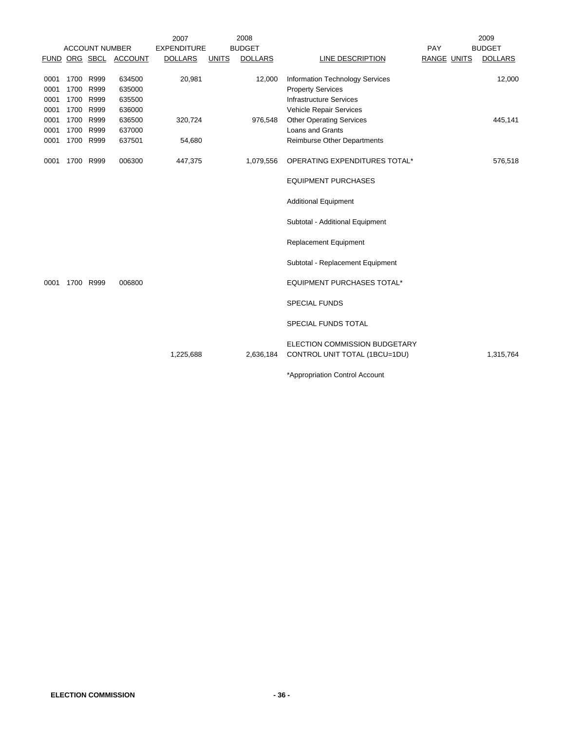|      |           |                       |                       | 2007               |       | 2008           |                                                                |                    | 2009           |
|------|-----------|-----------------------|-----------------------|--------------------|-------|----------------|----------------------------------------------------------------|--------------------|----------------|
|      |           | <b>ACCOUNT NUMBER</b> |                       | <b>EXPENDITURE</b> |       | <b>BUDGET</b>  |                                                                | PAY                | <b>BUDGET</b>  |
|      |           |                       | FUND ORG SBCL ACCOUNT | <b>DOLLARS</b>     | UNITS | <b>DOLLARS</b> | LINE DESCRIPTION                                               | <b>RANGE UNITS</b> | <b>DOLLARS</b> |
|      |           |                       |                       |                    |       |                |                                                                |                    |                |
| 0001 |           | 1700 R999             | 634500                | 20,981             |       | 12,000         | Information Technology Services                                |                    | 12,000         |
| 0001 | 1700      | R999                  | 635000                |                    |       |                | <b>Property Services</b>                                       |                    |                |
| 0001 |           | 1700 R999             | 635500                |                    |       |                | <b>Infrastructure Services</b>                                 |                    |                |
| 0001 |           | 1700 R999             | 636000                |                    |       |                | Vehicle Repair Services                                        |                    |                |
| 0001 | 1700      | R999                  | 636500                | 320,724            |       | 976,548        | <b>Other Operating Services</b>                                |                    | 445,141        |
| 0001 | 1700      | R999                  | 637000                |                    |       |                | Loans and Grants                                               |                    |                |
| 0001 |           | 1700 R999             | 637501                | 54,680             |       |                | Reimburse Other Departments                                    |                    |                |
| 0001 | 1700 R999 |                       | 006300                | 447,375            |       | 1,079,556      | OPERATING EXPENDITURES TOTAL*                                  |                    | 576,518        |
|      |           |                       |                       |                    |       |                | <b>EQUIPMENT PURCHASES</b>                                     |                    |                |
|      |           |                       |                       |                    |       |                | <b>Additional Equipment</b>                                    |                    |                |
|      |           |                       |                       |                    |       |                | Subtotal - Additional Equipment                                |                    |                |
|      |           |                       |                       |                    |       |                | <b>Replacement Equipment</b>                                   |                    |                |
|      |           |                       |                       |                    |       |                | Subtotal - Replacement Equipment                               |                    |                |
| 0001 |           | 1700 R999             | 006800                |                    |       |                | <b>EQUIPMENT PURCHASES TOTAL*</b>                              |                    |                |
|      |           |                       |                       |                    |       |                | <b>SPECIAL FUNDS</b>                                           |                    |                |
|      |           |                       |                       |                    |       |                | SPECIAL FUNDS TOTAL                                            |                    |                |
|      |           |                       |                       | 1,225,688          |       | 2,636,184      | ELECTION COMMISSION BUDGETARY<br>CONTROL UNIT TOTAL (1BCU=1DU) |                    | 1,315,764      |
|      |           |                       |                       |                    |       |                | *Appropriation Control Account                                 |                    |                |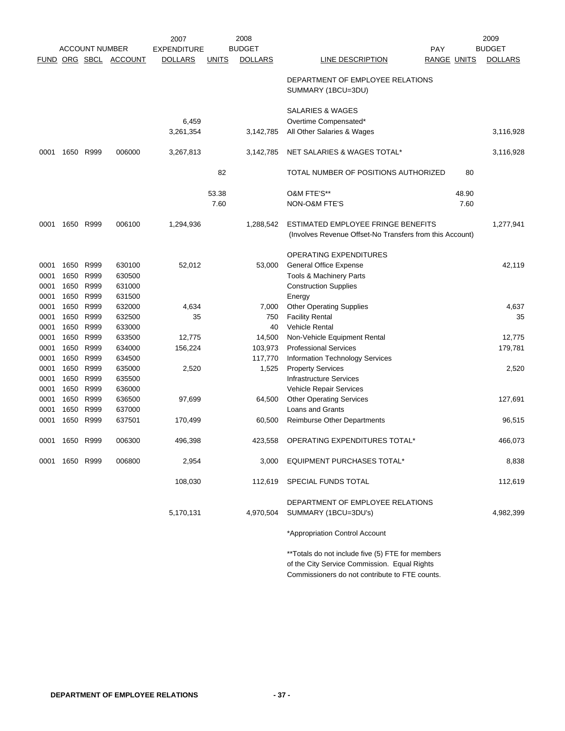|      |           |                       |                       | 2007               |              | 2008           |                                                          |                    |       | 2009           |
|------|-----------|-----------------------|-----------------------|--------------------|--------------|----------------|----------------------------------------------------------|--------------------|-------|----------------|
|      |           | <b>ACCOUNT NUMBER</b> |                       | <b>EXPENDITURE</b> |              | <b>BUDGET</b>  |                                                          | <b>PAY</b>         |       | <b>BUDGET</b>  |
|      |           |                       | FUND ORG SBCL ACCOUNT | <b>DOLLARS</b>     | <u>UNITS</u> | <b>DOLLARS</b> | LINE DESCRIPTION                                         | <b>RANGE UNITS</b> |       | <b>DOLLARS</b> |
|      |           |                       |                       |                    |              |                | DEPARTMENT OF EMPLOYEE RELATIONS<br>SUMMARY (1BCU=3DU)   |                    |       |                |
|      |           |                       |                       |                    |              |                | <b>SALARIES &amp; WAGES</b>                              |                    |       |                |
|      |           |                       |                       | 6,459              |              |                | Overtime Compensated*                                    |                    |       |                |
|      |           |                       |                       | 3,261,354          |              | 3,142,785      | All Other Salaries & Wages                               |                    |       | 3,116,928      |
| 0001 |           | 1650 R999             | 006000                | 3,267,813          |              | 3,142,785      | NET SALARIES & WAGES TOTAL*                              |                    |       | 3,116,928      |
|      |           |                       |                       |                    | 82           |                | TOTAL NUMBER OF POSITIONS AUTHORIZED                     |                    | 80    |                |
|      |           |                       |                       |                    | 53.38        |                | O&M FTE'S**                                              |                    | 48.90 |                |
|      |           |                       |                       |                    | 7.60         |                | NON-O&M FTE'S                                            |                    | 7.60  |                |
| 0001 |           | 1650 R999             | 006100                | 1,294,936          |              | 1,288,542      | ESTIMATED EMPLOYEE FRINGE BENEFITS                       |                    |       | 1,277,941      |
|      |           |                       |                       |                    |              |                | (Involves Revenue Offset-No Transfers from this Account) |                    |       |                |
|      |           |                       |                       |                    |              |                | OPERATING EXPENDITURES                                   |                    |       |                |
| 0001 | 1650      | R999                  | 630100                | 52,012             |              | 53,000         | <b>General Office Expense</b>                            |                    |       | 42,119         |
| 0001 | 1650      | R999                  | 630500                |                    |              |                | Tools & Machinery Parts                                  |                    |       |                |
| 0001 | 1650      | R999                  | 631000                |                    |              |                | <b>Construction Supplies</b>                             |                    |       |                |
| 0001 | 1650      | R999                  | 631500                |                    |              |                | Energy                                                   |                    |       |                |
| 0001 | 1650      | R999                  | 632000                | 4,634              |              | 7,000          | <b>Other Operating Supplies</b>                          |                    |       | 4,637          |
| 0001 | 1650      | R999                  | 632500                | 35                 |              | 750            | <b>Facility Rental</b>                                   |                    |       | 35             |
| 0001 | 1650      | R999                  | 633000                |                    |              | 40             | <b>Vehicle Rental</b>                                    |                    |       |                |
| 0001 | 1650      | R999                  | 633500                | 12,775             |              | 14,500         | Non-Vehicle Equipment Rental                             |                    |       | 12,775         |
| 0001 | 1650      | R999                  | 634000                | 156,224            |              | 103,973        | <b>Professional Services</b>                             |                    |       | 179,781        |
| 0001 | 1650      | R999                  | 634500                |                    |              | 117,770        | Information Technology Services                          |                    |       |                |
| 0001 | 1650      | R999                  | 635000                | 2,520              |              | 1,525          | <b>Property Services</b>                                 |                    |       | 2,520          |
| 0001 | 1650      | R999                  | 635500                |                    |              |                | <b>Infrastructure Services</b>                           |                    |       |                |
| 0001 | 1650      | R999                  | 636000                |                    |              |                | Vehicle Repair Services                                  |                    |       |                |
| 0001 | 1650      | R999                  | 636500                | 97,699             |              | 64,500         | <b>Other Operating Services</b>                          |                    |       | 127,691        |
| 0001 | 1650      | R999                  | 637000                |                    |              |                | Loans and Grants                                         |                    |       |                |
| 0001 | 1650      | R999                  | 637501                | 170,499            |              | 60,500         | <b>Reimburse Other Departments</b>                       |                    |       | 96,515         |
| 0001 |           | 1650 R999             | 006300                | 496,398            |              | 423.558        | OPERATING EXPENDITURES TOTAL*                            |                    |       | 466.073        |
| 0001 | 1650 R999 |                       | 006800                | 2,954              |              | 3,000          | <b>EQUIPMENT PURCHASES TOTAL*</b>                        |                    |       | 8,838          |
|      |           |                       |                       | 108,030            |              | 112,619        | SPECIAL FUNDS TOTAL                                      |                    |       | 112,619        |
|      |           |                       |                       |                    |              |                | DEPARTMENT OF EMPLOYEE RELATIONS                         |                    |       |                |
|      |           |                       |                       | 5,170,131          |              | 4,970,504      | SUMMARY (1BCU=3DU's)                                     |                    |       | 4,982,399      |
|      |           |                       |                       |                    |              |                | *Appropriation Control Account                           |                    |       |                |

\*\*Totals do not include five (5) FTE for members of the City Service Commission. Equal Rights Commissioners do not contribute to FTE counts.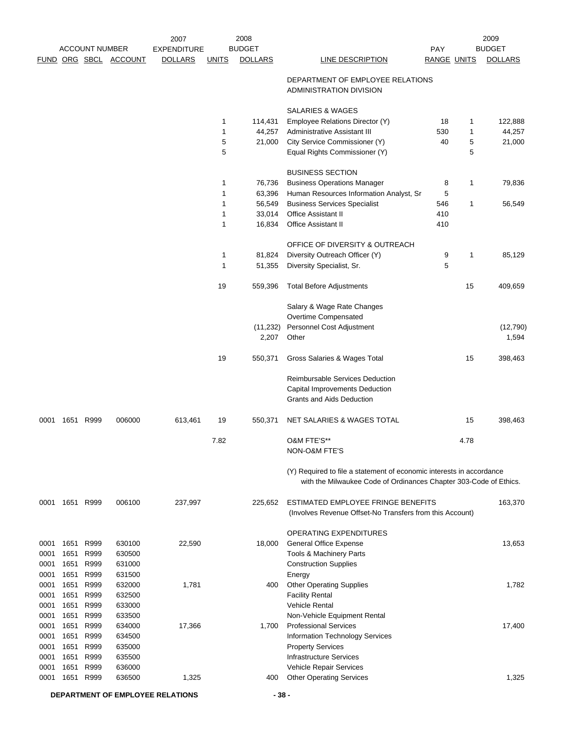|      |      |                       |                       | 2007               |              | 2008              |                                                                                                                                           |                    |      | 2009               |
|------|------|-----------------------|-----------------------|--------------------|--------------|-------------------|-------------------------------------------------------------------------------------------------------------------------------------------|--------------------|------|--------------------|
|      |      | <b>ACCOUNT NUMBER</b> |                       | <b>EXPENDITURE</b> |              | <b>BUDGET</b>     |                                                                                                                                           | <b>PAY</b>         |      | <b>BUDGET</b>      |
|      |      |                       | FUND ORG SBCL ACCOUNT | <b>DOLLARS</b>     | <b>UNITS</b> | <b>DOLLARS</b>    | LINE DESCRIPTION                                                                                                                          | <b>RANGE UNITS</b> |      | <b>DOLLARS</b>     |
|      |      |                       |                       |                    |              |                   | DEPARTMENT OF EMPLOYEE RELATIONS<br>ADMINISTRATION DIVISION                                                                               |                    |      |                    |
|      |      |                       |                       |                    |              |                   | <b>SALARIES &amp; WAGES</b>                                                                                                               |                    |      |                    |
|      |      |                       |                       |                    | 1            | 114,431           | Employee Relations Director (Y)                                                                                                           | 18                 | 1    | 122,888            |
|      |      |                       |                       |                    | 1            | 44,257            | Administrative Assistant III                                                                                                              | 530                | 1    | 44,257             |
|      |      |                       |                       |                    | 5            | 21,000            | City Service Commissioner (Y)                                                                                                             | 40                 | 5    | 21,000             |
|      |      |                       |                       |                    | 5            |                   | Equal Rights Commissioner (Y)                                                                                                             |                    | 5    |                    |
|      |      |                       |                       |                    |              |                   | <b>BUSINESS SECTION</b>                                                                                                                   |                    |      |                    |
|      |      |                       |                       |                    | 1            | 76,736            | <b>Business Operations Manager</b>                                                                                                        | 8                  | 1    | 79,836             |
|      |      |                       |                       |                    | 1            | 63,396            | Human Resources Information Analyst, Sr                                                                                                   | 5                  |      |                    |
|      |      |                       |                       |                    | 1            | 56,549            | <b>Business Services Specialist</b>                                                                                                       | 546                | 1    | 56,549             |
|      |      |                       |                       |                    | 1            | 33,014            | Office Assistant II                                                                                                                       | 410                |      |                    |
|      |      |                       |                       |                    | 1            | 16,834            | <b>Office Assistant II</b>                                                                                                                | 410                |      |                    |
|      |      |                       |                       |                    |              |                   | OFFICE OF DIVERSITY & OUTREACH                                                                                                            |                    |      |                    |
|      |      |                       |                       |                    | 1            | 81,824            | Diversity Outreach Officer (Y)                                                                                                            | 9                  | 1    | 85,129             |
|      |      |                       |                       |                    | 1            | 51,355            | Diversity Specialist, Sr.                                                                                                                 | 5                  |      |                    |
|      |      |                       |                       |                    | 19           | 559,396           | <b>Total Before Adjustments</b>                                                                                                           |                    | 15   | 409,659            |
|      |      |                       |                       |                    |              |                   | Salary & Wage Rate Changes                                                                                                                |                    |      |                    |
|      |      |                       |                       |                    |              |                   | Overtime Compensated                                                                                                                      |                    |      |                    |
|      |      |                       |                       |                    |              | (11,232)<br>2,207 | Personnel Cost Adjustment<br>Other                                                                                                        |                    |      | (12, 790)<br>1,594 |
|      |      |                       |                       |                    | 19           | 550,371           | Gross Salaries & Wages Total                                                                                                              |                    | 15   | 398,463            |
|      |      |                       |                       |                    |              |                   | Reimbursable Services Deduction                                                                                                           |                    |      |                    |
|      |      |                       |                       |                    |              |                   | Capital Improvements Deduction<br><b>Grants and Aids Deduction</b>                                                                        |                    |      |                    |
| 0001 |      | 1651 R999             | 006000                | 613,461            | 19           | 550,371           | NET SALARIES & WAGES TOTAL                                                                                                                |                    | 15   | 398,463            |
|      |      |                       |                       |                    | 7.82         |                   | O&M FTE'S**                                                                                                                               |                    | 4.78 |                    |
|      |      |                       |                       |                    |              |                   | NON-O&M FTE'S                                                                                                                             |                    |      |                    |
|      |      |                       |                       |                    |              |                   | (Y) Required to file a statement of economic interests in accordance<br>with the Milwaukee Code of Ordinances Chapter 303-Code of Ethics. |                    |      |                    |
| 0001 |      | 1651 R999             | 006100                | 237,997            |              | 225.652           | ESTIMATED EMPLOYEE FRINGE BENEFITS<br>(Involves Revenue Offset-No Transfers from this Account)                                            |                    |      | 163,370            |
|      |      |                       |                       |                    |              |                   | OPERATING EXPENDITURES                                                                                                                    |                    |      |                    |
| 0001 | 1651 | R999                  | 630100                | 22,590             |              | 18,000            | <b>General Office Expense</b>                                                                                                             |                    |      | 13,653             |
| 0001 | 1651 | R999                  | 630500                |                    |              |                   | Tools & Machinery Parts                                                                                                                   |                    |      |                    |
| 0001 | 1651 | R999                  | 631000                |                    |              |                   | <b>Construction Supplies</b>                                                                                                              |                    |      |                    |
| 0001 | 1651 | R999                  | 631500                |                    |              |                   | Energy                                                                                                                                    |                    |      |                    |
| 0001 | 1651 | R999                  | 632000                | 1,781              |              | 400               | <b>Other Operating Supplies</b>                                                                                                           |                    |      | 1,782              |
| 0001 | 1651 | R999                  | 632500                |                    |              |                   | <b>Facility Rental</b>                                                                                                                    |                    |      |                    |
| 0001 | 1651 | R999                  | 633000                |                    |              |                   | <b>Vehicle Rental</b>                                                                                                                     |                    |      |                    |
| 0001 | 1651 | R999                  | 633500                |                    |              |                   | Non-Vehicle Equipment Rental                                                                                                              |                    |      |                    |
| 0001 | 1651 | R999                  | 634000                | 17,366             |              | 1,700             | <b>Professional Services</b>                                                                                                              |                    |      | 17,400             |
| 0001 | 1651 | R999                  | 634500                |                    |              |                   | Information Technology Services                                                                                                           |                    |      |                    |
| 0001 | 1651 | R999                  | 635000                |                    |              |                   | <b>Property Services</b>                                                                                                                  |                    |      |                    |
| 0001 | 1651 | R999                  | 635500                |                    |              |                   | <b>Infrastructure Services</b>                                                                                                            |                    |      |                    |
| 0001 | 1651 | R999                  | 636000                |                    |              |                   | Vehicle Repair Services                                                                                                                   |                    |      |                    |
| 0001 | 1651 | R999                  | 636500                | 1,325              |              | 400               | <b>Other Operating Services</b>                                                                                                           |                    |      | 1,325              |

**DEPARTMENT OF EMPLOYEE RELATIONS - 38 -**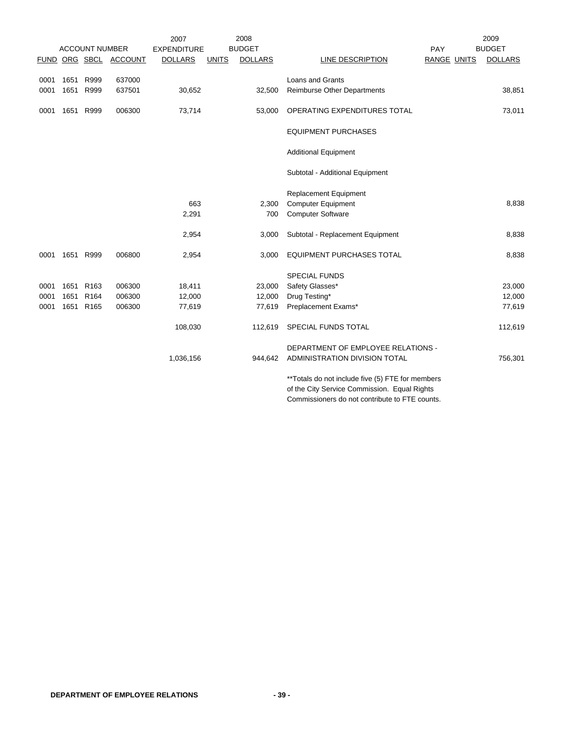|      |      |                       |                       | 2007               |              | 2008           |                                                   |                    | 2009           |
|------|------|-----------------------|-----------------------|--------------------|--------------|----------------|---------------------------------------------------|--------------------|----------------|
|      |      | <b>ACCOUNT NUMBER</b> |                       | <b>EXPENDITURE</b> |              | <b>BUDGET</b>  |                                                   | PAY                | <b>BUDGET</b>  |
|      |      |                       | FUND ORG SBCL ACCOUNT | <b>DOLLARS</b>     | <b>UNITS</b> | <b>DOLLARS</b> | LINE DESCRIPTION                                  | <b>RANGE UNITS</b> | <b>DOLLARS</b> |
| 0001 |      | 1651 R999             | 637000                |                    |              |                | <b>Loans and Grants</b>                           |                    |                |
| 0001 | 1651 | R999                  | 637501                | 30,652             |              | 32,500         | <b>Reimburse Other Departments</b>                |                    | 38,851         |
| 0001 |      | 1651 R999             | 006300                | 73,714             |              | 53,000         | OPERATING EXPENDITURES TOTAL                      |                    | 73,011         |
|      |      |                       |                       |                    |              |                | <b>EQUIPMENT PURCHASES</b>                        |                    |                |
|      |      |                       |                       |                    |              |                | <b>Additional Equipment</b>                       |                    |                |
|      |      |                       |                       |                    |              |                | Subtotal - Additional Equipment                   |                    |                |
|      |      |                       |                       |                    |              |                | <b>Replacement Equipment</b>                      |                    |                |
|      |      |                       |                       | 663                |              | 2,300          | <b>Computer Equipment</b>                         |                    | 8,838          |
|      |      |                       |                       | 2,291              |              | 700            | <b>Computer Software</b>                          |                    |                |
|      |      |                       |                       | 2,954              |              | 3,000          | Subtotal - Replacement Equipment                  |                    | 8,838          |
| 0001 |      | 1651 R999             | 006800                | 2,954              |              | 3,000          | <b>EQUIPMENT PURCHASES TOTAL</b>                  |                    | 8,838          |
|      |      |                       |                       |                    |              |                | <b>SPECIAL FUNDS</b>                              |                    |                |
| 0001 | 1651 | R <sub>163</sub>      | 006300                | 18,411             |              | 23,000         | Safety Glasses*                                   |                    | 23,000         |
| 0001 | 1651 | R <sub>164</sub>      | 006300                | 12,000             |              | 12,000         | Drug Testing*                                     |                    | 12,000         |
| 0001 |      | 1651 R165             | 006300                | 77,619             |              | 77,619         | Preplacement Exams*                               |                    | 77,619         |
|      |      |                       |                       | 108,030            |              | 112,619        | SPECIAL FUNDS TOTAL                               |                    | 112,619        |
|      |      |                       |                       |                    |              |                | DEPARTMENT OF EMPLOYEE RELATIONS -                |                    |                |
|      |      |                       |                       | 1,036,156          |              | 944,642        | ADMINISTRATION DIVISION TOTAL                     |                    | 756,301        |
|      |      |                       |                       |                    |              |                | ** Totals do not include five (5) FTE for members |                    |                |
|      |      |                       |                       |                    |              |                | of the City Service Commission. Equal Rights      |                    |                |
|      |      |                       |                       |                    |              |                | Commissioners do not contribute to FTE counts.    |                    |                |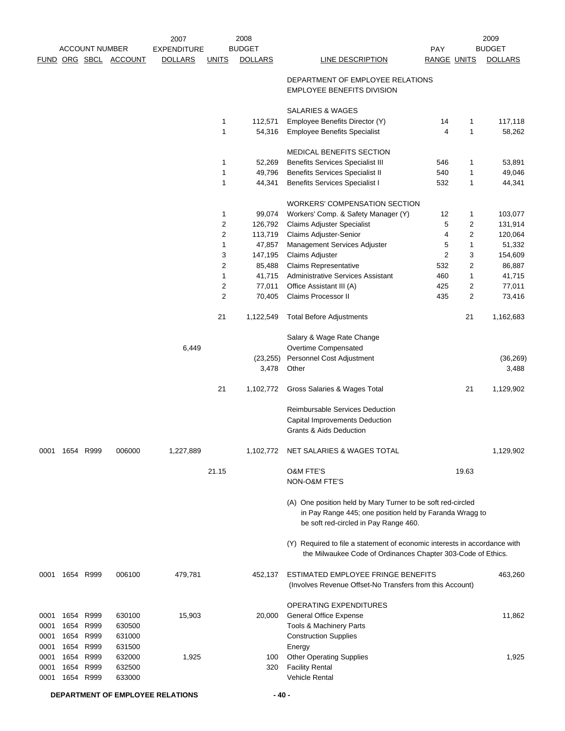|                                      |                      |                                           |                                                | 2007               |                | 2008               |                                                                                                                                                                 |                         |                         | 2009           |
|--------------------------------------|----------------------|-------------------------------------------|------------------------------------------------|--------------------|----------------|--------------------|-----------------------------------------------------------------------------------------------------------------------------------------------------------------|-------------------------|-------------------------|----------------|
|                                      |                      | <b>ACCOUNT NUMBER</b>                     |                                                | <b>EXPENDITURE</b> |                | <b>BUDGET</b>      |                                                                                                                                                                 | <b>PAY</b>              |                         | <b>BUDGET</b>  |
|                                      |                      |                                           | FUND ORG SBCL ACCOUNT                          | <b>DOLLARS</b>     | <b>UNITS</b>   | <b>DOLLARS</b>     | <b>LINE DESCRIPTION</b>                                                                                                                                         | <b>RANGE UNITS</b>      |                         | <b>DOLLARS</b> |
|                                      |                      |                                           |                                                |                    |                |                    | DEPARTMENT OF EMPLOYEE RELATIONS<br><b>EMPLOYEE BENEFITS DIVISION</b>                                                                                           |                         |                         |                |
|                                      |                      |                                           |                                                |                    |                |                    | SALARIES & WAGES                                                                                                                                                |                         |                         |                |
|                                      |                      |                                           |                                                |                    | 1              | 112,571            | Employee Benefits Director (Y)                                                                                                                                  | 14                      | 1                       | 117,118        |
|                                      |                      |                                           |                                                |                    | 1              | 54,316             | <b>Employee Benefits Specialist</b>                                                                                                                             | 4                       | 1                       | 58,262         |
|                                      |                      |                                           |                                                |                    |                |                    | MEDICAL BENEFITS SECTION                                                                                                                                        |                         |                         |                |
|                                      |                      |                                           |                                                |                    | 1              | 52,269             | <b>Benefits Services Specialist III</b>                                                                                                                         | 546                     | 1                       | 53,891         |
|                                      |                      |                                           |                                                |                    | 1              | 49,796             | <b>Benefits Services Specialist II</b>                                                                                                                          | 540                     | 1                       | 49,046         |
|                                      |                      |                                           |                                                |                    | 1              | 44,341             | <b>Benefits Services Specialist I</b>                                                                                                                           | 532                     | 1                       | 44,341         |
|                                      |                      |                                           |                                                |                    |                |                    | <b>WORKERS' COMPENSATION SECTION</b>                                                                                                                            |                         |                         |                |
|                                      |                      |                                           |                                                |                    | 1              | 99,074             | Workers' Comp. & Safety Manager (Y)                                                                                                                             | 12                      | 1                       | 103,077        |
|                                      |                      |                                           |                                                |                    | $\overline{c}$ | 126,792            | Claims Adjuster Specialist                                                                                                                                      | 5                       | 2                       | 131,914        |
|                                      |                      |                                           |                                                |                    | $\overline{c}$ | 113,719            | Claims Adjuster-Senior                                                                                                                                          | 4                       | $\overline{\mathbf{c}}$ | 120,064        |
|                                      |                      |                                           |                                                |                    | 1              | 47,857             | Management Services Adjuster                                                                                                                                    | 5                       | 1                       | 51,332         |
|                                      |                      |                                           |                                                |                    | 3              | 147,195            | Claims Adjuster                                                                                                                                                 | $\overline{\mathbf{c}}$ | 3                       | 154,609        |
|                                      |                      |                                           |                                                |                    | $\sqrt{2}$     | 85,488             | <b>Claims Representative</b>                                                                                                                                    | 532                     | $\overline{\mathbf{c}}$ | 86,887         |
|                                      |                      |                                           |                                                |                    | 1              | 41,715             | <b>Administrative Services Assistant</b>                                                                                                                        | 460                     | 1                       | 41,715         |
|                                      |                      |                                           |                                                |                    | 2              | 77,011             | Office Assistant III (A)                                                                                                                                        | 425                     | 2                       | 77,011         |
|                                      |                      |                                           |                                                |                    | $\overline{2}$ | 70,405             | Claims Processor II                                                                                                                                             | 435                     | 2                       | 73,416         |
|                                      |                      |                                           |                                                |                    | 21             | 1,122,549          | <b>Total Before Adjustments</b>                                                                                                                                 |                         | 21                      | 1,162,683      |
|                                      |                      |                                           |                                                |                    |                |                    | Salary & Wage Rate Change                                                                                                                                       |                         |                         |                |
|                                      |                      |                                           |                                                | 6,449              |                |                    | Overtime Compensated<br>Personnel Cost Adjustment                                                                                                               |                         |                         | (36, 269)      |
|                                      |                      |                                           |                                                |                    |                | (23, 255)<br>3,478 | Other                                                                                                                                                           |                         |                         | 3,488          |
|                                      |                      |                                           |                                                |                    | 21             | 1,102,772          | Gross Salaries & Wages Total                                                                                                                                    |                         | 21                      | 1,129,902      |
|                                      |                      |                                           |                                                |                    |                |                    | <b>Reimbursable Services Deduction</b>                                                                                                                          |                         |                         |                |
|                                      |                      |                                           |                                                |                    |                |                    | Capital Improvements Deduction                                                                                                                                  |                         |                         |                |
|                                      |                      |                                           |                                                |                    |                |                    | <b>Grants &amp; Aids Deduction</b>                                                                                                                              |                         |                         |                |
| 0001                                 | 1654 R999            |                                           | 006000                                         | 1,227,889          |                | 1,102,772          | NET SALARIES & WAGES TOTAL                                                                                                                                      |                         |                         | 1,129,902      |
|                                      |                      |                                           |                                                |                    | 21.15          |                    | <b>O&amp;M FTE'S</b><br>NON-O&M FTE'S                                                                                                                           |                         | 19.63                   |                |
|                                      |                      |                                           |                                                |                    |                |                    | (A) One position held by Mary Turner to be soft red-circled<br>in Pay Range 445; one position held by Faranda Wragg to<br>be soft red-circled in Pay Range 460. |                         |                         |                |
|                                      |                      |                                           |                                                |                    |                |                    | (Y) Required to file a statement of economic interests in accordance with<br>the Milwaukee Code of Ordinances Chapter 303-Code of Ethics.                       |                         |                         |                |
| 0001                                 |                      | 1654 R999                                 | 006100                                         | 479,781            |                | 452,137            | ESTIMATED EMPLOYEE FRINGE BENEFITS<br>(Involves Revenue Offset-No Transfers from this Account)                                                                  |                         |                         | 463,260        |
| 0001<br>0001                         | 1654<br>1654<br>1654 | R999<br>R999                              | 630100<br>630500                               | 15,903             |                | 20,000             | OPERATING EXPENDITURES<br>General Office Expense<br>Tools & Machinery Parts                                                                                     |                         |                         | 11,862         |
| 0001<br>0001<br>0001<br>0001<br>0001 | 1654<br>1654<br>1654 | R999<br>R999<br>R999<br>R999<br>1654 R999 | 631000<br>631500<br>632000<br>632500<br>633000 | 1,925              |                | 100<br>320         | <b>Construction Supplies</b><br>Energy<br><b>Other Operating Supplies</b><br><b>Facility Rental</b><br><b>Vehicle Rental</b>                                    |                         |                         | 1,925          |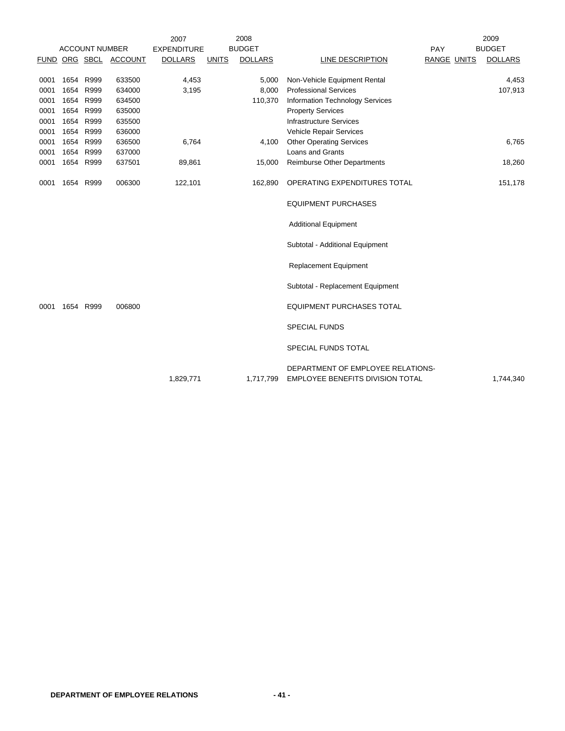|      |           |                       |                       | 2007               |              | 2008           |                                                                              |                    | 2009           |
|------|-----------|-----------------------|-----------------------|--------------------|--------------|----------------|------------------------------------------------------------------------------|--------------------|----------------|
|      |           | <b>ACCOUNT NUMBER</b> |                       | <b>EXPENDITURE</b> |              | <b>BUDGET</b>  |                                                                              | PAY                | <b>BUDGET</b>  |
|      |           |                       | FUND ORG SBCL ACCOUNT | <b>DOLLARS</b>     | <b>UNITS</b> | <b>DOLLARS</b> | LINE DESCRIPTION                                                             | <b>RANGE UNITS</b> | <b>DOLLARS</b> |
|      |           |                       |                       |                    |              |                |                                                                              |                    |                |
| 0001 | 1654 R999 |                       | 633500                | 4,453              |              | 5,000          | Non-Vehicle Equipment Rental                                                 |                    | 4,453          |
| 0001 | 1654      | R999                  | 634000                | 3,195              |              | 8,000          | <b>Professional Services</b>                                                 |                    | 107,913        |
| 0001 | 1654      | R999                  | 634500                |                    |              | 110,370        | <b>Information Technology Services</b>                                       |                    |                |
| 0001 | 1654      | R999                  | 635000                |                    |              |                | <b>Property Services</b>                                                     |                    |                |
| 0001 | 1654      | R999                  | 635500                |                    |              |                | <b>Infrastructure Services</b>                                               |                    |                |
| 0001 | 1654      | R999                  | 636000                |                    |              |                | Vehicle Repair Services                                                      |                    |                |
| 0001 | 1654      | R999                  | 636500                | 6,764              |              | 4,100          | <b>Other Operating Services</b>                                              |                    | 6,765          |
| 0001 | 1654      | R999                  | 637000                |                    |              |                | <b>Loans and Grants</b>                                                      |                    |                |
| 0001 | 1654      | R999                  | 637501                | 89,861             |              | 15,000         | <b>Reimburse Other Departments</b>                                           |                    | 18,260         |
| 0001 |           | 1654 R999             | 006300                | 122,101            |              | 162,890        | OPERATING EXPENDITURES TOTAL                                                 |                    | 151,178        |
|      |           |                       |                       |                    |              |                | <b>EQUIPMENT PURCHASES</b>                                                   |                    |                |
|      |           |                       |                       |                    |              |                | <b>Additional Equipment</b>                                                  |                    |                |
|      |           |                       |                       |                    |              |                | Subtotal - Additional Equipment                                              |                    |                |
|      |           |                       |                       |                    |              |                | <b>Replacement Equipment</b>                                                 |                    |                |
|      |           |                       |                       |                    |              |                | Subtotal - Replacement Equipment                                             |                    |                |
| 0001 | 1654      | R999                  | 006800                |                    |              |                | <b>EQUIPMENT PURCHASES TOTAL</b>                                             |                    |                |
|      |           |                       |                       |                    |              |                | <b>SPECIAL FUNDS</b>                                                         |                    |                |
|      |           |                       |                       |                    |              |                | SPECIAL FUNDS TOTAL                                                          |                    |                |
|      |           |                       |                       | 1,829,771          |              | 1,717,799      | DEPARTMENT OF EMPLOYEE RELATIONS-<br><b>EMPLOYEE BENEFITS DIVISION TOTAL</b> |                    | 1,744,340      |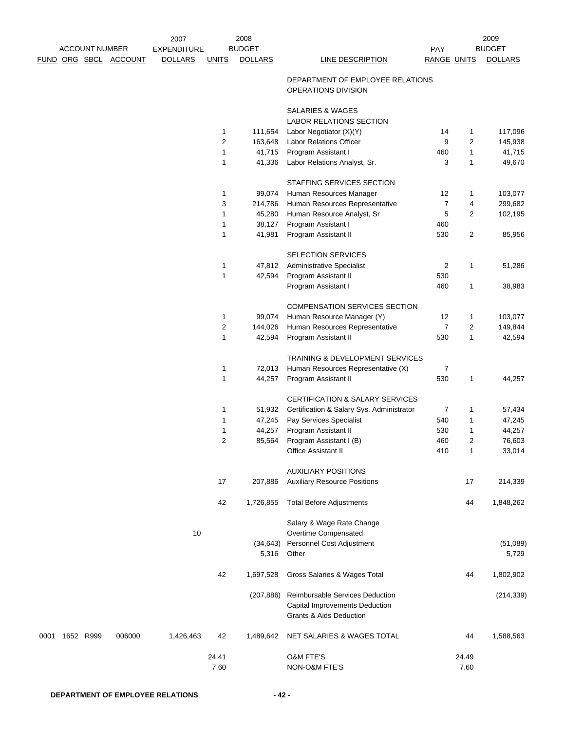| <b>ACCOUNT NUMBER</b> |                  | 2007   | 2008               |                |                    |                                                                                              | 2009               |               |                   |
|-----------------------|------------------|--------|--------------------|----------------|--------------------|----------------------------------------------------------------------------------------------|--------------------|---------------|-------------------|
|                       |                  |        | <b>EXPENDITURE</b> |                | <b>BUDGET</b>      |                                                                                              | <b>PAY</b>         |               | <b>BUDGET</b>     |
| FUND                  | ORG SBCL ACCOUNT |        | <b>DOLLARS</b>     | <b>UNITS</b>   | <b>DOLLARS</b>     | <b>LINE DESCRIPTION</b>                                                                      | <b>RANGE UNITS</b> |               | <b>DOLLARS</b>    |
|                       |                  |        |                    |                |                    | DEPARTMENT OF EMPLOYEE RELATIONS<br>OPERATIONS DIVISION                                      |                    |               |                   |
|                       |                  |        |                    |                |                    | <b>SALARIES &amp; WAGES</b><br>LABOR RELATIONS SECTION                                       |                    |               |                   |
|                       |                  |        |                    | 1              | 111,654            | Labor Negotiator (X)(Y)                                                                      | 14                 | 1             | 117,096           |
|                       |                  |        |                    | $\overline{c}$ | 163,648            | Labor Relations Officer                                                                      | 9                  | 2             | 145,938           |
|                       |                  |        |                    | 1              | 41,715             | Program Assistant I                                                                          | 460                | $\mathbf{1}$  | 41,715            |
|                       |                  |        |                    | 1              | 41,336             | Labor Relations Analyst, Sr.                                                                 | 3                  | 1             | 49,670            |
|                       |                  |        |                    |                |                    | STAFFING SERVICES SECTION                                                                    |                    |               |                   |
|                       |                  |        |                    | 1              | 99,074             | Human Resources Manager                                                                      | 12                 | 1             | 103,077           |
|                       |                  |        |                    | 3              | 214,786            | Human Resources Representative                                                               | $\overline{7}$     | 4             | 299,682           |
|                       |                  |        |                    | 1              | 45,280             | Human Resource Analyst, Sr                                                                   | 5                  | 2             | 102,195           |
|                       |                  |        |                    | 1              | 38,127             | Program Assistant I                                                                          | 460                |               |                   |
|                       |                  |        |                    | 1              | 41,981             | Program Assistant II                                                                         | 530                | 2             | 85,956            |
|                       |                  |        |                    |                |                    | SELECTION SERVICES                                                                           |                    |               |                   |
|                       |                  |        |                    | 1              | 47,812             | <b>Administrative Specialist</b>                                                             | $\overline{2}$     | 1             | 51,286            |
|                       |                  |        |                    | 1              | 42,594             | Program Assistant II                                                                         | 530                |               |                   |
|                       |                  |        |                    |                |                    | Program Assistant I                                                                          | 460                | 1             | 38,983            |
|                       |                  |        |                    |                |                    | COMPENSATION SERVICES SECTION                                                                |                    |               |                   |
|                       |                  |        |                    | 1              | 99,074             | Human Resource Manager (Y)                                                                   | 12                 | 1             | 103,077           |
|                       |                  |        |                    | 2              | 144,026            | Human Resources Representative                                                               | $\overline{7}$     | 2             | 149,844           |
|                       |                  |        |                    | 1              | 42,594             | Program Assistant II                                                                         | 530                | 1             | 42,594            |
|                       |                  |        |                    |                |                    | TRAINING & DEVELOPMENT SERVICES                                                              |                    |               |                   |
|                       |                  |        |                    | 1              | 72,013             | Human Resources Representative (X)                                                           | $\overline{7}$     |               |                   |
|                       |                  |        |                    | 1              | 44,257             | Program Assistant II                                                                         | 530                | 1             | 44,257            |
|                       |                  |        |                    |                |                    |                                                                                              |                    |               |                   |
|                       |                  |        |                    |                |                    | CERTIFICATION & SALARY SERVICES                                                              |                    |               |                   |
|                       |                  |        |                    | 1              | 51,932             | Certification & Salary Sys. Administrator                                                    | $\overline{7}$     | 1             | 57,434            |
|                       |                  |        |                    | 1              | 47,245             | Pay Services Specialist                                                                      | 540                | 1             | 47,245            |
|                       |                  |        |                    | 1              | 44,257             | Program Assistant II                                                                         | 530                | 1             | 44,257            |
|                       |                  |        |                    | 2              | 85,564             | Program Assistant I (B)<br>Office Assistant II                                               | 460<br>410         | 2             | 76,603<br>33,014  |
|                       |                  |        |                    |                |                    |                                                                                              |                    |               |                   |
|                       |                  |        |                    |                |                    | <b>AUXILIARY POSITIONS</b>                                                                   |                    |               |                   |
|                       |                  |        |                    | 17             | 207,886            | <b>Auxiliary Resource Positions</b>                                                          |                    | 17            | 214,339           |
|                       |                  |        |                    | 42             | 1,726,855          | <b>Total Before Adjustments</b>                                                              |                    | 44            | 1,848,262         |
|                       |                  |        |                    |                |                    | Salary & Wage Rate Change                                                                    |                    |               |                   |
|                       |                  |        | 10                 |                |                    | Overtime Compensated                                                                         |                    |               |                   |
|                       |                  |        |                    |                | (34, 643)<br>5,316 | Personnel Cost Adjustment<br>Other                                                           |                    |               | (51,089)<br>5,729 |
|                       |                  |        |                    |                |                    |                                                                                              |                    |               |                   |
|                       |                  |        |                    | 42             | 1,697,528          | Gross Salaries & Wages Total                                                                 |                    | 44            | 1,802,902         |
|                       |                  |        |                    |                | (207, 886)         | Reimbursable Services Deduction<br>Capital Improvements Deduction<br>Grants & Aids Deduction |                    |               | (214, 339)        |
| 0001                  | 1652 R999        | 006000 | 1,426,463          | 42             | 1,489,642          | NET SALARIES & WAGES TOTAL                                                                   |                    | 44            | 1,588,563         |
|                       |                  |        |                    | 24.41<br>7.60  |                    | <b>O&amp;M FTE'S</b><br>NON-O&M FTE'S                                                        |                    | 24.49<br>7.60 |                   |
|                       |                  |        |                    |                |                    |                                                                                              |                    |               |                   |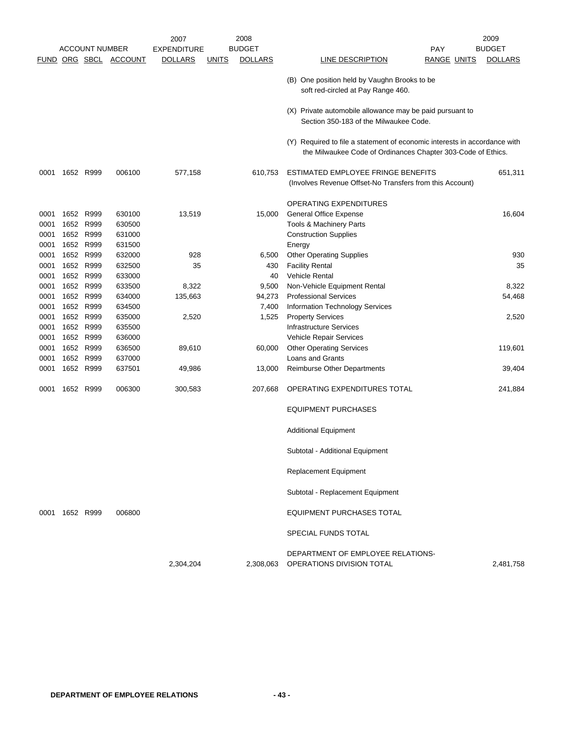|              |                |                       |                       | 2008<br>2007       |              |                | 2009                                                                                                                                      |        |  |
|--------------|----------------|-----------------------|-----------------------|--------------------|--------------|----------------|-------------------------------------------------------------------------------------------------------------------------------------------|--------|--|
|              |                | <b>ACCOUNT NUMBER</b> |                       | <b>EXPENDITURE</b> |              | <b>BUDGET</b>  | <b>BUDGET</b><br><b>PAY</b>                                                                                                               |        |  |
|              |                |                       | FUND ORG SBCL ACCOUNT | <b>DOLLARS</b>     | <u>UNITS</u> | <b>DOLLARS</b> | LINE DESCRIPTION<br><b>RANGE UNITS</b><br><b>DOLLARS</b>                                                                                  |        |  |
|              |                |                       |                       |                    |              |                | (B) One position held by Vaughn Brooks to be<br>soft red-circled at Pay Range 460.                                                        |        |  |
|              |                |                       |                       |                    |              |                | (X) Private automobile allowance may be paid pursuant to<br>Section 350-183 of the Milwaukee Code.                                        |        |  |
|              |                |                       |                       |                    |              |                | (Y) Required to file a statement of economic interests in accordance with<br>the Milwaukee Code of Ordinances Chapter 303-Code of Ethics. |        |  |
| 0001         | 1652 R999      |                       | 006100                | 577,158            |              | 610,753        | ESTIMATED EMPLOYEE FRINGE BENEFITS<br>651,311<br>(Involves Revenue Offset-No Transfers from this Account)                                 |        |  |
|              |                |                       |                       |                    |              |                | OPERATING EXPENDITURES                                                                                                                    |        |  |
| 0001         | 1652           | R999                  | 630100                | 13,519             |              | 15,000         | <b>General Office Expense</b>                                                                                                             | 16,604 |  |
| 0001         | 1652 R999      |                       | 630500                |                    |              |                | <b>Tools &amp; Machinery Parts</b>                                                                                                        |        |  |
| 0001         | 1652 R999      |                       | 631000                |                    |              |                | <b>Construction Supplies</b>                                                                                                              |        |  |
| 0001         |                | 1652 R999             | 631500                |                    |              |                | Energy                                                                                                                                    |        |  |
| 0001         |                | 1652 R999             | 632000                | 928                |              | 6,500          | <b>Other Operating Supplies</b>                                                                                                           | 930    |  |
| 0001         | 1652 R999      |                       | 632500                | 35                 |              | 430            | <b>Facility Rental</b>                                                                                                                    | 35     |  |
| 0001         |                | 1652 R999             | 633000                |                    |              | 40             | <b>Vehicle Rental</b>                                                                                                                     |        |  |
| 0001         |                | 1652 R999             | 633500                | 8,322              |              | 9,500          | Non-Vehicle Equipment Rental                                                                                                              | 8,322  |  |
| 0001         | 1652           | R999                  | 634000                | 135,663            |              | 94,273         | <b>Professional Services</b>                                                                                                              | 54,468 |  |
| 0001         |                | 1652 R999             | 634500                |                    |              | 7,400          | Information Technology Services                                                                                                           |        |  |
| 0001         |                | 1652 R999             | 635000                | 2,520              |              | 1,525          | <b>Property Services</b>                                                                                                                  | 2,520  |  |
| 0001         |                | 1652 R999             | 635500                |                    |              |                | <b>Infrastructure Services</b>                                                                                                            |        |  |
|              | 1652 R999      |                       |                       |                    |              |                |                                                                                                                                           |        |  |
| 0001<br>0001 |                | 1652 R999             | 636000<br>636500      | 89,610             |              | 60,000         | Vehicle Repair Services<br><b>Other Operating Services</b><br>119,601                                                                     |        |  |
| 0001         |                | 1652 R999             | 637000                |                    |              |                | Loans and Grants                                                                                                                          |        |  |
|              |                | 1652 R999             |                       |                    |              |                |                                                                                                                                           |        |  |
| 0001         |                |                       | 637501                | 49,986             |              | 13,000         | <b>Reimburse Other Departments</b>                                                                                                        | 39,404 |  |
| 0001         |                | 1652 R999             | 006300                | 300,583            |              | 207,668        | OPERATING EXPENDITURES TOTAL<br>241,884                                                                                                   |        |  |
|              |                |                       |                       |                    |              |                | <b>EQUIPMENT PURCHASES</b>                                                                                                                |        |  |
|              |                |                       |                       |                    |              |                | <b>Additional Equipment</b>                                                                                                               |        |  |
|              |                |                       |                       |                    |              |                | Subtotal - Additional Equipment                                                                                                           |        |  |
|              |                |                       |                       |                    |              |                | <b>Replacement Equipment</b>                                                                                                              |        |  |
|              |                |                       |                       |                    |              |                | Subtotal - Replacement Equipment                                                                                                          |        |  |
|              | 0001 1652 R999 |                       | 006800                |                    |              |                | <b>EQUIPMENT PURCHASES TOTAL</b>                                                                                                          |        |  |
|              |                |                       |                       |                    |              |                | SPECIAL FUNDS TOTAL                                                                                                                       |        |  |
|              |                |                       |                       | 2,304,204          |              | 2,308,063      | DEPARTMENT OF EMPLOYEE RELATIONS-<br>OPERATIONS DIVISION TOTAL<br>2,481,758                                                               |        |  |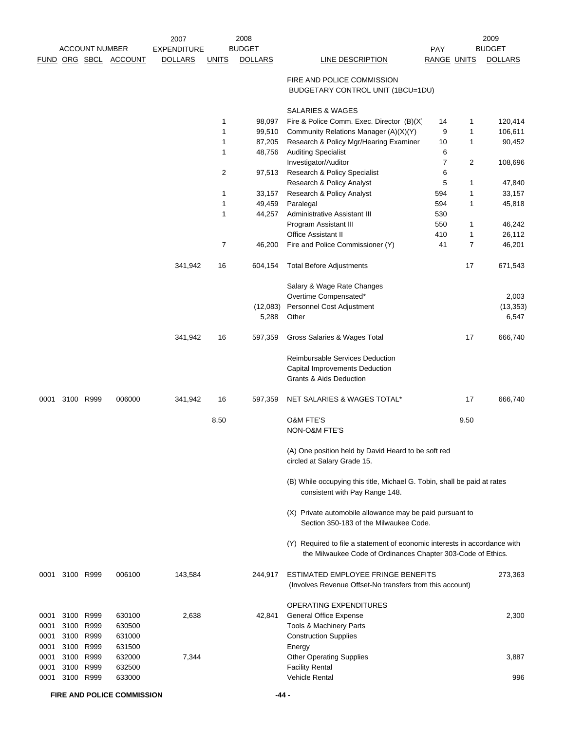|      |      |                       |                       | 2007               |              | 2008           |                                                                                                                                           |                    |      | 2009           |
|------|------|-----------------------|-----------------------|--------------------|--------------|----------------|-------------------------------------------------------------------------------------------------------------------------------------------|--------------------|------|----------------|
|      |      | <b>ACCOUNT NUMBER</b> |                       | <b>EXPENDITURE</b> |              | <b>BUDGET</b>  |                                                                                                                                           | PAY                |      | <b>BUDGET</b>  |
|      |      |                       | FUND ORG SBCL ACCOUNT | <b>DOLLARS</b>     | <b>UNITS</b> | <b>DOLLARS</b> | <b>LINE DESCRIPTION</b>                                                                                                                   | <b>RANGE UNITS</b> |      | <b>DOLLARS</b> |
|      |      |                       |                       |                    |              |                | FIRE AND POLICE COMMISSION<br>BUDGETARY CONTROL UNIT (1BCU=1DU)                                                                           |                    |      |                |
|      |      |                       |                       |                    |              |                | <b>SALARIES &amp; WAGES</b>                                                                                                               |                    |      |                |
|      |      |                       |                       |                    | 1            | 98,097         | Fire & Police Comm. Exec. Director (B)(X)                                                                                                 | 14                 | 1    | 120,414        |
|      |      |                       |                       |                    | 1            | 99,510         | Community Relations Manager (A)(X)(Y)                                                                                                     | 9                  | 1    | 106,611        |
|      |      |                       |                       |                    | 1            | 87,205         | Research & Policy Mgr/Hearing Examiner                                                                                                    | 10                 | 1    | 90,452         |
|      |      |                       |                       |                    | 1            | 48,756         | <b>Auditing Specialist</b>                                                                                                                | 6                  |      |                |
|      |      |                       |                       |                    |              |                | Investigator/Auditor                                                                                                                      | $\overline{7}$     | 2    | 108,696        |
|      |      |                       |                       |                    | 2            | 97,513         | Research & Policy Specialist                                                                                                              | 6                  |      |                |
|      |      |                       |                       |                    |              |                | Research & Policy Analyst                                                                                                                 | 5                  | 1    | 47,840         |
|      |      |                       |                       |                    | 1            | 33,157         | Research & Policy Analyst                                                                                                                 | 594                | 1    | 33,157         |
|      |      |                       |                       |                    | 1            | 49,459         | Paralegal                                                                                                                                 | 594                | 1    | 45,818         |
|      |      |                       |                       |                    | 1            | 44,257         | Administrative Assistant III                                                                                                              | 530                |      |                |
|      |      |                       |                       |                    |              |                | Program Assistant III                                                                                                                     | 550                | 1    | 46,242         |
|      |      |                       |                       |                    |              |                | <b>Office Assistant II</b>                                                                                                                | 410                | 1    | 26,112         |
|      |      |                       |                       |                    | 7            | 46,200         | Fire and Police Commissioner (Y)                                                                                                          | 41                 | 7    | 46,201         |
|      |      |                       |                       | 341,942            | 16           | 604,154        | <b>Total Before Adjustments</b>                                                                                                           |                    | 17   | 671,543        |
|      |      |                       |                       |                    |              |                |                                                                                                                                           |                    |      |                |
|      |      |                       |                       |                    |              |                | Salary & Wage Rate Changes                                                                                                                |                    |      |                |
|      |      |                       |                       |                    |              |                | Overtime Compensated*                                                                                                                     |                    |      | 2,003          |
|      |      |                       |                       |                    |              | (12,083)       | Personnel Cost Adjustment                                                                                                                 |                    |      | (13, 353)      |
|      |      |                       |                       |                    |              | 5,288          | Other                                                                                                                                     |                    |      | 6,547          |
|      |      |                       |                       | 341,942            | 16           | 597,359        | Gross Salaries & Wages Total                                                                                                              |                    | 17   | 666,740        |
|      |      |                       |                       |                    |              |                | Reimbursable Services Deduction                                                                                                           |                    |      |                |
|      |      |                       |                       |                    |              |                | Capital Improvements Deduction                                                                                                            |                    |      |                |
|      |      |                       |                       |                    |              |                | <b>Grants &amp; Aids Deduction</b>                                                                                                        |                    |      |                |
| 0001 |      | 3100 R999             | 006000                | 341,942            | 16           | 597,359        | NET SALARIES & WAGES TOTAL*                                                                                                               |                    | 17   | 666,740        |
|      |      |                       |                       |                    | 8.50         |                | <b>O&amp;M FTE'S</b>                                                                                                                      |                    | 9.50 |                |
|      |      |                       |                       |                    |              |                | <b>NON-O&amp;M FTE'S</b>                                                                                                                  |                    |      |                |
|      |      |                       |                       |                    |              |                | (A) One position held by David Heard to be soft red<br>circled at Salary Grade 15.                                                        |                    |      |                |
|      |      |                       |                       |                    |              |                | (B) While occupying this title, Michael G. Tobin, shall be paid at rates<br>consistent with Pay Range 148.                                |                    |      |                |
|      |      |                       |                       |                    |              |                | (X) Private automobile allowance may be paid pursuant to<br>Section 350-183 of the Milwaukee Code.                                        |                    |      |                |
|      |      |                       |                       |                    |              |                | (Y) Required to file a statement of economic interests in accordance with<br>the Milwaukee Code of Ordinances Chapter 303-Code of Ethics. |                    |      |                |
| 0001 |      | 3100 R999             | 006100                | 143,584            |              | 244,917        | ESTIMATED EMPLOYEE FRINGE BENEFITS<br>(Involves Revenue Offset-No transfers from this account)                                            |                    |      | 273,363        |
|      |      |                       |                       |                    |              |                | OPERATING EXPENDITURES                                                                                                                    |                    |      |                |
| 0001 |      | 3100 R999             | 630100                | 2,638              |              | 42,841         | <b>General Office Expense</b>                                                                                                             |                    |      | 2,300          |
| 0001 |      | 3100 R999             | 630500                |                    |              |                | Tools & Machinery Parts                                                                                                                   |                    |      |                |
| 0001 |      | 3100 R999             | 631000                |                    |              |                | <b>Construction Supplies</b>                                                                                                              |                    |      |                |
| 0001 | 3100 | R999                  | 631500                |                    |              |                | Energy                                                                                                                                    |                    |      |                |
| 0001 |      | 3100 R999             | 632000                | 7,344              |              |                | <b>Other Operating Supplies</b>                                                                                                           |                    |      | 3,887          |
| 0001 |      | 3100 R999             | 632500                |                    |              |                | <b>Facility Rental</b>                                                                                                                    |                    |      |                |
| 0001 |      | 3100 R999             | 633000                |                    |              |                | Vehicle Rental                                                                                                                            |                    |      | 996            |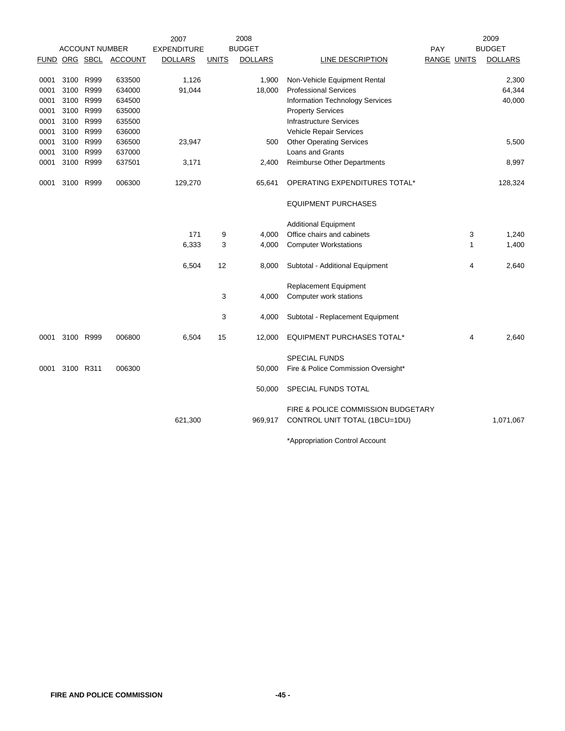|      |           |                       |                | 2007               |              | 2008           |                                     |                    |                | 2009           |
|------|-----------|-----------------------|----------------|--------------------|--------------|----------------|-------------------------------------|--------------------|----------------|----------------|
|      |           | <b>ACCOUNT NUMBER</b> |                | <b>EXPENDITURE</b> |              | <b>BUDGET</b>  |                                     | PAY                |                | <b>BUDGET</b>  |
|      |           | <u>FUND ORG SBCL</u>  | <b>ACCOUNT</b> | <b>DOLLARS</b>     | <b>UNITS</b> | <b>DOLLARS</b> | LINE DESCRIPTION                    | <b>RANGE UNITS</b> |                | <b>DOLLARS</b> |
| 0001 | 3100      | R999                  | 633500         | 1,126              |              | 1,900          | Non-Vehicle Equipment Rental        |                    |                | 2,300          |
| 0001 | 3100      | R999                  | 634000         | 91,044             |              | 18,000         | <b>Professional Services</b>        |                    |                | 64,344         |
| 0001 | 3100      | R999                  | 634500         |                    |              |                | Information Technology Services     |                    |                | 40,000         |
| 0001 | 3100      | R999                  | 635000         |                    |              |                | <b>Property Services</b>            |                    |                |                |
| 0001 | 3100      | R999                  | 635500         |                    |              |                | <b>Infrastructure Services</b>      |                    |                |                |
| 0001 | 3100      | R999                  | 636000         |                    |              |                | Vehicle Repair Services             |                    |                |                |
| 0001 | 3100      | R999                  | 636500         | 23,947             |              | 500            | <b>Other Operating Services</b>     |                    |                | 5,500          |
| 0001 | 3100      | R999                  | 637000         |                    |              |                | <b>Loans and Grants</b>             |                    |                |                |
| 0001 |           | 3100 R999             | 637501         | 3,171              |              | 2,400          | <b>Reimburse Other Departments</b>  |                    |                | 8,997          |
| 0001 |           | 3100 R999             | 006300         | 129,270            |              | 65,641         | OPERATING EXPENDITURES TOTAL*       |                    |                | 128,324        |
|      |           |                       |                |                    |              |                | <b>EQUIPMENT PURCHASES</b>          |                    |                |                |
|      |           |                       |                |                    |              |                | <b>Additional Equipment</b>         |                    |                |                |
|      |           |                       |                | 171                | 9            | 4,000          | Office chairs and cabinets          |                    | 3              | 1,240          |
|      |           |                       |                | 6,333              | 3            | 4,000          | <b>Computer Workstations</b>        |                    | $\mathbf{1}$   | 1,400          |
|      |           |                       |                | 6,504              | 12           | 8,000          | Subtotal - Additional Equipment     |                    | $\overline{4}$ | 2,640          |
|      |           |                       |                |                    |              |                | Replacement Equipment               |                    |                |                |
|      |           |                       |                |                    | 3            | 4,000          | Computer work stations              |                    |                |                |
|      |           |                       |                |                    | 3            | 4,000          | Subtotal - Replacement Equipment    |                    |                |                |
| 0001 |           | 3100 R999             | 006800         | 6,504              | 15           | 12,000         | EQUIPMENT PURCHASES TOTAL*          |                    | 4              | 2,640          |
|      |           |                       |                |                    |              |                | <b>SPECIAL FUNDS</b>                |                    |                |                |
| 0001 | 3100 R311 |                       | 006300         |                    |              | 50,000         | Fire & Police Commission Oversight* |                    |                |                |
|      |           |                       |                |                    |              | 50,000         | SPECIAL FUNDS TOTAL                 |                    |                |                |
|      |           |                       |                |                    |              |                | FIRE & POLICE COMMISSION BUDGETARY  |                    |                |                |
|      |           |                       |                | 621,300            |              | 969,917        | CONTROL UNIT TOTAL (1BCU=1DU)       |                    |                | 1,071,067      |
|      |           |                       |                |                    |              |                | *Appropriation Control Account      |                    |                |                |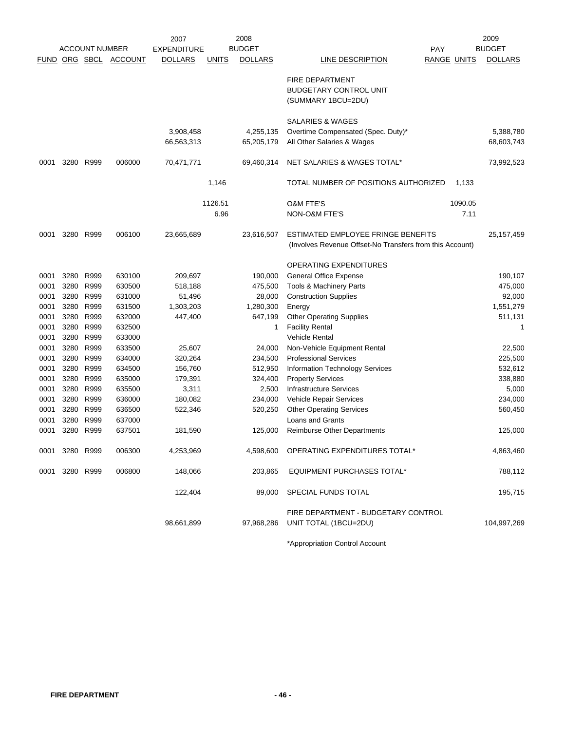|      |                |                       |                       | 2007               |              | 2008           |                                                          |                    |         | 2009           |
|------|----------------|-----------------------|-----------------------|--------------------|--------------|----------------|----------------------------------------------------------|--------------------|---------|----------------|
|      |                | <b>ACCOUNT NUMBER</b> |                       | <b>EXPENDITURE</b> |              | <b>BUDGET</b>  |                                                          | PAY                |         | <b>BUDGET</b>  |
|      |                |                       | FUND ORG SBCL ACCOUNT | <b>DOLLARS</b>     | <b>UNITS</b> | <b>DOLLARS</b> | LINE DESCRIPTION                                         | <b>RANGE UNITS</b> |         | <b>DOLLARS</b> |
|      |                |                       |                       |                    |              |                | <b>FIRE DEPARTMENT</b>                                   |                    |         |                |
|      |                |                       |                       |                    |              |                | <b>BUDGETARY CONTROL UNIT</b>                            |                    |         |                |
|      |                |                       |                       |                    |              |                | (SUMMARY 1BCU=2DU)                                       |                    |         |                |
|      |                |                       |                       |                    |              |                | SALARIES & WAGES                                         |                    |         |                |
|      |                |                       |                       | 3,908,458          |              | 4,255,135      | Overtime Compensated (Spec. Duty)*                       |                    |         | 5,388,780      |
|      |                |                       |                       | 66,563,313         |              | 65,205,179     | All Other Salaries & Wages                               |                    |         | 68,603,743     |
|      |                |                       |                       |                    |              |                |                                                          |                    |         |                |
| 0001 | 3280           | R999                  | 006000                | 70,471,771         |              | 69,460,314     | NET SALARIES & WAGES TOTAL*                              |                    |         | 73,992,523     |
|      |                |                       |                       |                    | 1,146        |                | TOTAL NUMBER OF POSITIONS AUTHORIZED                     |                    | 1,133   |                |
|      |                |                       |                       |                    | 1126.51      |                | <b>O&amp;M FTE'S</b>                                     |                    | 1090.05 |                |
|      |                |                       |                       |                    | 6.96         |                | NON-O&M FTE'S                                            |                    | 7.11    |                |
| 0001 | 3280           | R999                  | 006100                | 23,665,689         |              | 23,616,507     | ESTIMATED EMPLOYEE FRINGE BENEFITS                       |                    |         | 25, 157, 459   |
|      |                |                       |                       |                    |              |                | (Involves Revenue Offset-No Transfers from this Account) |                    |         |                |
|      |                |                       |                       |                    |              |                | OPERATING EXPENDITURES                                   |                    |         |                |
| 0001 | 3280           | R999                  | 630100                | 209,697            |              | 190,000        | <b>General Office Expense</b>                            |                    |         | 190,107        |
| 0001 | 3280           | R999                  | 630500                | 518,188            |              | 475,500        | Tools & Machinery Parts                                  |                    |         | 475,000        |
| 0001 | 3280           | R999                  | 631000                | 51,496             |              | 28,000         | <b>Construction Supplies</b>                             |                    |         | 92,000         |
| 0001 |                | 3280 R999             | 631500                | 1,303,203          |              | 1,280,300      | Energy                                                   |                    |         | 1,551,279      |
| 0001 | 3280 R999      |                       | 632000                | 447,400            |              | 647,199        | <b>Other Operating Supplies</b>                          |                    |         | 511,131        |
| 0001 |                | 3280 R999             | 632500                |                    |              | 1              | <b>Facility Rental</b>                                   |                    |         | 1              |
| 0001 | 3280           | R999                  | 633000                |                    |              |                | <b>Vehicle Rental</b>                                    |                    |         |                |
| 0001 | 3280 R999      |                       | 633500                | 25,607             |              | 24,000         | Non-Vehicle Equipment Rental                             |                    |         | 22,500         |
| 0001 | 3280 R999      |                       | 634000                | 320,264            |              | 234,500        | <b>Professional Services</b>                             |                    |         | 225,500        |
| 0001 | 3280           | R999                  | 634500                | 156,760            |              | 512,950        | <b>Information Technology Services</b>                   |                    |         | 532,612        |
| 0001 | 3280           | R999                  | 635000                | 179,391            |              | 324,400        | <b>Property Services</b>                                 |                    |         | 338,880        |
| 0001 | 3280           | R999                  | 635500                | 3,311              |              | 2,500          | <b>Infrastructure Services</b>                           |                    |         | 5,000          |
| 0001 | 3280           | R999                  | 636000                | 180,082            |              | 234,000        | Vehicle Repair Services                                  |                    |         | 234,000        |
| 0001 | 3280           | R999                  | 636500                | 522,346            |              | 520,250        | <b>Other Operating Services</b>                          |                    |         | 560,450        |
| 0001 | 3280           | R999                  | 637000                |                    |              |                | Loans and Grants                                         |                    |         |                |
| 0001 | 3280           | R999                  | 637501                | 181,590            |              | 125,000        | <b>Reimburse Other Departments</b>                       |                    |         | 125,000        |
|      | 0001 3280 R999 |                       | 006300                | 4,253,969          |              | 4,598,600      | OPERATING EXPENDITURES TOTAL*                            |                    |         | 4,863,460      |
| 0001 | 3280 R999      |                       | 006800                | 148,066            |              | 203,865        | <b>EQUIPMENT PURCHASES TOTAL*</b>                        |                    |         | 788,112        |
|      |                |                       |                       | 122,404            |              | 89,000         | SPECIAL FUNDS TOTAL                                      |                    |         | 195,715        |
|      |                |                       |                       |                    |              |                | FIRE DEPARTMENT - BUDGETARY CONTROL                      |                    |         |                |
|      |                |                       |                       | 98,661,899         |              | 97,968,286     | UNIT TOTAL (1BCU=2DU)                                    |                    |         | 104,997,269    |
|      |                |                       |                       |                    |              |                |                                                          |                    |         |                |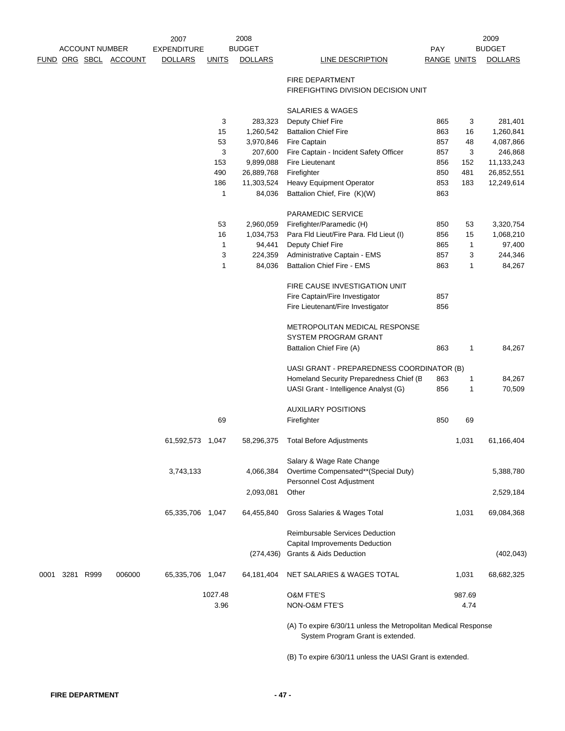|      | <b>ACCOUNT NUMBER</b> |  |                       | 2007               |              | 2008           | 2009<br><b>BUDGET</b>                                                                               |             |              |                |
|------|-----------------------|--|-----------------------|--------------------|--------------|----------------|-----------------------------------------------------------------------------------------------------|-------------|--------------|----------------|
|      |                       |  |                       | <b>EXPENDITURE</b> |              | <b>BUDGET</b>  |                                                                                                     | <b>PAY</b>  |              |                |
|      |                       |  | FUND ORG SBCL ACCOUNT | <b>DOLLARS</b>     | <b>UNITS</b> | <b>DOLLARS</b> | LINE DESCRIPTION                                                                                    | RANGE UNITS |              | <b>DOLLARS</b> |
|      |                       |  |                       |                    |              |                | <b>FIRE DEPARTMENT</b>                                                                              |             |              |                |
|      |                       |  |                       |                    |              |                | FIREFIGHTING DIVISION DECISION UNIT                                                                 |             |              |                |
|      |                       |  |                       |                    |              |                | <b>SALARIES &amp; WAGES</b>                                                                         |             |              |                |
|      |                       |  |                       |                    | 3            | 283,323        | Deputy Chief Fire                                                                                   | 865         | 3            | 281,401        |
|      |                       |  |                       |                    | 15           | 1,260,542      | <b>Battalion Chief Fire</b>                                                                         | 863         | 16           | 1,260,841      |
|      |                       |  |                       |                    | 53           | 3,970,846      | Fire Captain                                                                                        | 857         | 48           | 4,087,866      |
|      |                       |  |                       |                    | 3            | 207,600        | Fire Captain - Incident Safety Officer                                                              | 857         | 3            | 246,868        |
|      |                       |  |                       |                    | 153          | 9,899,088      | Fire Lieutenant                                                                                     | 856         | 152          | 11,133,243     |
|      |                       |  |                       |                    | 490          | 26,889,768     | Firefighter                                                                                         | 850         | 481          | 26,852,551     |
|      |                       |  |                       |                    | 186          | 11,303,524     | Heavy Equipment Operator                                                                            | 853         | 183          | 12,249,614     |
|      |                       |  |                       |                    | 1            | 84,036         | Battalion Chief, Fire (K)(W)                                                                        | 863         |              |                |
|      |                       |  |                       |                    |              |                | PARAMEDIC SERVICE                                                                                   |             |              |                |
|      |                       |  |                       |                    | 53           | 2,960,059      | Firefighter/Paramedic (H)                                                                           | 850         | 53           | 3,320,754      |
|      |                       |  |                       |                    | 16           | 1,034,753      | Para Fld Lieut/Fire Para. Fld Lieut (I)                                                             | 856         | 15           | 1,068,210      |
|      |                       |  |                       |                    | $\mathbf 1$  | 94,441         | Deputy Chief Fire                                                                                   | 865         | 1            | 97,400         |
|      |                       |  |                       |                    | 3            | 224,359        | Administrative Captain - EMS                                                                        | 857         | 3            | 244,346        |
|      |                       |  |                       |                    | 1            | 84,036         | <b>Battalion Chief Fire - EMS</b>                                                                   | 863         | 1            | 84,267         |
|      |                       |  |                       |                    |              |                | FIRE CAUSE INVESTIGATION UNIT                                                                       |             |              |                |
|      |                       |  |                       |                    |              |                | Fire Captain/Fire Investigator                                                                      | 857         |              |                |
|      |                       |  |                       |                    |              |                | Fire Lieutenant/Fire Investigator                                                                   | 856         |              |                |
|      |                       |  |                       |                    |              |                |                                                                                                     |             |              |                |
|      |                       |  |                       |                    |              |                | <b>METROPOLITAN MEDICAL RESPONSE</b>                                                                |             |              |                |
|      |                       |  |                       |                    |              |                | <b>SYSTEM PROGRAM GRANT</b>                                                                         |             |              |                |
|      |                       |  |                       |                    |              |                | Battalion Chief Fire (A)                                                                            | 863         | 1            | 84,267         |
|      |                       |  |                       |                    |              |                | UASI GRANT - PREPAREDNESS COORDINATOR (B)                                                           |             |              |                |
|      |                       |  |                       |                    |              |                | Homeland Security Preparedness Chief (B                                                             | 863         | $\mathbf{1}$ | 84,267         |
|      |                       |  |                       |                    |              |                | UASI Grant - Intelligence Analyst (G)                                                               | 856         | 1            | 70,509         |
|      |                       |  |                       |                    |              |                | <b>AUXILIARY POSITIONS</b>                                                                          |             |              |                |
|      |                       |  |                       |                    | 69           |                | Firefighter                                                                                         | 850         | 69           |                |
|      |                       |  |                       | 61,592,573 1,047   |              | 58,296,375     | <b>Total Before Adjustments</b>                                                                     |             | 1,031        | 61,166,404     |
|      |                       |  |                       |                    |              |                |                                                                                                     |             |              |                |
|      |                       |  |                       |                    |              |                | Salary & Wage Rate Change                                                                           |             |              |                |
|      |                       |  |                       | 3,743,133          |              | 4,066,384      | Overtime Compensated**(Special Duty)<br>Personnel Cost Adjustment                                   |             |              | 5,388,780      |
|      |                       |  |                       |                    |              | 2,093,081      | Other                                                                                               |             |              | 2,529,184      |
|      |                       |  |                       | 65,335,706 1,047   |              | 64,455,840     | Gross Salaries & Wages Total                                                                        |             | 1,031        | 69,084,368     |
|      |                       |  |                       |                    |              |                | Reimbursable Services Deduction                                                                     |             |              |                |
|      |                       |  |                       |                    |              |                | Capital Improvements Deduction                                                                      |             |              |                |
|      |                       |  |                       |                    |              | (274, 436)     | <b>Grants &amp; Aids Deduction</b>                                                                  |             |              | (402, 043)     |
| 0001 | 3281 R999             |  | 006000                | 65,335,706 1,047   |              | 64,181,404     | NET SALARIES & WAGES TOTAL                                                                          |             | 1,031        | 68,682,325     |
|      |                       |  |                       |                    | 1027.48      |                | <b>O&amp;M FTE'S</b>                                                                                |             | 987.69       |                |
|      |                       |  |                       |                    | 3.96         |                | NON-O&M FTE'S                                                                                       |             | 4.74         |                |
|      |                       |  |                       |                    |              |                | (A) To expire 6/30/11 unless the Metropolitan Medical Response<br>System Program Grant is extended. |             |              |                |

(B) To expire 6/30/11 unless the UASI Grant is extended.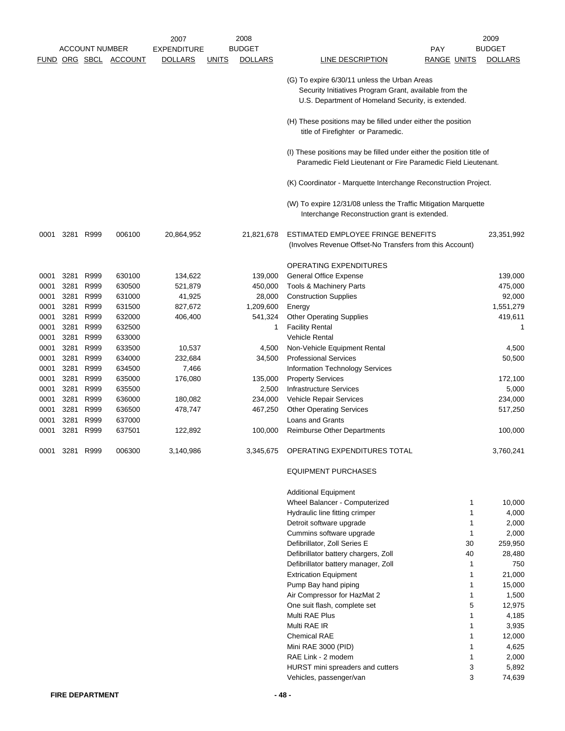|      |                |                       |                | 2007               |              | 2008           |                                                                                                                                        |                    | 2009           |
|------|----------------|-----------------------|----------------|--------------------|--------------|----------------|----------------------------------------------------------------------------------------------------------------------------------------|--------------------|----------------|
|      |                | <b>ACCOUNT NUMBER</b> |                | <b>EXPENDITURE</b> |              | <b>BUDGET</b>  |                                                                                                                                        | <b>PAY</b>         | <b>BUDGET</b>  |
|      |                | FUND ORG SBCL         | <b>ACCOUNT</b> | <b>DOLLARS</b>     | <u>UNITS</u> | <b>DOLLARS</b> | LINE DESCRIPTION                                                                                                                       | <b>RANGE UNITS</b> | <b>DOLLARS</b> |
|      |                |                       |                |                    |              |                |                                                                                                                                        |                    |                |
|      |                |                       |                |                    |              |                | (G) To expire 6/30/11 unless the Urban Areas                                                                                           |                    |                |
|      |                |                       |                |                    |              |                | Security Initiatives Program Grant, available from the                                                                                 |                    |                |
|      |                |                       |                |                    |              |                | U.S. Department of Homeland Security, is extended.                                                                                     |                    |                |
|      |                |                       |                |                    |              |                | (H) These positions may be filled under either the position                                                                            |                    |                |
|      |                |                       |                |                    |              |                | title of Firefighter or Paramedic.                                                                                                     |                    |                |
|      |                |                       |                |                    |              |                | (I) These positions may be filled under either the position title of<br>Paramedic Field Lieutenant or Fire Paramedic Field Lieutenant. |                    |                |
|      |                |                       |                |                    |              |                | (K) Coordinator - Marquette Interchange Reconstruction Project.                                                                        |                    |                |
|      |                |                       |                |                    |              |                | (W) To expire 12/31/08 unless the Traffic Mitigation Marquette<br>Interchange Reconstruction grant is extended.                        |                    |                |
| 0001 |                | 3281 R999             | 006100         | 20,864,952         |              | 21,821,678     | ESTIMATED EMPLOYEE FRINGE BENEFITS                                                                                                     |                    | 23,351,992     |
|      |                |                       |                |                    |              |                | (Involves Revenue Offset-No Transfers from this Account)                                                                               |                    |                |
|      |                |                       |                |                    |              |                |                                                                                                                                        |                    |                |
|      |                |                       |                |                    |              |                | OPERATING EXPENDITURES<br><b>General Office Expense</b>                                                                                |                    | 139,000        |
| 0001 | 3281           | R999                  | 630100         | 134,622            |              | 139,000        |                                                                                                                                        |                    |                |
| 0001 | 3281           | R999                  | 630500         | 521,879            |              | 450,000        | Tools & Machinery Parts                                                                                                                |                    | 475,000        |
| 0001 | 3281           | R999                  | 631000         | 41,925             |              | 28,000         | <b>Construction Supplies</b>                                                                                                           |                    | 92,000         |
| 0001 | 3281           | R999                  | 631500         | 827,672            |              | 1,209,600      | Energy                                                                                                                                 |                    | 1,551,279      |
| 0001 | 3281           | R999                  | 632000         | 406,400            |              | 541,324        | <b>Other Operating Supplies</b>                                                                                                        |                    | 419,611        |
| 0001 | 3281           | R999                  | 632500         |                    |              | 1              | <b>Facility Rental</b>                                                                                                                 |                    | 1              |
| 0001 | 3281           | R999                  | 633000         |                    |              |                | <b>Vehicle Rental</b>                                                                                                                  |                    |                |
| 0001 | 3281           | R999                  | 633500         | 10,537             |              | 4,500          | Non-Vehicle Equipment Rental                                                                                                           |                    | 4,500          |
| 0001 | 3281           | R999                  | 634000         | 232,684            |              | 34,500         | <b>Professional Services</b>                                                                                                           |                    | 50,500         |
| 0001 | 3281           | R999                  | 634500         | 7,466              |              |                | Information Technology Services                                                                                                        |                    |                |
| 0001 | 3281           | R999                  | 635000         | 176,080            |              | 135,000        | <b>Property Services</b>                                                                                                               |                    | 172,100        |
| 0001 | 3281           | R999                  | 635500         |                    |              | 2,500          | <b>Infrastructure Services</b>                                                                                                         |                    | 5,000          |
| 0001 | 3281           | R999                  | 636000         | 180,082            |              | 234,000        | Vehicle Repair Services                                                                                                                |                    | 234,000        |
| 0001 | 3281           | R999                  | 636500         | 478,747            |              | 467,250        | <b>Other Operating Services</b>                                                                                                        |                    | 517,250        |
| 0001 | 3281           | R999                  | 637000         |                    |              |                | <b>Loans and Grants</b>                                                                                                                |                    |                |
| 0001 | 3281           | R999                  | 637501         | 122,892            |              | 100,000        | <b>Reimburse Other Departments</b>                                                                                                     |                    | 100,000        |
|      | 0001 3281 R999 |                       | 006300         | 3,140,986          |              | 3,345,675      | OPERATING EXPENDITURES TOTAL                                                                                                           |                    | 3,760,241      |
|      |                |                       |                |                    |              |                | <b>EQUIPMENT PURCHASES</b>                                                                                                             |                    |                |
|      |                |                       |                |                    |              |                | <b>Additional Equipment</b>                                                                                                            |                    |                |
|      |                |                       |                |                    |              |                | Wheel Balancer - Computerized                                                                                                          | 1                  | 10,000         |
|      |                |                       |                |                    |              |                | Hydraulic line fitting crimper                                                                                                         | 1                  | 4,000          |
|      |                |                       |                |                    |              |                | Detroit software upgrade                                                                                                               | 1                  | 2,000          |
|      |                |                       |                |                    |              |                | Cummins software upgrade                                                                                                               | 1                  | 2,000          |
|      |                |                       |                |                    |              |                | Defibrillator, Zoll Series E                                                                                                           | 30                 | 259,950        |
|      |                |                       |                |                    |              |                | Defibrillator battery chargers, Zoll                                                                                                   | 40                 | 28,480         |
|      |                |                       |                |                    |              |                | Defibrillator battery manager, Zoll                                                                                                    | 1                  | 750            |
|      |                |                       |                |                    |              |                | <b>Extrication Equipment</b>                                                                                                           | 1                  | 21,000         |
|      |                |                       |                |                    |              |                | Pump Bay hand piping                                                                                                                   | 1                  | 15,000         |
|      |                |                       |                |                    |              |                | Air Compressor for HazMat 2                                                                                                            | 1                  | 1,500          |
|      |                |                       |                |                    |              |                | One suit flash, complete set                                                                                                           | 5                  | 12,975         |
|      |                |                       |                |                    |              |                | Multi RAE Plus                                                                                                                         | 1                  | 4,185          |
|      |                |                       |                |                    |              |                | Multi RAE IR                                                                                                                           | 1                  | 3,935          |
|      |                |                       |                |                    |              |                | <b>Chemical RAE</b>                                                                                                                    | 1                  | 12,000         |
|      |                |                       |                |                    |              |                | Mini RAE 3000 (PID)                                                                                                                    | 1                  | 4,625          |
|      |                |                       |                |                    |              |                | RAE Link - 2 modem                                                                                                                     | 1                  | 2,000          |
|      |                |                       |                |                    |              |                | HURST mini spreaders and cutters                                                                                                       | 3                  | 5,892          |
|      |                |                       |                |                    |              |                | Vehicles, passenger/van                                                                                                                | 3                  | 74,639         |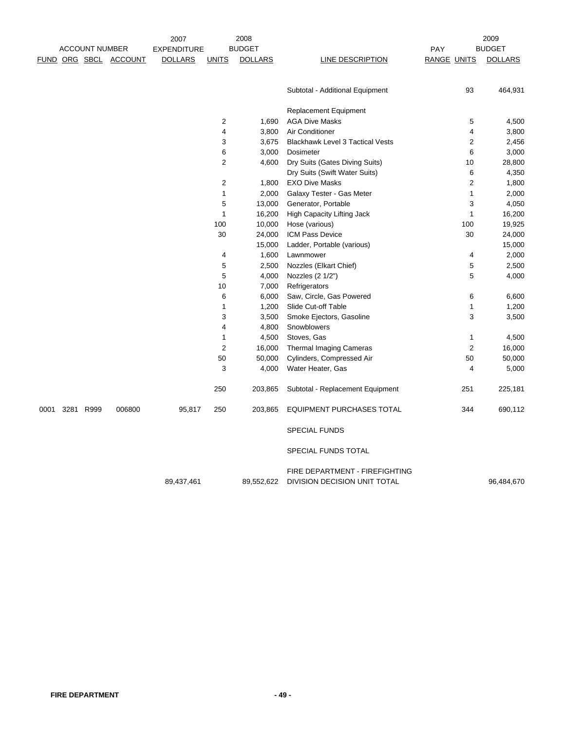|      |                       |                       | 2007               |                | 2008           |                                                                |                    |                | 2009           |
|------|-----------------------|-----------------------|--------------------|----------------|----------------|----------------------------------------------------------------|--------------------|----------------|----------------|
|      | <b>ACCOUNT NUMBER</b> |                       | <b>EXPENDITURE</b> |                | <b>BUDGET</b>  |                                                                | PAY                |                | <b>BUDGET</b>  |
|      |                       | FUND ORG SBCL ACCOUNT | <b>DOLLARS</b>     | <b>UNITS</b>   | <b>DOLLARS</b> | <b>LINE DESCRIPTION</b>                                        | <b>RANGE UNITS</b> |                | <b>DOLLARS</b> |
|      |                       |                       |                    |                |                | Subtotal - Additional Equipment                                |                    | 93             | 464,931        |
|      |                       |                       |                    |                |                |                                                                |                    |                |                |
|      |                       |                       |                    |                |                | <b>Replacement Equipment</b>                                   |                    |                |                |
|      |                       |                       |                    | $\overline{2}$ | 1,690          | <b>AGA Dive Masks</b>                                          |                    | 5              | 4,500          |
|      |                       |                       |                    | $\overline{4}$ | 3,800          | Air Conditioner                                                |                    | 4              | 3,800          |
|      |                       |                       |                    | 3              | 3,675          | <b>Blackhawk Level 3 Tactical Vests</b>                        |                    | 2              | 2,456          |
|      |                       |                       |                    | 6              | 3,000          | Dosimeter                                                      |                    | 6              | 3,000          |
|      |                       |                       |                    | $\overline{2}$ | 4,600          | Dry Suits (Gates Diving Suits)                                 |                    | 10             | 28,800         |
|      |                       |                       |                    |                |                | Dry Suits (Swift Water Suits)                                  |                    | 6              | 4,350          |
|      |                       |                       |                    | 2              | 1,800          | <b>EXO Dive Masks</b>                                          |                    | $\overline{2}$ | 1,800          |
|      |                       |                       |                    | 1              | 2,000          | Galaxy Tester - Gas Meter                                      |                    | 1              | 2,000          |
|      |                       |                       |                    | 5              | 13,000         | Generator, Portable                                            |                    | 3              | 4,050          |
|      |                       |                       |                    | $\mathbf 1$    | 16,200         | <b>High Capacity Lifting Jack</b>                              |                    | $\mathbf{1}$   | 16,200         |
|      |                       |                       |                    | 100            | 10,000         | Hose (various)                                                 |                    | 100            | 19,925         |
|      |                       |                       |                    | 30             | 24,000         | ICM Pass Device                                                |                    | 30             | 24,000         |
|      |                       |                       |                    |                | 15,000         | Ladder, Portable (various)                                     |                    |                | 15,000         |
|      |                       |                       |                    | 4              | 1,600          | Lawnmower                                                      |                    | 4              | 2,000          |
|      |                       |                       |                    | 5              | 2,500          | Nozzles (Elkart Chief)                                         |                    | 5              | 2,500          |
|      |                       |                       |                    | 5              | 4,000          | Nozzles (2 1/2")                                               |                    | 5              | 4,000          |
|      |                       |                       |                    | 10             | 7,000          | Refrigerators                                                  |                    |                |                |
|      |                       |                       |                    | 6              | 6,000          | Saw, Circle, Gas Powered                                       |                    | 6              | 6,600          |
|      |                       |                       |                    | $\mathbf 1$    | 1,200          | Slide Cut-off Table                                            |                    | $\mathbf{1}$   | 1,200          |
|      |                       |                       |                    | 3              | 3,500          | Smoke Ejectors, Gasoline                                       |                    | 3              | 3,500          |
|      |                       |                       |                    | 4              | 4,800          | Snowblowers                                                    |                    |                |                |
|      |                       |                       |                    | $\mathbf{1}$   | 4,500          | Stoves, Gas                                                    |                    | 1              | 4,500          |
|      |                       |                       |                    | $\overline{2}$ | 16,000         | <b>Thermal Imaging Cameras</b>                                 |                    | $\overline{2}$ | 16,000         |
|      |                       |                       |                    | 50             | 50,000         | Cylinders, Compressed Air                                      |                    | 50             | 50,000         |
|      |                       |                       |                    | 3              | 4,000          | Water Heater, Gas                                              |                    | 4              | 5,000          |
|      |                       |                       |                    | 250            | 203,865        | Subtotal - Replacement Equipment                               |                    | 251            | 225,181        |
| 0001 | 3281 R999             | 006800                | 95,817             | 250            | 203,865        | <b>EQUIPMENT PURCHASES TOTAL</b>                               |                    | 344            | 690,112        |
|      |                       |                       |                    |                |                | <b>SPECIAL FUNDS</b>                                           |                    |                |                |
|      |                       |                       |                    |                |                | SPECIAL FUNDS TOTAL                                            |                    |                |                |
|      |                       |                       | 89,437,461         |                | 89,552,622     | FIRE DEPARTMENT - FIREFIGHTING<br>DIVISION DECISION UNIT TOTAL |                    |                | 96,484,670     |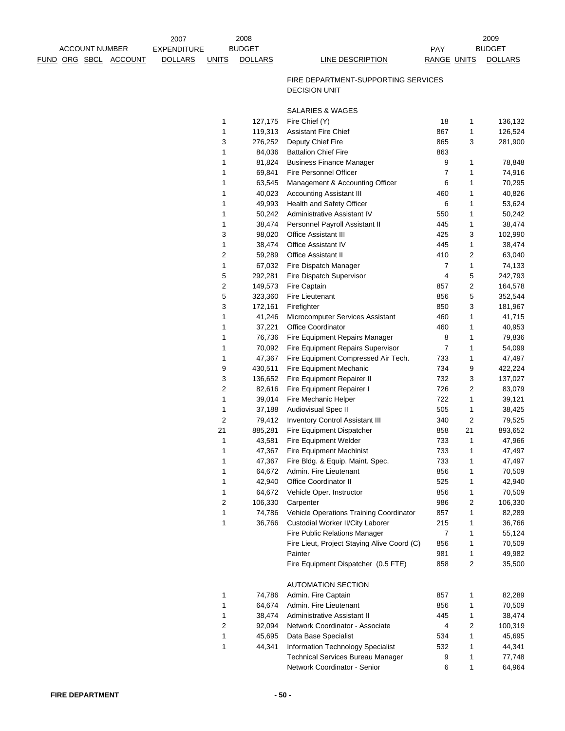|                              | <b>ACCOUNT NUMBER</b> | 2007<br><b>EXPENDITURE</b> |                                  | 2008<br><b>BUDGET</b> |                                                             | PAY                |                | 2009<br><b>BUDGET</b> |
|------------------------------|-----------------------|----------------------------|----------------------------------|-----------------------|-------------------------------------------------------------|--------------------|----------------|-----------------------|
| <u>FUND ORG SBCL ACCOUNT</u> |                       | <b>DOLLARS</b>             | <b>UNITS</b>                     | <b>DOLLARS</b>        | <b>LINE DESCRIPTION</b>                                     | <b>RANGE UNITS</b> |                | <b>DOLLARS</b>        |
|                              |                       |                            |                                  |                       | FIRE DEPARTMENT-SUPPORTING SERVICES<br><b>DECISION UNIT</b> |                    |                |                       |
|                              |                       |                            |                                  |                       | <b>SALARIES &amp; WAGES</b>                                 |                    |                |                       |
|                              |                       |                            | 1                                | 127,175               | Fire Chief (Y)                                              | 18                 | 1              | 136,132               |
|                              |                       |                            | 1                                | 119,313               | <b>Assistant Fire Chief</b>                                 | 867                | 1              | 126,524               |
|                              |                       |                            | 3                                | 276,252               | Deputy Chief Fire                                           | 865                | 3              | 281,900               |
|                              |                       |                            | 1                                | 84,036                | <b>Battalion Chief Fire</b>                                 | 863                |                |                       |
|                              |                       |                            | 1                                | 81,824                | <b>Business Finance Manager</b>                             | 9                  | 1              | 78,848                |
|                              |                       |                            | 1                                | 69,841                | Fire Personnel Officer                                      | 7                  | 1              | 74,916                |
|                              |                       |                            | 1                                | 63,545                | Management & Accounting Officer                             | 6                  | 1              | 70,295                |
|                              |                       |                            | 1                                | 40,023                | <b>Accounting Assistant III</b>                             | 460                | 1              | 40,826                |
|                              |                       |                            | 1                                | 49,993                | Health and Safety Officer                                   | 6                  | 1              | 53,624                |
|                              |                       |                            | $\mathbf{1}$                     | 50,242                | Administrative Assistant IV                                 | 550                | 1              | 50,242                |
|                              |                       |                            | 1                                | 38,474                | Personnel Payroll Assistant II                              | 445                | 1              | 38,474                |
|                              |                       |                            | 3                                | 98,020                | Office Assistant III                                        | 425                | 3              | 102,990               |
|                              |                       |                            | 1                                | 38,474                | <b>Office Assistant IV</b>                                  | 445                | 1              | 38,474                |
|                              |                       |                            | $\boldsymbol{2}$<br>$\mathbf{1}$ | 59,289                | Office Assistant II                                         | 410                | 2              | 63,040                |
|                              |                       |                            |                                  | 67,032                | Fire Dispatch Manager<br>Fire Dispatch Supervisor           | 7<br>4             | 1<br>5         | 74,133                |
|                              |                       |                            | 5<br>$\boldsymbol{2}$            | 292,281<br>149,573    | Fire Captain                                                | 857                | 2              | 242,793<br>164,578    |
|                              |                       |                            | 5                                | 323,360               | <b>Fire Lieutenant</b>                                      | 856                | 5              | 352,544               |
|                              |                       |                            | 3                                | 172,161               | Firefighter                                                 | 850                | 3              | 181,967               |
|                              |                       |                            | 1                                | 41,246                | Microcomputer Services Assistant                            | 460                | 1              | 41,715                |
|                              |                       |                            | 1                                | 37,221                | Office Coordinator                                          | 460                | 1              | 40,953                |
|                              |                       |                            | 1                                | 76,736                | Fire Equipment Repairs Manager                              | 8                  | 1              | 79,836                |
|                              |                       |                            | 1                                | 70,092                | Fire Equipment Repairs Supervisor                           | $\overline{7}$     | 1              | 54,099                |
|                              |                       |                            | $\mathbf{1}$                     | 47,367                | Fire Equipment Compressed Air Tech.                         | 733                | 1              | 47,497                |
|                              |                       |                            | 9                                | 430,511               | Fire Equipment Mechanic                                     | 734                | 9              | 422,224               |
|                              |                       |                            | 3                                | 136,652               | Fire Equipment Repairer II                                  | 732                | 3              | 137,027               |
|                              |                       |                            | $\overline{c}$                   | 82,616                | Fire Equipment Repairer I                                   | 726                | 2              | 83,079                |
|                              |                       |                            | 1                                | 39,014                | Fire Mechanic Helper                                        | 722                | 1              | 39,121                |
|                              |                       |                            | $\mathbf{1}$                     | 37,188                | <b>Audiovisual Spec II</b>                                  | 505                | 1              | 38,425                |
|                              |                       |                            | $\sqrt{2}$                       | 79,412                | <b>Inventory Control Assistant III</b>                      | 340                | $\overline{c}$ | 79,525                |
|                              |                       |                            | 21                               | 885,281               | Fire Equipment Dispatcher                                   | 858                | 21             | 893,652               |
|                              |                       |                            | $\mathbf{1}$                     | 43,581                | Fire Equipment Welder                                       | 733                | 1              | 47,966                |
|                              |                       |                            | 1                                | 47,367                | Fire Equipment Machinist                                    | 733                | 1              | 47,497                |
|                              |                       |                            | 1                                | 47,367                | Fire Bldg. & Equip. Maint. Spec.                            | 733                | 1              | 47,497                |
|                              |                       |                            | 1                                | 64,672                | Admin. Fire Lieutenant                                      | 856                | 1              | 70,509                |
|                              |                       |                            | 1                                | 42,940                | <b>Office Coordinator II</b>                                | 525                | 1              | 42,940                |
|                              |                       |                            | 1                                | 64,672                | Vehicle Oper. Instructor                                    | 856                | 1              | 70,509                |
|                              |                       |                            | $\sqrt{2}$<br>$\mathbf{1}$       | 106,330<br>74,786     | Carpenter<br>Vehicle Operations Training Coordinator        | 986<br>857         | 2<br>1         | 106,330<br>82,289     |
|                              |                       |                            | 1                                | 36,766                | Custodial Worker II/City Laborer                            | 215                | 1              | 36,766                |
|                              |                       |                            |                                  |                       | Fire Public Relations Manager                               | 7                  | 1              | 55,124                |
|                              |                       |                            |                                  |                       | Fire Lieut, Project Staying Alive Coord (C)                 | 856                | 1              | 70,509                |
|                              |                       |                            |                                  |                       | Painter                                                     | 981                | 1              | 49,982                |
|                              |                       |                            |                                  |                       | Fire Equipment Dispatcher (0.5 FTE)                         | 858                | 2              | 35,500                |
|                              |                       |                            |                                  |                       | <b>AUTOMATION SECTION</b>                                   |                    |                |                       |
|                              |                       |                            | 1                                | 74,786                | Admin. Fire Captain                                         | 857                | 1              | 82,289                |
|                              |                       |                            | 1                                | 64,674                | Admin. Fire Lieutenant                                      | 856                | 1              | 70,509                |
|                              |                       |                            | 1                                | 38,474                | Administrative Assistant II                                 | 445                | 1              | 38,474                |
|                              |                       |                            | $\overline{2}$                   | 92,094                | Network Coordinator - Associate                             | 4                  | 2              | 100,319               |
|                              |                       |                            | $\mathbf{1}$                     | 45,695                | Data Base Specialist                                        | 534                | 1              | 45,695                |
|                              |                       |                            | 1                                | 44,341                | Information Technology Specialist                           | 532                | 1              | 44,341                |
|                              |                       |                            |                                  |                       | <b>Technical Services Bureau Manager</b>                    | 9                  | 1              | 77,748                |
|                              |                       |                            |                                  |                       | Network Coordinator - Senior                                | 6                  | 1              | 64,964                |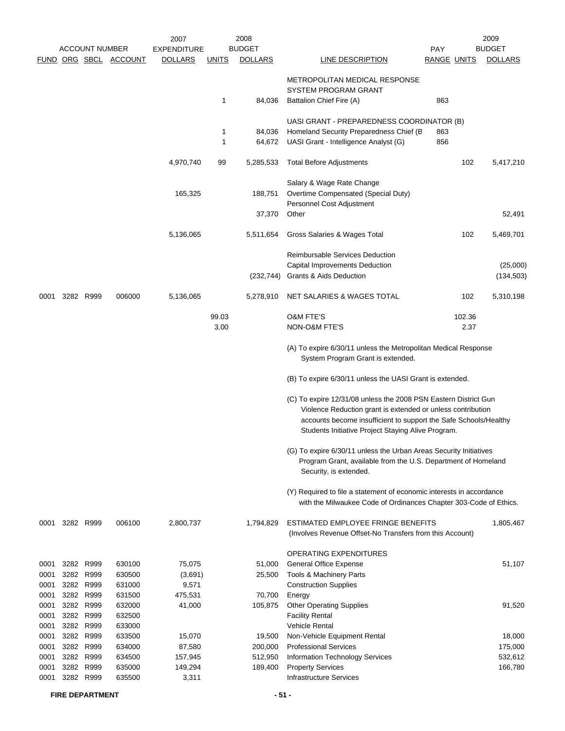|      |      |                       |                       | 2007                          |              | 2008           |                                                                                                                                           |                    | 2009           |
|------|------|-----------------------|-----------------------|-------------------------------|--------------|----------------|-------------------------------------------------------------------------------------------------------------------------------------------|--------------------|----------------|
|      |      | <b>ACCOUNT NUMBER</b> | FUND ORG SBCL ACCOUNT | EXPENDITURE<br><b>DOLLARS</b> |              | <b>BUDGET</b>  |                                                                                                                                           | <b>PAY</b>         | <b>BUDGET</b>  |
|      |      |                       |                       |                               | <u>UNITS</u> | <b>DOLLARS</b> | <b>LINE DESCRIPTION</b>                                                                                                                   | <b>RANGE UNITS</b> | <b>DOLLARS</b> |
|      |      |                       |                       |                               |              |                | <b>METROPOLITAN MEDICAL RESPONSE</b><br><b>SYSTEM PROGRAM GRANT</b>                                                                       |                    |                |
|      |      |                       |                       |                               | 1            | 84,036         | Battalion Chief Fire (A)                                                                                                                  | 863                |                |
|      |      |                       |                       |                               |              |                | UASI GRANT - PREPAREDNESS COORDINATOR (B)                                                                                                 |                    |                |
|      |      |                       |                       |                               | 1            | 84,036         | Homeland Security Preparedness Chief (B)                                                                                                  | 863                |                |
|      |      |                       |                       |                               | 1            | 64,672         | UASI Grant - Intelligence Analyst (G)                                                                                                     | 856                |                |
|      |      |                       |                       |                               |              |                |                                                                                                                                           |                    |                |
|      |      |                       |                       | 4,970,740                     | 99           | 5,285,533      | <b>Total Before Adjustments</b>                                                                                                           | 102                | 5,417,210      |
|      |      |                       |                       |                               |              |                |                                                                                                                                           |                    |                |
|      |      |                       |                       |                               |              |                | Salary & Wage Rate Change                                                                                                                 |                    |                |
|      |      |                       |                       | 165,325                       |              | 188,751        | Overtime Compensated (Special Duty)                                                                                                       |                    |                |
|      |      |                       |                       |                               |              |                | Personnel Cost Adjustment                                                                                                                 |                    |                |
|      |      |                       |                       |                               |              | 37,370         | Other                                                                                                                                     |                    | 52,491         |
|      |      |                       |                       | 5,136,065                     |              | 5,511,654      | Gross Salaries & Wages Total                                                                                                              | 102                | 5,469,701      |
|      |      |                       |                       |                               |              |                | Reimbursable Services Deduction                                                                                                           |                    |                |
|      |      |                       |                       |                               |              |                | Capital Improvements Deduction                                                                                                            |                    | (25,000)       |
|      |      |                       |                       |                               |              | (232,744)      | Grants & Aids Deduction                                                                                                                   |                    | (134, 503)     |
|      |      |                       |                       |                               |              |                |                                                                                                                                           |                    |                |
| 0001 |      | 3282 R999             | 006000                | 5,136,065                     |              | 5,278,910      | NET SALARIES & WAGES TOTAL                                                                                                                | 102                | 5,310,198      |
|      |      |                       |                       |                               | 99.03        |                | <b>O&amp;M FTE'S</b>                                                                                                                      | 102.36             |                |
|      |      |                       |                       |                               | 3.00         |                | NON-O&M FTE'S                                                                                                                             | 2.37               |                |
|      |      |                       |                       |                               |              |                |                                                                                                                                           |                    |                |
|      |      |                       |                       |                               |              |                | (A) To expire 6/30/11 unless the Metropolitan Medical Response<br>System Program Grant is extended.                                       |                    |                |
|      |      |                       |                       |                               |              |                | (B) To expire 6/30/11 unless the UASI Grant is extended.                                                                                  |                    |                |
|      |      |                       |                       |                               |              |                | (C) To expire 12/31/08 unless the 2008 PSN Eastern District Gun                                                                           |                    |                |
|      |      |                       |                       |                               |              |                | Violence Reduction grant is extended or unless contribution                                                                               |                    |                |
|      |      |                       |                       |                               |              |                | accounts become insufficient to support the Safe Schools/Healthy                                                                          |                    |                |
|      |      |                       |                       |                               |              |                | Students Initiative Project Staying Alive Program.                                                                                        |                    |                |
|      |      |                       |                       |                               |              |                |                                                                                                                                           |                    |                |
|      |      |                       |                       |                               |              |                | (G) To expire 6/30/11 unless the Urban Areas Security Initiatives                                                                         |                    |                |
|      |      |                       |                       |                               |              |                | Program Grant, available from the U.S. Department of Homeland<br>Security, is extended.                                                   |                    |                |
|      |      |                       |                       |                               |              |                |                                                                                                                                           |                    |                |
|      |      |                       |                       |                               |              |                | (Y) Required to file a statement of economic interests in accordance<br>with the Milwaukee Code of Ordinances Chapter 303-Code of Ethics. |                    |                |
|      |      |                       |                       |                               |              |                |                                                                                                                                           |                    |                |
| 0001 |      | 3282 R999             | 006100                | 2,800,737                     |              | 1,794,829      | ESTIMATED EMPLOYEE FRINGE BENEFITS                                                                                                        |                    | 1,805,467      |
|      |      |                       |                       |                               |              |                | (Involves Revenue Offset-No Transfers from this Account)                                                                                  |                    |                |
|      |      |                       |                       |                               |              |                | OPERATING EXPENDITURES                                                                                                                    |                    |                |
| 0001 |      | 3282 R999             | 630100                | 75,075                        |              | 51,000         | <b>General Office Expense</b>                                                                                                             |                    | 51,107         |
| 0001 |      | 3282 R999             | 630500                | (3,691)                       |              | 25,500         | Tools & Machinery Parts                                                                                                                   |                    |                |
| 0001 |      | 3282 R999             | 631000                | 9,571                         |              |                | <b>Construction Supplies</b>                                                                                                              |                    |                |
| 0001 | 3282 | R999                  | 631500                | 475,531                       |              | 70,700         | Energy                                                                                                                                    |                    |                |
| 0001 | 3282 | R999                  | 632000                | 41,000                        |              | 105,875        | <b>Other Operating Supplies</b>                                                                                                           |                    | 91,520         |
| 0001 |      | 3282 R999             | 632500                |                               |              |                | <b>Facility Rental</b>                                                                                                                    |                    |                |
| 0001 | 3282 | R999                  | 633000                |                               |              |                | Vehicle Rental                                                                                                                            |                    |                |
| 0001 | 3282 | R999                  | 633500                | 15,070                        |              | 19,500         | Non-Vehicle Equipment Rental                                                                                                              |                    | 18,000         |
| 0001 |      | 3282 R999             | 634000                | 87,580                        |              | 200,000        | <b>Professional Services</b>                                                                                                              |                    | 175,000        |
| 0001 |      | 3282 R999             | 634500                | 157,945                       |              | 512,950        | Information Technology Services                                                                                                           |                    | 532,612        |
| 0001 | 3282 | R999                  | 635000                | 149,294                       |              | 189,400        | <b>Property Services</b>                                                                                                                  |                    | 166,780        |
| 0001 |      | 3282 R999             | 635500                | 3,311                         |              |                | <b>Infrastructure Services</b>                                                                                                            |                    |                |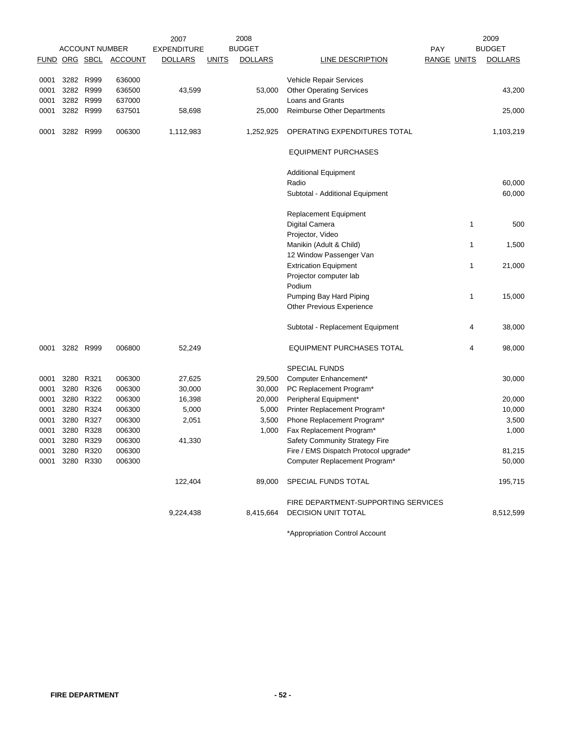|             |           |                       |                | 2007               |              | 2008           |                                       |                    |   | 2009           |
|-------------|-----------|-----------------------|----------------|--------------------|--------------|----------------|---------------------------------------|--------------------|---|----------------|
|             |           | <b>ACCOUNT NUMBER</b> |                | <b>EXPENDITURE</b> |              | <b>BUDGET</b>  |                                       | <b>PAY</b>         |   | <b>BUDGET</b>  |
| <b>FUND</b> |           | ORG SBCL              | <b>ACCOUNT</b> | <b>DOLLARS</b>     | <b>UNITS</b> | <b>DOLLARS</b> | LINE DESCRIPTION                      | <b>RANGE UNITS</b> |   | <b>DOLLARS</b> |
|             |           |                       |                |                    |              |                |                                       |                    |   |                |
| 0001        | 3282 R999 |                       | 636000         |                    |              |                | Vehicle Repair Services               |                    |   |                |
| 0001        | 3282      | R999                  | 636500         | 43,599             |              | 53,000         | <b>Other Operating Services</b>       |                    |   | 43,200         |
| 0001        | 3282 R999 |                       | 637000         |                    |              |                | Loans and Grants                      |                    |   |                |
| 0001        | 3282 R999 |                       | 637501         | 58,698             |              | 25,000         | Reimburse Other Departments           |                    |   | 25,000         |
|             |           |                       |                |                    |              |                |                                       |                    |   |                |
| 0001        | 3282 R999 |                       | 006300         | 1,112,983          |              | 1,252,925      | OPERATING EXPENDITURES TOTAL          |                    |   | 1,103,219      |
|             |           |                       |                |                    |              |                | <b>EQUIPMENT PURCHASES</b>            |                    |   |                |
|             |           |                       |                |                    |              |                |                                       |                    |   |                |
|             |           |                       |                |                    |              |                | <b>Additional Equipment</b>           |                    |   |                |
|             |           |                       |                |                    |              |                | Radio                                 |                    |   | 60,000         |
|             |           |                       |                |                    |              |                | Subtotal - Additional Equipment       |                    |   | 60,000         |
|             |           |                       |                |                    |              |                |                                       |                    |   |                |
|             |           |                       |                |                    |              |                | Replacement Equipment                 |                    |   |                |
|             |           |                       |                |                    |              |                | Digital Camera                        |                    | 1 | 500            |
|             |           |                       |                |                    |              |                | Projector, Video                      |                    |   |                |
|             |           |                       |                |                    |              |                | Manikin (Adult & Child)               |                    | 1 | 1,500          |
|             |           |                       |                |                    |              |                | 12 Window Passenger Van               |                    |   |                |
|             |           |                       |                |                    |              |                | <b>Extrication Equipment</b>          |                    | 1 | 21,000         |
|             |           |                       |                |                    |              |                | Projector computer lab                |                    |   |                |
|             |           |                       |                |                    |              |                | Podium                                |                    |   |                |
|             |           |                       |                |                    |              |                | Pumping Bay Hard Piping               |                    | 1 | 15,000         |
|             |           |                       |                |                    |              |                | Other Previous Experience             |                    |   |                |
|             |           |                       |                |                    |              |                |                                       |                    |   |                |
|             |           |                       |                |                    |              |                | Subtotal - Replacement Equipment      |                    | 4 | 38,000         |
| 0001        |           | 3282 R999             | 006800         | 52,249             |              |                | <b>EQUIPMENT PURCHASES TOTAL</b>      |                    | 4 | 98,000         |
|             |           |                       |                |                    |              |                | <b>SPECIAL FUNDS</b>                  |                    |   |                |
| 0001        | 3280      | R321                  | 006300         | 27,625             |              | 29,500         | Computer Enhancement*                 |                    |   | 30,000         |
| 0001        | 3280      | R326                  | 006300         | 30,000             |              | 30,000         | PC Replacement Program*               |                    |   |                |
| 0001        | 3280      | R322                  | 006300         | 16,398             |              | 20,000         | Peripheral Equipment*                 |                    |   | 20,000         |
| 0001        | 3280      | R324                  | 006300         | 5,000              |              | 5,000          | Printer Replacement Program*          |                    |   | 10,000         |
| 0001        | 3280      | R327                  | 006300         | 2,051              |              | 3,500          | Phone Replacement Program*            |                    |   | 3,500          |
| 0001        | 3280      | R328                  | 006300         |                    |              | 1,000          | Fax Replacement Program*              |                    |   | 1,000          |
| 0001        |           | 3280 R329             | 006300         | 41,330             |              |                | Safety Community Strategy Fire        |                    |   |                |
|             |           |                       | 006300         |                    |              |                |                                       |                    |   |                |
| 0001        | 3280 R320 |                       |                |                    |              |                | Fire / EMS Dispatch Protocol upgrade* |                    |   | 81,215         |
| 0001        |           | 3280 R330             | 006300         |                    |              |                | Computer Replacement Program*         |                    |   | 50,000         |
|             |           |                       |                | 122,404            |              | 89,000         | SPECIAL FUNDS TOTAL                   |                    |   | 195,715        |
|             |           |                       |                |                    |              |                | FIRE DEPARTMENT-SUPPORTING SERVICES   |                    |   |                |
|             |           |                       |                | 9,224,438          |              | 8,415,664      | <b>DECISION UNIT TOTAL</b>            |                    |   | 8,512,599      |
|             |           |                       |                |                    |              |                |                                       |                    |   |                |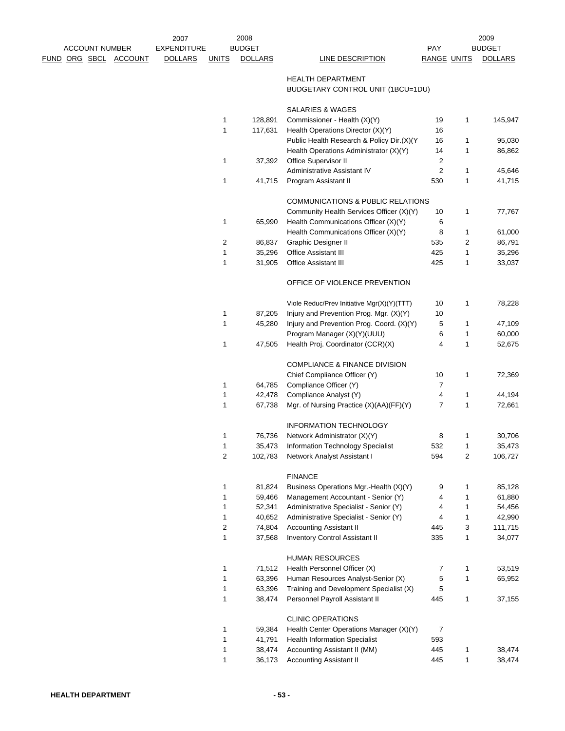|  | <b>ACCOUNT NUMBER</b> |                              | 2007<br><b>EXPENDITURE</b> |                | 2008<br><b>BUDGET</b> |                                                               | <b>PAY</b>         |                   | 2009<br><b>BUDGET</b> |  |
|--|-----------------------|------------------------------|----------------------------|----------------|-----------------------|---------------------------------------------------------------|--------------------|-------------------|-----------------------|--|
|  |                       | <u>FUND ORG SBCL ACCOUNT</u> | <b>DOLLARS</b>             | <b>UNITS</b>   | <b>DOLLARS</b>        | LINE DESCRIPTION                                              | <b>RANGE UNITS</b> |                   | <b>DOLLARS</b>        |  |
|  |                       |                              |                            |                |                       | <b>HEALTH DEPARTMENT</b><br>BUDGETARY CONTROL UNIT (1BCU=1DU) |                    |                   |                       |  |
|  |                       |                              |                            |                |                       | <b>SALARIES &amp; WAGES</b>                                   |                    |                   |                       |  |
|  |                       |                              |                            | $\mathbf{1}$   | 128,891               | Commissioner - Health (X)(Y)                                  | 19                 | 1                 | 145,947               |  |
|  |                       |                              |                            | 1              | 117,631               | Health Operations Director (X)(Y)                             | 16                 |                   |                       |  |
|  |                       |                              |                            |                |                       | Public Health Research & Policy Dir.(X)(Y                     | 16                 | $\mathbf 1$       | 95,030                |  |
|  |                       |                              |                            |                |                       | Health Operations Administrator (X)(Y)                        | 14                 | 1                 | 86,862                |  |
|  |                       |                              |                            | 1              | 37,392                | Office Supervisor II                                          | 2                  |                   |                       |  |
|  |                       |                              |                            |                |                       | Administrative Assistant IV                                   | $\overline{2}$     | 1                 | 45,646                |  |
|  |                       |                              |                            | 1              | 41,715                | Program Assistant II                                          | 530                | $\mathbf 1$       | 41,715                |  |
|  |                       |                              |                            |                |                       | COMMUNICATIONS & PUBLIC RELATIONS                             |                    |                   |                       |  |
|  |                       |                              |                            |                |                       | Community Health Services Officer (X)(Y)                      | 10                 | 1                 | 77,767                |  |
|  |                       |                              |                            | 1              | 65,990                | Health Communications Officer (X)(Y)                          | 6                  |                   |                       |  |
|  |                       |                              |                            |                |                       | Health Communications Officer (X)(Y)                          | 8                  | 1                 | 61,000                |  |
|  |                       |                              |                            | 2              | 86,837                | Graphic Designer II                                           | 535                | $\overline{2}$    | 86,791                |  |
|  |                       |                              |                            | 1<br>1         | 35,296                | Office Assistant III                                          | 425                | 1<br>$\mathbf{1}$ | 35,296                |  |
|  |                       |                              |                            |                | 31,905                | <b>Office Assistant III</b>                                   | 425                |                   | 33,037                |  |
|  |                       |                              |                            |                |                       | OFFICE OF VIOLENCE PREVENTION                                 |                    |                   |                       |  |
|  |                       |                              |                            |                |                       | Viole Reduc/Prev Initiative Mgr(X)(Y)(TTT)                    | 10                 | 1                 | 78,228                |  |
|  |                       |                              |                            | $\mathbf{1}$   | 87,205                | Injury and Prevention Prog. Mgr. (X)(Y)                       | 10                 |                   |                       |  |
|  |                       |                              |                            | 1              | 45,280                | Injury and Prevention Prog. Coord. (X)(Y)                     | 5                  | 1                 | 47,109                |  |
|  |                       |                              |                            |                |                       | Program Manager (X)(Y)(UUU)                                   | 6                  | 1                 | 60,000                |  |
|  |                       |                              |                            | $\mathbf{1}$   | 47,505                | Health Proj. Coordinator (CCR)(X)                             | $\overline{4}$     | $\mathbf{1}$      | 52,675                |  |
|  |                       |                              |                            |                |                       | <b>COMPLIANCE &amp; FINANCE DIVISION</b>                      |                    |                   |                       |  |
|  |                       |                              |                            |                |                       | Chief Compliance Officer (Y)                                  | 10                 | 1                 | 72,369                |  |
|  |                       |                              |                            | 1              | 64,785                | Compliance Officer (Y)                                        | 7                  |                   |                       |  |
|  |                       |                              |                            | $\mathbf{1}$   | 42,478                | Compliance Analyst (Y)                                        | 4                  | 1                 | 44,194                |  |
|  |                       |                              |                            | 1              | 67,738                | Mgr. of Nursing Practice (X)(AA)(FF)(Y)                       | 7                  | $\mathbf{1}$      | 72,661                |  |
|  |                       |                              |                            |                |                       | <b>INFORMATION TECHNOLOGY</b>                                 |                    |                   |                       |  |
|  |                       |                              |                            | 1              | 76,736                | Network Administrator (X)(Y)                                  | 8                  | 1                 | 30,706                |  |
|  |                       |                              |                            | 1              | 35,473                | Information Technology Specialist                             | 532                | 1                 | 35,473                |  |
|  |                       |                              |                            | $\overline{c}$ | 102,783               | Network Analyst Assistant I                                   | 594                | $\overline{c}$    | 106,727               |  |
|  |                       |                              |                            |                |                       | <b>FINANCE</b>                                                |                    |                   |                       |  |
|  |                       |                              |                            | 1              | 81,824                | Business Operations Mgr.-Health (X)(Y)                        | 9                  | 1                 | 85,128                |  |
|  |                       |                              |                            | 1              | 59,466                | Management Accountant - Senior (Y)                            | 4                  | 1                 | 61,880                |  |
|  |                       |                              |                            | 1              | 52,341                | Administrative Specialist - Senior (Y)                        | 4                  | 1                 | 54,456                |  |
|  |                       |                              |                            | 1              | 40,652                | Administrative Specialist - Senior (Y)                        | 4                  | $\mathbf{1}$      | 42,990                |  |
|  |                       |                              |                            | 2              | 74,804                | <b>Accounting Assistant II</b>                                | 445                | 3                 | 111,715               |  |
|  |                       |                              |                            | 1              | 37,568                | Inventory Control Assistant II                                | 335                | $\mathbf{1}$      | 34,077                |  |
|  |                       |                              |                            |                |                       | <b>HUMAN RESOURCES</b>                                        |                    |                   |                       |  |
|  |                       |                              |                            | 1              | 71,512                | Health Personnel Officer (X)                                  | 7                  | 1                 | 53,519                |  |
|  |                       |                              |                            | 1              | 63,396                | Human Resources Analyst-Senior (X)                            | 5                  | 1                 | 65,952                |  |
|  |                       |                              |                            | $\mathbf{1}$   | 63,396                | Training and Development Specialist (X)                       | 5                  |                   |                       |  |
|  |                       |                              |                            | $\mathbf{1}$   | 38,474                | Personnel Payroll Assistant II                                | 445                | 1                 | 37,155                |  |
|  |                       |                              |                            |                |                       | <b>CLINIC OPERATIONS</b>                                      |                    |                   |                       |  |
|  |                       |                              |                            | 1              | 59,384                | Health Center Operations Manager (X)(Y)                       | 7                  |                   |                       |  |
|  |                       |                              |                            | 1              | 41,791                | <b>Health Information Specialist</b>                          | 593                |                   |                       |  |
|  |                       |                              |                            | 1              | 38,474                | Accounting Assistant II (MM)                                  | 445                | $\mathbf{1}$      | 38,474                |  |
|  |                       |                              |                            | $\mathbf{1}$   | 36,173                | <b>Accounting Assistant II</b>                                | 445                | $\mathbf{1}$      | 38,474                |  |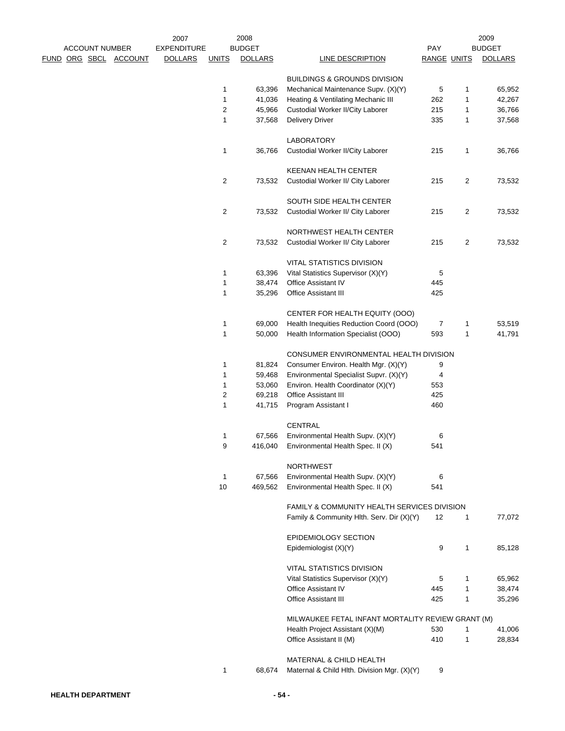|                              | 2007               |                  | 2008           |                                                                                          |                    |   | 2009           |
|------------------------------|--------------------|------------------|----------------|------------------------------------------------------------------------------------------|--------------------|---|----------------|
| <b>ACCOUNT NUMBER</b>        | <b>EXPENDITURE</b> |                  | <b>BUDGET</b>  |                                                                                          | PAY                |   | <b>BUDGET</b>  |
| <u>FUND ORG SBCL ACCOUNT</u> | <b>DOLLARS</b>     | <u>UNITS</u>     | <b>DOLLARS</b> | <b>LINE DESCRIPTION</b>                                                                  | <b>RANGE UNITS</b> |   | <b>DOLLARS</b> |
|                              |                    |                  |                | <b>BUILDINGS &amp; GROUNDS DIVISION</b>                                                  |                    |   |                |
|                              |                    | 1                | 63,396         | Mechanical Maintenance Supv. (X)(Y)                                                      | 5                  | 1 | 65,952         |
|                              |                    | 1                | 41,036         | Heating & Ventilating Mechanic III                                                       | 262                | 1 | 42,267         |
|                              |                    | 2                | 45,966         | Custodial Worker II/City Laborer                                                         | 215                | 1 | 36,766         |
|                              |                    | $\mathbf{1}$     | 37,568         | <b>Delivery Driver</b>                                                                   | 335                | 1 | 37,568         |
|                              |                    |                  |                |                                                                                          |                    |   |                |
|                              |                    |                  |                | <b>LABORATORY</b>                                                                        |                    |   |                |
|                              |                    | $\mathbf{1}$     | 36,766         | Custodial Worker II/City Laborer                                                         | 215                | 1 | 36,766         |
|                              |                    |                  |                | <b>KEENAN HEALTH CENTER</b>                                                              |                    |   |                |
|                              |                    | $\overline{c}$   | 73,532         | Custodial Worker II/ City Laborer                                                        | 215                | 2 | 73,532         |
|                              |                    |                  |                | SOUTH SIDE HEALTH CENTER                                                                 |                    |   |                |
|                              |                    | 2                | 73,532         | Custodial Worker II/ City Laborer                                                        | 215                | 2 | 73,532         |
|                              |                    |                  |                |                                                                                          |                    |   |                |
|                              |                    |                  |                | NORTHWEST HEALTH CENTER                                                                  |                    |   |                |
|                              |                    | $\boldsymbol{2}$ | 73,532         | Custodial Worker II/ City Laborer                                                        | 215                | 2 | 73,532         |
|                              |                    |                  |                | <b>VITAL STATISTICS DIVISION</b>                                                         |                    |   |                |
|                              |                    | $\mathbf{1}$     | 63,396         | Vital Statistics Supervisor (X)(Y)                                                       | 5                  |   |                |
|                              |                    | 1                | 38,474         | Office Assistant IV                                                                      | 445                |   |                |
|                              |                    | 1                | 35,296         | <b>Office Assistant III</b>                                                              | 425                |   |                |
|                              |                    |                  |                | CENTER FOR HEALTH EQUITY (OOO)                                                           |                    |   |                |
|                              |                    | $\mathbf{1}$     | 69,000         | Health Inequities Reduction Coord (OOO)                                                  | 7                  | 1 | 53,519         |
|                              |                    | $\mathbf{1}$     | 50,000         | Health Information Specialist (OOO)                                                      | 593                | 1 | 41,791         |
|                              |                    |                  |                |                                                                                          |                    |   |                |
|                              |                    |                  |                | CONSUMER ENVIRONMENTAL HEALTH DIVISION                                                   |                    |   |                |
|                              |                    | 1                | 81,824         | Consumer Environ. Health Mgr. (X)(Y)                                                     | 9                  |   |                |
|                              |                    | 1                | 59,468         | Environmental Specialist Supvr. (X)(Y)                                                   | 4                  |   |                |
|                              |                    | $\mathbf{1}$     | 53,060         | Environ. Health Coordinator (X)(Y)                                                       | 553                |   |                |
|                              |                    | $\overline{c}$   | 69,218         | Office Assistant III                                                                     | 425                |   |                |
|                              |                    | $\mathbf{1}$     | 41,715         | Program Assistant I                                                                      | 460                |   |                |
|                              |                    |                  |                | <b>CENTRAL</b>                                                                           |                    |   |                |
|                              |                    | 1                | 67,566         | Environmental Health Supv. (X)(Y)                                                        | 6                  |   |                |
|                              |                    | 9                | 416,040        | Environmental Health Spec. II (X)                                                        | 541                |   |                |
|                              |                    |                  |                | <b>NORTHWEST</b>                                                                         |                    |   |                |
|                              |                    | $\mathbf{1}$     | 67,566         | Environmental Health Supv. (X)(Y)                                                        | 6                  |   |                |
|                              |                    | 10               | 469,562        | Environmental Health Spec. II (X)                                                        | 541                |   |                |
|                              |                    |                  |                |                                                                                          |                    |   |                |
|                              |                    |                  |                | FAMILY & COMMUNITY HEALTH SERVICES DIVISION<br>Family & Community Hlth. Serv. Dir (X)(Y) | 12                 | 1 | 77,072         |
|                              |                    |                  |                |                                                                                          |                    |   |                |
|                              |                    |                  |                | <b>EPIDEMIOLOGY SECTION</b>                                                              |                    |   |                |
|                              |                    |                  |                | Epidemiologist (X)(Y)                                                                    | 9                  | 1 | 85,128         |
|                              |                    |                  |                | <b>VITAL STATISTICS DIVISION</b>                                                         |                    |   |                |
|                              |                    |                  |                | Vital Statistics Supervisor (X)(Y)                                                       | 5                  | 1 | 65,962         |
|                              |                    |                  |                | Office Assistant IV                                                                      | 445                | 1 | 38,474         |
|                              |                    |                  |                | <b>Office Assistant III</b>                                                              | 425                | 1 | 35,296         |
|                              |                    |                  |                | MILWAUKEE FETAL INFANT MORTALITY REVIEW GRANT (M)                                        |                    |   |                |
|                              |                    |                  |                | Health Project Assistant (X)(M)                                                          | 530                | 1 | 41,006         |
|                              |                    |                  |                | Office Assistant II (M)                                                                  | 410                | 1 | 28,834         |
|                              |                    |                  |                |                                                                                          |                    |   |                |
|                              |                    | $\mathbf{1}$     | 68,674         | MATERNAL & CHILD HEALTH<br>Maternal & Child Hlth. Division Mgr. (X)(Y)                   | 9                  |   |                |
|                              |                    |                  |                |                                                                                          |                    |   |                |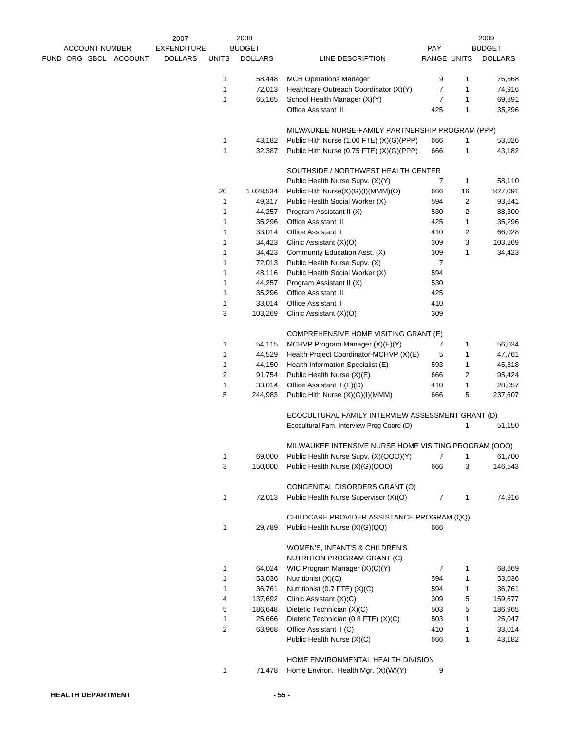|                       |                       | 2007               |              | 2008              |                                                                |                    |                | 2009              |
|-----------------------|-----------------------|--------------------|--------------|-------------------|----------------------------------------------------------------|--------------------|----------------|-------------------|
| <b>ACCOUNT NUMBER</b> |                       | <b>EXPENDITURE</b> |              | <b>BUDGET</b>     |                                                                | <b>PAY</b>         |                | <b>BUDGET</b>     |
|                       | FUND ORG SBCL ACCOUNT | <b>DOLLARS</b>     | <b>UNITS</b> | <b>DOLLARS</b>    | LINE DESCRIPTION                                               | <b>RANGE UNITS</b> |                | <b>DOLLARS</b>    |
|                       |                       |                    | 1            | 58,448            | <b>MCH Operations Manager</b>                                  | 9                  | 1              | 76,668            |
|                       |                       |                    | 1            | 72,013            | Healthcare Outreach Coordinator (X)(Y)                         | 7                  | 1              | 74,916            |
|                       |                       |                    | 1            | 65,165            | School Health Manager (X)(Y)                                   | 7                  | 1              | 69,891            |
|                       |                       |                    |              |                   | <b>Office Assistant III</b>                                    | 425                | 1              | 35,296            |
|                       |                       |                    |              |                   | MILWAUKEE NURSE-FAMILY PARTNERSHIP PROGRAM (PPP)               |                    |                |                   |
|                       |                       |                    | 1            | 43,182            | Public Hith Nurse (1.00 FTE) (X)(G)(PPP)                       | 666                | 1              | 53,026            |
|                       |                       |                    | 1            | 32,387            | Public Hlth Nurse (0.75 FTE) (X)(G)(PPP)                       | 666                | 1              | 43,182            |
|                       |                       |                    |              |                   |                                                                |                    |                |                   |
|                       |                       |                    |              |                   | SOUTHSIDE / NORTHWEST HEALTH CENTER                            |                    |                |                   |
|                       |                       |                    |              |                   | Public Health Nurse Supv. (X)(Y)                               | 7                  | $\mathbf{1}$   | 58,110            |
|                       |                       |                    | 20           | 1,028,534         | Public Hlth Nurse(X)(G)(I)(MMM)(O)                             | 666                | 16             | 827,091           |
|                       |                       |                    | 1            | 49,317            | Public Health Social Worker (X)                                | 594                | 2              | 93,241            |
|                       |                       |                    | 1            | 44,257            | Program Assistant II (X)                                       | 530                | 2              | 88,300            |
|                       |                       |                    | 1            | 35,296            | <b>Office Assistant III</b>                                    | 425                | 1              | 35,296            |
|                       |                       |                    | 1            | 33,014            | <b>Office Assistant II</b>                                     | 410                | $\overline{c}$ | 66,028            |
|                       |                       |                    | 1            | 34,423            | Clinic Assistant (X)(O)                                        | 309                | 3              | 103,269           |
|                       |                       |                    | 1            | 34,423            | Community Education Asst. (X)                                  | 309                | 1              | 34,423            |
|                       |                       |                    | 1            | 72,013            | Public Health Nurse Supv. (X)                                  | 7                  |                |                   |
|                       |                       |                    | 1            | 48,116            | Public Health Social Worker (X)                                | 594                |                |                   |
|                       |                       |                    | 1            | 44,257            | Program Assistant II (X)                                       | 530                |                |                   |
|                       |                       |                    | 1            | 35,296            | <b>Office Assistant III</b>                                    | 425                |                |                   |
|                       |                       |                    | 1            | 33,014            | <b>Office Assistant II</b>                                     | 410                |                |                   |
|                       |                       |                    | 3            | 103,269           | Clinic Assistant (X)(O)                                        | 309                |                |                   |
|                       |                       |                    |              |                   | COMPREHENSIVE HOME VISITING GRANT (E)                          |                    |                |                   |
|                       |                       |                    | 1            | 54,115            | MCHVP Program Manager (X)(E)(Y)                                | 7                  | 1              | 56,034            |
|                       |                       |                    | 1            | 44,529            | Health Project Coordinator-MCHVP (X)(E)                        | 5                  | 1              | 47,761            |
|                       |                       |                    | 1            | 44,150            | Health Information Specialist (E)                              | 593                | 1              | 45,818            |
|                       |                       |                    |              |                   |                                                                |                    |                |                   |
|                       |                       |                    | 2            | 91,754            | Public Health Nurse (X)(E)                                     | 666                | 2              | 95,424            |
|                       |                       |                    | 1<br>5       | 33,014<br>244,983 | Office Assistant II (E)(D)<br>Public Hlth Nurse (X)(G)(I)(MMM) | 410<br>666         | 1<br>5         | 28,057<br>237,607 |
|                       |                       |                    |              |                   |                                                                |                    |                |                   |
|                       |                       |                    |              |                   | ECOCULTURAL FAMILY INTERVIEW ASSESSMENT GRANT (D)              |                    |                |                   |
|                       |                       |                    |              |                   | Ecocultural Fam. Interview Prog Coord (D)                      |                    | 1              | 51,150            |
|                       |                       |                    |              |                   | MILWAUKEE INTENSIVE NURSE HOME VISITING PROGRAM (OOO)          |                    |                |                   |
|                       |                       |                    | 1            | 69,000            | Public Health Nurse Supv. (X)(OOO)(Y)                          | 7                  | 1              | 61,700            |
|                       |                       |                    | 3            | 150,000           | Public Health Nurse (X)(G)(OOO)                                | 666                | 3              | 146,543           |
|                       |                       |                    |              |                   | CONGENITAL DISORDERS GRANT (O)                                 |                    |                |                   |
|                       |                       |                    | 1            | 72,013            | Public Health Nurse Supervisor (X)(O)                          | 7                  | $\mathbf{1}$   | 74,916            |
|                       |                       |                    |              |                   | CHILDCARE PROVIDER ASSISTANCE PROGRAM (QQ)                     |                    |                |                   |
|                       |                       |                    | 1            | 29,789            | Public Health Nurse (X)(G)(QQ)                                 | 666                |                |                   |
|                       |                       |                    |              |                   | WOMEN'S, INFANT'S & CHILDREN'S                                 |                    |                |                   |
|                       |                       |                    |              |                   |                                                                |                    |                |                   |
|                       |                       |                    |              |                   | NUTRITION PROGRAM GRANT (C)                                    |                    |                |                   |
|                       |                       |                    | 1            | 64,024            | WIC Program Manager (X)(C)(Y)                                  | 7                  | 1              | 68,669            |
|                       |                       |                    | 1            | 53,036            | Nutritionist (X)(C)                                            | 594                | 1              | 53,036            |
|                       |                       |                    | 1            | 36,761            | Nutritionist (0.7 FTE) (X)(C)                                  | 594                | 1              | 36,761            |
|                       |                       |                    | 4            | 137,692           | Clinic Assistant (X)(C)                                        | 309                | 5              | 159,677           |
|                       |                       |                    | 5            | 186,648           | Dietetic Technician (X)(C)                                     | 503                | 5              | 186,965           |
|                       |                       |                    | 1            | 25,666            | Dietetic Technician (0.8 FTE) (X)(C)                           | 503                | 1              | 25,047            |
|                       |                       |                    | 2            | 63,968            | Office Assistant II (C)                                        | 410                | 1              | 33,014            |
|                       |                       |                    |              |                   | Public Health Nurse (X)(C)                                     | 666                | 1              | 43,182            |
|                       |                       |                    |              |                   | HOME ENVIRONMENTAL HEALTH DIVISION                             |                    |                |                   |
|                       |                       |                    | 1            | 71,478            | Home Environ. Health Mgr. (X)(W)(Y)                            | 9                  |                |                   |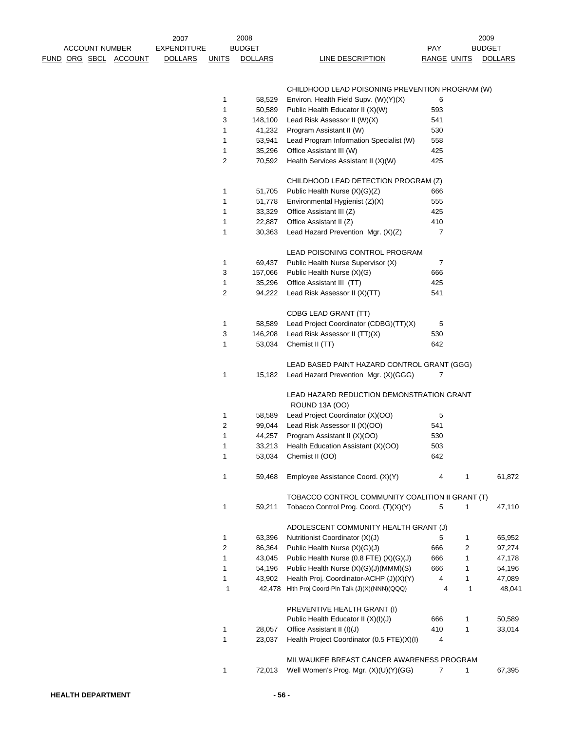|                              | 2007               |                | 2008           |                                                                    |                    |   | 2009           |
|------------------------------|--------------------|----------------|----------------|--------------------------------------------------------------------|--------------------|---|----------------|
| <b>ACCOUNT NUMBER</b>        | <b>EXPENDITURE</b> |                | <b>BUDGET</b>  |                                                                    | PAY                |   | <b>BUDGET</b>  |
| <u>FUND ORG SBCL ACCOUNT</u> | <b>DOLLARS</b>     | <u>UNITS</u>   | <b>DOLLARS</b> | <b>LINE DESCRIPTION</b>                                            | <b>RANGE UNITS</b> |   | <b>DOLLARS</b> |
|                              |                    |                |                | CHILDHOOD LEAD POISONING PREVENTION PROGRAM (W)                    |                    |   |                |
|                              |                    | $\mathbf{1}$   | 58,529         | Environ. Health Field Supv. (W)(Y)(X)                              | 6                  |   |                |
|                              |                    | $\mathbf{1}$   | 50,589         | Public Health Educator II (X)(W)                                   | 593                |   |                |
|                              |                    | 3              | 148,100        | Lead Risk Assessor II (W)(X)                                       | 541                |   |                |
|                              |                    | $\mathbf{1}$   | 41,232         | Program Assistant II (W)                                           | 530                |   |                |
|                              |                    | $\mathbf{1}$   | 53,941         | Lead Program Information Specialist (W)                            | 558                |   |                |
|                              |                    | $\mathbf{1}$   | 35,296         | Office Assistant III (W)                                           | 425                |   |                |
|                              |                    | $\overline{c}$ | 70,592         | Health Services Assistant II (X)(W)                                | 425                |   |                |
|                              |                    |                |                | CHILDHOOD LEAD DETECTION PROGRAM (Z)                               |                    |   |                |
|                              |                    | $\mathbf{1}$   | 51,705         | Public Health Nurse (X)(G)(Z)                                      | 666                |   |                |
|                              |                    | $\mathbf{1}$   | 51,778         | Environmental Hygienist (Z)(X)                                     | 555                |   |                |
|                              |                    | 1              | 33,329         | Office Assistant III (Z)                                           | 425                |   |                |
|                              |                    | $\mathbf{1}$   | 22,887         | Office Assistant II (Z)                                            | 410                |   |                |
|                              |                    | $\mathbf{1}$   | 30,363         | Lead Hazard Prevention Mgr. (X)(Z)                                 | 7                  |   |                |
|                              |                    |                |                | LEAD POISONING CONTROL PROGRAM                                     |                    |   |                |
|                              |                    | $\mathbf{1}$   | 69,437         | Public Health Nurse Supervisor (X)                                 | 7                  |   |                |
|                              |                    | 3              | 157,066        | Public Health Nurse (X)(G)                                         | 666                |   |                |
|                              |                    | $\mathbf{1}$   | 35,296         | Office Assistant III (TT)                                          | 425                |   |                |
|                              |                    | $\overline{2}$ | 94,222         | Lead Risk Assessor II (X)(TT)                                      | 541                |   |                |
|                              |                    |                |                | CDBG LEAD GRANT (TT)                                               |                    |   |                |
|                              |                    | $\mathbf{1}$   | 58,589         | Lead Project Coordinator (CDBG)(TT)(X)                             | 5                  |   |                |
|                              |                    | 3              | 146,208        | Lead Risk Assessor II (TT)(X)                                      | 530                |   |                |
|                              |                    | $\mathbf{1}$   | 53,034         | Chemist II (TT)                                                    | 642                |   |                |
|                              |                    |                |                | LEAD BASED PAINT HAZARD CONTROL GRANT (GGG)                        |                    |   |                |
|                              |                    | $\mathbf{1}$   | 15,182         | Lead Hazard Prevention Mgr. (X)(GGG)                               | 7                  |   |                |
|                              |                    |                |                | LEAD HAZARD REDUCTION DEMONSTRATION GRANT<br><b>ROUND 13A (OO)</b> |                    |   |                |
|                              |                    | $\mathbf{1}$   | 58,589         | Lead Project Coordinator (X)(OO)                                   | 5                  |   |                |
|                              |                    | $\overline{c}$ | 99,044         | Lead Risk Assessor II (X)(OO)                                      | 541                |   |                |
|                              |                    | $\mathbf{1}$   | 44,257         | Program Assistant II (X)(OO)                                       | 530                |   |                |
|                              |                    | 1              | 33,213         | Health Education Assistant (X)(OO)                                 | 503                |   |                |
|                              |                    | $\mathbf{1}$   | 53,034         | Chemist II (OO)                                                    | 642                |   |                |
|                              |                    | $\mathbf{1}$   | 59,468         | Employee Assistance Coord. (X)(Y)                                  | 4                  | 1 | 61,872         |
|                              |                    |                |                | TOBACCO CONTROL COMMUNITY COALITION II GRANT (T)                   |                    |   |                |
|                              |                    | $\mathbf{1}$   | 59,211         | Tobacco Control Prog. Coord. (T)(X)(Y)                             | 5                  | 1 | 47,110         |
|                              |                    |                |                | ADOLESCENT COMMUNITY HEALTH GRANT (J)                              |                    |   |                |
|                              |                    | $\mathbf{1}$   | 63,396         | Nutritionist Coordinator (X)(J)                                    | 5                  | 1 | 65,952         |
|                              |                    | $\overline{c}$ | 86,364         | Public Health Nurse (X)(G)(J)                                      | 666                | 2 | 97,274         |
|                              |                    | 1              | 43,045         | Public Health Nurse (0.8 FTE) (X)(G)(J)                            | 666                | 1 | 47,178         |
|                              |                    | $\mathbf{1}$   | 54,196         | Public Health Nurse (X)(G)(J)(MMM)(S)                              | 666                | 1 | 54,196         |
|                              |                    | $\mathbf{1}$   | 43,902         | Health Proj. Coordinator-ACHP (J)(X)(Y)                            | 4                  | 1 | 47,089         |
|                              |                    | 1              | 42,478         | Hith Proj Coord-Pin Talk (J)(X)(NNN)(QQQ)                          | 4                  | 1 | 48,041         |
|                              |                    |                |                | PREVENTIVE HEALTH GRANT (I)                                        |                    |   |                |
|                              |                    |                |                | Public Health Educator II (X)(I)(J)                                | 666                | 1 | 50,589         |
|                              |                    | $\mathbf{1}$   | 28,057         | Office Assistant II (I)(J)                                         | 410                | 1 | 33,014         |
|                              |                    | $\mathbf{1}$   | 23,037         | Health Project Coordinator (0.5 FTE)(X)(I)                         | 4                  |   |                |
|                              |                    |                |                | MILWAUKEE BREAST CANCER AWARENESS PROGRAM                          |                    |   |                |
|                              |                    | $\mathbf{1}$   | 72,013         | Well Women's Prog. Mgr. (X)(U)(Y)(GG)                              | 7                  | 1 | 67,395         |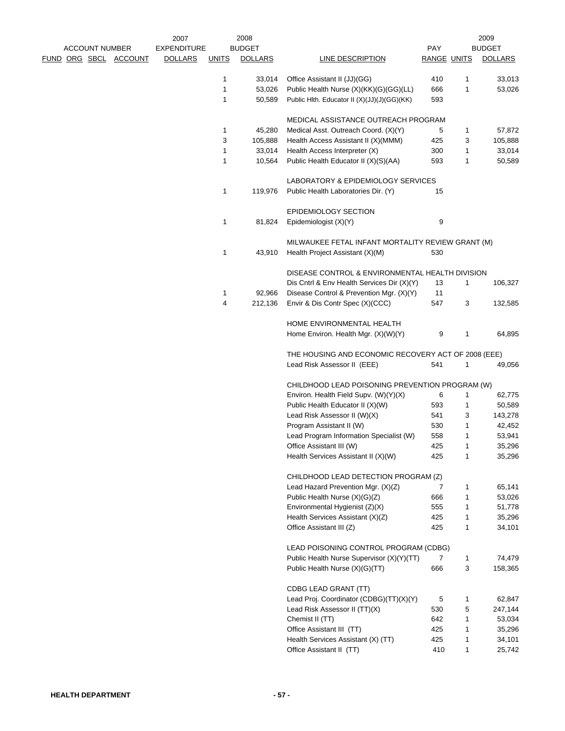|                       | 2007               |              | 2008           |                                                     |                    |              | 2009           |
|-----------------------|--------------------|--------------|----------------|-----------------------------------------------------|--------------------|--------------|----------------|
| <b>ACCOUNT NUMBER</b> | <b>EXPENDITURE</b> |              | <b>BUDGET</b>  |                                                     | <b>PAY</b>         |              | <b>BUDGET</b>  |
| FUND ORG SBCL ACCOUNT | <b>DOLLARS</b>     | <b>UNITS</b> | <b>DOLLARS</b> | LINE DESCRIPTION                                    | <b>RANGE UNITS</b> |              | <b>DOLLARS</b> |
|                       |                    | 1            | 33,014         | Office Assistant II (JJ)(GG)                        | 410                | 1            | 33,013         |
|                       |                    | $\mathbf{1}$ | 53,026         | Public Health Nurse (X)(KK)(G)(GG)(LL)              | 666                | 1            | 53,026         |
|                       |                    | 1            | 50,589         | Public Hlth. Educator II (X)(JJ)(J)(GG)(KK)         | 593                |              |                |
|                       |                    |              |                | MEDICAL ASSISTANCE OUTREACH PROGRAM                 |                    |              |                |
|                       |                    | 1            | 45,280         | Medical Asst. Outreach Coord. (X)(Y)                | 5                  | 1            | 57,872         |
|                       |                    | 3            | 105,888        | Health Access Assistant II (X)(MMM)                 | 425                | 3            | 105,888        |
|                       |                    | $\mathbf{1}$ | 33,014         | Health Access Interpreter (X)                       | 300                | 1            | 33,014         |
|                       |                    | $\mathbf{1}$ | 10,564         | Public Health Educator II (X)(S)(AA)                | 593                | 1            | 50,589         |
|                       |                    |              |                | LABORATORY & EPIDEMIOLOGY SERVICES                  |                    |              |                |
|                       |                    | $\mathbf{1}$ | 119,976        | Public Health Laboratories Dir. (Y)                 | 15                 |              |                |
|                       |                    |              |                | <b>EPIDEMIOLOGY SECTION</b>                         |                    |              |                |
|                       |                    | $\mathbf{1}$ | 81,824         | Epidemiologist (X)(Y)                               | 9                  |              |                |
|                       |                    |              |                | MILWAUKEE FETAL INFANT MORTALITY REVIEW GRANT (M)   |                    |              |                |
|                       |                    | 1            | 43,910         | Health Project Assistant (X)(M)                     | 530                |              |                |
|                       |                    |              |                | DISEASE CONTROL & ENVIRONMENTAL HEALTH DIVISION     |                    |              |                |
|                       |                    |              |                | Dis Cntrl & Env Health Services Dir (X)(Y)          | 13                 | $\mathbf{1}$ | 106,327        |
|                       |                    | 1            | 92,966         | Disease Control & Prevention Mgr. (X)(Y)            | 11                 |              |                |
|                       |                    | 4            | 212,136        | Envir & Dis Contr Spec (X)(CCC)                     | 547                | 3            | 132,585        |
|                       |                    |              |                | HOME ENVIRONMENTAL HEALTH                           |                    |              |                |
|                       |                    |              |                | Home Environ. Health Mgr. (X)(W)(Y)                 | 9                  | 1            | 64,895         |
|                       |                    |              |                | THE HOUSING AND ECONOMIC RECOVERY ACT OF 2008 (EEE) |                    |              |                |
|                       |                    |              |                | Lead Risk Assessor II (EEE)                         | 541                | 1            | 49,056         |
|                       |                    |              |                | CHILDHOOD LEAD POISONING PREVENTION PROGRAM (W)     |                    |              |                |
|                       |                    |              |                | Environ. Health Field Supv. (W)(Y)(X)               | 6                  | 1            | 62,775         |
|                       |                    |              |                | Public Health Educator II (X)(W)                    | 593                | 1            | 50,589         |
|                       |                    |              |                | Lead Risk Assessor II (W)(X)                        | 541                | 3            | 143,278        |
|                       |                    |              |                | Program Assistant II (W)                            | 530                | 1            | 42,452         |
|                       |                    |              |                | Lead Program Information Specialist (W)             | 558                | 1            | 53,941         |
|                       |                    |              |                | Office Assistant III (W)                            | 425                | 1            | 35,296         |
|                       |                    |              |                | Health Services Assistant II (X)(W)                 | 425                | 1            | 35,296         |
|                       |                    |              |                | CHILDHOOD LEAD DETECTION PROGRAM (Z)                |                    |              |                |
|                       |                    |              |                | Lead Hazard Prevention Mgr. (X)(Z)                  | 7                  | 1            | 65,141         |
|                       |                    |              |                | Public Health Nurse (X)(G)(Z)                       | 666                | 1            | 53,026         |
|                       |                    |              |                | Environmental Hygienist (Z)(X)                      | 555                | 1            | 51,778         |
|                       |                    |              |                | Health Services Assistant (X)(Z)                    | 425                | 1            | 35,296         |
|                       |                    |              |                | Office Assistant III (Z)                            | 425                | 1            | 34,101         |
|                       |                    |              |                | LEAD POISONING CONTROL PROGRAM (CDBG)               |                    |              |                |
|                       |                    |              |                | Public Health Nurse Supervisor (X)(Y)(TT)           | 7                  | 1            | 74,479         |
|                       |                    |              |                | Public Health Nurse (X)(G)(TT)                      | 666                | 3            | 158,365        |
|                       |                    |              |                | CDBG LEAD GRANT (TT)                                |                    |              |                |
|                       |                    |              |                | Lead Proj. Coordinator (CDBG)(TT)(X)(Y)             | 5                  | 1            | 62,847         |
|                       |                    |              |                | Lead Risk Assessor II (TT)(X)                       | 530                | 5            | 247,144        |
|                       |                    |              |                | Chemist II (TT)                                     | 642                | 1            | 53,034         |
|                       |                    |              |                | Office Assistant III (TT)                           | 425                | 1            | 35,296         |
|                       |                    |              |                | Health Services Assistant (X) (TT)                  | 425                | 1            | 34,101         |
|                       |                    |              |                | Office Assistant II (TT)                            | 410                | 1            | 25,742         |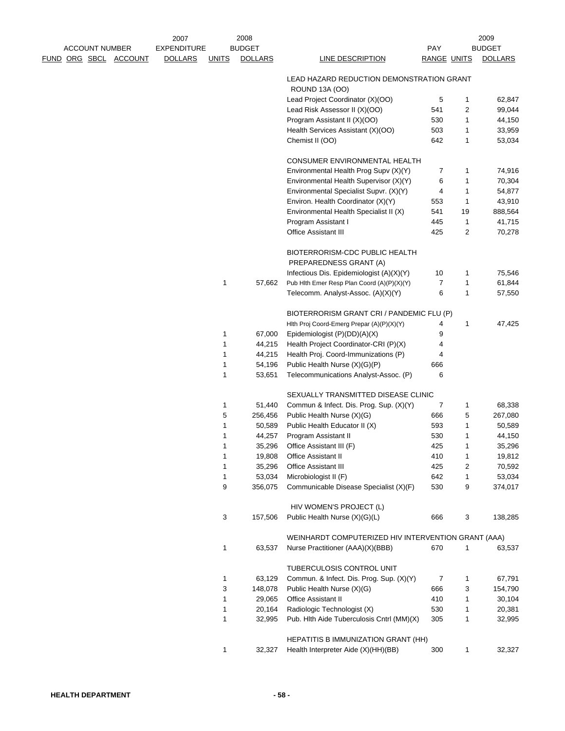|  | <b>ACCOUNT NUMBER</b> |                       | 2007<br><b>EXPENDITURE</b> |              | 2008<br><b>BUDGET</b> |                                                                       | PAY                |        | 2009<br><b>BUDGET</b> |
|--|-----------------------|-----------------------|----------------------------|--------------|-----------------------|-----------------------------------------------------------------------|--------------------|--------|-----------------------|
|  |                       | FUND ORG SBCL ACCOUNT | <b>DOLLARS</b>             | <b>UNITS</b> | <b>DOLLARS</b>        | <b>LINE DESCRIPTION</b>                                               | <b>RANGE UNITS</b> |        | <b>DOLLARS</b>        |
|  |                       |                       |                            |              |                       | LEAD HAZARD REDUCTION DEMONSTRATION GRANT<br><b>ROUND 13A (OO)</b>    |                    |        |                       |
|  |                       |                       |                            |              |                       | Lead Project Coordinator (X)(OO)                                      | 5                  | 1      | 62,847                |
|  |                       |                       |                            |              |                       | Lead Risk Assessor II (X)(OO)                                         | 541                | 2      | 99,044                |
|  |                       |                       |                            |              |                       | Program Assistant II (X)(OO)                                          | 530                | 1      | 44,150                |
|  |                       |                       |                            |              |                       | Health Services Assistant (X)(OO)                                     | 503                | 1      | 33,959                |
|  |                       |                       |                            |              |                       | Chemist II (OO)                                                       | 642                | 1      | 53,034                |
|  |                       |                       |                            |              |                       |                                                                       |                    |        |                       |
|  |                       |                       |                            |              |                       | CONSUMER ENVIRONMENTAL HEALTH                                         |                    |        |                       |
|  |                       |                       |                            |              |                       | Environmental Health Prog Supv (X)(Y)                                 | 7                  | 1      | 74,916                |
|  |                       |                       |                            |              |                       | Environmental Health Supervisor (X)(Y)                                | 6                  | 1      | 70,304                |
|  |                       |                       |                            |              |                       | Environmental Specialist Supvr. (X)(Y)                                | 4                  | 1      | 54,877                |
|  |                       |                       |                            |              |                       | Environ. Health Coordinator (X)(Y)                                    | 553                | 1      | 43,910                |
|  |                       |                       |                            |              |                       | Environmental Health Specialist II (X)                                | 541                | 19     | 888,564               |
|  |                       |                       |                            |              |                       | Program Assistant I                                                   | 445                | 1      | 41,715                |
|  |                       |                       |                            |              |                       | <b>Office Assistant III</b>                                           | 425                | 2      | 70,278                |
|  |                       |                       |                            |              |                       | BIOTERRORISM-CDC PUBLIC HEALTH<br>PREPAREDNESS GRANT (A)              |                    |        |                       |
|  |                       |                       |                            |              |                       | Infectious Dis. Epidemiologist (A)(X)(Y)                              | 10                 | 1      | 75,546                |
|  |                       |                       |                            | 1            | 57,662                | Pub Hith Emer Resp Plan Coord (A)(P)(X)(Y)                            | $\overline{7}$     | 1      | 61,844                |
|  |                       |                       |                            |              |                       | Telecomm. Analyst-Assoc. (A)(X)(Y)                                    | 6                  | 1      | 57,550                |
|  |                       |                       |                            |              |                       |                                                                       |                    |        |                       |
|  |                       |                       |                            |              |                       | BIOTERRORISM GRANT CRI / PANDEMIC FLU (P)                             |                    |        |                       |
|  |                       |                       |                            | 1            |                       | Hlth Proj Coord-Emerg Prepar (A)(P)(X)(Y)                             | 4                  | 1      | 47,425                |
|  |                       |                       |                            | 1            | 67,000<br>44,215      | Epidemiologist (P)(DD)(A)(X)<br>Health Project Coordinator-CRI (P)(X) | 9<br>4             |        |                       |
|  |                       |                       |                            | 1            | 44,215                | Health Proj. Coord-Immunizations (P)                                  | 4                  |        |                       |
|  |                       |                       |                            | 1            | 54,196                | Public Health Nurse (X)(G)(P)                                         | 666                |        |                       |
|  |                       |                       |                            | 1            | 53,651                | Telecommunications Analyst-Assoc. (P)                                 | 6                  |        |                       |
|  |                       |                       |                            |              |                       |                                                                       |                    |        |                       |
|  |                       |                       |                            |              |                       | SEXUALLY TRANSMITTED DISEASE CLINIC                                   |                    |        |                       |
|  |                       |                       |                            | 1            | 51,440                | Commun & Infect. Dis. Prog. Sup. (X)(Y)                               | 7                  | 1      | 68,338                |
|  |                       |                       |                            | 5            | 256,456               | Public Health Nurse (X)(G)                                            | 666                | 5      | 267,080               |
|  |                       |                       |                            | 1            | 50,589                | Public Health Educator II (X)                                         | 593                | 1      | 50,589                |
|  |                       |                       |                            | 1            | 44,257                | Program Assistant II                                                  | 530                | 1      | 44,150                |
|  |                       |                       |                            | 1            | 35,296                | Office Assistant III (F)                                              | 425                | 1      | 35,296                |
|  |                       |                       |                            | 1<br>1       | 19,808<br>35,296      | <b>Office Assistant II</b><br>Office Assistant III                    | 410<br>425         | 1      | 19,812                |
|  |                       |                       |                            | 1            | 53,034                | Microbiologist II (F)                                                 | 642                | 2<br>1 | 70,592<br>53,034      |
|  |                       |                       |                            | 9            | 356,075               | Communicable Disease Specialist (X)(F)                                | 530                | 9      | 374,017               |
|  |                       |                       |                            |              |                       |                                                                       |                    |        |                       |
|  |                       |                       |                            |              |                       | HIV WOMEN'S PROJECT (L)                                               |                    |        |                       |
|  |                       |                       |                            | 3            | 157,506               | Public Health Nurse (X)(G)(L)                                         | 666                | 3      | 138,285               |
|  |                       |                       |                            |              |                       | WEINHARDT COMPUTERIZED HIV INTERVENTION GRANT (AAA)                   |                    |        |                       |
|  |                       |                       |                            | 1            | 63,537                | Nurse Practitioner (AAA)(X)(BBB)                                      | 670                | 1      | 63,537                |
|  |                       |                       |                            |              |                       |                                                                       |                    |        |                       |
|  |                       |                       |                            | 1            | 63,129                | TUBERCULOSIS CONTROL UNIT<br>Commun. & Infect. Dis. Prog. Sup. (X)(Y) | 7                  | 1      | 67,791                |
|  |                       |                       |                            | 3            | 148,078               | Public Health Nurse (X)(G)                                            | 666                | 3      | 154,790               |
|  |                       |                       |                            | 1            | 29,065                | <b>Office Assistant II</b>                                            | 410                | 1      | 30,104                |
|  |                       |                       |                            | 1            | 20,164                | Radiologic Technologist (X)                                           | 530                | 1      | 20,381                |
|  |                       |                       |                            | 1            | 32,995                | Pub. Hith Aide Tuberculosis Cntrl (MM)(X)                             | 305                | 1      | 32,995                |
|  |                       |                       |                            |              |                       |                                                                       |                    |        |                       |
|  |                       |                       |                            |              |                       | HEPATITIS B IMMUNIZATION GRANT (HH)                                   |                    |        |                       |
|  |                       |                       |                            | 1            | 32,327                | Health Interpreter Aide (X)(HH)(BB)                                   | 300                | 1      | 32,327                |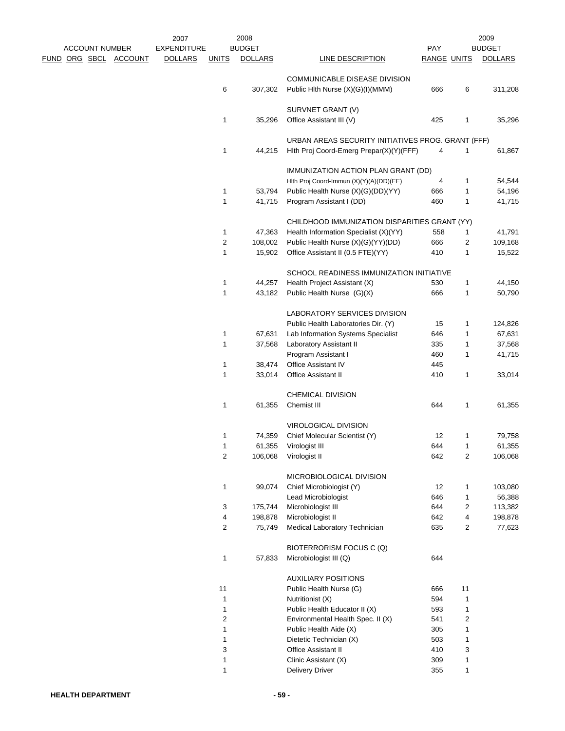|                       |                       | 2007               |                | 2008           |                                                    |                    |                | 2009           |
|-----------------------|-----------------------|--------------------|----------------|----------------|----------------------------------------------------|--------------------|----------------|----------------|
| <b>ACCOUNT NUMBER</b> |                       | <b>EXPENDITURE</b> |                | <b>BUDGET</b>  |                                                    | PAY                |                | <b>BUDGET</b>  |
|                       | FUND ORG SBCL ACCOUNT | <b>DOLLARS</b>     | <b>UNITS</b>   | <b>DOLLARS</b> | <b>LINE DESCRIPTION</b>                            | <b>RANGE UNITS</b> |                | <b>DOLLARS</b> |
|                       |                       |                    |                |                | COMMUNICABLE DISEASE DIVISION                      |                    |                |                |
|                       |                       |                    | 6              | 307,302        | Public Hlth Nurse (X)(G)(I)(MMM)                   | 666                | 6              | 311,208        |
|                       |                       |                    |                |                |                                                    |                    |                |                |
|                       |                       |                    | $\mathbf{1}$   | 35,296         | SURVNET GRANT (V)<br>Office Assistant III (V)      | 425                | 1              | 35,296         |
|                       |                       |                    |                |                |                                                    |                    |                |                |
|                       |                       |                    |                |                | URBAN AREAS SECURITY INITIATIVES PROG. GRANT (FFF) |                    |                |                |
|                       |                       |                    | $\mathbf{1}$   | 44,215         | Hith Proj Coord-Emerg Prepar(X)(Y)(FFF)            | 4                  | 1              | 61,867         |
|                       |                       |                    |                |                | IMMUNIZATION ACTION PLAN GRANT (DD)                |                    |                |                |
|                       |                       |                    |                |                | Hith Proj Coord-Immun (X)(Y)(A)(DD)(EE)            | 4                  | 1              | 54,544         |
|                       |                       |                    | $\mathbf{1}$   | 53,794         | Public Health Nurse (X)(G)(DD)(YY)                 | 666                | 1              | 54,196         |
|                       |                       |                    | $\mathbf{1}$   | 41,715         | Program Assistant I (DD)                           | 460                | 1              | 41,715         |
|                       |                       |                    |                |                |                                                    |                    |                |                |
|                       |                       |                    |                |                | CHILDHOOD IMMUNIZATION DISPARITIES GRANT (YY)      |                    |                |                |
|                       |                       |                    | 1              | 47,363         | Health Information Specialist (X)(YY)              | 558                | 1              | 41,791         |
|                       |                       |                    | $\overline{c}$ | 108,002        | Public Health Nurse (X)(G)(YY)(DD)                 | 666                | 2              | 109,168        |
|                       |                       |                    | 1              | 15,902         | Office Assistant II (0.5 FTE)(YY)                  | 410                | 1              | 15,522         |
|                       |                       |                    |                |                | SCHOOL READINESS IMMUNIZATION INITIATIVE           |                    |                |                |
|                       |                       |                    | 1              | 44,257         | Health Project Assistant (X)                       | 530                | 1              | 44,150         |
|                       |                       |                    | $\mathbf{1}$   | 43,182         | Public Health Nurse (G)(X)                         | 666                | 1              | 50,790         |
|                       |                       |                    |                |                |                                                    |                    |                |                |
|                       |                       |                    |                |                | LABORATORY SERVICES DIVISION                       |                    |                |                |
|                       |                       |                    |                |                | Public Health Laboratories Dir. (Y)                | 15                 | 1              | 124,826        |
|                       |                       |                    | $\mathbf{1}$   | 67,631         | Lab Information Systems Specialist                 | 646                | 1              | 67,631         |
|                       |                       |                    | $\mathbf{1}$   | 37,568         | Laboratory Assistant II                            | 335                | 1              | 37,568         |
|                       |                       |                    |                |                | Program Assistant I                                | 460                | 1              | 41,715         |
|                       |                       |                    | 1              | 38,474         | Office Assistant IV                                | 445                |                |                |
|                       |                       |                    | $\mathbf{1}$   | 33,014         | Office Assistant II                                | 410                | 1              | 33,014         |
|                       |                       |                    |                |                | CHEMICAL DIVISION                                  |                    |                |                |
|                       |                       |                    | $\mathbf{1}$   | 61,355         | Chemist III                                        | 644                | 1              | 61,355         |
|                       |                       |                    |                |                |                                                    |                    |                |                |
|                       |                       |                    |                |                | VIROLOGICAL DIVISION                               |                    |                |                |
|                       |                       |                    | 1              | 74,359         | Chief Molecular Scientist (Y)                      | 12                 | 1              | 79,758         |
|                       |                       |                    | 1              | 61,355         | Virologist III                                     | 644                | 1              | 61,355         |
|                       |                       |                    | $\mathbf{2}$   | 106,068        | Virologist II                                      | 642                | 2              | 106,068        |
|                       |                       |                    |                |                | MICROBIOLOGICAL DIVISION                           |                    |                |                |
|                       |                       |                    | $\mathbf{1}$   | 99,074         | Chief Microbiologist (Y)                           | 12                 | 1              | 103,080        |
|                       |                       |                    |                |                | Lead Microbiologist                                | 646                | 1              | 56,388         |
|                       |                       |                    | $\mathbf{3}$   | 175,744        | Microbiologist III                                 | 644                | 2              | 113,382        |
|                       |                       |                    | 4              | 198,878        | Microbiologist II                                  | 642                | 4              | 198,878        |
|                       |                       |                    | $\mathbf{2}$   | 75,749         | Medical Laboratory Technician                      | 635                | $\overline{2}$ | 77,623         |
|                       |                       |                    |                |                | BIOTERRORISM FOCUS C (Q)                           |                    |                |                |
|                       |                       |                    | $\mathbf{1}$   | 57,833         | Microbiologist III (Q)                             | 644                |                |                |
|                       |                       |                    |                |                |                                                    |                    |                |                |
|                       |                       |                    |                |                | <b>AUXILIARY POSITIONS</b>                         |                    |                |                |
|                       |                       |                    | 11             |                | Public Health Nurse (G)                            | 666                | 11             |                |
|                       |                       |                    | $\mathbf{1}$   |                | Nutritionist (X)                                   | 594                | 1              |                |
|                       |                       |                    | $\mathbf{1}$   |                | Public Health Educator II (X)                      | 593                | 1              |                |
|                       |                       |                    | $\overline{c}$ |                | Environmental Health Spec. II (X)                  | 541                | 2              |                |
|                       |                       |                    | 1              |                | Public Health Aide (X)                             | 305                | 1              |                |
|                       |                       |                    | 1              |                | Dietetic Technician (X)                            | 503                | 1              |                |
|                       |                       |                    | 3              |                | <b>Office Assistant II</b>                         | 410                | 3              |                |
|                       |                       |                    | 1              |                | Clinic Assistant (X)                               | 309                | 1              |                |
|                       |                       |                    | $\mathbf{1}$   |                | <b>Delivery Driver</b>                             | 355                | 1              |                |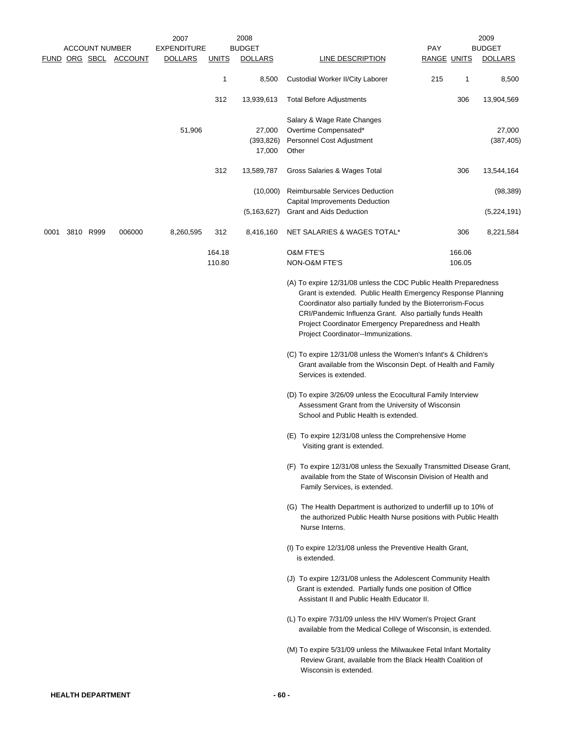|      |                       |                       | 2007               |              | 2008           |                                                                                                                                                                                                                                                                                                                                                                                                                                 |             |        | 2009           |
|------|-----------------------|-----------------------|--------------------|--------------|----------------|---------------------------------------------------------------------------------------------------------------------------------------------------------------------------------------------------------------------------------------------------------------------------------------------------------------------------------------------------------------------------------------------------------------------------------|-------------|--------|----------------|
|      | <b>ACCOUNT NUMBER</b> |                       | <b>EXPENDITURE</b> |              | <b>BUDGET</b>  |                                                                                                                                                                                                                                                                                                                                                                                                                                 | PAY         |        | <b>BUDGET</b>  |
|      |                       | FUND ORG SBCL ACCOUNT | <b>DOLLARS</b>     | <u>UNITS</u> | <b>DOLLARS</b> | <b>LINE DESCRIPTION</b>                                                                                                                                                                                                                                                                                                                                                                                                         | RANGE UNITS |        | <b>DOLLARS</b> |
|      |                       |                       |                    | 1            | 8,500          | Custodial Worker II/City Laborer                                                                                                                                                                                                                                                                                                                                                                                                | 215         | 1      | 8,500          |
|      |                       |                       |                    | 312          | 13,939,613     | <b>Total Before Adjustments</b>                                                                                                                                                                                                                                                                                                                                                                                                 |             | 306    | 13,904,569     |
|      |                       |                       | 51,906             |              | 27,000         | Salary & Wage Rate Changes<br>Overtime Compensated*                                                                                                                                                                                                                                                                                                                                                                             |             |        | 27,000         |
|      |                       |                       |                    |              | (393, 826)     | Personnel Cost Adjustment                                                                                                                                                                                                                                                                                                                                                                                                       |             |        | (387, 405)     |
|      |                       |                       |                    |              | 17,000         | Other                                                                                                                                                                                                                                                                                                                                                                                                                           |             |        |                |
|      |                       |                       |                    | 312          | 13,589,787     | Gross Salaries & Wages Total                                                                                                                                                                                                                                                                                                                                                                                                    |             | 306    | 13,544,164     |
|      |                       |                       |                    |              | (10,000)       | Reimbursable Services Deduction<br>Capital Improvements Deduction                                                                                                                                                                                                                                                                                                                                                               |             |        | (98, 389)      |
|      |                       |                       |                    |              | (5, 163, 627)  | Grant and Aids Deduction                                                                                                                                                                                                                                                                                                                                                                                                        |             |        | (5,224,191)    |
| 0001 | 3810 R999             | 006000                | 8,260,595          | 312          | 8,416,160      | NET SALARIES & WAGES TOTAL*                                                                                                                                                                                                                                                                                                                                                                                                     |             | 306    | 8,221,584      |
|      |                       |                       |                    | 164.18       |                | <b>O&amp;M FTE'S</b>                                                                                                                                                                                                                                                                                                                                                                                                            |             | 166.06 |                |
|      |                       |                       |                    | 110.80       |                | <b>NON-O&amp;M FTE'S</b>                                                                                                                                                                                                                                                                                                                                                                                                        |             | 106.05 |                |
|      |                       |                       |                    |              |                | (A) To expire 12/31/08 unless the CDC Public Health Preparedness<br>Grant is extended. Public Health Emergency Response Planning<br>Coordinator also partially funded by the Bioterrorism-Focus<br>CRI/Pandemic Influenza Grant. Also partially funds Health<br>Project Coordinator Emergency Preparedness and Health<br>Project Coordinator--Immunizations.<br>(C) To expire 12/31/08 unless the Women's Infant's & Children's |             |        |                |
|      |                       |                       |                    |              |                | Grant available from the Wisconsin Dept. of Health and Family<br>Services is extended.                                                                                                                                                                                                                                                                                                                                          |             |        |                |
|      |                       |                       |                    |              |                | (D) To expire 3/26/09 unless the Ecocultural Family Interview<br>Assessment Grant from the University of Wisconsin<br>School and Public Health is extended.                                                                                                                                                                                                                                                                     |             |        |                |
|      |                       |                       |                    |              |                | (E) To expire 12/31/08 unless the Comprehensive Home<br>Visiting grant is extended.                                                                                                                                                                                                                                                                                                                                             |             |        |                |
|      |                       |                       |                    |              |                | (F) To expire 12/31/08 unless the Sexually Transmitted Disease Grant,<br>available from the State of Wisconsin Division of Health and<br>Family Services, is extended.                                                                                                                                                                                                                                                          |             |        |                |
|      |                       |                       |                    |              |                | (G) The Health Department is authorized to underfill up to 10% of<br>the authorized Public Health Nurse positions with Public Health<br>Nurse Interns.                                                                                                                                                                                                                                                                          |             |        |                |
|      |                       |                       |                    |              |                | (I) To expire 12/31/08 unless the Preventive Health Grant,<br>is extended.                                                                                                                                                                                                                                                                                                                                                      |             |        |                |
|      |                       |                       |                    |              |                | (J) To expire 12/31/08 unless the Adolescent Community Health<br>Grant is extended. Partially funds one position of Office<br>Assistant II and Public Health Educator II.                                                                                                                                                                                                                                                       |             |        |                |
|      |                       |                       |                    |              |                | (L) To expire 7/31/09 unless the HIV Women's Project Grant<br>available from the Medical College of Wisconsin, is extended.                                                                                                                                                                                                                                                                                                     |             |        |                |
|      |                       |                       |                    |              |                | (M) To expire 5/31/09 unless the Milwaukee Fetal Infant Mortality<br>Review Grant, available from the Black Health Coalition of<br>Wisconsin is extended.                                                                                                                                                                                                                                                                       |             |        |                |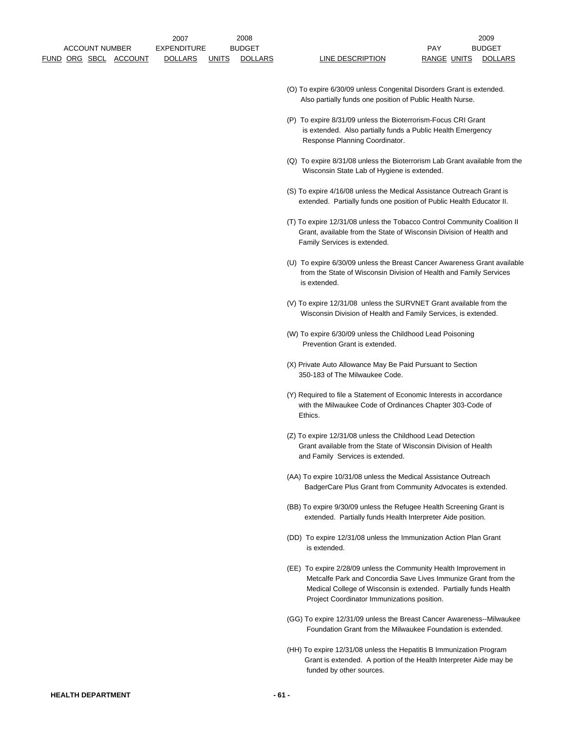- (O) To expire 6/30/09 unless Congenital Disorders Grant is extended. Also partially funds one position of Public Health Nurse.
- (P) To expire 8/31/09 unless the Bioterrorism-Focus CRI Grant is extended. Also partially funds a Public Health Emergency Response Planning Coordinator.
- (Q) To expire 8/31/08 unless the Bioterrorism Lab Grant available from the Wisconsin State Lab of Hygiene is extended.
- (S) To expire 4/16/08 unless the Medical Assistance Outreach Grant is extended. Partially funds one position of Public Health Educator II.
- (T) To expire 12/31/08 unless the Tobacco Control Community Coalition II Grant, available from the State of Wisconsin Division of Health and Family Services is extended.
- (U) To expire 6/30/09 unless the Breast Cancer Awareness Grant available from the State of Wisconsin Division of Health and Family Services is extended.
- (V) To expire 12/31/08 unless the SURVNET Grant available from the Wisconsin Division of Health and Family Services, is extended.
- (W) To expire 6/30/09 unless the Childhood Lead Poisoning Prevention Grant is extended.
- (X) Private Auto Allowance May Be Paid Pursuant to Section 350-183 of The Milwaukee Code.
- (Y) Required to file a Statement of Economic Interests in accordance with the Milwaukee Code of Ordinances Chapter 303-Code of Ethics.
- (Z) To expire 12/31/08 unless the Childhood Lead Detection Grant available from the State of Wisconsin Division of Health and Family Services is extended.
- (AA) To expire 10/31/08 unless the Medical Assistance Outreach BadgerCare Plus Grant from Community Advocates is extended.
- (BB) To expire 9/30/09 unless the Refugee Health Screening Grant is extended. Partially funds Health Interpreter Aide position.
- (DD) To expire 12/31/08 unless the Immunization Action Plan Grant is extended.
- (EE) To expire 2/28/09 unless the Community Health Improvement in Metcalfe Park and Concordia Save Lives Immunize Grant from the Medical College of Wisconsin is extended. Partially funds Health Project Coordinator Immunizations position.
- (GG) To expire 12/31/09 unless the Breast Cancer Awareness--Milwaukee Foundation Grant from the Milwaukee Foundation is extended.
- (HH) To expire 12/31/08 unless the Hepatitis B Immunization Program Grant is extended. A portion of the Health Interpreter Aide may be funded by other sources.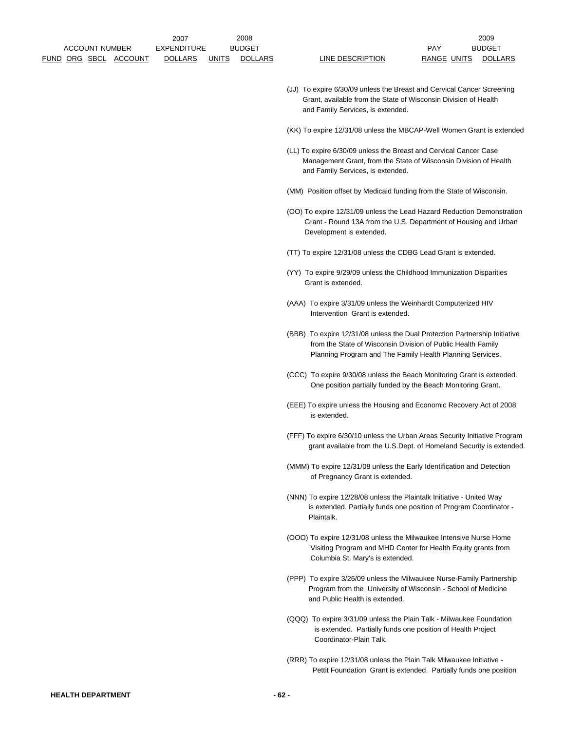- (JJ) To expire 6/30/09 unless the Breast and Cervical Cancer Screening Grant, available from the State of Wisconsin Division of Health and Family Services, is extended.
- (KK) To expire 12/31/08 unless the MBCAP-Well Women Grant is extended
- (LL) To expire 6/30/09 unless the Breast and Cervical Cancer Case Management Grant, from the State of Wisconsin Division of Health and Family Services, is extended.
- (MM) Position offset by Medicaid funding from the State of Wisconsin.
- (OO) To expire 12/31/09 unless the Lead Hazard Reduction Demonstration Grant - Round 13A from the U.S. Department of Housing and Urban Development is extended.
- (TT) To expire 12/31/08 unless the CDBG Lead Grant is extended.
- (YY) To expire 9/29/09 unless the Childhood Immunization Disparities Grant is extended.
- (AAA) To expire 3/31/09 unless the Weinhardt Computerized HIV Intervention Grant is extended.
- (BBB) To expire 12/31/08 unless the Dual Protection Partnership Initiative from the State of Wisconsin Division of Public Health Family Planning Program and The Family Health Planning Services.
- (CCC) To expire 9/30/08 unless the Beach Monitoring Grant is extended. One position partially funded by the Beach Monitoring Grant.
- (EEE) To expire unless the Housing and Economic Recovery Act of 2008 is extended.
- (FFF) To expire 6/30/10 unless the Urban Areas Security Initiative Program grant available from the U.S.Dept. of Homeland Security is extended.
- (MMM) To expire 12/31/08 unless the Early Identification and Detection of Pregnancy Grant is extended.
- (NNN) To expire 12/28/08 unless the Plaintalk Initiative United Way is extended. Partially funds one position of Program Coordinator - Plaintalk.
- (OOO) To expire 12/31/08 unless the Milwaukee Intensive Nurse Home Visiting Program and MHD Center for Health Equity grants from Columbia St. Mary's is extended.
- (PPP) To expire 3/26/09 unless the Milwaukee Nurse-Family Partnership Program from the University of Wisconsin - School of Medicine and Public Health is extended.
- (QQQ) To expire 3/31/09 unless the Plain Talk Milwaukee Foundation is extended. Partially funds one position of Health Project Coordinator-Plain Talk.
- (RRR) To expire 12/31/08 unless the Plain Talk Milwaukee Initiative Pettit Foundation Grant is extended. Partially funds one position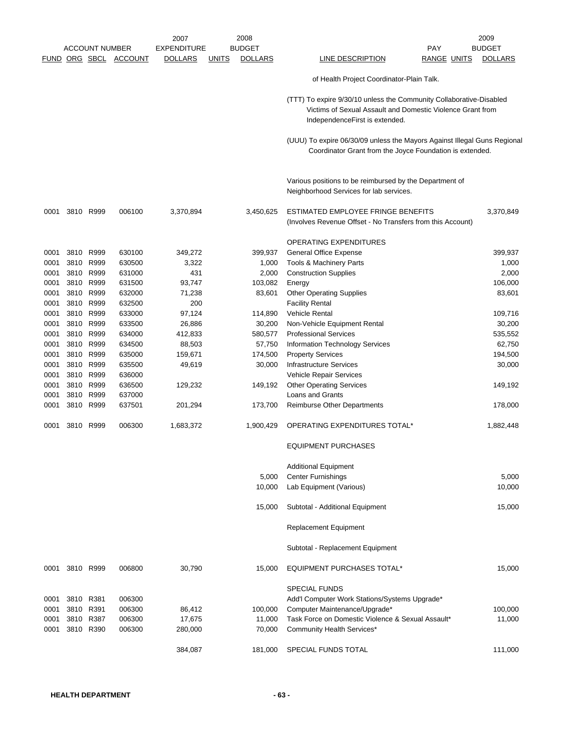|              |           | <b>ACCOUNT NUMBER</b>  | FUND ORG SBCL ACCOUNT | 2007<br><b>EXPENDITURE</b><br><b>DOLLARS</b> | <b>UNITS</b> | 2008<br><b>BUDGET</b><br><b>DOLLARS</b> | PAY<br>LINE DESCRIPTION<br><b>RANGE UNITS</b>                                                                                                                       | 2009<br><b>BUDGET</b><br><b>DOLLARS</b> |
|--------------|-----------|------------------------|-----------------------|----------------------------------------------|--------------|-----------------------------------------|---------------------------------------------------------------------------------------------------------------------------------------------------------------------|-----------------------------------------|
|              |           |                        |                       |                                              |              |                                         | of Health Project Coordinator-Plain Talk.                                                                                                                           |                                         |
|              |           |                        |                       |                                              |              |                                         | (TTT) To expire 9/30/10 unless the Community Collaborative-Disabled<br>Victims of Sexual Assault and Domestic Violence Grant from<br>IndependenceFirst is extended. |                                         |
|              |           |                        |                       |                                              |              |                                         | (UUU) To expire 06/30/09 unless the Mayors Against Illegal Guns Regional<br>Coordinator Grant from the Joyce Foundation is extended.                                |                                         |
|              |           |                        |                       |                                              |              |                                         | Various positions to be reimbursed by the Department of<br>Neighborhood Services for lab services.                                                                  |                                         |
| 0001         |           | 3810 R999              | 006100                | 3,370,894                                    |              | 3,450,625                               | ESTIMATED EMPLOYEE FRINGE BENEFITS<br>(Involves Revenue Offset - No Transfers from this Account)                                                                    | 3,370,849                               |
|              |           |                        |                       |                                              |              |                                         | OPERATING EXPENDITURES                                                                                                                                              |                                         |
| 0001         |           | 3810 R999              | 630100                | 349,272                                      |              | 399,937                                 | General Office Expense                                                                                                                                              | 399,937                                 |
| 0001         | 3810 R999 |                        | 630500                | 3,322                                        |              | 1,000                                   | Tools & Machinery Parts                                                                                                                                             | 1,000                                   |
| 0001         |           | 3810 R999              | 631000                | 431                                          |              | 2,000                                   | <b>Construction Supplies</b>                                                                                                                                        | 2,000                                   |
| 0001         | 3810      | R999                   | 631500                | 93,747                                       |              | 103,082                                 | Energy                                                                                                                                                              | 106,000                                 |
| 0001         |           | 3810 R999<br>3810 R999 | 632000<br>632500      | 71,238<br>200                                |              | 83,601                                  | <b>Other Operating Supplies</b>                                                                                                                                     | 83,601                                  |
| 0001<br>0001 |           | 3810 R999              | 633000                | 97,124                                       |              | 114,890                                 | <b>Facility Rental</b><br><b>Vehicle Rental</b>                                                                                                                     | 109,716                                 |
| 0001         | 3810      | R999                   | 633500                | 26,886                                       |              | 30,200                                  | Non-Vehicle Equipment Rental                                                                                                                                        | 30,200                                  |
| 0001         |           | 3810 R999              | 634000                | 412,833                                      |              | 580,577                                 | <b>Professional Services</b>                                                                                                                                        | 535,552                                 |
| 0001         |           | 3810 R999              | 634500                | 88,503                                       |              | 57,750                                  | Information Technology Services                                                                                                                                     | 62,750                                  |
| 0001         | 3810      | R999                   | 635000                | 159,671                                      |              | 174,500                                 | <b>Property Services</b>                                                                                                                                            | 194,500                                 |
| 0001         |           | 3810 R999              | 635500                | 49,619                                       |              | 30,000                                  | <b>Infrastructure Services</b>                                                                                                                                      | 30,000                                  |
| 0001         |           | 3810 R999              | 636000                |                                              |              |                                         | Vehicle Repair Services                                                                                                                                             |                                         |
| 0001         | 3810 R999 |                        | 636500                | 129,232                                      |              | 149,192                                 | <b>Other Operating Services</b>                                                                                                                                     | 149,192                                 |
| 0001         |           | 3810 R999              | 637000                |                                              |              |                                         | Loans and Grants                                                                                                                                                    |                                         |
| 0001         | 3810      | R999                   | 637501                | 201,294                                      |              | 173,700                                 | Reimburse Other Departments                                                                                                                                         | 178,000                                 |
| 0001         |           | 3810 R999              | 006300                | 1,683,372                                    |              | 1,900,429                               | OPERATING EXPENDITURES TOTAL*                                                                                                                                       | 1,882,448                               |
|              |           |                        |                       |                                              |              |                                         | <b>EQUIPMENT PURCHASES</b>                                                                                                                                          |                                         |
|              |           |                        |                       |                                              |              |                                         | <b>Additional Equipment</b>                                                                                                                                         |                                         |
|              |           |                        |                       |                                              |              | 5,000                                   | <b>Center Furnishings</b>                                                                                                                                           | 5,000                                   |
|              |           |                        |                       |                                              |              | 10,000                                  | Lab Equipment (Various)                                                                                                                                             | 10,000                                  |
|              |           |                        |                       |                                              |              | 15,000                                  | Subtotal - Additional Equipment                                                                                                                                     | 15,000                                  |
|              |           |                        |                       |                                              |              |                                         | Replacement Equipment                                                                                                                                               |                                         |
|              |           |                        |                       |                                              |              |                                         | Subtotal - Replacement Equipment                                                                                                                                    |                                         |
| 0001         | 3810 R999 |                        | 006800                | 30,790                                       |              | 15,000                                  | <b>EQUIPMENT PURCHASES TOTAL*</b>                                                                                                                                   | 15,000                                  |
|              |           |                        |                       |                                              |              |                                         | <b>SPECIAL FUNDS</b>                                                                                                                                                |                                         |
| 0001         | 3810 R381 |                        | 006300                |                                              |              |                                         | Add'l Computer Work Stations/Systems Upgrade*                                                                                                                       |                                         |
| 0001         | 3810      | R391                   | 006300                | 86,412                                       |              | 100,000                                 | Computer Maintenance/Upgrade*                                                                                                                                       | 100,000                                 |
| 0001         |           | 3810 R387              | 006300                | 17,675                                       |              | 11,000                                  | Task Force on Domestic Violence & Sexual Assault*                                                                                                                   | 11,000                                  |
| 0001         |           | 3810 R390              | 006300                | 280,000                                      |              | 70,000                                  | Community Health Services*                                                                                                                                          |                                         |
|              |           |                        |                       |                                              |              |                                         |                                                                                                                                                                     |                                         |
|              |           |                        |                       | 384,087                                      |              | 181,000                                 | SPECIAL FUNDS TOTAL                                                                                                                                                 | 111,000                                 |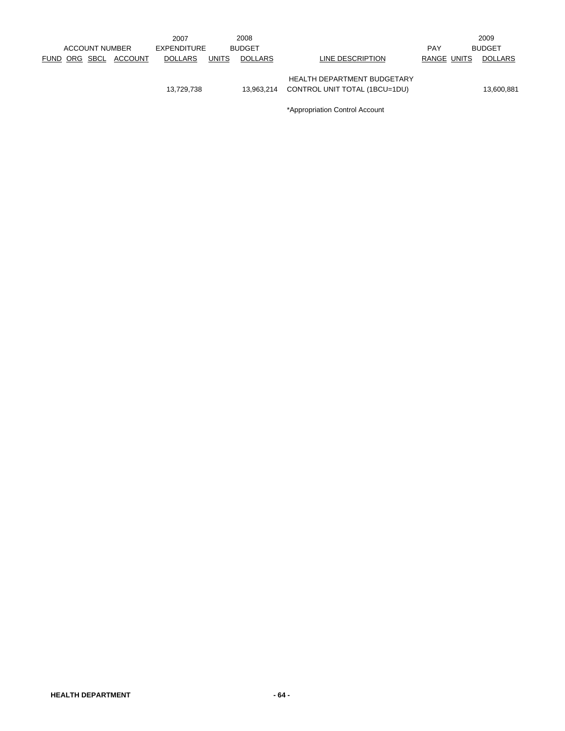|             |                       |                | 2007           |              | 2008           |                                                                                                |             | 2009           |
|-------------|-----------------------|----------------|----------------|--------------|----------------|------------------------------------------------------------------------------------------------|-------------|----------------|
|             | <b>ACCOUNT NUMBER</b> |                | EXPENDITURE    |              | <b>BUDGET</b>  |                                                                                                | <b>PAY</b>  | <b>BUDGET</b>  |
| <b>FUND</b> | ORG SBCL              | <b>ACCOUNT</b> | <b>DOLLARS</b> | <b>UNITS</b> | <b>DOLLARS</b> | LINE DESCRIPTION                                                                               | RANGE UNITS | <b>DOLLARS</b> |
|             |                       |                | 13,729,738     |              | 13.963.214     | HEALTH DEPARTMENT BUDGETARY<br>CONTROL UNIT TOTAL (1BCU=1DU)<br>*Appropriation Control Account |             | 13,600,881     |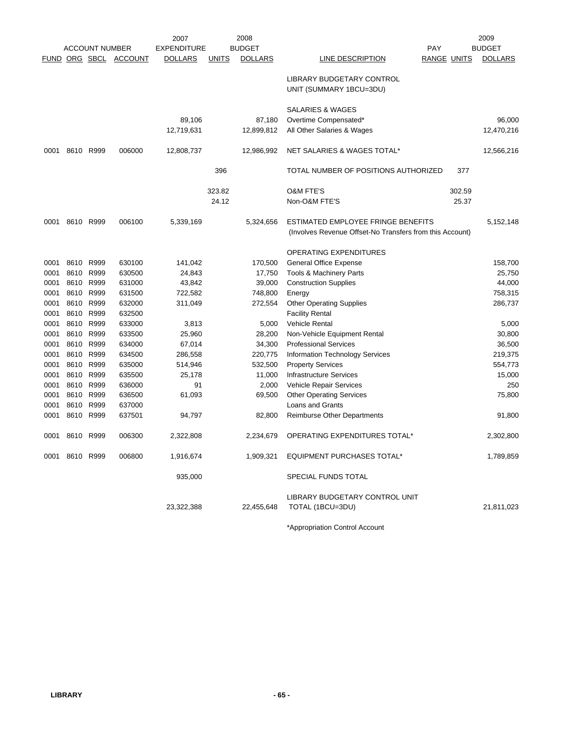|      |                |                       |                       | 2007               |              | 2008           |                                                                                                |                    |        | 2009           |
|------|----------------|-----------------------|-----------------------|--------------------|--------------|----------------|------------------------------------------------------------------------------------------------|--------------------|--------|----------------|
|      |                | <b>ACCOUNT NUMBER</b> |                       | <b>EXPENDITURE</b> |              | <b>BUDGET</b>  |                                                                                                | <b>PAY</b>         |        | <b>BUDGET</b>  |
|      |                |                       | FUND ORG SBCL ACCOUNT | <b>DOLLARS</b>     | <u>UNITS</u> | <b>DOLLARS</b> | LINE DESCRIPTION                                                                               | <b>RANGE UNITS</b> |        | <b>DOLLARS</b> |
|      |                |                       |                       |                    |              |                | <b>LIBRARY BUDGETARY CONTROL</b><br>UNIT (SUMMARY 1BCU=3DU)                                    |                    |        |                |
|      |                |                       |                       |                    |              |                | <b>SALARIES &amp; WAGES</b>                                                                    |                    |        |                |
|      |                |                       |                       | 89,106             |              | 87,180         | Overtime Compensated*                                                                          |                    |        | 96,000         |
|      |                |                       |                       | 12,719,631         |              | 12,899,812     | All Other Salaries & Wages                                                                     |                    |        | 12,470,216     |
| 0001 |                | 8610 R999             | 006000                | 12,808,737         |              | 12,986,992     | NET SALARIES & WAGES TOTAL*                                                                    |                    |        | 12,566,216     |
|      |                |                       |                       |                    | 396          |                | TOTAL NUMBER OF POSITIONS AUTHORIZED                                                           |                    | 377    |                |
|      |                |                       |                       |                    | 323.82       |                | <b>O&amp;M FTE'S</b>                                                                           |                    | 302.59 |                |
|      |                |                       |                       |                    | 24.12        |                | Non-O&M FTE'S                                                                                  |                    | 25.37  |                |
| 0001 | 8610 R999      |                       | 006100                | 5,339,169          |              | 5,324,656      | ESTIMATED EMPLOYEE FRINGE BENEFITS<br>(Involves Revenue Offset-No Transfers from this Account) |                    |        | 5,152,148      |
|      |                |                       |                       |                    |              |                | OPERATING EXPENDITURES                                                                         |                    |        |                |
| 0001 | 8610           | R999                  | 630100                | 141,042            |              | 170,500        | General Office Expense                                                                         |                    |        | 158,700        |
| 0001 | 8610           | R999                  | 630500                | 24,843             |              | 17,750         | <b>Tools &amp; Machinery Parts</b>                                                             |                    |        | 25,750         |
| 0001 | 8610           | R999                  | 631000                | 43,842             |              | 39,000         | <b>Construction Supplies</b>                                                                   |                    |        | 44,000         |
| 0001 | 8610           | R999                  | 631500                | 722,582            |              | 748,800        | Energy                                                                                         |                    |        | 758,315        |
| 0001 | 8610           | R999                  | 632000                | 311,049            |              | 272,554        | <b>Other Operating Supplies</b>                                                                |                    |        | 286,737        |
| 0001 | 8610           | R999                  | 632500                |                    |              |                | <b>Facility Rental</b>                                                                         |                    |        |                |
| 0001 | 8610           | R999                  | 633000                | 3,813              |              | 5,000          | <b>Vehicle Rental</b>                                                                          |                    |        | 5,000          |
| 0001 | 8610           | R999                  | 633500                | 25,960             |              | 28,200         | Non-Vehicle Equipment Rental                                                                   |                    |        | 30,800         |
| 0001 | 8610           | R999                  | 634000                | 67,014             |              | 34,300         | <b>Professional Services</b>                                                                   |                    |        | 36,500         |
| 0001 | 8610           | R999                  | 634500                | 286,558            |              | 220,775        | Information Technology Services                                                                |                    |        | 219,375        |
| 0001 | 8610           | R999                  | 635000                | 514,946            |              | 532,500        | <b>Property Services</b>                                                                       |                    |        | 554,773        |
| 0001 | 8610           | R999                  | 635500                | 25,178             |              | 11,000         | <b>Infrastructure Services</b>                                                                 |                    |        | 15,000         |
| 0001 | 8610           | R999                  | 636000                | 91                 |              | 2,000          | Vehicle Repair Services                                                                        |                    |        | 250            |
| 0001 | 8610           | R999                  | 636500                | 61,093             |              | 69,500         | <b>Other Operating Services</b>                                                                |                    |        | 75,800         |
| 0001 | 8610           | R999                  | 637000                |                    |              |                | <b>Loans and Grants</b>                                                                        |                    |        |                |
| 0001 | 8610           | R999                  | 637501                | 94,797             |              | 82,800         | Reimburse Other Departments                                                                    |                    |        | 91,800         |
| 0001 | 8610 R999      |                       | 006300                | 2,322,808          |              | 2,234,679      | OPERATING EXPENDITURES TOTAL*                                                                  |                    |        | 2,302,800      |
|      | 0001 8610 R999 |                       | 006800                | 1,916,674          |              | 1,909,321      | <b>EQUIPMENT PURCHASES TOTAL*</b>                                                              |                    |        | 1,789,859      |
|      |                |                       |                       | 935,000            |              |                | SPECIAL FUNDS TOTAL                                                                            |                    |        |                |
|      |                |                       |                       |                    |              |                | LIBRARY BUDGETARY CONTROL UNIT                                                                 |                    |        |                |
|      |                |                       |                       | 23,322,388         |              | 22,455,648     | TOTAL (1BCU=3DU)                                                                               |                    |        | 21,811,023     |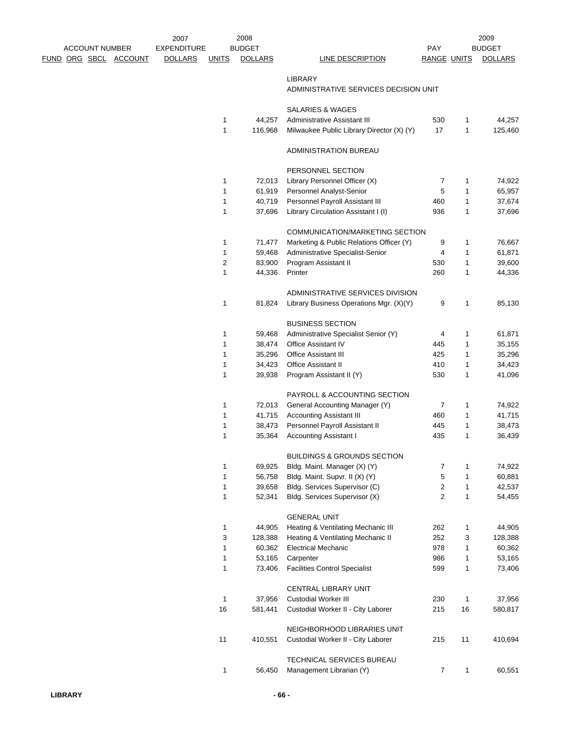|  | <b>ACCOUNT NUMBER</b> |                       | 2007<br><b>EXPENDITURE</b> |                | 2008<br><b>BUDGET</b> |                                                                   | <b>PAY</b>         |              | 2009<br><b>BUDGET</b> |
|--|-----------------------|-----------------------|----------------------------|----------------|-----------------------|-------------------------------------------------------------------|--------------------|--------------|-----------------------|
|  |                       | FUND ORG SBCL ACCOUNT | <b>DOLLARS</b>             | <b>UNITS</b>   | <b>DOLLARS</b>        | <b>LINE DESCRIPTION</b>                                           | <b>RANGE UNITS</b> |              | <b>DOLLARS</b>        |
|  |                       |                       |                            |                |                       | <b>LIBRARY</b><br>ADMINISTRATIVE SERVICES DECISION UNIT           |                    |              |                       |
|  |                       |                       |                            |                |                       | SALARIES & WAGES                                                  |                    |              |                       |
|  |                       |                       |                            | 1              | 44,257                | Administrative Assistant III                                      | 530                | 1            | 44,257                |
|  |                       |                       |                            | 1              | 116,968               | Milwaukee Public Library Director (X) (Y)                         | 17                 | 1            | 125,460               |
|  |                       |                       |                            |                |                       | ADMINISTRATION BUREAU                                             |                    |              |                       |
|  |                       |                       |                            |                |                       | PERSONNEL SECTION                                                 |                    |              |                       |
|  |                       |                       |                            | 1              | 72,013                | Library Personnel Officer (X)                                     | 7                  | 1            | 74,922                |
|  |                       |                       |                            | $\mathbf{1}$   | 61,919                | Personnel Analyst-Senior                                          | 5                  | 1            | 65,957                |
|  |                       |                       |                            | $\mathbf{1}$   | 40,719                | Personnel Payroll Assistant III                                   | 460                | 1            | 37,674                |
|  |                       |                       |                            | $\mathbf{1}$   | 37,696                | Library Circulation Assistant I (I)                               | 936                | 1            | 37,696                |
|  |                       |                       |                            |                |                       | COMMUNICATION/MARKETING SECTION                                   |                    |              |                       |
|  |                       |                       |                            | 1              | 71,477                | Marketing & Public Relations Officer (Y)                          | 9                  | 1            | 76,667                |
|  |                       |                       |                            | 1              | 59,468                | Administrative Specialist-Senior                                  | 4                  | 1            | 61,871                |
|  |                       |                       |                            | $\overline{c}$ | 83,900                | Program Assistant II                                              | 530                | 1            | 39,600                |
|  |                       |                       |                            | $\mathbf{1}$   | 44,336                | Printer                                                           | 260                | 1            | 44,336                |
|  |                       |                       |                            |                |                       | ADMINISTRATIVE SERVICES DIVISION                                  |                    |              |                       |
|  |                       |                       |                            | $\mathbf{1}$   | 81,824                | Library Business Operations Mgr. (X)(Y)                           | 9                  | 1            | 85,130                |
|  |                       |                       |                            |                |                       | <b>BUSINESS SECTION</b>                                           |                    |              |                       |
|  |                       |                       |                            | 1              | 59,468                | Administrative Specialist Senior (Y)                              | 4                  | 1            | 61,871                |
|  |                       |                       |                            | 1              | 38,474                | <b>Office Assistant IV</b>                                        | 445                | 1            | 35,155                |
|  |                       |                       |                            | 1              | 35,296                | <b>Office Assistant III</b>                                       | 425                | 1            | 35,296                |
|  |                       |                       |                            | 1              | 34,423                | <b>Office Assistant II</b>                                        | 410                | 1            | 34,423                |
|  |                       |                       |                            | 1              | 39,938                | Program Assistant II (Y)                                          | 530                | 1            | 41,096                |
|  |                       |                       |                            |                |                       | <b>PAYROLL &amp; ACCOUNTING SECTION</b>                           |                    |              |                       |
|  |                       |                       |                            | 1              | 72,013                | General Accounting Manager (Y)                                    | 7                  | 1            | 74,922                |
|  |                       |                       |                            | 1              | 41,715                | <b>Accounting Assistant III</b>                                   | 460                | 1            | 41,715                |
|  |                       |                       |                            | 1              | 38,473                | Personnel Payroll Assistant II                                    | 445                | 1            | 38,473                |
|  |                       |                       |                            | 1              | 35,364                | <b>Accounting Assistant I</b>                                     | 435                | 1            | 36,439                |
|  |                       |                       |                            |                |                       | <b>BUILDINGS &amp; GROUNDS SECTION</b>                            |                    |              |                       |
|  |                       |                       |                            | $\mathbf{1}$   | 69,925                | Bldg. Maint. Manager (X) (Y)                                      | 7                  | 1            | 74,922                |
|  |                       |                       |                            | $\mathbf{1}$   | 56,758                | Bldg. Maint. Supvr. II (X) (Y)                                    | 5                  | 1            | 60,881                |
|  |                       |                       |                            | 1              | 39,658                | Bldg. Services Supervisor (C)                                     | $\overline{2}$     | 1            | 42,537                |
|  |                       |                       |                            | $\mathbf{1}$   | 52,341                | Bldg. Services Supervisor (X)                                     | $\overline{2}$     | $\mathbf{1}$ | 54,455                |
|  |                       |                       |                            |                |                       | <b>GENERAL UNIT</b>                                               |                    |              |                       |
|  |                       |                       |                            | $\mathbf{1}$   | 44,905                | Heating & Ventilating Mechanic III                                | 262                | 1            | 44,905                |
|  |                       |                       |                            | 3              | 128,388               | Heating & Ventilating Mechanic II                                 | 252                | 3            | 128,388               |
|  |                       |                       |                            | 1              | 60,362                | <b>Electrical Mechanic</b>                                        | 978                | 1            | 60,362                |
|  |                       |                       |                            | $\mathbf{1}$   | 53,165                | Carpenter                                                         | 986                | 1            | 53,165                |
|  |                       |                       |                            | $\mathbf{1}$   | 73,406                | <b>Facilities Control Specialist</b>                              | 599                | $\mathbf{1}$ | 73,406                |
|  |                       |                       |                            |                |                       | <b>CENTRAL LIBRARY UNIT</b>                                       |                    |              |                       |
|  |                       |                       |                            | 1              | 37,956                | <b>Custodial Worker III</b>                                       | 230                | $\mathbf{1}$ | 37,956                |
|  |                       |                       |                            | 16             | 581,441               | Custodial Worker II - City Laborer                                | 215                | 16           | 580,817               |
|  |                       |                       |                            |                |                       |                                                                   |                    |              |                       |
|  |                       |                       |                            | 11             | 410,551               | NEIGHBORHOOD LIBRARIES UNIT<br>Custodial Worker II - City Laborer | 215                | 11           | 410,694               |
|  |                       |                       |                            |                |                       |                                                                   |                    |              |                       |
|  |                       |                       |                            |                |                       | TECHNICAL SERVICES BUREAU                                         |                    |              |                       |
|  |                       |                       |                            | 1              | 56,450                | Management Librarian (Y)                                          | $\overline{7}$     | 1            | 60,551                |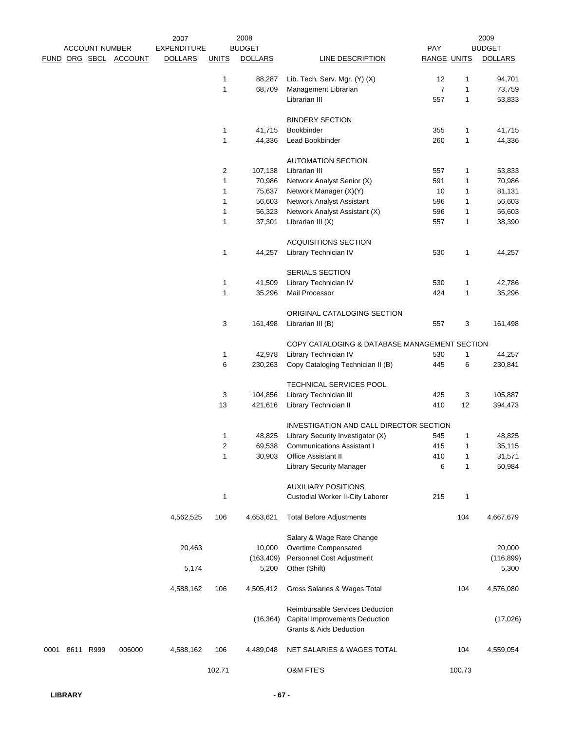|      |                       |                       | 2007               |                | 2008           |                                               |                    |              | 2009           |
|------|-----------------------|-----------------------|--------------------|----------------|----------------|-----------------------------------------------|--------------------|--------------|----------------|
|      | <b>ACCOUNT NUMBER</b> |                       | <b>EXPENDITURE</b> |                | <b>BUDGET</b>  | LINE DESCRIPTION                              | PAY                |              | <b>BUDGET</b>  |
|      |                       | FUND ORG SBCL ACCOUNT | <b>DOLLARS</b>     | <b>UNITS</b>   | <b>DOLLARS</b> |                                               | <b>RANGE UNITS</b> |              | <b>DOLLARS</b> |
|      |                       |                       |                    | $\mathbf{1}$   | 88,287         | Lib. Tech. Serv. Mgr. (Y) (X)                 | 12                 | 1            | 94,701         |
|      |                       |                       |                    | $\mathbf{1}$   | 68,709         | Management Librarian                          | $\overline{7}$     | 1            | 73,759         |
|      |                       |                       |                    |                |                | Librarian III                                 | 557                | $\mathbf{1}$ | 53,833         |
|      |                       |                       |                    |                |                |                                               |                    |              |                |
|      |                       |                       |                    |                |                | <b>BINDERY SECTION</b>                        |                    |              |                |
|      |                       |                       |                    | $\mathbf{1}$   | 41,715         | Bookbinder                                    | 355                | 1            | 41,715         |
|      |                       |                       |                    | $\mathbf{1}$   | 44,336         | Lead Bookbinder                               | 260                | $\mathbf{1}$ | 44,336         |
|      |                       |                       |                    |                |                | <b>AUTOMATION SECTION</b>                     |                    |              |                |
|      |                       |                       |                    | $\overline{2}$ | 107,138        | Librarian III                                 | 557                | 1            | 53,833         |
|      |                       |                       |                    | $\mathbf{1}$   | 70,986         | Network Analyst Senior (X)                    | 591                | 1            | 70,986         |
|      |                       |                       |                    | $\mathbf{1}$   | 75,637         | Network Manager (X)(Y)                        | 10                 | 1            | 81,131         |
|      |                       |                       |                    | 1              | 56,603         | Network Analyst Assistant                     | 596                | 1            | 56,603         |
|      |                       |                       |                    | 1              | 56,323         | Network Analyst Assistant (X)                 | 596                | 1            | 56,603         |
|      |                       |                       |                    | $\mathbf{1}$   | 37,301         | Librarian III (X)                             | 557                | 1            | 38,390         |
|      |                       |                       |                    |                |                | <b>ACQUISITIONS SECTION</b>                   |                    |              |                |
|      |                       |                       |                    | 1              | 44,257         | Library Technician IV                         | 530                | 1            | 44,257         |
|      |                       |                       |                    |                |                |                                               |                    |              |                |
|      |                       |                       |                    |                |                | SERIALS SECTION                               |                    |              |                |
|      |                       |                       |                    | $\mathbf{1}$   | 41,509         | Library Technician IV                         | 530                | 1            | 42,786         |
|      |                       |                       |                    | $\mathbf{1}$   | 35,296         | Mail Processor                                | 424                | 1            | 35,296         |
|      |                       |                       |                    |                |                | ORIGINAL CATALOGING SECTION                   |                    |              |                |
|      |                       |                       |                    | 3              | 161,498        | Librarian III (B)                             | 557                | 3            | 161,498        |
|      |                       |                       |                    |                |                | COPY CATALOGING & DATABASE MANAGEMENT SECTION |                    |              |                |
|      |                       |                       |                    | $\mathbf{1}$   | 42,978         | Library Technician IV                         | 530                | 1            | 44,257         |
|      |                       |                       |                    | 6              | 230,263        | Copy Cataloging Technician II (B)             | 445                | 6            | 230,841        |
|      |                       |                       |                    |                |                | TECHNICAL SERVICES POOL                       |                    |              |                |
|      |                       |                       |                    | 3              | 104,856        | Library Technician III                        | 425                | 3            | 105,887        |
|      |                       |                       |                    | 13             | 421,616        | Library Technician II                         | 410                | 12           | 394,473        |
|      |                       |                       |                    |                |                |                                               |                    |              |                |
|      |                       |                       |                    |                |                | INVESTIGATION AND CALL DIRECTOR SECTION       |                    |              |                |
|      |                       |                       |                    | $\mathbf{1}$   | 48,825         | Library Security Investigator (X)             | 545                | 1            | 48,825         |
|      |                       |                       |                    | 2              |                | 69,538 Communications Assistant I             | 415                |              | 35,115         |
|      |                       |                       |                    | $\mathbf{1}$   | 30,903         | <b>Office Assistant II</b>                    | 410                | 1            | 31,571         |
|      |                       |                       |                    |                |                | <b>Library Security Manager</b>               | 6                  | 1            | 50,984         |
|      |                       |                       |                    |                |                | <b>AUXILIARY POSITIONS</b>                    |                    |              |                |
|      |                       |                       |                    | $\mathbf{1}$   |                | Custodial Worker II-City Laborer              | 215                | 1            |                |
|      |                       |                       | 4,562,525          | 106            | 4,653,621      | <b>Total Before Adjustments</b>               |                    | 104          | 4,667,679      |
|      |                       |                       |                    |                |                |                                               |                    |              |                |
|      |                       |                       |                    |                |                | Salary & Wage Rate Change                     |                    |              |                |
|      |                       |                       | 20,463             |                | 10,000         | Overtime Compensated                          |                    |              | 20,000         |
|      |                       |                       |                    |                | (163, 409)     | Personnel Cost Adjustment                     |                    |              | (116, 899)     |
|      |                       |                       | 5,174              |                | 5,200          | Other (Shift)                                 |                    |              | 5,300          |
|      |                       |                       | 4,588,162          | 106            | 4,505,412      | Gross Salaries & Wages Total                  |                    | 104          | 4,576,080      |
|      |                       |                       |                    |                |                | Reimbursable Services Deduction               |                    |              |                |
|      |                       |                       |                    |                | (16, 364)      | Capital Improvements Deduction                |                    |              | (17, 026)      |
|      |                       |                       |                    |                |                | Grants & Aids Deduction                       |                    |              |                |
|      |                       |                       |                    |                |                |                                               |                    |              |                |
| 0001 | 8611 R999             | 006000                | 4,588,162          | 106            | 4,489,048      | NET SALARIES & WAGES TOTAL                    |                    | 104          | 4,559,054      |
|      |                       |                       |                    | 102.71         |                | <b>O&amp;M FTE'S</b>                          |                    | 100.73       |                |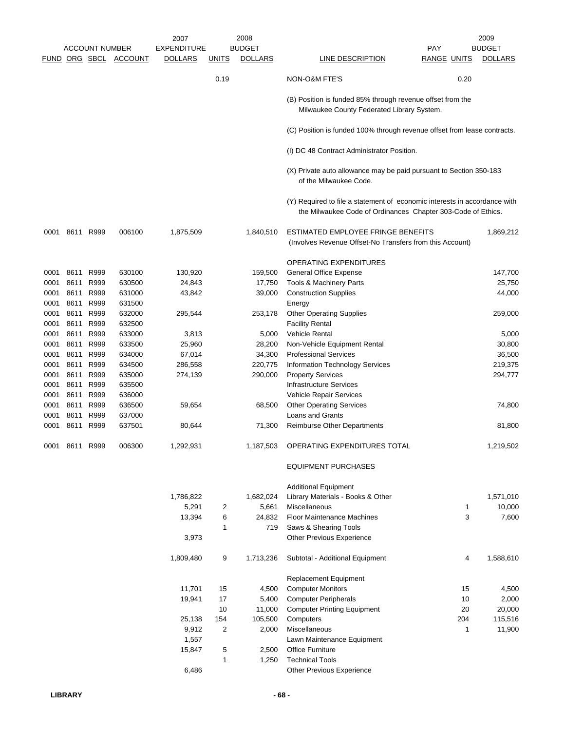|              |                | <b>ACCOUNT NUMBER</b> |                       | 2007<br><b>EXPENDITURE</b> |              | 2008<br><b>BUDGET</b> |                                                                                                                                           | PAY                | 2009<br><b>BUDGET</b> |
|--------------|----------------|-----------------------|-----------------------|----------------------------|--------------|-----------------------|-------------------------------------------------------------------------------------------------------------------------------------------|--------------------|-----------------------|
|              |                |                       | FUND ORG SBCL ACCOUNT | <b>DOLLARS</b>             | <b>UNITS</b> | <b>DOLLARS</b>        | LINE DESCRIPTION                                                                                                                          | <b>RANGE UNITS</b> | <b>DOLLARS</b>        |
|              |                |                       |                       |                            | 0.19         |                       | NON-O&M FTE'S                                                                                                                             | 0.20               |                       |
|              |                |                       |                       |                            |              |                       | (B) Position is funded 85% through revenue offset from the<br>Milwaukee County Federated Library System.                                  |                    |                       |
|              |                |                       |                       |                            |              |                       | (C) Position is funded 100% through revenue offset from lease contracts.                                                                  |                    |                       |
|              |                |                       |                       |                            |              |                       | (I) DC 48 Contract Administrator Position.                                                                                                |                    |                       |
|              |                |                       |                       |                            |              |                       | (X) Private auto allowance may be paid pursuant to Section 350-183<br>of the Milwaukee Code.                                              |                    |                       |
|              |                |                       |                       |                            |              |                       | (Y) Required to file a statement of economic interests in accordance with<br>the Milwaukee Code of Ordinances Chapter 303-Code of Ethics. |                    |                       |
| 0001         |                | 8611 R999             | 006100                | 1,875,509                  |              | 1,840,510             | ESTIMATED EMPLOYEE FRINGE BENEFITS<br>(Involves Revenue Offset-No Transfers from this Account)                                            |                    | 1,869,212             |
|              |                |                       |                       |                            |              |                       | <b>OPERATING EXPENDITURES</b>                                                                                                             |                    |                       |
| 0001         | 8611           | R999                  | 630100                | 130,920                    |              | 159,500               | General Office Expense                                                                                                                    |                    | 147,700               |
| 0001         | 8611           | R999                  | 630500                | 24,843                     |              | 17,750                | Tools & Machinery Parts                                                                                                                   |                    | 25,750                |
| 0001         | 8611           | R999                  | 631000                | 43,842                     |              | 39,000                | <b>Construction Supplies</b>                                                                                                              |                    | 44,000                |
| 0001         | 8611           | R999                  | 631500                |                            |              |                       | Energy                                                                                                                                    |                    |                       |
| 0001         | 8611           | R999                  | 632000                | 295,544                    |              | 253,178               | <b>Other Operating Supplies</b>                                                                                                           |                    | 259,000               |
| 0001         | 8611           | R999                  | 632500                |                            |              |                       | <b>Facility Rental</b>                                                                                                                    |                    |                       |
| 0001         | 8611           | R999                  | 633000                | 3,813                      |              | 5,000                 | Vehicle Rental                                                                                                                            |                    | 5,000                 |
| 0001<br>0001 | 8611<br>8611   | R999<br>R999          | 633500<br>634000      | 25,960<br>67,014           |              | 28,200<br>34,300      | Non-Vehicle Equipment Rental<br><b>Professional Services</b>                                                                              |                    | 30,800<br>36,500      |
| 0001         | 8611           | R999                  | 634500                | 286,558                    |              | 220,775               | Information Technology Services                                                                                                           |                    | 219,375               |
| 0001         | 8611           | R999                  | 635000                | 274,139                    |              | 290,000               | <b>Property Services</b>                                                                                                                  |                    | 294,777               |
| 0001         | 8611           | R999                  | 635500                |                            |              |                       | Infrastructure Services                                                                                                                   |                    |                       |
| 0001         | 8611           | R999                  | 636000                |                            |              |                       | Vehicle Repair Services                                                                                                                   |                    |                       |
| 0001         | 8611           | R999                  | 636500                | 59,654                     |              | 68,500                | <b>Other Operating Services</b>                                                                                                           |                    | 74,800                |
| 0001         | 8611           | R999                  | 637000                |                            |              |                       | <b>Loans and Grants</b>                                                                                                                   |                    |                       |
| 0001         |                | 8611 R999             | 637501                | 80,644                     |              | 71,300                | <b>Reimburse Other Departments</b>                                                                                                        |                    | 81,800                |
|              | 0001 8611 R999 |                       | 006300                | 1,292,931                  |              | 1,187,503             | OPERATING EXPENDITURES TOTAL                                                                                                              |                    | 1,219,502             |
|              |                |                       |                       |                            |              |                       | <b>EQUIPMENT PURCHASES</b>                                                                                                                |                    |                       |
|              |                |                       |                       |                            |              |                       | <b>Additional Equipment</b>                                                                                                               |                    |                       |
|              |                |                       |                       | 1,786,822                  |              | 1,682,024             | Library Materials - Books & Other                                                                                                         |                    | 1,571,010             |
|              |                |                       |                       | 5,291                      | 2            | 5,661                 | Miscellaneous                                                                                                                             | 1                  | 10,000                |
|              |                |                       |                       | 13,394                     | 6            | 24,832                | <b>Floor Maintenance Machines</b>                                                                                                         | 3                  | 7,600                 |
|              |                |                       |                       |                            | $\mathbf{1}$ | 719                   | Saws & Shearing Tools                                                                                                                     |                    |                       |
|              |                |                       |                       | 3,973                      |              |                       | <b>Other Previous Experience</b>                                                                                                          |                    |                       |
|              |                |                       |                       | 1,809,480                  | 9            | 1,713,236             | Subtotal - Additional Equipment                                                                                                           | 4                  | 1,588,610             |
|              |                |                       |                       |                            |              |                       | Replacement Equipment                                                                                                                     |                    |                       |
|              |                |                       |                       | 11,701                     | 15           | 4,500                 | <b>Computer Monitors</b>                                                                                                                  | 15                 | 4,500                 |
|              |                |                       |                       | 19,941                     | 17           | 5,400                 | <b>Computer Peripherals</b>                                                                                                               | 10                 | 2,000                 |
|              |                |                       |                       |                            | 10           | 11,000                | <b>Computer Printing Equipment</b>                                                                                                        | 20                 | 20,000                |
|              |                |                       |                       | 25,138<br>9,912            | 154<br>2     | 105,500<br>2,000      | Computers<br>Miscellaneous                                                                                                                | 204<br>1           | 115,516<br>11,900     |
|              |                |                       |                       | 1,557                      |              |                       | Lawn Maintenance Equipment                                                                                                                |                    |                       |
|              |                |                       |                       | 15,847                     | 5            | 2,500                 | Office Furniture                                                                                                                          |                    |                       |
|              |                |                       |                       |                            | 1            | 1,250                 | <b>Technical Tools</b>                                                                                                                    |                    |                       |
|              |                |                       |                       | 6,486                      |              |                       | Other Previous Experience                                                                                                                 |                    |                       |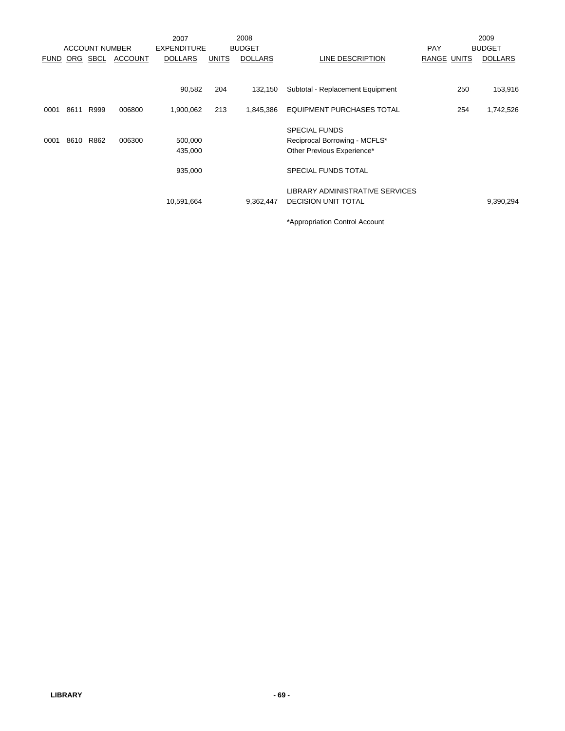|             |           |                       |                | 2007               |              | 2008           |                                  |             |     | 2009           |
|-------------|-----------|-----------------------|----------------|--------------------|--------------|----------------|----------------------------------|-------------|-----|----------------|
|             |           | <b>ACCOUNT NUMBER</b> |                | <b>EXPENDITURE</b> |              | <b>BUDGET</b>  |                                  | <b>PAY</b>  |     | <b>BUDGET</b>  |
| <b>FUND</b> |           | ORG SBCL              | <b>ACCOUNT</b> | <b>DOLLARS</b>     | <b>UNITS</b> | <b>DOLLARS</b> | LINE DESCRIPTION                 | RANGE UNITS |     | <b>DOLLARS</b> |
|             |           |                       |                |                    |              |                |                                  |             |     |                |
|             |           |                       |                | 90,582             | 204          | 132,150        | Subtotal - Replacement Equipment |             | 250 | 153,916        |
| 0001        | 8611      | R999                  | 006800         | 1,900,062          | 213          | 1,845,386      | <b>EQUIPMENT PURCHASES TOTAL</b> |             | 254 | 1,742,526      |
|             |           |                       |                |                    |              |                | <b>SPECIAL FUNDS</b>             |             |     |                |
| 0001        | 8610 R862 |                       | 006300         | 500,000            |              |                | Reciprocal Borrowing - MCFLS*    |             |     |                |
|             |           |                       |                | 435,000            |              |                | Other Previous Experience*       |             |     |                |
|             |           |                       |                | 935,000            |              |                | <b>SPECIAL FUNDS TOTAL</b>       |             |     |                |
|             |           |                       |                |                    |              |                | LIBRARY ADMINISTRATIVE SERVICES  |             |     |                |
|             |           |                       |                | 10,591,664         |              | 9,362,447      | <b>DECISION UNIT TOTAL</b>       |             |     | 9,390,294      |
|             |           |                       |                |                    |              |                | *Appropriation Control Account   |             |     |                |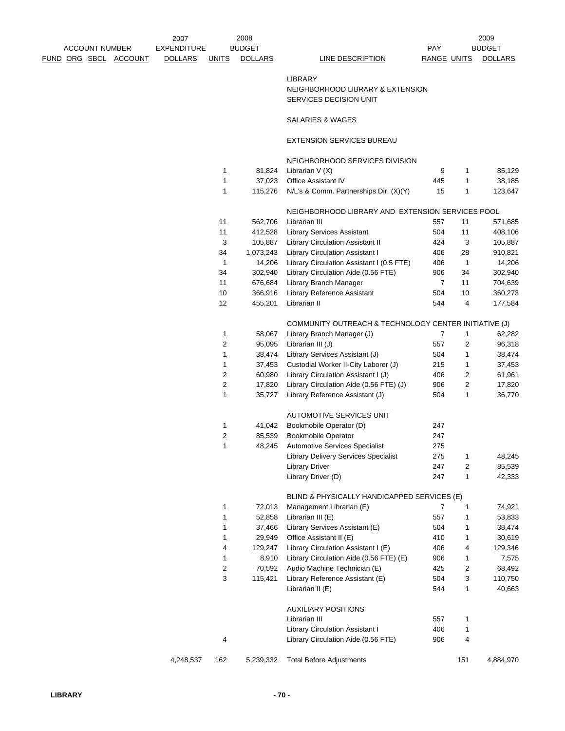|  |                       |                              | 2007               |                | 2008           |                                                       |                    |              | 2009           |
|--|-----------------------|------------------------------|--------------------|----------------|----------------|-------------------------------------------------------|--------------------|--------------|----------------|
|  | <b>ACCOUNT NUMBER</b> |                              | <b>EXPENDITURE</b> |                | <b>BUDGET</b>  |                                                       | <b>PAY</b>         |              | <b>BUDGET</b>  |
|  |                       | <u>FUND ORG SBCL ACCOUNT</u> | <b>DOLLARS</b>     | <b>UNITS</b>   | <b>DOLLARS</b> | LINE DESCRIPTION                                      | <b>RANGE UNITS</b> |              | <b>DOLLARS</b> |
|  |                       |                              |                    |                |                | <b>LIBRARY</b>                                        |                    |              |                |
|  |                       |                              |                    |                |                | NEIGHBORHOOD LIBRARY & EXTENSION                      |                    |              |                |
|  |                       |                              |                    |                |                | SERVICES DECISION UNIT                                |                    |              |                |
|  |                       |                              |                    |                |                | SALARIES & WAGES                                      |                    |              |                |
|  |                       |                              |                    |                |                | <b>EXTENSION SERVICES BUREAU</b>                      |                    |              |                |
|  |                       |                              |                    |                |                | NEIGHBORHOOD SERVICES DIVISION                        |                    |              |                |
|  |                       |                              |                    | 1              | 81,824         | Librarian V (X)                                       | 9                  | 1            | 85,129         |
|  |                       |                              |                    | 1              | 37,023         | Office Assistant IV                                   | 445                | 1            | 38,185         |
|  |                       |                              |                    | 1              | 115,276        | N/L's & Comm. Partnerships Dir. (X)(Y)                | 15                 | 1            | 123,647        |
|  |                       |                              |                    |                |                | NEIGHBORHOOD LIBRARY AND EXTENSION SERVICES POOL      |                    |              |                |
|  |                       |                              |                    | 11             | 562,706        | Librarian III                                         | 557                | 11           | 571,685        |
|  |                       |                              |                    | 11             | 412,528        | <b>Library Services Assistant</b>                     | 504                | 11           | 408,106        |
|  |                       |                              |                    | 3              | 105,887        | Library Circulation Assistant II                      | 424                | 3            | 105,887        |
|  |                       |                              |                    | 34             | 1,073,243      | Library Circulation Assistant I                       | 406                | 28           | 910,821        |
|  |                       |                              |                    | $\mathbf{1}$   | 14,206         | Library Circulation Assistant I (0.5 FTE)             | 406                | $\mathbf{1}$ | 14,206         |
|  |                       |                              |                    | 34             | 302,940        | Library Circulation Aide (0.56 FTE)                   | 906                | 34           | 302,940        |
|  |                       |                              |                    | 11             | 676,684        | Library Branch Manager                                | 7                  | 11           | 704,639        |
|  |                       |                              |                    | 10             | 366,916        | Library Reference Assistant                           | 504                | 10           | 360,273        |
|  |                       |                              |                    | 12             | 455,201        | Librarian II                                          | 544                | 4            | 177,584        |
|  |                       |                              |                    |                |                | COMMUNITY OUTREACH & TECHNOLOGY CENTER INITIATIVE (J) |                    |              |                |
|  |                       |                              |                    | 1              | 58,067         | Library Branch Manager (J)                            | 7                  | 1            | 62,282         |
|  |                       |                              |                    | 2              | 95,095         | Librarian III (J)                                     | 557                | 2            | 96,318         |
|  |                       |                              |                    | 1              | 38,474         | Library Services Assistant (J)                        | 504                | 1            | 38,474         |
|  |                       |                              |                    | 1              | 37,453         | Custodial Worker II-City Laborer (J)                  | 215                | 1            | 37,453         |
|  |                       |                              |                    | 2              | 60,980         | Library Circulation Assistant I (J)                   | 406                | 2            | 61,961         |
|  |                       |                              |                    | 2              | 17,820         | Library Circulation Aide (0.56 FTE) (J)               | 906                | 2            | 17,820         |
|  |                       |                              |                    | 1              | 35,727         | Library Reference Assistant (J)                       | 504                | 1            | 36,770         |
|  |                       |                              |                    |                |                | AUTOMOTIVE SERVICES UNIT                              |                    |              |                |
|  |                       |                              |                    | 1              | 41,042         | Bookmobile Operator (D)                               | 247                |              |                |
|  |                       |                              |                    | $\overline{c}$ | 85,539         | <b>Bookmobile Operator</b>                            | 247                |              |                |
|  |                       |                              |                    | 1              |                | 48,245 Automotive Services Specialist                 | 275                |              |                |
|  |                       |                              |                    |                |                | <b>Library Delivery Services Specialist</b>           | 275                | 1            | 48,245         |
|  |                       |                              |                    |                |                | <b>Library Driver</b>                                 | 247                | 2            | 85,539         |
|  |                       |                              |                    |                |                | Library Driver (D)                                    | 247                | 1            | 42,333         |
|  |                       |                              |                    |                |                | BLIND & PHYSICALLY HANDICAPPED SERVICES (E)           |                    |              |                |
|  |                       |                              |                    | 1              | 72,013         | Management Librarian (E)                              | 7                  | 1            | 74,921         |
|  |                       |                              |                    | 1              | 52,858         | Librarian III (E)                                     | 557                | 1            | 53,833         |
|  |                       |                              |                    | 1              | 37,466         | Library Services Assistant (E)                        | 504                | 1            | 38,474         |
|  |                       |                              |                    | 1              | 29,949         | Office Assistant II (E)                               | 410                | 1            | 30,619         |
|  |                       |                              |                    | 4              | 129,247        | Library Circulation Assistant I (E)                   | 406                | 4            | 129,346        |
|  |                       |                              |                    | 1              | 8,910          | Library Circulation Aide (0.56 FTE) (E)               | 906                | 1            | 7,575          |
|  |                       |                              |                    | 2              | 70,592         | Audio Machine Technician (E)                          | 425                | 2            | 68,492         |
|  |                       |                              |                    | 3              | 115,421        | Library Reference Assistant (E)                       | 504                | 3            | 110,750        |
|  |                       |                              |                    |                |                | Librarian II (E)                                      | 544                | 1            | 40,663         |
|  |                       |                              |                    |                |                | <b>AUXILIARY POSITIONS</b>                            |                    |              |                |
|  |                       |                              |                    |                |                | Librarian III                                         | 557                | $\mathbf 1$  |                |
|  |                       |                              |                    |                |                | Library Circulation Assistant I                       | 406                | 1            |                |
|  |                       |                              |                    | 4              |                | Library Circulation Aide (0.56 FTE)                   | 906                | 4            |                |
|  |                       |                              |                    |                |                |                                                       |                    |              |                |

4,248,537 162 5,239,332 Total Before Adjustments 151 4,884,970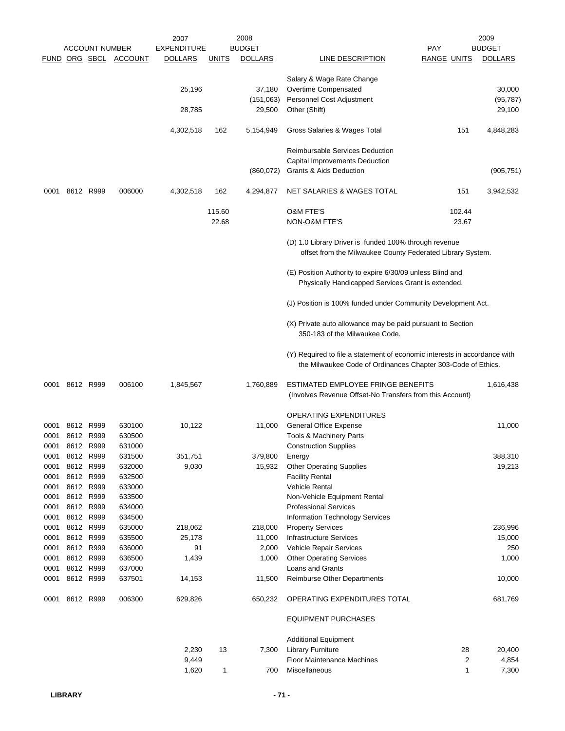|      |                |                       |                       | 2007           |              | 2008           |                                                                                                                                           |             | 2009           |
|------|----------------|-----------------------|-----------------------|----------------|--------------|----------------|-------------------------------------------------------------------------------------------------------------------------------------------|-------------|----------------|
|      |                | <b>ACCOUNT NUMBER</b> |                       | EXPENDITURE    |              | <b>BUDGET</b>  |                                                                                                                                           | PAY         | <b>BUDGET</b>  |
|      |                |                       | FUND ORG SBCL ACCOUNT | <b>DOLLARS</b> | <u>UNITS</u> | <b>DOLLARS</b> | <b>LINE DESCRIPTION</b>                                                                                                                   | RANGE UNITS | <b>DOLLARS</b> |
|      |                |                       |                       |                |              |                | Salary & Wage Rate Change                                                                                                                 |             |                |
|      |                |                       |                       | 25,196         |              | 37,180         | Overtime Compensated                                                                                                                      |             | 30,000         |
|      |                |                       |                       |                |              | (151,063)      | Personnel Cost Adjustment                                                                                                                 |             | (95, 787)      |
|      |                |                       |                       | 28,785         |              | 29,500         | Other (Shift)                                                                                                                             |             | 29,100         |
|      |                |                       |                       | 4,302,518      | 162          | 5,154,949      | Gross Salaries & Wages Total                                                                                                              | 151         | 4,848,283      |
|      |                |                       |                       |                |              |                | <b>Reimbursable Services Deduction</b>                                                                                                    |             |                |
|      |                |                       |                       |                |              |                | Capital Improvements Deduction                                                                                                            |             |                |
|      |                |                       |                       |                |              | (860, 072)     | Grants & Aids Deduction                                                                                                                   |             | (905, 751)     |
| 0001 | 8612 R999      |                       | 006000                | 4,302,518      | 162          | 4,294,877      | NET SALARIES & WAGES TOTAL                                                                                                                | 151         | 3,942,532      |
|      |                |                       |                       |                | 115.60       |                | <b>O&amp;M FTE'S</b>                                                                                                                      | 102.44      |                |
|      |                |                       |                       |                | 22.68        |                | NON-O&M FTE'S                                                                                                                             | 23.67       |                |
|      |                |                       |                       |                |              |                |                                                                                                                                           |             |                |
|      |                |                       |                       |                |              |                | (D) 1.0 Library Driver is funded 100% through revenue<br>offset from the Milwaukee County Federated Library System.                       |             |                |
|      |                |                       |                       |                |              |                |                                                                                                                                           |             |                |
|      |                |                       |                       |                |              |                | (E) Position Authority to expire 6/30/09 unless Blind and<br>Physically Handicapped Services Grant is extended.                           |             |                |
|      |                |                       |                       |                |              |                | (J) Position is 100% funded under Community Development Act.                                                                              |             |                |
|      |                |                       |                       |                |              |                | (X) Private auto allowance may be paid pursuant to Section<br>350-183 of the Milwaukee Code.                                              |             |                |
|      |                |                       |                       |                |              |                | (Y) Required to file a statement of economic interests in accordance with<br>the Milwaukee Code of Ordinances Chapter 303-Code of Ethics. |             |                |
|      |                |                       |                       |                |              |                |                                                                                                                                           |             |                |
|      | 0001 8612 R999 |                       | 006100                | 1,845,567      |              | 1,760,889      | ESTIMATED EMPLOYEE FRINGE BENEFITS<br>(Involves Revenue Offset-No Transfers from this Account)                                            |             | 1,616,438      |
|      |                |                       |                       |                |              |                |                                                                                                                                           |             |                |
|      |                |                       |                       |                |              |                | <b>OPERATING EXPENDITURES</b>                                                                                                             |             |                |
| 0001 |                | 8612 R999             | 630100                | 10,122         |              | 11,000         | <b>General Office Expense</b>                                                                                                             |             | 11,000         |
| 0001 | 8612 R999      |                       | 630500                |                |              |                | Tools & Machinery Parts                                                                                                                   |             |                |
|      | 0001 8612 R999 |                       | 631000                |                |              |                | <b>Construction Supplies</b>                                                                                                              |             |                |
| 0001 |                | 8612 R999             | 631500                | 351,751        |              | 379,800        | Energy                                                                                                                                    |             | 388,310        |
| 0001 |                | 8612 R999             | 632000                | 9,030          |              | 15,932         | <b>Other Operating Supplies</b>                                                                                                           |             | 19,213         |
| 0001 |                | 8612 R999             | 632500                |                |              |                | <b>Facility Rental</b>                                                                                                                    |             |                |
| 0001 |                | 8612 R999             | 633000                |                |              |                | <b>Vehicle Rental</b>                                                                                                                     |             |                |
| 0001 |                | 8612 R999             | 633500                |                |              |                | Non-Vehicle Equipment Rental                                                                                                              |             |                |
| 0001 | 8612 R999      |                       | 634000                |                |              |                | <b>Professional Services</b>                                                                                                              |             |                |
| 0001 |                | 8612 R999             | 634500                |                |              |                | Information Technology Services                                                                                                           |             |                |
| 0001 | 8612 R999      |                       | 635000                | 218,062        |              | 218,000        | <b>Property Services</b>                                                                                                                  |             | 236,996        |
| 0001 | 8612 R999      |                       | 635500                | 25,178         |              | 11,000         | <b>Infrastructure Services</b>                                                                                                            |             | 15,000         |
| 0001 | 8612 R999      |                       | 636000                | 91             |              | 2,000          | Vehicle Repair Services                                                                                                                   |             | 250            |
| 0001 | 8612 R999      |                       | 636500                | 1,439          |              | 1,000          | <b>Other Operating Services</b>                                                                                                           |             | 1,000          |
| 0001 |                | 8612 R999             | 637000                |                |              |                | Loans and Grants                                                                                                                          |             |                |
| 0001 |                | 8612 R999             | 637501                | 14,153         |              | 11,500         | <b>Reimburse Other Departments</b>                                                                                                        |             | 10,000         |
| 0001 | 8612 R999      |                       | 006300                | 629,826        |              | 650,232        | OPERATING EXPENDITURES TOTAL                                                                                                              |             | 681,769        |
|      |                |                       |                       |                |              |                | <b>EQUIPMENT PURCHASES</b>                                                                                                                |             |                |
|      |                |                       |                       |                |              |                | <b>Additional Equipment</b>                                                                                                               |             |                |
|      |                |                       |                       | 2,230          | 13           | 7,300          | <b>Library Furniture</b>                                                                                                                  | 28          | 20,400         |
|      |                |                       |                       | 9,449          |              |                | Floor Maintenance Machines                                                                                                                | 2           | 4,854          |
|      |                |                       |                       | 1,620          | 1            | 700            | Miscellaneous                                                                                                                             | 1           | 7,300          |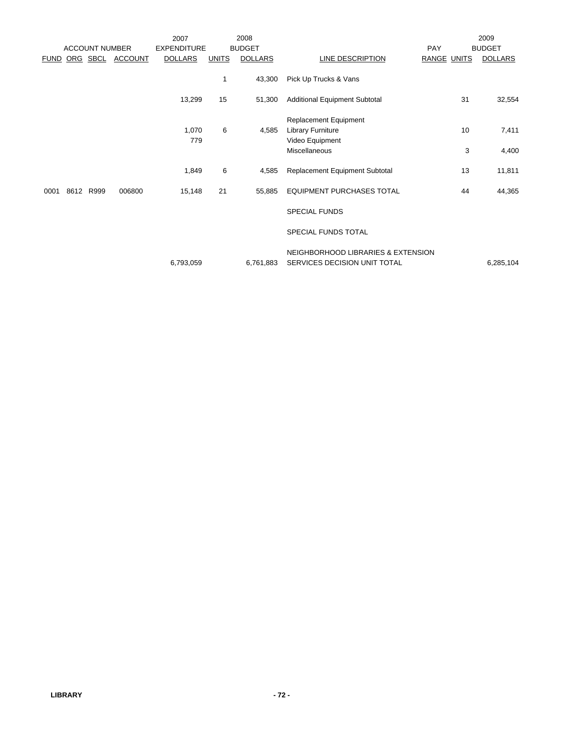|             |                       |                | 2007               |              | 2008           |                                                                    |             |    | 2009           |
|-------------|-----------------------|----------------|--------------------|--------------|----------------|--------------------------------------------------------------------|-------------|----|----------------|
|             | <b>ACCOUNT NUMBER</b> |                | <b>EXPENDITURE</b> |              | <b>BUDGET</b>  |                                                                    | PAY         |    | <b>BUDGET</b>  |
| <b>FUND</b> | ORG SBCL              | <b>ACCOUNT</b> | <b>DOLLARS</b>     | <b>UNITS</b> | <b>DOLLARS</b> | LINE DESCRIPTION                                                   | RANGE UNITS |    | <b>DOLLARS</b> |
|             |                       |                |                    | $\mathbf{1}$ | 43,300         | Pick Up Trucks & Vans                                              |             |    |                |
|             |                       |                | 13,299             | 15           | 51,300         | <b>Additional Equipment Subtotal</b>                               |             | 31 | 32,554         |
|             |                       |                |                    |              |                | <b>Replacement Equipment</b>                                       |             |    |                |
|             |                       |                | 1,070              | 6            | 4,585          | <b>Library Furniture</b>                                           |             | 10 | 7,411          |
|             |                       |                | 779                |              |                | Video Equipment                                                    |             |    |                |
|             |                       |                |                    |              |                | Miscellaneous                                                      |             | 3  | 4,400          |
|             |                       |                | 1,849              | 6            | 4,585          | Replacement Equipment Subtotal                                     |             | 13 | 11,811         |
| 0001        | 8612 R999             | 006800         | 15,148             | 21           | 55,885         | <b>EQUIPMENT PURCHASES TOTAL</b>                                   |             | 44 | 44,365         |
|             |                       |                |                    |              |                | <b>SPECIAL FUNDS</b>                                               |             |    |                |
|             |                       |                |                    |              |                | SPECIAL FUNDS TOTAL                                                |             |    |                |
|             |                       |                | 6,793,059          |              | 6.761.883      | NEIGHBORHOOD LIBRARIES & EXTENSION<br>SERVICES DECISION UNIT TOTAL |             |    | 6,285,104      |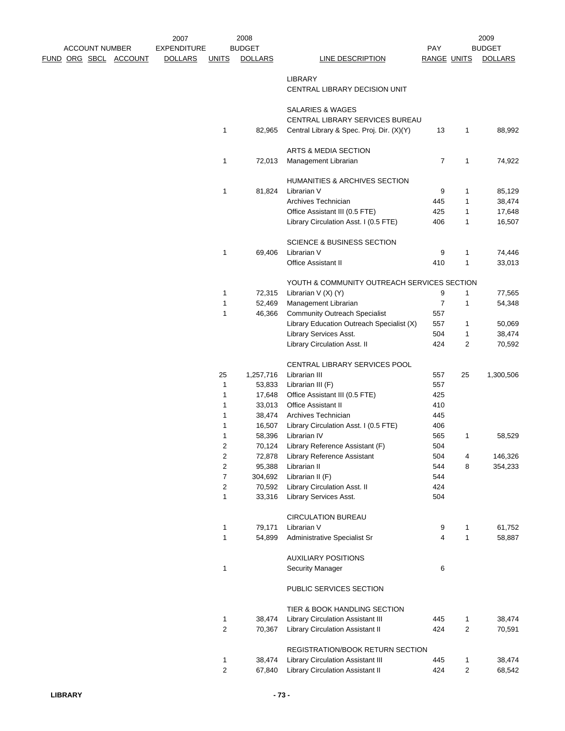|  | <b>ACCOUNT NUMBER</b> | <u>FUND ORG SBCL ACCOUNT</u> | 2007<br><b>EXPENDITURE</b><br><b>DOLLARS</b> | <b>UNITS</b>                   | 2008<br><b>BUDGET</b><br><b>DOLLARS</b> | <b>LINE DESCRIPTION</b>                                | PAY<br><b>RANGE UNITS</b> |                         | 2009<br><b>BUDGET</b><br><b>DOLLARS</b> |
|--|-----------------------|------------------------------|----------------------------------------------|--------------------------------|-----------------------------------------|--------------------------------------------------------|---------------------------|-------------------------|-----------------------------------------|
|  |                       |                              |                                              |                                |                                         | <b>LIBRARY</b><br>CENTRAL LIBRARY DECISION UNIT        |                           |                         |                                         |
|  |                       |                              |                                              |                                |                                         | SALARIES & WAGES<br>CENTRAL LIBRARY SERVICES BUREAU    |                           |                         |                                         |
|  |                       |                              |                                              | 1                              | 82,965                                  | Central Library & Spec. Proj. Dir. (X)(Y)              | 13                        | 1                       | 88,992                                  |
|  |                       |                              |                                              | 1                              | 72,013                                  | ARTS & MEDIA SECTION<br>Management Librarian           | $\overline{7}$            | 1                       | 74,922                                  |
|  |                       |                              |                                              |                                |                                         | HUMANITIES & ARCHIVES SECTION                          |                           |                         |                                         |
|  |                       |                              |                                              | 1                              | 81,824                                  | Librarian V                                            | 9                         | 1                       | 85,129                                  |
|  |                       |                              |                                              |                                |                                         | Archives Technician                                    | 445                       | 1                       | 38,474                                  |
|  |                       |                              |                                              |                                |                                         | Office Assistant III (0.5 FTE)                         | 425                       | 1                       | 17,648                                  |
|  |                       |                              |                                              |                                |                                         | Library Circulation Asst. I (0.5 FTE)                  | 406                       | 1                       | 16,507                                  |
|  |                       |                              |                                              |                                |                                         | <b>SCIENCE &amp; BUSINESS SECTION</b>                  |                           |                         |                                         |
|  |                       |                              |                                              | $\mathbf{1}$                   | 69,406                                  | Librarian V                                            | 9                         | 1                       | 74,446                                  |
|  |                       |                              |                                              |                                |                                         | <b>Office Assistant II</b>                             | 410                       | 1                       | 33,013                                  |
|  |                       |                              |                                              |                                |                                         | YOUTH & COMMUNITY OUTREACH SERVICES SECTION            |                           |                         |                                         |
|  |                       |                              |                                              | 1                              | 72,315                                  | Librarian $V(X) (Y)$                                   | 9                         | 1                       | 77,565                                  |
|  |                       |                              |                                              | $\mathbf{1}$                   | 52,469                                  | Management Librarian                                   | $\overline{7}$            | 1                       | 54,348                                  |
|  |                       |                              |                                              | $\mathbf{1}$                   | 46,366                                  | <b>Community Outreach Specialist</b>                   | 557                       |                         |                                         |
|  |                       |                              |                                              |                                |                                         | Library Education Outreach Specialist (X)              | 557                       | 1                       | 50,069                                  |
|  |                       |                              |                                              |                                |                                         | Library Services Asst.                                 | 504                       | 1                       | 38,474                                  |
|  |                       |                              |                                              |                                |                                         | Library Circulation Asst. II                           | 424                       | 2                       | 70,592                                  |
|  |                       |                              |                                              |                                |                                         | CENTRAL LIBRARY SERVICES POOL                          |                           |                         |                                         |
|  |                       |                              |                                              | 25                             | 1,257,716                               | Librarian III                                          | 557                       | 25                      | 1,300,506                               |
|  |                       |                              |                                              | 1                              | 53,833                                  | Librarian III (F)                                      | 557                       |                         |                                         |
|  |                       |                              |                                              | $\mathbf{1}$                   | 17,648                                  | Office Assistant III (0.5 FTE)                         | 425                       |                         |                                         |
|  |                       |                              |                                              | 1                              | 33,013                                  | <b>Office Assistant II</b>                             | 410                       |                         |                                         |
|  |                       |                              |                                              | $\mathbf 1$                    | 38,474                                  | Archives Technician                                    | 445                       |                         |                                         |
|  |                       |                              |                                              | 1                              | 16,507                                  | Library Circulation Asst. I (0.5 FTE)                  | 406                       |                         |                                         |
|  |                       |                              |                                              | 1                              | 58,396                                  | Librarian IV                                           | 565                       | 1                       | 58,529                                  |
|  |                       |                              |                                              | $\mathbf{z}$                   | 70,124                                  | Library Reference Assistant (F)                        | 504                       |                         |                                         |
|  |                       |                              |                                              | $\boldsymbol{2}$               | 72,878                                  | Library Reference Assistant                            | 504                       | 4                       | 146,326                                 |
|  |                       |                              |                                              | $\overline{c}$                 | 95,388                                  | Librarian II                                           | 544                       | 8                       | 354,233                                 |
|  |                       |                              |                                              | $\overline{7}$                 | 304,692                                 | Librarian II (F)                                       | 544                       |                         |                                         |
|  |                       |                              |                                              | $\overline{c}$<br>$\mathbf{1}$ | 70,592<br>33,316                        | Library Circulation Asst. II<br>Library Services Asst. | 424<br>504                |                         |                                         |
|  |                       |                              |                                              |                                |                                         | <b>CIRCULATION BUREAU</b>                              |                           |                         |                                         |
|  |                       |                              |                                              | $\mathbf{1}$                   | 79,171                                  | Librarian V                                            |                           | $\mathbf{1}$            | 61,752                                  |
|  |                       |                              |                                              | $\mathbf{1}$                   | 54,899                                  | Administrative Specialist Sr                           | 9<br>4                    | 1                       | 58,887                                  |
|  |                       |                              |                                              |                                |                                         | <b>AUXILIARY POSITIONS</b>                             |                           |                         |                                         |
|  |                       |                              |                                              | $\mathbf{1}$                   |                                         | <b>Security Manager</b>                                | 6                         |                         |                                         |
|  |                       |                              |                                              |                                |                                         | PUBLIC SERVICES SECTION                                |                           |                         |                                         |
|  |                       |                              |                                              |                                |                                         | TIER & BOOK HANDLING SECTION                           |                           |                         |                                         |
|  |                       |                              |                                              | $\mathbf{1}$                   | 38,474                                  | Library Circulation Assistant III                      | 445                       | 1                       | 38,474                                  |
|  |                       |                              |                                              | $\overline{c}$                 | 70,367                                  | Library Circulation Assistant II                       | 424                       | $\overline{\mathbf{c}}$ | 70,591                                  |
|  |                       |                              |                                              |                                |                                         | REGISTRATION/BOOK RETURN SECTION                       |                           |                         |                                         |
|  |                       |                              |                                              | $\mathbf{1}$                   | 38,474                                  | <b>Library Circulation Assistant III</b>               | 445                       | 1                       | 38,474                                  |
|  |                       |                              |                                              | $\overline{2}$                 | 67,840                                  | Library Circulation Assistant II                       | 424                       | 2                       | 68,542                                  |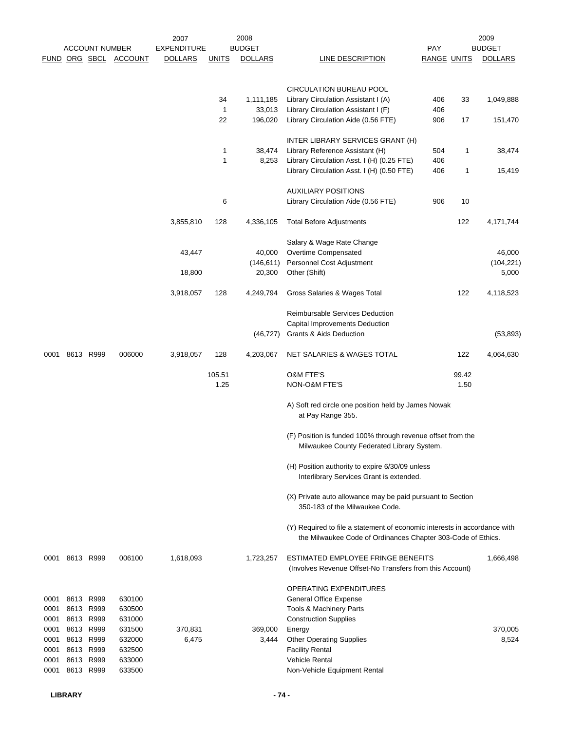|      |           | <b>ACCOUNT NUMBER</b> |                       | 2007<br><b>EXPENDITURE</b> |              | 2008<br><b>BUDGET</b> |                                                                                                                                           | <b>PAY</b>         |       | 2009<br><b>BUDGET</b> |
|------|-----------|-----------------------|-----------------------|----------------------------|--------------|-----------------------|-------------------------------------------------------------------------------------------------------------------------------------------|--------------------|-------|-----------------------|
|      |           |                       | FUND ORG SBCL ACCOUNT | <b>DOLLARS</b>             | <b>UNITS</b> | <b>DOLLARS</b>        | LINE DESCRIPTION                                                                                                                          | <b>RANGE UNITS</b> |       | <b>DOLLARS</b>        |
|      |           |                       |                       |                            |              |                       | CIRCULATION BUREAU POOL                                                                                                                   |                    |       |                       |
|      |           |                       |                       |                            | 34           | 1,111,185             | Library Circulation Assistant I (A)                                                                                                       | 406                | 33    | 1,049,888             |
|      |           |                       |                       |                            | $\mathbf{1}$ | 33,013                | Library Circulation Assistant I (F)                                                                                                       | 406                |       |                       |
|      |           |                       |                       |                            | 22           | 196,020               | Library Circulation Aide (0.56 FTE)                                                                                                       | 906                | 17    | 151,470               |
|      |           |                       |                       |                            |              |                       | INTER LIBRARY SERVICES GRANT (H)                                                                                                          |                    |       |                       |
|      |           |                       |                       |                            | 1            | 38,474                | Library Reference Assistant (H)                                                                                                           | 504                | 1     | 38,474                |
|      |           |                       |                       |                            | 1            | 8,253                 | Library Circulation Asst. I (H) (0.25 FTE)                                                                                                | 406                |       |                       |
|      |           |                       |                       |                            |              |                       | Library Circulation Asst. I (H) (0.50 FTE)                                                                                                | 406                | 1     | 15,419                |
|      |           |                       |                       |                            |              |                       | <b>AUXILIARY POSITIONS</b>                                                                                                                |                    |       |                       |
|      |           |                       |                       |                            | 6            |                       | Library Circulation Aide (0.56 FTE)                                                                                                       | 906                | 10    |                       |
|      |           |                       |                       | 3,855,810                  | 128          | 4,336,105             | <b>Total Before Adjustments</b>                                                                                                           |                    | 122   | 4,171,744             |
|      |           |                       |                       |                            |              |                       | Salary & Wage Rate Change                                                                                                                 |                    |       |                       |
|      |           |                       |                       | 43,447                     |              | 40,000                | Overtime Compensated                                                                                                                      |                    |       | 46,000                |
|      |           |                       |                       |                            |              | (146, 611)            | Personnel Cost Adjustment                                                                                                                 |                    |       | (104, 221)            |
|      |           |                       |                       | 18,800                     |              | 20,300                | Other (Shift)                                                                                                                             |                    |       | 5,000                 |
|      |           |                       |                       | 3,918,057                  | 128          | 4,249,794             | Gross Salaries & Wages Total                                                                                                              |                    | 122   | 4,118,523             |
|      |           |                       |                       |                            |              |                       | Reimbursable Services Deduction                                                                                                           |                    |       |                       |
|      |           |                       |                       |                            |              |                       | Capital Improvements Deduction                                                                                                            |                    |       |                       |
|      |           |                       |                       |                            |              | (46, 727)             | Grants & Aids Deduction                                                                                                                   |                    |       | (53, 893)             |
| 0001 | 8613 R999 |                       | 006000                | 3,918,057                  | 128          | 4,203,067             | NET SALARIES & WAGES TOTAL                                                                                                                |                    | 122   | 4,064,630             |
|      |           |                       |                       |                            | 105.51       |                       | <b>O&amp;M FTE'S</b>                                                                                                                      |                    | 99.42 |                       |
|      |           |                       |                       |                            | 1.25         |                       | NON-O&M FTE'S                                                                                                                             |                    | 1.50  |                       |
|      |           |                       |                       |                            |              |                       | A) Soft red circle one position held by James Nowak<br>at Pay Range 355.                                                                  |                    |       |                       |
|      |           |                       |                       |                            |              |                       | (F) Position is funded 100% through revenue offset from the<br>Milwaukee County Federated Library System.                                 |                    |       |                       |
|      |           |                       |                       |                            |              |                       | (H) Position authority to expire 6/30/09 unless<br>Interlibrary Services Grant is extended.                                               |                    |       |                       |
|      |           |                       |                       |                            |              |                       | (X) Private auto allowance may be paid pursuant to Section<br>350-183 of the Milwaukee Code.                                              |                    |       |                       |
|      |           |                       |                       |                            |              |                       | (Y) Required to file a statement of economic interests in accordance with<br>the Milwaukee Code of Ordinances Chapter 303-Code of Ethics. |                    |       |                       |
| 0001 | 8613 R999 |                       | 006100                | 1,618,093                  |              | 1,723,257             | ESTIMATED EMPLOYEE FRINGE BENEFITS<br>(Involves Revenue Offset-No Transfers from this Account)                                            |                    |       | 1,666,498             |
|      |           |                       |                       |                            |              |                       | OPERATING EXPENDITURES                                                                                                                    |                    |       |                       |
| 0001 |           | 8613 R999             | 630100                |                            |              |                       | General Office Expense                                                                                                                    |                    |       |                       |
| 0001 |           | 8613 R999             | 630500                |                            |              |                       | Tools & Machinery Parts                                                                                                                   |                    |       |                       |
| 0001 |           | 8613 R999             | 631000                |                            |              |                       | <b>Construction Supplies</b>                                                                                                              |                    |       |                       |
| 0001 |           | 8613 R999             | 631500                | 370,831                    |              | 369,000               | Energy                                                                                                                                    |                    |       | 370,005               |
| 0001 |           | 8613 R999             | 632000                | 6,475                      |              | 3,444                 | <b>Other Operating Supplies</b>                                                                                                           |                    |       | 8,524                 |
| 0001 | 8613 R999 |                       | 632500                |                            |              |                       | <b>Facility Rental</b>                                                                                                                    |                    |       |                       |
| 0001 |           | 8613 R999             | 633000                |                            |              |                       | <b>Vehicle Rental</b>                                                                                                                     |                    |       |                       |
| 0001 |           | 8613 R999             | 633500                |                            |              |                       | Non-Vehicle Equipment Rental                                                                                                              |                    |       |                       |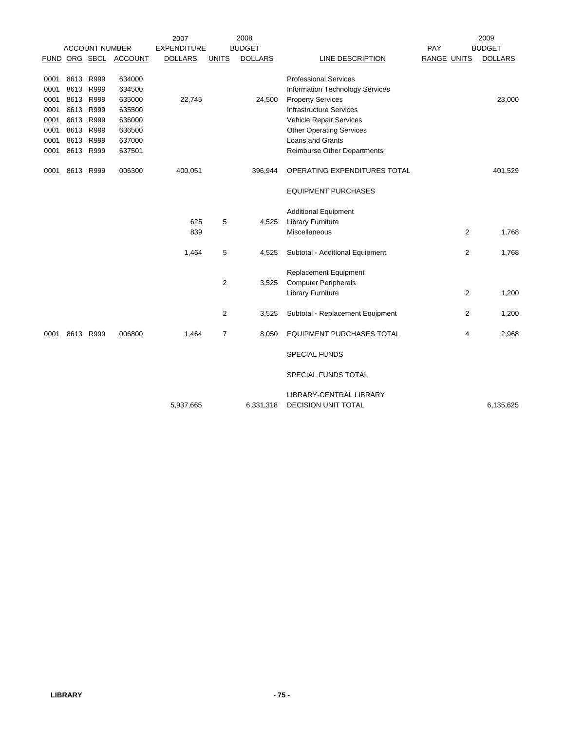|      |           |                       |         | 2007               |                | 2008           |                                                |                    | 2009           |
|------|-----------|-----------------------|---------|--------------------|----------------|----------------|------------------------------------------------|--------------------|----------------|
|      |           | <b>ACCOUNT NUMBER</b> |         | <b>EXPENDITURE</b> |                | <b>BUDGET</b>  |                                                | PAY                | <b>BUDGET</b>  |
|      |           | FUND ORG SBCL         | ACCOUNT | <b>DOLLARS</b>     | <b>UNITS</b>   | <b>DOLLARS</b> | LINE DESCRIPTION                               | <b>RANGE UNITS</b> | <b>DOLLARS</b> |
|      |           |                       |         |                    |                |                |                                                |                    |                |
| 0001 | 8613 R999 |                       | 634000  |                    |                |                | <b>Professional Services</b>                   |                    |                |
| 0001 |           | 8613 R999             | 634500  |                    |                |                | <b>Information Technology Services</b>         |                    |                |
| 0001 |           | 8613 R999             | 635000  | 22,745             |                | 24,500         | <b>Property Services</b>                       |                    | 23,000         |
| 0001 |           | 8613 R999             | 635500  |                    |                |                | <b>Infrastructure Services</b>                 |                    |                |
| 0001 |           | 8613 R999             | 636000  |                    |                |                | Vehicle Repair Services                        |                    |                |
| 0001 |           | 8613 R999             | 636500  |                    |                |                | <b>Other Operating Services</b>                |                    |                |
| 0001 |           | 8613 R999             | 637000  |                    |                |                | Loans and Grants                               |                    |                |
| 0001 |           | 8613 R999             | 637501  |                    |                |                | Reimburse Other Departments                    |                    |                |
| 0001 |           | 8613 R999             | 006300  | 400,051            |                | 396,944        | OPERATING EXPENDITURES TOTAL                   |                    | 401,529        |
|      |           |                       |         |                    |                |                | <b>EQUIPMENT PURCHASES</b>                     |                    |                |
|      |           |                       |         |                    |                |                | <b>Additional Equipment</b>                    |                    |                |
|      |           |                       |         | 625                | 5              | 4,525          | <b>Library Furniture</b>                       |                    |                |
|      |           |                       |         | 839                |                |                | Miscellaneous                                  | $\overline{2}$     | 1,768          |
|      |           |                       |         |                    |                |                |                                                |                    |                |
|      |           |                       |         | 1,464              | 5              | 4,525          | Subtotal - Additional Equipment                | 2                  | 1,768          |
|      |           |                       |         |                    |                |                | <b>Replacement Equipment</b>                   |                    |                |
|      |           |                       |         |                    | $\overline{2}$ | 3,525          | <b>Computer Peripherals</b>                    |                    |                |
|      |           |                       |         |                    |                |                | <b>Library Furniture</b>                       | 2                  | 1,200          |
|      |           |                       |         |                    | 2              | 3,525          | Subtotal - Replacement Equipment               | 2                  | 1,200          |
| 0001 |           | 8613 R999             | 006800  | 1,464              | 7              | 8,050          | <b>EQUIPMENT PURCHASES TOTAL</b>               | 4                  | 2,968          |
|      |           |                       |         |                    |                |                | <b>SPECIAL FUNDS</b>                           |                    |                |
|      |           |                       |         |                    |                |                | SPECIAL FUNDS TOTAL                            |                    |                |
|      |           |                       |         |                    |                |                |                                                |                    |                |
|      |           |                       |         | 5,937,665          |                | 6,331,318      | LIBRARY-CENTRAL LIBRARY<br>DECISION UNIT TOTAL |                    | 6,135,625      |
|      |           |                       |         |                    |                |                |                                                |                    |                |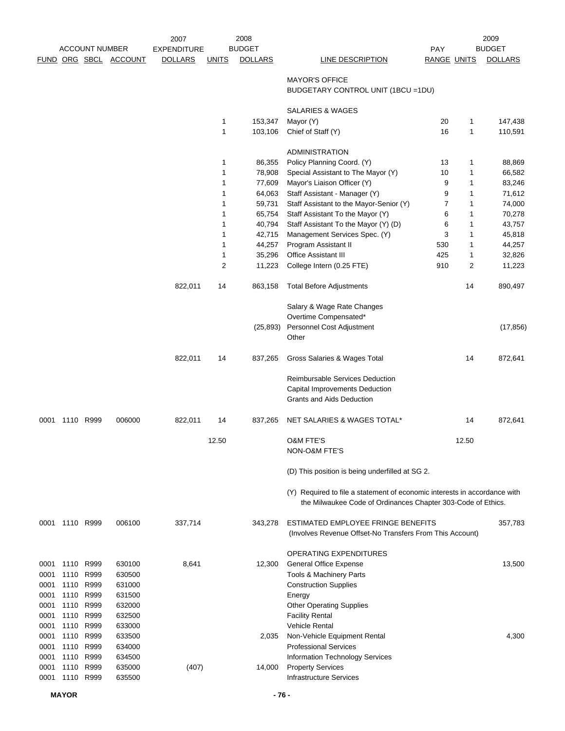|              |                | <b>ACCOUNT NUMBER</b> |                       | 2007<br><b>EXPENDITURE</b> |              | 2008<br><b>BUDGET</b> |                                                                                                                                           | PAY                |        | 2009<br><b>BUDGET</b> |
|--------------|----------------|-----------------------|-----------------------|----------------------------|--------------|-----------------------|-------------------------------------------------------------------------------------------------------------------------------------------|--------------------|--------|-----------------------|
|              |                |                       | FUND ORG SBCL ACCOUNT | <b>DOLLARS</b>             | <b>UNITS</b> | <b>DOLLARS</b>        | <b>LINE DESCRIPTION</b>                                                                                                                   | <b>RANGE UNITS</b> |        | <b>DOLLARS</b>        |
|              |                |                       |                       |                            |              |                       | <b>MAYOR'S OFFICE</b><br>BUDGETARY CONTROL UNIT (1BCU = 1DU)                                                                              |                    |        |                       |
|              |                |                       |                       |                            |              |                       | <b>SALARIES &amp; WAGES</b>                                                                                                               |                    |        |                       |
|              |                |                       |                       |                            | 1            | 153,347               | Mayor (Y)                                                                                                                                 | 20                 | 1      | 147,438               |
|              |                |                       |                       |                            | 1            | 103,106               | Chief of Staff (Y)                                                                                                                        | 16                 | 1      | 110,591               |
|              |                |                       |                       |                            |              |                       | <b>ADMINISTRATION</b>                                                                                                                     |                    |        |                       |
|              |                |                       |                       |                            | 1            | 86,355                | Policy Planning Coord. (Y)                                                                                                                | 13                 | 1      | 88,869                |
|              |                |                       |                       |                            | 1            | 78,908                | Special Assistant to The Mayor (Y)                                                                                                        | 10                 | 1      | 66,582                |
|              |                |                       |                       |                            | 1            | 77,609                | Mayor's Liaison Officer (Y)                                                                                                               | 9                  | 1      | 83,246                |
|              |                |                       |                       |                            | 1<br>1       | 64,063<br>59,731      | Staff Assistant - Manager (Y)<br>Staff Assistant to the Mayor-Senior (Y)                                                                  | 9<br>7             | 1<br>1 | 71,612<br>74,000      |
|              |                |                       |                       |                            | 1            | 65,754                | Staff Assistant To the Mayor (Y)                                                                                                          | 6                  | 1      | 70,278                |
|              |                |                       |                       |                            | 1            | 40,794                | Staff Assistant To the Mayor (Y) (D)                                                                                                      | 6                  | 1      | 43,757                |
|              |                |                       |                       |                            | 1            | 42,715                | Management Services Spec. (Y)                                                                                                             | 3                  | 1      | 45,818                |
|              |                |                       |                       |                            | 1            | 44,257                | Program Assistant II                                                                                                                      | 530                | 1      | 44,257                |
|              |                |                       |                       |                            | 1            | 35,296                | Office Assistant III                                                                                                                      | 425                | 1      | 32,826                |
|              |                |                       |                       |                            | 2            | 11,223                | College Intern (0.25 FTE)                                                                                                                 | 910                | 2      | 11,223                |
|              |                |                       |                       | 822,011                    | 14           | 863,158               | <b>Total Before Adjustments</b>                                                                                                           |                    | 14     | 890,497               |
|              |                |                       |                       |                            |              |                       | Salary & Wage Rate Changes                                                                                                                |                    |        |                       |
|              |                |                       |                       |                            |              | (25, 893)             | Overtime Compensated*<br>Personnel Cost Adjustment<br>Other                                                                               |                    |        | (17, 856)             |
|              |                |                       |                       | 822,011                    | 14           | 837,265               | Gross Salaries & Wages Total                                                                                                              |                    | 14     | 872,641               |
|              |                |                       |                       |                            |              |                       | <b>Reimbursable Services Deduction</b><br>Capital Improvements Deduction<br><b>Grants and Aids Deduction</b>                              |                    |        |                       |
| 0001         |                | 1110 R999             | 006000                | 822,011                    | 14           | 837,265               | NET SALARIES & WAGES TOTAL*                                                                                                               |                    | 14     | 872,641               |
|              |                |                       |                       |                            | 12.50        |                       | <b>O&amp;M FTE'S</b><br>NON-O&M FTE'S                                                                                                     |                    | 12.50  |                       |
|              |                |                       |                       |                            |              |                       | (D) This position is being underfilled at SG 2.                                                                                           |                    |        |                       |
|              |                |                       |                       |                            |              |                       | (Y) Required to file a statement of economic interests in accordance with<br>the Milwaukee Code of Ordinances Chapter 303-Code of Ethics. |                    |        |                       |
|              | 0001 1110 R999 |                       | 006100                | 337,714                    |              | 343,278               | ESTIMATED EMPLOYEE FRINGE BENEFITS<br>(Involves Revenue Offset-No Transfers From This Account)                                            |                    |        | 357,783               |
|              |                |                       |                       |                            |              |                       | OPERATING EXPENDITURES                                                                                                                    |                    |        |                       |
| 0001         | 1110           | R999                  | 630100                | 8,641                      |              | 12,300                | <b>General Office Expense</b>                                                                                                             |                    |        | 13,500                |
| 0001<br>0001 | 1110           | R999<br>R999          | 630500                |                            |              |                       | Tools & Machinery Parts                                                                                                                   |                    |        |                       |
| 0001         | 1110<br>1110   | R999                  | 631000<br>631500      |                            |              |                       | <b>Construction Supplies</b><br>Energy                                                                                                    |                    |        |                       |
| 0001         | 1110           | R999                  | 632000                |                            |              |                       | Other Operating Supplies                                                                                                                  |                    |        |                       |
| 0001         | 1110           | R999                  | 632500                |                            |              |                       | <b>Facility Rental</b>                                                                                                                    |                    |        |                       |
| 0001         | 1110           | R999                  | 633000                |                            |              |                       | <b>Vehicle Rental</b>                                                                                                                     |                    |        |                       |
| 0001         | 1110           | R999                  | 633500                |                            |              | 2,035                 | Non-Vehicle Equipment Rental                                                                                                              |                    |        | 4,300                 |
| 0001         | 1110           | R999                  | 634000                |                            |              |                       | <b>Professional Services</b>                                                                                                              |                    |        |                       |
| 0001         | 1110           | R999                  | 634500                |                            |              |                       | Information Technology Services                                                                                                           |                    |        |                       |
| 0001         | 1110           | R999                  | 635000                | (407)                      |              | 14,000                | <b>Property Services</b>                                                                                                                  |                    |        |                       |
| 0001         |                | 1110 R999             | 635500                |                            |              |                       | <b>Infrastructure Services</b>                                                                                                            |                    |        |                       |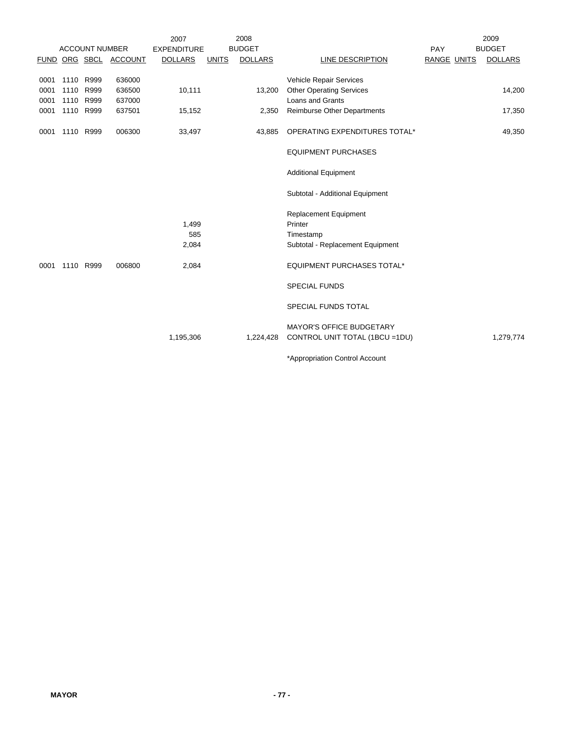|      |      |                       |                       | 2007               |              | 2008           |                                   |                    | 2009           |
|------|------|-----------------------|-----------------------|--------------------|--------------|----------------|-----------------------------------|--------------------|----------------|
|      |      | <b>ACCOUNT NUMBER</b> |                       | <b>EXPENDITURE</b> |              | <b>BUDGET</b>  |                                   | <b>PAY</b>         | <b>BUDGET</b>  |
|      |      |                       | FUND ORG SBCL ACCOUNT | <b>DOLLARS</b>     | <b>UNITS</b> | <b>DOLLARS</b> | LINE DESCRIPTION                  | <b>RANGE UNITS</b> | <b>DOLLARS</b> |
|      |      |                       |                       |                    |              |                |                                   |                    |                |
| 0001 |      | 1110 R999             | 636000                |                    |              |                | Vehicle Repair Services           |                    |                |
| 0001 | 1110 | R999                  | 636500                | 10,111             |              | 13,200         | <b>Other Operating Services</b>   |                    | 14,200         |
| 0001 |      | 1110 R999             | 637000                |                    |              |                | <b>Loans and Grants</b>           |                    |                |
| 0001 |      | 1110 R999             | 637501                | 15,152             |              | 2,350          | Reimburse Other Departments       |                    | 17,350         |
| 0001 |      | 1110 R999             | 006300                | 33,497             |              | 43,885         | OPERATING EXPENDITURES TOTAL*     |                    | 49,350         |
|      |      |                       |                       |                    |              |                | <b>EQUIPMENT PURCHASES</b>        |                    |                |
|      |      |                       |                       |                    |              |                | <b>Additional Equipment</b>       |                    |                |
|      |      |                       |                       |                    |              |                | Subtotal - Additional Equipment   |                    |                |
|      |      |                       |                       |                    |              |                | <b>Replacement Equipment</b>      |                    |                |
|      |      |                       |                       | 1,499              |              |                | Printer                           |                    |                |
|      |      |                       |                       | 585                |              |                | Timestamp                         |                    |                |
|      |      |                       |                       | 2,084              |              |                | Subtotal - Replacement Equipment  |                    |                |
| 0001 |      | 1110 R999             | 006800                | 2,084              |              |                | <b>EQUIPMENT PURCHASES TOTAL*</b> |                    |                |
|      |      |                       |                       |                    |              |                | <b>SPECIAL FUNDS</b>              |                    |                |
|      |      |                       |                       |                    |              |                | SPECIAL FUNDS TOTAL               |                    |                |
|      |      |                       |                       |                    |              |                | <b>MAYOR'S OFFICE BUDGETARY</b>   |                    |                |
|      |      |                       |                       | 1,195,306          |              | 1,224,428      | CONTROL UNIT TOTAL (1BCU =1DU)    |                    | 1,279,774      |
|      |      |                       |                       |                    |              |                | *Appropriation Control Account    |                    |                |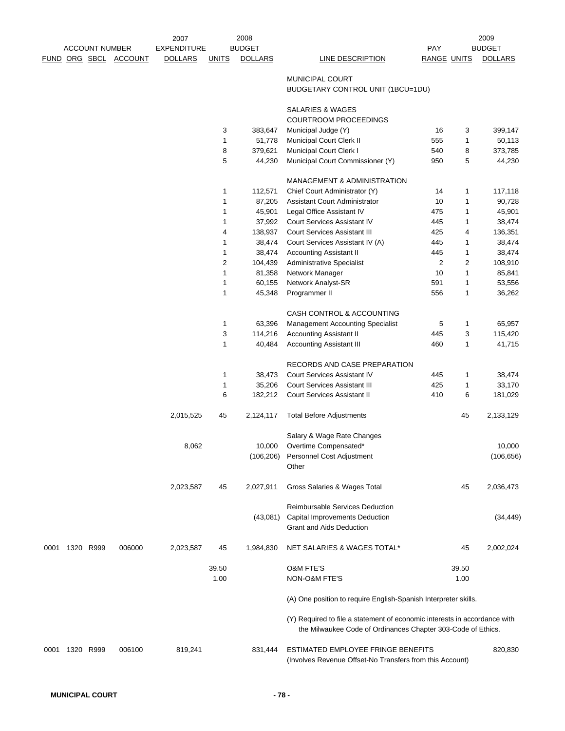|      |           |                       |                       | 2007               |                | 2008           |                                                                                                                                           |             |               | 2009           |
|------|-----------|-----------------------|-----------------------|--------------------|----------------|----------------|-------------------------------------------------------------------------------------------------------------------------------------------|-------------|---------------|----------------|
|      |           | <b>ACCOUNT NUMBER</b> |                       | <b>EXPENDITURE</b> |                | <b>BUDGET</b>  |                                                                                                                                           | <b>PAY</b>  |               | <b>BUDGET</b>  |
|      |           |                       | FUND ORG SBCL ACCOUNT | <b>DOLLARS</b>     | <b>UNITS</b>   | <b>DOLLARS</b> | LINE DESCRIPTION                                                                                                                          | RANGE UNITS |               | <b>DOLLARS</b> |
|      |           |                       |                       |                    |                |                | <b>MUNICIPAL COURT</b>                                                                                                                    |             |               |                |
|      |           |                       |                       |                    |                |                | BUDGETARY CONTROL UNIT (1BCU=1DU)                                                                                                         |             |               |                |
|      |           |                       |                       |                    |                |                | SALARIES & WAGES                                                                                                                          |             |               |                |
|      |           |                       |                       |                    |                |                | COURTROOM PROCEEDINGS                                                                                                                     |             |               |                |
|      |           |                       |                       |                    | 3              | 383,647        | Municipal Judge (Y)                                                                                                                       | 16          | 3             | 399,147        |
|      |           |                       |                       |                    | 1              | 51,778         | Municipal Court Clerk II                                                                                                                  | 555         | 1             | 50,113         |
|      |           |                       |                       |                    | 8              | 379,621        | Municipal Court Clerk I                                                                                                                   | 540         | 8             | 373,785        |
|      |           |                       |                       |                    | 5              | 44,230         | Municipal Court Commissioner (Y)                                                                                                          | 950         | 5             | 44,230         |
|      |           |                       |                       |                    |                |                |                                                                                                                                           |             |               |                |
|      |           |                       |                       |                    | $\mathbf{1}$   | 112,571        | <b>MANAGEMENT &amp; ADMINISTRATION</b><br>Chief Court Administrator (Y)                                                                   | 14          | 1             | 117,118        |
|      |           |                       |                       |                    |                | 87,205         | Assistant Court Administrator                                                                                                             | 10          | 1             | 90,728         |
|      |           |                       |                       |                    | 1              |                |                                                                                                                                           |             |               |                |
|      |           |                       |                       |                    | 1              | 45,901         | Legal Office Assistant IV                                                                                                                 | 475         | 1             | 45,901         |
|      |           |                       |                       |                    | $\mathbf{1}$   | 37,992         | <b>Court Services Assistant IV</b>                                                                                                        | 445         | 1             | 38,474         |
|      |           |                       |                       |                    | 4              | 138,937        | <b>Court Services Assistant III</b>                                                                                                       | 425         | 4             | 136,351        |
|      |           |                       |                       |                    | $\mathbf{1}$   | 38,474         | Court Services Assistant IV (A)                                                                                                           | 445         | 1             | 38,474         |
|      |           |                       |                       |                    | $\mathbf{1}$   | 38,474         | Accounting Assistant II                                                                                                                   | 445         | 1             | 38,474         |
|      |           |                       |                       |                    | $\overline{2}$ | 104,439        | <b>Administrative Specialist</b>                                                                                                          | 2           | 2             | 108,910        |
|      |           |                       |                       |                    | $\mathbf{1}$   | 81,358         | Network Manager                                                                                                                           | 10          | 1             | 85,841         |
|      |           |                       |                       |                    | $\mathbf{1}$   | 60,155         | Network Analyst-SR                                                                                                                        | 591         | 1             | 53,556         |
|      |           |                       |                       |                    | $\mathbf{1}$   | 45,348         | Programmer II                                                                                                                             | 556         | 1             | 36,262         |
|      |           |                       |                       |                    |                |                | CASH CONTROL & ACCOUNTING                                                                                                                 |             |               |                |
|      |           |                       |                       |                    | $\mathbf{1}$   | 63,396         | Management Accounting Specialist                                                                                                          | 5           | 1             | 65,957         |
|      |           |                       |                       |                    | 3              | 114,216        | <b>Accounting Assistant II</b>                                                                                                            | 445         | 3             | 115,420        |
|      |           |                       |                       |                    | $\mathbf{1}$   | 40,484         | <b>Accounting Assistant III</b>                                                                                                           | 460         | 1             | 41,715         |
|      |           |                       |                       |                    |                |                | RECORDS AND CASE PREPARATION                                                                                                              |             |               |                |
|      |           |                       |                       |                    | $\mathbf{1}$   | 38,473         | <b>Court Services Assistant IV</b>                                                                                                        | 445         | 1             | 38,474         |
|      |           |                       |                       |                    | 1              | 35,206         | <b>Court Services Assistant III</b>                                                                                                       | 425         | 1             | 33,170         |
|      |           |                       |                       |                    | 6              | 182,212        | Court Services Assistant II                                                                                                               | 410         | 6             | 181,029        |
|      |           |                       |                       |                    |                |                |                                                                                                                                           |             |               |                |
|      |           |                       |                       | 2,015,525          | 45             | 2,124,117      | <b>Total Before Adjustments</b>                                                                                                           |             | 45            | 2,133,129      |
|      |           |                       |                       |                    |                |                | Salary & Wage Rate Changes                                                                                                                |             |               |                |
|      |           |                       |                       | 8,062              |                |                | 10,000 Overtime Compensated*                                                                                                              |             |               | 10,000         |
|      |           |                       |                       |                    |                |                | (106,206) Personnel Cost Adjustment                                                                                                       |             |               | (106, 656)     |
|      |           |                       |                       |                    |                |                | Other                                                                                                                                     |             |               |                |
|      |           |                       |                       | 2,023,587          | 45             | 2,027,911      | Gross Salaries & Wages Total                                                                                                              |             | 45            | 2,036,473      |
|      |           |                       |                       |                    |                |                | Reimbursable Services Deduction                                                                                                           |             |               |                |
|      |           |                       |                       |                    |                | (43,081)       | <b>Capital Improvements Deduction</b>                                                                                                     |             |               | (34, 449)      |
|      |           |                       |                       |                    |                |                | Grant and Aids Deduction                                                                                                                  |             |               |                |
| 0001 | 1320 R999 |                       | 006000                | 2,023,587          | 45             | 1,984,830      | NET SALARIES & WAGES TOTAL*                                                                                                               |             | 45            | 2,002,024      |
|      |           |                       |                       |                    |                |                |                                                                                                                                           |             |               |                |
|      |           |                       |                       |                    | 39.50<br>1.00  |                | <b>O&amp;M FTE'S</b><br>NON-O&M FTE'S                                                                                                     |             | 39.50<br>1.00 |                |
|      |           |                       |                       |                    |                |                | (A) One position to require English-Spanish Interpreter skills.                                                                           |             |               |                |
|      |           |                       |                       |                    |                |                | (Y) Required to file a statement of economic interests in accordance with<br>the Milwaukee Code of Ordinances Chapter 303-Code of Ethics. |             |               |                |
| 0001 | 1320 R999 |                       | 006100                | 819,241            |                | 831,444        | ESTIMATED EMPLOYEE FRINGE BENEFITS<br>(Involves Revenue Offset-No Transfers from this Account)                                            |             |               | 820,830        |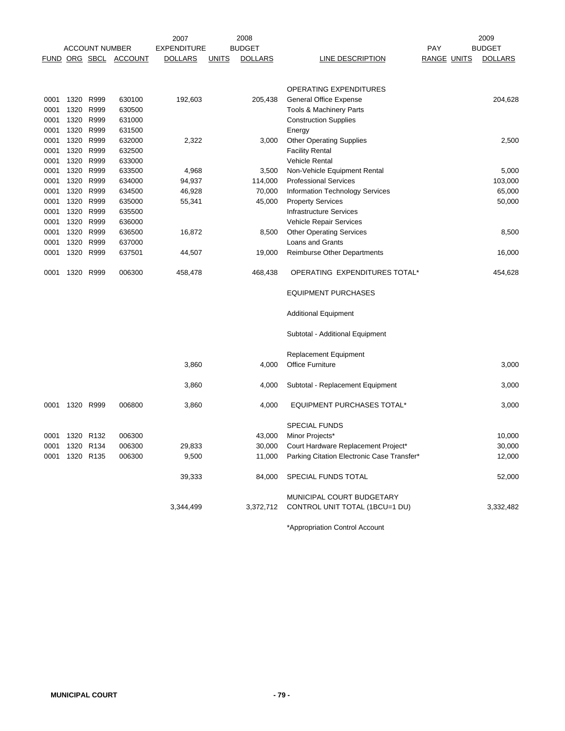|      |                |                       |                       | 2007               |              | 2008           |                                                   |                    | 2009           |
|------|----------------|-----------------------|-----------------------|--------------------|--------------|----------------|---------------------------------------------------|--------------------|----------------|
|      |                | <b>ACCOUNT NUMBER</b> |                       | <b>EXPENDITURE</b> |              | <b>BUDGET</b>  |                                                   | PAY                | <b>BUDGET</b>  |
|      |                |                       | FUND ORG SBCL ACCOUNT | <b>DOLLARS</b>     | <u>UNITS</u> | <b>DOLLARS</b> | LINE DESCRIPTION                                  | <b>RANGE UNITS</b> | <b>DOLLARS</b> |
|      |                |                       |                       |                    |              |                |                                                   |                    |                |
|      |                |                       |                       |                    |              |                | OPERATING EXPENDITURES                            |                    |                |
| 0001 | 1320 R999      |                       | 630100                | 192,603            |              | 205,438        | General Office Expense                            |                    | 204,628        |
| 0001 | 1320           | R999                  | 630500                |                    |              |                | Tools & Machinery Parts                           |                    |                |
| 0001 | 1320           | R999                  | 631000                |                    |              |                | <b>Construction Supplies</b>                      |                    |                |
| 0001 | 1320           | R999                  | 631500                |                    |              |                | Energy                                            |                    |                |
| 0001 | 1320           | R999                  | 632000                | 2,322              |              | 3,000          | <b>Other Operating Supplies</b>                   |                    | 2,500          |
| 0001 | 1320           | R999                  | 632500                |                    |              |                | <b>Facility Rental</b>                            |                    |                |
| 0001 | 1320           | R999                  | 633000                |                    |              |                | Vehicle Rental                                    |                    |                |
| 0001 | 1320           | R999                  | 633500                | 4,968              |              | 3,500          | Non-Vehicle Equipment Rental                      |                    | 5,000          |
| 0001 | 1320           | R999                  | 634000                | 94,937             |              | 114,000        | <b>Professional Services</b>                      |                    | 103,000        |
| 0001 | 1320           | R999                  | 634500                | 46,928             |              | 70,000         | Information Technology Services                   |                    | 65,000         |
| 0001 | 1320           | R999                  | 635000                | 55,341             |              | 45,000         | <b>Property Services</b>                          |                    | 50,000         |
| 0001 | 1320           | R999                  | 635500                |                    |              |                | <b>Infrastructure Services</b>                    |                    |                |
| 0001 | 1320           | R999                  | 636000                |                    |              |                | Vehicle Repair Services                           |                    |                |
| 0001 | 1320           | R999                  | 636500                | 16,872             |              | 8,500          | <b>Other Operating Services</b>                   |                    | 8,500          |
| 0001 | 1320           | R999                  | 637000                |                    |              |                | Loans and Grants                                  |                    |                |
| 0001 | 1320           | R999                  | 637501                | 44,507             |              | 19,000         | Reimburse Other Departments                       |                    | 16,000         |
| 0001 | 1320 R999      |                       | 006300                | 458,478            |              | 468,438        | OPERATING EXPENDITURES TOTAL*                     |                    | 454,628        |
|      |                |                       |                       |                    |              |                | <b>EQUIPMENT PURCHASES</b>                        |                    |                |
|      |                |                       |                       |                    |              |                | <b>Additional Equipment</b>                       |                    |                |
|      |                |                       |                       |                    |              |                | Subtotal - Additional Equipment                   |                    |                |
|      |                |                       |                       |                    |              |                | <b>Replacement Equipment</b>                      |                    |                |
|      |                |                       |                       | 3,860              |              | 4,000          | <b>Office Furniture</b>                           |                    | 3,000          |
|      |                |                       |                       | 3,860              |              | 4,000          | Subtotal - Replacement Equipment                  |                    | 3,000          |
| 0001 | 1320 R999      |                       | 006800                | 3,860              |              | 4,000          | <b>EQUIPMENT PURCHASES TOTAL*</b>                 |                    | 3,000          |
|      |                |                       |                       |                    |              |                | <b>SPECIAL FUNDS</b>                              |                    |                |
| 0001 | 1320 R132      |                       | 006300                |                    |              | 43,000         | Minor Projects*                                   |                    | 10,000         |
| 0001 | 1320 R134      |                       | 006300                | 29,833             |              | 30,000         | Court Hardware Replacement Project*               |                    | 30,000         |
|      | 0001 1320 R135 |                       | 006300                | 9,500              |              |                | 11,000 Parking Citation Electronic Case Transfer* |                    | 12,000         |
|      |                |                       |                       | 39,333             |              | 84,000         | SPECIAL FUNDS TOTAL                               |                    | 52,000         |
|      |                |                       |                       |                    |              |                | MUNICIPAL COURT BUDGETARY                         |                    |                |
|      |                |                       |                       | 3,344,499          |              | 3,372,712      | CONTROL UNIT TOTAL (1BCU=1 DU)                    |                    | 3,332,482      |
|      |                |                       |                       |                    |              |                |                                                   |                    |                |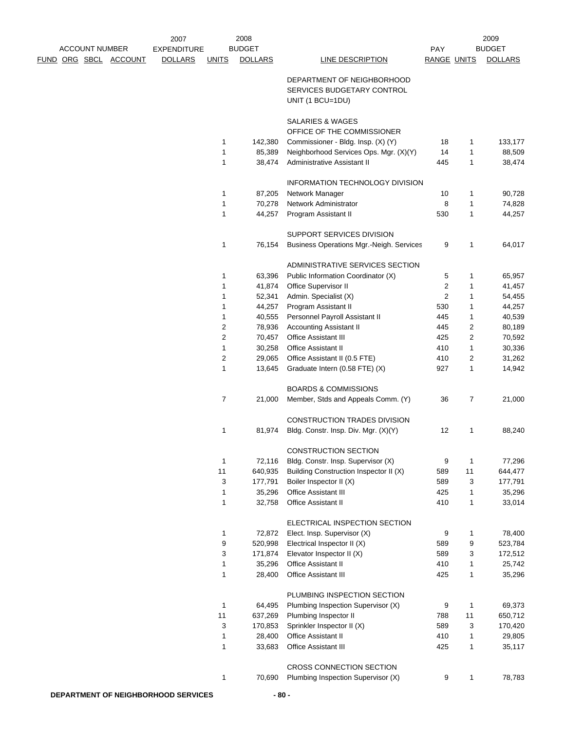|                       |  | 2007               |                         | 2008           |                                                                       |                    |                | 2009           |
|-----------------------|--|--------------------|-------------------------|----------------|-----------------------------------------------------------------------|--------------------|----------------|----------------|
| <b>ACCOUNT NUMBER</b> |  | <b>EXPENDITURE</b> |                         | <b>BUDGET</b>  |                                                                       | <b>PAY</b>         |                | <b>BUDGET</b>  |
| FUND ORG SBCL ACCOUNT |  | <b>DOLLARS</b>     | <b>UNITS</b>            | <b>DOLLARS</b> | <b>LINE DESCRIPTION</b>                                               | <b>RANGE UNITS</b> |                | <b>DOLLARS</b> |
|                       |  |                    |                         |                |                                                                       |                    |                |                |
|                       |  |                    |                         |                | DEPARTMENT OF NEIGHBORHOOD                                            |                    |                |                |
|                       |  |                    |                         |                | SERVICES BUDGETARY CONTROL                                            |                    |                |                |
|                       |  |                    |                         |                | UNIT (1 BCU=1DU)                                                      |                    |                |                |
|                       |  |                    |                         |                | SALARIES & WAGES                                                      |                    |                |                |
|                       |  |                    |                         |                | OFFICE OF THE COMMISSIONER                                            |                    |                |                |
|                       |  |                    | $\mathbf{1}$            | 142,380        | Commissioner - Bldg. Insp. (X) (Y)                                    | 18                 | 1              | 133,177        |
|                       |  |                    | 1                       | 85,389         | Neighborhood Services Ops. Mgr. (X)(Y)                                | 14                 | 1              | 88,509         |
|                       |  |                    | $\mathbf{1}$            | 38,474         | Administrative Assistant II                                           | 445                | 1              | 38,474         |
|                       |  |                    |                         |                | INFORMATION TECHNOLOGY DIVISION                                       |                    |                |                |
|                       |  |                    | 1                       | 87,205         | Network Manager                                                       | 10                 | 1              | 90,728         |
|                       |  |                    | $\mathbf{1}$            | 70,278         | Network Administrator                                                 | 8                  | 1              | 74,828         |
|                       |  |                    | 1                       | 44,257         | Program Assistant II                                                  | 530                | 1              | 44,257         |
|                       |  |                    |                         |                |                                                                       |                    |                |                |
|                       |  |                    |                         |                | SUPPORT SERVICES DIVISION                                             |                    |                |                |
|                       |  |                    | 1                       | 76,154         | <b>Business Operations Mgr.-Neigh. Services</b>                       | 9                  | 1              | 64,017         |
|                       |  |                    |                         |                | ADMINISTRATIVE SERVICES SECTION                                       |                    |                |                |
|                       |  |                    | 1                       | 63,396         | Public Information Coordinator (X)                                    | 5                  | 1              | 65,957         |
|                       |  |                    | 1                       | 41,874         | Office Supervisor II                                                  | 2                  | 1              | 41,457         |
|                       |  |                    | 1                       | 52,341         | Admin. Specialist (X)                                                 | 2                  | 1              | 54,455         |
|                       |  |                    | 1                       | 44,257         | Program Assistant II                                                  | 530                | 1              | 44,257         |
|                       |  |                    | 1                       | 40,555         | Personnel Payroll Assistant II                                        | 445                | 1              | 40,539         |
|                       |  |                    | $\overline{\mathbf{c}}$ | 78,936         | <b>Accounting Assistant II</b>                                        | 445                | $\overline{c}$ | 80,189         |
|                       |  |                    | 2                       | 70,457         | <b>Office Assistant III</b>                                           | 425                | 2              | 70,592         |
|                       |  |                    | 1                       | 30,258         | <b>Office Assistant II</b>                                            | 410                | 1              | 30,336         |
|                       |  |                    | $\overline{2}$          | 29,065         | Office Assistant II (0.5 FTE)                                         | 410                | 2              | 31,262         |
|                       |  |                    | $\mathbf{1}$            | 13,645         | Graduate Intern (0.58 FTE) (X)                                        | 927                | 1              | 14,942         |
|                       |  |                    |                         |                |                                                                       |                    |                |                |
|                       |  |                    | $\overline{7}$          | 21,000         | <b>BOARDS &amp; COMMISSIONS</b><br>Member, Stds and Appeals Comm. (Y) | 36                 | 7              | 21,000         |
|                       |  |                    |                         |                |                                                                       |                    |                |                |
|                       |  |                    |                         |                | <b>CONSTRUCTION TRADES DIVISION</b>                                   |                    |                |                |
|                       |  |                    | 1                       | 81,974         | Bldg. Constr. Insp. Div. Mgr. (X)(Y)                                  | 12                 | 1              | 88,240         |
|                       |  |                    |                         |                | <b>CONSTRUCTION SECTION</b>                                           |                    |                |                |
|                       |  |                    | $\mathbf{1}$            | 72,116         | Bldg. Constr. Insp. Supervisor (X)                                    | 9                  | 1              | 77,296         |
|                       |  |                    | 11                      | 640,935        | Building Construction Inspector II (X)                                | 589                | 11             | 644,477        |
|                       |  |                    | 3                       | 177,791        | Boiler Inspector II (X)                                               | 589                | 3              | 177,791        |
|                       |  |                    | $\mathbf 1$             | 35,296         | Office Assistant III                                                  | 425                | 1              | 35,296         |
|                       |  |                    | 1                       | 32,758         | <b>Office Assistant II</b>                                            | 410                | 1              | 33,014         |
|                       |  |                    |                         |                | ELECTRICAL INSPECTION SECTION                                         |                    |                |                |
|                       |  |                    | $\mathbf 1$             | 72,872         | Elect. Insp. Supervisor (X)                                           | 9                  | 1              | 78,400         |
|                       |  |                    | 9                       | 520,998        | Electrical Inspector II (X)                                           | 589                | 9              | 523,784        |
|                       |  |                    | 3                       | 171,874        | Elevator Inspector II (X)                                             | 589                | 3              | 172,512        |
|                       |  |                    | $\mathbf{1}$            | 35,296         | Office Assistant II                                                   | 410                | 1              | 25,742         |
|                       |  |                    | 1                       | 28,400         | <b>Office Assistant III</b>                                           | 425                |                |                |
|                       |  |                    |                         |                |                                                                       |                    | 1              | 35,296         |
|                       |  |                    |                         |                | PLUMBING INSPECTION SECTION                                           |                    |                |                |
|                       |  |                    | $\mathbf 1$             | 64,495         | Plumbing Inspection Supervisor (X)                                    | 9                  | 1              | 69,373         |
|                       |  |                    | 11                      | 637,269        | Plumbing Inspector II                                                 | 788                | 11             | 650,712        |
|                       |  |                    | 3                       | 170,853        | Sprinkler Inspector II (X)                                            | 589                | 3              | 170,420        |
|                       |  |                    | $\mathbf 1$             | 28,400         | <b>Office Assistant II</b>                                            | 410                | 1              | 29,805         |
|                       |  |                    | 1                       | 33,683         | Office Assistant III                                                  | 425                | 1              | 35,117         |
|                       |  |                    |                         |                | CROSS CONNECTION SECTION                                              |                    |                |                |
|                       |  |                    | $\mathbf{1}$            | 70,690         | Plumbing Inspection Supervisor (X)                                    | 9                  | 1              | 78,783         |
|                       |  |                    |                         |                |                                                                       |                    |                |                |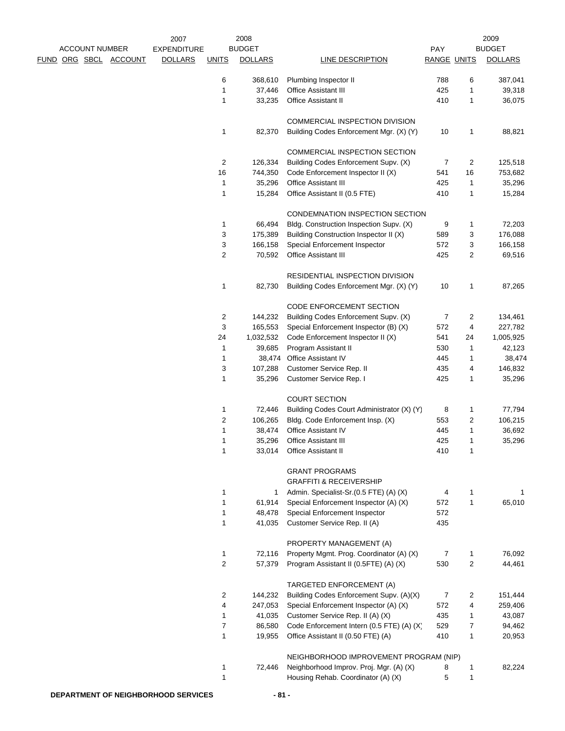|                       |                | 2007               |               | 2008           |                                            |                    |                | 2009           |  |
|-----------------------|----------------|--------------------|---------------|----------------|--------------------------------------------|--------------------|----------------|----------------|--|
| <b>ACCOUNT NUMBER</b> |                | <b>EXPENDITURE</b> | <b>BUDGET</b> |                |                                            | PAY                |                | <b>BUDGET</b>  |  |
| <u>FUND ORG SBCL</u>  | <b>ACCOUNT</b> | <b>DOLLARS</b>     | <b>UNITS</b>  | <b>DOLLARS</b> | <b>LINE DESCRIPTION</b>                    | <b>RANGE UNITS</b> |                | <b>DOLLARS</b> |  |
|                       |                |                    | 6             | 368,610        | Plumbing Inspector II                      | 788                | 6              | 387,041        |  |
|                       |                |                    | 1             | 37,446         | Office Assistant III                       | 425                | 1              | 39,318         |  |
|                       |                |                    | 1             | 33,235         | <b>Office Assistant II</b>                 | 410                | 1              | 36,075         |  |
|                       |                |                    |               |                | COMMERCIAL INSPECTION DIVISION             |                    |                |                |  |
|                       |                |                    | 1             | 82,370         | Building Codes Enforcement Mgr. (X) (Y)    | 10                 | 1              | 88,821         |  |
|                       |                |                    |               |                | COMMERCIAL INSPECTION SECTION              |                    |                |                |  |
|                       |                |                    | 2             | 126,334        | Building Codes Enforcement Supv. (X)       | $\overline{7}$     | $\overline{c}$ | 125,518        |  |
|                       |                |                    | 16            | 744,350        | Code Enforcement Inspector II (X)          | 541                | 16             | 753,682        |  |
|                       |                |                    | 1             | 35,296         | Office Assistant III                       | 425                | 1              | 35,296         |  |
|                       |                |                    | 1             | 15,284         | Office Assistant II (0.5 FTE)              | 410                | 1              | 15,284         |  |
|                       |                |                    |               |                | CONDEMNATION INSPECTION SECTION            |                    |                |                |  |
|                       |                |                    | 1             | 66,494         | Bldg. Construction Inspection Supv. (X)    | 9                  | 1              | 72,203         |  |
|                       |                |                    | 3             | 175,389        | Building Construction Inspector II (X)     | 589                | 3              | 176,088        |  |
|                       |                |                    | 3             | 166,158        | Special Enforcement Inspector              | 572                | 3              | 166,158        |  |
|                       |                |                    | 2             | 70,592         | Office Assistant III                       | 425                | 2              | 69,516         |  |
|                       |                |                    |               |                | <b>RESIDENTIAL INSPECTION DIVISION</b>     |                    |                |                |  |
|                       |                |                    | 1             | 82,730         | Building Codes Enforcement Mgr. (X) (Y)    | 10                 | 1              | 87,265         |  |
|                       |                |                    |               |                | CODE ENFORCEMENT SECTION                   |                    |                |                |  |
|                       |                |                    | 2             | 144,232        | Building Codes Enforcement Supv. (X)       | 7                  | $\overline{2}$ | 134,461        |  |
|                       |                |                    | 3             | 165,553        | Special Enforcement Inspector (B) (X)      | 572                | 4              | 227,782        |  |
|                       |                |                    | 24            | 1,032,532      | Code Enforcement Inspector II (X)          | 541                | 24             | 1,005,925      |  |
|                       |                |                    | 1             | 39,685         | Program Assistant II                       | 530                | 1              | 42,123         |  |
|                       |                |                    | 1             | 38,474         | Office Assistant IV                        | 445                | 1              | 38,474         |  |
|                       |                |                    | 3             | 107,288        | Customer Service Rep. II                   | 435                | 4              | 146,832        |  |
|                       |                |                    | 1             | 35,296         | Customer Service Rep. I                    | 425                | 1              | 35,296         |  |
|                       |                |                    |               |                | <b>COURT SECTION</b>                       |                    |                |                |  |
|                       |                |                    | 1             | 72,446         | Building Codes Court Administrator (X) (Y) | 8                  | 1              | 77,794         |  |
|                       |                |                    | 2             | 106,265        | Bldg. Code Enforcement Insp. (X)           | 553                | $\overline{c}$ | 106,215        |  |
|                       |                |                    | 1             | 38,474         | Office Assistant IV                        | 445                | 1              | 36,692         |  |
|                       |                |                    | 1             | 35,296         | <b>Office Assistant III</b>                | 425                | 1              | 35,296         |  |
|                       |                |                    | 1             | 33,014         | <b>Office Assistant II</b>                 | 410                | 1              |                |  |
|                       |                |                    |               |                | <b>GRANT PROGRAMS</b>                      |                    |                |                |  |
|                       |                |                    |               |                | <b>GRAFFITI &amp; RECEIVERSHIP</b>         |                    |                |                |  |
|                       |                |                    | 1             | 1              | Admin. Specialist-Sr.(0.5 FTE) (A) (X)     | 4                  | 1              | 1              |  |
|                       |                |                    | 1             | 61,914         | Special Enforcement Inspector (A) (X)      | 572                | 1              | 65,010         |  |
|                       |                |                    | 1             | 48,478         | Special Enforcement Inspector              | 572                |                |                |  |
|                       |                |                    | 1             | 41,035         | Customer Service Rep. II (A)               | 435                |                |                |  |
|                       |                |                    |               |                | PROPERTY MANAGEMENT (A)                    |                    |                |                |  |
|                       |                |                    | 1             | 72,116         | Property Mgmt. Prog. Coordinator (A) (X)   | $\overline{7}$     | 1              | 76,092         |  |
|                       |                |                    | 2             | 57,379         | Program Assistant II (0.5FTE) (A) (X)      | 530                | $\overline{2}$ | 44,461         |  |
|                       |                |                    |               |                | TARGETED ENFORCEMENT (A)                   |                    |                |                |  |
|                       |                |                    | 2             | 144,232        | Building Codes Enforcement Supv. (A)(X)    | 7                  | 2              | 151,444        |  |
|                       |                |                    | 4             | 247,053        | Special Enforcement Inspector (A) (X)      | 572                | 4              | 259,406        |  |
|                       |                |                    | 1             | 41,035         | Customer Service Rep. II (A) (X)           | 435                | 1              | 43,087         |  |
|                       |                |                    | 7             | 86,580         | Code Enforcement Intern (0.5 FTE) (A) (X)  | 529                | 7              | 94,462         |  |
|                       |                |                    | 1             | 19,955         | Office Assistant II (0.50 FTE) (A)         | 410                | 1              | 20,953         |  |
|                       |                |                    |               |                | NEIGHBORHOOD IMPROVEMENT PROGRAM (NIP)     |                    |                |                |  |
|                       |                |                    | 1             | 72,446         | Neighborhood Improv. Proj. Mgr. (A) (X)    | 8                  | 1              | 82,224         |  |
|                       |                |                    | 1             |                | Housing Rehab. Coordinator (A) (X)         | 5                  | 1              |                |  |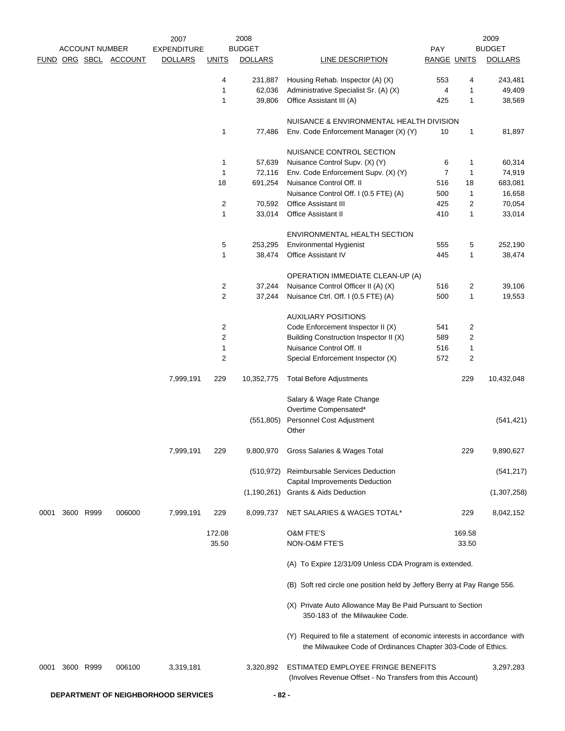|      | <b>ACCOUNT NUMBER</b> |                       | 2007<br><b>EXPENDITURE</b> |                | 2008<br><b>BUDGET</b> |                                                                                                                                           | <b>PAY</b>         |                | 2009<br><b>BUDGET</b> |
|------|-----------------------|-----------------------|----------------------------|----------------|-----------------------|-------------------------------------------------------------------------------------------------------------------------------------------|--------------------|----------------|-----------------------|
|      |                       | FUND ORG SBCL ACCOUNT | <b>DOLLARS</b>             | <b>UNITS</b>   | <b>DOLLARS</b>        | LINE DESCRIPTION                                                                                                                          | <b>RANGE UNITS</b> |                | <b>DOLLARS</b>        |
|      |                       |                       |                            | 4              | 231,887               | Housing Rehab. Inspector (A) (X)                                                                                                          | 553                | 4              | 243,481               |
|      |                       |                       |                            | 1              | 62,036                | Administrative Specialist Sr. (A) (X)                                                                                                     | 4                  | 1              | 49,409                |
|      |                       |                       |                            | $\mathbf{1}$   | 39,806                | Office Assistant III (A)                                                                                                                  | 425                | $\mathbf{1}$   | 38,569                |
|      |                       |                       |                            |                |                       | NUISANCE & ENVIRONMENTAL HEALTH DIVISION                                                                                                  |                    |                |                       |
|      |                       |                       |                            | 1              | 77,486                | Env. Code Enforcement Manager (X) (Y)                                                                                                     | 10                 | $\mathbf{1}$   | 81,897                |
|      |                       |                       |                            |                |                       | NUISANCE CONTROL SECTION                                                                                                                  |                    |                |                       |
|      |                       |                       |                            | 1              | 57,639                | Nuisance Control Supv. (X) (Y)                                                                                                            | 6                  | 1              | 60,314                |
|      |                       |                       |                            | 1              | 72,116                | Env. Code Enforcement Supv. (X) (Y)                                                                                                       | $\overline{7}$     | $\mathbf{1}$   | 74,919                |
|      |                       |                       |                            | 18             | 691,254               | Nuisance Control Off. II                                                                                                                  | 516                | 18             | 683,081               |
|      |                       |                       |                            |                |                       | Nuisance Control Off. I (0.5 FTE) (A)                                                                                                     | 500                | 1              | 16,658                |
|      |                       |                       |                            | $\sqrt{2}$     | 70,592                | Office Assistant III                                                                                                                      | 425                | $\overline{2}$ | 70,054                |
|      |                       |                       |                            | 1              | 33,014                | Office Assistant II                                                                                                                       | 410                | 1              | 33,014                |
|      |                       |                       |                            |                |                       | ENVIRONMENTAL HEALTH SECTION                                                                                                              |                    |                |                       |
|      |                       |                       |                            | 5              | 253,295               | <b>Environmental Hygienist</b>                                                                                                            | 555                | 5              | 252,190               |
|      |                       |                       |                            | 1              | 38,474                | Office Assistant IV                                                                                                                       | 445                | 1              | 38,474                |
|      |                       |                       |                            |                |                       | OPERATION IMMEDIATE CLEAN-UP (A)                                                                                                          |                    |                |                       |
|      |                       |                       |                            | 2              | 37,244                | Nuisance Control Officer II (A) (X)                                                                                                       | 516                | 2              | 39,106                |
|      |                       |                       |                            | $\overline{c}$ | 37,244                | Nuisance Ctrl. Off. I (0.5 FTE) (A)                                                                                                       | 500                | 1              | 19,553                |
|      |                       |                       |                            |                |                       | <b>AUXILIARY POSITIONS</b>                                                                                                                |                    |                |                       |
|      |                       |                       |                            | 2              |                       | Code Enforcement Inspector II (X)                                                                                                         | 541                | 2              |                       |
|      |                       |                       |                            | $\sqrt{2}$     |                       | Building Construction Inspector II (X)                                                                                                    | 589                | 2              |                       |
|      |                       |                       |                            | 1              |                       | Nuisance Control Off. II                                                                                                                  | 516                | $\mathbf{1}$   |                       |
|      |                       |                       |                            | $\overline{2}$ |                       | Special Enforcement Inspector (X)                                                                                                         | 572                | $\overline{c}$ |                       |
|      |                       |                       | 7,999,191                  | 229            | 10,352,775            | <b>Total Before Adjustments</b>                                                                                                           |                    | 229            | 10,432,048            |
|      |                       |                       |                            |                |                       | Salary & Wage Rate Change<br>Overtime Compensated*                                                                                        |                    |                |                       |
|      |                       |                       |                            |                | (551, 805)            | Personnel Cost Adjustment                                                                                                                 |                    |                | (541, 421)            |
|      |                       |                       |                            |                |                       | Other                                                                                                                                     |                    |                |                       |
|      |                       |                       | 7,999,191                  | 229            |                       | 9,800,970 Gross Salaries & Wages Total                                                                                                    |                    | 229            | 9,890,627             |
|      |                       |                       |                            |                | (510, 972)            | Reimbursable Services Deduction<br>Capital Improvements Deduction                                                                         |                    |                | (541, 217)            |
|      |                       |                       |                            |                |                       | (1,190,261) Grants & Aids Deduction                                                                                                       |                    |                | (1,307,258)           |
| 0001 | 3600 R999             | 006000                | 7,999,191                  | 229            | 8,099,737             | NET SALARIES & WAGES TOTAL*                                                                                                               |                    | 229            | 8,042,152             |
|      |                       |                       |                            | 172.08         |                       | <b>O&amp;M FTE'S</b>                                                                                                                      |                    | 169.58         |                       |
|      |                       |                       |                            | 35.50          |                       | NON-O&M FTE'S                                                                                                                             |                    | 33.50          |                       |
|      |                       |                       |                            |                |                       | (A) To Expire 12/31/09 Unless CDA Program is extended.                                                                                    |                    |                |                       |
|      |                       |                       |                            |                |                       | (B) Soft red circle one position held by Jeffery Berry at Pay Range 556.                                                                  |                    |                |                       |
|      |                       |                       |                            |                |                       | (X) Private Auto Allowance May Be Paid Pursuant to Section<br>350-183 of the Milwaukee Code.                                              |                    |                |                       |
|      |                       |                       |                            |                |                       | (Y) Required to file a statement of economic interests in accordance with<br>the Milwaukee Code of Ordinances Chapter 303-Code of Ethics. |                    |                |                       |
| 0001 | 3600 R999             | 006100                | 3,319,181                  |                | 3,320,892             | ESTIMATED EMPLOYEE FRINGE BENEFITS<br>(Involves Revenue Offset - No Transfers from this Account)                                          |                    |                | 3,297,283             |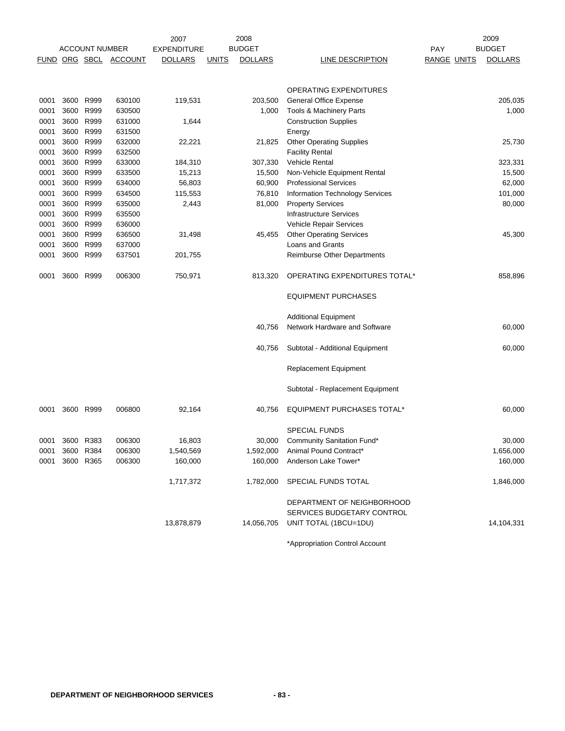|             | 2008<br>2007 |                       |                |                    |              | 2009           |                                        |                    |                |
|-------------|--------------|-----------------------|----------------|--------------------|--------------|----------------|----------------------------------------|--------------------|----------------|
|             |              | <b>ACCOUNT NUMBER</b> |                | <b>EXPENDITURE</b> |              | <b>BUDGET</b>  |                                        | PAY                | <b>BUDGET</b>  |
| <b>FUND</b> |              | ORG SBCL              | <b>ACCOUNT</b> | <b>DOLLARS</b>     | <b>UNITS</b> | <b>DOLLARS</b> | LINE DESCRIPTION                       | <b>RANGE UNITS</b> | <b>DOLLARS</b> |
|             |              |                       |                |                    |              |                |                                        |                    |                |
|             |              |                       |                |                    |              |                |                                        |                    |                |
|             |              |                       |                |                    |              |                | OPERATING EXPENDITURES                 |                    |                |
| 0001        | 3600         | R999                  | 630100         | 119,531            |              | 203,500        | <b>General Office Expense</b>          |                    | 205,035        |
| 0001        | 3600         | R999                  | 630500         |                    |              | 1,000          | Tools & Machinery Parts                |                    | 1,000          |
| 0001        | 3600         | R999                  | 631000         | 1,644              |              |                | <b>Construction Supplies</b>           |                    |                |
| 0001        | 3600         | R999                  | 631500         |                    |              |                | Energy                                 |                    |                |
| 0001        |              | 3600 R999             | 632000         | 22,221             |              | 21,825         | <b>Other Operating Supplies</b>        |                    | 25,730         |
| 0001        |              | 3600 R999             | 632500         |                    |              |                | <b>Facility Rental</b>                 |                    |                |
| 0001        |              | 3600 R999             | 633000         | 184,310            |              | 307,330        | <b>Vehicle Rental</b>                  |                    | 323,331        |
| 0001        | 3600         | R999                  | 633500         | 15,213             |              | 15,500         | Non-Vehicle Equipment Rental           |                    | 15,500         |
| 0001        |              | 3600 R999             | 634000         | 56,803             |              | 60,900         | <b>Professional Services</b>           |                    | 62,000         |
| 0001        | 3600         | R999                  | 634500         | 115,553            |              | 76,810         | <b>Information Technology Services</b> |                    | 101,000        |
| 0001        |              | 3600 R999             | 635000         | 2,443              |              | 81,000         | <b>Property Services</b>               |                    | 80,000         |
| 0001        | 3600         | R999                  | 635500         |                    |              |                | <b>Infrastructure Services</b>         |                    |                |
| 0001        | 3600 R999    |                       | 636000         |                    |              |                | Vehicle Repair Services                |                    |                |
| 0001        | 3600         | R999                  | 636500         | 31,498             |              | 45,455         | <b>Other Operating Services</b>        |                    | 45,300         |
| 0001        | 3600         | R999                  | 637000         |                    |              |                | Loans and Grants                       |                    |                |
| 0001        | 3600         | R999                  | 637501         | 201,755            |              |                | <b>Reimburse Other Departments</b>     |                    |                |
|             |              |                       |                |                    |              |                |                                        |                    |                |
| 0001        | 3600         | R999                  | 006300         | 750,971            |              | 813,320        | OPERATING EXPENDITURES TOTAL*          |                    | 858,896        |
|             |              |                       |                |                    |              |                |                                        |                    |                |
|             |              |                       |                |                    |              |                | <b>EQUIPMENT PURCHASES</b>             |                    |                |
|             |              |                       |                |                    |              |                |                                        |                    |                |
|             |              |                       |                |                    |              |                | <b>Additional Equipment</b>            |                    |                |
|             |              |                       |                |                    |              | 40,756         | Network Hardware and Software          |                    | 60,000         |
|             |              |                       |                |                    |              |                |                                        |                    |                |
|             |              |                       |                |                    |              | 40,756         | Subtotal - Additional Equipment        |                    | 60,000         |
|             |              |                       |                |                    |              |                |                                        |                    |                |
|             |              |                       |                |                    |              |                | Replacement Equipment                  |                    |                |
|             |              |                       |                |                    |              |                | Subtotal - Replacement Equipment       |                    |                |
|             |              |                       |                |                    |              |                |                                        |                    |                |
| 0001        |              | 3600 R999             | 006800         | 92,164             |              | 40,756         | <b>EQUIPMENT PURCHASES TOTAL*</b>      |                    | 60,000         |
|             |              |                       |                |                    |              |                |                                        |                    |                |
|             |              |                       |                |                    |              |                | <b>SPECIAL FUNDS</b>                   |                    |                |
| 0001        | 3600 R383    |                       | 006300         | 16,803             |              | 30,000         | Community Sanitation Fund*             |                    | 30,000         |
| 0001        | 3600 R384    |                       | 006300         | 1,540,569          |              | 1,592,000      | Animal Pound Contract*                 |                    | 1,656,000      |
| 0001        |              | 3600 R365             | 006300         | 160,000            |              | 160,000        | Anderson Lake Tower*                   |                    | 160,000        |
|             |              |                       |                |                    |              |                |                                        |                    |                |
|             |              |                       |                | 1,717,372          |              | 1,782,000      | SPECIAL FUNDS TOTAL                    |                    | 1,846,000      |
|             |              |                       |                |                    |              |                |                                        |                    |                |
|             |              |                       |                |                    |              |                | DEPARTMENT OF NEIGHBORHOOD             |                    |                |
|             |              |                       |                |                    |              |                | SERVICES BUDGETARY CONTROL             |                    |                |
|             |              |                       |                | 13,878,879         |              | 14,056,705     | UNIT TOTAL (1BCU=1DU)                  |                    | 14,104,331     |
|             |              |                       |                |                    |              |                |                                        |                    |                |
|             |              |                       |                |                    |              |                |                                        |                    |                |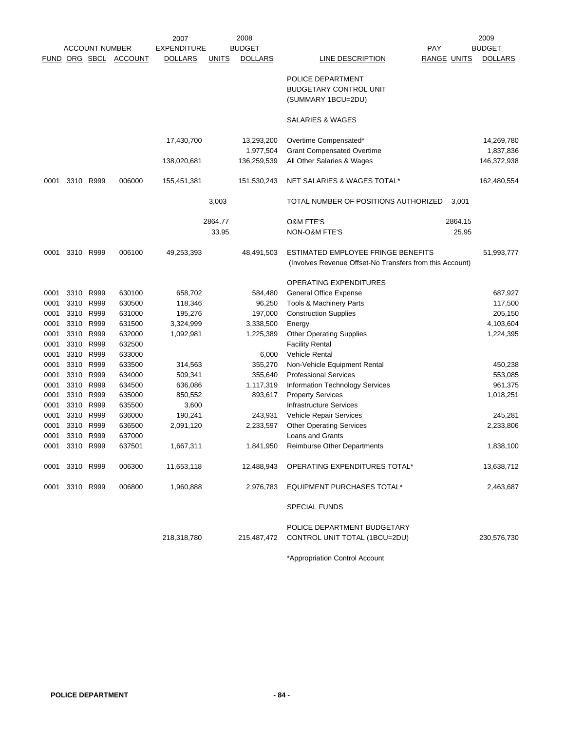|      |                |                       |                | 2007               |              | 2008           |                                                          |                    |         | 2009           |
|------|----------------|-----------------------|----------------|--------------------|--------------|----------------|----------------------------------------------------------|--------------------|---------|----------------|
|      |                | <b>ACCOUNT NUMBER</b> |                | <b>EXPENDITURE</b> |              | <b>BUDGET</b>  |                                                          | <b>PAY</b>         |         | <b>BUDGET</b>  |
|      |                | FUND ORG SBCL         | <b>ACCOUNT</b> | <b>DOLLARS</b>     | <b>UNITS</b> | <b>DOLLARS</b> | LINE DESCRIPTION                                         | <b>RANGE UNITS</b> |         | <b>DOLLARS</b> |
|      |                |                       |                |                    |              |                |                                                          |                    |         |                |
|      |                |                       |                |                    |              |                | POLICE DEPARTMENT                                        |                    |         |                |
|      |                |                       |                |                    |              |                | BUDGETARY CONTROL UNIT                                   |                    |         |                |
|      |                |                       |                |                    |              |                | (SUMMARY 1BCU=2DU)                                       |                    |         |                |
|      |                |                       |                |                    |              |                | SALARIES & WAGES                                         |                    |         |                |
|      |                |                       |                | 17,430,700         |              | 13,293,200     | Overtime Compensated*                                    |                    |         | 14,269,780     |
|      |                |                       |                |                    |              | 1,977,504      | <b>Grant Compensated Overtime</b>                        |                    |         | 1,837,836      |
|      |                |                       |                | 138,020,681        |              | 136,259,539    | All Other Salaries & Wages                               |                    |         | 146,372,938    |
|      |                |                       |                |                    |              |                |                                                          |                    |         |                |
| 0001 | 3310 R999      |                       | 006000         | 155,451,381        |              | 151,530,243    | NET SALARIES & WAGES TOTAL*                              |                    |         | 162,480,554    |
|      |                |                       |                |                    | 3,003        |                | TOTAL NUMBER OF POSITIONS AUTHORIZED                     |                    | 3,001   |                |
|      |                |                       |                |                    | 2864.77      |                | <b>O&amp;M FTE'S</b>                                     |                    | 2864.15 |                |
|      |                |                       |                |                    | 33.95        |                | NON-O&M FTE'S                                            |                    | 25.95   |                |
|      |                |                       |                |                    |              |                |                                                          |                    |         |                |
| 0001 | 3310 R999      |                       | 006100         | 49,253,393         |              | 48,491,503     | ESTIMATED EMPLOYEE FRINGE BENEFITS                       |                    |         | 51,993,777     |
|      |                |                       |                |                    |              |                | (Involves Revenue Offset-No Transfers from this Account) |                    |         |                |
|      |                |                       |                |                    |              |                | OPERATING EXPENDITURES                                   |                    |         |                |
| 0001 | 3310           | R999                  | 630100         | 658,702            |              | 584,480        | General Office Expense                                   |                    |         | 687,927        |
| 0001 | 3310           | R999                  | 630500         | 118,346            |              | 96,250         | Tools & Machinery Parts                                  |                    |         | 117,500        |
| 0001 | 3310           | R999                  | 631000         | 195,276            |              | 197,000        | <b>Construction Supplies</b>                             |                    |         | 205,150        |
| 0001 | 3310           | R999                  | 631500         | 3,324,999          |              | 3,338,500      | Energy                                                   |                    |         | 4,103,604      |
| 0001 | 3310           | R999                  | 632000         | 1,092,981          |              | 1,225,389      | <b>Other Operating Supplies</b>                          |                    |         | 1,224,395      |
| 0001 | 3310           | R999                  | 632500         |                    |              |                | <b>Facility Rental</b>                                   |                    |         |                |
|      |                |                       |                |                    |              |                | <b>Vehicle Rental</b>                                    |                    |         |                |
| 0001 | 3310           | R999                  | 633000         |                    |              | 6,000          |                                                          |                    |         |                |
| 0001 | 3310           | R999                  | 633500         | 314,563            |              | 355,270        | Non-Vehicle Equipment Rental                             |                    |         | 450,238        |
| 0001 | 3310           | R999                  | 634000         | 509,341            |              | 355,640        | <b>Professional Services</b>                             |                    |         | 553,085        |
| 0001 | 3310           | R999                  | 634500         | 636,086            |              | 1,117,319      | Information Technology Services                          |                    |         | 961,375        |
| 0001 | 3310           | R999                  | 635000         | 850,552            |              | 893,617        | <b>Property Services</b>                                 |                    |         | 1,018,251      |
| 0001 |                | 3310 R999             | 635500         | 3,600              |              |                | <b>Infrastructure Services</b>                           |                    |         |                |
| 0001 | 3310           | R999                  | 636000         | 190,241            |              | 243,931        | Vehicle Repair Services                                  |                    |         | 245,281        |
| 0001 | 3310           | R999                  | 636500         | 2,091,120          |              | 2,233,597      | <b>Other Operating Services</b>                          |                    |         | 2,233,806      |
| 0001 | 3310 R999      |                       | 637000         |                    |              |                | Loans and Grants                                         |                    |         |                |
| 0001 |                | 3310 R999             | 637501         | 1,667,311          |              | 1,841,950      | <b>Reimburse Other Departments</b>                       |                    |         | 1,838,100      |
|      | 0001 3310 R999 |                       | 006300         | 11,653,118         |              | 12,488,943     | OPERATING EXPENDITURES TOTAL*                            |                    |         | 13,638,712     |
|      | 0001 3310 R999 |                       | 006800         | 1,960,888          |              | 2,976,783      | <b>EQUIPMENT PURCHASES TOTAL*</b>                        |                    |         | 2,463,687      |
|      |                |                       |                |                    |              |                | <b>SPECIAL FUNDS</b>                                     |                    |         |                |
|      |                |                       |                |                    |              |                |                                                          |                    |         |                |
|      |                |                       |                |                    |              |                | POLICE DEPARTMENT BUDGETARY                              |                    |         |                |
|      |                |                       |                | 218,318,780        |              | 215,487,472    | CONTROL UNIT TOTAL (1BCU=2DU)                            |                    |         | 230,576,730    |
|      |                |                       |                |                    |              |                |                                                          |                    |         |                |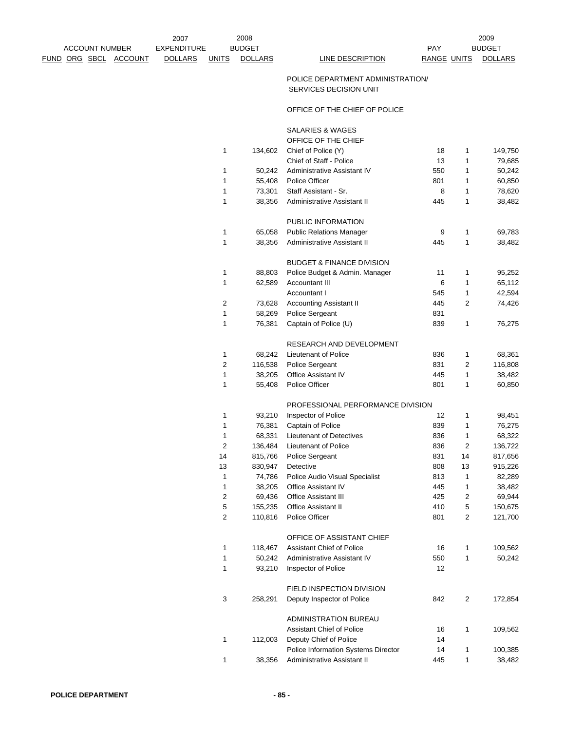2009<br>BUDGET

## POLICE DEPARTMENT ADMINISTRATION/ SERVICES DECISION UNIT

## OFFICE OF THE CHIEF OF POLICE

|                         |         | <b>SALARIES &amp; WAGES</b>          |     |              |         |
|-------------------------|---------|--------------------------------------|-----|--------------|---------|
|                         |         | OFFICE OF THE CHIEF                  |     |              |         |
| 1                       | 134,602 | Chief of Police (Y)                  | 18  | 1            | 149,750 |
|                         |         | Chief of Staff - Police              | 13  | 1            | 79,685  |
| 1                       | 50,242  | Administrative Assistant IV          | 550 | 1            | 50,242  |
| 1                       | 55,408  | Police Officer                       | 801 | 1            | 60,850  |
| 1                       | 73,301  | Staff Assistant - Sr.                | 8   | 1            | 78,620  |
| 1                       | 38,356  | Administrative Assistant II          | 445 | 1            | 38,482  |
|                         |         | PUBLIC INFORMATION                   |     |              |         |
| 1                       | 65,058  | <b>Public Relations Manager</b>      | 9   | 1            | 69,783  |
| 1                       | 38,356  | <b>Administrative Assistant II</b>   | 445 | 1            | 38,482  |
|                         |         | <b>BUDGET &amp; FINANCE DIVISION</b> |     |              |         |
| 1                       | 88,803  | Police Budget & Admin. Manager       | 11  | 1            | 95,252  |
| 1                       | 62,589  | Accountant III                       | 6   | 1            | 65,112  |
|                         |         | Accountant I                         | 545 | 1            | 42,594  |
| 2                       | 73,628  | <b>Accounting Assistant II</b>       | 445 | 2            | 74,426  |
| 1                       | 58,269  | Police Sergeant                      | 831 |              |         |
| 1                       | 76,381  | Captain of Police (U)                | 839 | 1            | 76,275  |
|                         |         | RESEARCH AND DEVELOPMENT             |     |              |         |
| 1                       | 68,242  | Lieutenant of Police                 | 836 | 1            | 68,361  |
| $\overline{2}$          | 116,538 | <b>Police Sergeant</b>               | 831 | 2            | 116,808 |
| 1                       | 38,205  | <b>Office Assistant IV</b>           | 445 | 1            | 38,482  |
| 1                       | 55,408  | Police Officer                       | 801 | 1            | 60,850  |
|                         |         | PROFESSIONAL PERFORMANCE DIVISION    |     |              |         |
| 1                       | 93,210  | Inspector of Police                  | 12  | 1            | 98,451  |
| 1                       | 76,381  | Captain of Police                    | 839 | 1            | 76,275  |
| 1                       | 68,331  | Lieutenant of Detectives             | 836 | 1            | 68,322  |
| 2                       | 136,484 | Lieutenant of Police                 | 836 | 2            | 136,722 |
| 14                      | 815,766 | Police Sergeant                      | 831 | 14           | 817,656 |
| 13                      | 830,947 | Detective                            | 808 | 13           | 915,226 |
| 1                       | 74,786  | Police Audio Visual Specialist       | 813 | $\mathbf{1}$ | 82,289  |
| 1                       | 38,205  | <b>Office Assistant IV</b>           | 445 | 1            | 38,482  |
| 2                       | 69,436  | <b>Office Assistant III</b>          | 425 | 2            | 69,944  |
| 5                       | 155,235 | <b>Office Assistant II</b>           | 410 | 5            | 150,675 |
| $\overline{\mathbf{c}}$ | 110,816 | Police Officer                       | 801 | 2            | 121,700 |
|                         |         | OFFICE OF ASSISTANT CHIEF            |     |              |         |
| 1                       | 118,467 | Assistant Chief of Police            | 16  | 1            | 109,562 |
| 1                       | 50,242  | Administrative Assistant IV          | 550 | 1            | 50,242  |
| 1                       | 93,210  | Inspector of Police                  | 12  |              |         |
|                         |         | FIELD INSPECTION DIVISION            |     |              |         |
| 3                       | 258,291 | Deputy Inspector of Police           | 842 | 2            | 172,854 |
|                         |         | ADMINISTRATION BUREAU                |     |              |         |
|                         |         | <b>Assistant Chief of Police</b>     | 16  | 1            | 109,562 |
| 1                       | 112,003 | Deputy Chief of Police               | 14  |              |         |
|                         |         | Police Information Systems Director  | 14  | 1            | 100,385 |
| 1                       | 38,356  | Administrative Assistant II          | 445 | 1            | 38,482  |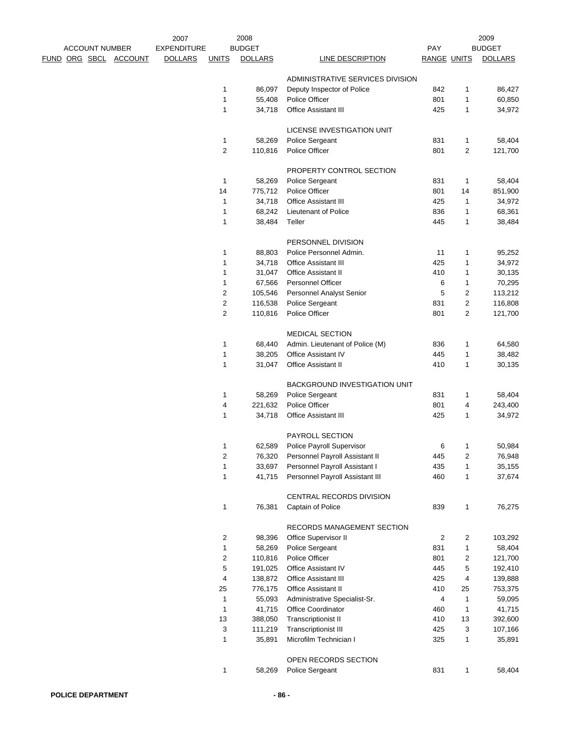|  |                       |                              | 2007               |                         | 2008           |                                      |             |                | 2009           |
|--|-----------------------|------------------------------|--------------------|-------------------------|----------------|--------------------------------------|-------------|----------------|----------------|
|  | <b>ACCOUNT NUMBER</b> |                              | <b>EXPENDITURE</b> |                         | <b>BUDGET</b>  |                                      | <b>PAY</b>  |                | <b>BUDGET</b>  |
|  |                       | <u>FUND ORG SBCL ACCOUNT</u> | <b>DOLLARS</b>     | <b>UNITS</b>            | <b>DOLLARS</b> | <b>LINE DESCRIPTION</b>              | RANGE UNITS |                | <b>DOLLARS</b> |
|  |                       |                              |                    |                         |                | ADMINISTRATIVE SERVICES DIVISION     |             |                |                |
|  |                       |                              |                    | 1                       | 86,097         | Deputy Inspector of Police           | 842         | 1              | 86,427         |
|  |                       |                              |                    | 1                       | 55,408         | Police Officer                       | 801         | $\mathbf{1}$   | 60,850         |
|  |                       |                              |                    | 1                       | 34,718         | <b>Office Assistant III</b>          | 425         | 1              | 34,972         |
|  |                       |                              |                    |                         |                | LICENSE INVESTIGATION UNIT           |             |                |                |
|  |                       |                              |                    | 1                       | 58,269         | Police Sergeant                      | 831         | 1              | 58,404         |
|  |                       |                              |                    | 2                       | 110,816        | Police Officer                       | 801         | $\overline{c}$ | 121,700        |
|  |                       |                              |                    |                         |                | PROPERTY CONTROL SECTION             |             |                |                |
|  |                       |                              |                    | $\mathbf{1}$            | 58,269         | Police Sergeant                      | 831         | 1              | 58,404         |
|  |                       |                              |                    | 14                      | 775,712        | Police Officer                       | 801         | 14             | 851,900        |
|  |                       |                              |                    | 1                       | 34,718         | <b>Office Assistant III</b>          | 425         | 1              | 34,972         |
|  |                       |                              |                    | 1                       | 68,242         | Lieutenant of Police                 | 836         | 1              | 68,361         |
|  |                       |                              |                    | 1                       | 38,484         | Teller                               | 445         | 1              | 38,484         |
|  |                       |                              |                    |                         |                | PERSONNEL DIVISION                   |             |                |                |
|  |                       |                              |                    | 1                       | 88,803         | Police Personnel Admin.              | 11          | 1              | 95,252         |
|  |                       |                              |                    | 1                       | 34,718         | <b>Office Assistant III</b>          | 425         | 1              | 34,972         |
|  |                       |                              |                    | 1                       | 31,047         | <b>Office Assistant II</b>           | 410         | 1              | 30,135         |
|  |                       |                              |                    | 1                       | 67,566         | Personnel Officer                    | 6           | 1              | 70,295         |
|  |                       |                              |                    | 2                       | 105,546        | <b>Personnel Analyst Senior</b>      | 5           | 2              | 113,212        |
|  |                       |                              |                    | $\overline{c}$          | 116,538        | Police Sergeant                      | 831         | $\overline{c}$ | 116,808        |
|  |                       |                              |                    | 2                       | 110,816        | Police Officer                       | 801         | 2              | 121,700        |
|  |                       |                              |                    |                         |                | <b>MEDICAL SECTION</b>               |             |                |                |
|  |                       |                              |                    | 1                       | 68,440         | Admin. Lieutenant of Police (M)      | 836         | 1              | 64,580         |
|  |                       |                              |                    | 1                       | 38,205         | <b>Office Assistant IV</b>           | 445         | $\mathbf{1}$   | 38,482         |
|  |                       |                              |                    | 1                       | 31,047         | <b>Office Assistant II</b>           | 410         | 1              | 30,135         |
|  |                       |                              |                    |                         |                | <b>BACKGROUND INVESTIGATION UNIT</b> |             |                |                |
|  |                       |                              |                    | 1                       | 58,269         | Police Sergeant                      | 831         | 1              | 58,404         |
|  |                       |                              |                    | 4                       | 221,632        | Police Officer                       | 801         | 4              | 243,400        |
|  |                       |                              |                    | 1                       | 34,718         | <b>Office Assistant III</b>          | 425         | 1              | 34,972         |
|  |                       |                              |                    |                         |                | PAYROLL SECTION                      |             |                |                |
|  |                       |                              |                    | 1                       | 62,589         | Police Payroll Supervisor            | 6           | 1              | 50,984         |
|  |                       |                              |                    | 2                       | 76,320         | Personnel Payroll Assistant II       | 445         | 2              | 76,948         |
|  |                       |                              |                    | 1                       | 33,697         | Personnel Payroll Assistant I        | 435         | 1              | 35,155         |
|  |                       |                              |                    | 1                       | 41,715         | Personnel Payroll Assistant III      | 460         | 1              | 37,674         |
|  |                       |                              |                    |                         |                | CENTRAL RECORDS DIVISION             |             |                |                |
|  |                       |                              |                    | 1                       | 76,381         | Captain of Police                    | 839         | 1              | 76,275         |
|  |                       |                              |                    |                         |                | RECORDS MANAGEMENT SECTION           |             |                |                |
|  |                       |                              |                    | $\overline{\mathbf{c}}$ | 98,396         | Office Supervisor II                 | 2           | 2              | 103,292        |
|  |                       |                              |                    | 1                       | 58,269         | Police Sergeant                      | 831         | 1              | 58,404         |
|  |                       |                              |                    | 2                       | 110,816        | Police Officer                       | 801         | 2              | 121,700        |
|  |                       |                              |                    | 5                       | 191,025        | Office Assistant IV                  | 445         | 5              | 192,410        |
|  |                       |                              |                    | 4                       | 138,872        | <b>Office Assistant III</b>          | 425         | 4              | 139,888        |
|  |                       |                              |                    | 25                      | 776,175        | <b>Office Assistant II</b>           | 410         | 25             | 753,375        |
|  |                       |                              |                    | $\mathbf{1}$            | 55,093         | Administrative Specialist-Sr.        | 4           | 1              | 59,095         |
|  |                       |                              |                    | 1                       | 41,715         | Office Coordinator                   | 460         | 1              | 41,715         |
|  |                       |                              |                    | 13                      | 388,050        | <b>Transcriptionist II</b>           | 410         | 13             | 392,600        |
|  |                       |                              |                    | 3                       | 111,219        | <b>Transcriptionist III</b>          | 425         | 3              | 107,166        |
|  |                       |                              |                    | 1                       | 35,891         | Microfilm Technician I               | 325         | 1              | 35,891         |
|  |                       |                              |                    |                         |                | OPEN RECORDS SECTION                 |             |                |                |
|  |                       |                              |                    | 1                       | 58,269         | Police Sergeant                      | 831         | 1              | 58,404         |
|  |                       |                              |                    |                         |                |                                      |             |                |                |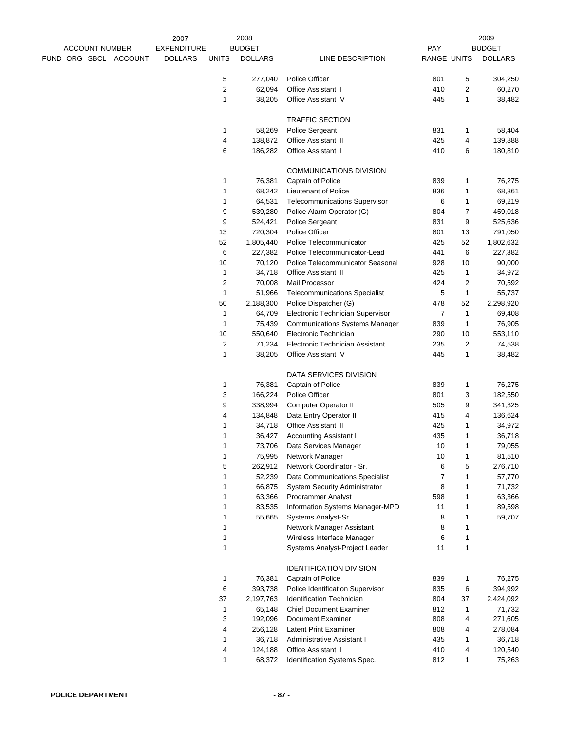| <b>ACCOUNT NUMBER</b> |                       | 2007<br><b>EXPENDITURE</b> |                | 2008<br><b>BUDGET</b> |                                       | PAY                |    | 2009<br><b>BUDGET</b> |
|-----------------------|-----------------------|----------------------------|----------------|-----------------------|---------------------------------------|--------------------|----|-----------------------|
|                       |                       |                            |                |                       |                                       |                    |    |                       |
|                       | FUND ORG SBCL ACCOUNT | <b>DOLLARS</b>             | <b>UNITS</b>   | <b>DOLLARS</b>        | LINE DESCRIPTION                      | <b>RANGE UNITS</b> |    | <b>DOLLARS</b>        |
|                       |                       |                            | 5              | 277,040               | Police Officer                        | 801                | 5  | 304,250               |
|                       |                       |                            | $\overline{c}$ | 62,094                | <b>Office Assistant II</b>            | 410                | 2  | 60,270                |
|                       |                       |                            | $\mathbf{1}$   | 38,205                | <b>Office Assistant IV</b>            | 445                | 1  | 38,482                |
|                       |                       |                            |                |                       | <b>TRAFFIC SECTION</b>                |                    |    |                       |
|                       |                       |                            | 1              | 58,269                | Police Sergeant                       | 831                | 1  | 58,404                |
|                       |                       |                            | 4              | 138,872               | <b>Office Assistant III</b>           | 425                | 4  | 139,888               |
|                       |                       |                            | 6              | 186,282               | <b>Office Assistant II</b>            | 410                | 6  | 180,810               |
|                       |                       |                            |                |                       |                                       |                    |    |                       |
|                       |                       |                            |                |                       | <b>COMMUNICATIONS DIVISION</b>        |                    |    |                       |
|                       |                       |                            | 1              | 76,381                | Captain of Police                     | 839                | 1  | 76,275                |
|                       |                       |                            | $\mathbf{1}$   | 68,242                | Lieutenant of Police                  | 836                | 1  | 68,361                |
|                       |                       |                            | $\mathbf{1}$   | 64,531                | <b>Telecommunications Supervisor</b>  | 6                  | 1  | 69,219                |
|                       |                       |                            | 9              | 539,280               | Police Alarm Operator (G)             | 804                | 7  | 459,018               |
|                       |                       |                            | 9              | 524,421               | Police Sergeant                       | 831                | 9  | 525,636               |
|                       |                       |                            | 13             | 720,304               | Police Officer                        | 801                | 13 | 791,050               |
|                       |                       |                            | 52             | 1,805,440             | Police Telecommunicator               | 425                | 52 | 1,802,632             |
|                       |                       |                            | 6              | 227,382               | Police Telecommunicator-Lead          | 441                | 6  | 227,382               |
|                       |                       |                            | 10             | 70,120                | Police Telecommunicator Seasonal      | 928                | 10 | 90,000                |
|                       |                       |                            | $\mathbf{1}$   | 34,718                | <b>Office Assistant III</b>           | 425                | 1  | 34,972                |
|                       |                       |                            | $\overline{c}$ | 70,008                | Mail Processor                        | 424                | 2  | 70,592                |
|                       |                       |                            | $\mathbf{1}$   | 51,966                | <b>Telecommunications Specialist</b>  | 5                  | 1  | 55,737                |
|                       |                       |                            | 50             | 2,188,300             | Police Dispatcher (G)                 | 478                | 52 | 2,298,920             |
|                       |                       |                            | 1              | 64,709                | Electronic Technician Supervisor      | $\overline{7}$     | 1  | 69,408                |
|                       |                       |                            | $\mathbf{1}$   | 75,439                | <b>Communications Systems Manager</b> | 839                | 1  | 76,905                |
|                       |                       |                            | 10             | 550,640               | Electronic Technician                 | 290                | 10 | 553,110               |
|                       |                       |                            | $\overline{c}$ | 71,234                | Electronic Technician Assistant       | 235                | 2  | 74,538                |
|                       |                       |                            | $\mathbf{1}$   | 38,205                | Office Assistant IV                   | 445                | 1  | 38,482                |
|                       |                       |                            |                |                       |                                       |                    |    |                       |
|                       |                       |                            |                |                       | DATA SERVICES DIVISION                |                    |    |                       |
|                       |                       |                            | 1              | 76,381                | Captain of Police                     | 839                | 1  | 76,275                |
|                       |                       |                            | 3              | 166,224               | <b>Police Officer</b>                 | 801                | 3  | 182,550               |
|                       |                       |                            | 9              | 338,994               | Computer Operator II                  | 505                | 9  | 341,325               |
|                       |                       |                            | 4              | 134,848               | Data Entry Operator II                | 415                | 4  | 136,624               |
|                       |                       |                            | 1              | 34,718                | <b>Office Assistant III</b>           | 425                | 1  | 34,972                |
|                       |                       |                            | 1              | 36,427                | <b>Accounting Assistant I</b>         | 435                | 1  | 36,718                |
|                       |                       |                            |                | 73,706                | Data Services Manager                 | $10$               |    | 79,055                |
|                       |                       |                            | $\mathbf{1}$   | 75,995                | Network Manager                       | 10                 | 1  | 81,510                |
|                       |                       |                            | 5              | 262,912               | Network Coordinator - Sr.             | 6                  | 5  | 276,710               |
|                       |                       |                            | 1              | 52,239                | Data Communications Specialist        | 7                  | 1  | 57,770                |
|                       |                       |                            | 1              | 66,875                | <b>System Security Administrator</b>  | 8                  | 1  | 71,732                |
|                       |                       |                            | 1              | 63,366                | Programmer Analyst                    | 598                | 1  | 63,366                |
|                       |                       |                            | $\mathbf{1}$   | 83,535                | Information Systems Manager-MPD       | 11                 | 1  | 89,598                |
|                       |                       |                            | $\mathbf{1}$   | 55,665                | Systems Analyst-Sr.                   | 8                  | 1  | 59,707                |
|                       |                       |                            | 1              |                       | Network Manager Assistant             | 8                  | 1  |                       |
|                       |                       |                            | 1              |                       | Wireless Interface Manager            | 6                  | 1  |                       |
|                       |                       |                            | $\mathbf{1}$   |                       | Systems Analyst-Project Leader        | 11                 | 1  |                       |
|                       |                       |                            |                |                       |                                       |                    |    |                       |
|                       |                       |                            |                |                       | <b>IDENTIFICATION DIVISION</b>        |                    |    |                       |
|                       |                       |                            | 1              | 76,381                | Captain of Police                     | 839                | 1  | 76,275                |
|                       |                       |                            | 6              | 393,738               | Police Identification Supervisor      | 835                | 6  | 394,992               |
|                       |                       |                            | 37             | 2,197,763             | <b>Identification Technician</b>      | 804                | 37 | 2,424,092             |
|                       |                       |                            | 1              | 65,148                | <b>Chief Document Examiner</b>        | 812                | 1  | 71,732                |
|                       |                       |                            | 3              | 192,096               | Document Examiner                     | 808                | 4  | 271,605               |
|                       |                       |                            | 4              | 256,128               | <b>Latent Print Examiner</b>          | 808                | 4  | 278,084               |
|                       |                       |                            | $\mathbf{1}$   | 36,718                | Administrative Assistant I            | 435                | 1  | 36,718                |
|                       |                       |                            | 4              | 124,188               | <b>Office Assistant II</b>            | 410                | 4  | 120,540               |
|                       |                       |                            | 1              | 68,372                | Identification Systems Spec.          | 812                | 1  | 75,263                |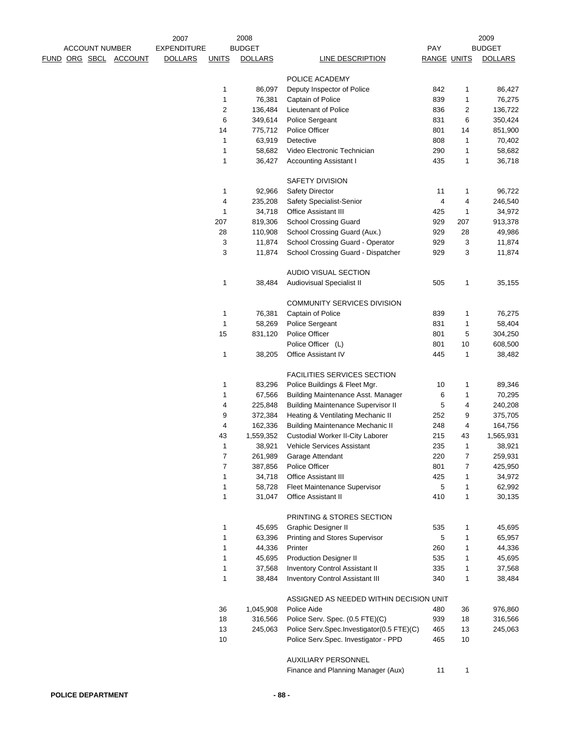|  | <b>ACCOUNT NUMBER</b> |                              | 2007<br><b>EXPENDITURE</b> |              | 2008<br><b>BUDGET</b> |                                           | PAY        |                    | 2009<br><b>BUDGET</b> |
|--|-----------------------|------------------------------|----------------------------|--------------|-----------------------|-------------------------------------------|------------|--------------------|-----------------------|
|  |                       | <u>FUND ORG SBCL ACCOUNT</u> | <b>DOLLARS</b>             | <b>UNITS</b> | <b>DOLLARS</b>        | LINE DESCRIPTION                          |            | <b>RANGE UNITS</b> | <b>DOLLARS</b>        |
|  |                       |                              |                            |              |                       |                                           |            |                    |                       |
|  |                       |                              |                            |              |                       | POLICE ACADEMY                            |            |                    |                       |
|  |                       |                              |                            | 1            | 86,097                | Deputy Inspector of Police                | 842        | 1                  | 86,427                |
|  |                       |                              |                            | 1            | 76,381                | Captain of Police                         | 839        | 1                  | 76,275                |
|  |                       |                              |                            | 2            | 136,484               | Lieutenant of Police                      | 836        | 2                  | 136,722               |
|  |                       |                              |                            | 6            | 349,614               | Police Sergeant                           | 831        | 6                  | 350,424               |
|  |                       |                              |                            | 14           | 775,712               | Police Officer                            | 801        | 14                 | 851,900               |
|  |                       |                              |                            | 1            | 63,919                | Detective                                 | 808        | 1                  | 70,402                |
|  |                       |                              |                            | 1            | 58,682                | Video Electronic Technician               | 290        | 1                  | 58,682                |
|  |                       |                              |                            | 1            | 36,427                | <b>Accounting Assistant I</b>             | 435        | 1                  | 36,718                |
|  |                       |                              |                            |              |                       | <b>SAFETY DIVISION</b>                    |            |                    |                       |
|  |                       |                              |                            | 1            | 92,966                | Safety Director                           | 11         | 1                  | 96,722                |
|  |                       |                              |                            | 4            | 235,208               | Safety Specialist-Senior                  | 4          | 4                  | 246,540               |
|  |                       |                              |                            | 1            | 34,718                | <b>Office Assistant III</b>               | 425        | 1                  | 34,972                |
|  |                       |                              |                            | 207          | 819,306               | <b>School Crossing Guard</b>              | 929        | 207                | 913,378               |
|  |                       |                              |                            | 28           | 110,908               | School Crossing Guard (Aux.)              | 929        | 28                 | 49,986                |
|  |                       |                              |                            | 3            | 11,874                | School Crossing Guard - Operator          | 929        | 3                  | 11,874                |
|  |                       |                              |                            | 3            | 11,874                | School Crossing Guard - Dispatcher        | 929        | 3                  | 11,874                |
|  |                       |                              |                            |              |                       | AUDIO VISUAL SECTION                      |            |                    |                       |
|  |                       |                              |                            | 1            | 38,484                | Audiovisual Specialist II                 | 505        | 1                  | 35,155                |
|  |                       |                              |                            |              |                       |                                           |            |                    |                       |
|  |                       |                              |                            |              |                       | COMMUNITY SERVICES DIVISION               |            |                    |                       |
|  |                       |                              |                            | $\mathbf{1}$ | 76,381                | Captain of Police                         | 839        | 1                  | 76,275                |
|  |                       |                              |                            | $\mathbf{1}$ | 58,269                | Police Sergeant                           | 831        | 1                  | 58,404                |
|  |                       |                              |                            | 15           | 831,120               | Police Officer                            | 801        | 5                  | 304,250               |
|  |                       |                              |                            | 1            | 38,205                | Police Officer (L)<br>Office Assistant IV | 801<br>445 | 10<br>1            | 608,500<br>38,482     |
|  |                       |                              |                            |              |                       |                                           |            |                    |                       |
|  |                       |                              |                            |              |                       | FACILITIES SERVICES SECTION               |            |                    |                       |
|  |                       |                              |                            | 1            | 83,296                | Police Buildings & Fleet Mgr.             | 10         | 1                  | 89,346                |
|  |                       |                              |                            | 1            | 67,566                | Building Maintenance Asst. Manager        | 6          | 1                  | 70,295                |
|  |                       |                              |                            | 4            | 225,848               | <b>Building Maintenance Supervisor II</b> | 5          | 4                  | 240,208               |
|  |                       |                              |                            | 9            | 372,384               | Heating & Ventilating Mechanic II         | 252        | 9                  | 375,705               |
|  |                       |                              |                            | 4            | 162,336               | <b>Building Maintenance Mechanic II</b>   | 248        | 4                  | 164,756               |
|  |                       |                              |                            | 43           | 1,559,352             | <b>Custodial Worker II-City Laborer</b>   | 215        | 43                 | 1,565,931             |
|  |                       |                              |                            | 1            | 38,921                | Vehicle Services Assistant                | 235        | 1                  | 38,921                |
|  |                       |                              |                            | 7            | 261,989               | Garage Attendant                          | 220        | $\overline{7}$     | 259,931               |
|  |                       |                              |                            | 7            | 387,856               | Police Officer                            | 801        | $\overline{7}$     | 425,950               |
|  |                       |                              |                            | 1            | 34,718                | <b>Office Assistant III</b>               | 425        | 1                  | 34,972                |
|  |                       |                              |                            | 1            | 58,728                | Fleet Maintenance Supervisor              | 5          | 1                  | 62,992                |
|  |                       |                              |                            | 1            | 31,047                | <b>Office Assistant II</b>                | 410        | 1                  | 30,135                |
|  |                       |                              |                            |              |                       | PRINTING & STORES SECTION                 |            |                    |                       |
|  |                       |                              |                            | 1            | 45,695                | <b>Graphic Designer II</b>                | 535        | $\mathbf{1}$       | 45,695                |
|  |                       |                              |                            | 1            | 63,396                | Printing and Stores Supervisor            | 5          | 1                  | 65,957                |
|  |                       |                              |                            | 1            | 44,336                | Printer                                   | 260        | 1                  | 44,336                |
|  |                       |                              |                            | 1            | 45,695                | <b>Production Designer II</b>             | 535        | 1                  | 45,695                |
|  |                       |                              |                            | 1            | 37,568                | Inventory Control Assistant II            | 335        | 1                  | 37,568                |
|  |                       |                              |                            | $\mathbf{1}$ | 38,484                | Inventory Control Assistant III           | 340        | 1                  | 38,484                |
|  |                       |                              |                            |              |                       | ASSIGNED AS NEEDED WITHIN DECISION UNIT   |            |                    |                       |
|  |                       |                              |                            | 36           | 1,045,908             | Police Aide                               | 480        | 36                 | 976,860               |
|  |                       |                              |                            | 18           | 316,566               | Police Serv. Spec. (0.5 FTE)(C)           | 939        | 18                 | 316,566               |
|  |                       |                              |                            | 13           | 245,063               | Police Serv.Spec.Investigator(0.5 FTE)(C) | 465        | 13                 | 245,063               |
|  |                       |                              |                            | 10           |                       | Police Serv.Spec. Investigator - PPD      | 465        | 10                 |                       |
|  |                       |                              |                            |              |                       | <b>AUXILIARY PERSONNEL</b>                |            |                    |                       |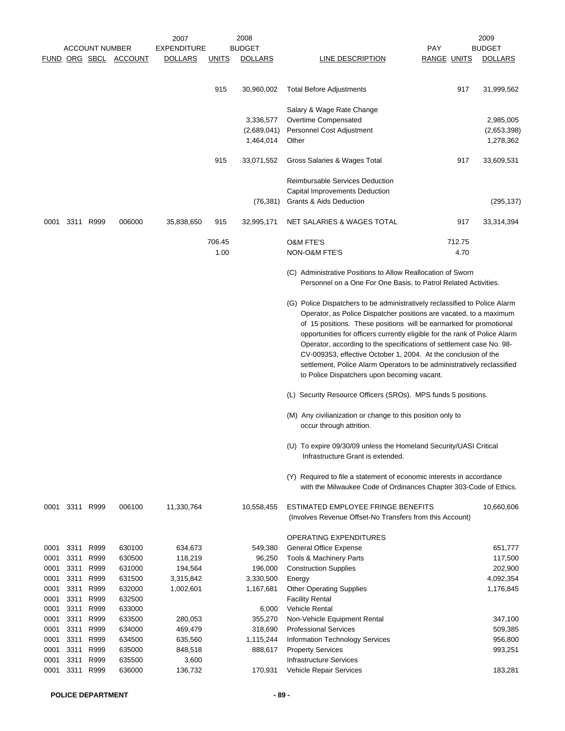|              |              | <b>ACCOUNT NUMBER</b> | FUND ORG SBCL ACCOUNT | 2007<br><b>EXPENDITURE</b><br><b>DOLLARS</b> | <u>UNITS</u>   | 2008<br><b>BUDGET</b><br><b>DOLLARS</b> | <b>PAY</b><br><b>LINE DESCRIPTION</b>                                                                                                                                                                                                                                                                                                                                                                                                                                                                                                                                   | <b>RANGE UNITS</b> | 2009<br><b>BUDGET</b><br><b>DOLLARS</b> |
|--------------|--------------|-----------------------|-----------------------|----------------------------------------------|----------------|-----------------------------------------|-------------------------------------------------------------------------------------------------------------------------------------------------------------------------------------------------------------------------------------------------------------------------------------------------------------------------------------------------------------------------------------------------------------------------------------------------------------------------------------------------------------------------------------------------------------------------|--------------------|-----------------------------------------|
|              |              |                       |                       |                                              | 915            | 30,960,002                              | <b>Total Before Adjustments</b>                                                                                                                                                                                                                                                                                                                                                                                                                                                                                                                                         | 917                | 31,999,562                              |
|              |              |                       |                       |                                              |                | 3,336,577<br>(2,689,041)<br>1,464,014   | Salary & Wage Rate Change<br>Overtime Compensated<br>Personnel Cost Adjustment<br>Other                                                                                                                                                                                                                                                                                                                                                                                                                                                                                 |                    | 2,985,005<br>(2,653,398)<br>1,278,362   |
|              |              |                       |                       |                                              | 915            | 33,071,552                              | Gross Salaries & Wages Total                                                                                                                                                                                                                                                                                                                                                                                                                                                                                                                                            | 917                | 33,609,531                              |
|              |              |                       |                       |                                              |                | (76, 381)                               | <b>Reimbursable Services Deduction</b><br>Capital Improvements Deduction<br>Grants & Aids Deduction                                                                                                                                                                                                                                                                                                                                                                                                                                                                     |                    | (295, 137)                              |
| 0001         |              | 3311 R999             | 006000                | 35,838,650                                   | 915            | 32,995,171                              | NET SALARIES & WAGES TOTAL                                                                                                                                                                                                                                                                                                                                                                                                                                                                                                                                              | 917                | 33,314,394                              |
|              |              |                       |                       |                                              | 706.45<br>1.00 |                                         | <b>O&amp;M FTE'S</b><br>NON-O&M FTE'S                                                                                                                                                                                                                                                                                                                                                                                                                                                                                                                                   | 712.75<br>4.70     |                                         |
|              |              |                       |                       |                                              |                |                                         | (C) Administrative Positions to Allow Reallocation of Sworn<br>Personnel on a One For One Basis, to Patrol Related Activities.                                                                                                                                                                                                                                                                                                                                                                                                                                          |                    |                                         |
|              |              |                       |                       |                                              |                |                                         | (G) Police Dispatchers to be administratively reclassified to Police Alarm<br>Operator, as Police Dispatcher positions are vacated, to a maximum<br>of 15 positions. These positions will be earmarked for promotional<br>opportunities for officers currently eligible for the rank of Police Alarm<br>Operator, according to the specifications of settlement case No. 98-<br>CV-009353, effective October 1, 2004. At the conclusion of the<br>settlement, Police Alarm Operators to be administratively reclassified<br>to Police Dispatchers upon becoming vacant. |                    |                                         |
|              |              |                       |                       |                                              |                |                                         | (L) Security Resource Officers (SROs). MPS funds 5 positions.                                                                                                                                                                                                                                                                                                                                                                                                                                                                                                           |                    |                                         |
|              |              |                       |                       |                                              |                |                                         | (M) Any civilianization or change to this position only to<br>occur through attrition.                                                                                                                                                                                                                                                                                                                                                                                                                                                                                  |                    |                                         |
|              |              |                       |                       |                                              |                |                                         | (U) To expire 09/30/09 unless the Homeland Security/UASI Critical<br>Infrastructure Grant is extended.                                                                                                                                                                                                                                                                                                                                                                                                                                                                  |                    |                                         |
|              |              |                       |                       |                                              |                |                                         | (Y) Required to file a statement of economic interests in accordance<br>with the Milwaukee Code of Ordinances Chapter 303-Code of Ethics.                                                                                                                                                                                                                                                                                                                                                                                                                               |                    |                                         |
| 0001         |              | 3311 R999             | 006100                | 11,330,764                                   |                | 10,558,455                              | ESTIMATED EMPLOYEE FRINGE BENEFITS<br>(Involves Revenue Offset-No Transfers from this Account)                                                                                                                                                                                                                                                                                                                                                                                                                                                                          |                    | 10,660,606                              |
|              |              |                       |                       |                                              |                |                                         | OPERATING EXPENDITURES                                                                                                                                                                                                                                                                                                                                                                                                                                                                                                                                                  |                    |                                         |
| 0001         | 3311         | R999                  | 630100                | 634,673                                      |                | 549,380                                 | General Office Expense                                                                                                                                                                                                                                                                                                                                                                                                                                                                                                                                                  |                    | 651,777                                 |
| 0001         | 3311         | R999                  | 630500                | 118,219                                      |                | 96,250                                  | Tools & Machinery Parts                                                                                                                                                                                                                                                                                                                                                                                                                                                                                                                                                 |                    | 117,500                                 |
| 0001         | 3311         | R999                  | 631000                | 194,564                                      |                | 196,000                                 | <b>Construction Supplies</b>                                                                                                                                                                                                                                                                                                                                                                                                                                                                                                                                            |                    | 202,900                                 |
| 0001<br>0001 | 3311<br>3311 | R999<br>R999          | 631500<br>632000      | 3,315,842<br>1,002,601                       |                | 3,330,500<br>1,167,681                  | Energy<br><b>Other Operating Supplies</b>                                                                                                                                                                                                                                                                                                                                                                                                                                                                                                                               |                    | 4,092,354<br>1,176,845                  |
|              | 3311         | R999                  |                       |                                              |                |                                         |                                                                                                                                                                                                                                                                                                                                                                                                                                                                                                                                                                         |                    |                                         |
| 0001<br>0001 | 3311         | R999                  | 632500<br>633000      |                                              |                | 6,000                                   | <b>Facility Rental</b><br><b>Vehicle Rental</b>                                                                                                                                                                                                                                                                                                                                                                                                                                                                                                                         |                    |                                         |
| 0001         | 3311         | R999                  | 633500                | 280,053                                      |                | 355,270                                 | Non-Vehicle Equipment Rental                                                                                                                                                                                                                                                                                                                                                                                                                                                                                                                                            |                    | 347,100                                 |
| 0001         | 3311         | R999                  | 634000                | 469,479                                      |                | 318,690                                 | <b>Professional Services</b>                                                                                                                                                                                                                                                                                                                                                                                                                                                                                                                                            |                    | 509,385                                 |
| 0001         | 3311         | R999                  | 634500                | 635,560                                      |                | 1,115,244                               | Information Technology Services                                                                                                                                                                                                                                                                                                                                                                                                                                                                                                                                         |                    | 956,800                                 |
| 0001         | 3311         | R999                  | 635000                | 848,518                                      |                | 888,617                                 | <b>Property Services</b>                                                                                                                                                                                                                                                                                                                                                                                                                                                                                                                                                |                    | 993,251                                 |
| 0001         | 3311         | R999                  | 635500                | 3,600                                        |                |                                         | <b>Infrastructure Services</b>                                                                                                                                                                                                                                                                                                                                                                                                                                                                                                                                          |                    |                                         |
| 0001         | 3311         | R999                  | 636000                | 136,732                                      |                | 170,931                                 | Vehicle Repair Services                                                                                                                                                                                                                                                                                                                                                                                                                                                                                                                                                 |                    | 183,281                                 |
|              |              |                       |                       |                                              |                |                                         |                                                                                                                                                                                                                                                                                                                                                                                                                                                                                                                                                                         |                    |                                         |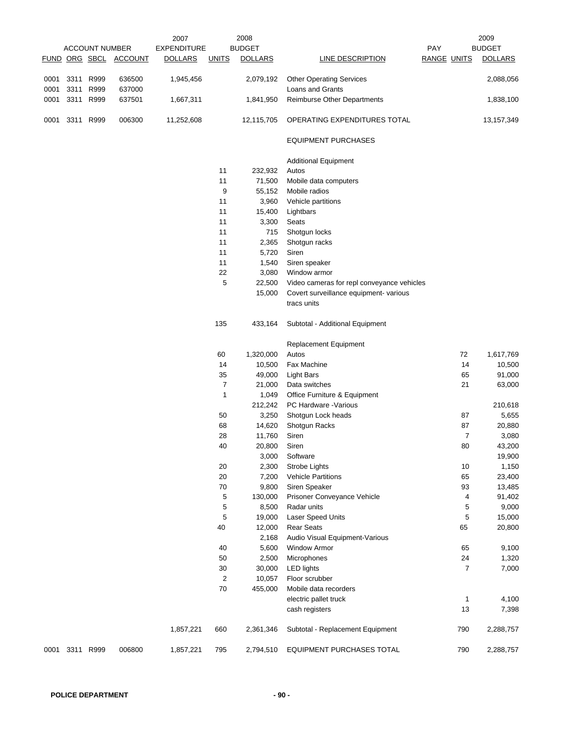|      |           |                       |                       | 2007               |                | 2008           |                                            |                    |                | 2009           |
|------|-----------|-----------------------|-----------------------|--------------------|----------------|----------------|--------------------------------------------|--------------------|----------------|----------------|
|      |           | <b>ACCOUNT NUMBER</b> |                       | <b>EXPENDITURE</b> |                | <b>BUDGET</b>  |                                            | <b>PAY</b>         |                | <b>BUDGET</b>  |
|      |           |                       | FUND ORG SBCL ACCOUNT | <b>DOLLARS</b>     | <b>UNITS</b>   | <b>DOLLARS</b> | <b>LINE DESCRIPTION</b>                    | <b>RANGE UNITS</b> |                | <b>DOLLARS</b> |
|      |           |                       |                       |                    |                |                |                                            |                    |                |                |
| 0001 | 3311      | R999                  | 636500                | 1,945,456          |                | 2,079,192      | <b>Other Operating Services</b>            |                    |                | 2,088,056      |
| 0001 | 3311      | R999                  | 637000                |                    |                |                | Loans and Grants                           |                    |                |                |
| 0001 | 3311      | R999                  | 637501                | 1,667,311          |                | 1,841,950      | Reimburse Other Departments                |                    |                | 1,838,100      |
| 0001 |           | 3311 R999             | 006300                | 11,252,608         |                | 12,115,705     | OPERATING EXPENDITURES TOTAL               |                    |                | 13,157,349     |
|      |           |                       |                       |                    |                |                | <b>EQUIPMENT PURCHASES</b>                 |                    |                |                |
|      |           |                       |                       |                    |                |                | <b>Additional Equipment</b>                |                    |                |                |
|      |           |                       |                       |                    | 11             | 232,932        | Autos                                      |                    |                |                |
|      |           |                       |                       |                    | 11             | 71,500         | Mobile data computers                      |                    |                |                |
|      |           |                       |                       |                    | 9              | 55,152         | Mobile radios                              |                    |                |                |
|      |           |                       |                       |                    | 11             | 3,960          | Vehicle partitions                         |                    |                |                |
|      |           |                       |                       |                    | 11             | 15,400         | Lightbars                                  |                    |                |                |
|      |           |                       |                       |                    | 11             | 3,300          | Seats                                      |                    |                |                |
|      |           |                       |                       |                    | 11             | 715            | Shotgun locks                              |                    |                |                |
|      |           |                       |                       |                    | 11             | 2,365          | Shotgun racks                              |                    |                |                |
|      |           |                       |                       |                    | 11             | 5,720          | Siren                                      |                    |                |                |
|      |           |                       |                       |                    | 11             |                |                                            |                    |                |                |
|      |           |                       |                       |                    |                | 1,540          | Siren speaker                              |                    |                |                |
|      |           |                       |                       |                    | 22             | 3,080          | Window armor                               |                    |                |                |
|      |           |                       |                       |                    | 5              | 22,500         | Video cameras for repl conveyance vehicles |                    |                |                |
|      |           |                       |                       |                    |                | 15,000         | Covert surveillance equipment- various     |                    |                |                |
|      |           |                       |                       |                    |                |                | tracs units                                |                    |                |                |
|      |           |                       |                       |                    | 135            | 433,164        | Subtotal - Additional Equipment            |                    |                |                |
|      |           |                       |                       |                    |                |                | Replacement Equipment                      |                    |                |                |
|      |           |                       |                       |                    | 60             | 1,320,000      | Autos                                      |                    | 72             | 1,617,769      |
|      |           |                       |                       |                    | 14             | 10,500         | Fax Machine                                |                    | 14             | 10,500         |
|      |           |                       |                       |                    | 35             | 49,000         | <b>Light Bars</b>                          |                    | 65             | 91,000         |
|      |           |                       |                       |                    | 7              | 21,000         | Data switches                              |                    | 21             | 63,000         |
|      |           |                       |                       |                    | $\mathbf{1}$   | 1,049          | Office Furniture & Equipment               |                    |                |                |
|      |           |                       |                       |                    |                | 212,242        | PC Hardware - Various                      |                    |                | 210,618        |
|      |           |                       |                       |                    | 50             | 3,250          | Shotgun Lock heads                         |                    | 87             | 5,655          |
|      |           |                       |                       |                    | 68             | 14,620         |                                            |                    | 87             | 20,880         |
|      |           |                       |                       |                    |                |                | Shotgun Racks                              |                    |                |                |
|      |           |                       |                       |                    | 28             | 11,760         | Siren                                      |                    | 7              | 3,080          |
|      |           |                       |                       |                    | 40             | 20,800         | Siren                                      |                    | 80             | 43,200         |
|      |           |                       |                       |                    |                | 3,000          | Software                                   |                    |                | 19,900         |
|      |           |                       |                       |                    | 20             | 2,300          | Strobe Lights                              |                    | 10             | 1,150          |
|      |           |                       |                       |                    | 20             | 7,200          | <b>Vehicle Partitions</b>                  |                    | 65             | 23,400         |
|      |           |                       |                       |                    | 70             | 9,800          | Siren Speaker                              |                    | 93             | 13,485         |
|      |           |                       |                       |                    | 5              | 130,000        | Prisoner Conveyance Vehicle                |                    | 4              | 91,402         |
|      |           |                       |                       |                    | 5              | 8,500          | Radar units                                |                    | 5              | 9,000          |
|      |           |                       |                       |                    | 5              | 19,000         | Laser Speed Units                          |                    | 5              | 15,000         |
|      |           |                       |                       |                    | 40             | 12,000         | <b>Rear Seats</b>                          |                    | 65             | 20,800         |
|      |           |                       |                       |                    |                | 2,168          | Audio Visual Equipment-Various             |                    |                |                |
|      |           |                       |                       |                    | 40             | 5,600          | Window Armor                               |                    | 65             | 9,100          |
|      |           |                       |                       |                    | 50             | 2,500          | Microphones                                |                    | 24             | 1,320          |
|      |           |                       |                       |                    | $30\,$         | 30,000         | <b>LED lights</b>                          |                    | $\overline{7}$ | 7,000          |
|      |           |                       |                       |                    | $\overline{c}$ | 10,057         | Floor scrubber                             |                    |                |                |
|      |           |                       |                       |                    | 70             | 455,000        | Mobile data recorders                      |                    |                |                |
|      |           |                       |                       |                    |                |                | electric pallet truck                      |                    | $\mathbf{1}$   | 4,100          |
|      |           |                       |                       |                    |                |                | cash registers                             |                    | 13             | 7,398          |
|      |           |                       |                       | 1,857,221          | 660            | 2,361,346      | Subtotal - Replacement Equipment           |                    | 790            | 2,288,757      |
|      |           |                       |                       |                    |                |                |                                            |                    |                |                |
| 0001 | 3311 R999 |                       | 006800                | 1,857,221          | 795            | 2,794,510      | EQUIPMENT PURCHASES TOTAL                  |                    | 790            | 2,288,757      |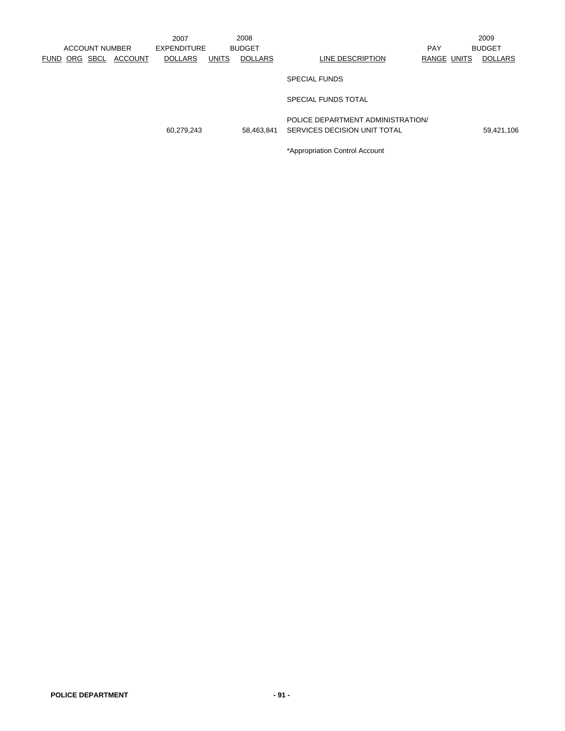|          |                       |                | 2007               |              | 2008           |                                                                   |             | 2009           |
|----------|-----------------------|----------------|--------------------|--------------|----------------|-------------------------------------------------------------------|-------------|----------------|
|          | <b>ACCOUNT NUMBER</b> |                | <b>EXPENDITURE</b> |              | <b>BUDGET</b>  |                                                                   | <b>PAY</b>  | <b>BUDGET</b>  |
| FUND ORG | SBCL                  | <b>ACCOUNT</b> | <b>DOLLARS</b>     | <b>UNITS</b> | <b>DOLLARS</b> | LINE DESCRIPTION                                                  | RANGE UNITS | <b>DOLLARS</b> |
|          |                       |                |                    |              |                | <b>SPECIAL FUNDS</b>                                              |             |                |
|          |                       |                |                    |              |                | SPECIAL FUNDS TOTAL                                               |             |                |
|          |                       |                | 60,279,243         |              | 58.463.841     | POLICE DEPARTMENT ADMINISTRATION/<br>SERVICES DECISION UNIT TOTAL |             | 59,421,106     |
|          |                       |                |                    |              |                | *Appropriation Control Account                                    |             |                |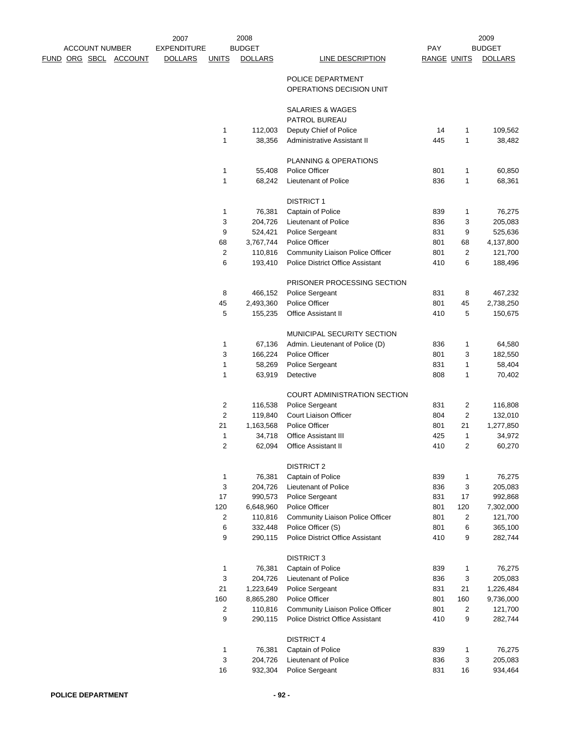|                       |                              | 2007               |                | 2008              |                                                               |                    |              | 2009              |
|-----------------------|------------------------------|--------------------|----------------|-------------------|---------------------------------------------------------------|--------------------|--------------|-------------------|
| <b>ACCOUNT NUMBER</b> |                              | <b>EXPENDITURE</b> |                | <b>BUDGET</b>     |                                                               | <b>PAY</b>         |              | <b>BUDGET</b>     |
|                       | <u>FUND ORG SBCL ACCOUNT</u> | <b>DOLLARS</b>     | <b>UNITS</b>   | <b>DOLLARS</b>    | <b>LINE DESCRIPTION</b>                                       | <b>RANGE UNITS</b> |              | <b>DOLLARS</b>    |
|                       |                              |                    |                |                   |                                                               |                    |              |                   |
|                       |                              |                    |                |                   | POLICE DEPARTMENT                                             |                    |              |                   |
|                       |                              |                    |                |                   | OPERATIONS DECISION UNIT                                      |                    |              |                   |
|                       |                              |                    |                |                   | <b>SALARIES &amp; WAGES</b>                                   |                    |              |                   |
|                       |                              |                    |                |                   | PATROL BUREAU                                                 |                    |              |                   |
|                       |                              |                    | $\mathbf{1}$   | 112,003           | Deputy Chief of Police                                        | 14                 | 1            | 109,562           |
|                       |                              |                    | $\mathbf{1}$   | 38,356            | Administrative Assistant II                                   | 445                | 1            | 38,482            |
|                       |                              |                    |                |                   |                                                               |                    |              |                   |
|                       |                              |                    |                |                   | PLANNING & OPERATIONS                                         |                    |              |                   |
|                       |                              |                    | $\mathbf{1}$   | 55,408            | Police Officer                                                | 801                | $\mathbf{1}$ | 60,850            |
|                       |                              |                    | $\mathbf{1}$   | 68,242            | Lieutenant of Police                                          | 836                | 1            | 68,361            |
|                       |                              |                    |                |                   |                                                               |                    |              |                   |
|                       |                              |                    |                |                   | <b>DISTRICT 1</b>                                             |                    |              |                   |
|                       |                              |                    | 1              | 76,381            | Captain of Police                                             | 839                | 1            | 76,275            |
|                       |                              |                    | 3              | 204,726           | Lieutenant of Police                                          | 836                | 3            | 205,083           |
|                       |                              |                    | 9              | 524,421           | Police Sergeant                                               | 831                | 9            | 525,636           |
|                       |                              |                    | 68             | 3,767,744         | Police Officer                                                | 801                | 68           | 4,137,800         |
|                       |                              |                    | 2              | 110,816           | Community Liaison Police Officer                              | 801                | 2            | 121,700           |
|                       |                              |                    | 6              | 193,410           | <b>Police District Office Assistant</b>                       | 410                | 6            | 188,496           |
|                       |                              |                    |                |                   |                                                               |                    |              |                   |
|                       |                              |                    |                |                   | PRISONER PROCESSING SECTION                                   |                    |              |                   |
|                       |                              |                    | 8              | 466,152           | Police Sergeant                                               | 831                | 8            | 467,232           |
|                       |                              |                    | 45             | 2,493,360         | Police Officer                                                | 801                | 45           | 2,738,250         |
|                       |                              |                    | 5              | 155,235           | <b>Office Assistant II</b>                                    | 410                | 5            | 150,675           |
|                       |                              |                    |                |                   |                                                               |                    |              |                   |
|                       |                              |                    |                |                   | MUNICIPAL SECURITY SECTION<br>Admin. Lieutenant of Police (D) |                    |              |                   |
|                       |                              |                    | 1<br>3         | 67,136<br>166,224 | Police Officer                                                | 836<br>801         | 1<br>3       | 64,580<br>182,550 |
|                       |                              |                    | $\mathbf{1}$   | 58,269            | Police Sergeant                                               | 831                | 1            | 58,404            |
|                       |                              |                    | 1              | 63,919            | Detective                                                     | 808                | 1            | 70,402            |
|                       |                              |                    |                |                   |                                                               |                    |              |                   |
|                       |                              |                    |                |                   | <b>COURT ADMINISTRATION SECTION</b>                           |                    |              |                   |
|                       |                              |                    | 2              | 116,538           | Police Sergeant                                               | 831                | 2            | 116,808           |
|                       |                              |                    | $\overline{c}$ | 119,840           | Court Liaison Officer                                         | 804                | 2            | 132,010           |
|                       |                              |                    | 21             | 1,163,568         | Police Officer                                                | 801                | 21           | 1,277,850         |
|                       |                              |                    | 1              | 34,718            | Office Assistant III                                          | 425                | 1            | 34,972            |
|                       |                              |                    | 2              | 62,094            | Office Assistant II                                           | 410                | 2            | 60,270            |
|                       |                              |                    |                |                   |                                                               |                    |              |                   |
|                       |                              |                    |                |                   | <b>DISTRICT 2</b>                                             |                    |              |                   |
|                       |                              |                    | $\mathbf{1}$   | 76,381            | Captain of Police                                             | 839                | $\mathbf{1}$ | 76,275            |
|                       |                              |                    | 3              | 204,726           | Lieutenant of Police                                          | 836                | 3            | 205,083           |
|                       |                              |                    | 17             | 990,573           | Police Sergeant                                               | 831                | 17           | 992,868           |
|                       |                              |                    | 120            | 6,648,960         | Police Officer                                                | 801                | 120          | 7,302,000         |
|                       |                              |                    | 2              | 110,816           | Community Liaison Police Officer                              | 801                | 2            | 121,700           |
|                       |                              |                    | 6              | 332,448           | Police Officer (S)                                            | 801                | 6            | 365,100           |
|                       |                              |                    | 9              | 290,115           | Police District Office Assistant                              | 410                | 9            | 282,744           |
|                       |                              |                    |                |                   | <b>DISTRICT 3</b>                                             |                    |              |                   |
|                       |                              |                    | $\mathbf{1}$   | 76,381            | Captain of Police                                             | 839                | $\mathbf{1}$ | 76,275            |
|                       |                              |                    | 3              | 204,726           | Lieutenant of Police                                          | 836                | 3            | 205,083           |
|                       |                              |                    | 21             | 1,223,649         | Police Sergeant                                               | 831                | 21           | 1,226,484         |
|                       |                              |                    | 160            | 8,865,280         | Police Officer                                                | 801                | 160          | 9,736,000         |
|                       |                              |                    | 2              | 110,816           | Community Liaison Police Officer                              | 801                | 2            | 121,700           |
|                       |                              |                    | 9              | 290,115           | Police District Office Assistant                              | 410                | 9            | 282,744           |
|                       |                              |                    |                |                   |                                                               |                    |              |                   |
|                       |                              |                    |                |                   | <b>DISTRICT 4</b>                                             |                    |              |                   |
|                       |                              |                    | $\mathbf{1}$   | 76,381            | Captain of Police                                             | 839                | 1            | 76,275            |
|                       |                              |                    | 3              | 204,726           | Lieutenant of Police                                          | 836                | 3            | 205,083           |
|                       |                              |                    | 16             | 932,304           | Police Sergeant                                               | 831                | 16           | 934,464           |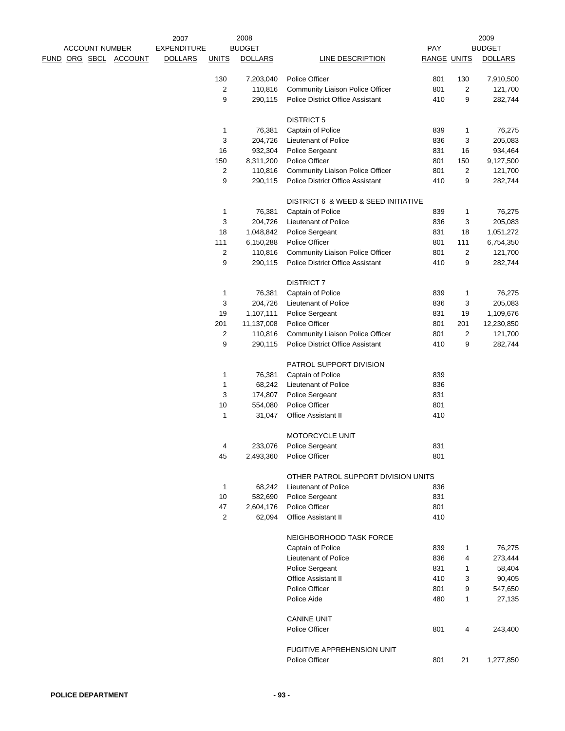|  |                       |                              | 2007               |                | 2008           |                                         |                    |                | 2009           |
|--|-----------------------|------------------------------|--------------------|----------------|----------------|-----------------------------------------|--------------------|----------------|----------------|
|  | <b>ACCOUNT NUMBER</b> |                              | <b>EXPENDITURE</b> |                | <b>BUDGET</b>  |                                         | PAY                |                | <b>BUDGET</b>  |
|  |                       | <u>FUND ORG SBCL ACCOUNT</u> | <b>DOLLARS</b>     | <b>UNITS</b>   | <b>DOLLARS</b> | LINE DESCRIPTION                        | <b>RANGE UNITS</b> |                | <b>DOLLARS</b> |
|  |                       |                              |                    | 130            | 7,203,040      | Police Officer                          | 801                | 130            | 7,910,500      |
|  |                       |                              |                    | 2              | 110,816        | Community Liaison Police Officer        | 801                | 2              | 121,700        |
|  |                       |                              |                    | 9              | 290,115        | Police District Office Assistant        | 410                | 9              | 282,744        |
|  |                       |                              |                    |                |                | <b>DISTRICT 5</b>                       |                    |                |                |
|  |                       |                              |                    | 1              | 76,381         | Captain of Police                       | 839                | $\mathbf{1}$   | 76,275         |
|  |                       |                              |                    | 3              | 204,726        | Lieutenant of Police                    | 836                | 3              | 205,083        |
|  |                       |                              |                    | 16             | 932,304        | Police Sergeant                         | 831                | 16             | 934,464        |
|  |                       |                              |                    | 150            | 8,311,200      | Police Officer                          | 801                | 150            | 9,127,500      |
|  |                       |                              |                    | $\overline{c}$ | 110,816        | Community Liaison Police Officer        | 801                | $\overline{c}$ | 121,700        |
|  |                       |                              |                    | 9              | 290,115        | <b>Police District Office Assistant</b> | 410                | 9              | 282,744        |
|  |                       |                              |                    |                |                | DISTRICT 6 & WEED & SEED INITIATIVE     |                    |                |                |
|  |                       |                              |                    | 1              | 76,381         | Captain of Police                       | 839                | 1              | 76,275         |
|  |                       |                              |                    | 3              | 204,726        | Lieutenant of Police                    | 836                | 3              | 205,083        |
|  |                       |                              |                    | 18             | 1,048,842      | Police Sergeant                         | 831                | 18             | 1,051,272      |
|  |                       |                              |                    | 111            | 6,150,288      | Police Officer                          | 801                | 111            | 6,754,350      |
|  |                       |                              |                    | 2              | 110,816        | Community Liaison Police Officer        | 801                | 2              | 121,700        |
|  |                       |                              |                    | 9              | 290,115        | <b>Police District Office Assistant</b> | 410                | 9              | 282,744        |
|  |                       |                              |                    |                |                | <b>DISTRICT 7</b>                       |                    |                |                |
|  |                       |                              |                    | 1              | 76,381         | Captain of Police                       | 839                | 1              | 76,275         |
|  |                       |                              |                    | 3              | 204,726        | Lieutenant of Police                    | 836                | 3              | 205,083        |
|  |                       |                              |                    | 19             | 1,107,111      | Police Sergeant                         | 831                | 19             | 1,109,676      |
|  |                       |                              |                    | 201            | 11,137,008     | Police Officer                          | 801                | 201            | 12,230,850     |
|  |                       |                              |                    | 2              | 110,816        | Community Liaison Police Officer        | 801                | $\overline{c}$ | 121,700        |
|  |                       |                              |                    | 9              | 290,115        | Police District Office Assistant        | 410                | 9              | 282,744        |
|  |                       |                              |                    |                |                | PATROL SUPPORT DIVISION                 |                    |                |                |
|  |                       |                              |                    | 1              | 76,381         | Captain of Police                       | 839                |                |                |
|  |                       |                              |                    | 1              | 68,242         | Lieutenant of Police                    | 836                |                |                |
|  |                       |                              |                    | 3              | 174,807        | Police Sergeant                         | 831                |                |                |
|  |                       |                              |                    | 10             | 554,080        | Police Officer                          | 801                |                |                |
|  |                       |                              |                    | 1              | 31,047         | Office Assistant II                     | 410                |                |                |
|  |                       |                              |                    |                |                | MOTORCYCLE UNIT                         |                    |                |                |
|  |                       |                              |                    | 4              | 233,076        | Police Sergeant                         | 831                |                |                |
|  |                       |                              |                    | 45             | 2,493,360      | <b>Police Officer</b>                   | 801                |                |                |
|  |                       |                              |                    |                |                | OTHER PATROL SUPPORT DIVISION UNITS     |                    |                |                |
|  |                       |                              |                    | 1              | 68,242         | Lieutenant of Police                    | 836                |                |                |
|  |                       |                              |                    | 10             | 582,690        | Police Sergeant                         | 831                |                |                |
|  |                       |                              |                    | 47             | 2,604,176      | Police Officer                          | 801                |                |                |
|  |                       |                              |                    | 2              | 62,094         | <b>Office Assistant II</b>              | 410                |                |                |
|  |                       |                              |                    |                |                | NEIGHBORHOOD TASK FORCE                 |                    |                |                |
|  |                       |                              |                    |                |                | Captain of Police                       | 839                | 1              | 76,275         |
|  |                       |                              |                    |                |                | Lieutenant of Police                    | 836                | 4              | 273,444        |
|  |                       |                              |                    |                |                | Police Sergeant                         | 831                | 1              | 58,404         |
|  |                       |                              |                    |                |                | <b>Office Assistant II</b>              | 410                | 3              | 90,405         |
|  |                       |                              |                    |                |                | Police Officer                          | 801                | 9              | 547,650        |
|  |                       |                              |                    |                |                | Police Aide                             | 480                | 1              | 27,135         |
|  |                       |                              |                    |                |                | <b>CANINE UNIT</b>                      |                    |                |                |
|  |                       |                              |                    |                |                | Police Officer                          | 801                | 4              | 243,400        |
|  |                       |                              |                    |                |                | FUGITIVE APPREHENSION UNIT              |                    |                |                |
|  |                       |                              |                    |                |                | Police Officer                          | 801                | 21             | 1,277,850      |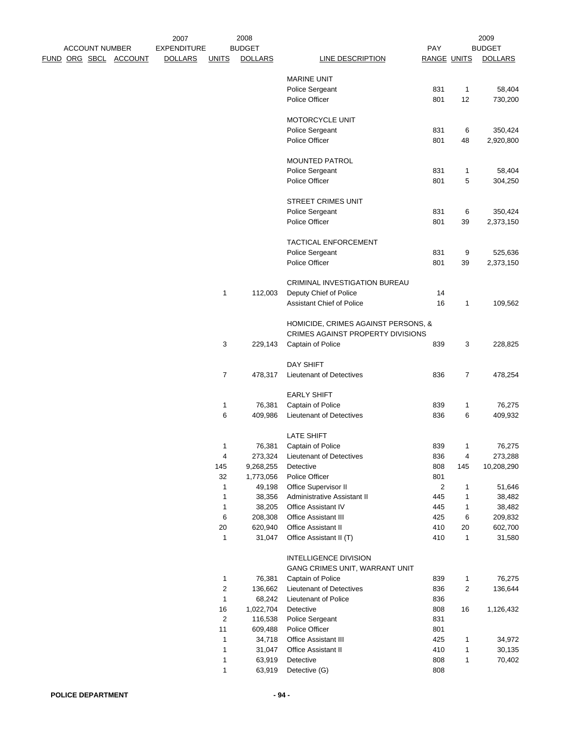|  | <b>ACCOUNT NUMBER</b> |                              | 2007<br><b>EXPENDITURE</b> |                         | 2008<br><b>BUDGET</b> |                                     | PAY                |              | 2009<br><b>BUDGET</b> |
|--|-----------------------|------------------------------|----------------------------|-------------------------|-----------------------|-------------------------------------|--------------------|--------------|-----------------------|
|  |                       | <u>FUND ORG SBCL ACCOUNT</u> | <b>DOLLARS</b>             | <b>UNITS</b>            | <b>DOLLARS</b>        | <b>LINE DESCRIPTION</b>             | <b>RANGE UNITS</b> |              | <b>DOLLARS</b>        |
|  |                       |                              |                            |                         |                       |                                     |                    |              |                       |
|  |                       |                              |                            |                         |                       | <b>MARINE UNIT</b>                  |                    |              |                       |
|  |                       |                              |                            |                         |                       | Police Sergeant                     | 831                | 1            | 58,404                |
|  |                       |                              |                            |                         |                       | Police Officer                      | 801                | 12           | 730,200               |
|  |                       |                              |                            |                         |                       | MOTORCYCLE UNIT                     |                    |              |                       |
|  |                       |                              |                            |                         |                       | Police Sergeant                     | 831                | 6            | 350,424               |
|  |                       |                              |                            |                         |                       | Police Officer                      | 801                | 48           | 2,920,800             |
|  |                       |                              |                            |                         |                       | <b>MOUNTED PATROL</b>               |                    |              |                       |
|  |                       |                              |                            |                         |                       | Police Sergeant                     | 831                | 1            | 58,404                |
|  |                       |                              |                            |                         |                       | Police Officer                      | 801                | 5            | 304,250               |
|  |                       |                              |                            |                         |                       |                                     |                    |              |                       |
|  |                       |                              |                            |                         |                       | <b>STREET CRIMES UNIT</b>           |                    |              |                       |
|  |                       |                              |                            |                         |                       | Police Sergeant                     | 831                | 6            | 350,424               |
|  |                       |                              |                            |                         |                       | Police Officer                      | 801                | 39           | 2,373,150             |
|  |                       |                              |                            |                         |                       | TACTICAL ENFORCEMENT                |                    |              |                       |
|  |                       |                              |                            |                         |                       | Police Sergeant                     | 831                | 9            | 525,636               |
|  |                       |                              |                            |                         |                       | Police Officer                      | 801                | 39           | 2,373,150             |
|  |                       |                              |                            |                         |                       |                                     |                    |              |                       |
|  |                       |                              |                            |                         |                       | CRIMINAL INVESTIGATION BUREAU       |                    |              |                       |
|  |                       |                              |                            | $\mathbf{1}$            | 112,003               | Deputy Chief of Police              | 14                 |              |                       |
|  |                       |                              |                            |                         |                       | Assistant Chief of Police           | 16                 | 1            | 109,562               |
|  |                       |                              |                            |                         |                       | HOMICIDE, CRIMES AGAINST PERSONS, & |                    |              |                       |
|  |                       |                              |                            |                         |                       | CRIMES AGAINST PROPERTY DIVISIONS   |                    |              |                       |
|  |                       |                              |                            | 3                       | 229,143               | Captain of Police                   | 839                | 3            | 228,825               |
|  |                       |                              |                            |                         |                       | <b>DAY SHIFT</b>                    |                    |              |                       |
|  |                       |                              |                            | $\overline{7}$          |                       |                                     | 836                | 7            |                       |
|  |                       |                              |                            |                         | 478,317               | Lieutenant of Detectives            |                    |              | 478,254               |
|  |                       |                              |                            |                         |                       | <b>EARLY SHIFT</b>                  |                    |              |                       |
|  |                       |                              |                            | 1                       | 76,381                | Captain of Police                   | 839                | 1            | 76,275                |
|  |                       |                              |                            | 6                       | 409,986               | Lieutenant of Detectives            | 836                | 6            | 409,932               |
|  |                       |                              |                            |                         |                       | <b>LATE SHIFT</b>                   |                    |              |                       |
|  |                       |                              |                            |                         | 76,381                | Captain of Police                   | 839                | 1            | 76,275                |
|  |                       |                              |                            | 4                       | 273,324               | Lieutenant of Detectives            | 836                | 4            | 273,288               |
|  |                       |                              |                            | 145                     | 9,268,255             | Detective                           | 808                | 145          | 10,208,290            |
|  |                       |                              |                            | 32                      | 1,773,056             | Police Officer                      | 801                |              |                       |
|  |                       |                              |                            | 1                       | 49,198                | Office Supervisor II                | 2                  | 1            | 51,646                |
|  |                       |                              |                            | $\mathbf{1}$            | 38,356                | Administrative Assistant II         | 445                | 1            | 38,482                |
|  |                       |                              |                            | 1                       | 38,205                | Office Assistant IV                 | 445                | 1            | 38,482                |
|  |                       |                              |                            | 6                       | 208,308               | Office Assistant III                | 425                | 6            | 209,832               |
|  |                       |                              |                            | 20                      | 620,940               | Office Assistant II                 | 410                | 20           | 602,700               |
|  |                       |                              |                            | 1                       | 31,047                | Office Assistant II (T)             | 410                | 1            | 31,580                |
|  |                       |                              |                            |                         |                       | <b>INTELLIGENCE DIVISION</b>        |                    |              |                       |
|  |                       |                              |                            |                         |                       | GANG CRIMES UNIT, WARRANT UNIT      |                    |              |                       |
|  |                       |                              |                            | 1                       | 76,381                | Captain of Police                   | 839                | 1            | 76,275                |
|  |                       |                              |                            | $\overline{\mathbf{c}}$ | 136,662               | Lieutenant of Detectives            | 836                | 2            | 136,644               |
|  |                       |                              |                            | 1                       | 68,242                | Lieutenant of Police                | 836                |              |                       |
|  |                       |                              |                            | $16\,$                  | 1,022,704             | Detective                           | 808                | 16           | 1,126,432             |
|  |                       |                              |                            | $\overline{2}$<br>11    | 116,538               | Police Sergeant<br>Police Officer   | 831<br>801         |              |                       |
|  |                       |                              |                            | $\mathbf{1}$            | 609,488<br>34,718     | <b>Office Assistant III</b>         | 425                | 1            | 34,972                |
|  |                       |                              |                            | 1                       | 31,047                | Office Assistant II                 | 410                | $\mathbf{1}$ | 30,135                |
|  |                       |                              |                            | 1                       | 63,919                | Detective                           | 808                | 1            | 70,402                |
|  |                       |                              |                            | $\mathbf{1}$            | 63,919                | Detective (G)                       | 808                |              |                       |
|  |                       |                              |                            |                         |                       |                                     |                    |              |                       |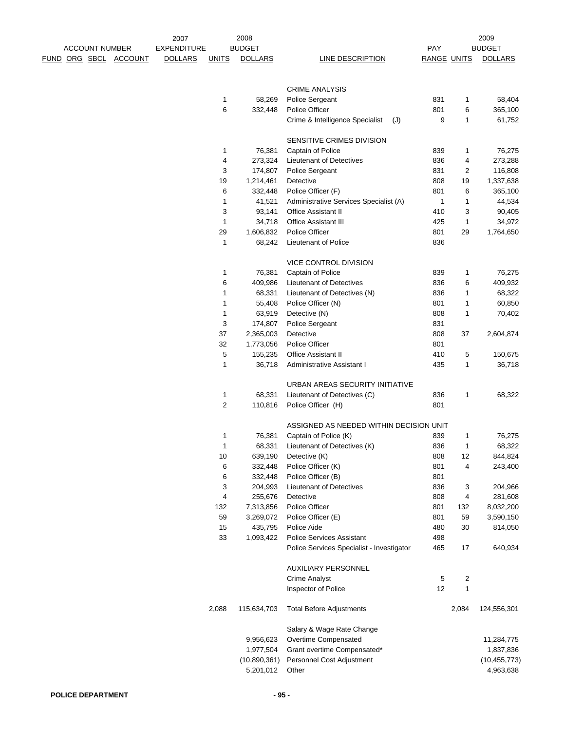|  |                       |                              | 2007               |              | 2008           |                                           |                    |              | 2009           |
|--|-----------------------|------------------------------|--------------------|--------------|----------------|-------------------------------------------|--------------------|--------------|----------------|
|  | <b>ACCOUNT NUMBER</b> |                              | <b>EXPENDITURE</b> |              | <b>BUDGET</b>  |                                           | <b>PAY</b>         |              | <b>BUDGET</b>  |
|  |                       | <u>FUND ORG SBCL ACCOUNT</u> | <b>DOLLARS</b>     | <b>UNITS</b> | <b>DOLLARS</b> | LINE DESCRIPTION                          | <b>RANGE UNITS</b> |              | <b>DOLLARS</b> |
|  |                       |                              |                    |              |                |                                           |                    |              |                |
|  |                       |                              |                    |              |                |                                           |                    |              |                |
|  |                       |                              |                    |              |                | <b>CRIME ANALYSIS</b>                     |                    |              |                |
|  |                       |                              |                    | 1            | 58,269         | Police Sergeant                           | 831                | 1            | 58,404         |
|  |                       |                              |                    | $\,6$        | 332,448        | Police Officer                            | 801                | 6            | 365,100        |
|  |                       |                              |                    |              |                | Crime & Intelligence Specialist<br>(J)    | 9                  | 1            | 61,752         |
|  |                       |                              |                    |              |                |                                           |                    |              |                |
|  |                       |                              |                    |              |                | SENSITIVE CRIMES DIVISION                 |                    |              |                |
|  |                       |                              |                    | 1            | 76,381         | Captain of Police                         | 839                | 1            | 76,275         |
|  |                       |                              |                    | 4            | 273,324        | <b>Lieutenant of Detectives</b>           | 836                | 4            | 273,288        |
|  |                       |                              |                    | 3            | 174,807        | Police Sergeant                           | 831                | 2            | 116,808        |
|  |                       |                              |                    | 19           | 1,214,461      | Detective                                 | 808                | 19           | 1,337,638      |
|  |                       |                              |                    | 6            | 332,448        | Police Officer (F)                        | 801                | 6            | 365,100        |
|  |                       |                              |                    | 1            | 41,521         | Administrative Services Specialist (A)    | 1                  | 1            | 44,534         |
|  |                       |                              |                    | 3            | 93,141         | <b>Office Assistant II</b>                | 410                | 3            | 90,405         |
|  |                       |                              |                    | $\mathbf{1}$ | 34,718         | <b>Office Assistant III</b>               | 425                | $\mathbf{1}$ | 34,972         |
|  |                       |                              |                    | 29           | 1,606,832      | Police Officer                            | 801                | 29           | 1,764,650      |
|  |                       |                              |                    | 1            | 68,242         | Lieutenant of Police                      | 836                |              |                |
|  |                       |                              |                    |              |                |                                           |                    |              |                |
|  |                       |                              |                    |              |                | VICE CONTROL DIVISION                     |                    |              |                |
|  |                       |                              |                    | 1            | 76,381         | Captain of Police                         | 839                | 1            | 76,275         |
|  |                       |                              |                    | 6            | 409,986        | Lieutenant of Detectives                  | 836                | 6            | 409,932        |
|  |                       |                              |                    | 1            | 68,331         | Lieutenant of Detectives (N)              | 836                | 1            | 68,322         |
|  |                       |                              |                    | 1            | 55,408         | Police Officer (N)                        | 801                | 1            | 60,850         |
|  |                       |                              |                    | 1            | 63,919         | Detective (N)                             | 808                | 1            | 70,402         |
|  |                       |                              |                    | 3            | 174,807        | Police Sergeant                           | 831                |              |                |
|  |                       |                              |                    | 37           | 2,365,003      | Detective                                 | 808                | 37           | 2,604,874      |
|  |                       |                              |                    | 32           | 1,773,056      | Police Officer                            | 801                |              |                |
|  |                       |                              |                    | 5            | 155,235        | Office Assistant II                       | 410                | 5            | 150,675        |
|  |                       |                              |                    | 1            | 36,718         | Administrative Assistant I                | 435                | 1            | 36,718         |
|  |                       |                              |                    |              |                |                                           |                    |              |                |
|  |                       |                              |                    |              |                | URBAN AREAS SECURITY INITIATIVE           |                    |              |                |
|  |                       |                              |                    | 1            | 68,331         | Lieutenant of Detectives (C)              | 836                | 1            | 68,322         |
|  |                       |                              |                    | 2            | 110,816        | Police Officer (H)                        | 801                |              |                |
|  |                       |                              |                    |              |                |                                           |                    |              |                |
|  |                       |                              |                    |              |                | ASSIGNED AS NEEDED WITHIN DECISION UNIT   |                    |              |                |
|  |                       |                              |                    | 1            | 76,381         | Captain of Police (K)                     | 839                | 1            | 76,275         |
|  |                       |                              |                    | 1            |                | 68,331 Lieutenant of Detectives (K)       | 836                | 1            | 68,322         |
|  |                       |                              |                    | 10           | 639,190        | Detective (K)                             | 808                | 12           | 844,824        |
|  |                       |                              |                    |              | 332,448        | Police Officer (K)                        | 801                | 4            |                |
|  |                       |                              |                    | 6            |                |                                           |                    |              | 243,400        |
|  |                       |                              |                    | 6            | 332,448        | Police Officer (B)                        | 801                |              |                |
|  |                       |                              |                    | 3            | 204,993        | Lieutenant of Detectives                  | 836                | 3            | 204,966        |
|  |                       |                              |                    | 4            | 255,676        | Detective                                 | 808                | 4            | 281,608        |
|  |                       |                              |                    | 132          | 7,313,856      | Police Officer                            | 801                | 132          | 8,032,200      |
|  |                       |                              |                    | 59           | 3,269,072      | Police Officer (E)                        | 801                | 59           | 3,590,150      |
|  |                       |                              |                    | 15           | 435,795        | Police Aide                               | 480                | 30           | 814,050        |
|  |                       |                              |                    | 33           | 1,093,422      | <b>Police Services Assistant</b>          | 498                |              |                |
|  |                       |                              |                    |              |                | Police Services Specialist - Investigator | 465                | 17           | 640,934        |
|  |                       |                              |                    |              |                |                                           |                    |              |                |
|  |                       |                              |                    |              |                | <b>AUXILIARY PERSONNEL</b>                |                    |              |                |
|  |                       |                              |                    |              |                | Crime Analyst                             | 5                  | 2            |                |
|  |                       |                              |                    |              |                | Inspector of Police                       | 12                 | 1            |                |
|  |                       |                              |                    |              |                |                                           |                    |              |                |
|  |                       |                              |                    | 2,088        | 115,634,703    | <b>Total Before Adjustments</b>           |                    | 2,084        | 124,556,301    |
|  |                       |                              |                    |              |                |                                           |                    |              |                |
|  |                       |                              |                    |              |                | Salary & Wage Rate Change                 |                    |              |                |
|  |                       |                              |                    |              | 9,956,623      | Overtime Compensated                      |                    |              | 11,284,775     |
|  |                       |                              |                    |              | 1,977,504      | Grant overtime Compensated*               |                    |              | 1,837,836      |
|  |                       |                              |                    |              | (10,890,361)   | Personnel Cost Adjustment                 |                    |              | (10, 455, 773) |
|  |                       |                              |                    |              | 5,201,012      | Other                                     |                    |              | 4,963,638      |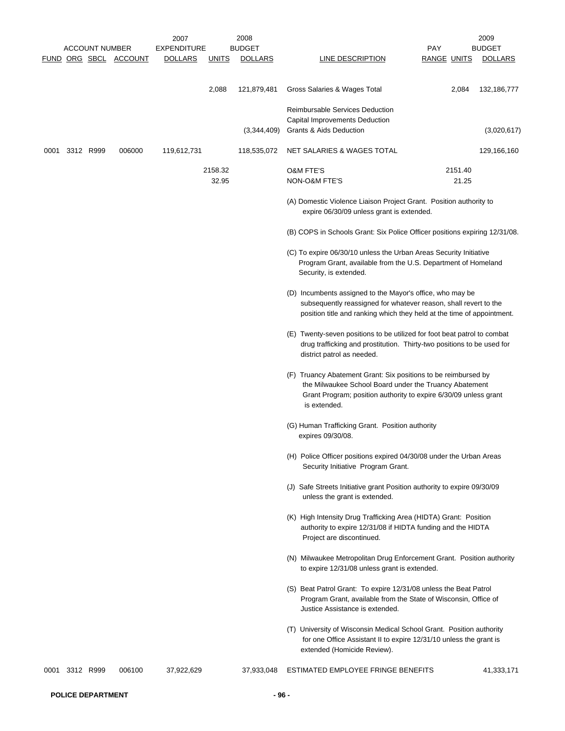|      |                | <b>ACCOUNT NUMBER</b> |                       | 2007<br><b>EXPENDITURE</b> |                  | 2008<br><b>BUDGET</b> |                                                                                                                                                                                                              | <b>PAY</b>         | 2009<br><b>BUDGET</b> |
|------|----------------|-----------------------|-----------------------|----------------------------|------------------|-----------------------|--------------------------------------------------------------------------------------------------------------------------------------------------------------------------------------------------------------|--------------------|-----------------------|
|      |                |                       | FUND ORG SBCL ACCOUNT | <b>DOLLARS</b>             | <u>UNITS</u>     | <b>DOLLARS</b>        | LINE DESCRIPTION                                                                                                                                                                                             | <b>RANGE UNITS</b> | <b>DOLLARS</b>        |
|      |                |                       |                       |                            | 2,088            | 121,879,481           | Gross Salaries & Wages Total                                                                                                                                                                                 | 2,084              | 132,186,777           |
|      |                |                       |                       |                            |                  |                       | <b>Reimbursable Services Deduction</b><br>Capital Improvements Deduction                                                                                                                                     |                    |                       |
|      |                |                       |                       |                            |                  | (3,344,409)           | <b>Grants &amp; Aids Deduction</b>                                                                                                                                                                           |                    | (3,020,617)           |
| 0001 | 3312 R999      |                       | 006000                | 119,612,731                |                  | 118,535,072           | NET SALARIES & WAGES TOTAL                                                                                                                                                                                   |                    | 129,166,160           |
|      |                |                       |                       |                            | 2158.32<br>32.95 |                       | <b>O&amp;M FTE'S</b><br>NON-O&M FTE'S                                                                                                                                                                        | 2151.40<br>21.25   |                       |
|      |                |                       |                       |                            |                  |                       | (A) Domestic Violence Liaison Project Grant. Position authority to<br>expire 06/30/09 unless grant is extended.                                                                                              |                    |                       |
|      |                |                       |                       |                            |                  |                       | (B) COPS in Schools Grant: Six Police Officer positions expiring 12/31/08.                                                                                                                                   |                    |                       |
|      |                |                       |                       |                            |                  |                       | (C) To expire 06/30/10 unless the Urban Areas Security Initiative<br>Program Grant, available from the U.S. Department of Homeland<br>Security, is extended.                                                 |                    |                       |
|      |                |                       |                       |                            |                  |                       | (D) Incumbents assigned to the Mayor's office, who may be<br>subsequently reassigned for whatever reason, shall revert to the<br>position title and ranking which they held at the time of appointment.      |                    |                       |
|      |                |                       |                       |                            |                  |                       | (E) Twenty-seven positions to be utilized for foot beat patrol to combat<br>drug trafficking and prostitution. Thirty-two positions to be used for<br>district patrol as needed.                             |                    |                       |
|      |                |                       |                       |                            |                  |                       | (F) Truancy Abatement Grant: Six positions to be reimbursed by<br>the Milwaukee School Board under the Truancy Abatement<br>Grant Program; position authority to expire 6/30/09 unless grant<br>is extended. |                    |                       |
|      |                |                       |                       |                            |                  |                       | (G) Human Trafficking Grant. Position authority<br>expires 09/30/08.                                                                                                                                         |                    |                       |
|      |                |                       |                       |                            |                  |                       | (H) Police Officer positions expired 04/30/08 under the Urban Areas<br>Security Initiative Program Grant.                                                                                                    |                    |                       |
|      |                |                       |                       |                            |                  |                       | (J) Safe Streets Initiative grant Position authority to expire 09/30/09<br>unless the grant is extended.                                                                                                     |                    |                       |
|      |                |                       |                       |                            |                  |                       | (K) High Intensity Drug Trafficking Area (HIDTA) Grant: Position<br>authority to expire 12/31/08 if HIDTA funding and the HIDTA<br>Project are discontinued.                                                 |                    |                       |
|      |                |                       |                       |                            |                  |                       | (N) Milwaukee Metropolitan Drug Enforcement Grant. Position authority<br>to expire 12/31/08 unless grant is extended.                                                                                        |                    |                       |
|      |                |                       |                       |                            |                  |                       | (S) Beat Patrol Grant: To expire 12/31/08 unless the Beat Patrol<br>Program Grant, available from the State of Wisconsin, Office of<br>Justice Assistance is extended.                                       |                    |                       |
|      |                |                       |                       |                            |                  |                       | (T) University of Wisconsin Medical School Grant. Position authority<br>for one Office Assistant II to expire 12/31/10 unless the grant is<br>extended (Homicide Review).                                    |                    |                       |
|      | 0001 3312 R999 |                       | 006100                | 37,922,629                 |                  | 37,933,048            | ESTIMATED EMPLOYEE FRINGE BENEFITS                                                                                                                                                                           |                    | 41,333,171            |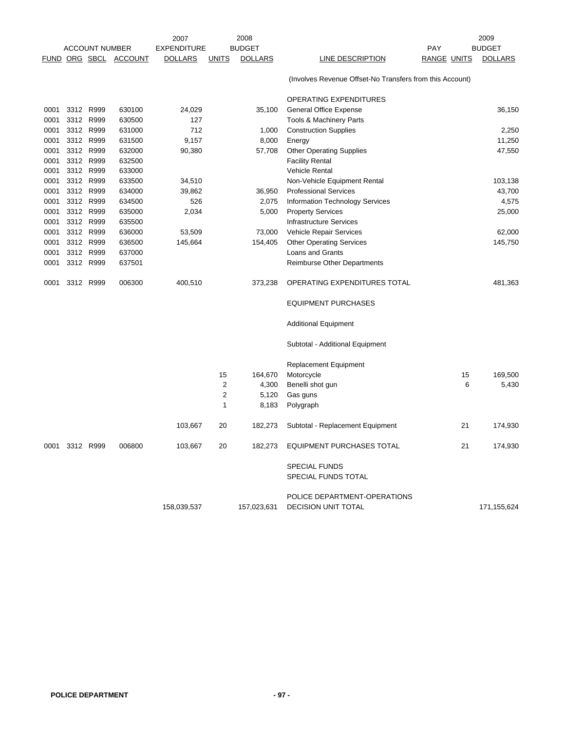|      |           |                       |                       | 2007               |                | 2008           |                                                            |             |    | 2009           |
|------|-----------|-----------------------|-----------------------|--------------------|----------------|----------------|------------------------------------------------------------|-------------|----|----------------|
|      |           | <b>ACCOUNT NUMBER</b> |                       | <b>EXPENDITURE</b> |                | <b>BUDGET</b>  |                                                            | <b>PAY</b>  |    | <b>BUDGET</b>  |
|      |           |                       | FUND ORG SBCL ACCOUNT | <b>DOLLARS</b>     | <b>UNITS</b>   | <b>DOLLARS</b> | LINE DESCRIPTION                                           | RANGE UNITS |    | <b>DOLLARS</b> |
|      |           |                       |                       |                    |                |                | (Involves Revenue Offset-No Transfers from this Account)   |             |    |                |
|      |           |                       |                       |                    |                |                | <b>OPERATING EXPENDITURES</b>                              |             |    |                |
| 0001 | 3312 R999 |                       | 630100                | 24,029             |                | 35,100         | <b>General Office Expense</b>                              |             |    | 36,150         |
| 0001 | 3312 R999 |                       | 630500                | 127                |                |                | Tools & Machinery Parts                                    |             |    |                |
| 0001 | 3312 R999 |                       | 631000                | 712                |                | 1,000          | <b>Construction Supplies</b>                               |             |    | 2,250          |
| 0001 | 3312 R999 |                       | 631500                | 9,157              |                | 8,000          | Energy                                                     |             |    | 11,250         |
| 0001 | 3312 R999 |                       | 632000                | 90,380             |                | 57,708         | <b>Other Operating Supplies</b>                            |             |    | 47,550         |
| 0001 | 3312 R999 |                       | 632500                |                    |                |                | <b>Facility Rental</b>                                     |             |    |                |
| 0001 | 3312 R999 |                       | 633000                |                    |                |                | <b>Vehicle Rental</b>                                      |             |    |                |
| 0001 | 3312 R999 |                       | 633500                | 34,510             |                |                | Non-Vehicle Equipment Rental                               |             |    | 103,138        |
| 0001 | 3312 R999 |                       | 634000                | 39,862             |                | 36,950         | <b>Professional Services</b>                               |             |    | 43,700         |
| 0001 | 3312 R999 |                       | 634500                | 526                |                | 2,075          | Information Technology Services                            |             |    | 4,575          |
| 0001 | 3312 R999 |                       | 635000                | 2,034              |                | 5,000          | <b>Property Services</b>                                   |             |    | 25,000         |
| 0001 | 3312 R999 |                       | 635500                |                    |                |                | <b>Infrastructure Services</b>                             |             |    |                |
| 0001 | 3312 R999 |                       | 636000                | 53,509             |                | 73,000         | Vehicle Repair Services                                    |             |    | 62,000         |
| 0001 | 3312 R999 |                       | 636500                | 145,664            |                | 154,405        | <b>Other Operating Services</b>                            |             |    | 145,750        |
| 0001 | 3312 R999 |                       | 637000                |                    |                |                | Loans and Grants                                           |             |    |                |
| 0001 | 3312 R999 |                       | 637501                |                    |                |                | Reimburse Other Departments                                |             |    |                |
| 0001 | 3312 R999 |                       | 006300                | 400,510            |                | 373,238        | OPERATING EXPENDITURES TOTAL                               |             |    | 481,363        |
|      |           |                       |                       |                    |                |                | <b>EQUIPMENT PURCHASES</b>                                 |             |    |                |
|      |           |                       |                       |                    |                |                | <b>Additional Equipment</b>                                |             |    |                |
|      |           |                       |                       |                    |                |                | Subtotal - Additional Equipment                            |             |    |                |
|      |           |                       |                       |                    |                |                | <b>Replacement Equipment</b>                               |             |    |                |
|      |           |                       |                       |                    | 15             | 164,670        | Motorcycle                                                 |             | 15 | 169,500        |
|      |           |                       |                       |                    | 2              | 4,300          | Benelli shot gun                                           |             | 6  | 5,430          |
|      |           |                       |                       |                    | $\overline{2}$ | 5,120          | Gas guns                                                   |             |    |                |
|      |           |                       |                       |                    | $\mathbf{1}$   | 8,183          | Polygraph                                                  |             |    |                |
|      |           |                       |                       | 103,667            | 20             | 182,273        | Subtotal - Replacement Equipment                           |             | 21 | 174,930        |
| 0001 | 3312 R999 |                       | 006800                | 103,667            | 20             | 182,273        | <b>EQUIPMENT PURCHASES TOTAL</b>                           |             | 21 | 174,930        |
|      |           |                       |                       |                    |                |                | <b>SPECIAL FUNDS</b><br>SPECIAL FUNDS TOTAL                |             |    |                |
|      |           |                       |                       |                    |                |                |                                                            |             |    |                |
|      |           |                       |                       | 158,039,537        |                | 157,023,631    | POLICE DEPARTMENT-OPERATIONS<br><b>DECISION UNIT TOTAL</b> |             |    | 171,155,624    |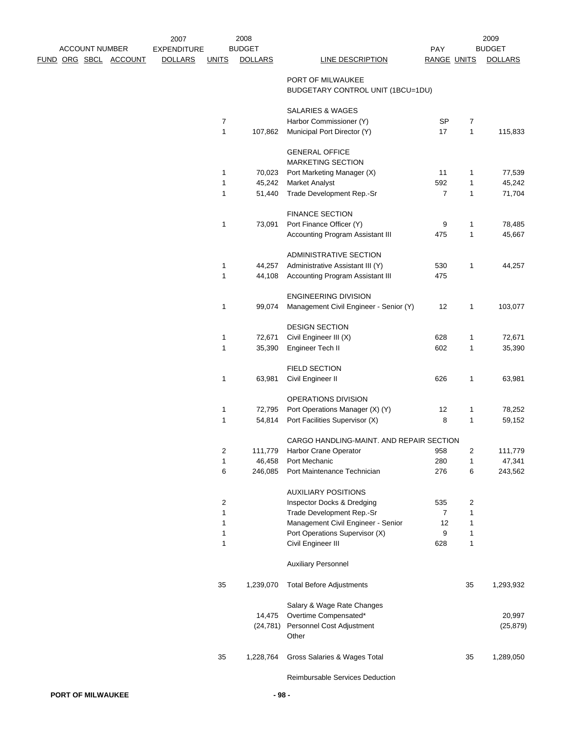|  |                       |                              | 2007               |                         | 2008           |                                                        |                    |                         | 2009           |
|--|-----------------------|------------------------------|--------------------|-------------------------|----------------|--------------------------------------------------------|--------------------|-------------------------|----------------|
|  | <b>ACCOUNT NUMBER</b> |                              | <b>EXPENDITURE</b> |                         | <b>BUDGET</b>  |                                                        | PAY                |                         | <b>BUDGET</b>  |
|  |                       | <u>FUND ORG SBCL ACCOUNT</u> | <b>DOLLARS</b>     | <b>UNITS</b>            | <b>DOLLARS</b> | <b>LINE DESCRIPTION</b>                                | <b>RANGE UNITS</b> |                         | <b>DOLLARS</b> |
|  |                       |                              |                    |                         |                | PORT OF MILWAUKEE<br>BUDGETARY CONTROL UNIT (1BCU=1DU) |                    |                         |                |
|  |                       |                              |                    |                         |                | SALARIES & WAGES                                       |                    |                         |                |
|  |                       |                              |                    | $\overline{7}$          |                | Harbor Commissioner (Y)                                | <b>SP</b>          | $\overline{7}$          |                |
|  |                       |                              |                    | $\mathbf{1}$            | 107,862        | Municipal Port Director (Y)                            | 17                 | $\mathbf{1}$            | 115,833        |
|  |                       |                              |                    |                         |                | <b>GENERAL OFFICE</b><br>MARKETING SECTION             |                    |                         |                |
|  |                       |                              |                    | 1                       | 70,023         | Port Marketing Manager (X)                             | 11                 | 1                       | 77,539         |
|  |                       |                              |                    | 1                       | 45,242         | <b>Market Analyst</b>                                  | 592                | 1                       | 45,242         |
|  |                       |                              |                    | 1                       | 51,440         | Trade Development Rep.-Sr                              | $\overline{7}$     | 1                       | 71,704         |
|  |                       |                              |                    |                         |                |                                                        |                    |                         |                |
|  |                       |                              |                    |                         |                | <b>FINANCE SECTION</b>                                 |                    |                         |                |
|  |                       |                              |                    | 1                       | 73,091         | Port Finance Officer (Y)                               | 9                  | 1                       | 78,485         |
|  |                       |                              |                    |                         |                | Accounting Program Assistant III                       | 475                | 1                       | 45,667         |
|  |                       |                              |                    |                         |                | ADMINISTRATIVE SECTION                                 |                    |                         |                |
|  |                       |                              |                    | 1                       | 44,257         | Administrative Assistant III (Y)                       | 530                | 1                       | 44,257         |
|  |                       |                              |                    | $\mathbf{1}$            | 44,108         | Accounting Program Assistant III                       | 475                |                         |                |
|  |                       |                              |                    |                         |                | <b>ENGINEERING DIVISION</b>                            |                    |                         |                |
|  |                       |                              |                    | 1                       | 99,074         | Management Civil Engineer - Senior (Y)                 | 12                 | 1                       | 103,077        |
|  |                       |                              |                    |                         |                | <b>DESIGN SECTION</b>                                  |                    |                         |                |
|  |                       |                              |                    | 1                       | 72,671         | Civil Engineer III (X)                                 | 628                | 1                       | 72,671         |
|  |                       |                              |                    | 1                       | 35,390         | Engineer Tech II                                       | 602                | 1                       | 35,390         |
|  |                       |                              |                    |                         |                |                                                        |                    |                         |                |
|  |                       |                              |                    |                         |                | <b>FIELD SECTION</b>                                   |                    |                         |                |
|  |                       |                              |                    | 1                       | 63,981         | Civil Engineer II                                      | 626                | 1                       | 63,981         |
|  |                       |                              |                    |                         |                | OPERATIONS DIVISION                                    |                    |                         |                |
|  |                       |                              |                    | 1                       | 72,795         | Port Operations Manager (X) (Y)                        | 12                 | 1                       | 78,252         |
|  |                       |                              |                    | $\mathbf{1}$            | 54,814         | Port Facilities Supervisor (X)                         | 8                  | 1                       | 59,152         |
|  |                       |                              |                    |                         |                | CARGO HANDLING-MAINT. AND REPAIR SECTION               |                    |                         |                |
|  |                       |                              |                    | $\overline{\mathbf{c}}$ | 111,779        | Harbor Crane Operator                                  | 958                | $\overline{\mathbf{c}}$ | 111,779        |
|  |                       |                              |                    | $\mathbf{1}$            | 46,458         | Port Mechanic                                          | 280                | 1                       | 47,341         |
|  |                       |                              |                    | 6                       | 246,085        | Port Maintenance Technician                            | 276                | 6                       | 243,562        |
|  |                       |                              |                    |                         |                |                                                        |                    |                         |                |
|  |                       |                              |                    |                         |                | <b>AUXILIARY POSITIONS</b>                             |                    |                         |                |
|  |                       |                              |                    | 2                       |                | Inspector Docks & Dredging                             | 535                | 2                       |                |
|  |                       |                              |                    | 1                       |                | Trade Development Rep.-Sr                              | $\overline{7}$     | 1                       |                |
|  |                       |                              |                    | 1                       |                | Management Civil Engineer - Senior                     | 12                 | 1                       |                |
|  |                       |                              |                    | 1<br>1                  |                | Port Operations Supervisor (X)                         | 9<br>628           | 1                       |                |
|  |                       |                              |                    |                         |                | Civil Engineer III                                     |                    | 1                       |                |
|  |                       |                              |                    |                         |                | <b>Auxiliary Personnel</b>                             |                    |                         |                |
|  |                       |                              |                    | 35                      | 1,239,070      | <b>Total Before Adjustments</b>                        |                    | 35                      | 1,293,932      |
|  |                       |                              |                    |                         |                | Salary & Wage Rate Changes                             |                    |                         |                |
|  |                       |                              |                    |                         | 14,475         | Overtime Compensated*                                  |                    |                         | 20,997         |
|  |                       |                              |                    |                         | (24, 781)      | Personnel Cost Adjustment                              |                    |                         | (25, 879)      |
|  |                       |                              |                    |                         |                | Other                                                  |                    |                         |                |
|  |                       |                              |                    | 35                      | 1,228,764      | Gross Salaries & Wages Total                           |                    | 35                      | 1,289,050      |
|  |                       |                              |                    |                         |                |                                                        |                    |                         |                |
|  |                       |                              |                    |                         |                |                                                        |                    |                         |                |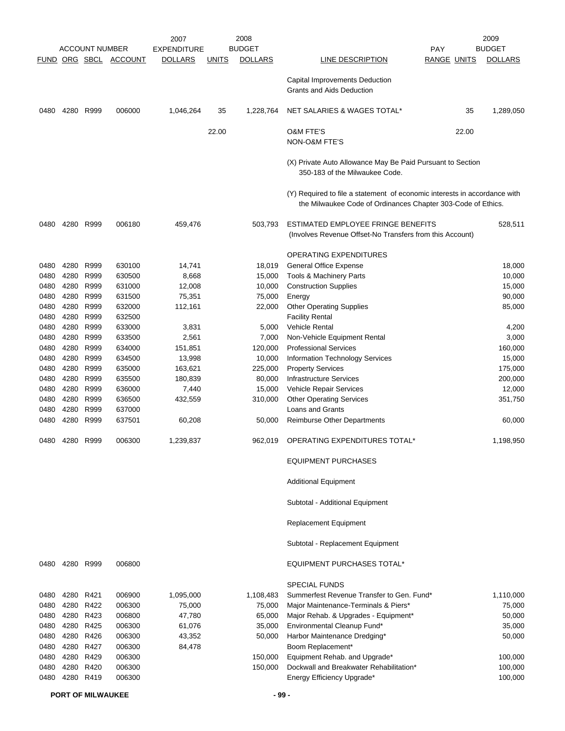|               |           |                       |         | 2007               |              | 2008           |                                                                                                                                           | 2009           |
|---------------|-----------|-----------------------|---------|--------------------|--------------|----------------|-------------------------------------------------------------------------------------------------------------------------------------------|----------------|
|               |           | <b>ACCOUNT NUMBER</b> |         | <b>EXPENDITURE</b> |              | <b>BUDGET</b>  | <b>PAY</b>                                                                                                                                | <b>BUDGET</b>  |
| FUND ORG SBCL |           |                       | ACCOUNT | <b>DOLLARS</b>     | <u>UNITS</u> | <b>DOLLARS</b> | LINE DESCRIPTION<br><b>RANGE UNITS</b>                                                                                                    | <b>DOLLARS</b> |
|               |           |                       |         |                    |              |                | Capital Improvements Deduction<br><b>Grants and Aids Deduction</b>                                                                        |                |
| 0480          | 4280 R999 |                       | 006000  | 1,046,264          | 35           | 1,228,764      | NET SALARIES & WAGES TOTAL*<br>35                                                                                                         | 1,289,050      |
|               |           |                       |         |                    | 22.00        |                | <b>O&amp;M FTE'S</b><br>22.00<br><b>NON-O&amp;M FTE'S</b>                                                                                 |                |
|               |           |                       |         |                    |              |                | (X) Private Auto Allowance May Be Paid Pursuant to Section<br>350-183 of the Milwaukee Code.                                              |                |
|               |           |                       |         |                    |              |                | (Y) Required to file a statement of economic interests in accordance with<br>the Milwaukee Code of Ordinances Chapter 303-Code of Ethics. |                |
| 0480          | 4280 R999 |                       | 006180  | 459,476            |              | 503,793        | ESTIMATED EMPLOYEE FRINGE BENEFITS<br>(Involves Revenue Offset-No Transfers from this Account)                                            | 528,511        |
|               |           |                       |         |                    |              |                | OPERATING EXPENDITURES                                                                                                                    |                |
| 0480          | 4280      | R999                  | 630100  | 14,741             |              | 18,019         | General Office Expense                                                                                                                    | 18,000         |
| 0480          | 4280      | R999                  | 630500  | 8,668              |              | 15,000         | Tools & Machinery Parts                                                                                                                   | 10,000         |
| 0480          | 4280      | R999                  | 631000  | 12,008             |              | 10,000         | <b>Construction Supplies</b>                                                                                                              | 15,000         |
| 0480          | 4280      | R999                  | 631500  | 75,351             |              | 75,000         | Energy                                                                                                                                    | 90,000         |
| 0480          | 4280      | R999                  | 632000  | 112,161            |              | 22,000         | <b>Other Operating Supplies</b>                                                                                                           | 85,000         |
| 0480          | 4280      | R999                  | 632500  |                    |              |                | <b>Facility Rental</b>                                                                                                                    |                |
| 0480          | 4280      | R999                  | 633000  | 3,831              |              | 5,000          | <b>Vehicle Rental</b>                                                                                                                     | 4,200          |
| 0480          | 4280      | R999                  | 633500  | 2,561              |              | 7,000          | Non-Vehicle Equipment Rental                                                                                                              | 3,000          |
| 0480          | 4280      | R999                  | 634000  | 151,851            |              | 120,000        | <b>Professional Services</b>                                                                                                              | 160,000        |
| 0480          | 4280      | R999                  | 634500  | 13,998             |              | 10,000         | Information Technology Services                                                                                                           | 15,000         |
| 0480          | 4280      | R999                  | 635000  | 163,621            |              | 225,000        | <b>Property Services</b>                                                                                                                  | 175,000        |
| 0480          | 4280      | R999                  | 635500  | 180,839            |              | 80,000         | <b>Infrastructure Services</b>                                                                                                            | 200,000        |
| 0480          | 4280      | R999                  | 636000  | 7,440              |              | 15,000         | Vehicle Repair Services                                                                                                                   | 12,000         |
| 0480          | 4280      | R999                  | 636500  | 432,559            |              | 310,000        | <b>Other Operating Services</b>                                                                                                           | 351,750        |
| 0480          | 4280      | R999                  | 637000  |                    |              |                | <b>Loans and Grants</b>                                                                                                                   |                |
| 0480          | 4280      | R999                  | 637501  | 60,208             |              | 50,000         | Reimburse Other Departments                                                                                                               | 60,000         |
| 0480          | 4280      | R999                  | 006300  | 1,239,837          |              | 962,019        | OPERATING EXPENDITURES TOTAL*                                                                                                             | 1,198,950      |
|               |           |                       |         |                    |              |                | <b>EQUIPMENT PURCHASES</b>                                                                                                                |                |
|               |           |                       |         |                    |              |                | <b>Additional Equipment</b>                                                                                                               |                |
|               |           |                       |         |                    |              |                | Subtotal - Additional Equipment                                                                                                           |                |
|               |           |                       |         |                    |              |                | Replacement Equipment                                                                                                                     |                |
|               |           |                       |         |                    |              |                | Subtotal - Replacement Equipment                                                                                                          |                |
| 0480          | 4280 R999 |                       | 006800  |                    |              |                | EQUIPMENT PURCHASES TOTAL*                                                                                                                |                |
|               |           |                       |         |                    |              |                | <b>SPECIAL FUNDS</b>                                                                                                                      |                |
| 0480          | 4280 R421 |                       | 006900  | 1,095,000          |              | 1,108,483      | Summerfest Revenue Transfer to Gen. Fund*                                                                                                 | 1,110,000      |
| 0480          | 4280 R422 |                       | 006300  | 75,000             |              | 75,000         | Major Maintenance-Terminals & Piers*                                                                                                      | 75,000         |
| 0480          | 4280 R423 |                       | 006800  | 47,780             |              | 65,000         | Major Rehab. & Upgrades - Equipment*                                                                                                      | 50,000         |
| 0480          | 4280 R425 |                       | 006300  | 61,076             |              | 35,000         | Environmental Cleanup Fund*                                                                                                               | 35,000         |
| 0480          | 4280 R426 |                       | 006300  | 43,352             |              | 50,000         | Harbor Maintenance Dredging*                                                                                                              | 50,000         |
| 0480          | 4280 R427 |                       | 006300  | 84,478             |              |                | Boom Replacement*                                                                                                                         |                |
| 0480          | 4280 R429 |                       | 006300  |                    |              | 150,000        | Equipment Rehab. and Upgrade*                                                                                                             | 100,000        |
| 0480          |           | 4280 R420             | 006300  |                    |              | 150,000        | Dockwall and Breakwater Rehabilitation*                                                                                                   | 100,000        |
| 0480          | 4280 R419 |                       | 006300  |                    |              |                | Energy Efficiency Upgrade*                                                                                                                | 100,000        |

**PORT OF MILWAUKEE 499 - 499 - 400 - 400 - 400 - 400 - 400 - 400 - 400 - 400 - 400 - 400 - 400 - 400 - 400 - 400 - 400 - 400 - 400 - 400 - 400 - 400 - 400 - 400 - 400 - 400 - 400 - 400 - 400 - 400 - 400 - 400 - 400 - 400 -**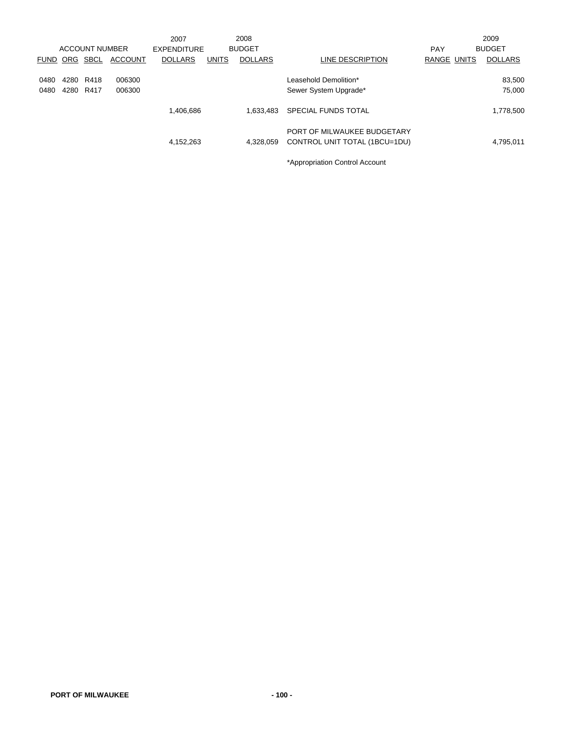|             |            |                       |                | 2007               |              | 2008           |                               |             | 2009           |
|-------------|------------|-----------------------|----------------|--------------------|--------------|----------------|-------------------------------|-------------|----------------|
|             |            | <b>ACCOUNT NUMBER</b> |                | <b>EXPENDITURE</b> |              | <b>BUDGET</b>  |                               | <b>PAY</b>  | <b>BUDGET</b>  |
| <b>FUND</b> | <b>ORG</b> | SBCL                  | <b>ACCOUNT</b> | <b>DOLLARS</b>     | <b>UNITS</b> | <b>DOLLARS</b> | LINE DESCRIPTION              | RANGE UNITS | <b>DOLLARS</b> |
|             |            |                       |                |                    |              |                |                               |             |                |
| 0480        | 4280       | R418                  | 006300         |                    |              |                | Leasehold Demolition*         |             | 83,500         |
| 0480        | 4280       | R417                  | 006300         |                    |              |                | Sewer System Upgrade*         |             | 75,000         |
|             |            |                       |                |                    |              |                |                               |             |                |
|             |            |                       |                | 1,406,686          |              | 1.633.483      | <b>SPECIAL FUNDS TOTAL</b>    |             | 1,778,500      |
|             |            |                       |                |                    |              |                |                               |             |                |
|             |            |                       |                |                    |              |                | PORT OF MILWAUKEE BUDGETARY   |             |                |
|             |            |                       |                | 4,152,263          |              | 4,328,059      | CONTROL UNIT TOTAL (1BCU=1DU) |             | 4,795,011      |
|             |            |                       |                |                    |              |                |                               |             |                |

\*Appropriation Control Account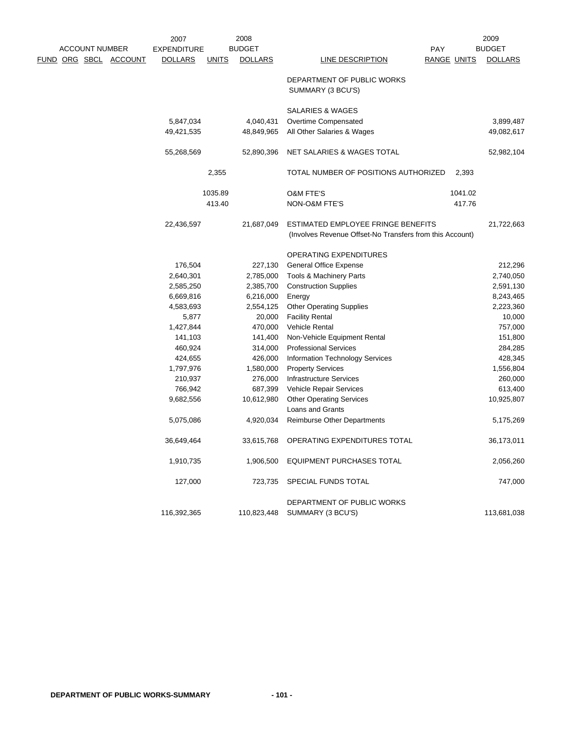|  |                       |                              | 2007                   |              | 2008                   |                                                                                                |             | 2009                   |
|--|-----------------------|------------------------------|------------------------|--------------|------------------------|------------------------------------------------------------------------------------------------|-------------|------------------------|
|  | <b>ACCOUNT NUMBER</b> |                              | <b>EXPENDITURE</b>     |              | <b>BUDGET</b>          |                                                                                                | <b>PAY</b>  | <b>BUDGET</b>          |
|  |                       | <u>FUND ORG SBCL ACCOUNT</u> | <b>DOLLARS</b>         | <b>UNITS</b> | <b>DOLLARS</b>         | LINE DESCRIPTION                                                                               | RANGE UNITS | <b>DOLLARS</b>         |
|  |                       |                              |                        |              |                        | DEPARTMENT OF PUBLIC WORKS<br>SUMMARY (3 BCU'S)                                                |             |                        |
|  |                       |                              |                        |              |                        | SALARIES & WAGES                                                                               |             |                        |
|  |                       |                              | 5,847,034              |              | 4,040,431              | Overtime Compensated                                                                           |             | 3,899,487              |
|  |                       |                              | 49,421,535             |              | 48,849,965             | All Other Salaries & Wages                                                                     |             | 49,082,617             |
|  |                       |                              | 55,268,569             |              | 52,890,396             | NET SALARIES & WAGES TOTAL                                                                     |             | 52,982,104             |
|  |                       |                              |                        | 2,355        |                        | TOTAL NUMBER OF POSITIONS AUTHORIZED                                                           | 2,393       |                        |
|  |                       |                              |                        | 1035.89      |                        | <b>O&amp;M FTE'S</b>                                                                           | 1041.02     |                        |
|  |                       |                              |                        | 413.40       |                        | NON-O&M FTE'S                                                                                  | 417.76      |                        |
|  |                       |                              | 22,436,597             |              | 21,687,049             | ESTIMATED EMPLOYEE FRINGE BENEFITS<br>(Involves Revenue Offset-No Transfers from this Account) |             | 21,722,663             |
|  |                       |                              |                        |              |                        |                                                                                                |             |                        |
|  |                       |                              |                        |              |                        | <b>OPERATING EXPENDITURES</b>                                                                  |             |                        |
|  |                       |                              | 176,504                |              | 227,130                | <b>General Office Expense</b>                                                                  |             | 212,296                |
|  |                       |                              | 2,640,301              |              | 2,785,000              | Tools & Machinery Parts                                                                        |             | 2,740,050              |
|  |                       |                              | 2,585,250              |              | 2,385,700<br>6,216,000 | <b>Construction Supplies</b>                                                                   |             | 2,591,130              |
|  |                       |                              | 6,669,816<br>4,583,693 |              | 2,554,125              | Energy<br><b>Other Operating Supplies</b>                                                      |             | 8,243,465<br>2,223,360 |
|  |                       |                              | 5,877                  |              | 20,000                 | <b>Facility Rental</b>                                                                         |             | 10,000                 |
|  |                       |                              | 1,427,844              |              | 470,000                | <b>Vehicle Rental</b>                                                                          |             | 757,000                |
|  |                       |                              | 141,103                |              | 141,400                | Non-Vehicle Equipment Rental                                                                   |             | 151,800                |
|  |                       |                              | 460,924                |              | 314,000                | <b>Professional Services</b>                                                                   |             | 284,285                |
|  |                       |                              | 424,655                |              | 426,000                | Information Technology Services                                                                |             | 428,345                |
|  |                       |                              | 1,797,976              |              | 1,580,000              | <b>Property Services</b>                                                                       |             | 1,556,804              |
|  |                       |                              | 210,937                |              | 276,000                | <b>Infrastructure Services</b>                                                                 |             | 260,000                |
|  |                       |                              | 766,942                |              | 687,399                | Vehicle Repair Services                                                                        |             | 613,400                |
|  |                       |                              | 9,682,556              |              | 10,612,980             | <b>Other Operating Services</b>                                                                |             | 10,925,807             |
|  |                       |                              |                        |              |                        | Loans and Grants                                                                               |             |                        |
|  |                       |                              | 5,075,086              |              | 4,920,034              | <b>Reimburse Other Departments</b>                                                             |             | 5,175,269              |
|  |                       |                              | 36,649,464             |              | 33,615,768             | OPERATING EXPENDITURES TOTAL                                                                   |             | 36,173,011             |
|  |                       |                              | 1,910,735              |              | 1,906,500              | <b>EQUIPMENT PURCHASES TOTAL</b>                                                               |             | 2,056,260              |
|  |                       |                              | 127,000                |              | 723,735                | SPECIAL FUNDS TOTAL                                                                            |             | 747,000                |
|  |                       |                              |                        |              |                        | DEPARTMENT OF PUBLIC WORKS                                                                     |             |                        |
|  |                       |                              | 116,392,365            |              | 110,823,448            | SUMMARY (3 BCU'S)                                                                              |             | 113,681,038            |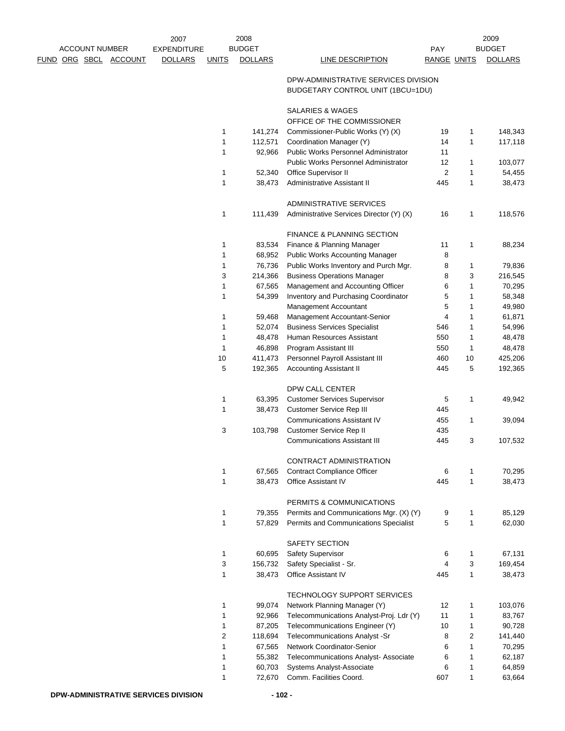|  |                       |                       | 2007               |                | 2008               |                                                                           |                     |                   | 2009               |
|--|-----------------------|-----------------------|--------------------|----------------|--------------------|---------------------------------------------------------------------------|---------------------|-------------------|--------------------|
|  | <b>ACCOUNT NUMBER</b> |                       | <b>EXPENDITURE</b> |                | <b>BUDGET</b>      |                                                                           | <b>PAY</b>          |                   | <b>BUDGET</b>      |
|  |                       | FUND ORG SBCL ACCOUNT | <b>DOLLARS</b>     | <b>UNITS</b>   | <b>DOLLARS</b>     | LINE DESCRIPTION                                                          | <b>RANGE UNITS</b>  |                   | <b>DOLLARS</b>     |
|  |                       |                       |                    |                |                    | DPW-ADMINISTRATIVE SERVICES DIVISION<br>BUDGETARY CONTROL UNIT (1BCU=1DU) |                     |                   |                    |
|  |                       |                       |                    |                |                    | SALARIES & WAGES                                                          |                     |                   |                    |
|  |                       |                       |                    |                |                    | OFFICE OF THE COMMISSIONER                                                |                     |                   |                    |
|  |                       |                       |                    | 1              | 141,274            | Commissioner-Public Works (Y) (X)                                         | 19                  | 1                 | 148,343            |
|  |                       |                       |                    | 1              | 112,571            | Coordination Manager (Y)                                                  | 14                  | 1                 | 117,118            |
|  |                       |                       |                    | 1              | 92,966             | Public Works Personnel Administrator                                      | 11                  |                   |                    |
|  |                       |                       |                    | 1              | 52,340             | Public Works Personnel Administrator<br>Office Supervisor II              | 12<br>2             | 1<br>1            | 103,077<br>54,455  |
|  |                       |                       |                    | 1              | 38,473             | Administrative Assistant II                                               | 445                 | 1                 | 38,473             |
|  |                       |                       |                    |                |                    |                                                                           |                     |                   |                    |
|  |                       |                       |                    |                |                    | ADMINISTRATIVE SERVICES                                                   |                     |                   |                    |
|  |                       |                       |                    | 1              | 111,439            | Administrative Services Director (Y) (X)                                  | 16                  | 1                 | 118,576            |
|  |                       |                       |                    |                |                    | <b>FINANCE &amp; PLANNING SECTION</b>                                     |                     |                   |                    |
|  |                       |                       |                    | 1              | 83,534             | Finance & Planning Manager                                                | 11                  | 1                 | 88,234             |
|  |                       |                       |                    | 1              | 68,952             | <b>Public Works Accounting Manager</b>                                    | 8                   |                   |                    |
|  |                       |                       |                    | 1              | 76,736             | Public Works Inventory and Purch Mgr.                                     | 8                   | 1                 | 79,836             |
|  |                       |                       |                    | 3              | 214,366            | <b>Business Operations Manager</b>                                        | 8                   | 3                 | 216,545            |
|  |                       |                       |                    | 1              | 67,565             | Management and Accounting Officer                                         | 6                   | 1                 | 70,295             |
|  |                       |                       |                    | 1              | 54,399             | Inventory and Purchasing Coordinator                                      | 5                   | 1                 | 58,348             |
|  |                       |                       |                    |                |                    | Management Accountant                                                     | 5                   | 1                 | 49,980             |
|  |                       |                       |                    | 1              | 59,468             | Management Accountant-Senior                                              | 4                   | 1                 | 61,871             |
|  |                       |                       |                    | 1              | 52,074             | <b>Business Services Specialist</b>                                       | 546                 | 1                 | 54,996             |
|  |                       |                       |                    | 1              | 48,478             | Human Resources Assistant                                                 | 550                 | 1                 | 48,478             |
|  |                       |                       |                    | 1              | 46,898             | Program Assistant III                                                     | 550                 | 1                 | 48,478             |
|  |                       |                       |                    | 10<br>5        | 411,473<br>192,365 | Personnel Payroll Assistant III<br><b>Accounting Assistant II</b>         | 460<br>445          | 10<br>5           | 425,206<br>192,365 |
|  |                       |                       |                    |                |                    |                                                                           |                     |                   |                    |
|  |                       |                       |                    |                |                    | DPW CALL CENTER                                                           |                     |                   |                    |
|  |                       |                       |                    | 1              | 63,395             | <b>Customer Services Supervisor</b>                                       | 5                   | 1                 | 49,942             |
|  |                       |                       |                    | 1              | 38,473             | Customer Service Rep III                                                  | 445                 |                   |                    |
|  |                       |                       |                    |                |                    | <b>Communications Assistant IV</b>                                        | 455                 | 1                 | 39,094             |
|  |                       |                       |                    | 3              | 103,798            | Customer Service Rep II                                                   | 435                 |                   |                    |
|  |                       |                       |                    |                |                    | <b>Communications Assistant III</b>                                       | 445                 | 3                 | 107,532            |
|  |                       |                       |                    |                |                    | CONTRACT ADMINISTRATION                                                   |                     |                   |                    |
|  |                       |                       |                    | 1              | 67,565             | <b>Contract Compliance Officer</b>                                        | 6                   | 1                 | 70,295             |
|  |                       |                       |                    | 1              | 38,473             | Office Assistant IV                                                       | 445                 | 1                 | 38,473             |
|  |                       |                       |                    |                |                    | PERMITS & COMMUNICATIONS                                                  |                     |                   |                    |
|  |                       |                       |                    | 1              | 79,355             | Permits and Communications Mgr. (X) (Y)                                   | 9                   | 1                 | 85,129             |
|  |                       |                       |                    | 1              | 57,829             | Permits and Communications Specialist                                     | 5                   | 1                 | 62,030             |
|  |                       |                       |                    |                |                    |                                                                           |                     |                   |                    |
|  |                       |                       |                    |                |                    | SAFETY SECTION                                                            |                     |                   |                    |
|  |                       |                       |                    | 1              | 60,695<br>156,732  | Safety Supervisor                                                         | 6<br>$\overline{4}$ | 1                 | 67,131<br>169,454  |
|  |                       |                       |                    | 3<br>1         | 38,473             | Safety Specialist - Sr.<br>Office Assistant IV                            | 445                 | 3<br>$\mathbf{1}$ | 38,473             |
|  |                       |                       |                    |                |                    |                                                                           |                     |                   |                    |
|  |                       |                       |                    |                |                    | <b>TECHNOLOGY SUPPORT SERVICES</b>                                        |                     |                   |                    |
|  |                       |                       |                    | 1              | 99,074             | Network Planning Manager (Y)                                              | 12                  | 1                 | 103,076            |
|  |                       |                       |                    | 1              | 92,966             | Telecommunications Analyst-Proj. Ldr (Y)                                  | 11                  | 1                 | 83,767             |
|  |                       |                       |                    | 1              | 87,205             | Telecommunications Engineer (Y)                                           | 10                  | 1                 | 90,728             |
|  |                       |                       |                    | $\overline{2}$ | 118,694            | Telecommunications Analyst -Sr                                            | 8                   | $\overline{c}$    | 141,440            |
|  |                       |                       |                    | 1              | 67,565             | Network Coordinator-Senior                                                | 6                   | 1                 | 70,295             |
|  |                       |                       |                    | 1<br>1         | 55,382<br>60,703   | Telecommunications Analyst- Associate                                     | 6<br>6              | 1                 | 62,187             |
|  |                       |                       |                    | 1              | 72,670             | Systems Analyst-Associate<br>Comm. Facilities Coord.                      | 607                 | 1<br>1            | 64,859<br>63,664   |
|  |                       |                       |                    |                |                    |                                                                           |                     |                   |                    |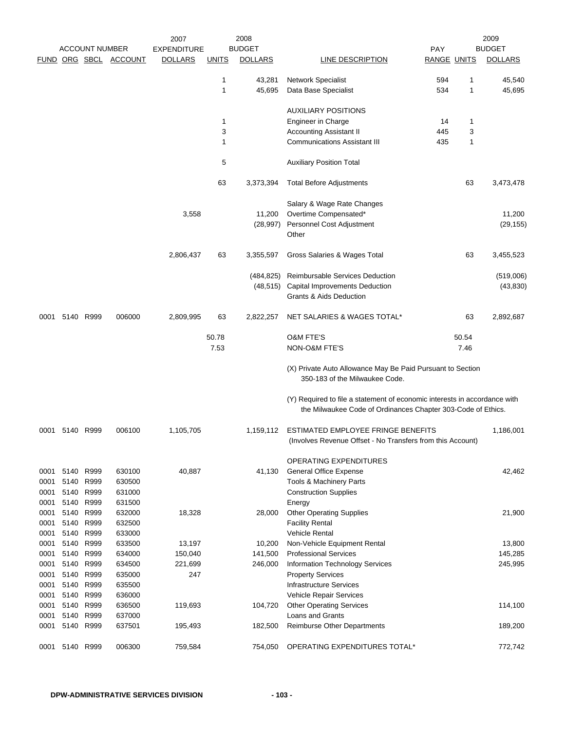|              |      | <b>ACCOUNT NUMBER</b>  |                       | 2007<br><b>EXPENDITURE</b> |              | 2008<br><b>BUDGET</b> |                                                                                                                                           | PAY                |       | 2009<br><b>BUDGET</b> |
|--------------|------|------------------------|-----------------------|----------------------------|--------------|-----------------------|-------------------------------------------------------------------------------------------------------------------------------------------|--------------------|-------|-----------------------|
|              |      |                        | FUND ORG SBCL ACCOUNT | <b>DOLLARS</b>             | <b>UNITS</b> | <b>DOLLARS</b>        | <b>LINE DESCRIPTION</b>                                                                                                                   | <b>RANGE UNITS</b> |       | <b>DOLLARS</b>        |
|              |      |                        |                       |                            | 1            | 43,281                | Network Specialist                                                                                                                        | 594                | 1     | 45,540                |
|              |      |                        |                       |                            | 1            | 45,695                | Data Base Specialist                                                                                                                      | 534                | 1     | 45,695                |
|              |      |                        |                       |                            |              |                       | <b>AUXILIARY POSITIONS</b>                                                                                                                |                    |       |                       |
|              |      |                        |                       |                            | 1            |                       | Engineer in Charge                                                                                                                        | 14                 | 1     |                       |
|              |      |                        |                       |                            | 3            |                       | <b>Accounting Assistant II</b>                                                                                                            | 445                | 3     |                       |
|              |      |                        |                       |                            | 1            |                       | <b>Communications Assistant III</b>                                                                                                       | 435                | 1     |                       |
|              |      |                        |                       |                            | 5            |                       | <b>Auxiliary Position Total</b>                                                                                                           |                    |       |                       |
|              |      |                        |                       |                            | 63           | 3,373,394             | <b>Total Before Adjustments</b>                                                                                                           |                    | 63    | 3,473,478             |
|              |      |                        |                       |                            |              |                       | Salary & Wage Rate Changes                                                                                                                |                    |       |                       |
|              |      |                        |                       | 3,558                      |              | 11,200                | Overtime Compensated*                                                                                                                     |                    |       | 11,200                |
|              |      |                        |                       |                            |              | (28, 997)             | Personnel Cost Adjustment                                                                                                                 |                    |       | (29, 155)             |
|              |      |                        |                       |                            |              |                       | Other                                                                                                                                     |                    |       |                       |
|              |      |                        |                       | 2,806,437                  | 63           | 3,355,597             | Gross Salaries & Wages Total                                                                                                              |                    | 63    | 3,455,523             |
|              |      |                        |                       |                            |              | (484, 825)            | Reimbursable Services Deduction                                                                                                           |                    |       | (519,006)             |
|              |      |                        |                       |                            |              | (48, 515)             | Capital Improvements Deduction                                                                                                            |                    |       | (43, 830)             |
|              |      |                        |                       |                            |              |                       | <b>Grants &amp; Aids Deduction</b>                                                                                                        |                    |       |                       |
| 0001         |      | 5140 R999              | 006000                | 2,809,995                  | 63           | 2,822,257             | NET SALARIES & WAGES TOTAL*                                                                                                               |                    | 63    | 2,892,687             |
|              |      |                        |                       |                            | 50.78        |                       | <b>O&amp;M FTE'S</b>                                                                                                                      |                    | 50.54 |                       |
|              |      |                        |                       |                            | 7.53         |                       | NON-O&M FTE'S                                                                                                                             |                    | 7.46  |                       |
|              |      |                        |                       |                            |              |                       | (X) Private Auto Allowance May Be Paid Pursuant to Section<br>350-183 of the Milwaukee Code.                                              |                    |       |                       |
|              |      |                        |                       |                            |              |                       | (Y) Required to file a statement of economic interests in accordance with<br>the Milwaukee Code of Ordinances Chapter 303-Code of Ethics. |                    |       |                       |
| 0001         |      | 5140 R999              | 006100                | 1,105,705                  |              | 1,159,112             | ESTIMATED EMPLOYEE FRINGE BENEFITS<br>(Involves Revenue Offset - No Transfers from this Account)                                          |                    |       | 1,186,001             |
|              |      |                        |                       |                            |              |                       | <b>OPERATING EXPENDITURES</b>                                                                                                             |                    |       |                       |
| 0001         |      | 5140 R999              | 630100                | 40,887                     |              | 41,130                | <b>General Office Expense</b>                                                                                                             |                    |       | 42,462                |
| 0001         | 5140 | R999                   | 630500                |                            |              |                       | Tools & Machinery Parts                                                                                                                   |                    |       |                       |
| 0001         | 5140 | R999                   | 631000                |                            |              |                       | <b>Construction Supplies</b>                                                                                                              |                    |       |                       |
| 0001         | 5140 | R999                   | 631500                |                            |              |                       | Energy                                                                                                                                    |                    |       |                       |
| 0001         | 5140 | R999                   | 632000                | 18,328                     |              | 28,000                | <b>Other Operating Supplies</b>                                                                                                           |                    |       | 21,900                |
| 0001         | 5140 | R999                   | 632500                |                            |              |                       | <b>Facility Rental</b>                                                                                                                    |                    |       |                       |
| 0001         | 5140 | R999                   | 633000                |                            |              |                       | <b>Vehicle Rental</b>                                                                                                                     |                    |       |                       |
| 0001         | 5140 | R999                   | 633500                | 13,197                     |              | 10,200                | Non-Vehicle Equipment Rental                                                                                                              |                    |       | 13,800                |
| 0001         | 5140 | R999                   | 634000                | 150,040                    |              | 141,500               | <b>Professional Services</b>                                                                                                              |                    |       | 145,285               |
| 0001         | 5140 | R999                   | 634500                | 221,699                    |              | 246,000               | Information Technology Services                                                                                                           |                    |       | 245,995               |
| 0001         | 5140 | R999                   | 635000                | 247                        |              |                       | <b>Property Services</b>                                                                                                                  |                    |       |                       |
| 0001         | 5140 | R999                   | 635500                |                            |              |                       | <b>Infrastructure Services</b>                                                                                                            |                    |       |                       |
| 0001         | 5140 | R999                   | 636000                |                            |              |                       | Vehicle Repair Services                                                                                                                   |                    |       |                       |
| 0001         | 5140 | R999                   | 636500<br>637000      | 119,693                    |              | 104,720               | <b>Other Operating Services</b><br>Loans and Grants                                                                                       |                    |       | 114,100               |
| 0001<br>0001 |      | 5140 R999<br>5140 R999 | 637501                | 195,493                    |              | 182,500               | <b>Reimburse Other Departments</b>                                                                                                        |                    |       | 189,200               |
|              |      |                        |                       |                            |              |                       |                                                                                                                                           |                    |       |                       |
| 0001         | 5140 | R999                   | 006300                | 759,584                    |              | 754,050               | OPERATING EXPENDITURES TOTAL*                                                                                                             |                    |       | 772,742               |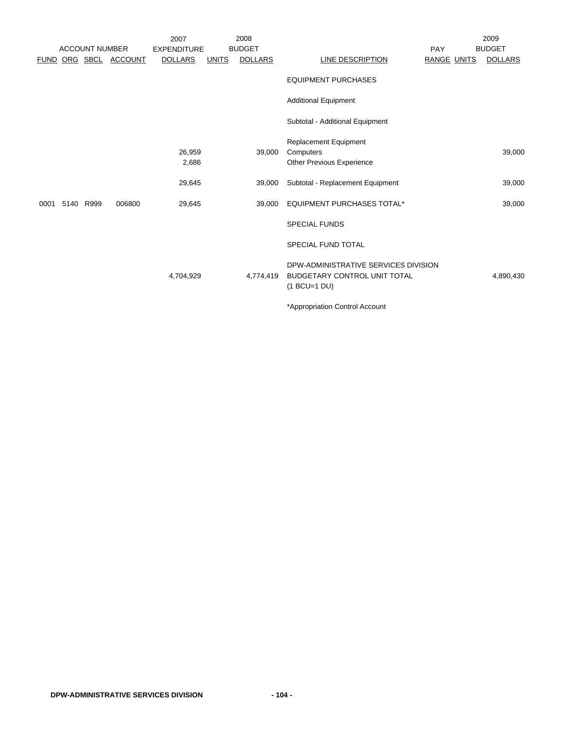|             |                       |                  | 2007               |              | 2008           |                                                                                        |                    | 2009           |
|-------------|-----------------------|------------------|--------------------|--------------|----------------|----------------------------------------------------------------------------------------|--------------------|----------------|
|             | <b>ACCOUNT NUMBER</b> |                  | <b>EXPENDITURE</b> |              | <b>BUDGET</b>  |                                                                                        | <b>PAY</b>         | <b>BUDGET</b>  |
| <b>FUND</b> |                       | ORG SBCL ACCOUNT | <b>DOLLARS</b>     | <b>UNITS</b> | <b>DOLLARS</b> | LINE DESCRIPTION                                                                       | <b>RANGE UNITS</b> | <b>DOLLARS</b> |
|             |                       |                  |                    |              |                | <b>EQUIPMENT PURCHASES</b>                                                             |                    |                |
|             |                       |                  |                    |              |                | <b>Additional Equipment</b>                                                            |                    |                |
|             |                       |                  |                    |              |                | Subtotal - Additional Equipment                                                        |                    |                |
|             |                       |                  |                    |              |                | Replacement Equipment                                                                  |                    |                |
|             |                       |                  | 26,959             |              | 39,000         | Computers                                                                              |                    | 39,000         |
|             |                       |                  | 2,686              |              |                | <b>Other Previous Experience</b>                                                       |                    |                |
|             |                       |                  | 29,645             |              | 39,000         | Subtotal - Replacement Equipment                                                       |                    | 39,000         |
| 0001        | 5140 R999             | 006800           | 29,645             |              | 39,000         | EQUIPMENT PURCHASES TOTAL*                                                             |                    | 39,000         |
|             |                       |                  |                    |              |                | <b>SPECIAL FUNDS</b>                                                                   |                    |                |
|             |                       |                  |                    |              |                | <b>SPECIAL FUND TOTAL</b>                                                              |                    |                |
|             |                       |                  | 4,704,929          |              | 4,774,419      | DPW-ADMINISTRATIVE SERVICES DIVISION<br>BUDGETARY CONTROL UNIT TOTAL<br>$(1 BCU=1 DU)$ |                    | 4,890,430      |
|             |                       |                  |                    |              |                | *Appropriation Control Account                                                         |                    |                |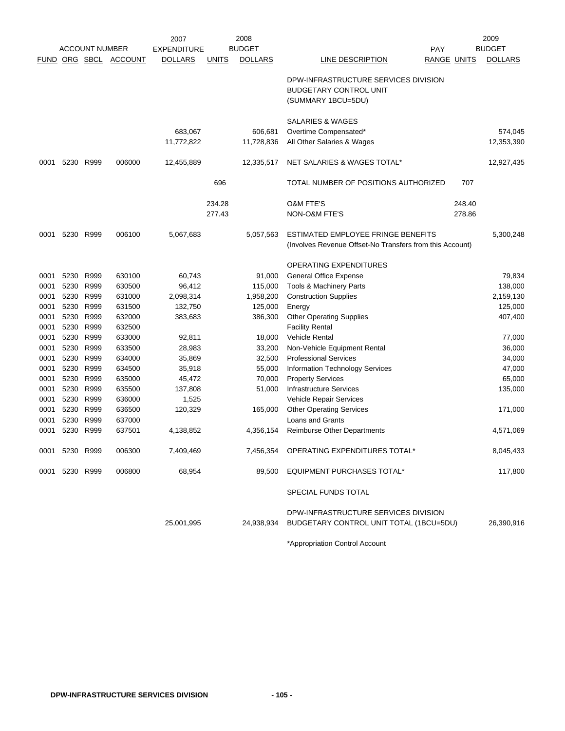|      | <b>ACCOUNT NUMBER</b> |           |                       | 2008<br>2007       |              |                | 2009                                                                                        |                    |        |                |
|------|-----------------------|-----------|-----------------------|--------------------|--------------|----------------|---------------------------------------------------------------------------------------------|--------------------|--------|----------------|
|      |                       |           |                       | <b>EXPENDITURE</b> |              | <b>BUDGET</b>  |                                                                                             | <b>PAY</b>         |        | <b>BUDGET</b>  |
|      |                       |           | FUND ORG SBCL ACCOUNT | <b>DOLLARS</b>     | <b>UNITS</b> | <b>DOLLARS</b> | LINE DESCRIPTION                                                                            | <b>RANGE UNITS</b> |        | <b>DOLLARS</b> |
|      |                       |           |                       |                    |              |                | DPW-INFRASTRUCTURE SERVICES DIVISION<br><b>BUDGETARY CONTROL UNIT</b><br>(SUMMARY 1BCU=5DU) |                    |        |                |
|      |                       |           |                       |                    |              |                | SALARIES & WAGES                                                                            |                    |        |                |
|      |                       |           |                       | 683,067            |              | 606,681        | Overtime Compensated*                                                                       |                    |        | 574,045        |
|      |                       |           |                       | 11,772,822         |              | 11,728,836     | All Other Salaries & Wages                                                                  |                    |        | 12,353,390     |
| 0001 |                       | 5230 R999 | 006000                | 12,455,889         |              | 12,335,517     | NET SALARIES & WAGES TOTAL*                                                                 |                    |        | 12,927,435     |
|      |                       |           |                       |                    | 696          |                | TOTAL NUMBER OF POSITIONS AUTHORIZED                                                        |                    | 707    |                |
|      |                       |           |                       |                    | 234.28       |                | <b>O&amp;M FTE'S</b>                                                                        |                    | 248.40 |                |
|      |                       |           |                       |                    | 277.43       |                | NON-O&M FTE'S                                                                               |                    | 278.86 |                |
| 0001 |                       | 5230 R999 | 006100                | 5,067,683          |              | 5,057,563      | ESTIMATED EMPLOYEE FRINGE BENEFITS                                                          |                    |        | 5,300,248      |
|      |                       |           |                       |                    |              |                | (Involves Revenue Offset-No Transfers from this Account)                                    |                    |        |                |
|      |                       |           |                       |                    |              |                | OPERATING EXPENDITURES                                                                      |                    |        |                |
| 0001 | 5230                  | R999      | 630100                | 60,743             |              | 91,000         | General Office Expense                                                                      |                    |        | 79,834         |
| 0001 | 5230                  | R999      | 630500                | 96,412             |              | 115,000        | Tools & Machinery Parts                                                                     |                    |        | 138,000        |
| 0001 | 5230                  | R999      | 631000                | 2,098,314          |              | 1,958,200      | <b>Construction Supplies</b>                                                                |                    |        | 2,159,130      |
| 0001 | 5230                  | R999      | 631500                | 132,750            |              | 125,000        | Energy                                                                                      |                    |        | 125,000        |
| 0001 |                       | 5230 R999 | 632000                | 383,683            |              | 386,300        | <b>Other Operating Supplies</b>                                                             |                    |        | 407,400        |
| 0001 |                       | 5230 R999 | 632500                |                    |              |                | <b>Facility Rental</b>                                                                      |                    |        |                |
| 0001 | 5230                  | R999      | 633000                | 92,811             |              | 18,000         | Vehicle Rental                                                                              |                    |        | 77,000         |
| 0001 | 5230                  | R999      | 633500                | 28,983             |              | 33,200         | Non-Vehicle Equipment Rental                                                                |                    |        | 36,000         |
| 0001 | 5230                  | R999      | 634000                | 35,869             |              | 32,500         | <b>Professional Services</b>                                                                |                    |        | 34,000         |
| 0001 | 5230                  | R999      | 634500                | 35,918             |              | 55,000         | <b>Information Technology Services</b>                                                      |                    |        | 47,000         |
| 0001 | 5230                  | R999      | 635000                | 45,472             |              | 70,000         | <b>Property Services</b>                                                                    |                    |        | 65,000         |
| 0001 | 5230                  | R999      | 635500                | 137,808            |              | 51,000         | <b>Infrastructure Services</b>                                                              |                    |        | 135,000        |
| 0001 | 5230                  | R999      | 636000                | 1,525              |              |                | Vehicle Repair Services                                                                     |                    |        |                |
| 0001 | 5230                  | R999      | 636500                | 120,329            |              | 165,000        | <b>Other Operating Services</b>                                                             |                    |        | 171,000        |
| 0001 | 5230                  | R999      | 637000                |                    |              |                | Loans and Grants                                                                            |                    |        |                |
| 0001 | 5230                  | R999      | 637501                | 4,138,852          |              | 4,356,154      | <b>Reimburse Other Departments</b>                                                          |                    |        | 4,571,069      |
|      | 0001 5230 R999        |           | 006300                | 7,409,469          |              |                | 7,456,354 OPERATING EXPENDITURES TOTAL*                                                     |                    |        | 8,045,433      |
|      | 0001 5230 R999        |           | 006800                | 68,954             |              | 89,500         | <b>EQUIPMENT PURCHASES TOTAL*</b>                                                           |                    |        | 117,800        |
|      |                       |           |                       |                    |              |                | <b>SPECIAL FUNDS TOTAL</b>                                                                  |                    |        |                |
|      |                       |           |                       | 25,001,995         |              | 24,938,934     | DPW-INFRASTRUCTURE SERVICES DIVISION<br>BUDGETARY CONTROL UNIT TOTAL (1BCU=5DU)             |                    |        | 26,390,916     |
|      |                       |           |                       |                    |              |                |                                                                                             |                    |        |                |

\*Appropriation Control Account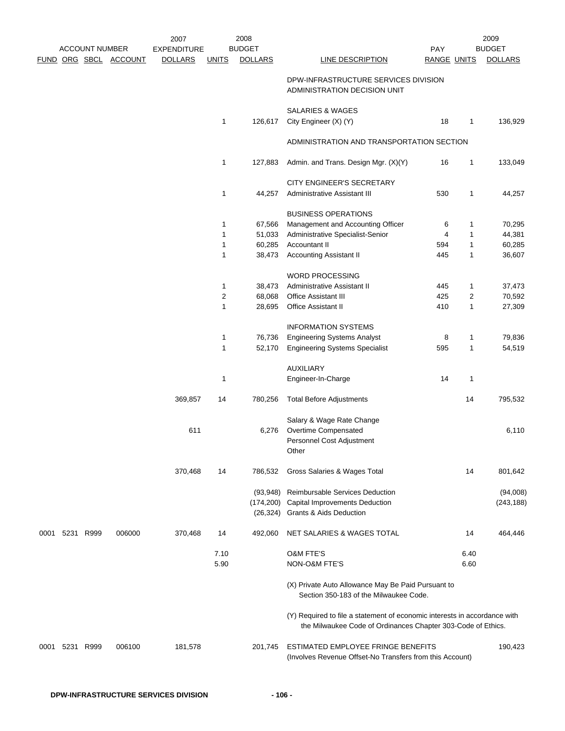|      | <b>ACCOUNT NUMBER</b> |                       | 2007<br><b>EXPENDITURE</b> |                             | 2008<br><b>BUDGET</b> |                                                                                                                                           | <b>PAY</b>         |        | 2009<br><b>BUDGET</b> |
|------|-----------------------|-----------------------|----------------------------|-----------------------------|-----------------------|-------------------------------------------------------------------------------------------------------------------------------------------|--------------------|--------|-----------------------|
|      |                       | FUND ORG SBCL ACCOUNT | <b>DOLLARS</b>             | <b>UNITS</b>                | <b>DOLLARS</b>        | LINE DESCRIPTION                                                                                                                          | <b>RANGE UNITS</b> |        | <b>DOLLARS</b>        |
|      |                       |                       |                            |                             |                       |                                                                                                                                           |                    |        |                       |
|      |                       |                       |                            |                             |                       | DPW-INFRASTRUCTURE SERVICES DIVISION<br>ADMINISTRATION DECISION UNIT                                                                      |                    |        |                       |
|      |                       |                       |                            |                             |                       | SALARIES & WAGES                                                                                                                          |                    |        |                       |
|      |                       |                       |                            | 1                           | 126,617               | City Engineer (X) (Y)                                                                                                                     | 18                 | 1      | 136,929               |
|      |                       |                       |                            |                             |                       | ADMINISTRATION AND TRANSPORTATION SECTION                                                                                                 |                    |        |                       |
|      |                       |                       |                            | 1                           | 127,883               | Admin. and Trans. Design Mgr. (X)(Y)                                                                                                      | 16                 | 1      | 133,049               |
|      |                       |                       |                            |                             |                       | CITY ENGINEER'S SECRETARY                                                                                                                 |                    |        |                       |
|      |                       |                       |                            | 1                           | 44,257                | <b>Administrative Assistant III</b>                                                                                                       | 530                | 1      | 44,257                |
|      |                       |                       |                            |                             |                       |                                                                                                                                           |                    |        |                       |
|      |                       |                       |                            |                             |                       | <b>BUSINESS OPERATIONS</b>                                                                                                                |                    |        |                       |
|      |                       |                       |                            | 1                           | 67,566                | Management and Accounting Officer                                                                                                         | 6                  | 1      | 70,295                |
|      |                       |                       |                            | 1                           | 51,033                | Administrative Specialist-Senior                                                                                                          | 4                  | 1      | 44,381                |
|      |                       |                       |                            | 1                           | 60,285                | Accountant II                                                                                                                             | 594                | 1      | 60,285                |
|      |                       |                       |                            | 1                           | 38,473                | <b>Accounting Assistant II</b>                                                                                                            | 445                | 1      | 36,607                |
|      |                       |                       |                            |                             |                       | WORD PROCESSING                                                                                                                           |                    |        |                       |
|      |                       |                       |                            | 1                           | 38,473                | Administrative Assistant II                                                                                                               | 445                | 1      | 37,473                |
|      |                       |                       |                            | 2                           | 68,068                | <b>Office Assistant III</b>                                                                                                               | 425                | 2      | 70,592                |
|      |                       |                       |                            | 1                           | 28,695                | Office Assistant II                                                                                                                       | 410                | 1      | 27,309                |
|      |                       |                       |                            |                             |                       |                                                                                                                                           |                    |        |                       |
|      |                       |                       |                            |                             |                       | <b>INFORMATION SYSTEMS</b>                                                                                                                |                    |        |                       |
|      |                       |                       |                            | $\mathbf 1$<br>$\mathbf{1}$ | 76,736<br>52,170      | <b>Engineering Systems Analyst</b><br><b>Engineering Systems Specialist</b>                                                               | 8<br>595           | 1<br>1 | 79,836<br>54,519      |
|      |                       |                       |                            |                             |                       |                                                                                                                                           |                    |        |                       |
|      |                       |                       |                            |                             |                       | <b>AUXILIARY</b>                                                                                                                          |                    |        |                       |
|      |                       |                       |                            | $\mathbf 1$                 |                       | Engineer-In-Charge                                                                                                                        | 14                 | 1      |                       |
|      |                       |                       | 369,857                    | 14                          | 780,256               | <b>Total Before Adjustments</b>                                                                                                           |                    | 14     | 795,532               |
|      |                       |                       |                            |                             |                       | Salary & Wage Rate Change                                                                                                                 |                    |        |                       |
|      |                       |                       | 611                        |                             | 6,276                 | Overtime Compensated                                                                                                                      |                    |        | 6,110                 |
|      |                       |                       |                            |                             |                       | Personnel Cost Adjustment                                                                                                                 |                    |        |                       |
|      |                       |                       |                            |                             |                       | Other                                                                                                                                     |                    |        |                       |
|      |                       |                       | 370,468                    | 14                          | 786,532               | Gross Salaries & Wages Total                                                                                                              |                    | 14     | 801,642               |
|      |                       |                       |                            |                             |                       |                                                                                                                                           |                    |        |                       |
|      |                       |                       |                            |                             | (93, 948)             | Reimbursable Services Deduction                                                                                                           |                    |        | (94,008)              |
|      |                       |                       |                            |                             |                       | (174,200) Capital Improvements Deduction<br>(26,324) Grants & Aids Deduction                                                              |                    |        | (243, 188)            |
|      |                       |                       |                            |                             |                       |                                                                                                                                           |                    |        |                       |
| 0001 | 5231 R999             | 006000                | 370,468                    | 14                          | 492,060               | NET SALARIES & WAGES TOTAL                                                                                                                |                    | 14     | 464,446               |
|      |                       |                       |                            | 7.10                        |                       | <b>O&amp;M FTE'S</b>                                                                                                                      |                    | 6.40   |                       |
|      |                       |                       |                            | 5.90                        |                       | NON-O&M FTE'S                                                                                                                             |                    | 6.60   |                       |
|      |                       |                       |                            |                             |                       | (X) Private Auto Allowance May Be Paid Pursuant to<br>Section 350-183 of the Milwaukee Code.                                              |                    |        |                       |
|      |                       |                       |                            |                             |                       | (Y) Required to file a statement of economic interests in accordance with<br>the Milwaukee Code of Ordinances Chapter 303-Code of Ethics. |                    |        |                       |
| 0001 | 5231 R999             | 006100                | 181,578                    |                             | 201,745               | ESTIMATED EMPLOYEE FRINGE BENEFITS<br>(Involves Revenue Offset-No Transfers from this Account)                                            |                    |        | 190,423               |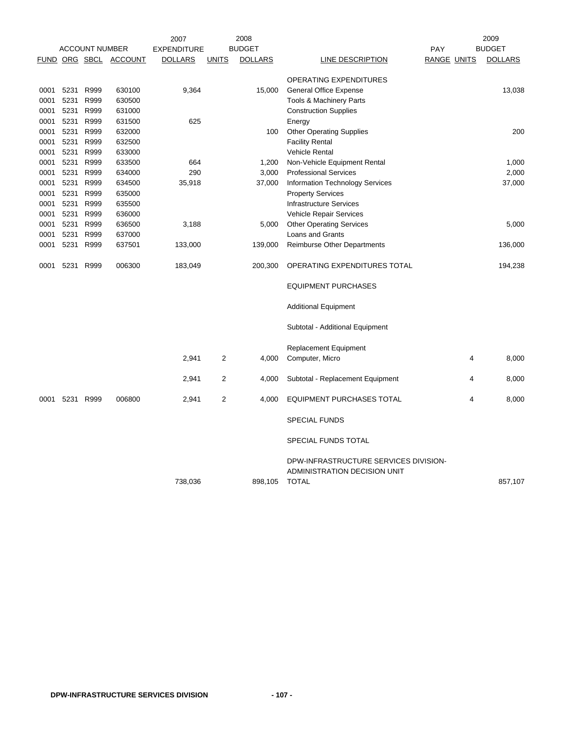|      |      |                       |                       | 2007               |                | 2008           |                                                                                       |     |                    | 2009           |
|------|------|-----------------------|-----------------------|--------------------|----------------|----------------|---------------------------------------------------------------------------------------|-----|--------------------|----------------|
|      |      | <b>ACCOUNT NUMBER</b> |                       | <b>EXPENDITURE</b> |                | <b>BUDGET</b>  |                                                                                       | PAY |                    | <b>BUDGET</b>  |
|      |      |                       | FUND ORG SBCL ACCOUNT | <b>DOLLARS</b>     | <b>UNITS</b>   | <b>DOLLARS</b> | <b>LINE DESCRIPTION</b>                                                               |     | <b>RANGE UNITS</b> | <b>DOLLARS</b> |
|      |      |                       |                       |                    |                |                | OPERATING EXPENDITURES                                                                |     |                    |                |
| 0001 | 5231 | R999                  | 630100                | 9,364              |                | 15,000         | <b>General Office Expense</b>                                                         |     |                    | 13,038         |
| 0001 | 5231 | R999                  | 630500                |                    |                |                | Tools & Machinery Parts                                                               |     |                    |                |
| 0001 | 5231 | R999                  | 631000                |                    |                |                | <b>Construction Supplies</b>                                                          |     |                    |                |
| 0001 | 5231 | R999                  | 631500                | 625                |                |                | Energy                                                                                |     |                    |                |
| 0001 | 5231 | R999                  | 632000                |                    |                | 100            | <b>Other Operating Supplies</b>                                                       |     |                    | 200            |
| 0001 | 5231 | R999                  | 632500                |                    |                |                | <b>Facility Rental</b>                                                                |     |                    |                |
| 0001 | 5231 | R999                  | 633000                |                    |                |                | Vehicle Rental                                                                        |     |                    |                |
| 0001 | 5231 | R999                  | 633500                | 664                |                | 1,200          | Non-Vehicle Equipment Rental                                                          |     |                    | 1,000          |
| 0001 | 5231 | R999                  | 634000                | 290                |                | 3,000          | <b>Professional Services</b>                                                          |     |                    | 2,000          |
| 0001 | 5231 | R999                  | 634500                | 35,918             |                | 37,000         | Information Technology Services                                                       |     |                    | 37,000         |
| 0001 | 5231 | R999                  | 635000                |                    |                |                | <b>Property Services</b>                                                              |     |                    |                |
| 0001 | 5231 | R999                  | 635500                |                    |                |                | <b>Infrastructure Services</b>                                                        |     |                    |                |
| 0001 | 5231 | R999                  | 636000                |                    |                |                | Vehicle Repair Services                                                               |     |                    |                |
| 0001 | 5231 | R999                  | 636500                | 3,188              |                | 5,000          | <b>Other Operating Services</b>                                                       |     |                    | 5,000          |
| 0001 | 5231 | R999                  | 637000                |                    |                |                | Loans and Grants                                                                      |     |                    |                |
| 0001 | 5231 | R999                  | 637501                | 133,000            |                | 139,000        | <b>Reimburse Other Departments</b>                                                    |     |                    | 136,000        |
| 0001 | 5231 | R999                  | 006300                | 183,049            |                | 200,300        | OPERATING EXPENDITURES TOTAL                                                          |     |                    | 194,238        |
|      |      |                       |                       |                    |                |                | <b>EQUIPMENT PURCHASES</b>                                                            |     |                    |                |
|      |      |                       |                       |                    |                |                | <b>Additional Equipment</b>                                                           |     |                    |                |
|      |      |                       |                       |                    |                |                | Subtotal - Additional Equipment                                                       |     |                    |                |
|      |      |                       |                       |                    |                |                | Replacement Equipment                                                                 |     |                    |                |
|      |      |                       |                       | 2,941              | $\overline{2}$ | 4,000          | Computer, Micro                                                                       |     | 4                  | 8,000          |
|      |      |                       |                       | 2,941              | $\overline{2}$ | 4,000          | Subtotal - Replacement Equipment                                                      |     | 4                  | 8,000          |
| 0001 |      | 5231 R999             | 006800                | 2,941              | $\overline{2}$ | 4,000          | <b>EQUIPMENT PURCHASES TOTAL</b>                                                      |     | 4                  | 8,000          |
|      |      |                       |                       |                    |                |                | <b>SPECIAL FUNDS</b>                                                                  |     |                    |                |
|      |      |                       |                       |                    |                |                | SPECIAL FUNDS TOTAL                                                                   |     |                    |                |
|      |      |                       |                       | 738,036            |                | 898,105        | DPW-INFRASTRUCTURE SERVICES DIVISION-<br>ADMINISTRATION DECISION UNIT<br><b>TOTAL</b> |     |                    | 857,107        |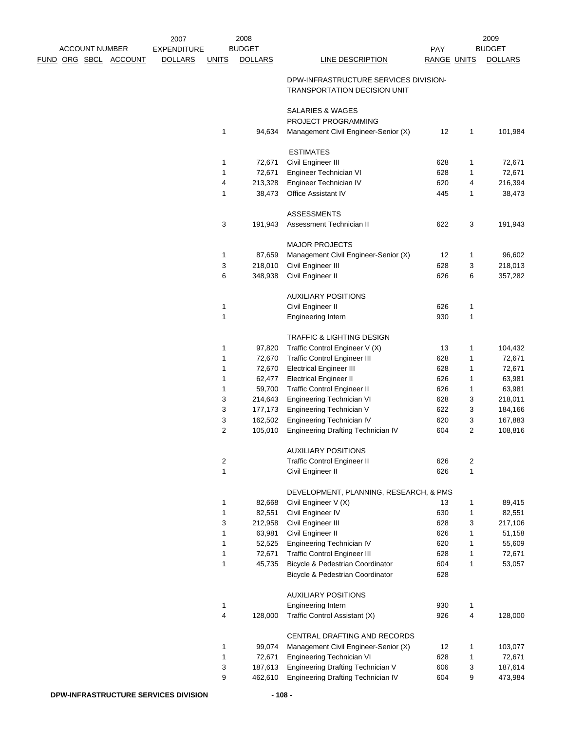|                              | 2007               |                | 2008           |                                                                              |                    |   | 2009           |
|------------------------------|--------------------|----------------|----------------|------------------------------------------------------------------------------|--------------------|---|----------------|
| <b>ACCOUNT NUMBER</b>        | <b>EXPENDITURE</b> |                | <b>BUDGET</b>  |                                                                              | PAY                |   | <b>BUDGET</b>  |
| <u>FUND ORG SBCL ACCOUNT</u> | <b>DOLLARS</b>     | <b>UNITS</b>   | <b>DOLLARS</b> | <b>LINE DESCRIPTION</b>                                                      | <b>RANGE UNITS</b> |   | <b>DOLLARS</b> |
|                              |                    |                |                | DPW-INFRASTRUCTURE SERVICES DIVISION-<br><b>TRANSPORTATION DECISION UNIT</b> |                    |   |                |
|                              |                    |                |                | SALARIES & WAGES<br>PROJECT PROGRAMMING                                      |                    |   |                |
|                              |                    | 1              | 94,634         | Management Civil Engineer-Senior (X)                                         | 12                 | 1 | 101,984        |
|                              |                    |                |                | <b>ESTIMATES</b>                                                             |                    |   |                |
|                              |                    | 1              | 72,671         | Civil Engineer III                                                           | 628                | 1 | 72,671         |
|                              |                    | $\mathbf{1}$   | 72,671         | Engineer Technician VI                                                       | 628                | 1 | 72,671         |
|                              |                    | 4              | 213,328        | Engineer Technician IV                                                       | 620                | 4 | 216,394        |
|                              |                    | 1              | 38,473         | Office Assistant IV                                                          | 445                | 1 | 38,473         |
|                              |                    |                |                | <b>ASSESSMENTS</b>                                                           |                    |   |                |
|                              |                    | 3              | 191,943        | Assessment Technician II                                                     | 622                | 3 | 191,943        |
|                              |                    |                |                | <b>MAJOR PROJECTS</b>                                                        |                    |   |                |
|                              |                    | 1              | 87,659         | Management Civil Engineer-Senior (X)                                         | 12                 | 1 | 96,602         |
|                              |                    | 3              | 218,010        | Civil Engineer III                                                           | 628                | 3 | 218,013        |
|                              |                    | 6              | 348,938        | Civil Engineer II                                                            | 626                | 6 | 357,282        |
|                              |                    |                |                |                                                                              |                    |   |                |
|                              |                    |                |                | <b>AUXILIARY POSITIONS</b>                                                   |                    |   |                |
|                              |                    | $\mathbf{1}$   |                | Civil Engineer II                                                            | 626                | 1 |                |
|                              |                    | $\mathbf{1}$   |                | <b>Engineering Intern</b>                                                    | 930                | 1 |                |
|                              |                    |                |                | TRAFFIC & LIGHTING DESIGN                                                    |                    |   |                |
|                              |                    | 1              | 97,820         | Traffic Control Engineer V (X)                                               | 13                 | 1 | 104,432        |
|                              |                    | 1              | 72,670         | <b>Traffic Control Engineer III</b>                                          | 628                | 1 | 72,671         |
|                              |                    | 1              | 72,670         | <b>Electrical Engineer III</b>                                               | 628                | 1 | 72,671         |
|                              |                    | 1              | 62,477         | <b>Electrical Engineer II</b>                                                | 626                | 1 | 63,981         |
|                              |                    | 1              | 59,700         | <b>Traffic Control Engineer II</b>                                           | 626                | 1 | 63,981         |
|                              |                    | 3              | 214,643        | Engineering Technician VI                                                    | 628                | 3 | 218,011        |
|                              |                    | 3              | 177,173        | Engineering Technician V                                                     | 622                | 3 | 184,166        |
|                              |                    | 3              | 162,502        | <b>Engineering Technician IV</b>                                             | 620                | 3 | 167,883        |
|                              |                    | $\overline{c}$ | 105,010        | Engineering Drafting Technician IV                                           | 604                | 2 | 108,816        |
|                              |                    |                |                | <b>AUXILIARY POSITIONS</b>                                                   |                    |   |                |
|                              |                    | 2              |                | <b>Traffic Control Engineer II</b>                                           | 626                | 2 |                |
|                              |                    | $\mathbf{1}$   |                | Civil Engineer II                                                            | 626                | 1 |                |
|                              |                    |                |                | DEVELOPMENT, PLANNING, RESEARCH, & PMS                                       |                    |   |                |
|                              |                    | 1              | 82,668         | Civil Engineer V (X)                                                         | 13                 | 1 | 89,415         |
|                              |                    | 1              | 82,551         | Civil Engineer IV                                                            | 630                | 1 | 82,551         |
|                              |                    | 3              | 212,958        | Civil Engineer III                                                           | 628                | 3 | 217,106        |
|                              |                    | 1              | 63,981         | Civil Engineer II                                                            | 626                | 1 | 51,158         |
|                              |                    | 1              | 52,525         | Engineering Technician IV                                                    | 620                | 1 | 55,609         |
|                              |                    | $\mathbf{1}$   | 72,671         | <b>Traffic Control Engineer III</b>                                          | 628                | 1 | 72,671         |
|                              |                    | 1              | 45,735         | Bicycle & Pedestrian Coordinator                                             | 604                | 1 | 53,057         |
|                              |                    |                |                | Bicycle & Pedestrian Coordinator                                             | 628                |   |                |
|                              |                    |                |                | <b>AUXILIARY POSITIONS</b>                                                   |                    |   |                |
|                              |                    | $\mathbf{1}$   |                | <b>Engineering Intern</b>                                                    | 930                | 1 |                |
|                              |                    | $\overline{4}$ | 128,000        | Traffic Control Assistant (X)                                                | 926                | 4 | 128,000        |
|                              |                    |                |                | CENTRAL DRAFTING AND RECORDS                                                 |                    |   |                |
|                              |                    | 1              | 99,074         | Management Civil Engineer-Senior (X)                                         | 12                 | 1 | 103,077        |
|                              |                    | 1              | 72,671         | Engineering Technician VI                                                    | 628                | 1 | 72,671         |
|                              |                    | 3              | 187,613        | Engineering Drafting Technician V                                            | 606                | 3 | 187,614        |
|                              |                    | 9              | 462,610        | Engineering Drafting Technician IV                                           | 604                | 9 | 473,984        |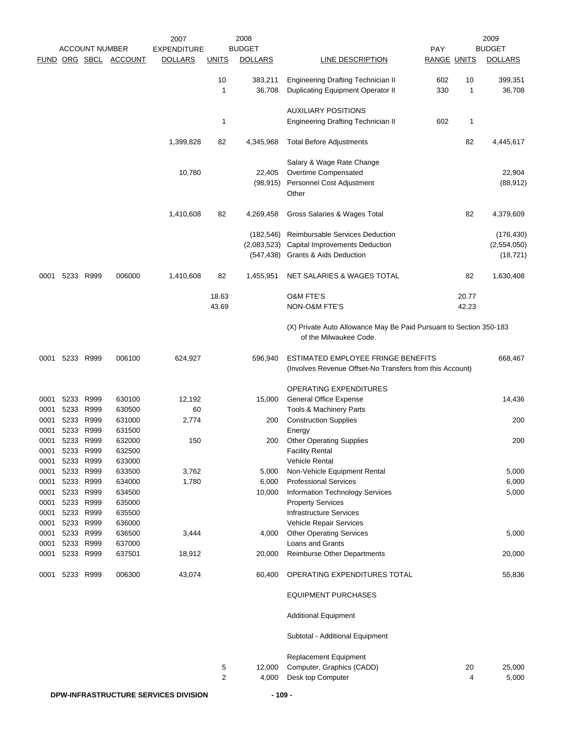|              |           |                        |                       | 2007                                  |              | 2008                |                                                                                                |                    |         | 2009                |
|--------------|-----------|------------------------|-----------------------|---------------------------------------|--------------|---------------------|------------------------------------------------------------------------------------------------|--------------------|---------|---------------------|
|              |           | <b>ACCOUNT NUMBER</b>  |                       | <b>EXPENDITURE</b>                    |              | <b>BUDGET</b>       |                                                                                                | PAY                |         | <b>BUDGET</b>       |
|              |           |                        | FUND ORG SBCL ACCOUNT | <b>DOLLARS</b>                        | <b>UNITS</b> | <b>DOLLARS</b>      | LINE DESCRIPTION                                                                               | <b>RANGE UNITS</b> |         | <b>DOLLARS</b>      |
|              |           |                        |                       |                                       | 10<br>1      | 383,211<br>36,708   | <b>Engineering Drafting Technician II</b><br>Duplicating Equipment Operator II                 | 602<br>330         | 10<br>1 | 399,351<br>36,708   |
|              |           |                        |                       |                                       |              |                     | <b>AUXILIARY POSITIONS</b>                                                                     |                    |         |                     |
|              |           |                        |                       |                                       | 1            |                     | <b>Engineering Drafting Technician II</b>                                                      | 602                | 1       |                     |
|              |           |                        |                       | 1,399,828                             | 82           | 4,345,968           | <b>Total Before Adjustments</b>                                                                |                    | 82      | 4,445,617           |
|              |           |                        |                       |                                       |              |                     | Salary & Wage Rate Change                                                                      |                    |         |                     |
|              |           |                        |                       | 10,780                                |              | 22,405<br>(98, 915) | Overtime Compensated<br>Personnel Cost Adjustment<br>Other                                     |                    |         | 22,904<br>(88, 912) |
|              |           |                        |                       | 1,410,608                             | 82           | 4,269,458           | Gross Salaries & Wages Total                                                                   |                    | 82      | 4,379,609           |
|              |           |                        |                       |                                       |              | (182, 546)          | Reimbursable Services Deduction                                                                |                    |         | (176, 430)          |
|              |           |                        |                       |                                       |              | (2,083,523)         | Capital Improvements Deduction                                                                 |                    |         | (2,554,050)         |
|              |           |                        |                       |                                       |              | (547,438)           | Grants & Aids Deduction                                                                        |                    |         | (18, 721)           |
| 0001         |           | 5233 R999              | 006000                | 1,410,608                             | 82           | 1,455,951           | NET SALARIES & WAGES TOTAL                                                                     |                    | 82      | 1,630,408           |
|              |           |                        |                       |                                       | 18.63        |                     | <b>O&amp;M FTE'S</b>                                                                           |                    | 20.77   |                     |
|              |           |                        |                       |                                       | 43.69        |                     | NON-O&M FTE'S                                                                                  |                    | 42.23   |                     |
|              |           |                        |                       |                                       |              |                     | (X) Private Auto Allowance May Be Paid Pursuant to Section 350-183<br>of the Milwaukee Code.   |                    |         |                     |
| 0001         | 5233 R999 |                        | 006100                | 624,927                               |              | 596,940             | ESTIMATED EMPLOYEE FRINGE BENEFITS<br>(Involves Revenue Offset-No Transfers from this Account) |                    |         | 668,467             |
|              |           |                        |                       |                                       |              |                     | OPERATING EXPENDITURES                                                                         |                    |         |                     |
| 0001         |           | 5233 R999              | 630100                | 12,192                                |              | 15,000              | <b>General Office Expense</b>                                                                  |                    |         | 14,436              |
| 0001         |           | 5233 R999              | 630500                | 60                                    |              |                     | <b>Tools &amp; Machinery Parts</b>                                                             |                    |         |                     |
| 0001         |           | 5233 R999              | 631000                | 2,774                                 |              | 200                 | <b>Construction Supplies</b>                                                                   |                    |         | 200                 |
| 0001         |           | 5233 R999              | 631500                |                                       |              |                     | Energy                                                                                         |                    |         |                     |
| 0001         |           | 5233 R999              | 632000                | 150                                   |              | 200                 | <b>Other Operating Supplies</b>                                                                |                    |         | 200                 |
| 0001         | 5233      | R999                   | 632500                |                                       |              |                     | <b>Facility Rental</b>                                                                         |                    |         |                     |
| 0001         |           | 5233 R999              | 633000                |                                       |              |                     | <b>Vehicle Rental</b>                                                                          |                    |         |                     |
| 0001         |           | 5233 R999              | 633500                | 3,762                                 |              | 5,000               | Non-Vehicle Equipment Rental                                                                   |                    |         | 5,000               |
| 0001         |           | 5233 R999              | 634000                | 1,780                                 |              | 6,000               | <b>Professional Services</b>                                                                   |                    |         | 6,000               |
| 0001         |           | 5233 R999<br>5233 R999 | 634500<br>635000      |                                       |              | 10,000              | Information Technology Services                                                                |                    |         | 5,000               |
| 0001<br>0001 |           | 5233 R999              | 635500                |                                       |              |                     | <b>Property Services</b><br><b>Infrastructure Services</b>                                     |                    |         |                     |
| 0001         |           | 5233 R999              | 636000                |                                       |              |                     | Vehicle Repair Services                                                                        |                    |         |                     |
| 0001         |           | 5233 R999              | 636500                | 3,444                                 |              | 4,000               | <b>Other Operating Services</b>                                                                |                    |         | 5,000               |
| 0001         |           | 5233 R999              | 637000                |                                       |              |                     | Loans and Grants                                                                               |                    |         |                     |
| 0001         |           | 5233 R999              | 637501                | 18,912                                |              | 20,000              | Reimburse Other Departments                                                                    |                    |         | 20,000              |
| 0001         |           | 5233 R999              | 006300                | 43,074                                |              | 60,400              | OPERATING EXPENDITURES TOTAL                                                                   |                    |         | 55,836              |
|              |           |                        |                       |                                       |              |                     | <b>EQUIPMENT PURCHASES</b>                                                                     |                    |         |                     |
|              |           |                        |                       |                                       |              |                     | <b>Additional Equipment</b>                                                                    |                    |         |                     |
|              |           |                        |                       |                                       |              |                     | Subtotal - Additional Equipment                                                                |                    |         |                     |
|              |           |                        |                       |                                       |              |                     | Replacement Equipment                                                                          |                    |         |                     |
|              |           |                        |                       |                                       | 5            | 12,000              | Computer, Graphics (CADD)                                                                      |                    | 20      | 25,000              |
|              |           |                        |                       |                                       | 2            | 4,000               | Desk top Computer                                                                              |                    | 4       | 5,000               |
|              |           |                        |                       | DOM INFRA STRUCTURE SERVICES DIVISION |              | 0۵                  |                                                                                                |                    |         |                     |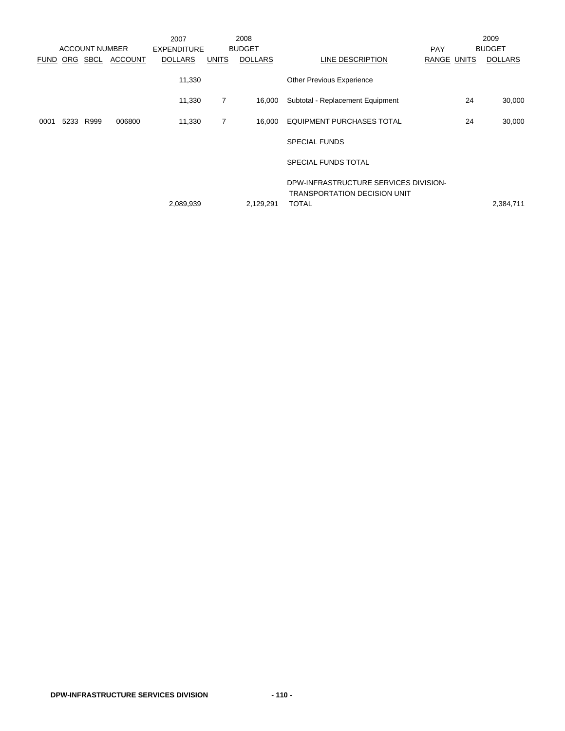|             |      | <b>ACCOUNT NUMBER</b> |                | 2007                                 |                | 2008<br><b>BUDGET</b> |                                                                              |                           | 2009<br><b>BUDGET</b> |
|-------------|------|-----------------------|----------------|--------------------------------------|----------------|-----------------------|------------------------------------------------------------------------------|---------------------------|-----------------------|
| <b>FUND</b> |      | ORG SBCL              | <b>ACCOUNT</b> | <b>EXPENDITURE</b><br><b>DOLLARS</b> | UNITS          | <b>DOLLARS</b>        | LINE DESCRIPTION                                                             | <b>PAY</b><br>RANGE UNITS | <b>DOLLARS</b>        |
|             |      |                       |                | 11,330                               |                |                       | Other Previous Experience                                                    |                           |                       |
|             |      |                       |                | 11,330                               | $\overline{7}$ | 16,000                | Subtotal - Replacement Equipment                                             | 24                        | 30,000                |
| 0001        | 5233 | R999                  | 006800         | 11,330                               | $\overline{7}$ | 16,000                | <b>EQUIPMENT PURCHASES TOTAL</b>                                             | 24                        | 30,000                |
|             |      |                       |                |                                      |                |                       | <b>SPECIAL FUNDS</b>                                                         |                           |                       |
|             |      |                       |                |                                      |                |                       | <b>SPECIAL FUNDS TOTAL</b>                                                   |                           |                       |
|             |      |                       |                |                                      |                |                       | DPW-INFRASTRUCTURE SERVICES DIVISION-<br><b>TRANSPORTATION DECISION UNIT</b> |                           |                       |
|             |      |                       |                | 2,089,939                            |                | 2,129,291             | <b>TOTAL</b>                                                                 |                           | 2,384,711             |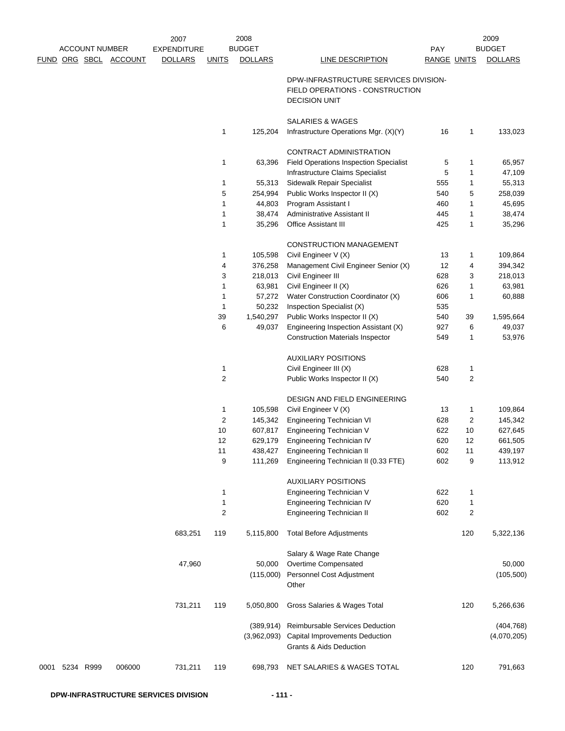|      |           |                       |                       | 2007                                 |                | 2008<br><b>BUDGET</b> |                                                                                                  |                           |         | 2009<br><b>BUDGET</b> |
|------|-----------|-----------------------|-----------------------|--------------------------------------|----------------|-----------------------|--------------------------------------------------------------------------------------------------|---------------------------|---------|-----------------------|
|      |           | <b>ACCOUNT NUMBER</b> | FUND ORG SBCL ACCOUNT | <b>EXPENDITURE</b><br><b>DOLLARS</b> | <b>UNITS</b>   | <b>DOLLARS</b>        | LINE DESCRIPTION                                                                                 | PAY<br><b>RANGE UNITS</b> |         | <b>DOLLARS</b>        |
|      |           |                       |                       |                                      |                |                       |                                                                                                  |                           |         |                       |
|      |           |                       |                       |                                      |                |                       | DPW-INFRASTRUCTURE SERVICES DIVISION-<br>FIELD OPERATIONS - CONSTRUCTION<br><b>DECISION UNIT</b> |                           |         |                       |
|      |           |                       |                       |                                      |                |                       | <b>SALARIES &amp; WAGES</b>                                                                      |                           |         |                       |
|      |           |                       |                       |                                      | 1              | 125,204               | Infrastructure Operations Mgr. (X)(Y)                                                            | 16                        | 1       | 133,023               |
|      |           |                       |                       |                                      |                |                       | <b>CONTRACT ADMINISTRATION</b>                                                                   |                           |         |                       |
|      |           |                       |                       |                                      | 1              | 63,396                | <b>Field Operations Inspection Specialist</b>                                                    | 5                         | 1       | 65,957                |
|      |           |                       |                       |                                      |                |                       | Infrastructure Claims Specialist                                                                 | 5                         | 1       | 47,109                |
|      |           |                       |                       |                                      | 1              | 55,313                | Sidewalk Repair Specialist                                                                       | 555                       | 1       | 55,313                |
|      |           |                       |                       |                                      | 5              | 254,994               | Public Works Inspector II (X)                                                                    | 540                       | 5       | 258,039               |
|      |           |                       |                       |                                      | 1              | 44,803                | Program Assistant I                                                                              | 460                       | 1       | 45,695                |
|      |           |                       |                       |                                      | 1<br>1         | 38,474<br>35,296      | Administrative Assistant II<br><b>Office Assistant III</b>                                       | 445<br>425                | 1<br>1  | 38,474<br>35,296      |
|      |           |                       |                       |                                      |                |                       |                                                                                                  |                           |         |                       |
|      |           |                       |                       |                                      |                |                       | CONSTRUCTION MANAGEMENT                                                                          |                           |         |                       |
|      |           |                       |                       |                                      | 1              | 105,598               | Civil Engineer V (X)                                                                             | 13                        | 1       | 109,864               |
|      |           |                       |                       |                                      | 4              | 376,258               | Management Civil Engineer Senior (X)                                                             | 12                        | 4       | 394,342               |
|      |           |                       |                       |                                      | 3              | 218,013               | Civil Engineer III                                                                               | 628                       | 3       | 218,013               |
|      |           |                       |                       |                                      | 1              | 63,981                | Civil Engineer II (X)                                                                            | 626                       | 1       | 63,981                |
|      |           |                       |                       |                                      | 1              | 57,272                | Water Construction Coordinator (X)                                                               | 606                       | 1       | 60,888                |
|      |           |                       |                       |                                      | 1              | 50,232                | Inspection Specialist (X)                                                                        | 535                       |         |                       |
|      |           |                       |                       |                                      | 39<br>6        | 1,540,297<br>49,037   | Public Works Inspector II (X)<br>Engineering Inspection Assistant (X)                            | 540<br>927                | 39<br>6 | 1,595,664<br>49,037   |
|      |           |                       |                       |                                      |                |                       | <b>Construction Materials Inspector</b>                                                          | 549                       | 1       | 53,976                |
|      |           |                       |                       |                                      |                |                       |                                                                                                  |                           |         |                       |
|      |           |                       |                       |                                      |                |                       | <b>AUXILIARY POSITIONS</b>                                                                       |                           |         |                       |
|      |           |                       |                       |                                      | 1              |                       | Civil Engineer III (X)                                                                           | 628                       | 1       |                       |
|      |           |                       |                       |                                      | $\overline{2}$ |                       | Public Works Inspector II (X)                                                                    | 540                       | 2       |                       |
|      |           |                       |                       |                                      |                |                       | DESIGN AND FIELD ENGINEERING                                                                     |                           |         |                       |
|      |           |                       |                       |                                      | 1              | 105,598               | Civil Engineer V (X)                                                                             | 13                        | 1       | 109,864               |
|      |           |                       |                       |                                      | 2              | 145,342               | <b>Engineering Technician VI</b>                                                                 | 628                       | 2       | 145,342               |
|      |           |                       |                       |                                      | 10             | 607,817               | Engineering Technician V                                                                         | 622                       | 10      | 627,645               |
|      |           |                       |                       |                                      | 12             | 629,179               | Engineering Technician IV                                                                        | 620                       | 12      | 661,505               |
|      |           |                       |                       |                                      | 11             | 438,427               | Engineering Technician II                                                                        | 602                       | 11      | 439,197               |
|      |           |                       |                       |                                      | 9              | 111,269               | Engineering Technician II (0.33 FTE)                                                             | 602                       | 9       | 113,912               |
|      |           |                       |                       |                                      |                |                       | <b>AUXILIARY POSITIONS</b>                                                                       |                           |         |                       |
|      |           |                       |                       |                                      | 1              |                       | Engineering Technician V                                                                         | 622                       | 1       |                       |
|      |           |                       |                       |                                      | 1              |                       | Engineering Technician IV                                                                        | 620                       | 1       |                       |
|      |           |                       |                       |                                      | 2              |                       | <b>Engineering Technician II</b>                                                                 | 602                       | 2       |                       |
|      |           |                       |                       | 683,251                              | 119            | 5,115,800             | <b>Total Before Adjustments</b>                                                                  |                           | 120     | 5,322,136             |
|      |           |                       |                       |                                      |                |                       |                                                                                                  |                           |         |                       |
|      |           |                       |                       | 47,960                               |                | 50,000                | Salary & Wage Rate Change<br>Overtime Compensated                                                |                           |         | 50,000                |
|      |           |                       |                       |                                      |                | (115,000)             | Personnel Cost Adjustment                                                                        |                           |         | (105, 500)            |
|      |           |                       |                       |                                      |                |                       | Other                                                                                            |                           |         |                       |
|      |           |                       |                       | 731,211                              | 119            | 5,050,800             | Gross Salaries & Wages Total                                                                     |                           | 120     | 5,266,636             |
|      |           |                       |                       |                                      |                | (389, 914)            | Reimbursable Services Deduction                                                                  |                           |         | (404, 768)            |
|      |           |                       |                       |                                      |                | (3,962,093)           | Capital Improvements Deduction                                                                   |                           |         | (4,070,205)           |
|      |           |                       |                       |                                      |                |                       | <b>Grants &amp; Aids Deduction</b>                                                               |                           |         |                       |
|      |           |                       |                       |                                      |                |                       |                                                                                                  |                           |         |                       |
| 0001 | 5234 R999 |                       | 006000                | 731,211                              | 119            | 698,793               | NET SALARIES & WAGES TOTAL                                                                       |                           | 120     | 791,663               |
|      |           |                       |                       |                                      |                |                       |                                                                                                  |                           |         |                       |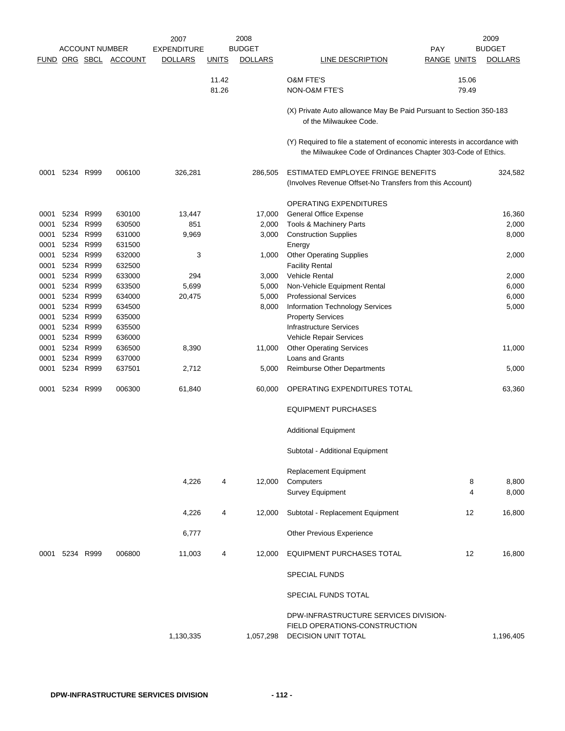|      |           | <b>ACCOUNT NUMBER</b> |                       | 2007<br><b>EXPENDITURE</b> |              | 2008<br><b>BUDGET</b> | <b>PAY</b><br>LINE DESCRIPTION<br>RANGE UNITS                                                                                             |                | 2009<br><b>BUDGET</b> |
|------|-----------|-----------------------|-----------------------|----------------------------|--------------|-----------------------|-------------------------------------------------------------------------------------------------------------------------------------------|----------------|-----------------------|
|      |           |                       | FUND ORG SBCL ACCOUNT | <b>DOLLARS</b>             | <u>UNITS</u> | <b>DOLLARS</b>        |                                                                                                                                           |                | <b>DOLLARS</b>        |
|      |           |                       |                       |                            | 11.42        |                       | <b>O&amp;M FTE'S</b>                                                                                                                      | 15.06          |                       |
|      |           |                       |                       |                            | 81.26        |                       | NON-O&M FTE'S                                                                                                                             | 79.49          |                       |
|      |           |                       |                       |                            |              |                       | (X) Private Auto allowance May Be Paid Pursuant to Section 350-183<br>of the Milwaukee Code.                                              |                |                       |
|      |           |                       |                       |                            |              |                       | (Y) Required to file a statement of economic interests in accordance with<br>the Milwaukee Code of Ordinances Chapter 303-Code of Ethics. |                |                       |
| 0001 |           | 5234 R999             | 006100                | 326,281                    |              | 286,505               | ESTIMATED EMPLOYEE FRINGE BENEFITS<br>(Involves Revenue Offset-No Transfers from this Account)                                            |                | 324,582               |
|      |           |                       |                       |                            |              |                       | OPERATING EXPENDITURES                                                                                                                    |                |                       |
| 0001 |           | 5234 R999             | 630100                | 13,447                     |              | 17,000                | <b>General Office Expense</b>                                                                                                             |                | 16,360                |
| 0001 | 5234      | R999                  | 630500                | 851                        |              | 2,000                 | Tools & Machinery Parts                                                                                                                   |                | 2,000                 |
| 0001 | 5234      | R999                  | 631000                | 9,969                      |              | 3,000                 | <b>Construction Supplies</b>                                                                                                              |                | 8,000                 |
| 0001 | 5234      | R999                  | 631500                |                            |              |                       | Energy                                                                                                                                    |                |                       |
| 0001 | 5234      | R999                  | 632000                | 3                          |              | 1,000                 | <b>Other Operating Supplies</b>                                                                                                           |                | 2,000                 |
| 0001 | 5234      | R999                  | 632500                |                            |              |                       | <b>Facility Rental</b>                                                                                                                    |                |                       |
| 0001 | 5234      | R999                  | 633000                | 294                        |              | 3,000                 | <b>Vehicle Rental</b>                                                                                                                     |                | 2,000                 |
| 0001 |           | 5234 R999             | 633500                | 5,699                      |              | 5,000                 | Non-Vehicle Equipment Rental                                                                                                              |                | 6,000                 |
| 0001 | 5234      | R999                  | 634000                | 20,475                     |              | 5,000                 | <b>Professional Services</b>                                                                                                              |                | 6,000                 |
| 0001 | 5234      | R999                  | 634500                |                            |              | 8,000                 | Information Technology Services                                                                                                           |                | 5,000                 |
| 0001 | 5234      | R999                  | 635000                |                            |              |                       | <b>Property Services</b>                                                                                                                  |                |                       |
| 0001 | 5234      | R999                  | 635500                |                            |              |                       | <b>Infrastructure Services</b>                                                                                                            |                |                       |
| 0001 | 5234      | R999                  | 636000                |                            |              |                       | Vehicle Repair Services                                                                                                                   |                |                       |
| 0001 |           | 5234 R999             | 636500                | 8,390                      |              | 11,000                | <b>Other Operating Services</b>                                                                                                           |                | 11,000                |
| 0001 |           | 5234 R999             | 637000                |                            |              |                       | Loans and Grants                                                                                                                          |                |                       |
| 0001 | 5234 R999 |                       | 637501                | 2,712                      |              | 5,000                 | <b>Reimburse Other Departments</b>                                                                                                        |                | 5,000                 |
| 0001 | 5234      | R999                  | 006300                | 61,840                     |              | 60,000                | OPERATING EXPENDITURES TOTAL                                                                                                              |                | 63,360                |
|      |           |                       |                       |                            |              |                       | <b>EQUIPMENT PURCHASES</b>                                                                                                                |                |                       |
|      |           |                       |                       |                            |              |                       | <b>Additional Equipment</b>                                                                                                               |                |                       |
|      |           |                       |                       |                            |              |                       |                                                                                                                                           |                |                       |
|      |           |                       |                       |                            |              |                       | Subtotal - Additional Equipment                                                                                                           |                |                       |
|      |           |                       |                       |                            |              |                       | Replacement Equipment                                                                                                                     |                |                       |
|      |           |                       |                       | 4,226                      | 4            | 12,000                | Computers                                                                                                                                 | 8              | 8,800                 |
|      |           |                       |                       |                            |              |                       | <b>Survey Equipment</b>                                                                                                                   | $\overline{4}$ | 8,000                 |
|      |           |                       |                       | 4,226                      | 4            | 12,000                | Subtotal - Replacement Equipment                                                                                                          | 12             | 16,800                |
|      |           |                       |                       | 6,777                      |              |                       | Other Previous Experience                                                                                                                 |                |                       |
| 0001 | 5234 R999 |                       | 006800                | 11,003                     | 4            | 12,000                | EQUIPMENT PURCHASES TOTAL                                                                                                                 | 12             | 16,800                |
|      |           |                       |                       |                            |              |                       | <b>SPECIAL FUNDS</b>                                                                                                                      |                |                       |
|      |           |                       |                       |                            |              |                       | SPECIAL FUNDS TOTAL                                                                                                                       |                |                       |
|      |           |                       |                       | 1,130,335                  |              | 1,057,298             | DPW-INFRASTRUCTURE SERVICES DIVISION-<br>FIELD OPERATIONS-CONSTRUCTION<br><b>DECISION UNIT TOTAL</b>                                      |                | 1,196,405             |
|      |           |                       |                       |                            |              |                       |                                                                                                                                           |                |                       |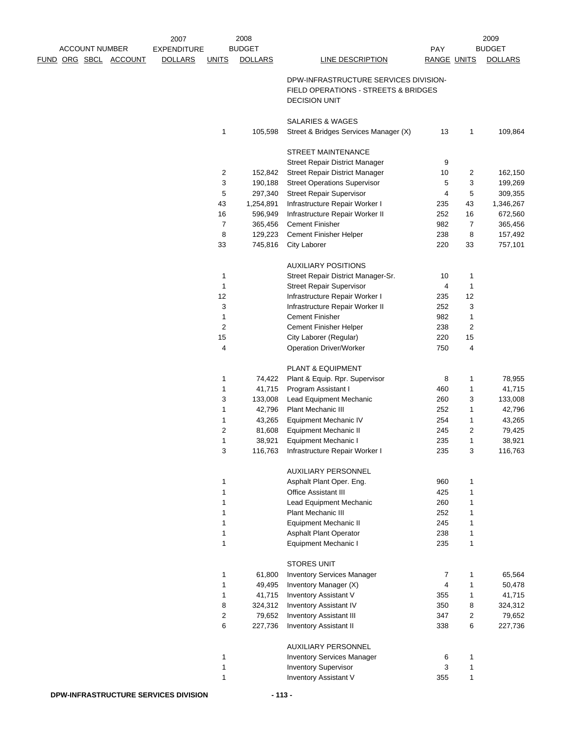|  |                              | 2007               |                         | 2008              |                                                               |                    |        | 2009              |
|--|------------------------------|--------------------|-------------------------|-------------------|---------------------------------------------------------------|--------------------|--------|-------------------|
|  | <b>ACCOUNT NUMBER</b>        | <b>EXPENDITURE</b> |                         | <b>BUDGET</b>     |                                                               | PAY                |        | <b>BUDGET</b>     |
|  | <u>FUND ORG SBCL ACCOUNT</u> | <b>DOLLARS</b>     | <b>UNITS</b>            | <b>DOLLARS</b>    | <b>LINE DESCRIPTION</b>                                       | <b>RANGE UNITS</b> |        | <b>DOLLARS</b>    |
|  |                              |                    |                         |                   | DPW-INFRASTRUCTURE SERVICES DIVISION-                         |                    |        |                   |
|  |                              |                    |                         |                   | FIELD OPERATIONS - STREETS & BRIDGES                          |                    |        |                   |
|  |                              |                    |                         |                   | <b>DECISION UNIT</b>                                          |                    |        |                   |
|  |                              |                    |                         |                   | <b>SALARIES &amp; WAGES</b>                                   |                    |        |                   |
|  |                              |                    | 1                       | 105,598           | Street & Bridges Services Manager (X)                         | 13                 | 1      | 109,864           |
|  |                              |                    |                         |                   |                                                               |                    |        |                   |
|  |                              |                    |                         |                   | STREET MAINTENANCE                                            |                    |        |                   |
|  |                              |                    |                         |                   | Street Repair District Manager                                | 9                  |        |                   |
|  |                              |                    | $\overline{\mathbf{c}}$ | 152,842           | <b>Street Repair District Manager</b>                         | 10                 | 2      | 162,150           |
|  |                              |                    | 3                       | 190,188           | <b>Street Operations Supervisor</b>                           | 5                  | 3      | 199,269           |
|  |                              |                    | 5                       | 297,340           | <b>Street Repair Supervisor</b>                               | 4                  | 5      | 309,355           |
|  |                              |                    | 43                      | 1,254,891         | Infrastructure Repair Worker I                                | 235                | 43     | 1,346,267         |
|  |                              |                    | 16                      | 596,949           | Infrastructure Repair Worker II                               | 252                | 16     | 672,560           |
|  |                              |                    | 7                       | 365,456           | <b>Cement Finisher</b>                                        | 982                | 7      | 365,456           |
|  |                              |                    | 8                       | 129,223           | Cement Finisher Helper                                        | 238                | 8      | 157,492           |
|  |                              |                    | 33                      | 745,816           | City Laborer                                                  | 220                | 33     | 757,101           |
|  |                              |                    |                         |                   | <b>AUXILIARY POSITIONS</b>                                    |                    |        |                   |
|  |                              |                    | 1                       |                   | Street Repair District Manager-Sr.                            | 10                 | 1      |                   |
|  |                              |                    | 1                       |                   | <b>Street Repair Supervisor</b>                               | 4                  | 1      |                   |
|  |                              |                    | 12                      |                   | Infrastructure Repair Worker I                                | 235                | 12     |                   |
|  |                              |                    | 3                       |                   | Infrastructure Repair Worker II                               | 252                | 3      |                   |
|  |                              |                    | 1                       |                   | <b>Cement Finisher</b>                                        | 982                | 1      |                   |
|  |                              |                    | $\overline{c}$          |                   | Cement Finisher Helper                                        | 238                | 2      |                   |
|  |                              |                    | 15                      |                   | City Laborer (Regular)                                        | 220                | 15     |                   |
|  |                              |                    | 4                       |                   | <b>Operation Driver/Worker</b>                                | 750                | 4      |                   |
|  |                              |                    |                         |                   |                                                               |                    |        |                   |
|  |                              |                    |                         |                   | PLANT & EQUIPMENT                                             |                    |        |                   |
|  |                              |                    | 1                       | 74,422            | Plant & Equip. Rpr. Supervisor                                | 8                  | 1      | 78,955            |
|  |                              |                    | 1                       | 41,715            | Program Assistant I                                           | 460                | 1      | 41,715            |
|  |                              |                    | 3                       | 133,008           | Lead Equipment Mechanic                                       | 260                | 3      | 133,008           |
|  |                              |                    | 1                       | 42,796            | Plant Mechanic III                                            | 252                | 1      | 42,796            |
|  |                              |                    | 1                       | 43,265            | <b>Equipment Mechanic IV</b>                                  | 254                | 1      | 43,265            |
|  |                              |                    | $\overline{c}$          | 81,608            | Equipment Mechanic II                                         | 245                | 2      | 79,425            |
|  |                              |                    | 1<br>3                  | 38,921<br>116,763 | <b>Equipment Mechanic I</b><br>Infrastructure Repair Worker I | 235<br>235         | 1<br>3 | 38,921<br>116,763 |
|  |                              |                    |                         |                   |                                                               |                    |        |                   |
|  |                              |                    |                         |                   | <b>AUXILIARY PERSONNEL</b>                                    |                    |        |                   |
|  |                              |                    | 1                       |                   | Asphalt Plant Oper. Eng.                                      | 960                | 1      |                   |
|  |                              |                    | 1                       |                   | <b>Office Assistant III</b>                                   | 425                | 1      |                   |
|  |                              |                    | 1                       |                   | Lead Equipment Mechanic                                       | 260                | 1      |                   |
|  |                              |                    | 1                       |                   | Plant Mechanic III                                            | 252                | 1      |                   |
|  |                              |                    | 1                       |                   | <b>Equipment Mechanic II</b>                                  | 245                | 1      |                   |
|  |                              |                    | 1                       |                   | Asphalt Plant Operator                                        | 238                | 1      |                   |
|  |                              |                    | 1                       |                   | Equipment Mechanic I                                          | 235                | 1      |                   |
|  |                              |                    |                         |                   | <b>STORES UNIT</b>                                            |                    |        |                   |
|  |                              |                    | 1                       | 61,800            | <b>Inventory Services Manager</b>                             | $\overline{7}$     | 1      | 65,564            |
|  |                              |                    | 1                       | 49,495            | Inventory Manager (X)                                         | 4                  | 1      | 50,478            |
|  |                              |                    | 1                       | 41,715            | Inventory Assistant V                                         | 355                | 1      | 41,715            |
|  |                              |                    | 8                       | 324,312           | Inventory Assistant IV                                        | 350                | 8      | 324,312           |
|  |                              |                    | 2                       | 79,652            | <b>Inventory Assistant III</b>                                | 347                | 2      | 79,652            |
|  |                              |                    | 6                       | 227,736           | <b>Inventory Assistant II</b>                                 | 338                | 6      | 227,736           |
|  |                              |                    |                         |                   | AUXILIARY PERSONNEL                                           |                    |        |                   |
|  |                              |                    | 1                       |                   | <b>Inventory Services Manager</b>                             | 6                  | 1      |                   |
|  |                              |                    | 1                       |                   | <b>Inventory Supervisor</b>                                   | 3                  | 1      |                   |
|  |                              |                    | 1                       |                   | Inventory Assistant V                                         | 355                | 1      |                   |
|  |                              |                    |                         |                   |                                                               |                    |        |                   |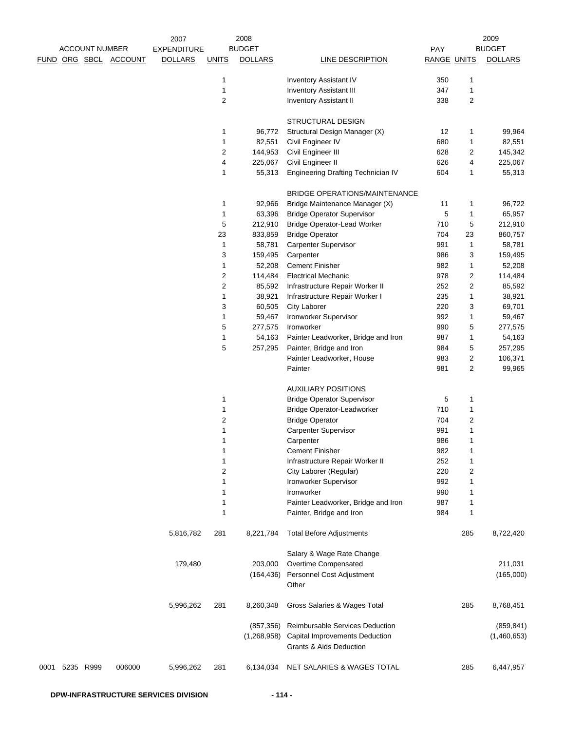|                |                       |                       | 2007               |                | 2008           |                                                           |                    |                | 2009           |
|----------------|-----------------------|-----------------------|--------------------|----------------|----------------|-----------------------------------------------------------|--------------------|----------------|----------------|
|                | <b>ACCOUNT NUMBER</b> |                       | <b>EXPENDITURE</b> |                | <b>BUDGET</b>  |                                                           | PAY                |                | <b>BUDGET</b>  |
|                |                       | FUND ORG SBCL ACCOUNT | <b>DOLLARS</b>     | <b>UNITS</b>   | <b>DOLLARS</b> | <b>LINE DESCRIPTION</b>                                   | <b>RANGE UNITS</b> |                | <b>DOLLARS</b> |
|                |                       |                       |                    |                |                |                                                           |                    |                |                |
|                |                       |                       |                    | 1              |                | Inventory Assistant IV                                    | 350                | 1              |                |
|                |                       |                       |                    | 1              |                | <b>Inventory Assistant III</b>                            | 347                | 1              |                |
|                |                       |                       |                    | 2              |                | <b>Inventory Assistant II</b>                             | 338                | 2              |                |
|                |                       |                       |                    |                |                | STRUCTURAL DESIGN                                         |                    |                |                |
|                |                       |                       |                    | 1              | 96,772         | Structural Design Manager (X)                             | 12                 | 1              | 99,964         |
|                |                       |                       |                    | 1              | 82,551         | Civil Engineer IV                                         | 680                | 1              | 82,551         |
|                |                       |                       |                    | 2              | 144,953        | Civil Engineer III                                        | 628                | 2              | 145,342        |
|                |                       |                       |                    | 4              | 225,067        | Civil Engineer II                                         | 626                | 4              | 225,067        |
|                |                       |                       |                    | 1              | 55,313         | Engineering Drafting Technician IV                        | 604                | 1              | 55,313         |
|                |                       |                       |                    |                |                | <b>BRIDGE OPERATIONS/MAINTENANCE</b>                      |                    |                |                |
|                |                       |                       |                    | 1              | 92,966         | Bridge Maintenance Manager (X)                            | 11                 | 1              | 96,722         |
|                |                       |                       |                    | 1              | 63,396         | <b>Bridge Operator Supervisor</b>                         | 5                  | 1              | 65,957         |
|                |                       |                       |                    | 5              | 212,910        | <b>Bridge Operator-Lead Worker</b>                        | 710                | 5              | 212,910        |
|                |                       |                       |                    | 23             | 833,859        | <b>Bridge Operator</b>                                    | 704                | 23             | 860,757        |
|                |                       |                       |                    | 1              | 58,781         | <b>Carpenter Supervisor</b>                               | 991                | 1              | 58,781         |
|                |                       |                       |                    | 3              | 159,495        | Carpenter                                                 | 986                | 3              | 159,495        |
|                |                       |                       |                    | 1              | 52,208         | <b>Cement Finisher</b>                                    | 982                | 1              | 52,208         |
|                |                       |                       |                    | 2              | 114,484        | <b>Electrical Mechanic</b>                                | 978                | 2              | 114,484        |
|                |                       |                       |                    | $\overline{2}$ | 85,592         | Infrastructure Repair Worker II                           | 252                | 2              | 85,592         |
|                |                       |                       |                    | 1              | 38,921         | Infrastructure Repair Worker I                            | 235                | 1              | 38,921         |
|                |                       |                       |                    | 3              | 60,505         | City Laborer                                              | 220                | 3              | 69,701         |
|                |                       |                       |                    | 1              | 59,467         | Ironworker Supervisor                                     | 992                | 1              | 59,467         |
|                |                       |                       |                    | 5              | 277,575        | Ironworker                                                | 990                | 5              | 277,575        |
|                |                       |                       |                    | 1              | 54,163         | Painter Leadworker, Bridge and Iron                       | 987                | 1              | 54,163         |
|                |                       |                       |                    | 5              | 257,295        | Painter, Bridge and Iron                                  | 984                | 5              | 257,295        |
|                |                       |                       |                    |                |                | Painter Leadworker, House                                 | 983                | 2              | 106,371        |
|                |                       |                       |                    |                |                | Painter                                                   | 981                | $\overline{2}$ | 99,965         |
|                |                       |                       |                    |                |                | <b>AUXILIARY POSITIONS</b>                                |                    |                |                |
|                |                       |                       |                    | 1              |                | <b>Bridge Operator Supervisor</b>                         | 5                  | 1              |                |
|                |                       |                       |                    | 1              |                | Bridge Operator-Leadworker                                | 710                | 1              |                |
|                |                       |                       |                    | 2              |                | <b>Bridge Operator</b>                                    | 704                | 2              |                |
|                |                       |                       |                    | 1              |                | <b>Carpenter Supervisor</b>                               | 991                | 1              |                |
|                |                       |                       |                    | 1              |                | Carpenter                                                 | 986                | 1              |                |
|                |                       |                       |                    | 1              |                | <b>Cement Finisher</b>                                    | 982                | 1              |                |
|                |                       |                       |                    | 1              |                | Infrastructure Repair Worker II                           | 252                | 1              |                |
|                |                       |                       |                    | 2              |                | City Laborer (Regular)                                    | 220                | $\overline{c}$ |                |
|                |                       |                       |                    | 1              |                | Ironworker Supervisor                                     | 992                | 1              |                |
|                |                       |                       |                    | 1              |                | Ironworker                                                | 990                | 1              |                |
|                |                       |                       |                    | 1              |                | Painter Leadworker, Bridge and Iron                       | 987                | 1              |                |
|                |                       |                       |                    | 1              |                | Painter, Bridge and Iron                                  | 984                | 1              |                |
|                |                       |                       | 5,816,782          | 281            | 8,221,784      | <b>Total Before Adjustments</b>                           |                    | 285            | 8,722,420      |
|                |                       |                       |                    |                |                | Salary & Wage Rate Change                                 |                    |                |                |
|                |                       |                       | 179,480            |                | 203,000        | Overtime Compensated                                      |                    |                | 211,031        |
|                |                       |                       |                    |                | (164,436)      | Personnel Cost Adjustment                                 |                    |                | (165,000)      |
|                |                       |                       |                    |                |                | Other                                                     |                    |                |                |
|                |                       |                       | 5,996,262          | 281            | 8,260,348      | Gross Salaries & Wages Total                              |                    | 285            | 8,768,451      |
|                |                       |                       |                    |                | (857, 356)     | Reimbursable Services Deduction                           |                    |                | (859, 841)     |
|                |                       |                       |                    |                | (1,268,958)    | Capital Improvements Deduction<br>Grants & Aids Deduction |                    |                | (1,460,653)    |
| 0001 5235 R999 |                       | 006000                | 5,996,262          | 281            | 6,134,034      | NET SALARIES & WAGES TOTAL                                |                    | 285            | 6,447,957      |
|                |                       |                       |                    |                |                |                                                           |                    |                |                |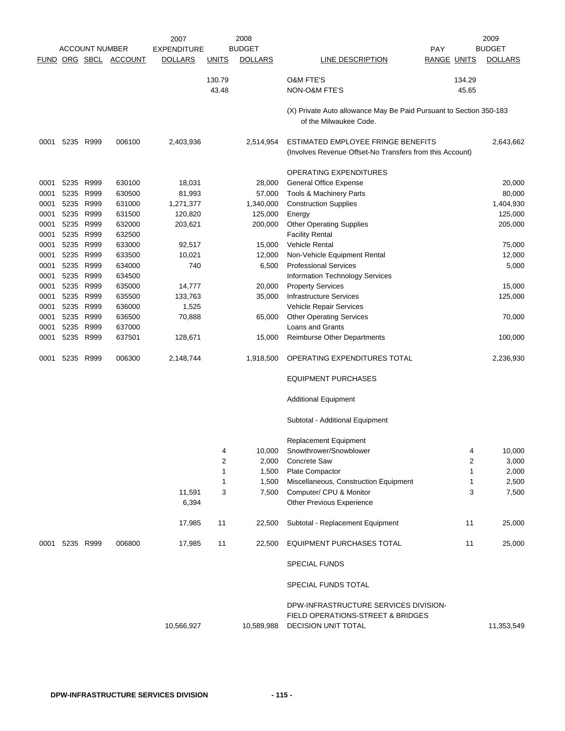|              |                        | <b>ACCOUNT NUMBER</b> |                  | 2007<br><b>EXPENDITURE</b> |              | 2008<br><b>BUDGET</b> |                                                                                                | <b>PAY</b>         | 2009<br><b>BUDGET</b> |
|--------------|------------------------|-----------------------|------------------|----------------------------|--------------|-----------------------|------------------------------------------------------------------------------------------------|--------------------|-----------------------|
|              |                        | FUND ORG SBCL         | <b>ACCOUNT</b>   | <b>DOLLARS</b>             | <b>UNITS</b> | <b>DOLLARS</b>        | LINE DESCRIPTION                                                                               | <b>RANGE UNITS</b> | <b>DOLLARS</b>        |
|              |                        |                       |                  |                            | 130.79       |                       | <b>O&amp;M FTE'S</b>                                                                           | 134.29             |                       |
|              |                        |                       |                  |                            | 43.48        |                       | <b>NON-O&amp;M FTE'S</b>                                                                       | 45.65              |                       |
|              |                        |                       |                  |                            |              |                       | (X) Private Auto allowance May Be Paid Pursuant to Section 350-183<br>of the Milwaukee Code.   |                    |                       |
| 0001         | 5235 R999              |                       | 006100           | 2,403,936                  |              | 2,514,954             | ESTIMATED EMPLOYEE FRINGE BENEFITS<br>(Involves Revenue Offset-No Transfers from this Account) |                    | 2,643,662             |
|              |                        |                       |                  |                            |              |                       | OPERATING EXPENDITURES                                                                         |                    |                       |
| 0001         | 5235 R999              |                       | 630100           | 18,031                     |              | 28,000                | General Office Expense                                                                         |                    | 20,000                |
| 0001         |                        | 5235 R999             | 630500           | 81,993                     |              | 57,000                | Tools & Machinery Parts                                                                        |                    | 80,000                |
| 0001         | 5235                   | R999                  | 631000           | 1,271,377                  |              | 1,340,000             | <b>Construction Supplies</b>                                                                   |                    | 1,404,930             |
| 0001         | 5235 R999              |                       | 631500           | 120,820                    |              | 125,000               | Energy                                                                                         |                    | 125,000               |
| 0001         | 5235 R999              |                       | 632000           | 203,621                    |              | 200,000               | <b>Other Operating Supplies</b>                                                                |                    | 205,000               |
| 0001         | 5235 R999              |                       | 632500           |                            |              |                       | <b>Facility Rental</b>                                                                         |                    |                       |
| 0001         | 5235                   | R999                  | 633000           | 92,517                     |              | 15,000                | <b>Vehicle Rental</b>                                                                          |                    | 75,000                |
| 0001         | 5235 R999              |                       | 633500           | 10,021                     |              | 12,000                | Non-Vehicle Equipment Rental                                                                   |                    | 12,000                |
| 0001         | 5235                   | R999                  | 634000           | 740                        |              | 6,500                 | <b>Professional Services</b>                                                                   |                    | 5,000                 |
| 0001         | 5235                   | R999                  | 634500           |                            |              |                       | Information Technology Services                                                                |                    |                       |
| 0001         | 5235 R999              |                       | 635000           | 14,777                     |              | 20,000                | <b>Property Services</b>                                                                       |                    | 15,000                |
| 0001<br>0001 | 5235 R999<br>5235 R999 |                       | 635500<br>636000 | 133,763<br>1,525           |              | 35,000                | <b>Infrastructure Services</b><br>Vehicle Repair Services                                      |                    | 125,000               |
| 0001         | 5235                   | R999                  | 636500           | 70,888                     |              | 65,000                | <b>Other Operating Services</b>                                                                |                    | 70,000                |
| 0001         |                        | 5235 R999             | 637000           |                            |              |                       | Loans and Grants                                                                               |                    |                       |
| 0001         | 5235 R999              |                       | 637501           | 128,671                    |              | 15,000                | <b>Reimburse Other Departments</b>                                                             |                    | 100,000               |
| 0001         |                        | 5235 R999             | 006300           | 2,148,744                  |              | 1,918,500             | OPERATING EXPENDITURES TOTAL                                                                   |                    | 2,236,930             |
|              |                        |                       |                  |                            |              |                       | <b>EQUIPMENT PURCHASES</b>                                                                     |                    |                       |
|              |                        |                       |                  |                            |              |                       | <b>Additional Equipment</b>                                                                    |                    |                       |
|              |                        |                       |                  |                            |              |                       | Subtotal - Additional Equipment                                                                |                    |                       |
|              |                        |                       |                  |                            |              |                       | Replacement Equipment                                                                          |                    |                       |
|              |                        |                       |                  |                            | 4            | 10,000                | Snowthrower/Snowblower                                                                         | 4                  | 10,000                |
|              |                        |                       |                  |                            | 2            | 2,000                 | Concrete Saw                                                                                   | $\overline{2}$     | 3,000                 |
|              |                        |                       |                  |                            | 1            | 1,500                 | Plate Compactor                                                                                | 1                  | 2,000                 |
|              |                        |                       |                  |                            | 1            | 1,500                 | Miscellaneous, Construction Equipment                                                          | 1                  | 2,500                 |
|              |                        |                       |                  | 11,591<br>6,394            | 3            | 7,500                 | Computer/ CPU & Monitor<br>Other Previous Experience                                           | 3                  | 7,500                 |
|              |                        |                       |                  | 17,985                     | 11           | 22,500                | Subtotal - Replacement Equipment                                                               | 11                 | 25,000                |
| 0001         | 5235 R999              |                       | 006800           | 17,985                     | 11           | 22,500                | EQUIPMENT PURCHASES TOTAL                                                                      | 11                 | 25,000                |
|              |                        |                       |                  |                            |              |                       | SPECIAL FUNDS                                                                                  |                    |                       |
|              |                        |                       |                  |                            |              |                       | SPECIAL FUNDS TOTAL                                                                            |                    |                       |
|              |                        |                       |                  |                            |              |                       | DPW-INFRASTRUCTURE SERVICES DIVISION-                                                          |                    |                       |
|              |                        |                       |                  | 10,566,927                 |              | 10,589,988            | FIELD OPERATIONS-STREET & BRIDGES<br><b>DECISION UNIT TOTAL</b>                                |                    | 11,353,549            |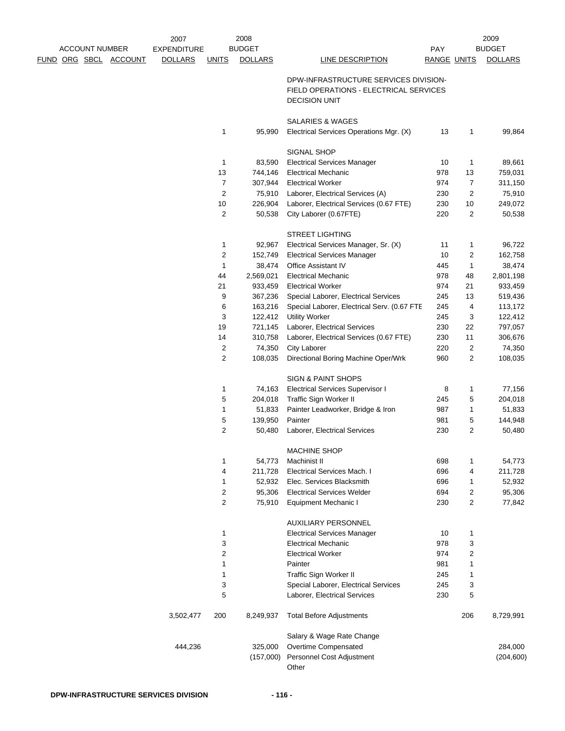|                              | 2007               |                  | 2008           |                                             |                    |                | 2009           |
|------------------------------|--------------------|------------------|----------------|---------------------------------------------|--------------------|----------------|----------------|
| <b>ACCOUNT NUMBER</b>        | <b>EXPENDITURE</b> |                  | <b>BUDGET</b>  |                                             | <b>PAY</b>         |                | <b>BUDGET</b>  |
| <u>FUND ORG SBCL ACCOUNT</u> | <b>DOLLARS</b>     | <b>UNITS</b>     | <b>DOLLARS</b> | <b>LINE DESCRIPTION</b>                     | <b>RANGE UNITS</b> |                | <b>DOLLARS</b> |
|                              |                    |                  |                | DPW-INFRASTRUCTURE SERVICES DIVISION-       |                    |                |                |
|                              |                    |                  |                | FIELD OPERATIONS - ELECTRICAL SERVICES      |                    |                |                |
|                              |                    |                  |                | <b>DECISION UNIT</b>                        |                    |                |                |
|                              |                    |                  |                |                                             |                    |                |                |
|                              |                    |                  |                | <b>SALARIES &amp; WAGES</b>                 |                    |                |                |
|                              |                    | 1                | 95,990         | Electrical Services Operations Mgr. (X)     | 13                 | 1              | 99,864         |
|                              |                    |                  |                |                                             |                    |                |                |
|                              |                    |                  |                | SIGNAL SHOP                                 |                    |                |                |
|                              |                    | 1                | 83,590         | <b>Electrical Services Manager</b>          | 10                 | 1              | 89,661         |
|                              |                    | 13               | 744,146        | <b>Electrical Mechanic</b>                  | 978                | 13             | 759,031        |
|                              |                    | 7                | 307,944        | <b>Electrical Worker</b>                    | 974                | 7              | 311,150        |
|                              |                    | $\overline{2}$   | 75,910         | Laborer, Electrical Services (A)            | 230                | 2              | 75,910         |
|                              |                    | $10$             | 226,904        | Laborer, Electrical Services (0.67 FTE)     | 230                | 10             | 249,072        |
|                              |                    | $\boldsymbol{2}$ | 50,538         | City Laborer (0.67FTE)                      | 220                | 2              | 50,538         |
|                              |                    |                  |                |                                             |                    |                |                |
|                              |                    |                  |                | <b>STREET LIGHTING</b>                      |                    |                |                |
|                              |                    | 1                | 92,967         | Electrical Services Manager, Sr. (X)        | 11                 | 1              | 96,722         |
|                              |                    | $\boldsymbol{2}$ | 152,749        | <b>Electrical Services Manager</b>          | 10                 | $\overline{c}$ | 162,758        |
|                              |                    | 1                | 38,474         | <b>Office Assistant IV</b>                  | 445                | 1              | 38,474         |
|                              |                    | 44               | 2,569,021      | <b>Electrical Mechanic</b>                  | 978                | 48             | 2,801,198      |
|                              |                    | 21               | 933,459        | <b>Electrical Worker</b>                    | 974                | 21             | 933,459        |
|                              |                    | 9                | 367,236        | Special Laborer, Electrical Services        | 245                | 13             | 519,436        |
|                              |                    | 6                | 163,216        | Special Laborer, Electrical Serv. (0.67 FTE | 245                | 4              | 113,172        |
|                              |                    | 3                | 122,412        | <b>Utility Worker</b>                       | 245                | 3              | 122,412        |
|                              |                    | 19               | 721,145        | Laborer, Electrical Services                | 230                | 22             | 797,057        |
|                              |                    | 14               | 310,758        | Laborer, Electrical Services (0.67 FTE)     | 230                | 11             | 306,676        |
|                              |                    | $\overline{c}$   | 74,350         | City Laborer                                | 220                | 2              | 74,350         |
|                              |                    | $\overline{c}$   | 108,035        | Directional Boring Machine Oper/Wrk         | 960                | 2              | 108,035        |
|                              |                    |                  |                |                                             |                    |                |                |
|                              |                    |                  |                | SIGN & PAINT SHOPS                          |                    |                |                |
|                              |                    | 1                | 74,163         | <b>Electrical Services Supervisor I</b>     | 8                  | 1              | 77,156         |
|                              |                    | 5                | 204,018        | Traffic Sign Worker II                      | 245                | 5              | 204,018        |
|                              |                    | 1                | 51,833         | Painter Leadworker, Bridge & Iron           | 987                | 1              | 51,833         |
|                              |                    | $\,$ 5 $\,$      | 139,950        | Painter                                     | 981                | 5              | 144,948        |
|                              |                    | $\overline{c}$   | 50,480         | Laborer, Electrical Services                | 230                | 2              | 50,480         |
|                              |                    |                  |                |                                             |                    |                |                |
|                              |                    | 1                | 54,773         | <b>MACHINE SHOP</b><br>Machinist II         | 698                | 1              | 54,773         |
|                              |                    | 4                | 211,728        | Electrical Services Mach. I                 | 696                | 4              | 211,728        |
|                              |                    | 1                | 52,932         | Elec. Services Blacksmith                   | 696                | 1              | 52,932         |
|                              |                    | $\overline{c}$   | 95,306         | <b>Electrical Services Welder</b>           | 694                | 2              | 95,306         |
|                              |                    | $\overline{c}$   | 75,910         | <b>Equipment Mechanic I</b>                 | 230                | 2              | 77,842         |
|                              |                    |                  |                |                                             |                    |                |                |
|                              |                    |                  |                | <b>AUXILIARY PERSONNEL</b>                  |                    |                |                |
|                              |                    | 1                |                | <b>Electrical Services Manager</b>          | 10                 | 1              |                |
|                              |                    | 3                |                | <b>Electrical Mechanic</b>                  | 978                | 3              |                |
|                              |                    | $\boldsymbol{2}$ |                | <b>Electrical Worker</b>                    | 974                | $\overline{c}$ |                |
|                              |                    | 1                |                | Painter                                     | 981                | 1              |                |
|                              |                    | 1                |                | Traffic Sign Worker II                      | 245                | 1              |                |
|                              |                    | 3                |                | Special Laborer, Electrical Services        | 245                | 3              |                |
|                              |                    | 5                |                | Laborer, Electrical Services                | 230                | 5              |                |
|                              | 3,502,477          | 200              | 8,249,937      | <b>Total Before Adjustments</b>             |                    | 206            | 8,729,991      |
|                              |                    |                  |                |                                             |                    |                |                |
|                              |                    |                  |                | Salary & Wage Rate Change                   |                    |                |                |
|                              | 444,236            |                  | 325,000        | Overtime Compensated                        |                    |                | 284,000        |
|                              |                    |                  | (157,000)      | Personnel Cost Adjustment                   |                    |                | (204, 600)     |
|                              |                    |                  |                | Other                                       |                    |                |                |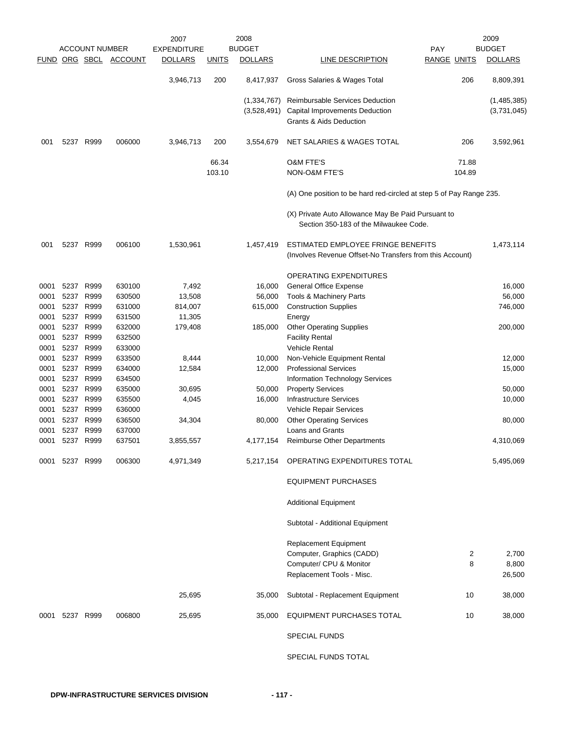|              |                   | <b>ACCOUNT NUMBER</b> |                       | 2007<br><b>EXPENDITURE</b> |                 | 2008<br><b>BUDGET</b>        |                                                                                                | <b>PAY</b>         | 2009<br><b>BUDGET</b>      |
|--------------|-------------------|-----------------------|-----------------------|----------------------------|-----------------|------------------------------|------------------------------------------------------------------------------------------------|--------------------|----------------------------|
|              |                   |                       | FUND ORG SBCL ACCOUNT | <b>DOLLARS</b>             | <b>UNITS</b>    | <b>DOLLARS</b>               | LINE DESCRIPTION                                                                               | <b>RANGE UNITS</b> | <b>DOLLARS</b>             |
|              |                   |                       |                       | 3,946,713                  | 200             | 8,417,937                    | Gross Salaries & Wages Total                                                                   | 206                | 8,809,391                  |
|              |                   |                       |                       |                            |                 | (1, 334, 767)<br>(3,528,491) | Reimbursable Services Deduction<br>Capital Improvements Deduction<br>Grants & Aids Deduction   |                    | (1,485,385)<br>(3,731,045) |
| 001          |                   | 5237 R999             | 006000                | 3,946,713                  | 200             | 3,554,679                    | NET SALARIES & WAGES TOTAL                                                                     | 206                | 3,592,961                  |
|              |                   |                       |                       |                            | 66.34<br>103.10 |                              | <b>O&amp;M FTE'S</b><br>NON-O&M FTE'S                                                          | 71.88<br>104.89    |                            |
|              |                   |                       |                       |                            |                 |                              | (A) One position to be hard red-circled at step 5 of Pay Range 235.                            |                    |                            |
|              |                   |                       |                       |                            |                 |                              | (X) Private Auto Allowance May Be Paid Pursuant to<br>Section 350-183 of the Milwaukee Code.   |                    |                            |
| 001          |                   | 5237 R999             | 006100                | 1,530,961                  |                 | 1,457,419                    | ESTIMATED EMPLOYEE FRINGE BENEFITS<br>(Involves Revenue Offset-No Transfers from this Account) |                    | 1,473,114                  |
|              |                   |                       |                       |                            |                 |                              | <b>OPERATING EXPENDITURES</b>                                                                  |                    |                            |
| 0001         | 5237 R999         |                       | 630100                | 7,492                      |                 | 16,000                       | General Office Expense                                                                         |                    | 16,000                     |
| 0001         |                   | 5237 R999             | 630500                | 13,508                     |                 | 56,000                       | <b>Tools &amp; Machinery Parts</b>                                                             |                    | 56,000                     |
| 0001         | 5237 R999         |                       | 631000                | 814,007                    |                 | 615,000                      | <b>Construction Supplies</b>                                                                   |                    | 746,000                    |
| 0001         | 5237 R999         |                       | 631500                | 11,305                     |                 |                              | Energy                                                                                         |                    |                            |
| 0001         |                   | 5237 R999             | 632000                | 179,408                    |                 | 185,000                      | <b>Other Operating Supplies</b>                                                                |                    | 200,000                    |
| 0001         | 5237 R999<br>5237 | R999                  | 632500                |                            |                 |                              | <b>Facility Rental</b>                                                                         |                    |                            |
| 0001<br>0001 | 5237              | R999                  | 633000<br>633500      | 8,444                      |                 | 10,000                       | <b>Vehicle Rental</b><br>Non-Vehicle Equipment Rental                                          |                    | 12,000                     |
| 0001         | 5237 R999         |                       | 634000                | 12,584                     |                 | 12,000                       | <b>Professional Services</b>                                                                   |                    | 15,000                     |
| 0001         | 5237              | R999                  | 634500                |                            |                 |                              | <b>Information Technology Services</b>                                                         |                    |                            |
| 0001         | 5237 R999         |                       | 635000                | 30,695                     |                 | 50,000                       | <b>Property Services</b>                                                                       |                    | 50,000                     |
| 0001         | 5237 R999         |                       | 635500                | 4,045                      |                 | 16,000                       | <b>Infrastructure Services</b>                                                                 |                    | 10,000                     |
| 0001         | 5237 R999         |                       | 636000                |                            |                 |                              | Vehicle Repair Services                                                                        |                    |                            |
| 0001         | 5237              | R999                  | 636500                | 34,304                     |                 | 80,000                       | <b>Other Operating Services</b>                                                                |                    | 80,000                     |
| 0001         | 5237              | R999                  | 637000                |                            |                 |                              | <b>Loans and Grants</b>                                                                        |                    |                            |
| 0001         |                   | 5237 R999             | 637501                | 3,855,557                  |                 | 4,177,154                    | <b>Reimburse Other Departments</b>                                                             |                    | 4,310,069                  |
| 0001         | 5237 R999         |                       | 006300                | 4,971,349                  |                 | 5,217,154                    | OPERATING EXPENDITURES TOTAL                                                                   |                    | 5,495,069                  |
|              |                   |                       |                       |                            |                 |                              | <b>EQUIPMENT PURCHASES</b>                                                                     |                    |                            |
|              |                   |                       |                       |                            |                 |                              | <b>Additional Equipment</b>                                                                    |                    |                            |
|              |                   |                       |                       |                            |                 |                              | Subtotal - Additional Equipment                                                                |                    |                            |
|              |                   |                       |                       |                            |                 |                              | <b>Replacement Equipment</b>                                                                   |                    |                            |
|              |                   |                       |                       |                            |                 |                              | Computer, Graphics (CADD)                                                                      | 2                  | 2,700                      |
|              |                   |                       |                       |                            |                 |                              | Computer/ CPU & Monitor                                                                        | 8                  | 8,800                      |
|              |                   |                       |                       |                            |                 |                              | Replacement Tools - Misc.                                                                      |                    | 26,500                     |
|              |                   |                       |                       | 25,695                     |                 | 35,000                       | Subtotal - Replacement Equipment                                                               | 10                 | 38,000                     |
| 0001         | 5237 R999         |                       | 006800                | 25,695                     |                 | 35,000                       | EQUIPMENT PURCHASES TOTAL                                                                      | 10                 | 38,000                     |
|              |                   |                       |                       |                            |                 |                              | <b>SPECIAL FUNDS</b>                                                                           |                    |                            |
|              |                   |                       |                       |                            |                 |                              | SPECIAL FUNDS TOTAL                                                                            |                    |                            |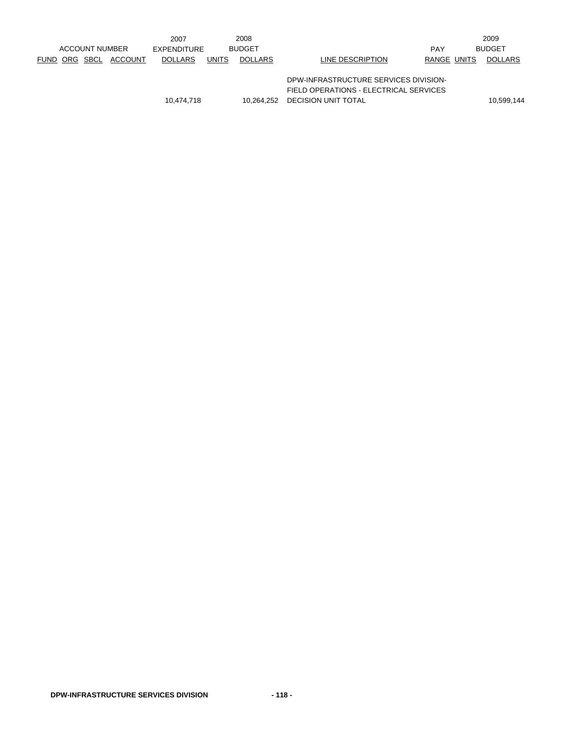|  |                       |         | 2007           |              | 2008           |                                        |             | 2009           |
|--|-----------------------|---------|----------------|--------------|----------------|----------------------------------------|-------------|----------------|
|  | <b>ACCOUNT NUMBER</b> |         | EXPENDITURE    |              | <b>BUDGET</b>  |                                        | <b>PAY</b>  | <b>BUDGET</b>  |
|  | FUND ORG SBCL         | ACCOUNT | <b>DOLLARS</b> | <b>UNITS</b> | <b>DOLLARS</b> | LINE DESCRIPTION                       | RANGE UNITS | <b>DOLLARS</b> |
|  |                       |         |                |              |                |                                        |             |                |
|  |                       |         |                |              |                | DPW-INFRASTRUCTURE SERVICES DIVISION-  |             |                |
|  |                       |         |                |              |                | FIELD OPERATIONS - ELECTRICAL SERVICES |             |                |
|  |                       |         | 10.474.718     |              | 10.264.252     | DECISION UNIT TOTAL                    |             | 10,599,144     |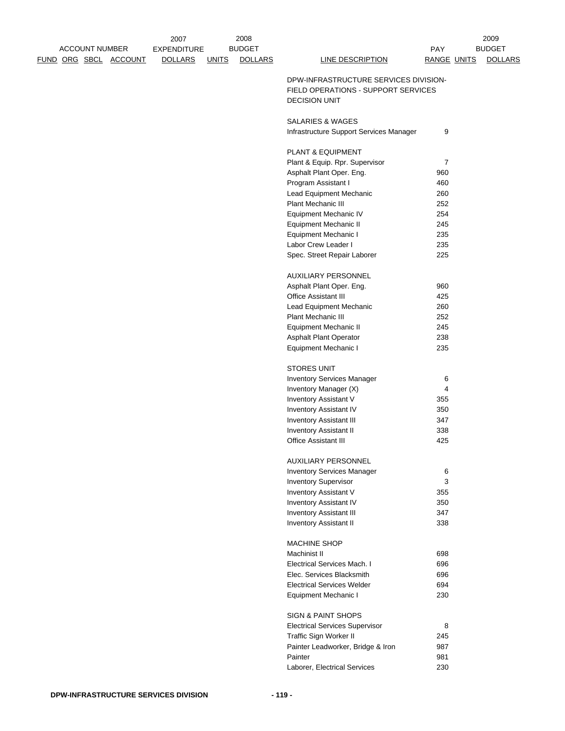|  | <b>ACCOUNT NUMBER</b> | FUND ORG SBCL ACCOUNT | 2007<br><b>EXPENDITURE</b><br><b>DOLLARS</b> | <b>UNITS</b> | 2008<br><b>BUDGET</b><br><b>DOLLARS</b> | LINE DESCRIPTION                                                             | <b>PAY</b><br><b>RANGE UNITS</b> | 2009<br><b>BUDGET</b><br><b>DOLLARS</b> |
|--|-----------------------|-----------------------|----------------------------------------------|--------------|-----------------------------------------|------------------------------------------------------------------------------|----------------------------------|-----------------------------------------|
|  |                       |                       |                                              |              |                                         | DPW-INFRASTRUCTURE SERVICES DIVISION-<br>FIELD OPERATIONS - SUPPORT SERVICES |                                  |                                         |
|  |                       |                       |                                              |              |                                         | <b>DECISION UNIT</b>                                                         |                                  |                                         |
|  |                       |                       |                                              |              |                                         | SALARIES & WAGES                                                             |                                  |                                         |
|  |                       |                       |                                              |              |                                         | Infrastructure Support Services Manager                                      | 9                                |                                         |
|  |                       |                       |                                              |              |                                         | PLANT & EQUIPMENT                                                            |                                  |                                         |
|  |                       |                       |                                              |              |                                         | Plant & Equip. Rpr. Supervisor                                               | $\overline{7}$                   |                                         |
|  |                       |                       |                                              |              |                                         | Asphalt Plant Oper. Eng.                                                     | 960                              |                                         |
|  |                       |                       |                                              |              |                                         | Program Assistant I                                                          | 460                              |                                         |
|  |                       |                       |                                              |              |                                         | Lead Equipment Mechanic                                                      | 260                              |                                         |
|  |                       |                       |                                              |              |                                         | Plant Mechanic III<br><b>Equipment Mechanic IV</b>                           | 252<br>254                       |                                         |
|  |                       |                       |                                              |              |                                         | Equipment Mechanic II                                                        | 245                              |                                         |
|  |                       |                       |                                              |              |                                         | <b>Equipment Mechanic I</b>                                                  | 235                              |                                         |
|  |                       |                       |                                              |              |                                         | Labor Crew Leader I                                                          | 235                              |                                         |
|  |                       |                       |                                              |              |                                         | Spec. Street Repair Laborer                                                  | 225                              |                                         |
|  |                       |                       |                                              |              |                                         | AUXILIARY PERSONNEL                                                          |                                  |                                         |
|  |                       |                       |                                              |              |                                         | Asphalt Plant Oper. Eng.                                                     | 960                              |                                         |
|  |                       |                       |                                              |              |                                         | <b>Office Assistant III</b>                                                  | 425                              |                                         |
|  |                       |                       |                                              |              |                                         | Lead Equipment Mechanic                                                      | 260                              |                                         |
|  |                       |                       |                                              |              |                                         | Plant Mechanic III                                                           | 252                              |                                         |
|  |                       |                       |                                              |              |                                         | <b>Equipment Mechanic II</b>                                                 | 245                              |                                         |
|  |                       |                       |                                              |              |                                         | <b>Asphalt Plant Operator</b><br>Equipment Mechanic I                        | 238<br>235                       |                                         |
|  |                       |                       |                                              |              |                                         |                                                                              |                                  |                                         |
|  |                       |                       |                                              |              |                                         | <b>STORES UNIT</b><br><b>Inventory Services Manager</b>                      | 6                                |                                         |
|  |                       |                       |                                              |              |                                         | Inventory Manager (X)                                                        | 4                                |                                         |
|  |                       |                       |                                              |              |                                         | Inventory Assistant V                                                        | 355                              |                                         |
|  |                       |                       |                                              |              |                                         | Inventory Assistant IV                                                       | 350                              |                                         |
|  |                       |                       |                                              |              |                                         | <b>Inventory Assistant III</b>                                               | 347                              |                                         |
|  |                       |                       |                                              |              |                                         | <b>Inventory Assistant II</b>                                                | 338                              |                                         |
|  |                       |                       |                                              |              |                                         | <b>Office Assistant III</b>                                                  | 425                              |                                         |
|  |                       |                       |                                              |              |                                         | AUXILIARY PERSONNEL                                                          |                                  |                                         |
|  |                       |                       |                                              |              |                                         | <b>Inventory Services Manager</b>                                            | 6                                |                                         |
|  |                       |                       |                                              |              |                                         | <b>Inventory Supervisor</b>                                                  | 3                                |                                         |
|  |                       |                       |                                              |              |                                         | Inventory Assistant V                                                        | 355                              |                                         |
|  |                       |                       |                                              |              |                                         | Inventory Assistant IV                                                       | 350<br>347                       |                                         |
|  |                       |                       |                                              |              |                                         | <b>Inventory Assistant III</b><br><b>Inventory Assistant II</b>              | 338                              |                                         |
|  |                       |                       |                                              |              |                                         |                                                                              |                                  |                                         |
|  |                       |                       |                                              |              |                                         | <b>MACHINE SHOP</b><br>Machinist II                                          | 698                              |                                         |
|  |                       |                       |                                              |              |                                         | Electrical Services Mach. I                                                  | 696                              |                                         |
|  |                       |                       |                                              |              |                                         | Elec. Services Blacksmith                                                    | 696                              |                                         |
|  |                       |                       |                                              |              |                                         | <b>Electrical Services Welder</b>                                            | 694                              |                                         |
|  |                       |                       |                                              |              |                                         | Equipment Mechanic I                                                         | 230                              |                                         |
|  |                       |                       |                                              |              |                                         | <b>SIGN &amp; PAINT SHOPS</b>                                                |                                  |                                         |
|  |                       |                       |                                              |              |                                         | <b>Electrical Services Supervisor</b>                                        | 8                                |                                         |
|  |                       |                       |                                              |              |                                         | Traffic Sign Worker II                                                       | 245                              |                                         |
|  |                       |                       |                                              |              |                                         | Painter Leadworker, Bridge & Iron                                            | 987                              |                                         |
|  |                       |                       |                                              |              |                                         | Painter                                                                      | 981                              |                                         |
|  |                       |                       |                                              |              |                                         | Laborer, Electrical Services                                                 | 230                              |                                         |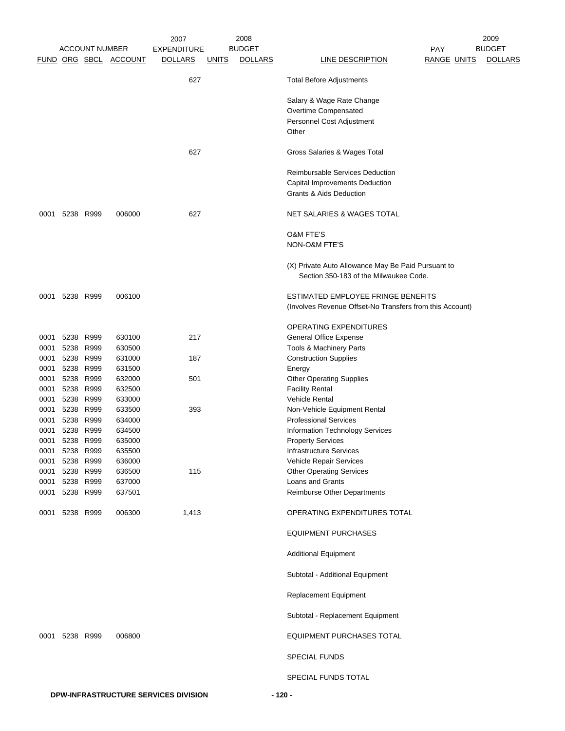|      |      |                       |                       | 2007               |              | 2008           |                                                                                              |                    | 2009           |
|------|------|-----------------------|-----------------------|--------------------|--------------|----------------|----------------------------------------------------------------------------------------------|--------------------|----------------|
|      |      | <b>ACCOUNT NUMBER</b> |                       | <b>EXPENDITURE</b> |              | <b>BUDGET</b>  |                                                                                              | <b>PAY</b>         | <b>BUDGET</b>  |
|      |      |                       | FUND ORG SBCL ACCOUNT | <b>DOLLARS</b>     | <u>UNITS</u> | <b>DOLLARS</b> | LINE DESCRIPTION                                                                             | <b>RANGE UNITS</b> | <b>DOLLARS</b> |
|      |      |                       |                       | 627                |              |                | <b>Total Before Adjustments</b>                                                              |                    |                |
|      |      |                       |                       |                    |              |                | Salary & Wage Rate Change                                                                    |                    |                |
|      |      |                       |                       |                    |              |                | Overtime Compensated                                                                         |                    |                |
|      |      |                       |                       |                    |              |                | Personnel Cost Adjustment                                                                    |                    |                |
|      |      |                       |                       |                    |              |                | Other                                                                                        |                    |                |
|      |      |                       |                       |                    |              |                |                                                                                              |                    |                |
|      |      |                       |                       | 627                |              |                | Gross Salaries & Wages Total                                                                 |                    |                |
|      |      |                       |                       |                    |              |                | Reimbursable Services Deduction                                                              |                    |                |
|      |      |                       |                       |                    |              |                | Capital Improvements Deduction                                                               |                    |                |
|      |      |                       |                       |                    |              |                | <b>Grants &amp; Aids Deduction</b>                                                           |                    |                |
|      |      |                       |                       |                    |              |                |                                                                                              |                    |                |
| 0001 |      | 5238 R999             | 006000                | 627                |              |                | NET SALARIES & WAGES TOTAL                                                                   |                    |                |
|      |      |                       |                       |                    |              |                | <b>O&amp;M FTE'S</b>                                                                         |                    |                |
|      |      |                       |                       |                    |              |                | NON-O&M FTE'S                                                                                |                    |                |
|      |      |                       |                       |                    |              |                |                                                                                              |                    |                |
|      |      |                       |                       |                    |              |                | (X) Private Auto Allowance May Be Paid Pursuant to<br>Section 350-183 of the Milwaukee Code. |                    |                |
|      |      |                       |                       |                    |              |                |                                                                                              |                    |                |
| 0001 |      | 5238 R999             | 006100                |                    |              |                | ESTIMATED EMPLOYEE FRINGE BENEFITS                                                           |                    |                |
|      |      |                       |                       |                    |              |                | (Involves Revenue Offset-No Transfers from this Account)                                     |                    |                |
|      |      |                       |                       |                    |              |                | OPERATING EXPENDITURES                                                                       |                    |                |
| 0001 |      | 5238 R999             | 630100                | 217                |              |                | <b>General Office Expense</b>                                                                |                    |                |
| 0001 | 5238 | R999                  | 630500                |                    |              |                | Tools & Machinery Parts                                                                      |                    |                |
| 0001 | 5238 | R999                  | 631000                | 187                |              |                | <b>Construction Supplies</b>                                                                 |                    |                |
| 0001 | 5238 | R999                  | 631500                |                    |              |                | Energy                                                                                       |                    |                |
| 0001 | 5238 | R999                  | 632000                | 501                |              |                | <b>Other Operating Supplies</b>                                                              |                    |                |
| 0001 | 5238 | R999                  | 632500                |                    |              |                | <b>Facility Rental</b>                                                                       |                    |                |
| 0001 | 5238 | R999                  | 633000                |                    |              |                | <b>Vehicle Rental</b>                                                                        |                    |                |
| 0001 | 5238 | R999                  | 633500                | 393                |              |                | Non-Vehicle Equipment Rental                                                                 |                    |                |
| 0001 | 5238 | R999                  | 634000                |                    |              |                | <b>Professional Services</b>                                                                 |                    |                |
| 0001 | 5238 | R999                  | 634500                |                    |              |                | Information Technology Services                                                              |                    |                |
| 0001 |      | 5238 R999             | 635000                |                    |              |                | <b>Property Services</b>                                                                     |                    |                |
| 0001 | 5238 | R999                  | 635500                |                    |              |                | <b>Infrastructure Services</b>                                                               |                    |                |
| 0001 | 5238 | R999                  | 636000                |                    |              |                | Vehicle Repair Services                                                                      |                    |                |
| 0001 | 5238 | R999                  | 636500                | 115                |              |                | <b>Other Operating Services</b>                                                              |                    |                |
| 0001 |      | 5238 R999             | 637000                |                    |              |                | <b>Loans and Grants</b>                                                                      |                    |                |
| 0001 |      | 5238 R999             | 637501                |                    |              |                | Reimburse Other Departments                                                                  |                    |                |
| 0001 |      | 5238 R999             | 006300                | 1,413              |              |                | OPERATING EXPENDITURES TOTAL                                                                 |                    |                |
|      |      |                       |                       |                    |              |                | <b>EQUIPMENT PURCHASES</b>                                                                   |                    |                |
|      |      |                       |                       |                    |              |                | <b>Additional Equipment</b>                                                                  |                    |                |
|      |      |                       |                       |                    |              |                |                                                                                              |                    |                |
|      |      |                       |                       |                    |              |                | Subtotal - Additional Equipment                                                              |                    |                |
|      |      |                       |                       |                    |              |                | Replacement Equipment                                                                        |                    |                |
|      |      |                       |                       |                    |              |                | Subtotal - Replacement Equipment                                                             |                    |                |
| 0001 |      | 5238 R999             | 006800                |                    |              |                | EQUIPMENT PURCHASES TOTAL                                                                    |                    |                |
|      |      |                       |                       |                    |              |                | <b>SPECIAL FUNDS</b>                                                                         |                    |                |
|      |      |                       |                       |                    |              |                | SPECIAL FUNDS TOTAL                                                                          |                    |                |
|      |      |                       |                       |                    |              |                |                                                                                              |                    |                |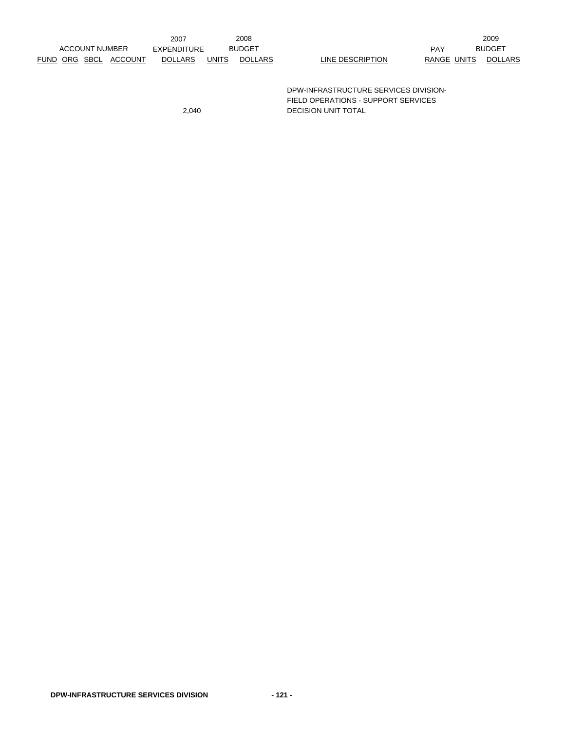|  |                       |                       | 2007           |              | 2008           |                                       |             | 2009           |
|--|-----------------------|-----------------------|----------------|--------------|----------------|---------------------------------------|-------------|----------------|
|  | <b>ACCOUNT NUMBER</b> |                       | EXPENDITURE    |              | <b>BUDGET</b>  |                                       | <b>PAY</b>  | <b>BUDGET</b>  |
|  |                       | FUND ORG SBCL ACCOUNT | <b>DOLLARS</b> | <b>UNITS</b> | <b>DOLLARS</b> | LINE DESCRIPTION                      | RANGE UNITS | <b>DOLLARS</b> |
|  |                       |                       |                |              |                |                                       |             |                |
|  |                       |                       |                |              |                |                                       |             |                |
|  |                       |                       |                |              |                | DPW-INFRASTRUCTURE SERVICES DIVISION- |             |                |

FIELD OPERATIONS - SUPPORT SERVICES

2,040 DECISION UNIT TOTAL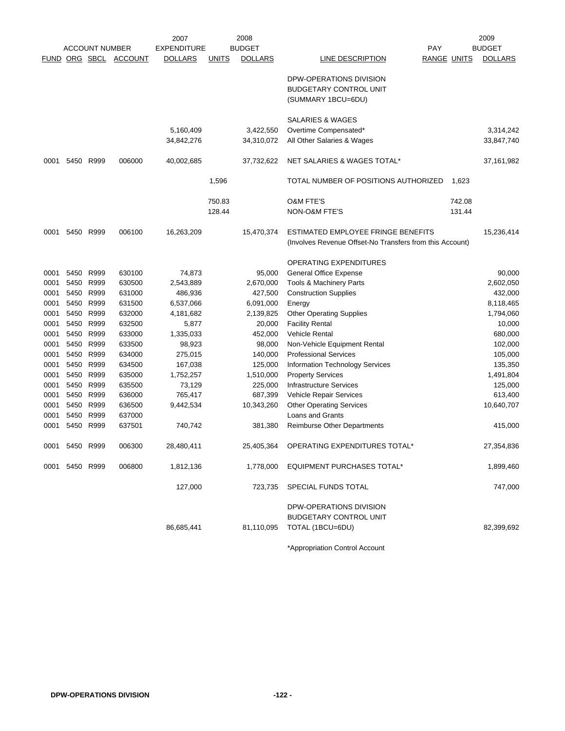|              |                |                       |                  | 2007               |              | 2008           |                                                          |                    |        | 2009           |
|--------------|----------------|-----------------------|------------------|--------------------|--------------|----------------|----------------------------------------------------------|--------------------|--------|----------------|
|              |                | <b>ACCOUNT NUMBER</b> |                  | <b>EXPENDITURE</b> |              | <b>BUDGET</b>  |                                                          | PAY                |        | <b>BUDGET</b>  |
|              | FUND ORG SBCL  |                       | <b>ACCOUNT</b>   | <b>DOLLARS</b>     | <b>UNITS</b> | <b>DOLLARS</b> | LINE DESCRIPTION                                         | <b>RANGE UNITS</b> |        | <b>DOLLARS</b> |
|              |                |                       |                  |                    |              |                |                                                          |                    |        |                |
|              |                |                       |                  |                    |              |                | DPW-OPERATIONS DIVISION                                  |                    |        |                |
|              |                |                       |                  |                    |              |                | <b>BUDGETARY CONTROL UNIT</b>                            |                    |        |                |
|              |                |                       |                  |                    |              |                | (SUMMARY 1BCU=6DU)                                       |                    |        |                |
|              |                |                       |                  |                    |              |                | SALARIES & WAGES                                         |                    |        |                |
|              |                |                       |                  | 5,160,409          |              | 3,422,550      | Overtime Compensated*                                    |                    |        | 3,314,242      |
|              |                |                       |                  | 34,842,276         |              | 34,310,072     | All Other Salaries & Wages                               |                    |        | 33,847,740     |
|              |                |                       |                  |                    |              |                |                                                          |                    |        |                |
| 0001         | 5450           | R999                  | 006000           | 40,002,685         |              | 37,732,622     | NET SALARIES & WAGES TOTAL*                              |                    |        | 37,161,982     |
|              |                |                       |                  |                    | 1,596        |                | TOTAL NUMBER OF POSITIONS AUTHORIZED                     |                    | 1,623  |                |
|              |                |                       |                  |                    | 750.83       |                | <b>O&amp;M FTE'S</b>                                     |                    | 742.08 |                |
|              |                |                       |                  |                    |              |                |                                                          |                    |        |                |
|              |                |                       |                  |                    | 128.44       |                | NON-O&M FTE'S                                            |                    | 131.44 |                |
| 0001         | 5450           | R999                  | 006100           | 16,263,209         |              | 15,470,374     | ESTIMATED EMPLOYEE FRINGE BENEFITS                       |                    |        | 15,236,414     |
|              |                |                       |                  |                    |              |                | (Involves Revenue Offset-No Transfers from this Account) |                    |        |                |
|              |                |                       |                  |                    |              |                | OPERATING EXPENDITURES                                   |                    |        |                |
| 0001         | 5450           | R999                  | 630100           | 74,873             |              | 95,000         | <b>General Office Expense</b>                            |                    |        | 90,000         |
| 0001         | 5450           | R999                  | 630500           | 2,543,889          |              | 2,670,000      | Tools & Machinery Parts                                  |                    |        | 2,602,050      |
| 0001         | 5450           | R999                  | 631000           | 486,936            |              | 427,500        | <b>Construction Supplies</b>                             |                    |        | 432,000        |
|              |                |                       |                  |                    |              |                |                                                          |                    |        |                |
| 0001<br>0001 | 5450<br>5450   | R999<br>R999          | 631500<br>632000 | 6,537,066          |              | 6,091,000      | Energy                                                   |                    |        | 8,118,465      |
|              |                |                       | 632500           | 4,181,682          |              | 2,139,825      | <b>Other Operating Supplies</b>                          |                    |        | 1,794,060      |
| 0001         | 5450<br>5450   | R999<br>R999          | 633000           | 5,877              |              | 20,000         | <b>Facility Rental</b><br><b>Vehicle Rental</b>          |                    |        | 10,000         |
| 0001         |                |                       |                  | 1,335,033          |              | 452,000        |                                                          |                    |        | 680,000        |
| 0001         | 5450           | R999                  | 633500           | 98,923             |              | 98,000         | Non-Vehicle Equipment Rental                             |                    |        | 102,000        |
| 0001         | 5450           | R999                  | 634000           | 275,015            |              | 140,000        | <b>Professional Services</b>                             |                    |        | 105,000        |
| 0001         | 5450           | R999                  | 634500           | 167,038            |              | 125,000        | Information Technology Services                          |                    |        | 135,350        |
| 0001         | 5450           | R999                  | 635000           | 1,752,257          |              | 1,510,000      | <b>Property Services</b>                                 |                    |        | 1,491,804      |
| 0001         | 5450           | R999                  | 635500           | 73,129             |              | 225,000        | <b>Infrastructure Services</b>                           |                    |        | 125,000        |
| 0001         | 5450           | R999                  | 636000           | 765,417            |              | 687,399        | Vehicle Repair Services                                  |                    |        | 613,400        |
| 0001         | 5450           | R999                  | 636500           | 9,442,534          |              | 10,343,260     | <b>Other Operating Services</b>                          |                    |        | 10,640,707     |
| 0001         | 5450           | R999                  | 637000           |                    |              |                | <b>Loans and Grants</b>                                  |                    |        |                |
| 0001         | 5450           | R999                  | 637501           | 740,742            |              | 381,380        | <b>Reimburse Other Departments</b>                       |                    |        | 415,000        |
| 0001         | 5450 R999      |                       | 006300           | 28,480,411         |              | 25,405,364     | OPERATING EXPENDITURES TOTAL*                            |                    |        | 27,354,836     |
|              | 0001 5450 R999 |                       | 006800           | 1,812,136          |              | 1,778,000      | <b>EQUIPMENT PURCHASES TOTAL*</b>                        |                    |        | 1,899,460      |
|              |                |                       |                  | 127,000            |              | 723,735        | SPECIAL FUNDS TOTAL                                      |                    |        | 747,000        |
|              |                |                       |                  |                    |              |                | DPW-OPERATIONS DIVISION                                  |                    |        |                |
|              |                |                       |                  |                    |              |                | <b>BUDGETARY CONTROL UNIT</b>                            |                    |        |                |
|              |                |                       |                  | 86,685,441         |              | 81,110,095     | TOTAL (1BCU=6DU)                                         |                    |        | 82,399,692     |
|              |                |                       |                  |                    |              |                | *Appropriation Control Account                           |                    |        |                |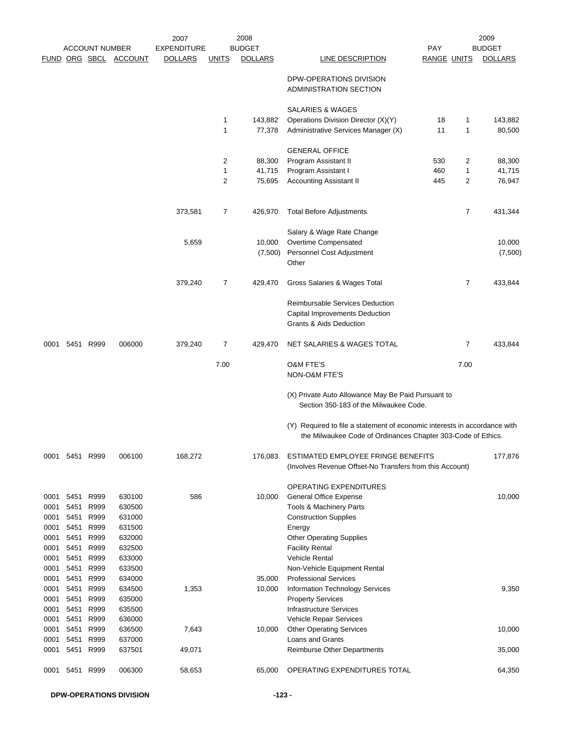|              |                |                       |                       | 2007               |                | 2008           |                                                                                                                                           |                    |                | 2009           |
|--------------|----------------|-----------------------|-----------------------|--------------------|----------------|----------------|-------------------------------------------------------------------------------------------------------------------------------------------|--------------------|----------------|----------------|
|              |                | <b>ACCOUNT NUMBER</b> |                       | <b>EXPENDITURE</b> |                | <b>BUDGET</b>  |                                                                                                                                           | <b>PAY</b>         |                | <b>BUDGET</b>  |
|              |                |                       | FUND ORG SBCL ACCOUNT | <b>DOLLARS</b>     | <b>UNITS</b>   | <b>DOLLARS</b> | <b>LINE DESCRIPTION</b>                                                                                                                   | <b>RANGE UNITS</b> |                | <b>DOLLARS</b> |
|              |                |                       |                       |                    |                |                | DPW-OPERATIONS DIVISION<br>ADMINISTRATION SECTION                                                                                         |                    |                |                |
|              |                |                       |                       |                    |                |                | SALARIES & WAGES                                                                                                                          |                    |                |                |
|              |                |                       |                       |                    | 1              | 143,882        | Operations Division Director (X)(Y)                                                                                                       | 18                 | $\mathbf{1}$   | 143,882        |
|              |                |                       |                       |                    | $\mathbf{1}$   | 77,378         | Administrative Services Manager (X)                                                                                                       | 11                 | $\mathbf{1}$   | 80,500         |
|              |                |                       |                       |                    |                |                | <b>GENERAL OFFICE</b>                                                                                                                     |                    |                |                |
|              |                |                       |                       |                    | 2              | 88,300         | Program Assistant II                                                                                                                      | 530                | 2              | 88,300         |
|              |                |                       |                       |                    | 1              | 41,715         | Program Assistant I                                                                                                                       | 460                | $\mathbf{1}$   | 41,715         |
|              |                |                       |                       |                    | $\overline{c}$ | 75,695         | Accounting Assistant II                                                                                                                   | 445                | 2              | 76,947         |
|              |                |                       |                       | 373,581            | 7              | 426,970        | <b>Total Before Adjustments</b>                                                                                                           |                    | $\overline{7}$ | 431,344        |
|              |                |                       |                       |                    |                |                | Salary & Wage Rate Change                                                                                                                 |                    |                |                |
|              |                |                       |                       | 5,659              |                | 10,000         | Overtime Compensated                                                                                                                      |                    |                | 10,000         |
|              |                |                       |                       |                    |                | (7,500)        | Personnel Cost Adjustment<br>Other                                                                                                        |                    |                | (7,500)        |
|              |                |                       |                       | 379,240            | 7              | 429,470        | Gross Salaries & Wages Total                                                                                                              |                    | 7              | 433,844        |
|              |                |                       |                       |                    |                |                | Reimbursable Services Deduction<br>Capital Improvements Deduction<br>Grants & Aids Deduction                                              |                    |                |                |
|              | 0001 5451 R999 |                       | 006000                | 379,240            | 7              | 429,470        | NET SALARIES & WAGES TOTAL                                                                                                                |                    | 7              | 433,844        |
|              |                |                       |                       |                    | 7.00           |                | O&M FTE'S<br>NON-O&M FTE'S                                                                                                                |                    | 7.00           |                |
|              |                |                       |                       |                    |                |                | (X) Private Auto Allowance May Be Paid Pursuant to<br>Section 350-183 of the Milwaukee Code.                                              |                    |                |                |
|              |                |                       |                       |                    |                |                | (Y) Required to file a statement of economic interests in accordance with<br>the Milwaukee Code of Ordinances Chapter 303-Code of Ethics. |                    |                |                |
| 0001         |                | 5451 R999             | 006100                | 168,272            |                | 176,083        | ESTIMATED EMPLOYEE FRINGE BENEFITS<br>(Involves Revenue Offset-No Transfers from this Account)                                            |                    |                | 177,876        |
|              |                |                       |                       |                    |                |                | OPERATING EXPENDITURES                                                                                                                    |                    |                |                |
| 0001         |                | 5451 R999             | 630100                | 586                |                | 10,000         | General Office Expense                                                                                                                    |                    |                | 10,000         |
| 0001         | 5451           | R999                  | 630500                |                    |                |                | Tools & Machinery Parts                                                                                                                   |                    |                |                |
| 0001         | 5451           | R999                  | 631000                |                    |                |                | <b>Construction Supplies</b>                                                                                                              |                    |                |                |
| 0001         | 5451           | R999                  | 631500                |                    |                |                | Energy                                                                                                                                    |                    |                |                |
| 0001         | 5451           | R999                  | 632000                |                    |                |                | <b>Other Operating Supplies</b>                                                                                                           |                    |                |                |
| 0001         | 5451           | R999                  | 632500                |                    |                |                | <b>Facility Rental</b>                                                                                                                    |                    |                |                |
| 0001<br>0001 | 5451<br>5451   | R999<br>R999          | 633000<br>633500      |                    |                |                | <b>Vehicle Rental</b><br>Non-Vehicle Equipment Rental                                                                                     |                    |                |                |
| 0001         | 5451           | R999                  | 634000                |                    |                | 35,000         | <b>Professional Services</b>                                                                                                              |                    |                |                |
| 0001         | 5451           | R999                  | 634500                | 1,353              |                | 10,000         | Information Technology Services                                                                                                           |                    |                | 9,350          |
| 0001         |                | 5451 R999             | 635000                |                    |                |                | <b>Property Services</b>                                                                                                                  |                    |                |                |
| 0001         | 5451           | R999                  | 635500                |                    |                |                | <b>Infrastructure Services</b>                                                                                                            |                    |                |                |
| 0001         | 5451           | R999                  | 636000                |                    |                |                | Vehicle Repair Services                                                                                                                   |                    |                |                |
| 0001         |                | 5451 R999             | 636500                | 7,643              |                | 10,000         | <b>Other Operating Services</b>                                                                                                           |                    |                | 10,000         |
| 0001<br>0001 | 5451<br>5451   | R999<br>R999          | 637000<br>637501      | 49,071             |                |                | Loans and Grants<br>Reimburse Other Departments                                                                                           |                    |                | 35,000         |
|              |                |                       |                       |                    |                |                |                                                                                                                                           |                    |                |                |
| 0001         |                | 5451 R999             | 006300                | 58,653             |                | 65,000         | OPERATING EXPENDITURES TOTAL                                                                                                              |                    |                | 64,350         |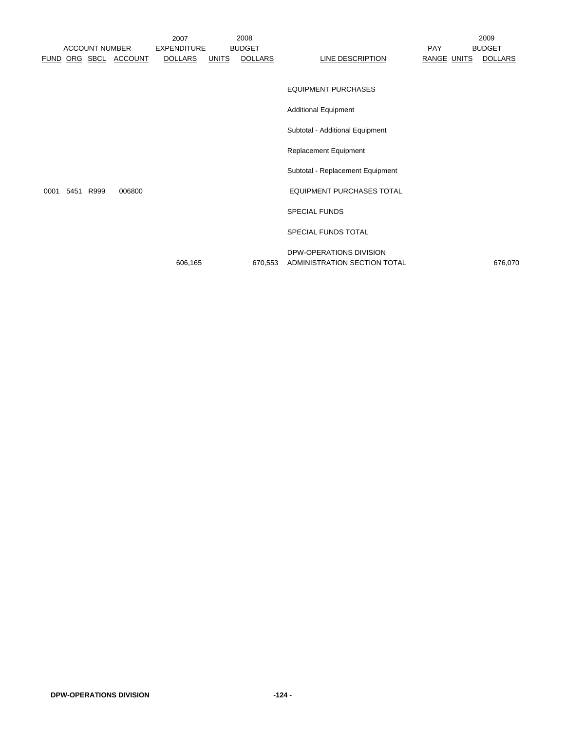|      |      | <b>ACCOUNT NUMBER</b> | FUND ORG SBCL ACCOUNT | 2007<br><b>EXPENDITURE</b><br><b>DOLLARS</b> | <u>UNITS</u> | 2008<br><b>BUDGET</b><br><b>DOLLARS</b> | <b>LINE DESCRIPTION</b>                                 | PAY<br>RANGE UNITS | 2009<br><b>BUDGET</b><br><b>DOLLARS</b> |
|------|------|-----------------------|-----------------------|----------------------------------------------|--------------|-----------------------------------------|---------------------------------------------------------|--------------------|-----------------------------------------|
|      |      |                       |                       |                                              |              |                                         | <b>EQUIPMENT PURCHASES</b>                              |                    |                                         |
|      |      |                       |                       |                                              |              |                                         | <b>Additional Equipment</b>                             |                    |                                         |
|      |      |                       |                       |                                              |              |                                         | Subtotal - Additional Equipment                         |                    |                                         |
|      |      |                       |                       |                                              |              |                                         | Replacement Equipment                                   |                    |                                         |
|      |      |                       |                       |                                              |              |                                         | Subtotal - Replacement Equipment                        |                    |                                         |
| 0001 | 5451 | R999                  | 006800                |                                              |              |                                         | <b>EQUIPMENT PURCHASES TOTAL</b>                        |                    |                                         |
|      |      |                       |                       |                                              |              |                                         | <b>SPECIAL FUNDS</b>                                    |                    |                                         |
|      |      |                       |                       |                                              |              |                                         | <b>SPECIAL FUNDS TOTAL</b>                              |                    |                                         |
|      |      |                       |                       | 606,165                                      |              | 670,553                                 | DPW-OPERATIONS DIVISION<br>ADMINISTRATION SECTION TOTAL |                    | 676,070                                 |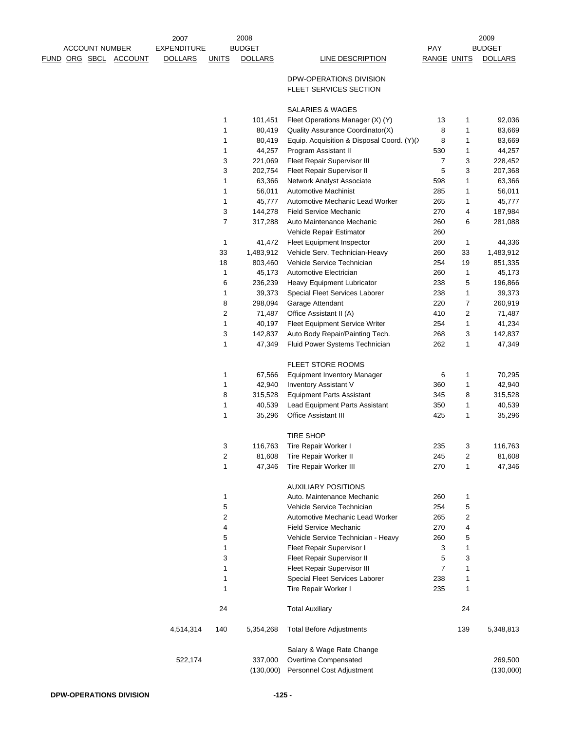|      |                            | 2007               |                | 2008           |                                            |                    |     | 2009           |
|------|----------------------------|--------------------|----------------|----------------|--------------------------------------------|--------------------|-----|----------------|
|      | <b>ACCOUNT NUMBER</b>      | <b>EXPENDITURE</b> |                | <b>BUDGET</b>  |                                            | <b>PAY</b>         |     | <b>BUDGET</b>  |
| FUND | ORG SBCL<br><b>ACCOUNT</b> | <b>DOLLARS</b>     | <b>UNITS</b>   | <b>DOLLARS</b> | <b>LINE DESCRIPTION</b>                    | <b>RANGE UNITS</b> |     | <b>DOLLARS</b> |
|      |                            |                    |                |                | DPW-OPERATIONS DIVISION                    |                    |     |                |
|      |                            |                    |                |                | FLEET SERVICES SECTION                     |                    |     |                |
|      |                            |                    |                |                |                                            |                    |     |                |
|      |                            |                    |                |                | SALARIES & WAGES                           |                    |     |                |
|      |                            |                    | 1              | 101,451        | Fleet Operations Manager (X) (Y)           | 13                 | 1   | 92,036         |
|      |                            |                    | $\mathbf{1}$   | 80,419         | Quality Assurance Coordinator(X)           | 8                  | 1   | 83,669         |
|      |                            |                    | 1              | 80,419         | Equip. Acquisition & Disposal Coord. (Y)() | 8                  | 1   | 83,669         |
|      |                            |                    | 1              | 44,257         | Program Assistant II                       | 530                | 1   | 44,257         |
|      |                            |                    | 3              | 221,069        | Fleet Repair Supervisor III                | $\overline{7}$     | 3   | 228,452        |
|      |                            |                    | 3              | 202,754        | Fleet Repair Supervisor II                 | 5                  | 3   | 207,368        |
|      |                            |                    | 1              | 63,366         | Network Analyst Associate                  | 598                | 1   | 63,366         |
|      |                            |                    | $\mathbf{1}$   | 56,011         | <b>Automotive Machinist</b>                | 285                | 1   | 56,011         |
|      |                            |                    | 1              | 45,777         | Automotive Mechanic Lead Worker            | 265                | 1   | 45,777         |
|      |                            |                    | 3              | 144,278        | <b>Field Service Mechanic</b>              | 270                | 4   | 187,984        |
|      |                            |                    | $\overline{7}$ | 317,288        | Auto Maintenance Mechanic                  | 260                | 6   | 281,088        |
|      |                            |                    |                |                | Vehicle Repair Estimator                   | 260                |     |                |
|      |                            |                    | $\mathbf{1}$   | 41,472         | <b>Fleet Equipment Inspector</b>           | 260                | 1   | 44,336         |
|      |                            |                    | 33             | 1,483,912      | Vehicle Serv. Technician-Heavy             | 260                | 33  | 1,483,912      |
|      |                            |                    | 18             | 803,460        | Vehicle Service Technician                 | 254                | 19  | 851,335        |
|      |                            |                    | $\mathbf{1}$   | 45,173         | Automotive Electrician                     | 260                | 1   | 45,173         |
|      |                            |                    | 6              | 236,239        | Heavy Equipment Lubricator                 | 238                | 5   | 196,866        |
|      |                            |                    | 1              | 39,373         | Special Fleet Services Laborer             | 238                | 1   | 39,373         |
|      |                            |                    | 8              | 298,094        | Garage Attendant                           | 220                | 7   | 260,919        |
|      |                            |                    | $\overline{c}$ | 71,487         | Office Assistant II (A)                    | 410                | 2   | 71,487         |
|      |                            |                    | $\mathbf 1$    | 40,197         | Fleet Equipment Service Writer             | 254                | 1   | 41,234         |
|      |                            |                    | 3              | 142,837        | Auto Body Repair/Painting Tech.            | 268                | 3   | 142,837        |
|      |                            |                    | 1              | 47,349         | Fluid Power Systems Technician             | 262                | 1   | 47,349         |
|      |                            |                    |                |                |                                            |                    |     |                |
|      |                            |                    |                |                | <b>FLEET STORE ROOMS</b>                   |                    |     |                |
|      |                            |                    | 1              | 67,566         | <b>Equipment Inventory Manager</b>         | 6                  | 1   | 70,295         |
|      |                            |                    | $\mathbf{1}$   | 42,940         | <b>Inventory Assistant V</b>               | 360                | 1   | 42,940         |
|      |                            |                    | 8              | 315,528        | <b>Equipment Parts Assistant</b>           | 345                | 8   | 315,528        |
|      |                            |                    | $\mathbf{1}$   | 40,539         | Lead Equipment Parts Assistant             | 350                | 1   | 40,539         |
|      |                            |                    | 1              | 35,296         | Office Assistant III                       | 425                | 1   | 35,296         |
|      |                            |                    |                |                |                                            |                    |     |                |
|      |                            |                    |                |                | <b>TIRE SHOP</b>                           |                    |     |                |
|      |                            |                    | 3              | 116,763        | Tire Repair Worker I                       | 235                | 3   | 116,763        |
|      |                            |                    | $\sqrt{2}$     | 81,608         | Tire Repair Worker II                      | 245                | 2   | 81,608         |
|      |                            |                    | $\mathbf{1}$   | 47,346         | <b>Tire Repair Worker III</b>              | 270                | 1   | 47,346         |
|      |                            |                    |                |                |                                            |                    |     |                |
|      |                            |                    |                |                | <b>AUXILIARY POSITIONS</b>                 |                    |     |                |
|      |                            |                    | 1              |                | Auto, Maintenance Mechanic                 | 260                | 1   |                |
|      |                            |                    | 5              |                | Vehicle Service Technician                 | 254                | 5   |                |
|      |                            |                    | $\sqrt{2}$     |                | Automotive Mechanic Lead Worker            | 265                | 2   |                |
|      |                            |                    | 4              |                | <b>Field Service Mechanic</b>              | 270                | 4   |                |
|      |                            |                    | 5              |                | Vehicle Service Technician - Heavy         | 260                | 5   |                |
|      |                            |                    | 1              |                | Fleet Repair Supervisor I                  | 3                  | 1   |                |
|      |                            |                    | 3              |                | Fleet Repair Supervisor II                 | 5                  | 3   |                |
|      |                            |                    | 1              |                | Fleet Repair Supervisor III                | $\overline{7}$     | 1   |                |
|      |                            |                    | $\mathbf{1}$   |                | Special Fleet Services Laborer             | 238                | 1   |                |
|      |                            |                    | $\mathbf{1}$   |                | Tire Repair Worker I                       | 235                | 1   |                |
|      |                            |                    | 24             |                | <b>Total Auxiliary</b>                     |                    | 24  |                |
|      |                            | 4,514,314          | 140            | 5,354,268      | <b>Total Before Adjustments</b>            |                    | 139 | 5,348,813      |
|      |                            |                    |                |                |                                            |                    |     |                |
|      |                            |                    |                |                | Salary & Wage Rate Change                  |                    |     | 269,500        |
|      |                            | 522,174            |                | 337,000        | Overtime Compensated                       |                    |     |                |
|      |                            |                    |                | (130,000)      | Personnel Cost Adjustment                  |                    |     | (130,000)      |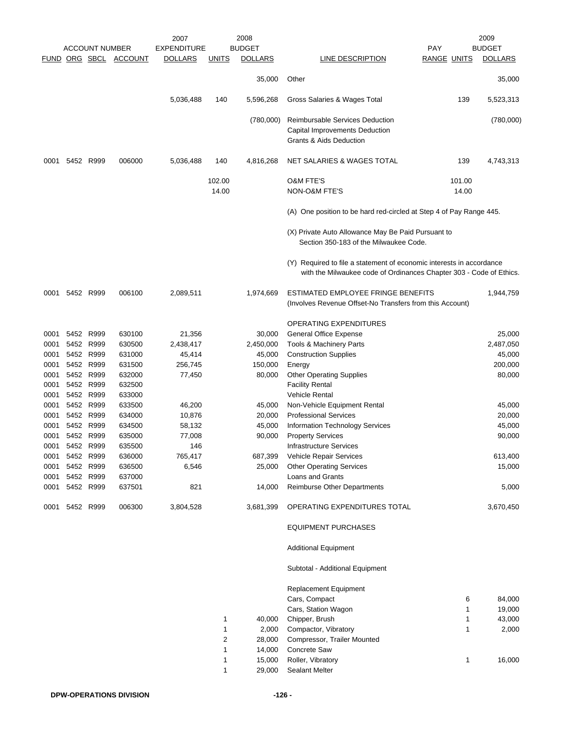|      |                |                       |         | 2007               |                 | 2008           |                                                                                                                                             |                    | 2009           |
|------|----------------|-----------------------|---------|--------------------|-----------------|----------------|---------------------------------------------------------------------------------------------------------------------------------------------|--------------------|----------------|
|      |                | <b>ACCOUNT NUMBER</b> |         | <b>EXPENDITURE</b> |                 | <b>BUDGET</b>  |                                                                                                                                             | <b>PAY</b>         | <b>BUDGET</b>  |
|      |                | FUND ORG SBCL         | ACCOUNT | <b>DOLLARS</b>     | <u>UNITS</u>    | <b>DOLLARS</b> | LINE DESCRIPTION                                                                                                                            | <b>RANGE UNITS</b> | <b>DOLLARS</b> |
|      |                |                       |         |                    |                 | 35,000         | Other                                                                                                                                       |                    | 35,000         |
|      |                |                       |         | 5,036,488          | 140             | 5,596,268      | Gross Salaries & Wages Total                                                                                                                | 139                | 5,523,313      |
|      |                |                       |         |                    |                 | (780,000)      | Reimbursable Services Deduction<br>Capital Improvements Deduction<br><b>Grants &amp; Aids Deduction</b>                                     |                    | (780,000)      |
| 0001 |                | 5452 R999             | 006000  | 5,036,488          | 140             | 4,816,268      | <b>NET SALARIES &amp; WAGES TOTAL</b>                                                                                                       | 139                | 4,743,313      |
|      |                |                       |         |                    | 102.00<br>14.00 |                | <b>O&amp;M FTE'S</b><br><b>NON-O&amp;M FTE'S</b>                                                                                            | 101.00<br>14.00    |                |
|      |                |                       |         |                    |                 |                | (A) One position to be hard red-circled at Step 4 of Pay Range 445.                                                                         |                    |                |
|      |                |                       |         |                    |                 |                | (X) Private Auto Allowance May Be Paid Pursuant to<br>Section 350-183 of the Milwaukee Code.                                                |                    |                |
|      |                |                       |         |                    |                 |                | (Y) Required to file a statement of economic interests in accordance<br>with the Milwaukee code of Ordinances Chapter 303 - Code of Ethics. |                    |                |
| 0001 |                | 5452 R999             | 006100  | 2,089,511          |                 | 1,974,669      | ESTIMATED EMPLOYEE FRINGE BENEFITS<br>(Involves Revenue Offset-No Transfers from this Account)                                              |                    | 1,944,759      |
|      |                |                       |         |                    |                 |                | OPERATING EXPENDITURES                                                                                                                      |                    |                |
| 0001 |                | 5452 R999             | 630100  | 21,356             |                 | 30,000         | General Office Expense                                                                                                                      |                    | 25,000         |
| 0001 |                | 5452 R999             | 630500  | 2,438,417          |                 | 2,450,000      | Tools & Machinery Parts                                                                                                                     |                    | 2,487,050      |
| 0001 |                | 5452 R999             | 631000  | 45,414             |                 | 45,000         | <b>Construction Supplies</b>                                                                                                                |                    | 45,000         |
| 0001 |                | 5452 R999             | 631500  | 256,745            |                 | 150,000        | Energy                                                                                                                                      |                    | 200,000        |
| 0001 |                | 5452 R999             | 632000  | 77,450             |                 | 80,000         | <b>Other Operating Supplies</b>                                                                                                             |                    | 80,000         |
| 0001 |                | 5452 R999             | 632500  |                    |                 |                | <b>Facility Rental</b>                                                                                                                      |                    |                |
| 0001 |                | 5452 R999             | 633000  |                    |                 |                | <b>Vehicle Rental</b>                                                                                                                       |                    |                |
| 0001 |                | 5452 R999             | 633500  | 46,200             |                 | 45,000         | Non-Vehicle Equipment Rental                                                                                                                |                    | 45,000         |
| 0001 |                | 5452 R999             | 634000  | 10,876             |                 | 20,000         | <b>Professional Services</b>                                                                                                                |                    | 20,000         |
| 0001 |                | 5452 R999             | 634500  | 58,132             |                 | 45,000         | Information Technology Services                                                                                                             |                    | 45,000         |
| 0001 |                | 5452 R999             | 635000  | 77,008             |                 | 90,000         |                                                                                                                                             |                    | 90,000         |
| 0001 |                | 5452 R999             | 635500  | 146                |                 |                | <b>Property Services</b><br><b>Infrastructure Services</b>                                                                                  |                    |                |
|      | 0001 5452 R999 |                       | 636000  | 765,417            |                 | 687,399        | Vehicle Repair Services                                                                                                                     |                    | 613,400        |
| 0001 |                | 5452 R999             | 636500  | 6,546              |                 | 25,000         | <b>Other Operating Services</b>                                                                                                             |                    | 15,000         |
| 0001 |                | 5452 R999             | 637000  |                    |                 |                | Loans and Grants                                                                                                                            |                    |                |
| 0001 | 5452 R999      |                       | 637501  | 821                |                 | 14,000         | <b>Reimburse Other Departments</b>                                                                                                          |                    | 5,000          |
| 0001 |                | 5452 R999             | 006300  | 3,804,528          |                 | 3,681,399      | OPERATING EXPENDITURES TOTAL                                                                                                                |                    | 3,670,450      |
|      |                |                       |         |                    |                 |                | <b>EQUIPMENT PURCHASES</b>                                                                                                                  |                    |                |
|      |                |                       |         |                    |                 |                | <b>Additional Equipment</b>                                                                                                                 |                    |                |
|      |                |                       |         |                    |                 |                | Subtotal - Additional Equipment                                                                                                             |                    |                |
|      |                |                       |         |                    |                 |                | <b>Replacement Equipment</b>                                                                                                                |                    |                |
|      |                |                       |         |                    |                 |                | Cars, Compact                                                                                                                               |                    | 6<br>84,000    |
|      |                |                       |         |                    |                 |                | Cars, Station Wagon                                                                                                                         |                    | 19,000<br>1    |
|      |                |                       |         |                    | 1               | 40,000         | Chipper, Brush                                                                                                                              |                    | 43,000<br>1    |
|      |                |                       |         |                    | 1               | 2,000          | Compactor, Vibratory                                                                                                                        |                    | 1<br>2,000     |
|      |                |                       |         |                    | 2               | 28,000         | Compressor, Trailer Mounted                                                                                                                 |                    |                |
|      |                |                       |         |                    | 1               | 14,000         | <b>Concrete Saw</b>                                                                                                                         |                    |                |
|      |                |                       |         |                    | 1               | 15,000         | Roller, Vibratory                                                                                                                           |                    | 1<br>16,000    |
|      |                |                       |         |                    | 1               | 29,000         | <b>Sealant Melter</b>                                                                                                                       |                    |                |
|      |                |                       |         |                    |                 |                |                                                                                                                                             |                    |                |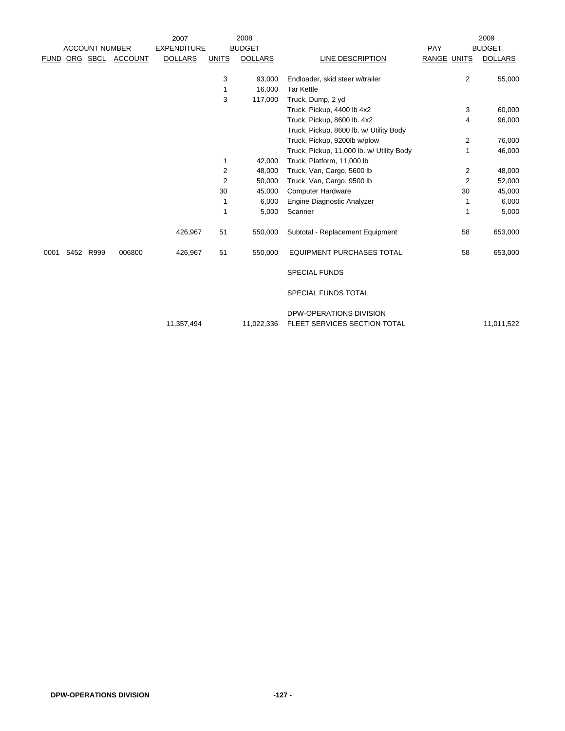|             |                       |                  | 2007               |              | 2008           |                                           |             |                | 2009           |
|-------------|-----------------------|------------------|--------------------|--------------|----------------|-------------------------------------------|-------------|----------------|----------------|
|             | <b>ACCOUNT NUMBER</b> |                  | <b>EXPENDITURE</b> |              | <b>BUDGET</b>  |                                           | PAY         |                | <b>BUDGET</b>  |
| <b>FUND</b> |                       | ORG SBCL ACCOUNT | <b>DOLLARS</b>     | <b>UNITS</b> | <b>DOLLARS</b> | LINE DESCRIPTION                          | RANGE UNITS |                | <b>DOLLARS</b> |
|             |                       |                  |                    |              |                |                                           |             |                |                |
|             |                       |                  |                    | 3            | 93,000         | Endloader, skid steer w/trailer           |             | $\overline{2}$ | 55,000         |
|             |                       |                  |                    | 1            | 16,000         | <b>Tar Kettle</b>                         |             |                |                |
|             |                       |                  |                    | 3            | 117,000        | Truck, Dump, 2 yd                         |             |                |                |
|             |                       |                  |                    |              |                | Truck, Pickup, 4400 lb 4x2                |             | 3              | 60,000         |
|             |                       |                  |                    |              |                | Truck, Pickup, 8600 lb. 4x2               |             | 4              | 96,000         |
|             |                       |                  |                    |              |                | Truck, Pickup, 8600 lb. w/ Utility Body   |             |                |                |
|             |                       |                  |                    |              |                | Truck, Pickup, 9200lb w/plow              |             | $\overline{2}$ | 76,000         |
|             |                       |                  |                    |              |                | Truck, Pickup, 11,000 lb. w/ Utility Body |             | 1              | 46,000         |
|             |                       |                  |                    | 1            | 42,000         | Truck, Platform, 11,000 lb                |             |                |                |
|             |                       |                  |                    | 2            | 48,000         | Truck, Van, Cargo, 5600 lb                |             | $\overline{2}$ | 48,000         |
|             |                       |                  |                    | 2            | 50,000         | Truck, Van, Cargo, 9500 lb                |             | 2              | 52,000         |
|             |                       |                  |                    | 30           | 45,000         | <b>Computer Hardware</b>                  |             | 30             | 45,000         |
|             |                       |                  |                    | 1            | 6,000          | Engine Diagnostic Analyzer                |             | 1              | 6,000          |
|             |                       |                  |                    | 1            | 5,000          | Scanner                                   |             | 1              | 5,000          |
|             |                       |                  | 426,967            | 51           | 550,000        | Subtotal - Replacement Equipment          |             | 58             | 653,000        |
| 0001        | 5452 R999             | 006800           | 426,967            | 51           | 550,000        | <b>EQUIPMENT PURCHASES TOTAL</b>          |             | 58             | 653,000        |
|             |                       |                  |                    |              |                | <b>SPECIAL FUNDS</b>                      |             |                |                |
|             |                       |                  |                    |              |                | <b>SPECIAL FUNDS TOTAL</b>                |             |                |                |
|             |                       |                  |                    |              |                | <b>DPW-OPERATIONS DIVISION</b>            |             |                |                |
|             |                       |                  | 11,357,494         |              | 11,022,336     | FLEET SERVICES SECTION TOTAL              |             |                | 11,011,522     |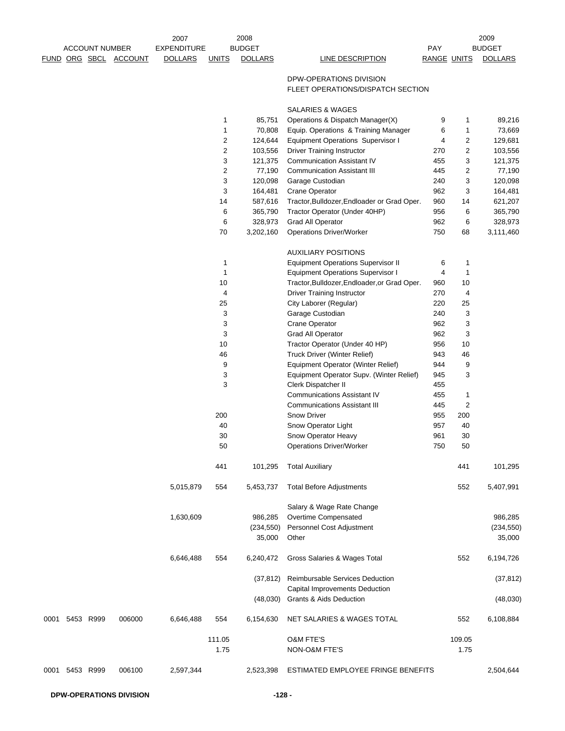|             |                |                       | 2007               |                                  | 2008              |                                                                                  |                    |         | 2009              |
|-------------|----------------|-----------------------|--------------------|----------------------------------|-------------------|----------------------------------------------------------------------------------|--------------------|---------|-------------------|
|             |                | <b>ACCOUNT NUMBER</b> | <b>EXPENDITURE</b> |                                  | <b>BUDGET</b>     |                                                                                  | <b>PAY</b>         |         | <b>BUDGET</b>     |
| <b>FUND</b> |                | ORG SBCL ACCOUNT      | <b>DOLLARS</b>     | <b>UNITS</b>                     | <b>DOLLARS</b>    | LINE DESCRIPTION                                                                 | <b>RANGE UNITS</b> |         | <b>DOLLARS</b>    |
|             |                |                       |                    |                                  |                   | DPW-OPERATIONS DIVISION<br>FLEET OPERATIONS/DISPATCH SECTION                     |                    |         |                   |
|             |                |                       |                    |                                  |                   |                                                                                  |                    |         |                   |
|             |                |                       |                    |                                  |                   | SALARIES & WAGES                                                                 |                    |         |                   |
|             |                |                       |                    | 1                                | 85,751            | Operations & Dispatch Manager(X)                                                 | 9                  | 1       | 89,216            |
|             |                |                       |                    | $\mathbf{1}$<br>$\boldsymbol{2}$ | 70,808<br>124,644 | Equip. Operations & Training Manager<br><b>Equipment Operations Supervisor I</b> | 6<br>4             | 1<br>2  | 73,669<br>129,681 |
|             |                |                       |                    | $\overline{2}$                   | 103,556           | <b>Driver Training Instructor</b>                                                | 270                | 2       | 103,556           |
|             |                |                       |                    | 3                                | 121,375           | <b>Communication Assistant IV</b>                                                | 455                | 3       | 121,375           |
|             |                |                       |                    | $\overline{2}$                   | 77,190            | <b>Communication Assistant III</b>                                               | 445                | 2       | 77,190            |
|             |                |                       |                    | 3                                | 120,098           | Garage Custodian                                                                 | 240                | 3       | 120,098           |
|             |                |                       |                    | 3                                | 164,481           | Crane Operator                                                                   | 962                | 3       | 164,481           |
|             |                |                       |                    | 14                               | 587,616           | Tractor, Bulldozer, Endloader or Grad Oper.                                      | 960                | 14      | 621,207           |
|             |                |                       |                    | 6                                | 365,790           | Tractor Operator (Under 40HP)                                                    | 956                | 6       | 365,790           |
|             |                |                       |                    | 6                                | 328,973           | <b>Grad All Operator</b>                                                         | 962                | 6       | 328,973           |
|             |                |                       |                    | 70                               | 3,202,160         | <b>Operations Driver/Worker</b>                                                  | 750                | 68      | 3,111,460         |
|             |                |                       |                    |                                  |                   | <b>AUXILIARY POSITIONS</b>                                                       |                    |         |                   |
|             |                |                       |                    | 1                                |                   | <b>Equipment Operations Supervisor II</b>                                        | 6                  | 1       |                   |
|             |                |                       |                    | $\mathbf{1}$                     |                   | <b>Equipment Operations Supervisor I</b>                                         | 4                  | 1       |                   |
|             |                |                       |                    | 10                               |                   | Tractor, Bulldozer, Endloader, or Grad Oper.                                     | 960<br>270         | 10      |                   |
|             |                |                       |                    | 4<br>25                          |                   | <b>Driver Training Instructor</b><br>City Laborer (Regular)                      | 220                | 4<br>25 |                   |
|             |                |                       |                    | 3                                |                   | Garage Custodian                                                                 | 240                | 3       |                   |
|             |                |                       |                    | 3                                |                   | Crane Operator                                                                   | 962                | 3       |                   |
|             |                |                       |                    | 3                                |                   | <b>Grad All Operator</b>                                                         | 962                | 3       |                   |
|             |                |                       |                    | 10                               |                   | Tractor Operator (Under 40 HP)                                                   | 956                | 10      |                   |
|             |                |                       |                    | 46                               |                   | Truck Driver (Winter Relief)                                                     | 943                | 46      |                   |
|             |                |                       |                    | 9                                |                   | Equipment Operator (Winter Relief)                                               | 944                | 9       |                   |
|             |                |                       |                    | 3                                |                   | Equipment Operator Supv. (Winter Relief)                                         | 945                | 3       |                   |
|             |                |                       |                    | 3                                |                   | Clerk Dispatcher II                                                              | 455                |         |                   |
|             |                |                       |                    |                                  |                   | <b>Communications Assistant IV</b>                                               | 455                | 1       |                   |
|             |                |                       |                    |                                  |                   | <b>Communications Assistant III</b>                                              | 445                | 2       |                   |
|             |                |                       |                    | 200                              |                   | <b>Snow Driver</b>                                                               | 955                | 200     |                   |
|             |                |                       |                    | 40                               |                   | Snow Operator Light                                                              | 957                | 40      |                   |
|             |                |                       |                    | 30                               |                   | Snow Operator Heavy                                                              | 961                | 30      |                   |
|             |                |                       |                    | 50                               |                   | <b>Operations Driver/Worker</b>                                                  | 750                | 50      |                   |
|             |                |                       |                    | 441                              | 101,295           | <b>Total Auxiliary</b>                                                           |                    | 441     | 101,295           |
|             |                |                       | 5,015,879          | 554                              | 5,453,737         | <b>Total Before Adjustments</b>                                                  |                    | 552     | 5,407,991         |
|             |                |                       |                    |                                  |                   | Salary & Wage Rate Change                                                        |                    |         |                   |
|             |                |                       | 1,630,609          |                                  | 986,285           | Overtime Compensated                                                             |                    |         | 986,285           |
|             |                |                       |                    |                                  | (234, 550)        | <b>Personnel Cost Adjustment</b>                                                 |                    |         | (234, 550)        |
|             |                |                       |                    |                                  | 35,000            | Other                                                                            |                    |         | 35,000            |
|             |                |                       | 6,646,488          | 554                              | 6,240,472         | Gross Salaries & Wages Total                                                     |                    | 552     | 6,194,726         |
|             |                |                       |                    |                                  | (37, 812)         | Reimbursable Services Deduction<br>Capital Improvements Deduction                |                    |         | (37, 812)         |
|             |                |                       |                    |                                  | (48,030)          | Grants & Aids Deduction                                                          |                    |         | (48,030)          |
|             | 0001 5453 R999 | 006000                | 6,646,488          | 554                              | 6,154,630         | NET SALARIES & WAGES TOTAL                                                       |                    | 552     | 6,108,884         |
|             |                |                       |                    | 111.05                           |                   | <b>O&amp;M FTE'S</b>                                                             |                    | 109.05  |                   |
|             |                |                       |                    | 1.75                             |                   | <b>NON-O&amp;M FTE'S</b>                                                         |                    | 1.75    |                   |
|             |                |                       |                    |                                  |                   |                                                                                  |                    |         |                   |
| 0001        | 5453 R999      | 006100                | 2,597,344          |                                  | 2,523,398         | ESTIMATED EMPLOYEE FRINGE BENEFITS                                               |                    |         | 2,504,644         |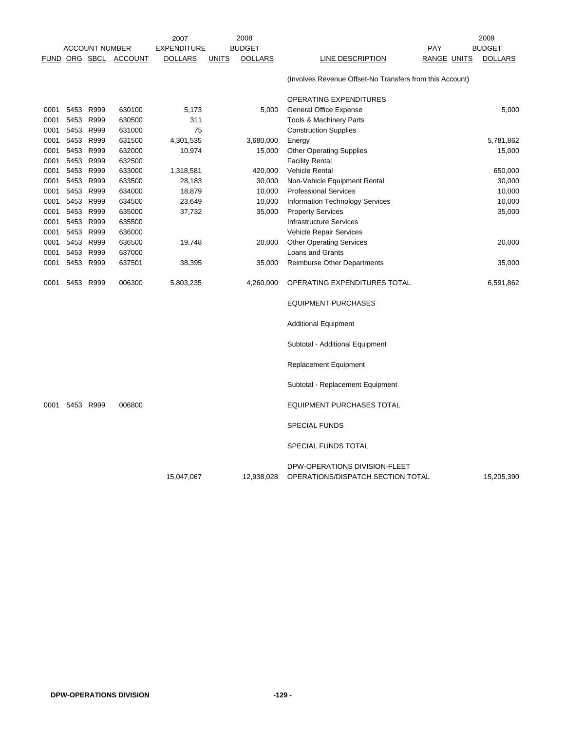|      |           |                       |                       | 2007                                 |              | 2008                            |                                                                    |                           | 2009                            |
|------|-----------|-----------------------|-----------------------|--------------------------------------|--------------|---------------------------------|--------------------------------------------------------------------|---------------------------|---------------------------------|
|      |           | <b>ACCOUNT NUMBER</b> | FUND ORG SBCL ACCOUNT | <b>EXPENDITURE</b><br><b>DOLLARS</b> | <b>UNITS</b> | <b>BUDGET</b><br><b>DOLLARS</b> | LINE DESCRIPTION                                                   | <b>PAY</b><br>RANGE UNITS | <b>BUDGET</b><br><b>DOLLARS</b> |
|      |           |                       |                       |                                      |              |                                 |                                                                    |                           |                                 |
|      |           |                       |                       |                                      |              |                                 | (Involves Revenue Offset-No Transfers from this Account)           |                           |                                 |
|      |           |                       |                       |                                      |              |                                 | OPERATING EXPENDITURES                                             |                           |                                 |
| 0001 | 5453 R999 |                       | 630100                | 5,173                                |              | 5,000                           | General Office Expense                                             |                           | 5,000                           |
| 0001 | 5453 R999 |                       | 630500                | 311                                  |              |                                 | Tools & Machinery Parts                                            |                           |                                 |
| 0001 |           | 5453 R999             | 631000                | 75                                   |              |                                 | <b>Construction Supplies</b>                                       |                           |                                 |
| 0001 | 5453 R999 |                       | 631500                | 4,301,535                            |              | 3,680,000                       | Energy                                                             |                           | 5,781,862                       |
| 0001 | 5453      | R999                  | 632000                | 10,974                               |              | 15,000                          | <b>Other Operating Supplies</b>                                    |                           | 15,000                          |
| 0001 | 5453 R999 |                       | 632500                |                                      |              |                                 | <b>Facility Rental</b>                                             |                           |                                 |
| 0001 |           | 5453 R999             | 633000                | 1,318,581                            |              | 420,000                         | <b>Vehicle Rental</b>                                              |                           | 650,000                         |
| 0001 | 5453 R999 |                       | 633500                | 28,183                               |              | 30,000                          | Non-Vehicle Equipment Rental                                       |                           | 30,000                          |
| 0001 | 5453 R999 |                       | 634000                | 18,879                               |              | 10,000                          | <b>Professional Services</b>                                       |                           | 10,000                          |
| 0001 | 5453      | R999                  | 634500                | 23,649                               |              | 10,000                          | Information Technology Services                                    |                           | 10,000                          |
| 0001 | 5453 R999 |                       | 635000                | 37,732                               |              | 35,000                          | <b>Property Services</b>                                           |                           | 35,000                          |
| 0001 | 5453 R999 |                       | 635500                |                                      |              |                                 | <b>Infrastructure Services</b>                                     |                           |                                 |
| 0001 | 5453 R999 |                       | 636000                |                                      |              |                                 | Vehicle Repair Services                                            |                           |                                 |
| 0001 |           | 5453 R999             | 636500                | 19,748                               |              | 20,000                          | <b>Other Operating Services</b>                                    |                           | 20,000                          |
| 0001 | 5453      | R999                  | 637000                |                                      |              |                                 | Loans and Grants                                                   |                           |                                 |
| 0001 | 5453 R999 |                       | 637501                | 38,395                               |              | 35,000                          | <b>Reimburse Other Departments</b>                                 |                           | 35,000                          |
| 0001 | 5453 R999 |                       | 006300                | 5,803,235                            |              | 4,260,000                       | OPERATING EXPENDITURES TOTAL                                       |                           | 6,591,862                       |
|      |           |                       |                       |                                      |              |                                 | <b>EQUIPMENT PURCHASES</b>                                         |                           |                                 |
|      |           |                       |                       |                                      |              |                                 | <b>Additional Equipment</b>                                        |                           |                                 |
|      |           |                       |                       |                                      |              |                                 | Subtotal - Additional Equipment                                    |                           |                                 |
|      |           |                       |                       |                                      |              |                                 | <b>Replacement Equipment</b>                                       |                           |                                 |
|      |           |                       |                       |                                      |              |                                 | Subtotal - Replacement Equipment                                   |                           |                                 |
| 0001 | 5453 R999 |                       | 006800                |                                      |              |                                 | <b>EQUIPMENT PURCHASES TOTAL</b>                                   |                           |                                 |
|      |           |                       |                       |                                      |              |                                 | <b>SPECIAL FUNDS</b>                                               |                           |                                 |
|      |           |                       |                       |                                      |              |                                 | SPECIAL FUNDS TOTAL                                                |                           |                                 |
|      |           |                       |                       | 15,047,067                           |              | 12,938,028                      | DPW-OPERATIONS DIVISION-FLEET<br>OPERATIONS/DISPATCH SECTION TOTAL |                           | 15,205,390                      |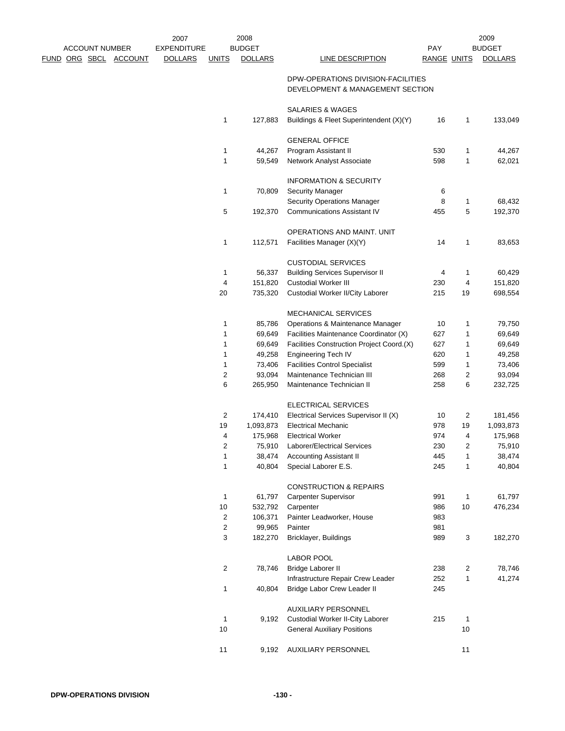|  | <b>ACCOUNT NUMBER</b> |                              | 2007<br><b>EXPENDITURE</b> |                | 2008<br><b>BUDGET</b> |                                                                        | <b>PAY</b>         |              | 2009<br><b>BUDGET</b> |
|--|-----------------------|------------------------------|----------------------------|----------------|-----------------------|------------------------------------------------------------------------|--------------------|--------------|-----------------------|
|  |                       | <u>FUND ORG SBCL ACCOUNT</u> | <b>DOLLARS</b>             | <u>UNITS</u>   | <b>DOLLARS</b>        | <b>LINE DESCRIPTION</b>                                                | <b>RANGE UNITS</b> |              | <b>DOLLARS</b>        |
|  |                       |                              |                            |                |                       | DPW-OPERATIONS DIVISION-FACILITIES<br>DEVELOPMENT & MANAGEMENT SECTION |                    |              |                       |
|  |                       |                              |                            |                |                       | SALARIES & WAGES                                                       |                    |              |                       |
|  |                       |                              |                            | $\mathbf{1}$   | 127,883               | Buildings & Fleet Superintendent (X)(Y)                                | 16                 | $\mathbf{1}$ | 133,049               |
|  |                       |                              |                            |                |                       | <b>GENERAL OFFICE</b>                                                  |                    |              |                       |
|  |                       |                              |                            | 1              | 44,267                | Program Assistant II                                                   | 530                | 1            | 44,267                |
|  |                       |                              |                            | 1              | 59,549                | Network Analyst Associate                                              | 598                | $\mathbf{1}$ | 62,021                |
|  |                       |                              |                            |                |                       | <b>INFORMATION &amp; SECURITY</b>                                      |                    |              |                       |
|  |                       |                              |                            | $\mathbf{1}$   | 70,809                | <b>Security Manager</b>                                                | 6                  |              |                       |
|  |                       |                              |                            |                |                       | Security Operations Manager                                            | 8                  | $\mathbf{1}$ | 68,432                |
|  |                       |                              |                            | 5              | 192,370               | <b>Communications Assistant IV</b>                                     | 455                | 5            | 192,370               |
|  |                       |                              |                            |                |                       | OPERATIONS AND MAINT. UNIT                                             |                    |              |                       |
|  |                       |                              |                            | $\mathbf{1}$   | 112,571               | Facilities Manager (X)(Y)                                              | 14                 | 1            | 83,653                |
|  |                       |                              |                            |                |                       | <b>CUSTODIAL SERVICES</b>                                              |                    |              |                       |
|  |                       |                              |                            | 1              | 56,337                | <b>Building Services Supervisor II</b>                                 | 4                  | 1            | 60,429                |
|  |                       |                              |                            | 4              | 151,820               | <b>Custodial Worker III</b>                                            | 230                | 4            | 151,820               |
|  |                       |                              |                            | 20             | 735,320               | Custodial Worker II/City Laborer                                       | 215                | 19           | 698,554               |
|  |                       |                              |                            |                |                       | <b>MECHANICAL SERVICES</b>                                             |                    |              |                       |
|  |                       |                              |                            | 1              | 85,786                | Operations & Maintenance Manager                                       | 10                 | 1            | 79,750                |
|  |                       |                              |                            | 1              | 69,649                | Facilities Maintenance Coordinator (X)                                 | 627                | 1            | 69,649                |
|  |                       |                              |                            | 1              | 69,649                | Facilities Construction Project Coord.(X)                              | 627                | 1            | 69,649                |
|  |                       |                              |                            | 1              | 49,258                | <b>Engineering Tech IV</b>                                             | 620                | 1            | 49,258                |
|  |                       |                              |                            | 1              | 73,406                | <b>Facilities Control Specialist</b>                                   | 599                | $\mathbf{1}$ | 73,406                |
|  |                       |                              |                            | 2              | 93,094                | Maintenance Technician III                                             | 268                | 2            | 93,094                |
|  |                       |                              |                            | 6              | 265,950               | Maintenance Technician II                                              | 258                | 6            | 232,725               |
|  |                       |                              |                            |                |                       | ELECTRICAL SERVICES                                                    |                    |              |                       |
|  |                       |                              |                            | 2              | 174,410               | Electrical Services Supervisor II (X)                                  | 10                 | 2            | 181,456               |
|  |                       |                              |                            | 19             | 1,093,873             | <b>Electrical Mechanic</b>                                             | 978                | 19           | 1,093,873             |
|  |                       |                              |                            | 4              | 175,968               | <b>Electrical Worker</b>                                               | 974                | 4            | 175,968               |
|  |                       |                              |                            | 2              |                       | 75,910 Laborer/Electrical Services                                     | 230                | 2            | 75,910                |
|  |                       |                              |                            | $\mathbf{1}$   | 38,474                | <b>Accounting Assistant II</b>                                         | 445                | $\mathbf{1}$ | 38,474                |
|  |                       |                              |                            | $\mathbf{1}$   | 40,804                | Special Laborer E.S.                                                   | 245                | $\mathbf{1}$ | 40,804                |
|  |                       |                              |                            |                |                       | <b>CONSTRUCTION &amp; REPAIRS</b>                                      |                    |              |                       |
|  |                       |                              |                            | $\mathbf{1}$   | 61,797                | <b>Carpenter Supervisor</b>                                            | 991                | $\mathbf{1}$ | 61,797                |
|  |                       |                              |                            | $10$           | 532,792               | Carpenter                                                              | 986                | $10$         | 476,234               |
|  |                       |                              |                            | 2              | 106,371               | Painter Leadworker, House                                              | 983                |              |                       |
|  |                       |                              |                            | 2              | 99,965                | Painter                                                                | 981                |              |                       |
|  |                       |                              |                            | 3              | 182,270               | Bricklayer, Buildings                                                  | 989                | 3            | 182,270               |
|  |                       |                              |                            |                |                       | <b>LABOR POOL</b>                                                      |                    |              |                       |
|  |                       |                              |                            | $\overline{c}$ | 78,746                | <b>Bridge Laborer II</b>                                               | 238                | 2            | 78,746                |
|  |                       |                              |                            |                |                       | Infrastructure Repair Crew Leader                                      | 252                | $\mathbf{1}$ | 41,274                |
|  |                       |                              |                            | 1              | 40,804                | Bridge Labor Crew Leader II                                            | 245                |              |                       |
|  |                       |                              |                            |                |                       | <b>AUXILIARY PERSONNEL</b>                                             |                    |              |                       |
|  |                       |                              |                            | $\mathbf{1}$   | 9,192                 | Custodial Worker II-City Laborer                                       | 215                | $\mathbf{1}$ |                       |
|  |                       |                              |                            | 10             |                       | <b>General Auxiliary Positions</b>                                     |                    | 10           |                       |
|  |                       |                              |                            | 11             | 9,192                 | AUXILIARY PERSONNEL                                                    |                    | 11           |                       |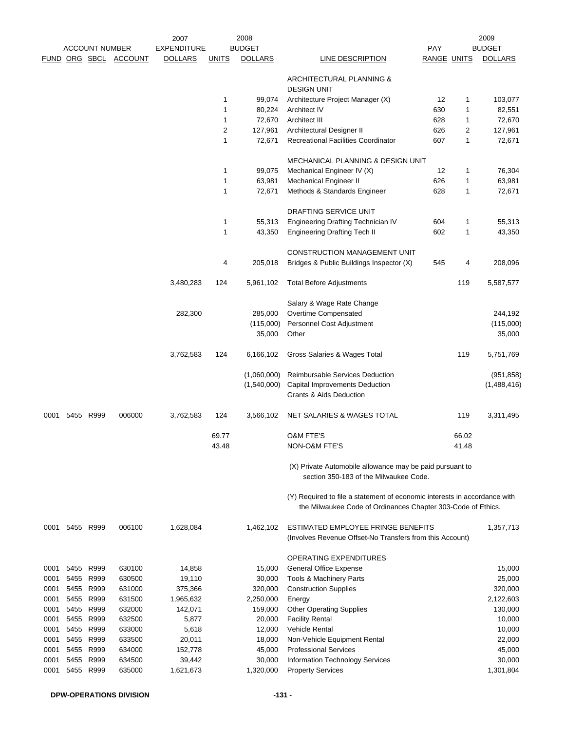|      |      | <b>ACCOUNT NUMBER</b> |                | 2007<br><b>EXPENDITURE</b> |              | 2008<br><b>BUDGET</b> |                                                                                                                                           | <b>PAY</b>  |              | 2009<br><b>BUDGET</b> |
|------|------|-----------------------|----------------|----------------------------|--------------|-----------------------|-------------------------------------------------------------------------------------------------------------------------------------------|-------------|--------------|-----------------------|
|      |      | FUND ORG SBCL         | <b>ACCOUNT</b> | <b>DOLLARS</b>             | <b>UNITS</b> |                       | LINE DESCRIPTION                                                                                                                          | RANGE UNITS |              | <b>DOLLARS</b>        |
|      |      |                       |                |                            |              | <b>DOLLARS</b>        |                                                                                                                                           |             |              |                       |
|      |      |                       |                |                            |              |                       | ARCHITECTURAL PLANNING &                                                                                                                  |             |              |                       |
|      |      |                       |                |                            |              |                       | <b>DESIGN UNIT</b>                                                                                                                        |             |              |                       |
|      |      |                       |                |                            | $\mathbf{1}$ | 99,074                | Architecture Project Manager (X)                                                                                                          | 12          | 1            | 103,077               |
|      |      |                       |                |                            | $\mathbf{1}$ | 80,224                | <b>Architect IV</b>                                                                                                                       | 630         | 1            | 82,551                |
|      |      |                       |                |                            | $\mathbf{1}$ | 72,670                | Architect III                                                                                                                             | 628         | 1            | 72,670                |
|      |      |                       |                |                            | $\sqrt{2}$   | 127,961               | Architectural Designer II                                                                                                                 | 626         | 2            | 127,961               |
|      |      |                       |                |                            | $\mathbf{1}$ | 72,671                | <b>Recreational Facilities Coordinator</b>                                                                                                | 607         | $\mathbf{1}$ | 72,671                |
|      |      |                       |                |                            |              |                       |                                                                                                                                           |             |              |                       |
|      |      |                       |                |                            |              |                       | MECHANICAL PLANNING & DESIGN UNIT                                                                                                         |             |              |                       |
|      |      |                       |                |                            | $\mathbf{1}$ | 99,075                | Mechanical Engineer IV (X)                                                                                                                | 12          | 1            | 76,304                |
|      |      |                       |                |                            | $\mathbf 1$  | 63,981                | <b>Mechanical Engineer II</b>                                                                                                             | 626         | 1            | 63,981                |
|      |      |                       |                |                            | $\mathbf{1}$ | 72,671                | Methods & Standards Engineer                                                                                                              | 628         | 1            | 72,671                |
|      |      |                       |                |                            |              |                       |                                                                                                                                           |             |              |                       |
|      |      |                       |                |                            |              |                       | DRAFTING SERVICE UNIT                                                                                                                     |             |              |                       |
|      |      |                       |                |                            | $\mathbf{1}$ | 55,313                | Engineering Drafting Technician IV                                                                                                        | 604         | 1            | 55,313                |
|      |      |                       |                |                            | $\mathbf{1}$ | 43,350                | <b>Engineering Drafting Tech II</b>                                                                                                       | 602         | 1            | 43,350                |
|      |      |                       |                |                            |              |                       |                                                                                                                                           |             |              |                       |
|      |      |                       |                |                            |              |                       | CONSTRUCTION MANAGEMENT UNIT                                                                                                              |             |              |                       |
|      |      |                       |                |                            | 4            | 205,018               | Bridges & Public Buildings Inspector (X)                                                                                                  | 545         | 4            | 208,096               |
|      |      |                       |                | 3,480,283                  | 124          | 5,961,102             | <b>Total Before Adjustments</b>                                                                                                           |             | 119          | 5,587,577             |
|      |      |                       |                |                            |              |                       |                                                                                                                                           |             |              |                       |
|      |      |                       |                |                            |              |                       | Salary & Wage Rate Change                                                                                                                 |             |              |                       |
|      |      |                       |                | 282,300                    |              | 285,000               | Overtime Compensated                                                                                                                      |             |              | 244,192               |
|      |      |                       |                |                            |              | (115,000)             | Personnel Cost Adjustment                                                                                                                 |             |              | (115,000)             |
|      |      |                       |                |                            |              | 35,000                | Other                                                                                                                                     |             |              | 35,000                |
|      |      |                       |                | 3,762,583                  | 124          | 6,166,102             | Gross Salaries & Wages Total                                                                                                              |             | 119          | 5,751,769             |
|      |      |                       |                |                            |              | (1,060,000)           | Reimbursable Services Deduction                                                                                                           |             |              | (951, 858)            |
|      |      |                       |                |                            |              | (1,540,000)           | Capital Improvements Deduction                                                                                                            |             |              |                       |
|      |      |                       |                |                            |              |                       | <b>Grants &amp; Aids Deduction</b>                                                                                                        |             |              | (1,488,416)           |
|      |      |                       |                |                            |              |                       |                                                                                                                                           |             |              |                       |
| 0001 |      | 5455 R999             | 006000         | 3,762,583                  | 124          | 3,566,102             | <b>NET SALARIES &amp; WAGES TOTAL</b>                                                                                                     |             | 119          | 3,311,495             |
|      |      |                       |                |                            | 69.77        |                       | O&M FTE'S                                                                                                                                 |             | 66.02        |                       |
|      |      |                       |                |                            | 43.48        |                       | NON-O&M FTE'S                                                                                                                             |             | 41.48        |                       |
|      |      |                       |                |                            |              |                       |                                                                                                                                           |             |              |                       |
|      |      |                       |                |                            |              |                       | (X) Private Automobile allowance may be paid pursuant to<br>section 350-183 of the Milwaukee Code.                                        |             |              |                       |
|      |      |                       |                |                            |              |                       | (Y) Required to file a statement of economic interests in accordance with<br>the Milwaukee Code of Ordinances Chapter 303-Code of Ethics. |             |              |                       |
|      |      |                       |                |                            |              |                       |                                                                                                                                           |             |              |                       |
| 0001 |      | 5455 R999             | 006100         | 1,628,084                  |              | 1,462,102             | ESTIMATED EMPLOYEE FRINGE BENEFITS<br>(Involves Revenue Offset-No Transfers from this Account)                                            |             |              | 1,357,713             |
|      |      |                       |                |                            |              |                       | OPERATING EXPENDITURES                                                                                                                    |             |              |                       |
| 0001 |      | 5455 R999             | 630100         | 14,858                     |              | 15,000                | <b>General Office Expense</b>                                                                                                             |             |              | 15,000                |
| 0001 |      | 5455 R999             | 630500         | 19,110                     |              | 30,000                | Tools & Machinery Parts                                                                                                                   |             |              | 25,000                |
| 0001 | 5455 | R999                  | 631000         | 375,366                    |              | 320,000               | <b>Construction Supplies</b>                                                                                                              |             |              | 320,000               |
| 0001 | 5455 | R999                  | 631500         | 1,965,632                  |              | 2,250,000             | Energy                                                                                                                                    |             |              | 2,122,603             |
| 0001 |      | 5455 R999             | 632000         | 142,071                    |              | 159,000               | <b>Other Operating Supplies</b>                                                                                                           |             |              | 130,000               |
| 0001 |      | 5455 R999             | 632500         | 5,877                      |              | 20,000                | <b>Facility Rental</b>                                                                                                                    |             |              | 10,000                |
| 0001 | 5455 | R999                  | 633000         | 5,618                      |              | 12,000                | Vehicle Rental                                                                                                                            |             |              | 10,000                |
| 0001 |      | 5455 R999             | 633500         | 20,011                     |              | 18,000                | Non-Vehicle Equipment Rental                                                                                                              |             |              | 22,000                |
| 0001 | 5455 | R999                  | 634000         | 152,778                    |              | 45,000                | <b>Professional Services</b>                                                                                                              |             |              | 45,000                |
| 0001 | 5455 | R999                  | 634500         | 39,442                     |              | 30,000                | Information Technology Services                                                                                                           |             |              | 30,000                |
| 0001 |      | 5455 R999             | 635000         | 1,621,673                  |              | 1,320,000             | <b>Property Services</b>                                                                                                                  |             |              | 1,301,804             |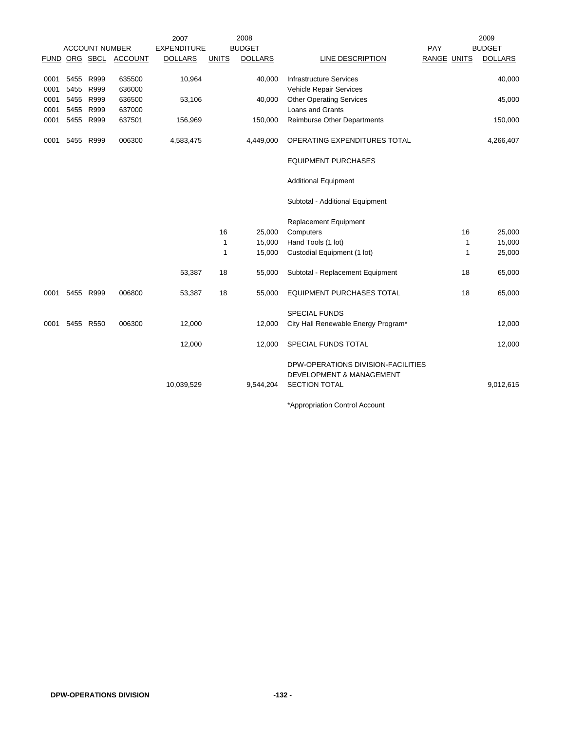|      |           |                       |                       | 2007               |              | 2008           |                                     |             |    | 2009           |
|------|-----------|-----------------------|-----------------------|--------------------|--------------|----------------|-------------------------------------|-------------|----|----------------|
|      |           | <b>ACCOUNT NUMBER</b> |                       | <b>EXPENDITURE</b> |              | <b>BUDGET</b>  |                                     | PAY         |    | <b>BUDGET</b>  |
|      |           |                       | FUND ORG SBCL ACCOUNT | <b>DOLLARS</b>     | <b>UNITS</b> | <b>DOLLARS</b> | LINE DESCRIPTION                    | RANGE UNITS |    | <b>DOLLARS</b> |
|      |           |                       |                       |                    |              |                |                                     |             |    |                |
| 0001 | 5455 R999 |                       | 635500                | 10,964             |              | 40,000         | <b>Infrastructure Services</b>      |             |    | 40,000         |
| 0001 | 5455 R999 |                       | 636000                |                    |              |                | Vehicle Repair Services             |             |    |                |
| 0001 |           | 5455 R999             | 636500                | 53,106             |              | 40,000         | <b>Other Operating Services</b>     |             |    | 45,000         |
| 0001 |           | 5455 R999             | 637000                |                    |              |                | <b>Loans and Grants</b>             |             |    |                |
| 0001 |           | 5455 R999             | 637501                | 156,969            |              | 150,000        | <b>Reimburse Other Departments</b>  |             |    | 150,000        |
| 0001 |           | 5455 R999             | 006300                | 4,583,475          |              | 4,449,000      | OPERATING EXPENDITURES TOTAL        |             |    | 4,266,407      |
|      |           |                       |                       |                    |              |                | <b>EQUIPMENT PURCHASES</b>          |             |    |                |
|      |           |                       |                       |                    |              |                | <b>Additional Equipment</b>         |             |    |                |
|      |           |                       |                       |                    |              |                | Subtotal - Additional Equipment     |             |    |                |
|      |           |                       |                       |                    |              |                | Replacement Equipment               |             |    |                |
|      |           |                       |                       |                    | 16           | 25,000         | Computers                           |             | 16 | 25,000         |
|      |           |                       |                       |                    | $\mathbf{1}$ | 15,000         | Hand Tools (1 lot)                  |             | 1  | 15,000         |
|      |           |                       |                       |                    | 1            | 15,000         | Custodial Equipment (1 lot)         |             | 1  | 25,000         |
|      |           |                       |                       |                    |              |                |                                     |             |    |                |
|      |           |                       |                       | 53,387             | 18           | 55,000         | Subtotal - Replacement Equipment    |             | 18 | 65,000         |
| 0001 |           | 5455 R999             | 006800                | 53,387             | 18           | 55,000         | <b>EQUIPMENT PURCHASES TOTAL</b>    |             | 18 | 65,000         |
|      |           |                       |                       |                    |              |                | <b>SPECIAL FUNDS</b>                |             |    |                |
| 0001 |           | 5455 R550             | 006300                | 12,000             |              | 12,000         | City Hall Renewable Energy Program* |             |    | 12,000         |
|      |           |                       |                       |                    |              |                |                                     |             |    |                |
|      |           |                       |                       | 12,000             |              | 12,000         | SPECIAL FUNDS TOTAL                 |             |    | 12,000         |
|      |           |                       |                       |                    |              |                | DPW-OPERATIONS DIVISION-FACILITIES  |             |    |                |
|      |           |                       |                       |                    |              |                | <b>DEVELOPMENT &amp; MANAGEMENT</b> |             |    |                |
|      |           |                       |                       | 10,039,529         |              | 9,544,204      | <b>SECTION TOTAL</b>                |             |    | 9,012,615      |
|      |           |                       |                       |                    |              |                |                                     |             |    |                |
|      |           |                       |                       |                    |              |                |                                     |             |    |                |

\*Appropriation Control Account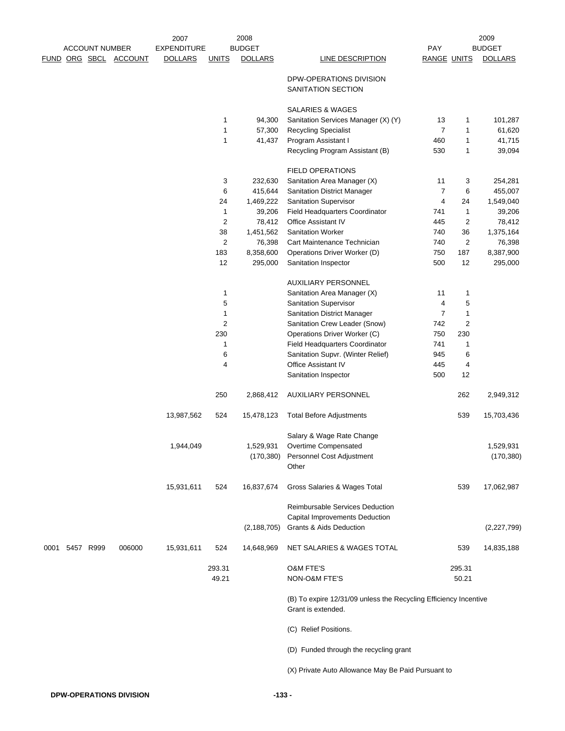|      |           |                       |                       | 2007               |                     | 2008                |                                                                                        |                     |                             | 2009                |
|------|-----------|-----------------------|-----------------------|--------------------|---------------------|---------------------|----------------------------------------------------------------------------------------|---------------------|-----------------------------|---------------------|
|      |           | <b>ACCOUNT NUMBER</b> |                       | <b>EXPENDITURE</b> |                     | <b>BUDGET</b>       |                                                                                        | PAY                 |                             | <b>BUDGET</b>       |
|      |           |                       | FUND ORG SBCL ACCOUNT | <b>DOLLARS</b>     | <b>UNITS</b>        | <b>DOLLARS</b>      | LINE DESCRIPTION                                                                       | <b>RANGE UNITS</b>  |                             | <b>DOLLARS</b>      |
|      |           |                       |                       |                    |                     |                     | DPW-OPERATIONS DIVISION                                                                |                     |                             |                     |
|      |           |                       |                       |                    |                     |                     | SANITATION SECTION                                                                     |                     |                             |                     |
|      |           |                       |                       |                    | 1                   | 94,300              | SALARIES & WAGES<br>Sanitation Services Manager (X) (Y)                                | 13                  | 1                           | 101,287             |
|      |           |                       |                       |                    | 1                   | 57,300              | <b>Recycling Specialist</b>                                                            | $\overline{7}$      | 1                           | 61,620              |
|      |           |                       |                       |                    | 1                   | 41,437              | Program Assistant I                                                                    | 460                 | $\mathbf{1}$                | 41,715              |
|      |           |                       |                       |                    |                     |                     | Recycling Program Assistant (B)                                                        | 530                 | 1                           | 39,094              |
|      |           |                       |                       |                    |                     |                     |                                                                                        |                     |                             |                     |
|      |           |                       |                       |                    |                     |                     | <b>FIELD OPERATIONS</b>                                                                |                     |                             |                     |
|      |           |                       |                       |                    | 3                   | 232,630             | Sanitation Area Manager (X)                                                            | 11                  | 3                           | 254,281             |
|      |           |                       |                       |                    | 6                   | 415,644             | <b>Sanitation District Manager</b>                                                     | $\overline{7}$<br>4 | 6                           | 455,007             |
|      |           |                       |                       |                    | 24                  | 1,469,222           | <b>Sanitation Supervisor</b>                                                           |                     | 24                          | 1,549,040           |
|      |           |                       |                       |                    | 1<br>$\overline{2}$ | 39,206              | Field Headquarters Coordinator<br>Office Assistant IV                                  | 741<br>445          | $\mathbf{1}$<br>$\mathbf 2$ | 39,206              |
|      |           |                       |                       |                    | 38                  | 78,412<br>1,451,562 | <b>Sanitation Worker</b>                                                               | 740                 | 36                          | 78,412<br>1,375,164 |
|      |           |                       |                       |                    | $\overline{2}$      | 76,398              | Cart Maintenance Technician                                                            | 740                 | $\overline{\mathbf{c}}$     | 76,398              |
|      |           |                       |                       |                    | 183                 | 8,358,600           | Operations Driver Worker (D)                                                           | 750                 | 187                         | 8,387,900           |
|      |           |                       |                       |                    | 12                  | 295,000             | Sanitation Inspector                                                                   | 500                 | 12                          | 295,000             |
|      |           |                       |                       |                    |                     |                     | <b>AUXILIARY PERSONNEL</b>                                                             |                     |                             |                     |
|      |           |                       |                       |                    | 1                   |                     | Sanitation Area Manager (X)                                                            | 11                  | 1                           |                     |
|      |           |                       |                       |                    | 5                   |                     | Sanitation Supervisor                                                                  | 4                   | 5                           |                     |
|      |           |                       |                       |                    | 1                   |                     | Sanitation District Manager                                                            | $\overline{7}$      | $\mathbf{1}$                |                     |
|      |           |                       |                       |                    | $\overline{2}$      |                     | Sanitation Crew Leader (Snow)                                                          | 742                 | $\overline{\mathbf{c}}$     |                     |
|      |           |                       |                       |                    | 230                 |                     | Operations Driver Worker (C)                                                           | 750                 | 230                         |                     |
|      |           |                       |                       |                    | 1                   |                     | Field Headquarters Coordinator                                                         | 741                 | 1                           |                     |
|      |           |                       |                       |                    | 6                   |                     | Sanitation Supvr. (Winter Relief)                                                      | 945                 | 6                           |                     |
|      |           |                       |                       |                    | 4                   |                     | <b>Office Assistant IV</b>                                                             | 445                 | 4                           |                     |
|      |           |                       |                       |                    |                     |                     | Sanitation Inspector                                                                   | 500                 | 12                          |                     |
|      |           |                       |                       |                    | 250                 | 2,868,412           | <b>AUXILIARY PERSONNEL</b>                                                             |                     | 262                         | 2,949,312           |
|      |           |                       |                       | 13,987,562         | 524                 | 15,478,123          | <b>Total Before Adjustments</b>                                                        |                     | 539                         | 15,703,436          |
|      |           |                       |                       |                    |                     |                     | Salary & Wage Rate Change                                                              |                     |                             |                     |
|      |           |                       |                       | 1,944,049          |                     | 1,529,931           | Overtime Compensated                                                                   |                     |                             | 1,529,931           |
|      |           |                       |                       |                    |                     |                     | (170,380) Personnel Cost Adjustment                                                    |                     |                             | (170, 380)          |
|      |           |                       |                       |                    |                     |                     | Other                                                                                  |                     |                             |                     |
|      |           |                       |                       | 15,931,611         | 524                 | 16,837,674          | Gross Salaries & Wages Total                                                           |                     | 539                         | 17,062,987          |
|      |           |                       |                       |                    |                     |                     | Reimbursable Services Deduction                                                        |                     |                             |                     |
|      |           |                       |                       |                    |                     |                     | Capital Improvements Deduction                                                         |                     |                             |                     |
|      |           |                       |                       |                    |                     | (2, 188, 705)       | Grants & Aids Deduction                                                                |                     |                             | (2,227,799)         |
| 0001 | 5457 R999 |                       | 006000                | 15,931,611         | 524                 | 14,648,969          | NET SALARIES & WAGES TOTAL                                                             |                     | 539                         | 14,835,188          |
|      |           |                       |                       |                    | 293.31              |                     | <b>O&amp;M FTE'S</b>                                                                   |                     | 295.31                      |                     |
|      |           |                       |                       |                    | 49.21               |                     | NON-O&M FTE'S                                                                          |                     | 50.21                       |                     |
|      |           |                       |                       |                    |                     |                     | (B) To expire 12/31/09 unless the Recycling Efficiency Incentive<br>Grant is extended. |                     |                             |                     |
|      |           |                       |                       |                    |                     |                     | (C) Relief Positions.                                                                  |                     |                             |                     |
|      |           |                       |                       |                    |                     |                     | (D) Funded through the recycling grant                                                 |                     |                             |                     |
|      |           |                       |                       |                    |                     |                     | (X) Private Auto Allowance May Be Paid Pursuant to                                     |                     |                             |                     |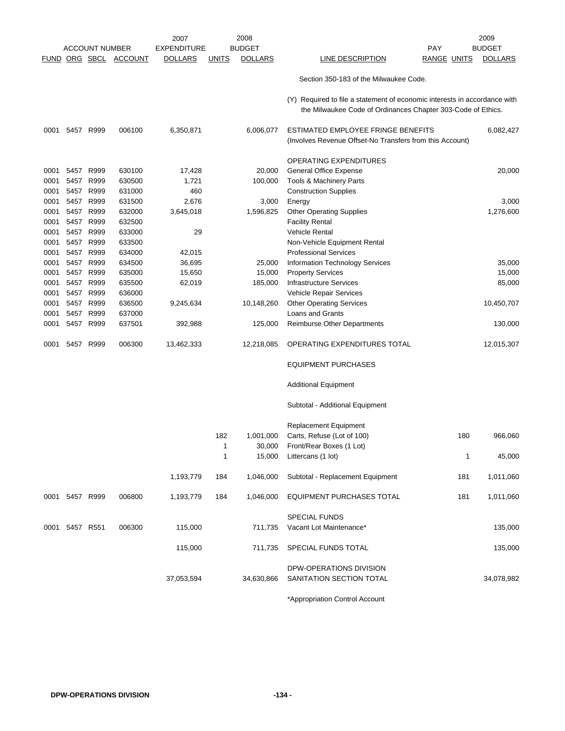|      |                |                       |                | 2007               |              | 2008           |                                                                                                                                           |                    |              | 2009           |
|------|----------------|-----------------------|----------------|--------------------|--------------|----------------|-------------------------------------------------------------------------------------------------------------------------------------------|--------------------|--------------|----------------|
|      |                | <b>ACCOUNT NUMBER</b> |                | <b>EXPENDITURE</b> |              | <b>BUDGET</b>  |                                                                                                                                           | PAY                |              | <b>BUDGET</b>  |
|      | FUND ORG SBCL  |                       | <b>ACCOUNT</b> | <b>DOLLARS</b>     | <u>UNITS</u> | <b>DOLLARS</b> | LINE DESCRIPTION                                                                                                                          | <b>RANGE UNITS</b> |              | <b>DOLLARS</b> |
|      |                |                       |                |                    |              |                | Section 350-183 of the Milwaukee Code.                                                                                                    |                    |              |                |
|      |                |                       |                |                    |              |                | (Y) Required to file a statement of economic interests in accordance with<br>the Milwaukee Code of Ordinances Chapter 303-Code of Ethics. |                    |              |                |
| 0001 | 5457 R999      |                       | 006100         | 6,350,871          |              | 6,006,077      | ESTIMATED EMPLOYEE FRINGE BENEFITS<br>(Involves Revenue Offset-No Transfers from this Account)                                            |                    |              | 6,082,427      |
|      |                |                       |                |                    |              |                |                                                                                                                                           |                    |              |                |
|      |                |                       |                |                    |              |                | OPERATING EXPENDITURES                                                                                                                    |                    |              |                |
| 0001 | 5457           | R999                  | 630100         | 17,428             |              | 20,000         | General Office Expense                                                                                                                    |                    |              | 20,000         |
| 0001 | 5457           | R999                  | 630500         | 1,721              |              | 100,000        | Tools & Machinery Parts                                                                                                                   |                    |              |                |
| 0001 | 5457           | R999                  | 631000         | 460                |              |                | <b>Construction Supplies</b>                                                                                                              |                    |              |                |
| 0001 | 5457 R999      |                       | 631500         | 2,676              |              | 3,000          | Energy                                                                                                                                    |                    |              | 3,000          |
| 0001 | 5457 R999      |                       | 632000         | 3,645,018          |              | 1,596,825      | <b>Other Operating Supplies</b>                                                                                                           |                    |              | 1,276,600      |
| 0001 | 5457           | R999                  | 632500         |                    |              |                | <b>Facility Rental</b>                                                                                                                    |                    |              |                |
| 0001 | 5457 R999      |                       | 633000         | 29                 |              |                | <b>Vehicle Rental</b>                                                                                                                     |                    |              |                |
| 0001 | 5457           | R999                  | 633500         |                    |              |                | Non-Vehicle Equipment Rental                                                                                                              |                    |              |                |
| 0001 | 5457 R999      |                       | 634000         | 42,015             |              |                | <b>Professional Services</b>                                                                                                              |                    |              |                |
| 0001 | 5457 R999      |                       | 634500         | 36,695             |              | 25,000         | Information Technology Services                                                                                                           |                    |              | 35,000         |
| 0001 | 5457 R999      |                       | 635000         | 15,650             |              | 15,000         | <b>Property Services</b>                                                                                                                  |                    |              | 15,000         |
| 0001 | 5457 R999      |                       | 635500         | 62,019             |              | 185,000        | <b>Infrastructure Services</b>                                                                                                            |                    |              | 85,000         |
| 0001 | 5457           | R999                  | 636000         |                    |              |                | Vehicle Repair Services                                                                                                                   |                    |              |                |
| 0001 | 5457           | R999                  | 636500         | 9,245,634          |              | 10,148,260     | <b>Other Operating Services</b>                                                                                                           |                    |              | 10,450,707     |
| 0001 | 5457 R999      |                       | 637000         |                    |              |                | Loans and Grants                                                                                                                          |                    |              |                |
| 0001 | 5457 R999      |                       | 637501         | 392,988            |              | 125,000        | Reimburse Other Departments                                                                                                               |                    |              | 130,000        |
| 0001 | 5457 R999      |                       | 006300         | 13,462,333         |              | 12,218,085     | OPERATING EXPENDITURES TOTAL                                                                                                              |                    |              | 12,015,307     |
|      |                |                       |                |                    |              |                | <b>EQUIPMENT PURCHASES</b>                                                                                                                |                    |              |                |
|      |                |                       |                |                    |              |                | <b>Additional Equipment</b>                                                                                                               |                    |              |                |
|      |                |                       |                |                    |              |                | Subtotal - Additional Equipment                                                                                                           |                    |              |                |
|      |                |                       |                |                    |              |                | <b>Replacement Equipment</b>                                                                                                              |                    |              |                |
|      |                |                       |                |                    | 182          | 1,001,000      | Carts, Refuse (Lot of 100)                                                                                                                |                    | 180          | 966,060        |
|      |                |                       |                |                    | 1            | 30,000         | Front/Rear Boxes (1 Lot)                                                                                                                  |                    |              |                |
|      |                |                       |                |                    | 1            | 15,000         | Littercans (1 lot)                                                                                                                        |                    | $\mathbf{1}$ | 45,000         |
|      |                |                       |                | 1,193,779          | 184          | 1,046,000      | Subtotal - Replacement Equipment                                                                                                          |                    | 181          | 1,011,060      |
|      | 0001 5457 R999 |                       | 006800         | 1,193,779          | 184          | 1,046,000      | EQUIPMENT PURCHASES TOTAL                                                                                                                 |                    | 181          | 1,011,060      |
|      |                |                       |                |                    |              |                | <b>SPECIAL FUNDS</b>                                                                                                                      |                    |              |                |
|      | 0001 5457 R551 |                       | 006300         | 115,000            |              |                |                                                                                                                                           |                    |              |                |
|      |                |                       |                |                    |              | 711,735        | Vacant Lot Maintenance*                                                                                                                   |                    |              | 135,000        |
|      |                |                       |                | 115,000            |              | 711,735        | SPECIAL FUNDS TOTAL                                                                                                                       |                    |              | 135,000        |
|      |                |                       |                | 37,053,594         |              | 34,630,866     | DPW-OPERATIONS DIVISION<br>SANITATION SECTION TOTAL                                                                                       |                    |              | 34,078,982     |
|      |                |                       |                |                    |              |                |                                                                                                                                           |                    |              |                |

\*Appropriation Control Account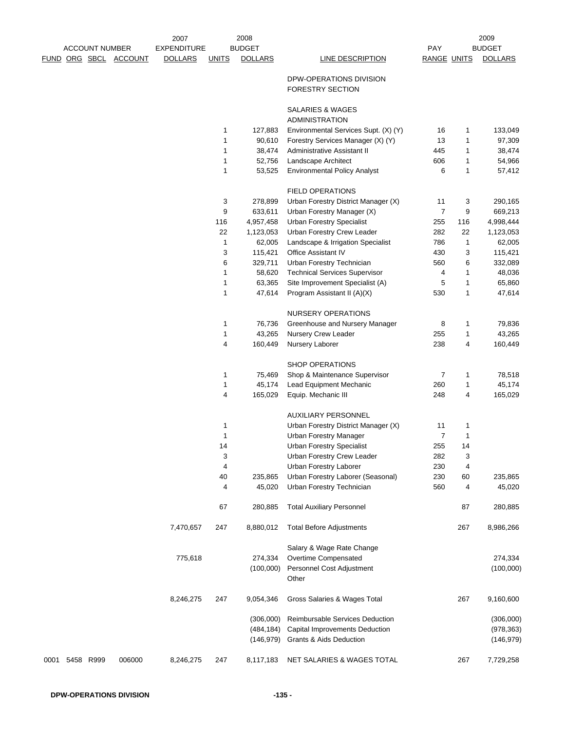|                | <b>ACCOUNT NUMBER</b> |                       | 2007<br><b>EXPENDITURE</b> |              | 2008<br><b>BUDGET</b> |                                                                  | <b>PAY</b>         |        | 2009<br><b>BUDGET</b> |
|----------------|-----------------------|-----------------------|----------------------------|--------------|-----------------------|------------------------------------------------------------------|--------------------|--------|-----------------------|
|                |                       | FUND ORG SBCL ACCOUNT | <b>DOLLARS</b>             | <b>UNITS</b> | <b>DOLLARS</b>        | LINE DESCRIPTION                                                 | <b>RANGE UNITS</b> |        | <b>DOLLARS</b>        |
|                |                       |                       |                            |              |                       | DPW-OPERATIONS DIVISION<br>FORESTRY SECTION                      |                    |        |                       |
|                |                       |                       |                            |              |                       | SALARIES & WAGES                                                 |                    |        |                       |
|                |                       |                       |                            |              |                       | <b>ADMINISTRATION</b>                                            |                    |        |                       |
|                |                       |                       |                            | 1<br>1       | 127,883               | Environmental Services Supt. (X) (Y)                             | 16<br>13           | 1<br>1 | 133,049               |
|                |                       |                       |                            | 1            | 90,610<br>38,474      | Forestry Services Manager (X) (Y)<br>Administrative Assistant II | 445                | 1      | 97,309<br>38,474      |
|                |                       |                       |                            | 1            | 52,756                | Landscape Architect                                              | 606                | 1      | 54,966                |
|                |                       |                       |                            | 1            | 53,525                | <b>Environmental Policy Analyst</b>                              | 6                  | 1      | 57,412                |
|                |                       |                       |                            |              |                       | <b>FIELD OPERATIONS</b>                                          |                    |        |                       |
|                |                       |                       |                            | 3            | 278,899               | Urban Forestry District Manager (X)                              | 11                 | 3      | 290,165               |
|                |                       |                       |                            | 9            | 633,611               | Urban Forestry Manager (X)                                       | $\overline{7}$     | 9      | 669,213               |
|                |                       |                       |                            | 116          | 4,957,458             | <b>Urban Forestry Specialist</b>                                 | 255                | 116    | 4,998,444             |
|                |                       |                       |                            | 22           | 1,123,053             | Urban Forestry Crew Leader                                       | 282                | 22     | 1,123,053             |
|                |                       |                       |                            | 1            | 62,005                | Landscape & Irrigation Specialist                                | 786                | 1      | 62,005                |
|                |                       |                       |                            | 3            | 115,421               | Office Assistant IV                                              | 430                | 3      | 115,421               |
|                |                       |                       |                            | 6            | 329,711               | Urban Forestry Technician                                        | 560                | 6      | 332,089               |
|                |                       |                       |                            | 1            | 58,620                | <b>Technical Services Supervisor</b>                             | 4                  | 1      | 48,036                |
|                |                       |                       |                            | 1            | 63,365                | Site Improvement Specialist (A)                                  | 5                  | 1      | 65,860                |
|                |                       |                       |                            | 1            | 47,614                | Program Assistant II (A)(X)                                      | 530                | 1      | 47,614                |
|                |                       |                       |                            |              |                       | NURSERY OPERATIONS                                               |                    |        |                       |
|                |                       |                       |                            | 1            | 76,736                | Greenhouse and Nursery Manager                                   | 8                  | 1      | 79,836                |
|                |                       |                       |                            | 1            | 43,265                | Nursery Crew Leader                                              | 255                | 1      | 43,265                |
|                |                       |                       |                            | 4            | 160,449               | Nursery Laborer                                                  | 238                | 4      | 160,449               |
|                |                       |                       |                            |              |                       | <b>SHOP OPERATIONS</b>                                           |                    |        |                       |
|                |                       |                       |                            | 1            | 75,469                | Shop & Maintenance Supervisor                                    | 7                  | 1      | 78,518                |
|                |                       |                       |                            | 1            | 45,174                | Lead Equipment Mechanic                                          | 260                | 1      | 45,174                |
|                |                       |                       |                            | 4            | 165,029               | Equip. Mechanic III                                              | 248                | 4      | 165,029               |
|                |                       |                       |                            |              |                       | <b>AUXILIARY PERSONNEL</b>                                       |                    |        |                       |
|                |                       |                       |                            | 1            |                       | Urban Forestry District Manager (X)                              | 11                 | 1      |                       |
|                |                       |                       |                            | 1            |                       | Urban Forestry Manager                                           | $\overline{7}$     | 1      |                       |
|                |                       |                       |                            | 14           |                       | <b>Urban Forestry Specialist</b>                                 | 255                | 14     |                       |
|                |                       |                       |                            | 3            |                       | Urban Forestry Crew Leader                                       | 282                | 3      |                       |
|                |                       |                       |                            | 4            |                       | Urban Forestry Laborer                                           | 230                | 4      |                       |
|                |                       |                       |                            | 40           | 235,865               | Urban Forestry Laborer (Seasonal)                                | 230                | 60     | 235,865               |
|                |                       |                       |                            | 4            | 45,020                | Urban Forestry Technician                                        | 560                | 4      | 45,020                |
|                |                       |                       |                            | 67           | 280,885               | <b>Total Auxiliary Personnel</b>                                 |                    | 87     | 280,885               |
|                |                       |                       | 7,470,657                  | 247          | 8,880,012             | <b>Total Before Adjustments</b>                                  |                    | 267    | 8,986,266             |
|                |                       |                       |                            |              |                       | Salary & Wage Rate Change                                        |                    |        |                       |
|                |                       |                       | 775,618                    |              | 274,334               | Overtime Compensated                                             |                    |        | 274,334               |
|                |                       |                       |                            |              | (100,000)             | Personnel Cost Adjustment<br>Other                               |                    |        | (100,000)             |
|                |                       |                       | 8,246,275                  | 247          | 9,054,346             | Gross Salaries & Wages Total                                     |                    | 267    | 9,160,600             |
|                |                       |                       |                            |              | (306,000)             | Reimbursable Services Deduction                                  |                    |        | (306,000)             |
|                |                       |                       |                            |              | (484, 184)            | Capital Improvements Deduction                                   |                    |        | (978, 363)            |
|                |                       |                       |                            |              | (146, 979)            | Grants & Aids Deduction                                          |                    |        | (146, 979)            |
|                |                       |                       |                            |              |                       |                                                                  |                    |        |                       |
| 0001 5458 R999 |                       | 006000                | 8,246,275                  | 247          | 8,117,183             | NET SALARIES & WAGES TOTAL                                       |                    | 267    | 7,729,258             |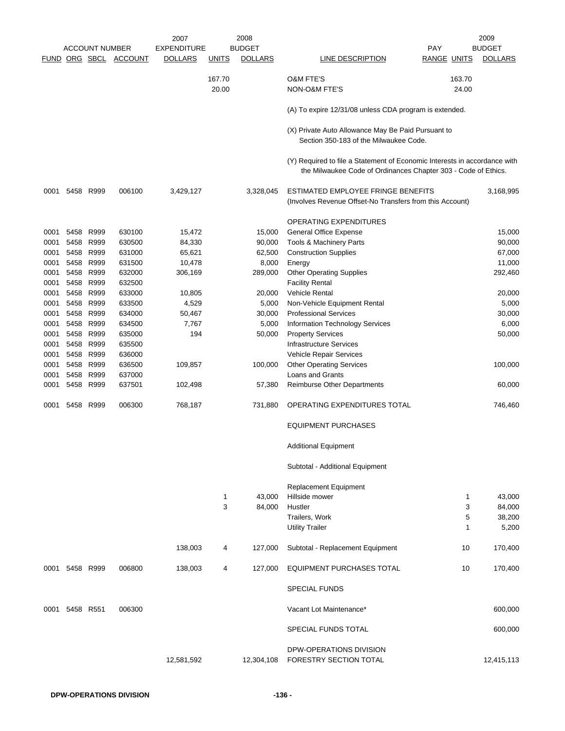|      |                | <b>ACCOUNT NUMBER</b> | FUND ORG SBCL ACCOUNT | 2007<br><b>EXPENDITURE</b><br><b>DOLLARS</b> | <u>UNITS</u> | 2008<br><b>BUDGET</b><br><b>DOLLARS</b> | LINE DESCRIPTION                                                                                                                            | PAY<br><b>RANGE UNITS</b> | 2009<br><b>BUDGET</b><br><b>DOLLARS</b> |
|------|----------------|-----------------------|-----------------------|----------------------------------------------|--------------|-----------------------------------------|---------------------------------------------------------------------------------------------------------------------------------------------|---------------------------|-----------------------------------------|
|      |                |                       |                       |                                              | 167.70       |                                         | <b>O&amp;M FTE'S</b>                                                                                                                        | 163.70                    |                                         |
|      |                |                       |                       |                                              | 20.00        |                                         | NON-O&M FTE'S                                                                                                                               | 24.00                     |                                         |
|      |                |                       |                       |                                              |              |                                         | (A) To expire 12/31/08 unless CDA program is extended.                                                                                      |                           |                                         |
|      |                |                       |                       |                                              |              |                                         | (X) Private Auto Allowance May Be Paid Pursuant to<br>Section 350-183 of the Milwaukee Code.                                                |                           |                                         |
|      |                |                       |                       |                                              |              |                                         | (Y) Required to file a Statement of Economic Interests in accordance with<br>the Milwaukee Code of Ordinances Chapter 303 - Code of Ethics. |                           |                                         |
| 0001 | 5458 R999      |                       | 006100                | 3,429,127                                    |              | 3,328,045                               | ESTIMATED EMPLOYEE FRINGE BENEFITS<br>(Involves Revenue Offset-No Transfers from this Account)                                              |                           | 3,168,995                               |
|      |                |                       |                       |                                              |              |                                         | <b>OPERATING EXPENDITURES</b>                                                                                                               |                           |                                         |
| 0001 | 5458           | R999                  | 630100                | 15,472                                       |              | 15,000                                  | General Office Expense                                                                                                                      |                           | 15,000                                  |
| 0001 | 5458 R999      |                       | 630500                | 84,330                                       |              | 90,000                                  | Tools & Machinery Parts                                                                                                                     |                           | 90,000                                  |
| 0001 | 5458           | R999                  | 631000                | 65,621                                       |              | 62,500                                  | <b>Construction Supplies</b>                                                                                                                |                           | 67,000                                  |
| 0001 | 5458           | R999                  | 631500                | 10,478                                       |              | 8,000                                   | Energy                                                                                                                                      |                           | 11,000                                  |
| 0001 | 5458 R999      |                       | 632000                | 306,169                                      |              | 289,000                                 | <b>Other Operating Supplies</b>                                                                                                             |                           | 292,460                                 |
| 0001 | 5458           | R999                  | 632500                |                                              |              |                                         | <b>Facility Rental</b>                                                                                                                      |                           |                                         |
| 0001 | 5458           | R999                  | 633000                | 10,805                                       |              | 20,000                                  | <b>Vehicle Rental</b>                                                                                                                       |                           | 20,000                                  |
| 0001 |                | 5458 R999             | 633500                | 4,529                                        |              | 5,000                                   | Non-Vehicle Equipment Rental                                                                                                                |                           | 5,000                                   |
| 0001 | 5458           | R999                  | 634000                | 50,467                                       |              | 30,000                                  | <b>Professional Services</b>                                                                                                                |                           | 30,000                                  |
| 0001 | 5458           | R999                  | 634500                | 7,767                                        |              | 5,000                                   | Information Technology Services                                                                                                             |                           | 6,000                                   |
| 0001 | 5458 R999      |                       | 635000                | 194                                          |              | 50,000                                  | <b>Property Services</b>                                                                                                                    |                           | 50,000                                  |
| 0001 | 5458           | R999                  | 635500                |                                              |              |                                         | <b>Infrastructure Services</b>                                                                                                              |                           |                                         |
| 0001 | 5458           | R999                  | 636000                |                                              |              |                                         | Vehicle Repair Services                                                                                                                     |                           |                                         |
| 0001 | 5458 R999      |                       | 636500                | 109,857                                      |              | 100,000                                 | <b>Other Operating Services</b>                                                                                                             |                           | 100,000                                 |
| 0001 | 5458           | R999                  | 637000                |                                              |              |                                         | Loans and Grants                                                                                                                            |                           |                                         |
| 0001 |                | 5458 R999             | 637501                | 102,498                                      |              | 57,380                                  | <b>Reimburse Other Departments</b>                                                                                                          |                           | 60,000                                  |
| 0001 | 5458           | R999                  | 006300                | 768,187                                      |              | 731,880                                 | OPERATING EXPENDITURES TOTAL                                                                                                                |                           | 746,460                                 |
|      |                |                       |                       |                                              |              |                                         | <b>EQUIPMENT PURCHASES</b>                                                                                                                  |                           |                                         |
|      |                |                       |                       |                                              |              |                                         | <b>Additional Equipment</b>                                                                                                                 |                           |                                         |
|      |                |                       |                       |                                              |              |                                         | Subtotal - Additional Equipment                                                                                                             |                           |                                         |
|      |                |                       |                       |                                              |              |                                         | Replacement Equipment                                                                                                                       |                           |                                         |
|      |                |                       |                       |                                              | $\mathbf{1}$ | 43,000                                  | Hillside mower                                                                                                                              | $\mathbf{1}$              | 43,000                                  |
|      |                |                       |                       |                                              | 3            | 84,000                                  | Hustler                                                                                                                                     | 3                         | 84,000                                  |
|      |                |                       |                       |                                              |              |                                         | Trailers, Work                                                                                                                              | 5                         | 38,200                                  |
|      |                |                       |                       |                                              |              |                                         | <b>Utility Trailer</b>                                                                                                                      | 1                         | 5,200                                   |
|      |                |                       |                       | 138,003                                      | 4            | 127,000                                 | Subtotal - Replacement Equipment                                                                                                            | 10                        | 170,400                                 |
|      | 0001 5458 R999 |                       | 006800                | 138,003                                      | 4            | 127,000                                 | EQUIPMENT PURCHASES TOTAL                                                                                                                   | 10                        | 170,400                                 |
|      |                |                       |                       |                                              |              |                                         | <b>SPECIAL FUNDS</b>                                                                                                                        |                           |                                         |
|      | 0001 5458 R551 |                       | 006300                |                                              |              |                                         | Vacant Lot Maintenance*                                                                                                                     |                           | 600,000                                 |
|      |                |                       |                       |                                              |              |                                         | SPECIAL FUNDS TOTAL                                                                                                                         |                           | 600,000                                 |
|      |                |                       |                       | 12,581,592                                   |              | 12,304,108                              | DPW-OPERATIONS DIVISION<br>FORESTRY SECTION TOTAL                                                                                           |                           | 12,415,113                              |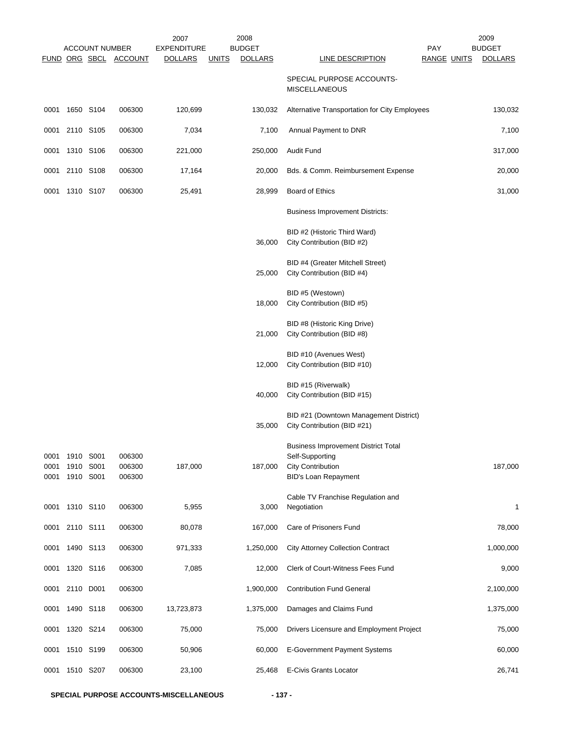|                      |                        | <b>ACCOUNT NUMBER</b> |                            | 2007<br><b>EXPENDITURE</b> | 2008<br><b>BUDGET</b>          |                                                                                                                          | <b>PAY</b>         | 2009<br><b>BUDGET</b> |
|----------------------|------------------------|-----------------------|----------------------------|----------------------------|--------------------------------|--------------------------------------------------------------------------------------------------------------------------|--------------------|-----------------------|
|                      |                        |                       | FUND ORG SBCL ACCOUNT      | <b>DOLLARS</b>             | <b>DOLLARS</b><br><u>UNITS</u> | <b>LINE DESCRIPTION</b>                                                                                                  | <b>RANGE UNITS</b> | <b>DOLLARS</b>        |
|                      |                        |                       |                            |                            |                                | SPECIAL PURPOSE ACCOUNTS-<br><b>MISCELLANEOUS</b>                                                                        |                    |                       |
| 0001                 | 1650 S104              |                       | 006300                     | 120,699                    | 130,032                        | Alternative Transportation for City Employees                                                                            |                    | 130,032               |
| 0001                 | 2110 S105              |                       | 006300                     | 7,034                      | 7,100                          | Annual Payment to DNR                                                                                                    |                    | 7,100                 |
| 0001                 | 1310 S106              |                       | 006300                     | 221,000                    | 250,000                        | <b>Audit Fund</b>                                                                                                        |                    | 317,000               |
|                      | 0001 2110 S108         |                       | 006300                     | 17,164                     | 20,000                         | Bds. & Comm. Reimbursement Expense                                                                                       |                    | 20,000                |
| 0001                 | 1310 S107              |                       | 006300                     | 25,491                     | 28,999                         | Board of Ethics                                                                                                          |                    | 31,000                |
|                      |                        |                       |                            |                            |                                | <b>Business Improvement Districts:</b>                                                                                   |                    |                       |
|                      |                        |                       |                            |                            | 36,000                         | BID #2 (Historic Third Ward)<br>City Contribution (BID #2)                                                               |                    |                       |
|                      |                        |                       |                            |                            | 25,000                         | BID #4 (Greater Mitchell Street)<br>City Contribution (BID #4)                                                           |                    |                       |
|                      |                        |                       |                            |                            | 18,000                         | BID #5 (Westown)<br>City Contribution (BID #5)                                                                           |                    |                       |
|                      |                        |                       |                            |                            | 21,000                         | BID #8 (Historic King Drive)<br>City Contribution (BID #8)                                                               |                    |                       |
|                      |                        |                       |                            |                            | 12,000                         | BID #10 (Avenues West)<br>City Contribution (BID #10)                                                                    |                    |                       |
|                      |                        |                       |                            |                            | 40,000                         | BID #15 (Riverwalk)<br>City Contribution (BID #15)                                                                       |                    |                       |
|                      |                        |                       |                            |                            | 35,000                         | BID #21 (Downtown Management District)<br>City Contribution (BID #21)                                                    |                    |                       |
| 0001<br>0001<br>0001 | 1910 S001<br>1910 S001 | 1910 S001             | 006300<br>006300<br>006300 | 187,000                    | 187,000                        | <b>Business Improvement District Total</b><br>Self-Supporting<br><b>City Contribution</b><br><b>BID's Loan Repayment</b> |                    | 187,000               |
| 0001                 | 1310 S110              |                       | 006300                     | 5,955                      | 3,000                          | Cable TV Franchise Regulation and<br>Negotiation                                                                         |                    | 1                     |
|                      | 0001 2110 S111         |                       | 006300                     | 80,078                     | 167,000                        | Care of Prisoners Fund                                                                                                   |                    | 78,000                |
| 0001                 | 1490 S113              |                       | 006300                     | 971,333                    | 1,250,000                      | <b>City Attorney Collection Contract</b>                                                                                 |                    | 1,000,000             |
| 0001                 |                        | 1320 S116             | 006300                     | 7,085                      | 12,000                         | Clerk of Court-Witness Fees Fund                                                                                         |                    | 9,000                 |
|                      | 0001 2110 D001         |                       | 006300                     |                            | 1,900,000                      | <b>Contribution Fund General</b>                                                                                         |                    | 2,100,000             |
| 0001                 |                        | 1490 S118             | 006300                     | 13,723,873                 | 1,375,000                      | Damages and Claims Fund                                                                                                  |                    | 1,375,000             |
| 0001                 |                        | 1320 S214             | 006300                     | 75,000                     | 75,000                         | Drivers Licensure and Employment Project                                                                                 |                    | 75,000                |
| 0001                 | 1510 S199              |                       | 006300                     | 50,906                     | 60,000                         | <b>E-Government Payment Systems</b>                                                                                      |                    | 60,000                |
| 0001                 | 1510 S207              |                       | 006300                     | 23,100                     | 25,468                         | E-Civis Grants Locator                                                                                                   |                    | 26,741                |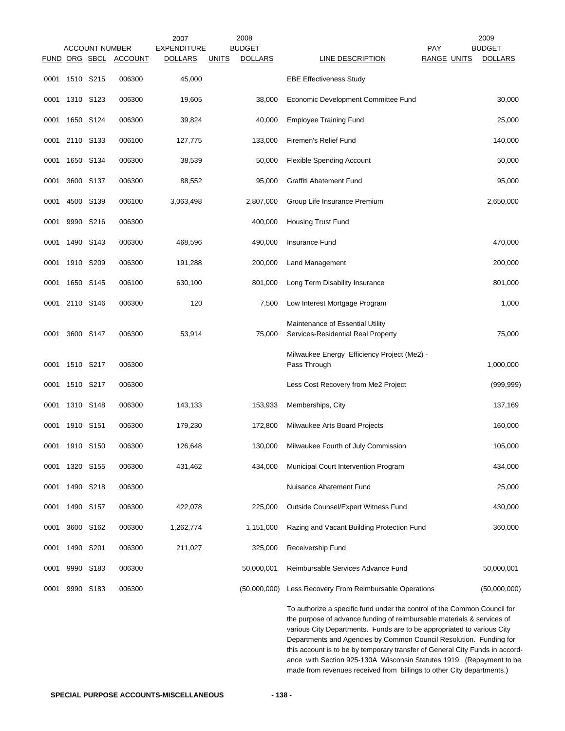|      |                | <b>ACCOUNT NUMBER</b> |                | 2007<br><b>EXPENDITURE</b> |              | 2008<br><b>BUDGET</b> |                                                                                                                                                                                                                                                                                                                                                                                    | <b>PAY</b>         | 2009<br><b>BUDGET</b> |
|------|----------------|-----------------------|----------------|----------------------------|--------------|-----------------------|------------------------------------------------------------------------------------------------------------------------------------------------------------------------------------------------------------------------------------------------------------------------------------------------------------------------------------------------------------------------------------|--------------------|-----------------------|
|      |                | FUND ORG SBCL         | <b>ACCOUNT</b> | <b>DOLLARS</b>             | <b>UNITS</b> | <b>DOLLARS</b>        | LINE DESCRIPTION                                                                                                                                                                                                                                                                                                                                                                   | <b>RANGE UNITS</b> | <b>DOLLARS</b>        |
| 0001 | 1510 S215      |                       | 006300         | 45,000                     |              |                       | <b>EBE Effectiveness Study</b>                                                                                                                                                                                                                                                                                                                                                     |                    |                       |
| 0001 | 1310 S123      |                       | 006300         | 19,605                     |              | 38,000                | Economic Development Committee Fund                                                                                                                                                                                                                                                                                                                                                |                    | 30,000                |
| 0001 | 1650 S124      |                       | 006300         | 39,824                     |              | 40,000                | <b>Employee Training Fund</b>                                                                                                                                                                                                                                                                                                                                                      |                    | 25,000                |
| 0001 | 2110 S133      |                       | 006100         | 127,775                    |              | 133,000               | Firemen's Relief Fund                                                                                                                                                                                                                                                                                                                                                              |                    | 140,000               |
| 0001 | 1650 S134      |                       | 006300         | 38,539                     |              | 50,000                | Flexible Spending Account                                                                                                                                                                                                                                                                                                                                                          |                    | 50,000                |
| 0001 | 3600 S137      |                       | 006300         | 88,552                     |              | 95,000                | Graffiti Abatement Fund                                                                                                                                                                                                                                                                                                                                                            |                    | 95,000                |
| 0001 | 4500 S139      |                       | 006100         | 3,063,498                  |              | 2,807,000             | Group Life Insurance Premium                                                                                                                                                                                                                                                                                                                                                       |                    | 2,650,000             |
| 0001 |                | 9990 S216             | 006300         |                            |              | 400,000               | <b>Housing Trust Fund</b>                                                                                                                                                                                                                                                                                                                                                          |                    |                       |
| 0001 |                | 1490 S143             | 006300         | 468,596                    |              | 490,000               | <b>Insurance Fund</b>                                                                                                                                                                                                                                                                                                                                                              |                    | 470,000               |
| 0001 | 1910 S209      |                       | 006300         | 191,288                    |              | 200,000               | Land Management                                                                                                                                                                                                                                                                                                                                                                    |                    | 200,000               |
| 0001 |                | 1650 S145             | 006100         | 630,100                    |              | 801,000               | Long Term Disability Insurance                                                                                                                                                                                                                                                                                                                                                     |                    | 801,000               |
| 0001 | 2110 S146      |                       | 006300         | 120                        |              | 7,500                 | Low Interest Mortgage Program                                                                                                                                                                                                                                                                                                                                                      |                    | 1,000                 |
| 0001 | 3600 S147      |                       | 006300         | 53,914                     |              | 75,000                | Maintenance of Essential Utility<br>Services-Residential Real Property                                                                                                                                                                                                                                                                                                             |                    | 75,000                |
| 0001 | 1510 S217      |                       | 006300         |                            |              |                       | Milwaukee Energy Efficiency Project (Me2) -<br>Pass Through                                                                                                                                                                                                                                                                                                                        |                    | 1,000,000             |
| 0001 | 1510 S217      |                       | 006300         |                            |              |                       | Less Cost Recovery from Me2 Project                                                                                                                                                                                                                                                                                                                                                |                    | (999, 999)            |
| 0001 | 1310 S148      |                       | 006300         | 143,133                    |              | 153,933               | Memberships, City                                                                                                                                                                                                                                                                                                                                                                  |                    | 137,169               |
| 0001 | 1910 S151      |                       | 006300         | 179,230                    |              | 172,800               | Milwaukee Arts Board Projects                                                                                                                                                                                                                                                                                                                                                      |                    | 160,000               |
|      | 0001 1910 S150 |                       | 006300         | 126,648                    |              |                       | 130,000 Milwaukee Fourth of July Commission                                                                                                                                                                                                                                                                                                                                        |                    | 105,000               |
|      | 0001 1320 S155 |                       | 006300         | 431,462                    |              | 434,000               | Municipal Court Intervention Program                                                                                                                                                                                                                                                                                                                                               |                    | 434,000               |
| 0001 |                | 1490 S218             | 006300         |                            |              |                       | Nuisance Abatement Fund                                                                                                                                                                                                                                                                                                                                                            |                    | 25,000                |
| 0001 |                | 1490 S157             | 006300         | 422,078                    |              | 225,000               | Outside Counsel/Expert Witness Fund                                                                                                                                                                                                                                                                                                                                                |                    | 430,000               |
| 0001 | 3600 S162      |                       | 006300         | 1,262,774                  |              | 1,151,000             | Razing and Vacant Building Protection Fund                                                                                                                                                                                                                                                                                                                                         |                    | 360,000               |
| 0001 | 1490 S201      |                       | 006300         | 211,027                    |              | 325,000               | Receivership Fund                                                                                                                                                                                                                                                                                                                                                                  |                    |                       |
| 0001 | 9990 S183      |                       | 006300         |                            |              | 50,000,001            | Reimbursable Services Advance Fund                                                                                                                                                                                                                                                                                                                                                 |                    | 50,000,001            |
| 0001 | 9990 S183      |                       | 006300         |                            |              | (50,000,000)          | Less Recovery From Reimbursable Operations                                                                                                                                                                                                                                                                                                                                         |                    | (50,000,000)          |
|      |                |                       |                |                            |              |                       | To authorize a specific fund under the control of the Common Council for<br>the purpose of advance funding of reimbursable materials & services of<br>various City Departments. Funds are to be appropriated to various City<br>Departments and Agencies by Common Council Resolution. Funding for<br>this account is to be by temporary transfer of General City Funds in accord- |                    |                       |

ance with Section 925-130A Wisconsin Statutes 1919. (Repayment to be made from revenues received from billings to other City departments.)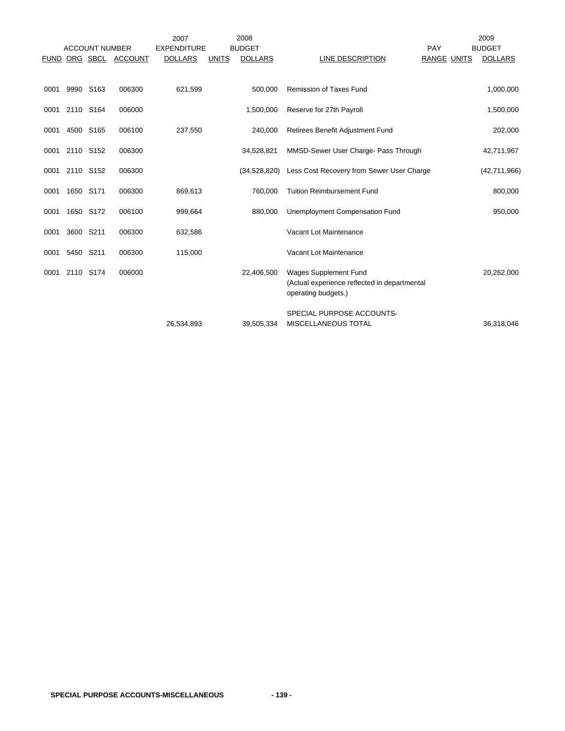|             |           |                       |                | 2007               |              | 2008           |                                                                                              |             | 2009           |
|-------------|-----------|-----------------------|----------------|--------------------|--------------|----------------|----------------------------------------------------------------------------------------------|-------------|----------------|
|             |           | <b>ACCOUNT NUMBER</b> |                | <b>EXPENDITURE</b> |              | <b>BUDGET</b>  |                                                                                              | PAY         | <b>BUDGET</b>  |
| <b>FUND</b> |           | ORG SBCL              | <b>ACCOUNT</b> | <b>DOLLARS</b>     | <b>UNITS</b> | <b>DOLLARS</b> | LINE DESCRIPTION                                                                             | RANGE UNITS | <b>DOLLARS</b> |
|             |           |                       |                |                    |              |                |                                                                                              |             |                |
| 0001        |           | 9990 S163             | 006300         | 621,599            |              | 500,000        | <b>Remission of Taxes Fund</b>                                                               |             | 1,000,000      |
| 0001        | 2110 S164 |                       | 006000         |                    |              | 1,500,000      | Reserve for 27th Payroll                                                                     |             | 1,500,000      |
| 0001        |           | 4500 S165             | 006100         | 237,550            |              | 240,000        | Retirees Benefit Adjustment Fund                                                             |             | 202,000        |
| 0001        | 2110 S152 |                       | 006300         |                    |              | 34,528,821     | MMSD-Sewer User Charge- Pass Through                                                         |             | 42,711,967     |
| 0001        | 2110 S152 |                       | 006300         |                    |              | (34,528,820)   | Less Cost Recovery from Sewer User Charge                                                    |             | (42,711,966)   |
| 0001        | 1650 S171 |                       | 006300         | 869,613            |              | 760,000        | <b>Tuition Reimbursement Fund</b>                                                            |             | 800,000        |
| 0001        |           | 1650 S172             | 006100         | 999,664            |              | 880,000        | Unemployment Compensation Fund                                                               |             | 950,000        |
| 0001        | 3600 S211 |                       | 006300         | 632,586            |              |                | Vacant Lot Maintenance                                                                       |             |                |
| 0001        | 5450 S211 |                       | 006300         | 115,000            |              |                | Vacant Lot Maintenance                                                                       |             |                |
| 0001        |           | 2110 S174             | 006000         |                    |              | 22,406,500     | Wages Supplement Fund<br>(Actual experience reflected in departmental<br>operating budgets.) |             | 20,262,000     |
|             |           |                       |                | 26,534,893         |              | 39,505,334     | SPECIAL PURPOSE ACCOUNTS-<br><b>MISCELLANEOUS TOTAL</b>                                      |             | 36,318,046     |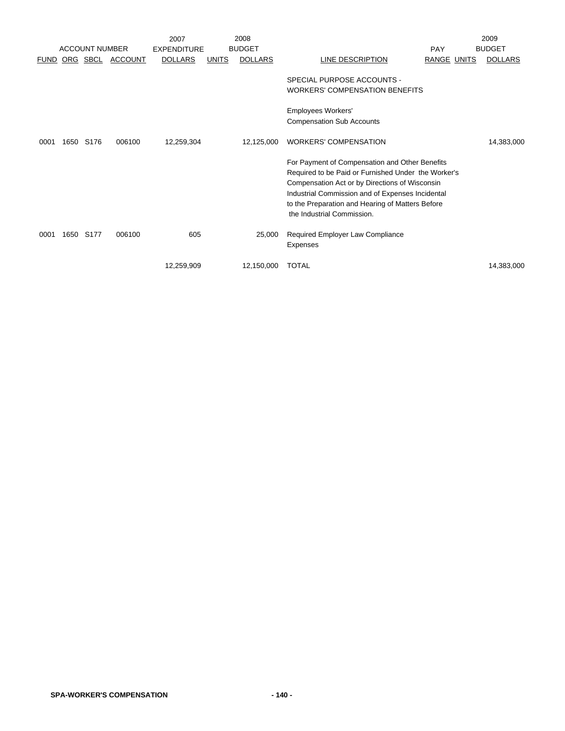|             |      |                       |                | 2007               |              | 2008           |                                                                                                                                                                                                                                                                                               |                    | 2009           |
|-------------|------|-----------------------|----------------|--------------------|--------------|----------------|-----------------------------------------------------------------------------------------------------------------------------------------------------------------------------------------------------------------------------------------------------------------------------------------------|--------------------|----------------|
|             |      | <b>ACCOUNT NUMBER</b> |                | <b>EXPENDITURE</b> |              | <b>BUDGET</b>  |                                                                                                                                                                                                                                                                                               | PAY                | <b>BUDGET</b>  |
| <b>FUND</b> |      | ORG SBCL              | <b>ACCOUNT</b> | <b>DOLLARS</b>     | <b>UNITS</b> | <b>DOLLARS</b> | LINE DESCRIPTION                                                                                                                                                                                                                                                                              | <b>RANGE UNITS</b> | <b>DOLLARS</b> |
|             |      |                       |                |                    |              |                | SPECIAL PURPOSE ACCOUNTS -<br><b>WORKERS' COMPENSATION BENEFITS</b><br>Employees Workers'                                                                                                                                                                                                     |                    |                |
|             |      |                       |                |                    |              |                | <b>Compensation Sub Accounts</b>                                                                                                                                                                                                                                                              |                    |                |
| 0001        | 1650 | S <sub>176</sub>      | 006100         | 12,259,304         |              | 12,125,000     | <b>WORKERS' COMPENSATION</b>                                                                                                                                                                                                                                                                  |                    | 14,383,000     |
|             |      |                       |                |                    |              |                | For Payment of Compensation and Other Benefits<br>Required to be Paid or Furnished Under the Worker's<br>Compensation Act or by Directions of Wisconsin<br>Industrial Commission and of Expenses Incidental<br>to the Preparation and Hearing of Matters Before<br>the Industrial Commission. |                    |                |
| 0001        | 1650 | S177                  | 006100         | 605                |              | 25,000         | Required Employer Law Compliance<br>Expenses                                                                                                                                                                                                                                                  |                    |                |
|             |      |                       |                | 12,259,909         |              | 12,150,000     | <b>TOTAL</b>                                                                                                                                                                                                                                                                                  |                    | 14,383,000     |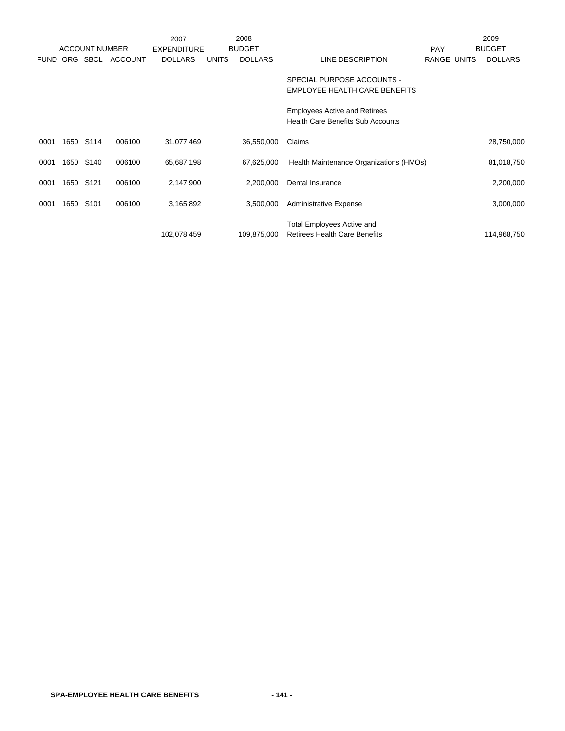|             |      |                       |                | 2007               |              | 2008           |                                                                                  |             | 2009           |
|-------------|------|-----------------------|----------------|--------------------|--------------|----------------|----------------------------------------------------------------------------------|-------------|----------------|
|             |      | <b>ACCOUNT NUMBER</b> |                | <b>EXPENDITURE</b> |              | <b>BUDGET</b>  |                                                                                  | <b>PAY</b>  | <b>BUDGET</b>  |
| <b>FUND</b> | ORG  | SBCL                  | <b>ACCOUNT</b> | <b>DOLLARS</b>     | <b>UNITS</b> | <b>DOLLARS</b> | LINE DESCRIPTION                                                                 | RANGE UNITS | <b>DOLLARS</b> |
|             |      |                       |                |                    |              |                | SPECIAL PURPOSE ACCOUNTS -<br>EMPLOYEE HEALTH CARE BENEFITS                      |             |                |
|             |      |                       |                |                    |              |                | <b>Employees Active and Retirees</b><br><b>Health Care Benefits Sub Accounts</b> |             |                |
| 0001        |      | 1650 S114             | 006100         | 31,077,469         |              | 36,550,000     | Claims                                                                           |             | 28,750,000     |
| 0001        | 1650 | S140                  | 006100         | 65,687,198         |              | 67,625,000     | Health Maintenance Organizations (HMOs)                                          |             | 81,018,750     |
| 0001        | 1650 | S <sub>121</sub>      | 006100         | 2,147,900          |              | 2,200,000      | Dental Insurance                                                                 |             | 2,200,000      |
| 0001        | 1650 | S <sub>101</sub>      | 006100         | 3,165,892          |              | 3,500,000      | <b>Administrative Expense</b>                                                    |             | 3,000,000      |
|             |      |                       |                | 102,078,459        |              | 109,875,000    | <b>Total Employees Active and</b><br><b>Retirees Health Care Benefits</b>        |             | 114,968,750    |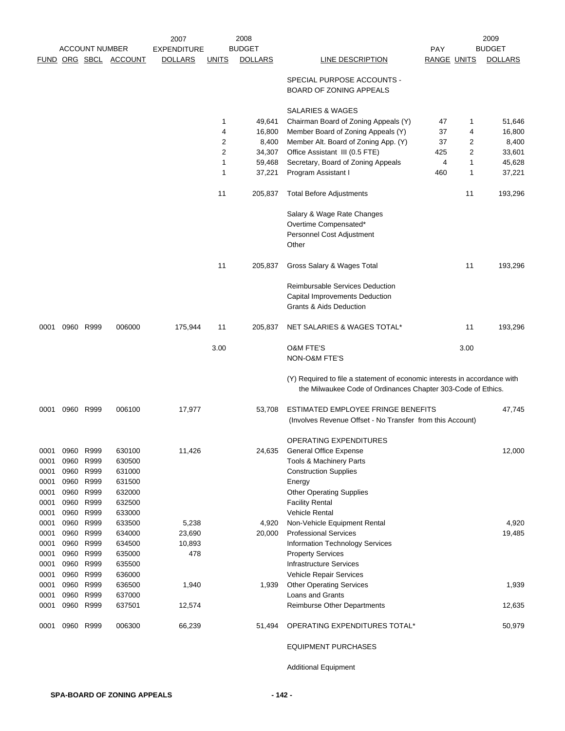|      | <b>ACCOUNT NUMBER</b> |           |                       | 2008<br>2007<br><b>BUDGET</b> |                |                |                                                                                                                                           |                    |      | 2009           |
|------|-----------------------|-----------|-----------------------|-------------------------------|----------------|----------------|-------------------------------------------------------------------------------------------------------------------------------------------|--------------------|------|----------------|
|      |                       |           |                       | <b>EXPENDITURE</b>            |                |                |                                                                                                                                           | <b>PAY</b>         |      | <b>BUDGET</b>  |
|      |                       |           | FUND ORG SBCL ACCOUNT | <b>DOLLARS</b>                | <u>UNITS</u>   | <b>DOLLARS</b> | LINE DESCRIPTION                                                                                                                          | <b>RANGE UNITS</b> |      | <b>DOLLARS</b> |
|      |                       |           |                       |                               |                |                | SPECIAL PURPOSE ACCOUNTS -<br>BOARD OF ZONING APPEALS                                                                                     |                    |      |                |
|      |                       |           |                       |                               |                |                | SALARIES & WAGES                                                                                                                          |                    |      |                |
|      |                       |           |                       |                               | $\mathbf{1}$   | 49,641         | Chairman Board of Zoning Appeals (Y)                                                                                                      | 47                 | 1    | 51,646         |
|      |                       |           |                       |                               | 4              | 16,800         | Member Board of Zoning Appeals (Y)                                                                                                        | 37                 | 4    | 16,800         |
|      |                       |           |                       |                               | 2              | 8,400          | Member Alt. Board of Zoning App. (Y)                                                                                                      | 37                 | 2    | 8,400          |
|      |                       |           |                       |                               | $\overline{2}$ | 34,307         | Office Assistant III (0.5 FTE)                                                                                                            | 425                | 2    | 33,601         |
|      |                       |           |                       |                               | $\mathbf 1$    | 59,468         | Secretary, Board of Zoning Appeals                                                                                                        | 4                  | 1    | 45,628         |
|      |                       |           |                       |                               | 1              | 37,221         | Program Assistant I                                                                                                                       | 460                | 1    | 37,221         |
|      |                       |           |                       |                               | 11             | 205,837        | <b>Total Before Adjustments</b>                                                                                                           |                    | 11   | 193,296        |
|      |                       |           |                       |                               |                |                | Salary & Wage Rate Changes                                                                                                                |                    |      |                |
|      |                       |           |                       |                               |                |                | Overtime Compensated*                                                                                                                     |                    |      |                |
|      |                       |           |                       |                               |                |                | Personnel Cost Adjustment<br>Other                                                                                                        |                    |      |                |
|      |                       |           |                       |                               | 11             | 205,837        | Gross Salary & Wages Total                                                                                                                |                    | 11   | 193,296        |
|      |                       |           |                       |                               |                |                | Reimbursable Services Deduction                                                                                                           |                    |      |                |
|      |                       |           |                       |                               |                |                | <b>Capital Improvements Deduction</b><br>Grants & Aids Deduction                                                                          |                    |      |                |
| 0001 |                       | 0960 R999 | 006000                | 175,944                       | 11             | 205,837        | NET SALARIES & WAGES TOTAL*                                                                                                               |                    | 11   | 193,296        |
|      |                       |           |                       |                               | 3.00           |                | <b>O&amp;M FTE'S</b><br>NON-O&M FTE'S                                                                                                     |                    | 3.00 |                |
|      |                       |           |                       |                               |                |                |                                                                                                                                           |                    |      |                |
|      |                       |           |                       |                               |                |                | (Y) Required to file a statement of economic interests in accordance with<br>the Milwaukee Code of Ordinances Chapter 303-Code of Ethics. |                    |      |                |
| 0001 |                       | 0960 R999 | 006100                | 17,977                        |                | 53,708         | ESTIMATED EMPLOYEE FRINGE BENEFITS                                                                                                        |                    |      | 47,745         |
|      |                       |           |                       |                               |                |                | (Involves Revenue Offset - No Transfer from this Account)                                                                                 |                    |      |                |
|      |                       |           |                       |                               |                |                | <b>OPERATING EXPENDITURES</b>                                                                                                             |                    |      |                |
| 0001 |                       | 0960 R999 | 630100                | 11,426                        |                | 24,635         | <b>General Office Expense</b>                                                                                                             |                    |      | 12,000         |
| 0001 | 0960                  | R999      | 630500                |                               |                |                | Tools & Machinery Parts                                                                                                                   |                    |      |                |
| 0001 | 0960                  | R999      | 631000                |                               |                |                | <b>Construction Supplies</b>                                                                                                              |                    |      |                |
| 0001 | 0960                  | R999      | 631500                |                               |                |                | Energy                                                                                                                                    |                    |      |                |
| 0001 |                       | 0960 R999 | 632000                |                               |                |                | <b>Other Operating Supplies</b>                                                                                                           |                    |      |                |
| 0001 |                       | 0960 R999 | 632500                |                               |                |                | <b>Facility Rental</b>                                                                                                                    |                    |      |                |
| 0001 | 0960                  | R999      | 633000                |                               |                |                | <b>Vehicle Rental</b>                                                                                                                     |                    |      |                |
| 0001 | 0960                  | R999      | 633500                | 5,238                         |                | 4,920          | Non-Vehicle Equipment Rental                                                                                                              |                    |      | 4,920          |
| 0001 |                       | 0960 R999 | 634000                | 23,690                        |                | 20,000         | <b>Professional Services</b>                                                                                                              |                    |      | 19,485         |
| 0001 | 0960                  | R999      | 634500                | 10,893                        |                |                | <b>Information Technology Services</b>                                                                                                    |                    |      |                |
| 0001 |                       | 0960 R999 | 635000                | 478                           |                |                | <b>Property Services</b>                                                                                                                  |                    |      |                |
| 0001 |                       | 0960 R999 | 635500                |                               |                |                | Infrastructure Services                                                                                                                   |                    |      |                |
| 0001 |                       | 0960 R999 | 636000                |                               |                |                | Vehicle Repair Services                                                                                                                   |                    |      |                |
| 0001 | 0960                  | R999      | 636500                | 1,940                         |                | 1,939          | <b>Other Operating Services</b>                                                                                                           |                    |      | 1,939          |
| 0001 | 0960                  | R999      | 637000                |                               |                |                | Loans and Grants                                                                                                                          |                    |      |                |
| 0001 |                       | 0960 R999 | 637501                | 12,574                        |                |                | Reimburse Other Departments                                                                                                               |                    |      | 12,635         |
| 0001 |                       | 0960 R999 | 006300                | 66,239                        |                | 51,494         | OPERATING EXPENDITURES TOTAL*                                                                                                             |                    |      | 50,979         |
|      |                       |           |                       |                               |                |                | <b>EQUIPMENT PURCHASES</b>                                                                                                                |                    |      |                |

Additional Equipment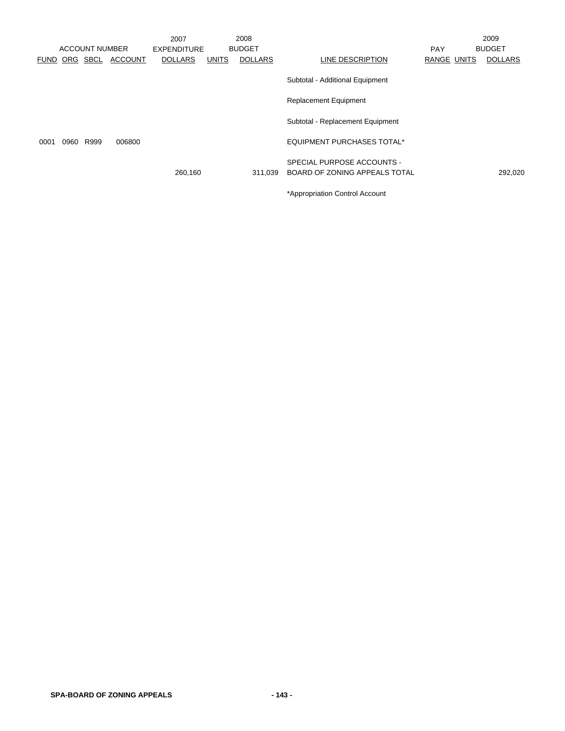|      |      |                       |                       | 2007               |              | 2008           |                                   |             | 2009           |
|------|------|-----------------------|-----------------------|--------------------|--------------|----------------|-----------------------------------|-------------|----------------|
|      |      | <b>ACCOUNT NUMBER</b> |                       | <b>EXPENDITURE</b> |              | <b>BUDGET</b>  |                                   | <b>PAY</b>  | <b>BUDGET</b>  |
|      |      |                       | FUND ORG SBCL ACCOUNT | <b>DOLLARS</b>     | <b>UNITS</b> | <b>DOLLARS</b> | LINE DESCRIPTION                  | RANGE UNITS | <b>DOLLARS</b> |
|      |      |                       |                       |                    |              |                | Subtotal - Additional Equipment   |             |                |
|      |      |                       |                       |                    |              |                | <b>Replacement Equipment</b>      |             |                |
|      |      |                       |                       |                    |              |                | Subtotal - Replacement Equipment  |             |                |
| 0001 | 0960 | R999                  | 006800                |                    |              |                | <b>EQUIPMENT PURCHASES TOTAL*</b> |             |                |
|      |      |                       |                       |                    |              |                | SPECIAL PURPOSE ACCOUNTS -        |             |                |
|      |      |                       |                       | 260,160            |              | 311.039        | BOARD OF ZONING APPEALS TOTAL     |             | 292,020        |
|      |      |                       |                       |                    |              |                | *Appropriation Control Account    |             |                |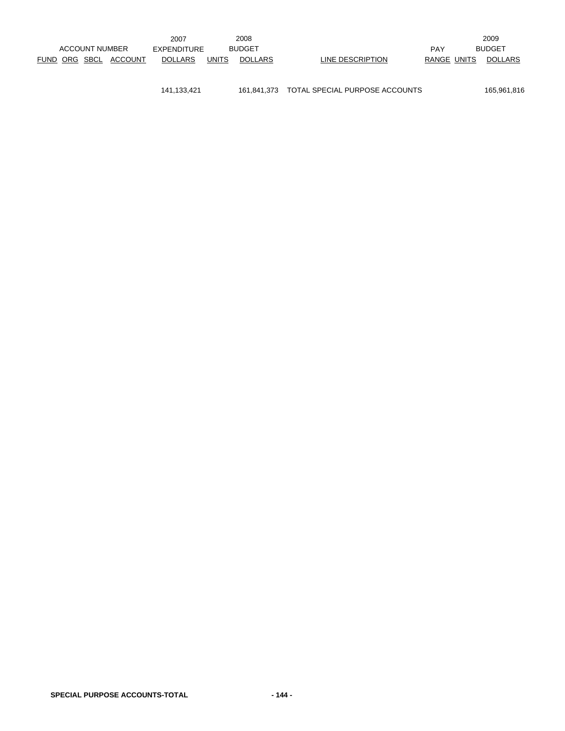|  |                       |                       | 2007               |              | 2008           |                  |             | 2009           |
|--|-----------------------|-----------------------|--------------------|--------------|----------------|------------------|-------------|----------------|
|  | <b>ACCOUNT NUMBER</b> |                       | <b>EXPENDITURE</b> |              | <b>BUDGET</b>  |                  | <b>PAY</b>  | <b>BUDGET</b>  |
|  |                       | FUND ORG SBCL ACCOUNT | <b>DOLLARS</b>     | <b>UNITS</b> | <b>DOLLARS</b> | LINE DESCRIPTION | RANGE UNITS | <b>DOLLARS</b> |
|  |                       |                       |                    |              |                |                  |             |                |
|  |                       |                       |                    |              |                |                  |             |                |

141,133,421 161,841,373 TOTAL SPECIAL PURPOSE ACCOUNTS 165,961,816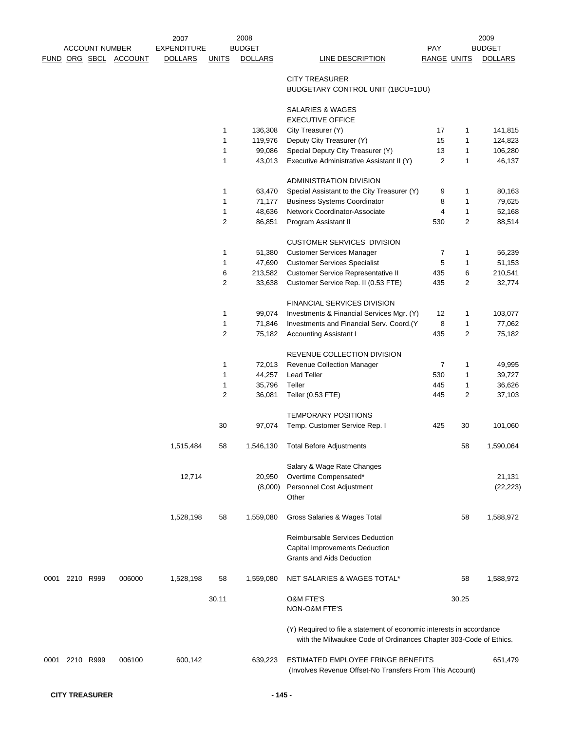|      |                |                       |                       | 2007               |                         | 2008           |                                                                                                                                           |                |                | 2009           |
|------|----------------|-----------------------|-----------------------|--------------------|-------------------------|----------------|-------------------------------------------------------------------------------------------------------------------------------------------|----------------|----------------|----------------|
|      |                | <b>ACCOUNT NUMBER</b> |                       | <b>EXPENDITURE</b> |                         | <b>BUDGET</b>  |                                                                                                                                           | <b>PAY</b>     |                | <b>BUDGET</b>  |
|      |                |                       | FUND ORG SBCL ACCOUNT | <b>DOLLARS</b>     | <b>UNITS</b>            | <b>DOLLARS</b> | LINE DESCRIPTION                                                                                                                          | RANGE UNITS    |                | <b>DOLLARS</b> |
|      |                |                       |                       |                    |                         |                | <b>CITY TREASURER</b><br>BUDGETARY CONTROL UNIT (1BCU=1DU)                                                                                |                |                |                |
|      |                |                       |                       |                    |                         |                | SALARIES & WAGES<br><b>EXECUTIVE OFFICE</b>                                                                                               |                |                |                |
|      |                |                       |                       |                    | 1                       | 136,308        | City Treasurer (Y)                                                                                                                        | 17             | 1              | 141,815        |
|      |                |                       |                       |                    | 1                       | 119,976        | Deputy City Treasurer (Y)                                                                                                                 | 15             | 1              | 124,823        |
|      |                |                       |                       |                    | 1                       | 99,086         | Special Deputy City Treasurer (Y)                                                                                                         | 13             | $\mathbf{1}$   | 106,280        |
|      |                |                       |                       |                    | $\mathbf{1}$            | 43,013         | Executive Administrative Assistant II (Y)                                                                                                 | $\overline{c}$ | 1              | 46,137         |
|      |                |                       |                       |                    |                         |                | <b>ADMINISTRATION DIVISION</b>                                                                                                            |                |                |                |
|      |                |                       |                       |                    | 1                       | 63,470         | Special Assistant to the City Treasurer (Y)                                                                                               | 9              | 1              | 80,163         |
|      |                |                       |                       |                    | 1                       | 71,177         | <b>Business Systems Coordinator</b>                                                                                                       | 8              | 1              | 79,625         |
|      |                |                       |                       |                    | 1                       | 48,636         | Network Coordinator-Associate                                                                                                             | 4              | 1              | 52,168         |
|      |                |                       |                       |                    | $\overline{\mathbf{c}}$ | 86,851         | Program Assistant II                                                                                                                      | 530            | $\overline{2}$ | 88,514         |
|      |                |                       |                       |                    |                         |                | <b>CUSTOMER SERVICES DIVISION</b>                                                                                                         |                |                |                |
|      |                |                       |                       |                    | 1                       | 51,380         | <b>Customer Services Manager</b>                                                                                                          | 7              | 1              | 56,239         |
|      |                |                       |                       |                    | 1                       | 47,690         | <b>Customer Services Specialist</b>                                                                                                       | 5              | 1              | 51,153         |
|      |                |                       |                       |                    | 6                       | 213,582        | <b>Customer Service Representative II</b>                                                                                                 | 435            | 6              | 210,541        |
|      |                |                       |                       |                    | $\overline{\mathbf{c}}$ | 33,638         | Customer Service Rep. II (0.53 FTE)                                                                                                       | 435            | $\overline{c}$ | 32,774         |
|      |                |                       |                       |                    |                         |                | <b>FINANCIAL SERVICES DIVISION</b>                                                                                                        |                |                |                |
|      |                |                       |                       |                    | 1                       | 99,074         | Investments & Financial Services Mgr. (Y)                                                                                                 | 12             | 1              | 103,077        |
|      |                |                       |                       |                    | 1                       | 71,846         | Investments and Financial Serv. Coord.(Y                                                                                                  | 8              | 1              | 77,062         |
|      |                |                       |                       |                    | $\overline{2}$          | 75,182         | <b>Accounting Assistant I</b>                                                                                                             | 435            | $\overline{c}$ | 75,182         |
|      |                |                       |                       |                    |                         |                | REVENUE COLLECTION DIVISION                                                                                                               |                |                |                |
|      |                |                       |                       |                    | $\mathbf{1}$            | 72,013         | Revenue Collection Manager                                                                                                                | 7              | 1              | 49,995         |
|      |                |                       |                       |                    | 1                       | 44,257         | <b>Lead Teller</b>                                                                                                                        | 530            | 1              | 39,727         |
|      |                |                       |                       |                    | 1                       | 35,796         | Teller                                                                                                                                    | 445            | 1              | 36,626         |
|      |                |                       |                       |                    | $\overline{2}$          | 36,081         | Teller (0.53 FTE)                                                                                                                         | 445            | 2              | 37,103         |
|      |                |                       |                       |                    |                         |                | <b>TEMPORARY POSITIONS</b>                                                                                                                |                |                |                |
|      |                |                       |                       |                    | 30                      | 97,074         | Temp. Customer Service Rep. I                                                                                                             | 425            | 30             | 101,060        |
|      |                |                       |                       | 1,515,484          | 58                      |                | 1,546,130 Total Before Adjustments                                                                                                        |                | 58             | 1,590,064      |
|      |                |                       |                       |                    |                         |                | Salary & Wage Rate Changes                                                                                                                |                |                |                |
|      |                |                       |                       | 12,714             |                         | 20,950         | Overtime Compensated*                                                                                                                     |                |                | 21,131         |
|      |                |                       |                       |                    |                         | (8,000)        | Personnel Cost Adjustment<br>Other                                                                                                        |                |                | (22, 223)      |
|      |                |                       |                       | 1,528,198          | 58                      | 1,559,080      | Gross Salaries & Wages Total                                                                                                              |                | 58             | 1,588,972      |
|      |                |                       |                       |                    |                         |                | <b>Reimbursable Services Deduction</b>                                                                                                    |                |                |                |
|      |                |                       |                       |                    |                         |                | Capital Improvements Deduction<br>Grants and Aids Deduction                                                                               |                |                |                |
| 0001 |                | 2210 R999             | 006000                | 1,528,198          | 58                      | 1,559,080      | NET SALARIES & WAGES TOTAL*                                                                                                               |                | 58             | 1,588,972      |
|      |                |                       |                       |                    | 30.11                   |                | <b>O&amp;M FTE'S</b><br>NON-O&M FTE'S                                                                                                     |                | 30.25          |                |
|      |                |                       |                       |                    |                         |                | (Y) Required to file a statement of economic interests in accordance<br>with the Milwaukee Code of Ordinances Chapter 303-Code of Ethics. |                |                |                |
|      | 0001 2210 R999 |                       | 006100                | 600,142            |                         | 639,223        | ESTIMATED EMPLOYEE FRINGE BENEFITS<br>(Involves Revenue Offset-No Transfers From This Account)                                            |                |                | 651,479        |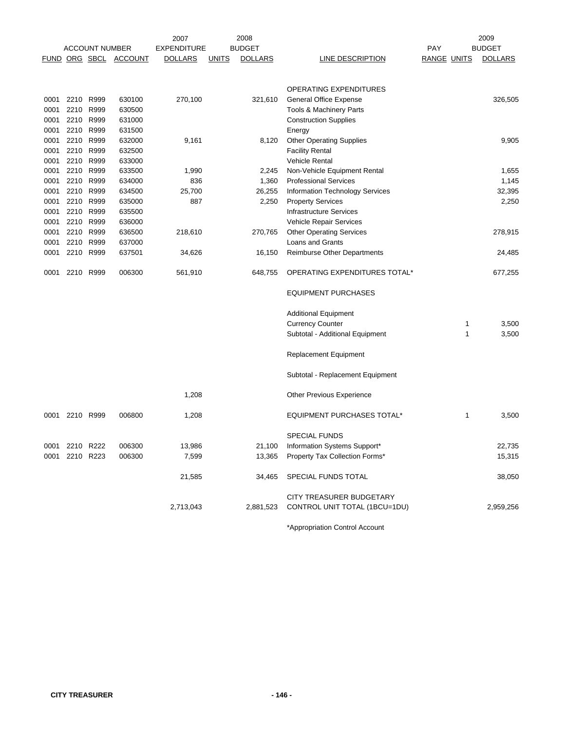|      |           |                       |                       | 2007               |              | 2008           | 2009                               |                    |   |                |
|------|-----------|-----------------------|-----------------------|--------------------|--------------|----------------|------------------------------------|--------------------|---|----------------|
|      |           | <b>ACCOUNT NUMBER</b> |                       | <b>EXPENDITURE</b> |              | <b>BUDGET</b>  |                                    | PAY                |   | <b>BUDGET</b>  |
|      |           |                       | FUND ORG SBCL ACCOUNT | <b>DOLLARS</b>     | <b>UNITS</b> | <b>DOLLARS</b> | LINE DESCRIPTION                   | <b>RANGE UNITS</b> |   | <b>DOLLARS</b> |
|      |           |                       |                       |                    |              |                |                                    |                    |   |                |
|      |           |                       |                       |                    |              |                |                                    |                    |   |                |
|      |           |                       |                       |                    |              |                | OPERATING EXPENDITURES             |                    |   |                |
| 0001 | 2210 R999 |                       | 630100                | 270,100            |              | 321,610        | <b>General Office Expense</b>      |                    |   | 326,505        |
| 0001 | 2210 R999 |                       | 630500                |                    |              |                | Tools & Machinery Parts            |                    |   |                |
| 0001 | 2210      | R999                  | 631000                |                    |              |                | <b>Construction Supplies</b>       |                    |   |                |
| 0001 | 2210 R999 |                       | 631500                |                    |              |                | Energy                             |                    |   |                |
| 0001 | 2210      | R999                  | 632000                | 9,161              |              | 8,120          | <b>Other Operating Supplies</b>    |                    |   | 9,905          |
| 0001 | 2210 R999 |                       | 632500                |                    |              |                | <b>Facility Rental</b>             |                    |   |                |
| 0001 | 2210      | R999                  | 633000                |                    |              |                | <b>Vehicle Rental</b>              |                    |   |                |
| 0001 | 2210 R999 |                       | 633500                | 1,990              |              | 2,245          | Non-Vehicle Equipment Rental       |                    |   | 1,655          |
| 0001 | 2210      | R999                  | 634000                | 836                |              | 1,360          | <b>Professional Services</b>       |                    |   | 1,145          |
| 0001 | 2210      | R999                  | 634500                | 25,700             |              | 26,255         | Information Technology Services    |                    |   | 32,395         |
| 0001 | 2210 R999 |                       | 635000                | 887                |              | 2,250          | <b>Property Services</b>           |                    |   | 2,250          |
| 0001 | 2210      | R999                  | 635500                |                    |              |                | <b>Infrastructure Services</b>     |                    |   |                |
| 0001 | 2210 R999 |                       | 636000                |                    |              |                | Vehicle Repair Services            |                    |   |                |
| 0001 | 2210 R999 |                       | 636500                | 218,610            |              | 270,765        | <b>Other Operating Services</b>    |                    |   | 278,915        |
| 0001 | 2210 R999 |                       | 637000                |                    |              |                | Loans and Grants                   |                    |   |                |
| 0001 | 2210      | R999                  | 637501                | 34,626             |              | 16,150         | <b>Reimburse Other Departments</b> |                    |   | 24,485         |
|      |           |                       |                       |                    |              |                |                                    |                    |   |                |
| 0001 | 2210 R999 |                       | 006300                | 561,910            |              | 648,755        | OPERATING EXPENDITURES TOTAL*      |                    |   | 677,255        |
|      |           |                       |                       |                    |              |                | <b>EQUIPMENT PURCHASES</b>         |                    |   |                |
|      |           |                       |                       |                    |              |                |                                    |                    |   |                |
|      |           |                       |                       |                    |              |                | <b>Additional Equipment</b>        |                    |   |                |
|      |           |                       |                       |                    |              |                | <b>Currency Counter</b>            |                    | 1 | 3,500          |
|      |           |                       |                       |                    |              |                | Subtotal - Additional Equipment    |                    | 1 | 3,500          |
|      |           |                       |                       |                    |              |                | Replacement Equipment              |                    |   |                |
|      |           |                       |                       |                    |              |                | Subtotal - Replacement Equipment   |                    |   |                |
|      |           |                       |                       |                    |              |                |                                    |                    |   |                |
|      |           |                       |                       | 1,208              |              |                | Other Previous Experience          |                    |   |                |
| 0001 | 2210 R999 |                       | 006800                | 1,208              |              |                | <b>EQUIPMENT PURCHASES TOTAL*</b>  |                    | 1 | 3,500          |
|      |           |                       |                       |                    |              |                | <b>SPECIAL FUNDS</b>               |                    |   |                |
| 0001 | 2210 R222 |                       | 006300                | 13,986             |              | 21,100         | Information Systems Support*       |                    |   | 22,735         |
| 0001 | 2210 R223 |                       | 006300                | 7,599              |              | 13,365         | Property Tax Collection Forms*     |                    |   | 15,315         |
|      |           |                       |                       |                    |              |                |                                    |                    |   |                |
|      |           |                       |                       | 21,585             |              | 34,465         | SPECIAL FUNDS TOTAL                |                    |   | 38,050         |
|      |           |                       |                       |                    |              |                | CITY TREASURER BUDGETARY           |                    |   |                |
|      |           |                       |                       | 2,713,043          |              | 2,881,523      | CONTROL UNIT TOTAL (1BCU=1DU)      |                    |   | 2,959,256      |
|      |           |                       |                       |                    |              |                |                                    |                    |   |                |

\*Appropriation Control Account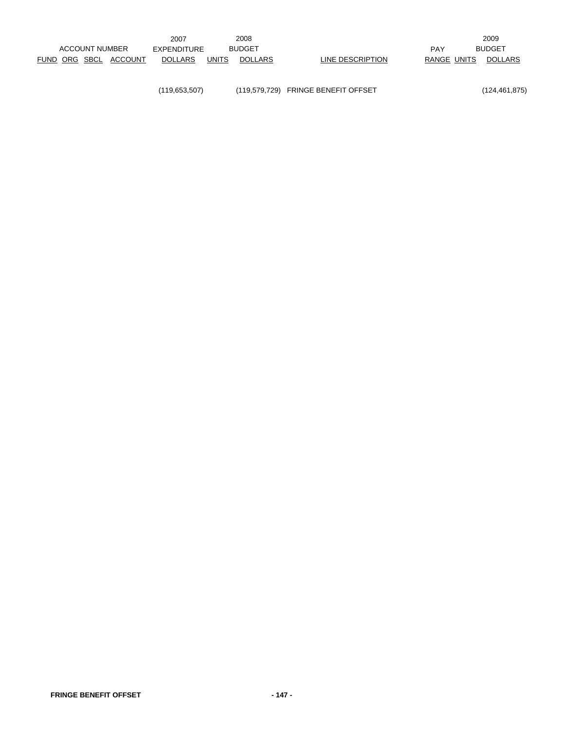(119,653,507) (119,579,729) FRINGE BENEFIT OFFSET (124,461,875)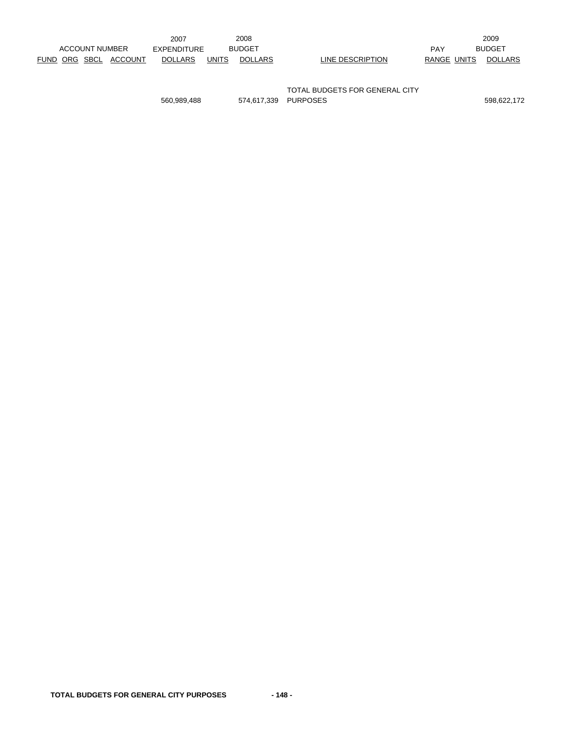|                |  |         | 2007               |              | 2008           |                                |             | 2009           |
|----------------|--|---------|--------------------|--------------|----------------|--------------------------------|-------------|----------------|
| ACCOUNT NUMBER |  |         | <b>EXPENDITURE</b> |              | <b>BUDGET</b>  |                                | <b>PAY</b>  | <b>BUDGET</b>  |
| FUND ORG SBCL  |  | ACCOUNT | <b>DOLLARS</b>     | <b>UNITS</b> | <b>DOLLARS</b> | LINE DESCRIPTION               | RANGE UNITS | <b>DOLLARS</b> |
|                |  |         |                    |              |                |                                |             |                |
|                |  |         |                    |              |                |                                |             |                |
|                |  |         |                    |              |                | TOTAL BUDGETS FOR GENERAL CITY |             |                |

560,989,488 574,617,339 PURPOSES 598,622,172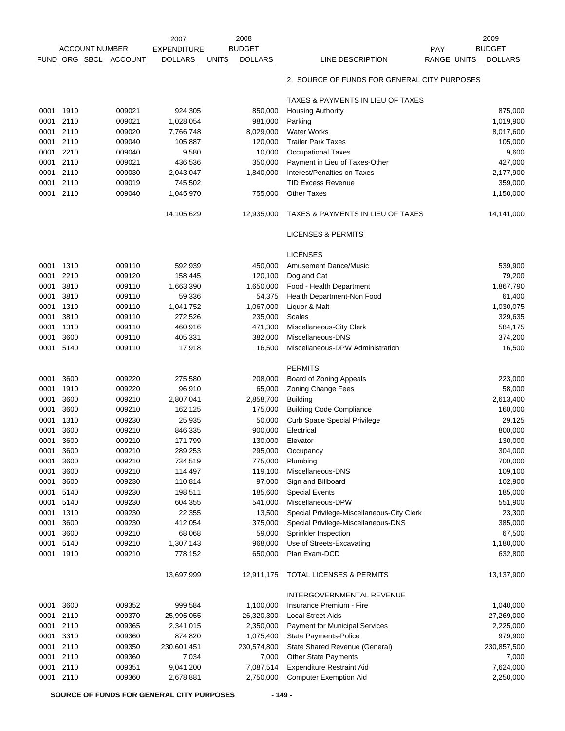|      |                       |        | 2007               | 2008                           |                                              |                    | 2009           |
|------|-----------------------|--------|--------------------|--------------------------------|----------------------------------------------|--------------------|----------------|
|      | <b>ACCOUNT NUMBER</b> |        | <b>EXPENDITURE</b> | <b>BUDGET</b>                  |                                              | PAY                | <b>BUDGET</b>  |
|      | FUND ORG SBCL ACCOUNT |        | <b>DOLLARS</b>     | <b>DOLLARS</b><br><b>UNITS</b> | LINE DESCRIPTION                             | <b>RANGE UNITS</b> | <b>DOLLARS</b> |
|      |                       |        |                    |                                | 2. SOURCE OF FUNDS FOR GENERAL CITY PURPOSES |                    |                |
|      |                       |        |                    |                                | TAXES & PAYMENTS IN LIEU OF TAXES            |                    |                |
| 0001 | 1910                  | 009021 | 924,305            | 850,000                        | <b>Housing Authority</b>                     |                    | 875,000        |
| 0001 | 2110                  | 009021 | 1,028,054          | 981,000                        | Parking                                      |                    | 1,019,900      |
| 0001 | 2110                  | 009020 | 7,766,748          | 8,029,000                      | <b>Water Works</b>                           |                    | 8,017,600      |
| 0001 | 2110                  | 009040 | 105,887            | 120,000                        | <b>Trailer Park Taxes</b>                    |                    | 105,000        |
| 0001 | 2210                  | 009040 | 9,580              | 10,000                         | <b>Occupational Taxes</b>                    |                    | 9,600          |
| 0001 | 2110                  | 009021 | 436,536            | 350,000                        | Payment in Lieu of Taxes-Other               |                    | 427,000        |
| 0001 | 2110                  | 009030 | 2,043,047          | 1,840,000                      | Interest/Penalties on Taxes                  |                    | 2,177,900      |
| 0001 | 2110                  | 009019 | 745,502            |                                | <b>TID Excess Revenue</b>                    |                    | 359,000        |
| 0001 | 2110                  | 009040 | 1,045,970          | 755,000                        | <b>Other Taxes</b>                           |                    | 1,150,000      |
|      |                       |        | 14,105,629         | 12,935,000                     | TAXES & PAYMENTS IN LIEU OF TAXES            |                    | 14,141,000     |
|      |                       |        |                    |                                | <b>LICENSES &amp; PERMITS</b>                |                    |                |
|      |                       |        |                    |                                | <b>LICENSES</b>                              |                    |                |
| 0001 | 1310                  | 009110 | 592,939            | 450,000                        | <b>Amusement Dance/Music</b>                 |                    | 539,900        |
| 0001 | 2210                  | 009120 | 158,445            | 120,100                        | Dog and Cat                                  |                    | 79,200         |
| 0001 | 3810                  | 009110 | 1,663,390          | 1,650,000                      | Food - Health Department                     |                    | 1,867,790      |
| 0001 | 3810                  | 009110 | 59,336             | 54,375                         | Health Department-Non Food                   |                    | 61,400         |
| 0001 | 1310                  | 009110 | 1,041,752          | 1,067,000                      | Liquor & Malt                                |                    | 1,030,075      |
| 0001 | 3810                  | 009110 | 272,526            | 235,000                        | Scales                                       |                    | 329,635        |
| 0001 | 1310                  | 009110 | 460,916            | 471,300                        | Miscellaneous-City Clerk                     |                    | 584,175        |
| 0001 | 3600                  | 009110 | 405,331            | 382,000                        | Miscellaneous-DNS                            |                    | 374,200        |
| 0001 | 5140                  | 009110 | 17,918             | 16,500                         | Miscellaneous-DPW Administration             |                    | 16,500         |
|      |                       |        |                    |                                | <b>PERMITS</b>                               |                    |                |
| 0001 | 3600                  | 009220 | 275,580            | 208,000                        | Board of Zoning Appeals                      |                    | 223,000        |
| 0001 | 1910                  | 009220 | 96,910             | 65,000                         | <b>Zoning Change Fees</b>                    |                    | 58,000         |
| 0001 | 3600                  | 009210 | 2,807,041          | 2,858,700                      | <b>Building</b>                              |                    | 2,613,400      |
| 0001 | 3600                  | 009210 | 162,125            | 175,000                        | <b>Building Code Compliance</b>              |                    | 160,000        |
| 0001 | 1310                  | 009230 | 25,935             | 50,000                         | <b>Curb Space Special Privilege</b>          |                    | 29,125         |
| 0001 | 3600                  | 009210 | 846,335            | 900,000                        | Electrical                                   |                    | 800,000        |
| 0001 | 3600                  | 009210 | 171,799            | 130,000                        | Elevator                                     |                    | 130,000        |
| 0001 | 3600                  | 009210 | 289,253            | 295,000                        | Occupancy                                    |                    | 304,000        |
| 0001 | 3600                  | 009210 | 734,519            | 775,000                        | Plumbing                                     |                    | 700,000        |
| 0001 | 3600                  | 009210 | 114,497            | 119,100                        | Miscellaneous-DNS                            |                    | 109,100        |
| 0001 | 3600                  | 009230 | 110,814            | 97,000                         | Sign and Billboard                           |                    | 102,900        |
| 0001 | 5140                  | 009230 | 198,511            | 185,600                        | <b>Special Events</b>                        |                    | 185,000        |
| 0001 | 5140                  | 009230 | 604,355            | 541,000                        | Miscellaneous-DPW                            |                    | 551,900        |
| 0001 | 1310                  | 009230 | 22,355             | 13,500                         | Special Privilege-Miscellaneous-City Clerk   |                    | 23,300         |
| 0001 | 3600                  | 009230 | 412,054            | 375,000                        | Special Privilege-Miscellaneous-DNS          |                    | 385,000        |
| 0001 | 3600                  | 009210 | 68,068             | 59,000                         | Sprinkler Inspection                         |                    | 67,500         |
| 0001 | 5140                  | 009210 | 1,307,143          | 968,000                        | Use of Streets-Excavating                    |                    | 1,180,000      |
| 0001 | 1910                  | 009210 | 778,152            | 650,000                        | Plan Exam-DCD                                |                    | 632,800        |
|      |                       |        | 13,697,999         | 12,911,175                     | <b>TOTAL LICENSES &amp; PERMITS</b>          |                    | 13,137,900     |
|      |                       |        |                    |                                | INTERGOVERNMENTAL REVENUE                    |                    |                |
| 0001 | 3600                  | 009352 | 999,584            | 1,100,000                      | Insurance Premium - Fire                     |                    | 1,040,000      |
| 0001 | 2110                  | 009370 | 25,995,055         | 26,320,300                     | <b>Local Street Aids</b>                     |                    | 27,269,000     |
| 0001 | 2110                  | 009365 | 2,341,015          | 2,350,000                      | Payment for Municipal Services               |                    | 2,225,000      |
| 0001 | 3310                  | 009360 | 874,820            | 1,075,400                      | State Payments-Police                        |                    | 979,900        |
| 0001 | 2110                  | 009350 | 230,601,451        | 230,574,800                    | State Shared Revenue (General)               |                    | 230,857,500    |
| 0001 | 2110                  | 009360 | 7,034              | 7,000                          | Other State Payments                         |                    | 7,000          |
| 0001 | 2110                  | 009351 | 9,041,200          | 7,087,514                      | <b>Expenditure Restraint Aid</b>             |                    | 7,624,000      |
| 0001 | 2110                  | 009360 | 2,678,881          | 2,750,000                      | <b>Computer Exemption Aid</b>                |                    | 2,250,000      |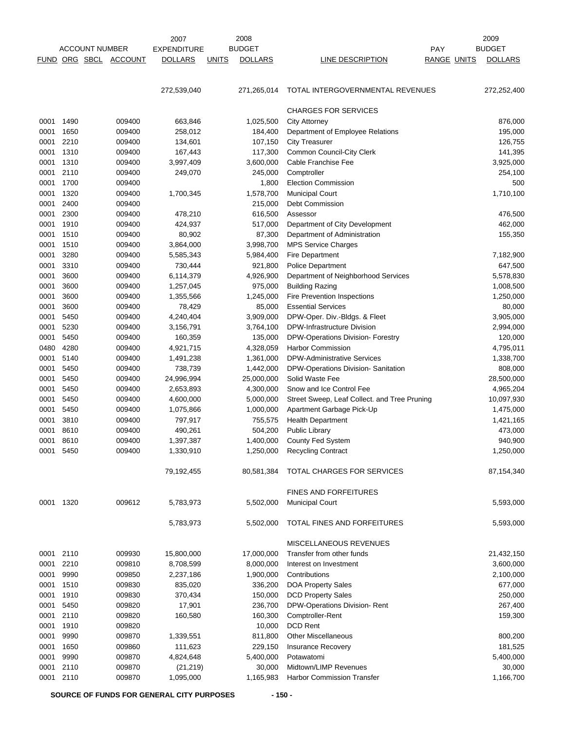|             |           |                       | 2007           |                    | 2008         |                | 2009                                         |                    |                |
|-------------|-----------|-----------------------|----------------|--------------------|--------------|----------------|----------------------------------------------|--------------------|----------------|
|             |           | <b>ACCOUNT NUMBER</b> |                | <b>EXPENDITURE</b> |              | <b>BUDGET</b>  |                                              | <b>PAY</b>         | <b>BUDGET</b>  |
| <b>FUND</b> | ORG SBCL  |                       | <b>ACCOUNT</b> | <b>DOLLARS</b>     | <b>UNITS</b> | <b>DOLLARS</b> | LINE DESCRIPTION                             | <b>RANGE UNITS</b> | <b>DOLLARS</b> |
|             |           |                       |                |                    |              |                |                                              |                    |                |
|             |           |                       |                | 272,539,040        |              | 271,265,014    | TOTAL INTERGOVERNMENTAL REVENUES             |                    | 272,252,400    |
|             |           |                       |                |                    |              |                | <b>CHARGES FOR SERVICES</b>                  |                    |                |
| 0001        | 1490      |                       | 009400         | 663,846            |              | 1,025,500      | <b>City Attorney</b>                         |                    | 876,000        |
| 0001        | 1650      |                       | 009400         | 258,012            |              | 184,400        | Department of Employee Relations             |                    | 195,000        |
| 0001        | 2210      |                       | 009400         | 134,601            |              | 107,150        | <b>City Treasurer</b>                        |                    | 126,755        |
| 0001        | 1310      |                       | 009400         | 167,443            |              | 117,300        | Common Council-City Clerk                    |                    | 141,395        |
| 0001        | 1310      |                       | 009400         | 3,997,409          |              | 3,600,000      | Cable Franchise Fee                          |                    | 3,925,000      |
| 0001        | 2110      |                       | 009400         | 249,070            |              | 245,000        | Comptroller                                  |                    | 254,100        |
| 0001        | 1700      |                       | 009400         |                    |              | 1,800          | <b>Election Commission</b>                   |                    | 500            |
| 0001        | 1320      |                       | 009400         | 1,700,345          |              | 1,578,700      | <b>Municipal Court</b>                       |                    | 1,710,100      |
| 0001        | 2400      |                       | 009400         |                    |              | 215,000        | Debt Commission                              |                    |                |
| 0001        | 2300      |                       | 009400         | 478,210            |              | 616,500        | Assessor                                     |                    | 476,500        |
| 0001        | 1910      |                       | 009400         | 424,937            |              | 517,000        | Department of City Development               |                    | 462,000        |
| 0001        | 1510      |                       | 009400         | 80,902             |              | 87,300         | Department of Administration                 |                    | 155,350        |
| 0001        | 1510      |                       | 009400         | 3,864,000          |              | 3,998,700      | <b>MPS Service Charges</b>                   |                    |                |
| 0001        | 3280      |                       | 009400         | 5,585,343          |              | 5,984,400      | Fire Department                              |                    | 7,182,900      |
| 0001        | 3310      |                       | 009400         | 730,444            |              | 921,800        | <b>Police Department</b>                     |                    | 647,500        |
| 0001        | 3600      |                       | 009400         | 6,114,379          |              | 4,926,900      | Department of Neighborhood Services          |                    | 5,578,830      |
| 0001        | 3600      |                       | 009400         | 1,257,045          |              | 975,000        | <b>Building Razing</b>                       |                    | 1,008,500      |
| 0001        | 3600      |                       | 009400         | 1,355,566          |              | 1,245,000      | Fire Prevention Inspections                  |                    | 1,250,000      |
| 0001        | 3600      |                       | 009400         | 78,429             |              | 85,000         | <b>Essential Services</b>                    |                    | 80,000         |
| 0001        | 5450      |                       | 009400         | 4,240,404          |              | 3,909,000      | DPW-Oper. Div.-Bldgs. & Fleet                |                    | 3,905,000      |
| 0001        | 5230      |                       | 009400         | 3,156,791          |              | 3,764,100      | DPW-Infrastructure Division                  |                    | 2,994,000      |
| 0001        | 5450      |                       | 009400         | 160,359            |              | 135,000        | DPW-Operations Division- Forestry            |                    | 120,000        |
| 0480        | 4280      |                       | 009400         | 4,921,715          |              | 4,328,059      | <b>Harbor Commission</b>                     |                    | 4,795,011      |
| 0001        | 5140      |                       | 009400         | 1,491,238          |              | 1,361,000      | <b>DPW-Administrative Services</b>           |                    | 1,338,700      |
| 0001        | 5450      |                       | 009400         | 738,739            |              | 1,442,000      | DPW-Operations Division- Sanitation          |                    | 808,000        |
| 0001        | 5450      |                       | 009400         | 24,996,994         |              | 25,000,000     | Solid Waste Fee                              |                    | 28,500,000     |
| 0001        | 5450      |                       | 009400         | 2,653,893          |              | 4,300,000      | Snow and Ice Control Fee                     |                    | 4,965,204      |
| 0001        | 5450      |                       | 009400         | 4,600,000          |              | 5,000,000      | Street Sweep, Leaf Collect. and Tree Pruning |                    | 10,097,930     |
| 0001        | 5450      |                       | 009400         | 1,075,866          |              | 1,000,000      | Apartment Garbage Pick-Up                    |                    | 1,475,000      |
| 0001        | 3810      |                       | 009400         | 797,917            |              | 755,575        | <b>Health Department</b>                     |                    | 1,421,165      |
| 0001        | 8610      |                       | 009400         | 490,261            |              | 504,200        | <b>Public Library</b>                        |                    | 473,000        |
| 0001        | 8610      |                       | 009400         | 1,397,387          |              | 1,400,000      | <b>County Fed System</b>                     |                    | 940,900        |
|             | 0001 5450 |                       | 009400         | 1,330,910          |              | 1,250,000      | <b>Recycling Contract</b>                    |                    | 1,250,000      |
|             |           |                       |                | 79,192,455         |              | 80,581,384     | TOTAL CHARGES FOR SERVICES                   |                    | 87,154,340     |
|             |           |                       |                |                    |              |                | <b>FINES AND FORFEITURES</b>                 |                    |                |
|             | 0001 1320 |                       | 009612         | 5,783,973          |              | 5,502,000      | <b>Municipal Court</b>                       |                    | 5,593,000      |
|             |           |                       |                | 5,783,973          |              | 5,502,000      | TOTAL FINES AND FORFEITURES                  |                    | 5,593,000      |
|             |           |                       |                |                    |              |                | MISCELLANEOUS REVENUES                       |                    |                |
| 0001        | 2110      |                       | 009930         | 15,800,000         |              | 17,000,000     | Transfer from other funds                    |                    | 21,432,150     |
| 0001        | 2210      |                       | 009810         | 8,708,599          |              | 8,000,000      | Interest on Investment                       |                    | 3,600,000      |
| 0001        | 9990      |                       | 009850         | 2,237,186          |              | 1,900,000      | Contributions                                |                    | 2,100,000      |
| 0001        | 1510      |                       | 009830         | 835,020            |              | 336,200        | <b>DOA Property Sales</b>                    |                    | 677,000        |
| 0001        | 1910      |                       | 009830         | 370,434            |              | 150,000        | <b>DCD Property Sales</b>                    |                    | 250,000        |
| 0001        | 5450      |                       | 009820         | 17,901             |              | 236,700        | DPW-Operations Division-Rent                 |                    | 267,400        |
| 0001        | 2110      |                       | 009820         | 160,580            |              | 160,300        | Comptroller-Rent                             |                    | 159,300        |
| 0001        | 1910      |                       | 009820         |                    |              | 10,000         | <b>DCD Rent</b>                              |                    |                |
| 0001        | 9990      |                       | 009870         | 1,339,551          |              | 811,800        | <b>Other Miscellaneous</b>                   |                    | 800,200        |
| 0001        | 1650      |                       | 009860         | 111,623            |              | 229,150        | Insurance Recovery                           |                    | 181,525        |
| 0001        | 9990      |                       | 009870         | 4,824,648          |              | 5,400,000      | Potawatomi                                   |                    | 5,400,000      |
| 0001        | 2110      |                       | 009870         | (21, 219)          |              | 30,000         | Midtown/LIMP Revenues                        |                    | 30,000         |
|             | 0001 2110 |                       | 009870         | 1,095,000          |              | 1,165,983      | <b>Harbor Commission Transfer</b>            |                    | 1,166,700      |

SOURCE OF FUNDS FOR GENERAL CITY PURPOSES - 150 -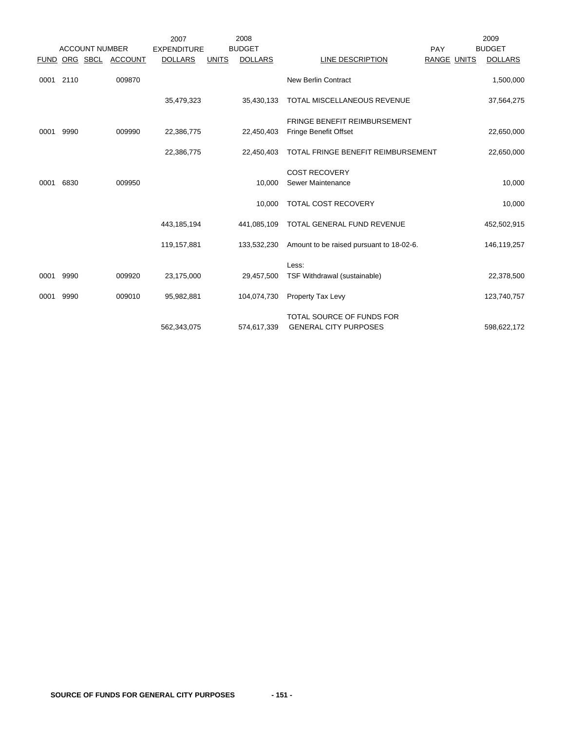|             |      |                       |                | 2007               |              | 2008           |                                                           |             | 2009           |
|-------------|------|-----------------------|----------------|--------------------|--------------|----------------|-----------------------------------------------------------|-------------|----------------|
|             |      | <b>ACCOUNT NUMBER</b> |                | <b>EXPENDITURE</b> |              | <b>BUDGET</b>  |                                                           | PAY         | <b>BUDGET</b>  |
| <b>FUND</b> |      | ORG SBCL              | <b>ACCOUNT</b> | <b>DOLLARS</b>     | <b>UNITS</b> | <b>DOLLARS</b> | LINE DESCRIPTION                                          | RANGE UNITS | <b>DOLLARS</b> |
| 0001 2110   |      |                       | 009870         |                    |              |                | <b>New Berlin Contract</b>                                |             | 1,500,000      |
|             |      |                       |                | 35,479,323         |              | 35,430,133     | TOTAL MISCELLANEOUS REVENUE                               |             | 37,564,275     |
|             |      |                       |                |                    |              |                | <b>FRINGE BENEFIT REIMBURSEMENT</b>                       |             |                |
| 0001        | 9990 |                       | 009990         | 22,386,775         |              | 22,450,403     | <b>Fringe Benefit Offset</b>                              |             | 22,650,000     |
|             |      |                       |                | 22,386,775         |              | 22,450,403     | TOTAL FRINGE BENEFIT REIMBURSEMENT                        |             | 22,650,000     |
|             |      |                       |                |                    |              |                | <b>COST RECOVERY</b>                                      |             |                |
| 0001        | 6830 |                       | 009950         |                    |              | 10.000         | Sewer Maintenance                                         |             | 10,000         |
|             |      |                       |                |                    |              | 10,000         | TOTAL COST RECOVERY                                       |             | 10,000         |
|             |      |                       |                | 443, 185, 194      |              | 441,085,109    | TOTAL GENERAL FUND REVENUE                                |             | 452,502,915    |
|             |      |                       |                | 119,157,881        |              | 133,532,230    | Amount to be raised pursuant to 18-02-6.                  |             | 146,119,257    |
|             |      |                       |                |                    |              |                | Less:                                                     |             |                |
| 0001        | 9990 |                       | 009920         | 23,175,000         |              | 29,457,500     | TSF Withdrawal (sustainable)                              |             | 22,378,500     |
| 0001        | 9990 |                       | 009010         | 95,982,881         |              | 104,074,730    | Property Tax Levy                                         |             | 123,740,757    |
|             |      |                       |                | 562,343,075        |              | 574,617,339    | TOTAL SOURCE OF FUNDS FOR<br><b>GENERAL CITY PURPOSES</b> |             | 598,622,172    |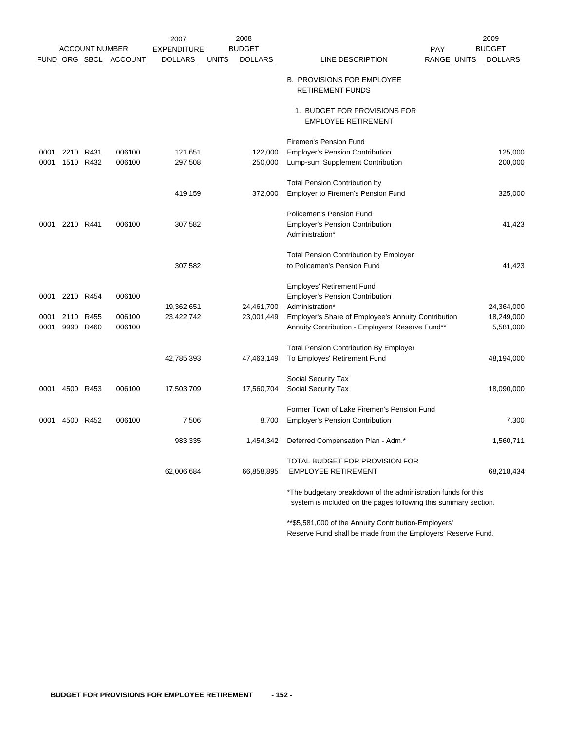|      |                |                       |                       | 2007               |              | 2008           | 2009                                                                                                                             |                    |  |                |  |
|------|----------------|-----------------------|-----------------------|--------------------|--------------|----------------|----------------------------------------------------------------------------------------------------------------------------------|--------------------|--|----------------|--|
|      |                | <b>ACCOUNT NUMBER</b> |                       | <b>EXPENDITURE</b> |              | <b>BUDGET</b>  |                                                                                                                                  | <b>PAY</b>         |  | <b>BUDGET</b>  |  |
|      |                |                       | FUND ORG SBCL ACCOUNT | <b>DOLLARS</b>     | <b>UNITS</b> | <b>DOLLARS</b> | <b>LINE DESCRIPTION</b>                                                                                                          | <b>RANGE UNITS</b> |  | <b>DOLLARS</b> |  |
|      |                |                       |                       |                    |              |                | <b>B. PROVISIONS FOR EMPLOYEE</b><br><b>RETIREMENT FUNDS</b>                                                                     |                    |  |                |  |
|      |                |                       |                       |                    |              |                | 1. BUDGET FOR PROVISIONS FOR<br><b>EMPLOYEE RETIREMENT</b>                                                                       |                    |  |                |  |
|      |                |                       |                       |                    |              |                | Firemen's Pension Fund                                                                                                           |                    |  |                |  |
| 0001 | 2210 R431      |                       | 006100                | 121,651            |              | 122,000        | <b>Employer's Pension Contribution</b>                                                                                           |                    |  | 125,000        |  |
| 0001 |                | 1510 R432             | 006100                | 297,508            |              | 250,000        | Lump-sum Supplement Contribution                                                                                                 |                    |  | 200,000        |  |
|      |                |                       |                       |                    |              |                | <b>Total Pension Contribution by</b>                                                                                             |                    |  |                |  |
|      |                |                       |                       | 419,159            |              | 372,000        | <b>Employer to Firemen's Pension Fund</b>                                                                                        |                    |  | 325,000        |  |
|      |                |                       |                       |                    |              |                | Policemen's Pension Fund                                                                                                         |                    |  |                |  |
|      | 0001 2210 R441 |                       | 006100                | 307,582            |              |                | <b>Employer's Pension Contribution</b>                                                                                           |                    |  | 41,423         |  |
|      |                |                       |                       |                    |              |                | Administration*                                                                                                                  |                    |  |                |  |
|      |                |                       |                       |                    |              |                | <b>Total Pension Contribution by Employer</b>                                                                                    |                    |  |                |  |
|      |                |                       |                       | 307,582            |              |                | to Policemen's Pension Fund                                                                                                      |                    |  | 41,423         |  |
|      |                |                       |                       |                    |              |                | <b>Employes' Retirement Fund</b>                                                                                                 |                    |  |                |  |
| 0001 |                | 2210 R454             | 006100                |                    |              |                | <b>Employer's Pension Contribution</b>                                                                                           |                    |  |                |  |
|      |                |                       |                       | 19,362,651         |              | 24,461,700     | Administration*                                                                                                                  |                    |  | 24,364,000     |  |
| 0001 |                | 2110 R455             | 006100                | 23,422,742         |              | 23,001,449     | Employer's Share of Employee's Annuity Contribution                                                                              |                    |  | 18,249,000     |  |
| 0001 |                | 9990 R460             | 006100                |                    |              |                | Annuity Contribution - Employers' Reserve Fund**                                                                                 |                    |  | 5,581,000      |  |
|      |                |                       |                       |                    |              |                | <b>Total Pension Contribution By Employer</b>                                                                                    |                    |  |                |  |
|      |                |                       |                       | 42,785,393         |              | 47,463,149     | To Employes' Retirement Fund                                                                                                     |                    |  | 48,194,000     |  |
|      |                |                       |                       |                    |              |                | Social Security Tax                                                                                                              |                    |  |                |  |
| 0001 | 4500 R453      |                       | 006100                | 17,503,709         |              | 17,560,704     | Social Security Tax                                                                                                              |                    |  | 18,090,000     |  |
|      |                |                       |                       |                    |              |                | Former Town of Lake Firemen's Pension Fund                                                                                       |                    |  |                |  |
| 0001 |                | 4500 R452             | 006100                | 7,506              |              | 8,700          | <b>Employer's Pension Contribution</b>                                                                                           |                    |  | 7,300          |  |
|      |                |                       |                       | 983,335            |              | 1,454,342      | Deferred Compensation Plan - Adm.*                                                                                               |                    |  | 1,560,711      |  |
|      |                |                       |                       |                    |              |                | TOTAL BUDGET FOR PROVISION FOR                                                                                                   |                    |  |                |  |
|      |                |                       |                       | 62,006,684         |              | 66,858,895     | <b>EMPLOYEE RETIREMENT</b>                                                                                                       |                    |  | 68,218,434     |  |
|      |                |                       |                       |                    |              |                | *The budgetary breakdown of the administration funds for this<br>system is included on the pages following this summary section. |                    |  |                |  |

\*\*\$5,581,000 of the Annuity Contribution-Employers' Reserve Fund shall be made from the Employers' Reserve Fund.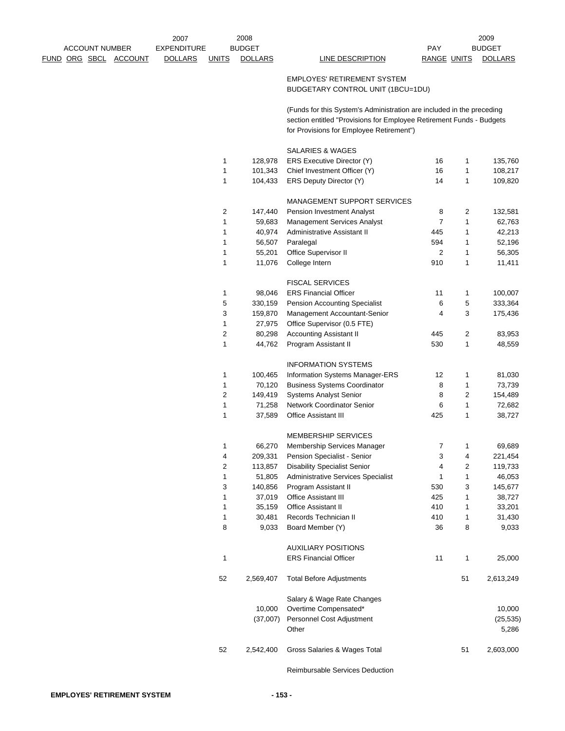|                              | 2007               |              | 2008              |                                                                       |                    |        | 2009              |
|------------------------------|--------------------|--------------|-------------------|-----------------------------------------------------------------------|--------------------|--------|-------------------|
| <b>ACCOUNT NUMBER</b>        | <b>EXPENDITURE</b> |              | <b>BUDGET</b>     |                                                                       | PAY                |        | <b>BUDGET</b>     |
| <u>FUND ORG SBCL ACCOUNT</u> | <b>DOLLARS</b>     | <b>UNITS</b> | <b>DOLLARS</b>    | LINE DESCRIPTION                                                      | <b>RANGE UNITS</b> |        | <b>DOLLARS</b>    |
|                              |                    |              |                   | <b>EMPLOYES' RETIREMENT SYSTEM</b>                                    |                    |        |                   |
|                              |                    |              |                   | BUDGETARY CONTROL UNIT (1BCU=1DU)                                     |                    |        |                   |
|                              |                    |              |                   | (Funds for this System's Administration are included in the preceding |                    |        |                   |
|                              |                    |              |                   | section entitled "Provisions for Employee Retirement Funds - Budgets  |                    |        |                   |
|                              |                    |              |                   | for Provisions for Employee Retirement")                              |                    |        |                   |
|                              |                    |              |                   | SALARIES & WAGES                                                      |                    |        |                   |
|                              |                    | 1            | 128,978           | ERS Executive Director (Y)                                            | 16                 | 1      | 135,760           |
|                              |                    | 1            | 101,343           | Chief Investment Officer (Y)                                          | 16                 | 1      | 108,217           |
|                              |                    | 1            | 104,433           | ERS Deputy Director (Y)                                               | 14                 | 1      | 109,820           |
|                              |                    |              |                   | MANAGEMENT SUPPORT SERVICES                                           |                    |        |                   |
|                              |                    | 2            | 147,440           | Pension Investment Analyst                                            | 8                  | 2      | 132,581           |
|                              |                    | 1            | 59,683            | <b>Management Services Analyst</b>                                    | 7                  | 1      | 62,763            |
|                              |                    | 1            | 40,974            | Administrative Assistant II                                           | 445                | 1      | 42,213            |
|                              |                    | 1            | 56,507            | Paralegal                                                             | 594                | 1      | 52,196            |
|                              |                    | 1            | 55,201            | Office Supervisor II                                                  | 2                  | 1      | 56,305            |
|                              |                    | 1            | 11,076            | College Intern                                                        | 910                | 1      | 11,411            |
|                              |                    |              |                   | <b>FISCAL SERVICES</b>                                                |                    |        |                   |
|                              |                    | 1            | 98,046            | <b>ERS Financial Officer</b>                                          | 11                 | 1      | 100,007           |
|                              |                    | 5            | 330,159           | <b>Pension Accounting Specialist</b>                                  | 6                  | 5      | 333,364           |
|                              |                    | 3            | 159,870           | Management Accountant-Senior                                          | 4                  | 3      | 175,436           |
|                              |                    | 1            | 27,975            | Office Supervisor (0.5 FTE)                                           |                    |        |                   |
|                              |                    | 2            | 80,298            | <b>Accounting Assistant II</b>                                        | 445                | 2      | 83,953            |
|                              |                    | 1            | 44,762            | Program Assistant II                                                  | 530                | 1      | 48,559            |
|                              |                    |              |                   | <b>INFORMATION SYSTEMS</b>                                            |                    |        |                   |
|                              |                    | 1            | 100,465           | Information Systems Manager-ERS                                       | 12                 | 1      | 81,030            |
|                              |                    | $\mathbf{1}$ | 70,120            | <b>Business Systems Coordinator</b>                                   | 8                  | 1      | 73,739            |
|                              |                    | 2            | 149,419           | <b>Systems Analyst Senior</b>                                         | 8                  | 2      | 154,489           |
|                              |                    | 1            | 71,258            | Network Coordinator Senior                                            | 6                  | 1      | 72,682            |
|                              |                    | 1            | 37,589            | <b>Office Assistant III</b>                                           | 425                | 1      | 38,727            |
|                              |                    |              |                   | <b>MEMBERSHIP SERVICES</b>                                            |                    |        |                   |
|                              |                    | 1            | 66,270            | Membership Services Manager                                           | 7                  | 1      | 69.689            |
|                              |                    | 4            | 209,331           | Pension Specialist - Senior                                           | 3                  | 4      | 221,454           |
|                              |                    | 2            | 113,857           | <b>Disability Specialist Senior</b>                                   | 4                  | 2      | 119,733           |
|                              |                    | 1            | 51,805            | Administrative Services Specialist                                    | 1                  | 1      | 46,053            |
|                              |                    | 3<br>1       | 140,856<br>37,019 | Program Assistant II<br>Office Assistant III                          | 530<br>425         | 3<br>1 | 145,677<br>38,727 |
|                              |                    | 1            | 35,159            | Office Assistant II                                                   | 410                | 1      | 33,201            |
|                              |                    | $\mathbf{1}$ | 30,481            | Records Technician II                                                 | 410                | 1      | 31,430            |
|                              |                    | 8            | 9,033             | Board Member (Y)                                                      | 36                 | 8      | 9,033             |
|                              |                    |              |                   | <b>AUXILIARY POSITIONS</b>                                            |                    |        |                   |
|                              |                    | 1            |                   | <b>ERS Financial Officer</b>                                          | 11                 | 1      | 25,000            |
|                              |                    |              |                   |                                                                       |                    |        |                   |
|                              |                    | 52           | 2,569,407         | <b>Total Before Adjustments</b>                                       |                    | 51     | 2,613,249         |
|                              |                    |              |                   | Salary & Wage Rate Changes                                            |                    |        |                   |
|                              |                    |              | 10,000            | Overtime Compensated*                                                 |                    |        | 10,000            |
|                              |                    |              | (37,007)          | Personnel Cost Adjustment                                             |                    |        | (25, 535)         |
|                              |                    |              |                   | Other                                                                 |                    |        | 5,286             |
|                              |                    | 52           | 2,542,400         | Gross Salaries & Wages Total                                          |                    | 51     | 2,603,000         |
|                              |                    |              |                   |                                                                       |                    |        |                   |

Reimbursable Services Deduction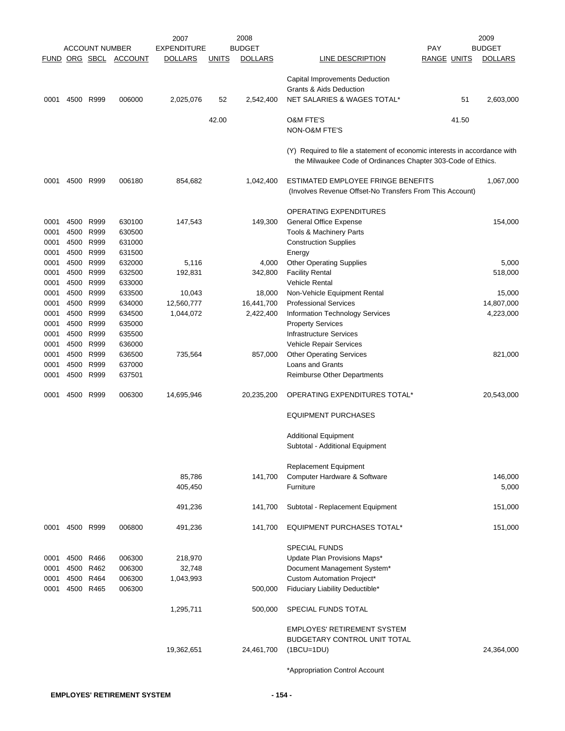|      |                |                       |                       | 2007               |              | 2008           |                                                                           |                    | 2009           |
|------|----------------|-----------------------|-----------------------|--------------------|--------------|----------------|---------------------------------------------------------------------------|--------------------|----------------|
|      |                | <b>ACCOUNT NUMBER</b> |                       | <b>EXPENDITURE</b> |              | <b>BUDGET</b>  |                                                                           | PAY                | <b>BUDGET</b>  |
|      |                |                       | FUND ORG SBCL ACCOUNT | <b>DOLLARS</b>     | <u>UNITS</u> | <b>DOLLARS</b> | LINE DESCRIPTION                                                          | <b>RANGE UNITS</b> | <b>DOLLARS</b> |
|      |                |                       |                       |                    |              |                | Capital Improvements Deduction                                            |                    |                |
|      |                |                       |                       |                    |              |                | <b>Grants &amp; Aids Deduction</b>                                        |                    |                |
| 0001 | 4500 R999      |                       | 006000                | 2,025,076          | 52           | 2,542,400      | NET SALARIES & WAGES TOTAL*                                               | 51                 | 2,603,000      |
|      |                |                       |                       |                    |              |                |                                                                           |                    |                |
|      |                |                       |                       |                    | 42.00        |                | <b>O&amp;M FTE'S</b>                                                      | 41.50              |                |
|      |                |                       |                       |                    |              |                | NON-O&M FTE'S                                                             |                    |                |
|      |                |                       |                       |                    |              |                | (Y) Required to file a statement of economic interests in accordance with |                    |                |
|      |                |                       |                       |                    |              |                | the Milwaukee Code of Ordinances Chapter 303-Code of Ethics.              |                    |                |
| 0001 | 4500 R999      |                       | 006180                | 854,682            |              | 1,042,400      | ESTIMATED EMPLOYEE FRINGE BENEFITS                                        |                    | 1,067,000      |
|      |                |                       |                       |                    |              |                | (Involves Revenue Offset-No Transfers From This Account)                  |                    |                |
|      |                |                       |                       |                    |              |                | <b>OPERATING EXPENDITURES</b>                                             |                    |                |
| 0001 | 4500           | R999                  | 630100                | 147,543            |              | 149,300        | General Office Expense                                                    |                    | 154,000        |
| 0001 | 4500           | R999                  | 630500                |                    |              |                | Tools & Machinery Parts                                                   |                    |                |
| 0001 | 4500           | R999                  | 631000                |                    |              |                | <b>Construction Supplies</b>                                              |                    |                |
| 0001 | 4500           | R999                  | 631500                |                    |              |                | Energy                                                                    |                    |                |
| 0001 | 4500           | R999                  | 632000                | 5,116              |              | 4,000          | <b>Other Operating Supplies</b>                                           |                    | 5,000          |
| 0001 | 4500           | R999                  | 632500                |                    |              |                | <b>Facility Rental</b>                                                    |                    |                |
|      |                | R999                  |                       | 192,831            |              | 342,800        | <b>Vehicle Rental</b>                                                     |                    | 518,000        |
| 0001 | 4500           |                       | 633000                |                    |              |                |                                                                           |                    |                |
| 0001 | 4500           | R999                  | 633500                | 10,043             |              | 18,000         | Non-Vehicle Equipment Rental                                              |                    | 15,000         |
| 0001 | 4500           | R999                  | 634000                | 12,560,777         |              | 16,441,700     | <b>Professional Services</b>                                              |                    | 14,807,000     |
| 0001 | 4500 R999      |                       | 634500                | 1,044,072          |              | 2,422,400      | Information Technology Services                                           |                    | 4,223,000      |
| 0001 | 4500           | R999                  | 635000                |                    |              |                | <b>Property Services</b>                                                  |                    |                |
| 0001 | 4500           | R999                  | 635500                |                    |              |                | Infrastructure Services                                                   |                    |                |
| 0001 | 4500           | R999                  | 636000                |                    |              |                | Vehicle Repair Services                                                   |                    |                |
| 0001 | 4500           | R999                  | 636500                | 735,564            |              | 857,000        | <b>Other Operating Services</b>                                           |                    | 821,000        |
| 0001 | 4500           | R999                  | 637000                |                    |              |                | Loans and Grants                                                          |                    |                |
| 0001 | 4500           | R999                  | 637501                |                    |              |                | Reimburse Other Departments                                               |                    |                |
| 0001 | 4500           | R999                  | 006300                | 14,695,946         |              | 20,235,200     | OPERATING EXPENDITURES TOTAL*                                             |                    | 20,543,000     |
|      |                |                       |                       |                    |              |                | <b>EQUIPMENT PURCHASES</b>                                                |                    |                |
|      |                |                       |                       |                    |              |                | <b>Additional Equipment</b>                                               |                    |                |
|      |                |                       |                       |                    |              |                | Subtotal - Additional Equipment                                           |                    |                |
|      |                |                       |                       |                    |              |                |                                                                           |                    |                |
|      |                |                       |                       |                    |              |                | <b>Replacement Equipment</b>                                              |                    |                |
|      |                |                       |                       | 85,786             |              | 141,700        | Computer Hardware & Software                                              |                    | 146,000        |
|      |                |                       |                       | 405,450            |              |                | Furniture                                                                 |                    | 5,000          |
|      |                |                       |                       | 491,236            |              | 141,700        | Subtotal - Replacement Equipment                                          |                    | 151,000        |
|      | 0001 4500 R999 |                       | 006800                | 491,236            |              | 141,700        | EQUIPMENT PURCHASES TOTAL*                                                |                    | 151,000        |
|      |                |                       |                       |                    |              |                | <b>SPECIAL FUNDS</b>                                                      |                    |                |
| 0001 | 4500 R466      |                       | 006300                | 218,970            |              |                | Update Plan Provisions Maps*                                              |                    |                |
| 0001 | 4500 R462      |                       | 006300                | 32,748             |              |                | Document Management System*                                               |                    |                |
| 0001 | 4500           | R464                  | 006300                | 1,043,993          |              |                | Custom Automation Project*                                                |                    |                |
| 0001 | 4500 R465      |                       | 006300                |                    |              | 500,000        | Fiduciary Liability Deductible*                                           |                    |                |
|      |                |                       |                       | 1,295,711          |              | 500,000        | SPECIAL FUNDS TOTAL                                                       |                    |                |
|      |                |                       |                       |                    |              |                | <b>EMPLOYES' RETIREMENT SYSTEM</b>                                        |                    |                |
|      |                |                       |                       |                    |              |                | BUDGETARY CONTROL UNIT TOTAL                                              |                    |                |
|      |                |                       |                       | 19,362,651         |              | 24,461,700     | $(1BCU=1DU)$                                                              |                    | 24,364,000     |
|      |                |                       |                       |                    |              |                |                                                                           |                    |                |
|      |                |                       |                       |                    |              |                | *Appropriation Control Account                                            |                    |                |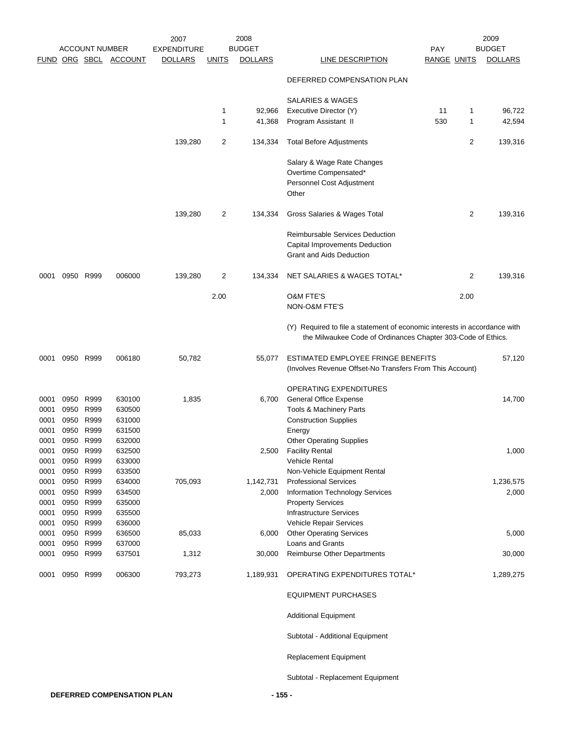|                              |                                                |                                        | 2007                                 | 2008           |               |                    |                                                                                                                                           | 2009        |                |                    |
|------------------------------|------------------------------------------------|----------------------------------------|--------------------------------------|----------------|---------------|--------------------|-------------------------------------------------------------------------------------------------------------------------------------------|-------------|----------------|--------------------|
|                              | <b>ACCOUNT NUMBER</b><br>FUND ORG SBCL ACCOUNT |                                        | <b>EXPENDITURE</b>                   |                | <b>BUDGET</b> |                    | PAY                                                                                                                                       |             | <b>BUDGET</b>  |                    |
|                              |                                                |                                        |                                      | <b>DOLLARS</b> | <u>UNITS</u>  | <b>DOLLARS</b>     | <b>LINE DESCRIPTION</b>                                                                                                                   | RANGE UNITS |                | <b>DOLLARS</b>     |
|                              |                                                |                                        |                                      |                |               |                    | DEFERRED COMPENSATION PLAN                                                                                                                |             |                |                    |
|                              |                                                |                                        |                                      |                |               |                    | SALARIES & WAGES                                                                                                                          |             |                |                    |
|                              |                                                |                                        |                                      |                | 1             | 92,966             | Executive Director (Y)                                                                                                                    | 11          | 1              | 96,722             |
|                              |                                                |                                        |                                      |                | 1             | 41,368             | Program Assistant II                                                                                                                      | 530         | 1              | 42,594             |
|                              |                                                |                                        |                                      | 139,280        | 2             | 134,334            | <b>Total Before Adjustments</b>                                                                                                           |             | $\overline{2}$ | 139,316            |
|                              |                                                |                                        |                                      |                |               |                    | Salary & Wage Rate Changes<br>Overtime Compensated*<br>Personnel Cost Adjustment<br>Other                                                 |             |                |                    |
|                              |                                                |                                        |                                      | 139,280        | 2             | 134,334            | Gross Salaries & Wages Total                                                                                                              |             | 2              | 139,316            |
|                              |                                                |                                        |                                      |                |               |                    | Reimbursable Services Deduction<br>Capital Improvements Deduction<br><b>Grant and Aids Deduction</b>                                      |             |                |                    |
| 0001                         |                                                | 0950 R999                              | 006000                               | 139,280        | 2             | 134,334            | NET SALARIES & WAGES TOTAL*                                                                                                               |             | 2              | 139,316            |
|                              |                                                |                                        |                                      |                | 2.00          |                    | <b>O&amp;M FTE'S</b><br>NON-O&M FTE'S                                                                                                     |             | 2.00           |                    |
|                              |                                                |                                        |                                      |                |               |                    | (Y) Required to file a statement of economic interests in accordance with<br>the Milwaukee Code of Ordinances Chapter 303-Code of Ethics. |             |                |                    |
| 0001                         |                                                | 0950 R999                              | 006180                               | 50,782         |               | 55,077             | ESTIMATED EMPLOYEE FRINGE BENEFITS<br>(Involves Revenue Offset-No Transfers From This Account)                                            |             |                | 57,120             |
| 0001<br>0001<br>0001<br>0001 | 0950<br>0950<br>0950<br>0950                   | R999<br>R999<br>R999<br>R999           | 630100<br>630500<br>631000<br>631500 | 1,835          |               | 6,700              | OPERATING EXPENDITURES<br><b>General Office Expense</b><br>Tools & Machinery Parts<br><b>Construction Supplies</b><br>Energy              |             |                | 14,700             |
| 0001<br>0001<br>0001<br>0001 | 0950<br>0950                                   | 0950 R999<br>R999<br>R999<br>0950 R999 | 632000<br>632500<br>633000<br>633500 |                |               | 2,500              | <b>Other Operating Supplies</b><br><b>Facility Rental</b><br><b>Vehicle Rental</b><br>Non-Vehicle Equipment Rental                        |             |                | 1,000              |
| 0001<br>0001<br>0001<br>0001 | 0950<br>0950                                   | R999<br>R999<br>0950 R999<br>0950 R999 | 634000<br>634500<br>635000<br>635500 | 705,093        |               | 1,142,731<br>2,000 | <b>Professional Services</b><br>Information Technology Services<br><b>Property Services</b><br><b>Infrastructure Services</b>             |             |                | 1,236,575<br>2,000 |
| 0001<br>0001<br>0001         |                                                | 0950 R999<br>0950 R999<br>0950 R999    | 636000<br>636500<br>637000           | 85,033         |               | 6,000              | Vehicle Repair Services<br><b>Other Operating Services</b><br>Loans and Grants                                                            |             |                | 5,000              |
| 0001                         |                                                | 0950 R999                              | 637501                               | 1,312          |               | 30,000             | Reimburse Other Departments                                                                                                               |             |                | 30,000             |
| 0001                         |                                                | 0950 R999                              | 006300                               | 793,273        |               | 1,189,931          | OPERATING EXPENDITURES TOTAL*                                                                                                             |             |                | 1,289,275          |
|                              |                                                |                                        |                                      |                |               |                    | <b>EQUIPMENT PURCHASES</b>                                                                                                                |             |                |                    |
|                              |                                                |                                        |                                      |                |               |                    | <b>Additional Equipment</b>                                                                                                               |             |                |                    |
|                              |                                                |                                        |                                      |                |               |                    | Subtotal - Additional Equipment                                                                                                           |             |                |                    |
|                              |                                                |                                        |                                      |                |               |                    | Replacement Equipment                                                                                                                     |             |                |                    |
|                              |                                                |                                        |                                      |                |               |                    | Subtotal - Replacement Equipment                                                                                                          |             |                |                    |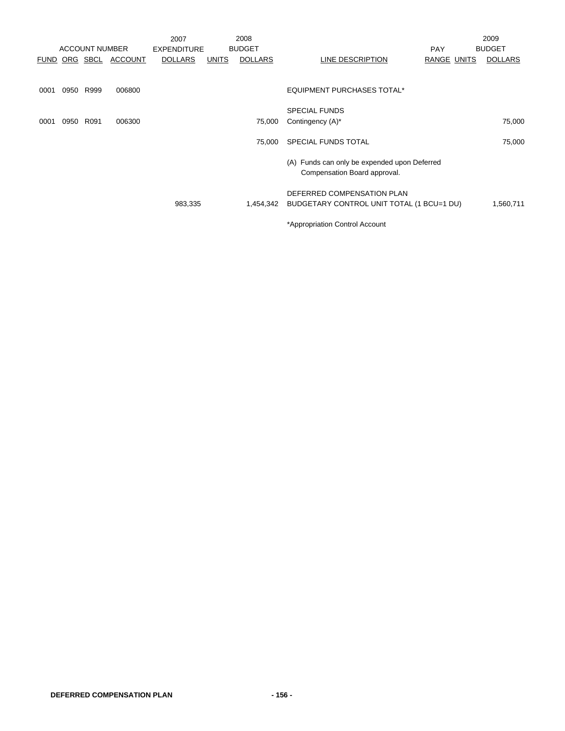|      |      |                       |                | 2007               |              | 2008           |                                                                              |             | 2009           |
|------|------|-----------------------|----------------|--------------------|--------------|----------------|------------------------------------------------------------------------------|-------------|----------------|
|      |      | <b>ACCOUNT NUMBER</b> |                | <b>EXPENDITURE</b> |              | <b>BUDGET</b>  |                                                                              | <b>PAY</b>  | <b>BUDGET</b>  |
|      |      | FUND ORG SBCL         | <b>ACCOUNT</b> | <b>DOLLARS</b>     | <b>UNITS</b> | <b>DOLLARS</b> | LINE DESCRIPTION                                                             | RANGE UNITS | <b>DOLLARS</b> |
|      |      |                       |                |                    |              |                |                                                                              |             |                |
| 0001 | 0950 | R999                  | 006800         |                    |              |                | EQUIPMENT PURCHASES TOTAL*                                                   |             |                |
|      |      |                       |                |                    |              |                | <b>SPECIAL FUNDS</b>                                                         |             |                |
| 0001 | 0950 | R091                  | 006300         |                    |              | 75,000         | Contingency (A)*                                                             |             | 75,000         |
|      |      |                       |                |                    |              | 75,000         | SPECIAL FUNDS TOTAL                                                          |             | 75,000         |
|      |      |                       |                |                    |              |                | (A) Funds can only be expended upon Deferred<br>Compensation Board approval. |             |                |
|      |      |                       |                |                    |              |                | DEFERRED COMPENSATION PLAN                                                   |             |                |
|      |      |                       |                | 983,335            |              | 1,454,342      | BUDGETARY CONTROL UNIT TOTAL (1 BCU=1 DU)                                    |             | 1,560,711      |
|      |      |                       |                |                    |              |                | *Appropriation Control Account                                               |             |                |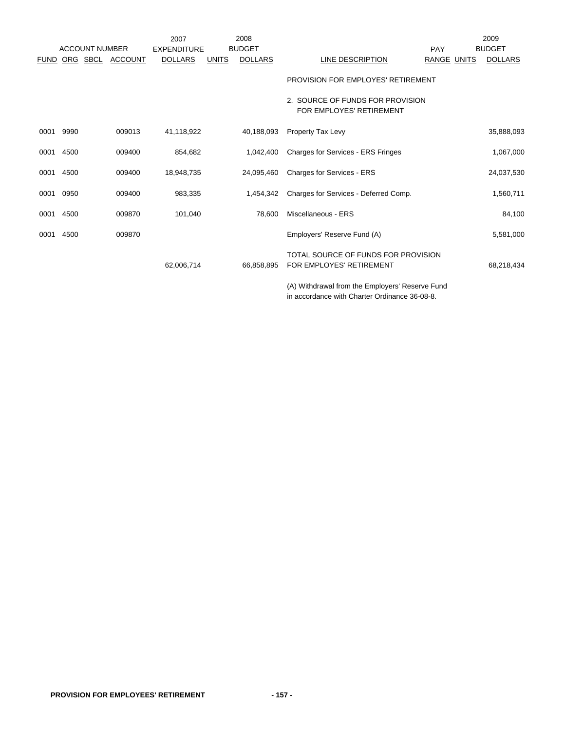|             |          | <b>ACCOUNT NUMBER</b> |                | 2007<br><b>EXPENDITURE</b> |              | 2008<br><b>BUDGET</b> |                                                                 | <b>PAY</b>         | 2009<br><b>BUDGET</b> |
|-------------|----------|-----------------------|----------------|----------------------------|--------------|-----------------------|-----------------------------------------------------------------|--------------------|-----------------------|
| <b>FUND</b> | ORG SBCL |                       | <b>ACCOUNT</b> | <b>DOLLARS</b>             | <b>UNITS</b> | <b>DOLLARS</b>        | LINE DESCRIPTION                                                | <b>RANGE UNITS</b> | <b>DOLLARS</b>        |
|             |          |                       |                |                            |              |                       | PROVISION FOR EMPLOYES' RETIREMENT                              |                    |                       |
|             |          |                       |                |                            |              |                       | 2. SOURCE OF FUNDS FOR PROVISION<br>FOR EMPLOYES' RETIREMENT    |                    |                       |
| 0001        | 9990     |                       | 009013         | 41,118,922                 |              | 40,188,093            | <b>Property Tax Levy</b>                                        |                    | 35,888,093            |
| 0001        | 4500     |                       | 009400         | 854,682                    |              | 1,042,400             | <b>Charges for Services - ERS Fringes</b>                       |                    | 1,067,000             |
| 0001        | 4500     |                       | 009400         | 18,948,735                 |              | 24,095,460            | Charges for Services - ERS                                      |                    | 24,037,530            |
| 0001        | 0950     |                       | 009400         | 983,335                    |              | 1,454,342             | Charges for Services - Deferred Comp.                           |                    | 1,560,711             |
| 0001        | 4500     |                       | 009870         | 101,040                    |              | 78,600                | Miscellaneous - ERS                                             |                    | 84,100                |
| 0001        | 4500     |                       | 009870         |                            |              |                       | Employers' Reserve Fund (A)                                     |                    | 5,581,000             |
|             |          |                       |                | 62,006,714                 |              | 66.858.895            | TOTAL SOURCE OF FUNDS FOR PROVISION<br>FOR EMPLOYES' RETIREMENT |                    | 68,218,434            |
|             |          |                       |                |                            |              |                       | (A) Withdrawal from the Employers' Reserve Fund                 |                    |                       |

in accordance with Charter Ordinance 36-08-8.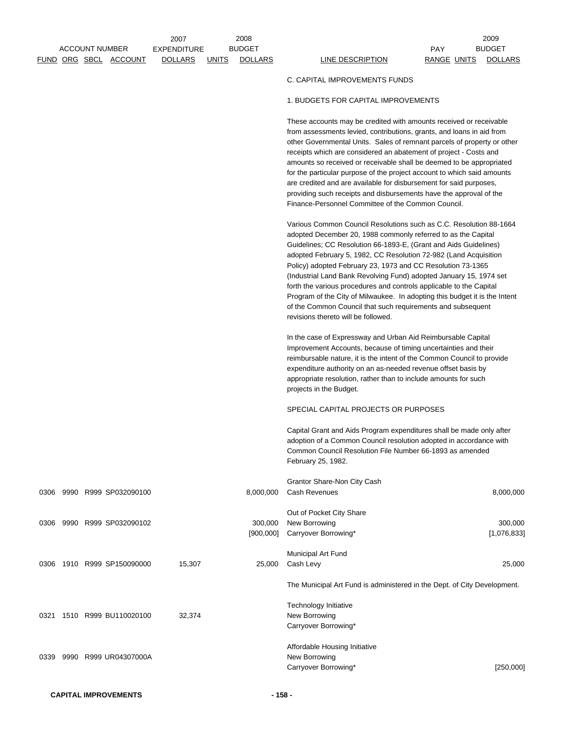2008 2009 BUDGET BUDGET

## C. CAPITAL IMPROVEMENTS FUNDS

## 1. BUDGETS FOR CAPITAL IMPROVEMENTS

These accounts may be credited with amounts received or receivable from assessments levied, contributions, grants, and loans in aid from other Governmental Units. Sales of remnant parcels of property or other receipts which are considered an abatement of project - Costs and amounts so received or receivable shall be deemed to be appropriated for the particular purpose of the project account to which said amounts are credited and are available for disbursement for said purposes, providing such receipts and disbursements have the approval of the Finance-Personnel Committee of the Common Council.

Various Common Council Resolutions such as C.C. Resolution 88-1664 adopted December 20, 1988 commonly referred to as the Capital Guidelines; CC Resolution 66-1893-E, (Grant and Aids Guidelines) adopted February 5, 1982, CC Resolution 72-982 (Land Acquisition Policy) adopted February 23, 1973 and CC Resolution 73-1365 (Industrial Land Bank Revolving Fund) adopted January 15, 1974 set forth the various procedures and controls applicable to the Capital Program of the City of Milwaukee. In adopting this budget it is the Intent of the Common Council that such requirements and subsequent revisions thereto will be followed.

In the case of Expressway and Urban Aid Reimbursable Capital Improvement Accounts, because of timing uncertainties and their reimbursable nature, it is the intent of the Common Council to provide expenditure authority on an as-needed revenue offset basis by appropriate resolution, rather than to include amounts for such projects in the Budget.

## SPECIAL CAPITAL PROJECTS OR PURPOSES

Capital Grant and Aids Program expenditures shall be made only after adoption of a Common Council resolution adopted in accordance with Common Council Resolution File Number 66-1893 as amended February 25, 1982.

|      |      |                  |        |           | Grantor Share-Non City Cash                                              |             |
|------|------|------------------|--------|-----------|--------------------------------------------------------------------------|-------------|
| 0306 | 9990 | R999 SP032090100 |        | 8,000,000 | Cash Revenues                                                            | 8,000,000   |
|      |      |                  |        |           | Out of Pocket City Share                                                 |             |
| 0306 | 9990 | R999 SP032090102 |        | 300,000   | New Borrowing                                                            | 300,000     |
|      |      |                  |        | [900,000] | Carryover Borrowing*                                                     | [1,076,833] |
|      |      |                  |        |           | Municipal Art Fund                                                       |             |
| 0306 | 1910 | R999 SP150090000 | 15,307 | 25,000    | Cash Levy                                                                | 25,000      |
|      |      |                  |        |           | The Municipal Art Fund is administered in the Dept. of City Development. |             |
|      |      |                  |        |           | Technology Initiative                                                    |             |
| 0321 | 1510 | R999 BU110020100 | 32,374 |           | New Borrowing                                                            |             |
|      |      |                  |        |           | Carryover Borrowing*                                                     |             |
|      |      |                  |        |           | Affordable Housing Initiative                                            |             |
| 0339 | 9990 | R999 UR04307000A |        |           | New Borrowing                                                            |             |
|      |      |                  |        |           | Carryover Borrowing*                                                     | [250,000]   |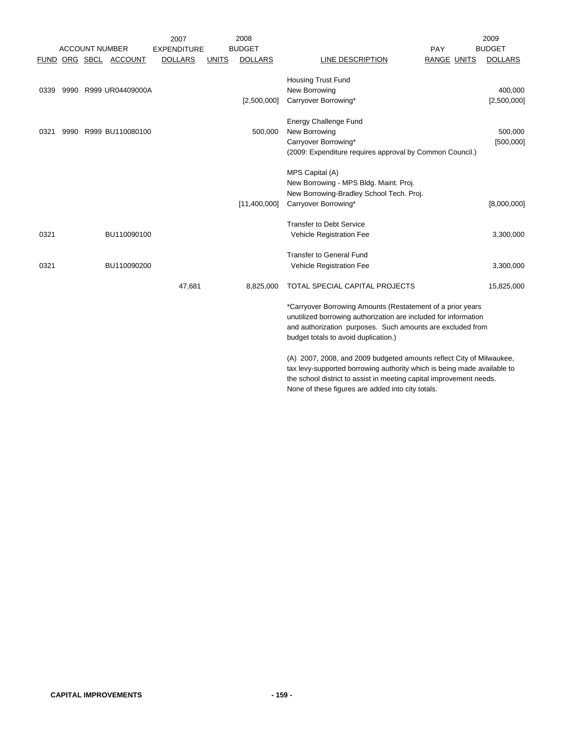|      |                       |                       | 2007               |              | 2008           |                                                                         |                    | 2009           |
|------|-----------------------|-----------------------|--------------------|--------------|----------------|-------------------------------------------------------------------------|--------------------|----------------|
|      | <b>ACCOUNT NUMBER</b> |                       | <b>EXPENDITURE</b> |              | <b>BUDGET</b>  |                                                                         | PAY                | <b>BUDGET</b>  |
|      |                       | FUND ORG SBCL ACCOUNT | <b>DOLLARS</b>     | <b>UNITS</b> | <b>DOLLARS</b> | LINE DESCRIPTION                                                        | <b>RANGE UNITS</b> | <b>DOLLARS</b> |
|      |                       |                       |                    |              |                |                                                                         |                    |                |
|      |                       |                       |                    |              |                | <b>Housing Trust Fund</b>                                               |                    |                |
| 0339 |                       | 9990 R999 UR04409000A |                    |              |                | New Borrowing                                                           |                    | 400,000        |
|      |                       |                       |                    |              | [2,500,000]    | Carryover Borrowing*                                                    |                    | [2,500,000]    |
|      |                       |                       |                    |              |                | <b>Energy Challenge Fund</b>                                            |                    |                |
| 0321 |                       | 9990 R999 BU110080100 |                    |              | 500,000        | New Borrowing                                                           |                    | 500,000        |
|      |                       |                       |                    |              |                | Carryover Borrowing*                                                    |                    | [500,000]      |
|      |                       |                       |                    |              |                | (2009: Expenditure requires approval by Common Council.)                |                    |                |
|      |                       |                       |                    |              |                |                                                                         |                    |                |
|      |                       |                       |                    |              |                | MPS Capital (A)                                                         |                    |                |
|      |                       |                       |                    |              |                | New Borrowing - MPS Bldg. Maint. Proj.                                  |                    |                |
|      |                       |                       |                    |              |                | New Borrowing-Bradley School Tech. Proj.                                |                    |                |
|      |                       |                       |                    |              | [11,400,000]   | Carryover Borrowing*                                                    |                    | [8,000,000]    |
|      |                       |                       |                    |              |                |                                                                         |                    |                |
|      |                       |                       |                    |              |                | <b>Transfer to Debt Service</b>                                         |                    |                |
| 0321 |                       | BU110090100           |                    |              |                | Vehicle Registration Fee                                                |                    | 3,300,000      |
|      |                       |                       |                    |              |                | <b>Transfer to General Fund</b>                                         |                    |                |
| 0321 |                       | BU110090200           |                    |              |                | Vehicle Registration Fee                                                |                    | 3,300,000      |
|      |                       |                       |                    |              |                |                                                                         |                    |                |
|      |                       |                       | 47,681             |              | 8,825,000      | TOTAL SPECIAL CAPITAL PROJECTS                                          |                    | 15,825,000     |
|      |                       |                       |                    |              |                | *Carryover Borrowing Amounts (Restatement of a prior years              |                    |                |
|      |                       |                       |                    |              |                | unutilized borrowing authorization are included for information         |                    |                |
|      |                       |                       |                    |              |                | and authorization purposes. Such amounts are excluded from              |                    |                |
|      |                       |                       |                    |              |                | budget totals to avoid duplication.)                                    |                    |                |
|      |                       |                       |                    |              |                |                                                                         |                    |                |
|      |                       |                       |                    |              |                | (A) 2007, 2008, and 2009 budgeted amounts reflect City of Milwaukee,    |                    |                |
|      |                       |                       |                    |              |                | toy lows aupported berrowing outherity which is being mode ovailable to |                    |                |

tax levy-supported borrowing authority which is being made available to the school district to assist in meeting capital improvement needs. None of these figures are added into city totals.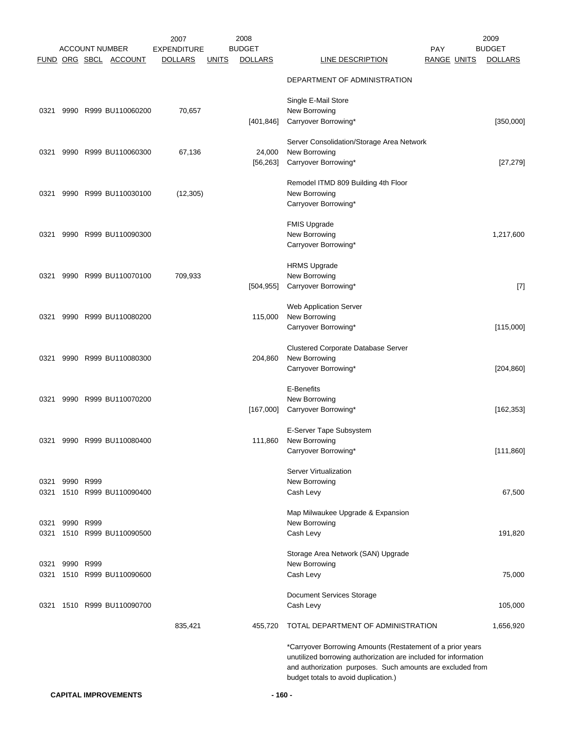|      |           |           |                                                | 2007                                 |              | 2008                            |                                                                                                                                                                                                                                     | 2009                            |
|------|-----------|-----------|------------------------------------------------|--------------------------------------|--------------|---------------------------------|-------------------------------------------------------------------------------------------------------------------------------------------------------------------------------------------------------------------------------------|---------------------------------|
|      |           |           | <b>ACCOUNT NUMBER</b><br>FUND ORG SBCL ACCOUNT | <b>EXPENDITURE</b><br><b>DOLLARS</b> | <b>UNITS</b> | <b>BUDGET</b><br><b>DOLLARS</b> | PAY<br><b>RANGE UNITS</b><br><b>LINE DESCRIPTION</b>                                                                                                                                                                                | <b>BUDGET</b><br><b>DOLLARS</b> |
|      |           |           |                                                |                                      |              |                                 |                                                                                                                                                                                                                                     |                                 |
|      |           |           |                                                |                                      |              |                                 | DEPARTMENT OF ADMINISTRATION                                                                                                                                                                                                        |                                 |
|      |           |           |                                                |                                      |              |                                 | Single E-Mail Store                                                                                                                                                                                                                 |                                 |
| 0321 |           |           | 9990 R999 BU110060200                          | 70,657                               |              |                                 | New Borrowing                                                                                                                                                                                                                       |                                 |
|      |           |           |                                                |                                      |              | [401, 846]                      | Carryover Borrowing*                                                                                                                                                                                                                | [350,000]                       |
|      |           |           |                                                |                                      |              |                                 | Server Consolidation/Storage Area Network                                                                                                                                                                                           |                                 |
| 0321 |           |           | 9990 R999 BU110060300                          | 67,136                               |              | 24,000                          | New Borrowing                                                                                                                                                                                                                       |                                 |
|      |           |           |                                                |                                      |              | [56, 263]                       | Carryover Borrowing*                                                                                                                                                                                                                | [27, 279]                       |
|      |           |           |                                                |                                      |              |                                 | Remodel ITMD 809 Building 4th Floor                                                                                                                                                                                                 |                                 |
| 0321 |           |           | 9990 R999 BU110030100                          | (12, 305)                            |              |                                 | New Borrowing                                                                                                                                                                                                                       |                                 |
|      |           |           |                                                |                                      |              |                                 | Carryover Borrowing*                                                                                                                                                                                                                |                                 |
|      |           |           |                                                |                                      |              |                                 | <b>FMIS Upgrade</b>                                                                                                                                                                                                                 |                                 |
| 0321 |           |           | 9990 R999 BU110090300                          |                                      |              |                                 | New Borrowing                                                                                                                                                                                                                       | 1,217,600                       |
|      |           |           |                                                |                                      |              |                                 | Carryover Borrowing*                                                                                                                                                                                                                |                                 |
|      |           |           |                                                |                                      |              |                                 | <b>HRMS Upgrade</b>                                                                                                                                                                                                                 |                                 |
| 0321 |           |           | 9990 R999 BU110070100                          | 709,933                              |              |                                 | New Borrowing                                                                                                                                                                                                                       |                                 |
|      |           |           |                                                |                                      |              | [504, 955]                      | Carryover Borrowing*                                                                                                                                                                                                                | $[7]$                           |
|      |           |           |                                                |                                      |              |                                 | Web Application Server                                                                                                                                                                                                              |                                 |
| 0321 |           |           | 9990 R999 BU110080200                          |                                      |              | 115,000                         | New Borrowing                                                                                                                                                                                                                       |                                 |
|      |           |           |                                                |                                      |              |                                 | Carryover Borrowing*                                                                                                                                                                                                                | [115,000]                       |
|      |           |           |                                                |                                      |              |                                 | <b>Clustered Corporate Database Server</b>                                                                                                                                                                                          |                                 |
| 0321 |           |           | 9990 R999 BU110080300                          |                                      |              | 204,860                         | New Borrowing                                                                                                                                                                                                                       |                                 |
|      |           |           |                                                |                                      |              |                                 | Carryover Borrowing*                                                                                                                                                                                                                | [204, 860]                      |
|      |           |           |                                                |                                      |              |                                 | E-Benefits                                                                                                                                                                                                                          |                                 |
| 0321 |           |           | 9990 R999 BU110070200                          |                                      |              |                                 | New Borrowing                                                                                                                                                                                                                       |                                 |
|      |           |           |                                                |                                      |              | [167,000]                       | Carryover Borrowing*                                                                                                                                                                                                                | [162, 353]                      |
|      |           |           |                                                |                                      |              |                                 | E-Server Tape Subsystem                                                                                                                                                                                                             |                                 |
| 0321 |           |           | 9990 R999 BU110080400                          |                                      |              | 111,860                         | New Borrowing                                                                                                                                                                                                                       |                                 |
|      |           |           |                                                |                                      |              |                                 | Carryover Borrowing*                                                                                                                                                                                                                | [111, 860]                      |
|      |           |           |                                                |                                      |              |                                 | Server Virtualization                                                                                                                                                                                                               |                                 |
| 0321 |           | 9990 R999 |                                                |                                      |              |                                 | New Borrowing                                                                                                                                                                                                                       |                                 |
|      |           |           | 0321 1510 R999 BU110090400                     |                                      |              |                                 | Cash Levy                                                                                                                                                                                                                           | 67,500                          |
|      |           |           |                                                |                                      |              |                                 | Map Milwaukee Upgrade & Expansion                                                                                                                                                                                                   |                                 |
| 0321 |           | 9990 R999 |                                                |                                      |              |                                 | New Borrowing                                                                                                                                                                                                                       |                                 |
| 0321 |           |           | 1510 R999 BU110090500                          |                                      |              |                                 | Cash Levy                                                                                                                                                                                                                           | 191,820                         |
|      |           |           |                                                |                                      |              |                                 | Storage Area Network (SAN) Upgrade                                                                                                                                                                                                  |                                 |
| 0321 | 9990 R999 |           |                                                |                                      |              |                                 | New Borrowing                                                                                                                                                                                                                       |                                 |
| 0321 |           |           | 1510 R999 BU110090600                          |                                      |              |                                 | Cash Levy                                                                                                                                                                                                                           | 75,000                          |
|      |           |           |                                                |                                      |              |                                 | Document Services Storage                                                                                                                                                                                                           |                                 |
| 0321 |           |           | 1510 R999 BU110090700                          |                                      |              |                                 | Cash Levy                                                                                                                                                                                                                           | 105,000                         |
|      |           |           |                                                | 835,421                              |              | 455,720                         | TOTAL DEPARTMENT OF ADMINISTRATION                                                                                                                                                                                                  | 1,656,920                       |
|      |           |           |                                                |                                      |              |                                 | *Carryover Borrowing Amounts (Restatement of a prior years<br>unutilized borrowing authorization are included for information<br>and authorization purposes. Such amounts are excluded from<br>budget totals to avoid duplication.) |                                 |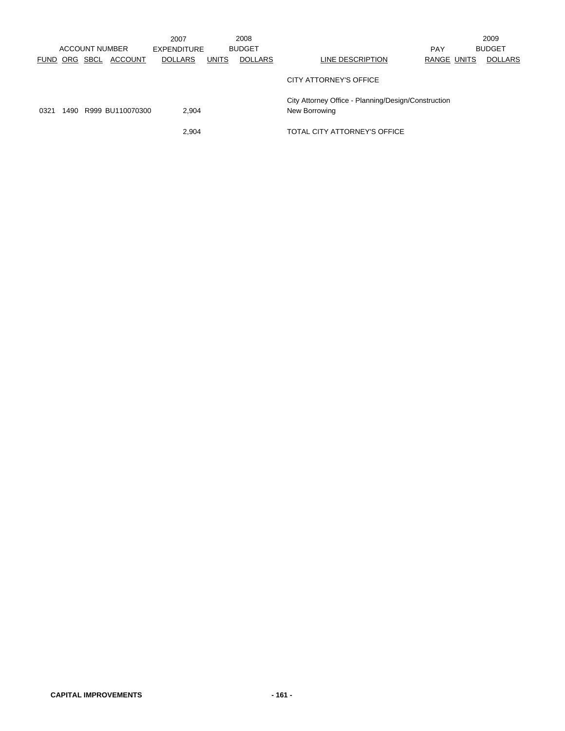|      |               |                |                       | 2007           |              | 2008           |                                                                      |             | 2009           |
|------|---------------|----------------|-----------------------|----------------|--------------|----------------|----------------------------------------------------------------------|-------------|----------------|
|      |               | ACCOUNT NUMBER |                       | EXPENDITURE    |              | <b>BUDGET</b>  |                                                                      | <b>PAY</b>  | <b>BUDGET</b>  |
|      | FUND ORG SBCL |                | <b>ACCOUNT</b>        | <b>DOLLARS</b> | <b>UNITS</b> | <b>DOLLARS</b> | LINE DESCRIPTION                                                     | RANGE UNITS | <b>DOLLARS</b> |
|      |               |                |                       |                |              |                | CITY ATTORNEY'S OFFICE                                               |             |                |
| 0321 |               |                | 1490 R999 BU110070300 | 2.904          |              |                | City Attorney Office - Planning/Design/Construction<br>New Borrowing |             |                |
|      |               |                |                       | 2,904          |              |                | TOTAL CITY ATTORNEY'S OFFICE                                         |             |                |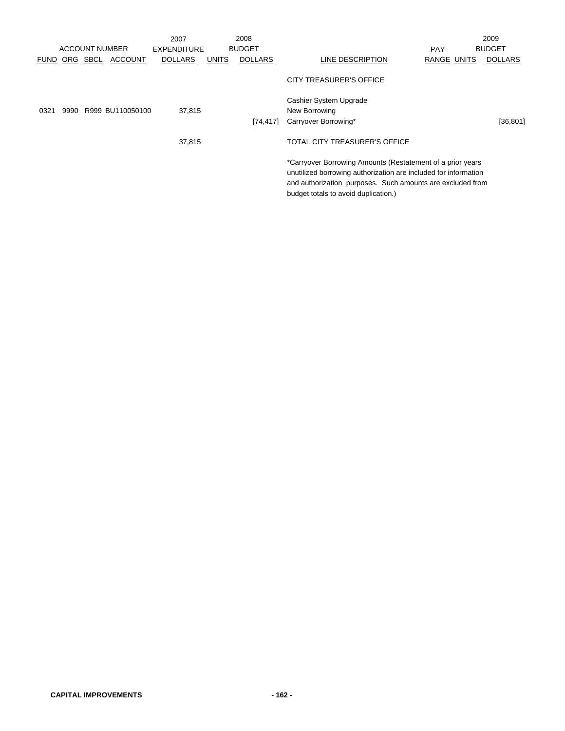|             |          |                       | 2007           |       | 2008           |                                                                                                                                                                                                                                     |             | 2009           |
|-------------|----------|-----------------------|----------------|-------|----------------|-------------------------------------------------------------------------------------------------------------------------------------------------------------------------------------------------------------------------------------|-------------|----------------|
|             |          | <b>ACCOUNT NUMBER</b> | EXPENDITURE    |       | <b>BUDGET</b>  |                                                                                                                                                                                                                                     | <b>PAY</b>  | <b>BUDGET</b>  |
| <b>FUND</b> | ORG SBCL | <b>ACCOUNT</b>        | <b>DOLLARS</b> | UNITS | <b>DOLLARS</b> | LINE DESCRIPTION                                                                                                                                                                                                                    | RANGE UNITS | <b>DOLLARS</b> |
|             |          |                       |                |       |                | CITY TREASURER'S OFFICE                                                                                                                                                                                                             |             |                |
| 0321        |          | 9990 R999 BU110050100 | 37,815         |       |                | Cashier System Upgrade<br>New Borrowing                                                                                                                                                                                             |             |                |
|             |          |                       |                |       | [74, 417]      | Carryover Borrowing*                                                                                                                                                                                                                |             | [36, 801]      |
|             |          |                       | 37,815         |       |                | TOTAL CITY TREASURER'S OFFICE                                                                                                                                                                                                       |             |                |
|             |          |                       |                |       |                | *Carryover Borrowing Amounts (Restatement of a prior years<br>unutilized borrowing authorization are included for information<br>and authorization purposes. Such amounts are excluded from<br>budget totals to avoid duplication.) |             |                |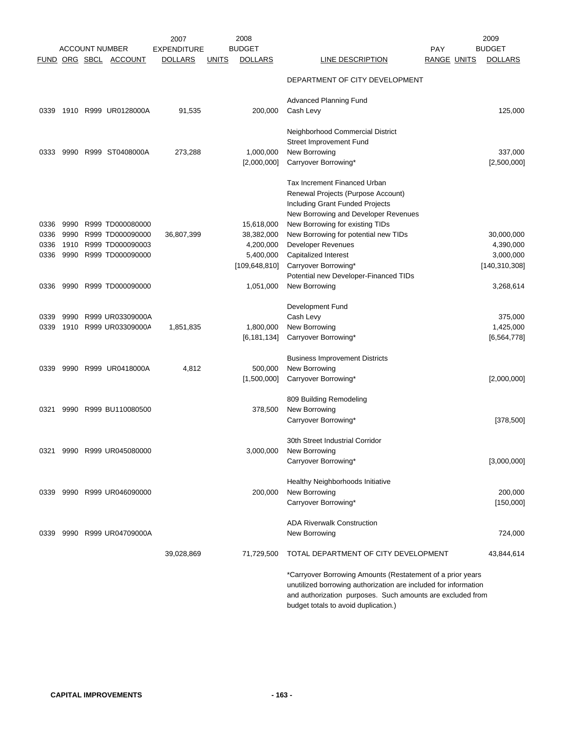|      |      | <b>ACCOUNT NUMBER</b> | 2007<br><b>EXPENDITURE</b> |              | 2008<br><b>BUDGET</b>    |                                                                                                                                                                                                                                     | <b>PAY</b>         | 2009<br><b>BUDGET</b> |
|------|------|-----------------------|----------------------------|--------------|--------------------------|-------------------------------------------------------------------------------------------------------------------------------------------------------------------------------------------------------------------------------------|--------------------|-----------------------|
|      |      | FUND ORG SBCL ACCOUNT | <b>DOLLARS</b>             | <u>UNITS</u> | <b>DOLLARS</b>           | LINE DESCRIPTION                                                                                                                                                                                                                    | <b>RANGE UNITS</b> | <b>DOLLARS</b>        |
|      |      |                       |                            |              |                          | DEPARTMENT OF CITY DEVELOPMENT                                                                                                                                                                                                      |                    |                       |
|      |      |                       |                            |              |                          | <b>Advanced Planning Fund</b>                                                                                                                                                                                                       |                    |                       |
| 0339 |      | 1910 R999 UR0128000A  | 91,535                     |              | 200,000                  | Cash Levy                                                                                                                                                                                                                           |                    | 125,000               |
|      |      |                       |                            |              |                          | Neighborhood Commercial District<br>Street Improvement Fund                                                                                                                                                                         |                    | 337,000               |
| 0333 | 9990 | R999 ST0408000A       | 273,288                    |              | 1,000,000<br>[2,000,000] | New Borrowing<br>Carryover Borrowing*                                                                                                                                                                                               |                    | [2,500,000]           |
| 0336 | 9990 | R999 TD000080000      |                            |              | 15,618,000               | <b>Tax Increment Financed Urban</b><br>Renewal Projects (Purpose Account)<br>Including Grant Funded Projects<br>New Borrowing and Developer Revenues<br>New Borrowing for existing TIDs                                             |                    |                       |
| 0336 | 9990 | R999 TD000090000      | 36,807,399                 |              | 38,382,000               | New Borrowing for potential new TIDs                                                                                                                                                                                                |                    | 30,000,000            |
| 0336 | 1910 | R999 TD000090003      |                            |              | 4,200,000                | <b>Developer Revenues</b>                                                                                                                                                                                                           |                    | 4,390,000             |
| 0336 | 9990 | R999 TD000090000      |                            |              | 5,400,000                | Capitalized Interest                                                                                                                                                                                                                |                    | 3,000,000             |
|      |      |                       |                            |              | [109, 648, 810]          | Carryover Borrowing*                                                                                                                                                                                                                |                    | [140, 310, 308]       |
|      |      |                       |                            |              |                          | Potential new Developer-Financed TIDs                                                                                                                                                                                               |                    |                       |
| 0336 | 9990 | R999 TD000090000      |                            |              | 1,051,000                | New Borrowing                                                                                                                                                                                                                       |                    | 3,268,614             |
|      |      |                       |                            |              |                          | Development Fund                                                                                                                                                                                                                    |                    |                       |
| 0339 | 9990 | R999 UR03309000A      |                            |              |                          | Cash Levy                                                                                                                                                                                                                           |                    | 375,000               |
| 0339 | 1910 | R999 UR03309000A      | 1,851,835                  |              | 1,800,000                | New Borrowing                                                                                                                                                                                                                       |                    | 1,425,000             |
|      |      |                       |                            |              | [6, 181, 134]            | Carryover Borrowing*                                                                                                                                                                                                                |                    | [6, 564, 778]         |
|      |      |                       |                            |              |                          | <b>Business Improvement Districts</b>                                                                                                                                                                                               |                    |                       |
| 0339 |      | 9990 R999 UR0418000A  | 4,812                      |              | 500,000<br>[1,500,000]   | New Borrowing<br>Carryover Borrowing*                                                                                                                                                                                               |                    | [2,000,000]           |
|      |      |                       |                            |              |                          |                                                                                                                                                                                                                                     |                    |                       |
|      |      |                       |                            |              |                          | 809 Building Remodeling                                                                                                                                                                                                             |                    |                       |
| 0321 | 9990 | R999 BU110080500      |                            |              | 378,500                  | New Borrowing                                                                                                                                                                                                                       |                    |                       |
|      |      |                       |                            |              |                          | Carryover Borrowing*                                                                                                                                                                                                                |                    | [378, 500]            |
|      |      | 9990 R999 UR045080000 |                            |              | 3,000,000                | 30th Street Industrial Corridor<br>New Borrowing                                                                                                                                                                                    |                    |                       |
| 0321 |      |                       |                            |              |                          | Carryover Borrowing*                                                                                                                                                                                                                |                    | [3,000,000]           |
|      |      |                       |                            |              |                          |                                                                                                                                                                                                                                     |                    |                       |
|      |      |                       |                            |              |                          | Healthy Neighborhoods Initiative                                                                                                                                                                                                    |                    |                       |
| 0339 |      | 9990 R999 UR046090000 |                            |              | 200,000                  | New Borrowing                                                                                                                                                                                                                       |                    | 200,000               |
|      |      |                       |                            |              |                          | Carryover Borrowing*                                                                                                                                                                                                                |                    | [150,000]             |
|      |      |                       |                            |              |                          | <b>ADA Riverwalk Construction</b>                                                                                                                                                                                                   |                    |                       |
| 0339 |      | 9990 R999 UR04709000A |                            |              |                          | New Borrowing                                                                                                                                                                                                                       |                    | 724,000               |
|      |      |                       | 39,028,869                 |              | 71,729,500               | TOTAL DEPARTMENT OF CITY DEVELOPMENT                                                                                                                                                                                                |                    | 43,844,614            |
|      |      |                       |                            |              |                          | *Carryover Borrowing Amounts (Restatement of a prior years<br>unutilized borrowing authorization are included for information<br>and authorization purposes. Such amounts are excluded from<br>budget totals to avoid duplication.) |                    |                       |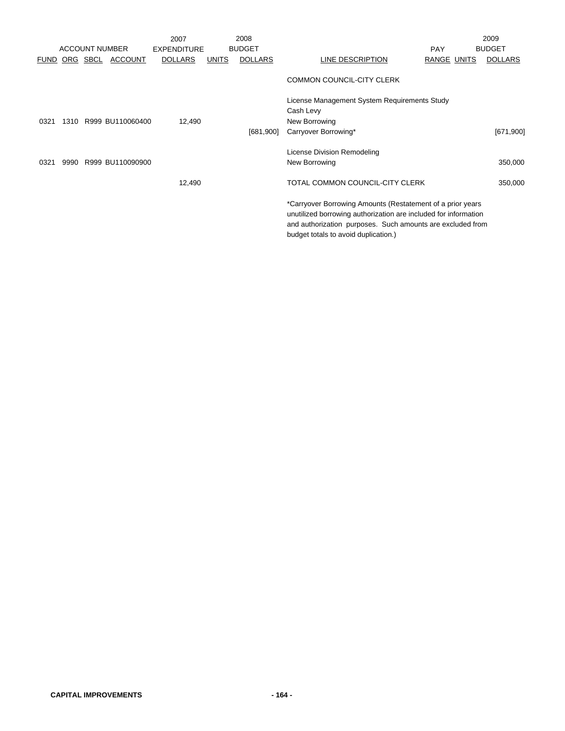|             |      |                       |                       | 2007               |              | 2008           |                                                                                                                                                                                                                                     |             | 2009           |
|-------------|------|-----------------------|-----------------------|--------------------|--------------|----------------|-------------------------------------------------------------------------------------------------------------------------------------------------------------------------------------------------------------------------------------|-------------|----------------|
|             |      | <b>ACCOUNT NUMBER</b> |                       | <b>EXPENDITURE</b> |              | <b>BUDGET</b>  |                                                                                                                                                                                                                                     | <b>PAY</b>  | <b>BUDGET</b>  |
| <b>FUND</b> |      | ORG SBCL              | <b>ACCOUNT</b>        | <b>DOLLARS</b>     | <b>UNITS</b> | <b>DOLLARS</b> | LINE DESCRIPTION                                                                                                                                                                                                                    | RANGE UNITS | <b>DOLLARS</b> |
|             |      |                       |                       |                    |              |                | <b>COMMON COUNCIL-CITY CLERK</b>                                                                                                                                                                                                    |             |                |
|             |      |                       |                       |                    |              |                | License Management System Requirements Study                                                                                                                                                                                        |             |                |
|             |      |                       |                       |                    |              |                | Cash Levy                                                                                                                                                                                                                           |             |                |
| 0321        |      |                       | 1310 R999 BU110060400 | 12,490             |              |                | New Borrowing                                                                                                                                                                                                                       |             |                |
|             |      |                       |                       |                    |              | [681,900]      | Carryover Borrowing*                                                                                                                                                                                                                |             | [671,900]      |
|             |      |                       |                       |                    |              |                | License Division Remodeling                                                                                                                                                                                                         |             |                |
| 0321        | 9990 |                       | R999 BU110090900      |                    |              |                | New Borrowing                                                                                                                                                                                                                       |             | 350,000        |
|             |      |                       |                       | 12,490             |              |                | TOTAL COMMON COUNCIL-CITY CLERK                                                                                                                                                                                                     |             | 350,000        |
|             |      |                       |                       |                    |              |                | *Carryover Borrowing Amounts (Restatement of a prior years<br>unutilized borrowing authorization are included for information<br>and authorization purposes. Such amounts are excluded from<br>budget totals to avoid duplication.) |             |                |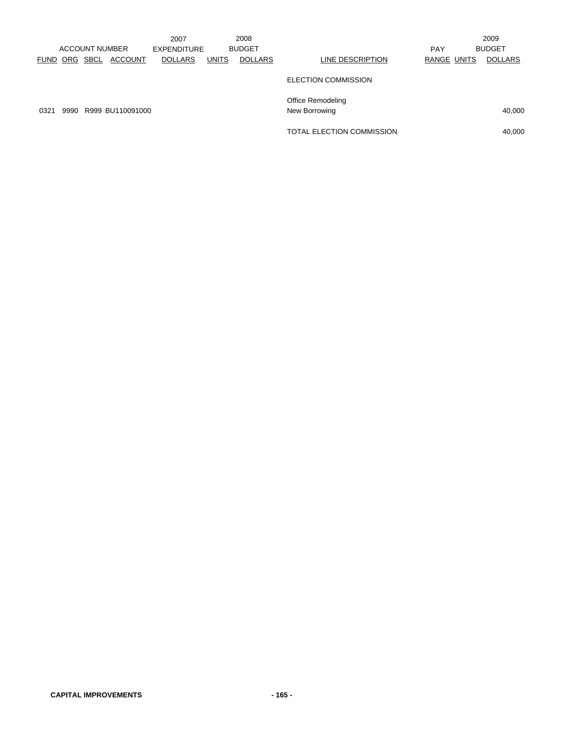|      |               |                       |                  | 2007               |              | 2008           |                            |             | 2009           |
|------|---------------|-----------------------|------------------|--------------------|--------------|----------------|----------------------------|-------------|----------------|
|      |               | <b>ACCOUNT NUMBER</b> |                  | <b>EXPENDITURE</b> |              | <b>BUDGET</b>  |                            | <b>PAY</b>  | <b>BUDGET</b>  |
|      | FUND ORG SBCL |                       | <b>ACCOUNT</b>   | <b>DOLLARS</b>     | <b>UNITS</b> | <b>DOLLARS</b> | LINE DESCRIPTION           | RANGE UNITS | <b>DOLLARS</b> |
|      |               |                       |                  |                    |              |                | <b>ELECTION COMMISSION</b> |             |                |
|      |               |                       |                  |                    |              |                | Office Remodeling          |             |                |
| 0321 | 9990          |                       | R999 BU110091000 |                    |              |                | New Borrowing              |             | 40,000         |
|      |               |                       |                  |                    |              |                | TOTAL ELECTION COMMISSION  |             | 40,000         |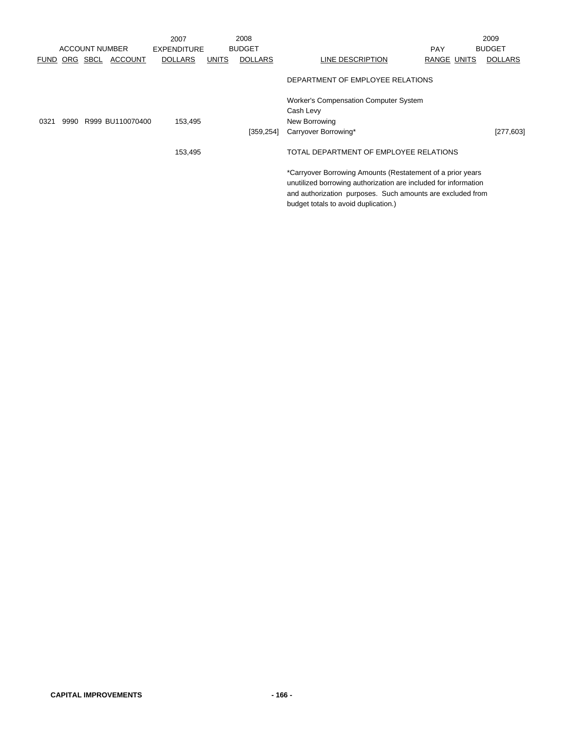|      |               |                       | 2007           |       | 2008           |                                                                                                                                                                                                                                     |             | 2009           |
|------|---------------|-----------------------|----------------|-------|----------------|-------------------------------------------------------------------------------------------------------------------------------------------------------------------------------------------------------------------------------------|-------------|----------------|
|      |               | <b>ACCOUNT NUMBER</b> | EXPENDITURE    |       | <b>BUDGET</b>  |                                                                                                                                                                                                                                     | <b>PAY</b>  | <b>BUDGET</b>  |
|      | FUND ORG SBCL | <b>ACCOUNT</b>        | <b>DOLLARS</b> | UNITS | <b>DOLLARS</b> | LINE DESCRIPTION                                                                                                                                                                                                                    | RANGE UNITS | <b>DOLLARS</b> |
|      |               |                       |                |       |                | DEPARTMENT OF EMPLOYEE RELATIONS                                                                                                                                                                                                    |             |                |
|      |               |                       |                |       |                | <b>Worker's Compensation Computer System</b>                                                                                                                                                                                        |             |                |
|      |               |                       |                |       |                | Cash Levy                                                                                                                                                                                                                           |             |                |
| 0321 |               | 9990 R999 BU110070400 | 153,495        |       |                | New Borrowing                                                                                                                                                                                                                       |             |                |
|      |               |                       |                |       | [359, 254]     | Carryover Borrowing*                                                                                                                                                                                                                |             | $[277, 603]$   |
|      |               |                       | 153,495        |       |                | TOTAL DEPARTMENT OF EMPLOYEE RELATIONS                                                                                                                                                                                              |             |                |
|      |               |                       |                |       |                | *Carryover Borrowing Amounts (Restatement of a prior years<br>unutilized borrowing authorization are included for information<br>and authorization purposes. Such amounts are excluded from<br>budget totals to avoid duplication.) |             |                |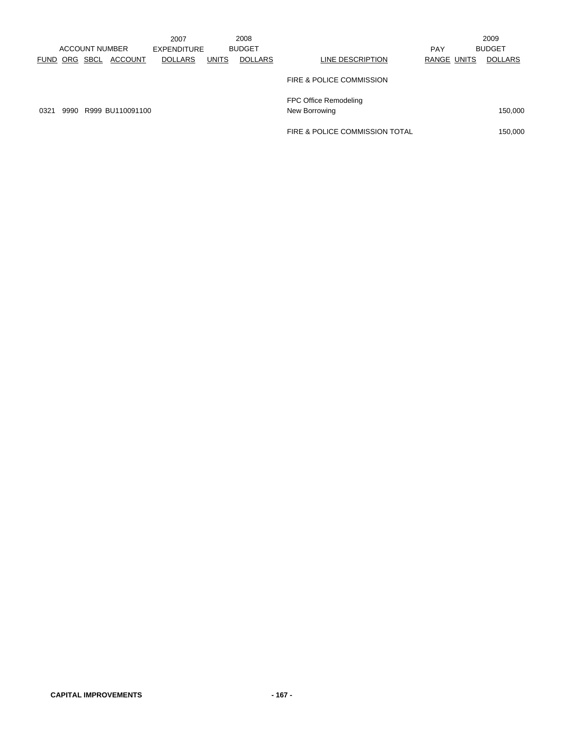|             |      |                       |                  | 2007               |              | 2008           |                                |             | 2009           |
|-------------|------|-----------------------|------------------|--------------------|--------------|----------------|--------------------------------|-------------|----------------|
|             |      | <b>ACCOUNT NUMBER</b> |                  | <b>EXPENDITURE</b> |              | <b>BUDGET</b>  |                                | <b>PAY</b>  | <b>BUDGET</b>  |
| <b>FUND</b> | ORG  | <b>SBCL</b>           | <b>ACCOUNT</b>   | <b>DOLLARS</b>     | <b>UNITS</b> | <b>DOLLARS</b> | LINE DESCRIPTION               | RANGE UNITS | <b>DOLLARS</b> |
|             |      |                       |                  |                    |              |                | FIRE & POLICE COMMISSION       |             |                |
|             |      |                       |                  |                    |              |                | FPC Office Remodeling          |             |                |
| 0321        | 9990 |                       | R999 BU110091100 |                    |              |                | New Borrowing                  |             | 150,000        |
|             |      |                       |                  |                    |              |                | FIRE & POLICE COMMISSION TOTAL |             | 150,000        |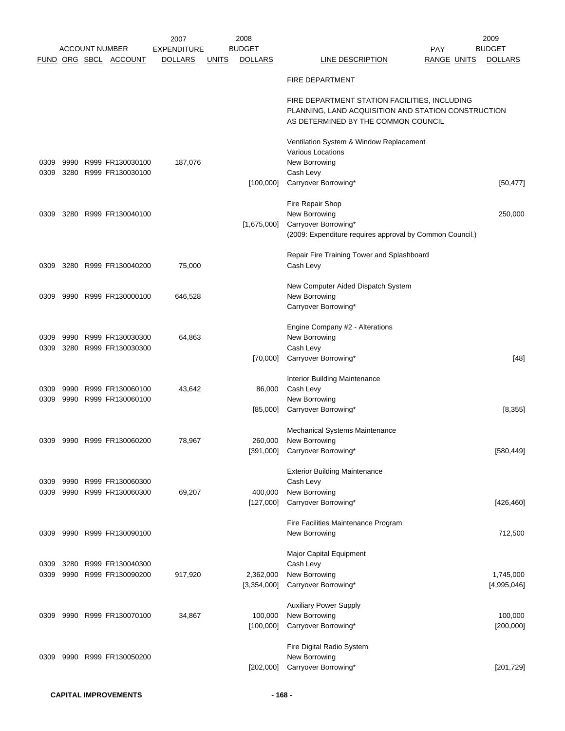|              |              |                                      | 2007               |              | 2008           |                                                                                                                                             | 2009           |
|--------------|--------------|--------------------------------------|--------------------|--------------|----------------|---------------------------------------------------------------------------------------------------------------------------------------------|----------------|
|              |              | <b>ACCOUNT NUMBER</b>                | <b>EXPENDITURE</b> |              | <b>BUDGET</b>  | <b>PAY</b>                                                                                                                                  | <b>BUDGET</b>  |
|              |              | FUND ORG SBCL ACCOUNT                | <b>DOLLARS</b>     | <u>UNITS</u> | <b>DOLLARS</b> | <b>LINE DESCRIPTION</b><br><b>RANGE UNITS</b>                                                                                               | <b>DOLLARS</b> |
|              |              |                                      |                    |              |                | <b>FIRE DEPARTMENT</b>                                                                                                                      |                |
|              |              |                                      |                    |              |                | FIRE DEPARTMENT STATION FACILITIES, INCLUDING<br>PLANNING, LAND ACQUISITION AND STATION CONSTRUCTION<br>AS DETERMINED BY THE COMMON COUNCIL |                |
|              |              |                                      |                    |              |                | Ventilation System & Window Replacement                                                                                                     |                |
| 0309         | 9990         | R999 FR130030100                     | 187,076            |              |                | Various Locations<br>New Borrowing                                                                                                          |                |
| 0309         |              | 3280 R999 FR130030100                |                    |              |                | Cash Levy                                                                                                                                   |                |
|              |              |                                      |                    |              | [100,000]      | Carryover Borrowing*                                                                                                                        | $[50, 477]$    |
|              |              |                                      |                    |              |                | Fire Repair Shop                                                                                                                            |                |
| 0309         |              | 3280 R999 FR130040100                |                    |              |                | New Borrowing                                                                                                                               | 250,000        |
|              |              |                                      |                    |              | [1,675,000]    | Carryover Borrowing*                                                                                                                        |                |
|              |              |                                      |                    |              |                | (2009: Expenditure requires approval by Common Council.)                                                                                    |                |
|              |              |                                      |                    |              |                | Repair Fire Training Tower and Splashboard                                                                                                  |                |
| 0309         |              | 3280 R999 FR130040200                | 75,000             |              |                | Cash Levy                                                                                                                                   |                |
|              |              |                                      |                    |              |                | New Computer Aided Dispatch System                                                                                                          |                |
| 0309         |              | 9990 R999 FR130000100                | 646,528            |              |                | New Borrowing                                                                                                                               |                |
|              |              |                                      |                    |              |                | Carryover Borrowing*                                                                                                                        |                |
|              |              |                                      |                    |              |                | Engine Company #2 - Alterations                                                                                                             |                |
| 0309         |              | 9990 R999 FR130030300                | 64,863             |              |                | New Borrowing                                                                                                                               |                |
| 0309         |              | 3280 R999 FR130030300                |                    |              | [70,000]       | Cash Levy<br>Carryover Borrowing*                                                                                                           | $[48]$         |
|              |              |                                      |                    |              |                |                                                                                                                                             |                |
|              |              |                                      |                    |              |                | Interior Building Maintenance                                                                                                               |                |
| 0309<br>0309 | 9990<br>9990 | R999 FR130060100<br>R999 FR130060100 | 43,642             |              | 86,000         | Cash Levy<br>New Borrowing                                                                                                                  |                |
|              |              |                                      |                    |              | [85,000]       | Carryover Borrowing*                                                                                                                        | [8, 355]       |
|              |              |                                      |                    |              |                |                                                                                                                                             |                |
| 0309         |              | 9990 R999 FR130060200                | 78,967             |              | 260,000        | Mechanical Systems Maintenance<br>New Borrowing                                                                                             |                |
|              |              |                                      |                    |              | [391,000]      | Carryover Borrowing*                                                                                                                        | [580, 449]     |
|              |              |                                      |                    |              |                |                                                                                                                                             |                |
|              |              | 9990 R999 FR130060300                |                    |              |                | <b>Exterior Building Maintenance</b><br>Cash Levy                                                                                           |                |
| 0309<br>0309 |              | 9990 R999 FR130060300                | 69,207             |              | 400,000        | New Borrowing                                                                                                                               |                |
|              |              |                                      |                    |              | [127,000]      | Carryover Borrowing*                                                                                                                        | [426, 460]     |
|              |              |                                      |                    |              |                | Fire Facilities Maintenance Program                                                                                                         |                |
| 0309         |              | 9990 R999 FR130090100                |                    |              |                | New Borrowing                                                                                                                               | 712,500        |
|              |              |                                      |                    |              |                | Major Capital Equipment                                                                                                                     |                |
| 0309         |              | 3280 R999 FR130040300                |                    |              |                | Cash Levy                                                                                                                                   |                |
| 0309         |              | 9990 R999 FR130090200                | 917,920            |              | 2,362,000      | New Borrowing                                                                                                                               | 1,745,000      |
|              |              |                                      |                    |              | [3,354,000]    | Carryover Borrowing*                                                                                                                        | [4,995,046]    |
|              |              |                                      |                    |              |                | <b>Auxiliary Power Supply</b>                                                                                                               |                |
| 0309         |              | 9990 R999 FR130070100                | 34,867             |              | 100,000        | New Borrowing                                                                                                                               | 100,000        |
|              |              |                                      |                    |              | [100,000]      | Carryover Borrowing*                                                                                                                        | [200,000]      |
|              |              |                                      |                    |              |                | Fire Digital Radio System                                                                                                                   |                |
| 0309         |              | 9990 R999 FR130050200                |                    |              |                | New Borrowing                                                                                                                               |                |
|              |              |                                      |                    |              | [202,000]      | Carryover Borrowing*                                                                                                                        | [201, 729]     |
|              |              |                                      |                    |              |                |                                                                                                                                             |                |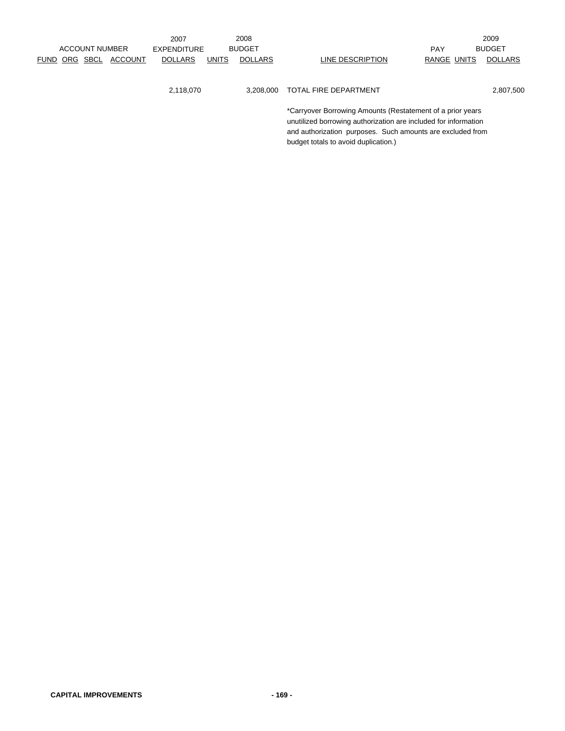|  |                       |                | 2007               |              | 2008           |                                                            |                    | 2009           |
|--|-----------------------|----------------|--------------------|--------------|----------------|------------------------------------------------------------|--------------------|----------------|
|  | <b>ACCOUNT NUMBER</b> |                | <b>EXPENDITURE</b> |              | <b>BUDGET</b>  |                                                            | <b>PAY</b>         | <b>BUDGET</b>  |
|  | FUND ORG SBCL         | <b>ACCOUNT</b> | <b>DOLLARS</b>     | <b>UNITS</b> | <b>DOLLARS</b> | LINE DESCRIPTION                                           | <b>RANGE UNITS</b> | <b>DOLLARS</b> |
|  |                       |                |                    |              |                |                                                            |                    |                |
|  |                       |                |                    |              |                |                                                            |                    |                |
|  |                       |                | 2,118,070          |              | 3.208.000      | TOTAL FIRE DEPARTMENT                                      |                    | 2,807,500      |
|  |                       |                |                    |              |                |                                                            |                    |                |
|  |                       |                |                    |              |                | *Carryover Borrowing Amounts (Restatement of a prior years |                    |                |

unutilized borrowing authorization are included for information and authorization purposes. Such amounts are excluded from

budget totals to avoid duplication.)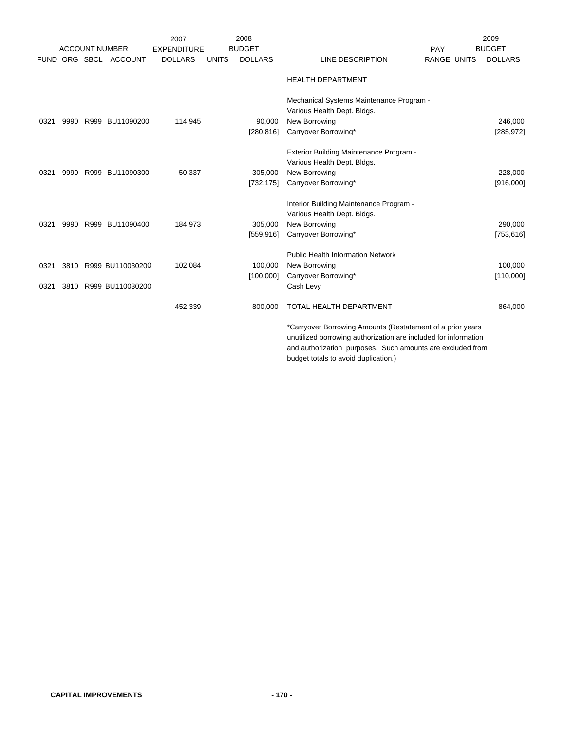|             |      |          |                       | 2007               |              | 2008           |                                                                 | 2009           |
|-------------|------|----------|-----------------------|--------------------|--------------|----------------|-----------------------------------------------------------------|----------------|
|             |      |          | <b>ACCOUNT NUMBER</b> | <b>EXPENDITURE</b> |              | <b>BUDGET</b>  | PAY                                                             | <b>BUDGET</b>  |
| <b>FUND</b> |      | ORG SBCL | <b>ACCOUNT</b>        | <b>DOLLARS</b>     | <b>UNITS</b> | <b>DOLLARS</b> | LINE DESCRIPTION<br>RANGE UNITS                                 | <b>DOLLARS</b> |
|             |      |          |                       |                    |              |                | <b>HEALTH DEPARTMENT</b>                                        |                |
|             |      |          |                       |                    |              |                | Mechanical Systems Maintenance Program -                        |                |
|             |      |          |                       |                    |              |                | Various Health Dept. Bldgs.                                     |                |
| 0321        | 9990 |          | R999 BU11090200       | 114,945            |              | 90,000         | New Borrowing                                                   | 246,000        |
|             |      |          |                       |                    |              | [280, 816]     | Carryover Borrowing*                                            | [285, 972]     |
|             |      |          |                       |                    |              |                |                                                                 |                |
|             |      |          |                       |                    |              |                | Exterior Building Maintenance Program -                         |                |
|             |      |          |                       |                    |              |                | Various Health Dept. Bldgs.                                     |                |
| 0321        | 9990 |          | R999 BU11090300       | 50,337             |              | 305,000        | New Borrowing                                                   | 228,000        |
|             |      |          |                       |                    |              | [732, 175]     | Carryover Borrowing*                                            | [916,000]      |
|             |      |          |                       |                    |              |                |                                                                 |                |
|             |      |          |                       |                    |              |                | Interior Building Maintenance Program -                         |                |
|             |      |          |                       |                    |              |                | Various Health Dept. Bldgs.                                     |                |
| 0321        | 9990 |          | R999 BU11090400       | 184,973            |              | 305,000        | New Borrowing                                                   | 290,000        |
|             |      |          |                       |                    |              | [559, 916]     | Carryover Borrowing*                                            | [753, 616]     |
|             |      |          |                       |                    |              |                | <b>Public Health Information Network</b>                        |                |
| 0321        | 3810 |          | R999 BU110030200      | 102,084            |              | 100,000        | New Borrowing                                                   | 100,000        |
|             |      |          |                       |                    |              | [100,000]      | Carryover Borrowing*                                            | [110,000]      |
| 0321        | 3810 |          | R999 BU110030200      |                    |              |                | Cash Levy                                                       |                |
|             |      |          |                       |                    |              |                |                                                                 |                |
|             |      |          |                       | 452,339            |              | 800,000        | <b>TOTAL HEALTH DEPARTMENT</b>                                  | 864,000        |
|             |      |          |                       |                    |              |                | *Carryover Borrowing Amounts (Restatement of a prior years      |                |
|             |      |          |                       |                    |              |                | unutilized borrowing authorization are included for information |                |

and authorization purposes. Such amounts are excluded from budget totals to avoid duplication.)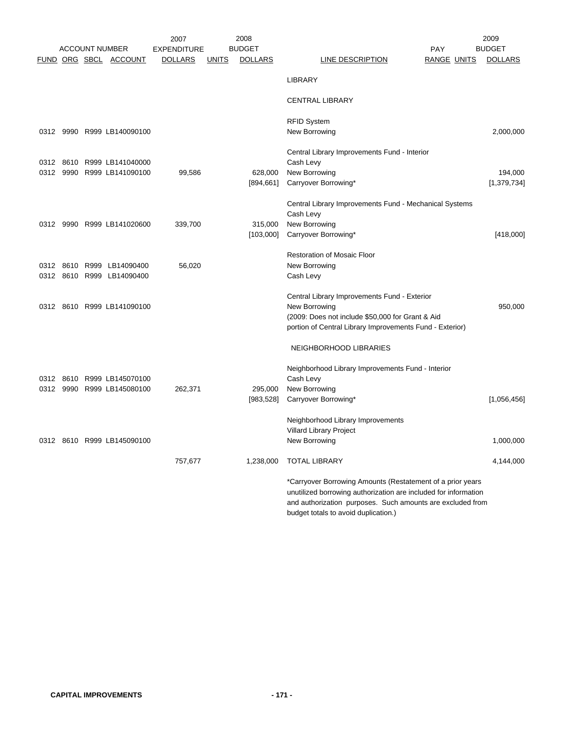|      | <b>ACCOUNT NUMBER</b> |                                                          | 2007<br><b>EXPENDITURE</b> |              | 2008<br><b>BUDGET</b> | <b>PAY</b>                                                                                                                                                                                  | 2009<br><b>BUDGET</b> |
|------|-----------------------|----------------------------------------------------------|----------------------------|--------------|-----------------------|---------------------------------------------------------------------------------------------------------------------------------------------------------------------------------------------|-----------------------|
|      |                       | FUND ORG SBCL ACCOUNT                                    | <b>DOLLARS</b>             | <u>UNITS</u> | <b>DOLLARS</b>        | <b>LINE DESCRIPTION</b><br>RANGE UNITS                                                                                                                                                      | <b>DOLLARS</b>        |
|      |                       |                                                          |                            |              |                       | <b>LIBRARY</b>                                                                                                                                                                              |                       |
|      |                       |                                                          |                            |              |                       | <b>CENTRAL LIBRARY</b>                                                                                                                                                                      |                       |
|      |                       |                                                          |                            |              |                       | <b>RFID System</b>                                                                                                                                                                          |                       |
|      |                       | 0312 9990 R999 LB140090100                               |                            |              |                       | New Borrowing                                                                                                                                                                               | 2,000,000             |
|      |                       | 0312 8610 R999 LB141040000                               |                            |              |                       | Central Library Improvements Fund - Interior<br>Cash Levy                                                                                                                                   |                       |
| 0312 |                       | 9990 R999 LB141090100                                    | 99,586                     |              | 628,000               | New Borrowing                                                                                                                                                                               | 194,000               |
|      |                       |                                                          |                            |              | [894, 661]            | Carryover Borrowing*                                                                                                                                                                        | [1,379,734]           |
|      |                       |                                                          |                            |              |                       | Central Library Improvements Fund - Mechanical Systems                                                                                                                                      |                       |
|      |                       | 0312 9990 R999 LB141020600                               | 339,700                    |              | 315,000               | Cash Levy<br>New Borrowing                                                                                                                                                                  |                       |
|      |                       |                                                          |                            |              | [103,000]             | Carryover Borrowing*                                                                                                                                                                        | [418,000]             |
|      |                       |                                                          |                            |              |                       | <b>Restoration of Mosaic Floor</b>                                                                                                                                                          |                       |
|      |                       | 0312 8610 R999 LB14090400                                | 56,020                     |              |                       | New Borrowing                                                                                                                                                                               |                       |
|      |                       | 0312 8610 R999 LB14090400                                |                            |              |                       | Cash Levy                                                                                                                                                                                   |                       |
|      |                       |                                                          |                            |              |                       | Central Library Improvements Fund - Exterior                                                                                                                                                |                       |
|      |                       | 0312 8610 R999 LB141090100                               |                            |              |                       | New Borrowing                                                                                                                                                                               | 950,000               |
|      |                       |                                                          |                            |              |                       | (2009: Does not include \$50,000 for Grant & Aid<br>portion of Central Library Improvements Fund - Exterior)                                                                                |                       |
|      |                       |                                                          |                            |              |                       | <b>NEIGHBORHOOD LIBRARIES</b>                                                                                                                                                               |                       |
|      |                       |                                                          |                            |              |                       | Neighborhood Library Improvements Fund - Interior                                                                                                                                           |                       |
|      |                       | 0312 8610 R999 LB145070100<br>0312 9990 R999 LB145080100 | 262,371                    |              | 295,000               | Cash Levy<br>New Borrowing                                                                                                                                                                  |                       |
|      |                       |                                                          |                            |              | [983, 528]            | Carryover Borrowing*                                                                                                                                                                        | [1,056,456]           |
|      |                       |                                                          |                            |              |                       | Neighborhood Library Improvements                                                                                                                                                           |                       |
|      |                       |                                                          |                            |              |                       | Villard Library Project                                                                                                                                                                     |                       |
|      |                       | 0312 8610 R999 LB145090100                               |                            |              |                       | New Borrowing                                                                                                                                                                               | 1.000.000             |
|      |                       |                                                          | 757,677                    |              | 1,238,000             | <b>TOTAL LIBRARY</b>                                                                                                                                                                        | 4,144,000             |
|      |                       |                                                          |                            |              |                       | *Carryover Borrowing Amounts (Restatement of a prior years<br>unutilized borrowing authorization are included for information<br>and authorization purposes. Such amounts are excluded from |                       |
|      |                       |                                                          |                            |              |                       | budget totals to avoid duplication.)                                                                                                                                                        |                       |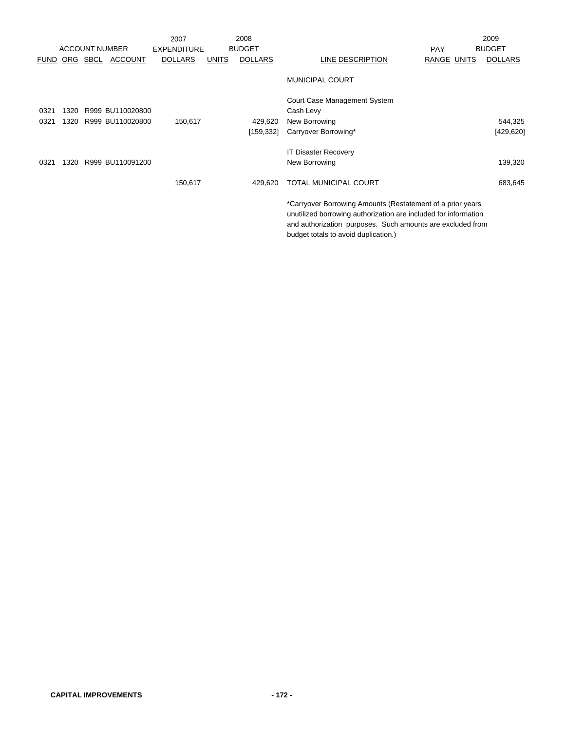|             |      |                       |                  | 2007               |       | 2008           |                                                                                                                                                                                                                                     | 2009           |
|-------------|------|-----------------------|------------------|--------------------|-------|----------------|-------------------------------------------------------------------------------------------------------------------------------------------------------------------------------------------------------------------------------------|----------------|
|             |      | <b>ACCOUNT NUMBER</b> |                  | <b>EXPENDITURE</b> |       | <b>BUDGET</b>  | <b>PAY</b>                                                                                                                                                                                                                          | <b>BUDGET</b>  |
| <b>FUND</b> |      | ORG SBCL              | <b>ACCOUNT</b>   | <b>DOLLARS</b>     | UNITS | <b>DOLLARS</b> | LINE DESCRIPTION<br>RANGE UNITS                                                                                                                                                                                                     | <b>DOLLARS</b> |
|             |      |                       |                  |                    |       |                | <b>MUNICIPAL COURT</b>                                                                                                                                                                                                              |                |
|             |      |                       |                  |                    |       |                | Court Case Management System                                                                                                                                                                                                        |                |
| 0321        | 1320 |                       | R999 BU110020800 |                    |       |                | Cash Levy                                                                                                                                                                                                                           |                |
| 0321        | 1320 |                       | R999 BU110020800 | 150,617            |       | 429,620        | New Borrowing                                                                                                                                                                                                                       | 544,325        |
|             |      |                       |                  |                    |       | [159, 332]     | Carryover Borrowing*                                                                                                                                                                                                                | [429, 620]     |
|             |      |                       |                  |                    |       |                | <b>IT Disaster Recovery</b>                                                                                                                                                                                                         |                |
| 0321        | 1320 |                       | R999 BU110091200 |                    |       |                | New Borrowing                                                                                                                                                                                                                       | 139,320        |
|             |      |                       |                  | 150,617            |       | 429,620        | <b>TOTAL MUNICIPAL COURT</b>                                                                                                                                                                                                        | 683,645        |
|             |      |                       |                  |                    |       |                | *Carryover Borrowing Amounts (Restatement of a prior years<br>unutilized borrowing authorization are included for information<br>and authorization purposes. Such amounts are excluded from<br>budget totals to avoid duplication.) |                |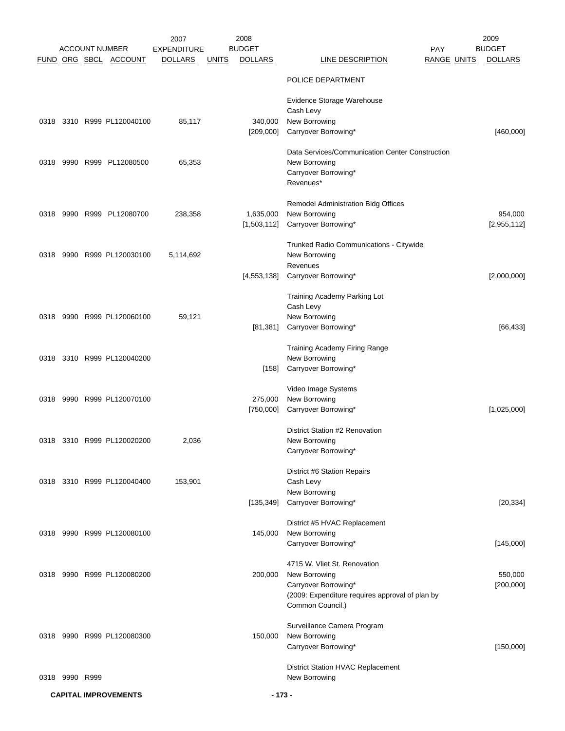|      |                |                                                | 2007                                 |              | 2008                            |                                                 |                                  | 2009                            |
|------|----------------|------------------------------------------------|--------------------------------------|--------------|---------------------------------|-------------------------------------------------|----------------------------------|---------------------------------|
|      |                | <b>ACCOUNT NUMBER</b><br>FUND ORG SBCL ACCOUNT | <b>EXPENDITURE</b><br><b>DOLLARS</b> | <u>UNITS</u> | <b>BUDGET</b><br><b>DOLLARS</b> | LINE DESCRIPTION                                | <b>PAY</b><br><b>RANGE UNITS</b> | <b>BUDGET</b><br><b>DOLLARS</b> |
|      |                |                                                |                                      |              |                                 |                                                 |                                  |                                 |
|      |                |                                                |                                      |              |                                 | POLICE DEPARTMENT                               |                                  |                                 |
|      |                |                                                |                                      |              |                                 | Evidence Storage Warehouse                      |                                  |                                 |
|      |                |                                                |                                      |              |                                 | Cash Levy                                       |                                  |                                 |
| 0318 |                | 3310 R999 PL120040100                          | 85,117                               |              | 340,000                         | New Borrowing                                   |                                  |                                 |
|      |                |                                                |                                      |              | [209,000]                       | Carryover Borrowing*                            |                                  | [460,000]                       |
|      |                |                                                |                                      |              |                                 | Data Services/Communication Center Construction |                                  |                                 |
| 0318 |                | 9990 R999 PL12080500                           | 65,353                               |              |                                 | New Borrowing                                   |                                  |                                 |
|      |                |                                                |                                      |              |                                 | Carryover Borrowing*<br>Revenues*               |                                  |                                 |
|      |                |                                                |                                      |              |                                 |                                                 |                                  |                                 |
|      |                |                                                |                                      |              |                                 | <b>Remodel Administration Bldg Offices</b>      |                                  |                                 |
| 0318 |                | 9990 R999 PL12080700                           | 238,358                              |              | 1,635,000                       | New Borrowing                                   |                                  | 954,000                         |
|      |                |                                                |                                      |              | [1,503,112]                     | Carryover Borrowing*                            |                                  | [2,955,112]                     |
|      |                |                                                |                                      |              |                                 | Trunked Radio Communications - Citywide         |                                  |                                 |
| 0318 |                | 9990 R999 PL120030100                          | 5,114,692                            |              |                                 | New Borrowing                                   |                                  |                                 |
|      |                |                                                |                                      |              |                                 | Revenues                                        |                                  |                                 |
|      |                |                                                |                                      |              | [4,553,138]                     | Carryover Borrowing*                            |                                  | [2,000,000]                     |
|      |                |                                                |                                      |              |                                 | Training Academy Parking Lot                    |                                  |                                 |
|      |                |                                                |                                      |              |                                 | Cash Levy                                       |                                  |                                 |
|      |                | 0318 9990 R999 PL120060100                     | 59,121                               |              |                                 | New Borrowing                                   |                                  |                                 |
|      |                |                                                |                                      |              | [81, 381]                       | Carryover Borrowing*                            |                                  | [66, 433]                       |
|      |                |                                                |                                      |              |                                 | Training Academy Firing Range                   |                                  |                                 |
| 0318 |                | 3310 R999 PL120040200                          |                                      |              |                                 | New Borrowing                                   |                                  |                                 |
|      |                |                                                |                                      |              | [158]                           | Carryover Borrowing*                            |                                  |                                 |
|      |                |                                                |                                      |              |                                 |                                                 |                                  |                                 |
| 0318 |                | 9990 R999 PL120070100                          |                                      |              | 275,000                         | Video Image Systems<br>New Borrowing            |                                  |                                 |
|      |                |                                                |                                      |              | [750,000]                       | Carryover Borrowing*                            |                                  | [1,025,000]                     |
|      |                |                                                |                                      |              |                                 |                                                 |                                  |                                 |
|      |                |                                                |                                      |              |                                 | District Station #2 Renovation                  |                                  |                                 |
|      |                | 0318 3310 R999 PL120020200                     | 2,036                                |              |                                 | New Borrowing<br>Carryover Borrowing*           |                                  |                                 |
|      |                |                                                |                                      |              |                                 |                                                 |                                  |                                 |
|      |                |                                                |                                      |              |                                 | District #6 Station Repairs                     |                                  |                                 |
|      |                | 0318 3310 R999 PL120040400                     | 153,901                              |              |                                 | Cash Levy                                       |                                  |                                 |
|      |                |                                                |                                      |              |                                 | New Borrowing                                   |                                  |                                 |
|      |                |                                                |                                      |              | [135, 349]                      | Carryover Borrowing*                            |                                  | [20, 334]                       |
|      |                |                                                |                                      |              |                                 | District #5 HVAC Replacement                    |                                  |                                 |
|      |                | 0318 9990 R999 PL120080100                     |                                      |              | 145,000                         | New Borrowing                                   |                                  |                                 |
|      |                |                                                |                                      |              |                                 | Carryover Borrowing*                            |                                  | [145,000]                       |
|      |                |                                                |                                      |              |                                 | 4715 W. Vliet St. Renovation                    |                                  |                                 |
| 0318 |                | 9990 R999 PL120080200                          |                                      |              | 200,000                         | New Borrowing                                   |                                  | 550,000                         |
|      |                |                                                |                                      |              |                                 | Carryover Borrowing*                            |                                  | [200,000]                       |
|      |                |                                                |                                      |              |                                 | (2009: Expenditure requires approval of plan by |                                  |                                 |
|      |                |                                                |                                      |              |                                 | Common Council.)                                |                                  |                                 |
|      |                |                                                |                                      |              |                                 | Surveillance Camera Program                     |                                  |                                 |
|      |                | 0318 9990 R999 PL120080300                     |                                      |              | 150,000                         | New Borrowing                                   |                                  |                                 |
|      |                |                                                |                                      |              |                                 | Carryover Borrowing*                            |                                  | [150,000]                       |
|      |                |                                                |                                      |              |                                 | District Station HVAC Replacement               |                                  |                                 |
|      | 0318 9990 R999 |                                                |                                      |              |                                 | New Borrowing                                   |                                  |                                 |
|      |                | <b>CAPITAL IMPROVEMENTS</b>                    |                                      |              | $-173-$                         |                                                 |                                  |                                 |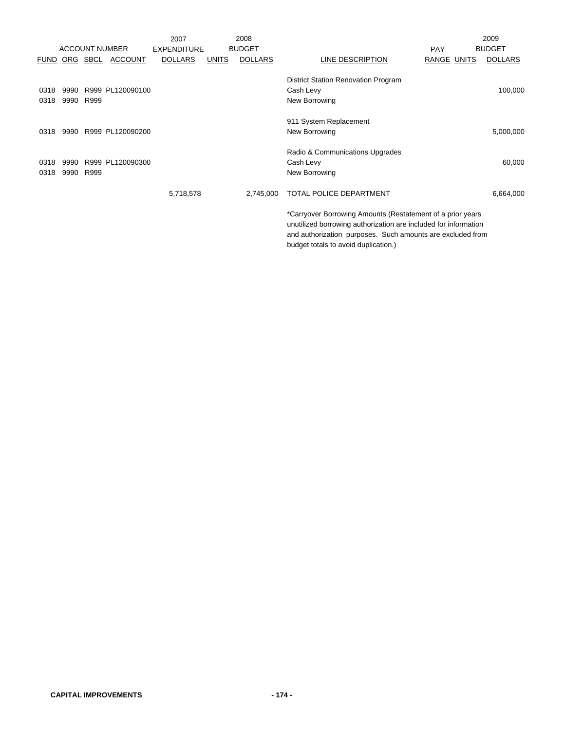|      |           |               |                       | 2007               |              | 2008           |                                                                                                                               | 2009           |
|------|-----------|---------------|-----------------------|--------------------|--------------|----------------|-------------------------------------------------------------------------------------------------------------------------------|----------------|
|      |           |               | <b>ACCOUNT NUMBER</b> | <b>EXPENDITURE</b> |              | <b>BUDGET</b>  | <b>PAY</b>                                                                                                                    | <b>BUDGET</b>  |
|      |           | FUND ORG SBCL | <b>ACCOUNT</b>        | <b>DOLLARS</b>     | <b>UNITS</b> | <b>DOLLARS</b> | LINE DESCRIPTION<br>RANGE UNITS                                                                                               | <b>DOLLARS</b> |
|      |           |               |                       |                    |              |                | <b>District Station Renovation Program</b>                                                                                    |                |
| 0318 | 9990      |               | R999 PL120090100      |                    |              |                | Cash Levy                                                                                                                     | 100,000        |
| 0318 | 9990 R999 |               |                       |                    |              |                | New Borrowing                                                                                                                 |                |
|      |           |               |                       |                    |              |                | 911 System Replacement                                                                                                        |                |
| 0318 |           |               | 9990 R999 PL120090200 |                    |              |                | New Borrowing                                                                                                                 | 5,000,000      |
|      |           |               |                       |                    |              |                | Radio & Communications Upgrades                                                                                               |                |
| 0318 | 9990      |               | R999 PL120090300      |                    |              |                | Cash Levy                                                                                                                     | 60,000         |
| 0318 | 9990      | R999          |                       |                    |              |                | New Borrowing                                                                                                                 |                |
|      |           |               |                       | 5,718,578          |              | 2,745,000      | <b>TOTAL POLICE DEPARTMENT</b>                                                                                                | 6,664,000      |
|      |           |               |                       |                    |              |                | *Carryover Borrowing Amounts (Restatement of a prior years<br>unutilized borrowing authorization are included for information |                |

and authorization purposes. Such amounts are excluded from budget totals to avoid duplication.)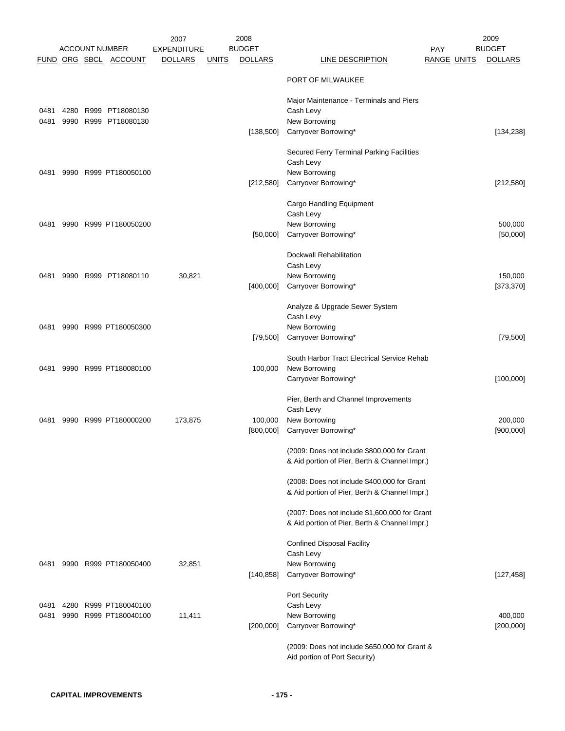|              |      | <b>ACCOUNT NUMBER</b>              | 2007<br><b>EXPENDITURE</b> |              | 2008<br><b>BUDGET</b> |                                                                                                | <b>PAY</b>         | 2009<br><b>BUDGET</b> |
|--------------|------|------------------------------------|----------------------------|--------------|-----------------------|------------------------------------------------------------------------------------------------|--------------------|-----------------------|
|              |      | FUND ORG SBCL ACCOUNT              | <b>DOLLARS</b>             | <b>UNITS</b> | <b>DOLLARS</b>        | <b>LINE DESCRIPTION</b>                                                                        | <b>RANGE UNITS</b> | <b>DOLLARS</b>        |
|              |      |                                    |                            |              |                       | PORT OF MILWAUKEE                                                                              |                    |                       |
|              | 4280 |                                    |                            |              |                       | Major Maintenance - Terminals and Piers                                                        |                    |                       |
| 0481<br>0481 | 9990 | R999 PT18080130<br>R999 PT18080130 |                            |              |                       | Cash Levy<br>New Borrowing                                                                     |                    |                       |
|              |      |                                    |                            |              | [138,500]             | Carryover Borrowing*                                                                           |                    | [134, 238]            |
|              |      |                                    |                            |              |                       | Secured Ferry Terminal Parking Facilities<br>Cash Levy                                         |                    |                       |
| 0481         |      | 9990 R999 PT180050100              |                            |              |                       | New Borrowing                                                                                  |                    |                       |
|              |      |                                    |                            |              | [212,580]             | Carryover Borrowing*                                                                           |                    | [212,580]             |
|              |      |                                    |                            |              |                       | Cargo Handling Equipment                                                                       |                    |                       |
| 0481         |      | 9990 R999 PT180050200              |                            |              |                       | Cash Levy<br>New Borrowing                                                                     |                    | 500,000               |
|              |      |                                    |                            |              | [50,000]              | Carryover Borrowing*                                                                           |                    | [50,000]              |
|              |      |                                    |                            |              |                       | Dockwall Rehabilitation                                                                        |                    |                       |
|              |      |                                    |                            |              |                       | Cash Levy                                                                                      |                    |                       |
| 0481         | 9990 | R999 PT18080110                    | 30,821                     |              | [400,000]             | New Borrowing<br>Carryover Borrowing*                                                          |                    | 150,000<br>[373, 370] |
|              |      |                                    |                            |              |                       |                                                                                                |                    |                       |
|              |      |                                    |                            |              |                       | Analyze & Upgrade Sewer System<br>Cash Levy                                                    |                    |                       |
| 0481         |      | 9990 R999 PT180050300              |                            |              |                       | New Borrowing                                                                                  |                    |                       |
|              |      |                                    |                            |              | [79, 500]             | Carryover Borrowing*                                                                           |                    | [79, 500]             |
|              |      |                                    |                            |              |                       | South Harbor Tract Electrical Service Rehab                                                    |                    |                       |
| 0481         |      | 9990 R999 PT180080100              |                            |              | 100,000               | New Borrowing                                                                                  |                    |                       |
|              |      |                                    |                            |              |                       | Carryover Borrowing*                                                                           |                    | [100,000]             |
|              |      |                                    |                            |              |                       | Pier, Berth and Channel Improvements<br>Cash Levy                                              |                    |                       |
| 0481         | 9990 | R999 PT180000200                   | 173,875                    |              | 100,000               | New Borrowing                                                                                  |                    | 200,000               |
|              |      |                                    |                            |              | [800,000]             | Carryover Borrowing*                                                                           |                    | [900,000]             |
|              |      |                                    |                            |              |                       | (2009: Does not include \$800,000 for Grant                                                    |                    |                       |
|              |      |                                    |                            |              |                       | & Aid portion of Pier, Berth & Channel Impr.)                                                  |                    |                       |
|              |      |                                    |                            |              |                       | (2008: Does not include \$400,000 for Grant                                                    |                    |                       |
|              |      |                                    |                            |              |                       | & Aid portion of Pier, Berth & Channel Impr.)                                                  |                    |                       |
|              |      |                                    |                            |              |                       | (2007: Does not include \$1,600,000 for Grant<br>& Aid portion of Pier, Berth & Channel Impr.) |                    |                       |
|              |      |                                    |                            |              |                       | <b>Confined Disposal Facility</b>                                                              |                    |                       |
|              |      |                                    |                            |              |                       | Cash Levy                                                                                      |                    |                       |
| 0481         |      | 9990 R999 PT180050400              | 32,851                     |              |                       | New Borrowing                                                                                  |                    |                       |
|              |      |                                    |                            |              | [140, 858]            | Carryover Borrowing*                                                                           |                    | [127, 458]            |
| 0481         | 4280 | R999 PT180040100                   |                            |              |                       | Port Security<br>Cash Levy                                                                     |                    |                       |
| 0481         | 9990 | R999 PT180040100                   | 11,411                     |              |                       | New Borrowing                                                                                  |                    | 400,000               |
|              |      |                                    |                            |              | [200,000]             | Carryover Borrowing*                                                                           |                    | [200, 000]            |
|              |      |                                    |                            |              |                       | (2009: Does not include \$650,000 for Grant &<br>Aid portion of Port Security)                 |                    |                       |
|              |      |                                    |                            |              |                       |                                                                                                |                    |                       |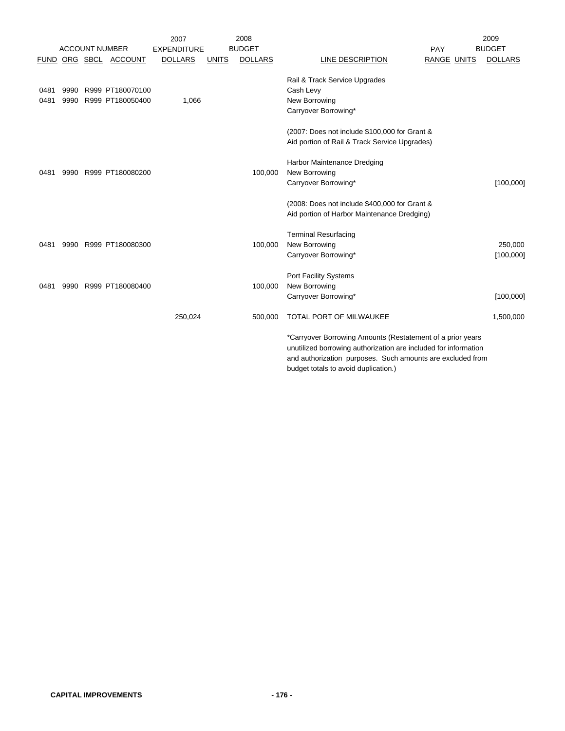|              |              |                                      | 2007               |              | 2008           |                                                                                                                                                                                                                                     | 2009           |
|--------------|--------------|--------------------------------------|--------------------|--------------|----------------|-------------------------------------------------------------------------------------------------------------------------------------------------------------------------------------------------------------------------------------|----------------|
|              |              | <b>ACCOUNT NUMBER</b>                | <b>EXPENDITURE</b> |              | <b>BUDGET</b>  | <b>PAY</b>                                                                                                                                                                                                                          | <b>BUDGET</b>  |
| <b>FUND</b>  |              | ORG SBCL ACCOUNT                     | <b>DOLLARS</b>     | <b>UNITS</b> | <b>DOLLARS</b> | LINE DESCRIPTION<br>RANGE UNITS                                                                                                                                                                                                     | <b>DOLLARS</b> |
| 0481<br>0481 | 9990<br>9990 | R999 PT180070100<br>R999 PT180050400 | 1,066              |              |                | Rail & Track Service Upgrades<br>Cash Levy<br>New Borrowing                                                                                                                                                                         |                |
|              |              |                                      |                    |              |                | Carryover Borrowing*                                                                                                                                                                                                                |                |
|              |              |                                      |                    |              |                | (2007: Does not include \$100,000 for Grant &<br>Aid portion of Rail & Track Service Upgrades)                                                                                                                                      |                |
|              |              |                                      |                    |              |                | Harbor Maintenance Dredging                                                                                                                                                                                                         |                |
| 0481         |              | 9990 R999 PT180080200                |                    |              | 100,000        | New Borrowing                                                                                                                                                                                                                       |                |
|              |              |                                      |                    |              |                | Carryover Borrowing*                                                                                                                                                                                                                | [100,000]      |
|              |              |                                      |                    |              |                | (2008: Does not include \$400,000 for Grant &<br>Aid portion of Harbor Maintenance Dredging)                                                                                                                                        |                |
|              |              |                                      |                    |              |                | <b>Terminal Resurfacing</b>                                                                                                                                                                                                         |                |
| 0481         |              | 9990 R999 PT180080300                |                    |              | 100,000        | New Borrowing                                                                                                                                                                                                                       | 250,000        |
|              |              |                                      |                    |              |                | Carryover Borrowing*                                                                                                                                                                                                                | [100,000]      |
| 0481         |              | 9990 R999 PT180080400                |                    |              | 100,000        | Port Facility Systems<br>New Borrowing<br>Carryover Borrowing*                                                                                                                                                                      | [100,000]      |
|              |              |                                      |                    |              |                |                                                                                                                                                                                                                                     |                |
|              |              |                                      | 250,024            |              | 500,000        | TOTAL PORT OF MILWAUKEE                                                                                                                                                                                                             | 1,500,000      |
|              |              |                                      |                    |              |                | *Carryover Borrowing Amounts (Restatement of a prior years<br>unutilized borrowing authorization are included for information<br>and authorization purposes. Such amounts are excluded from<br>budget totals to avoid duplication.) |                |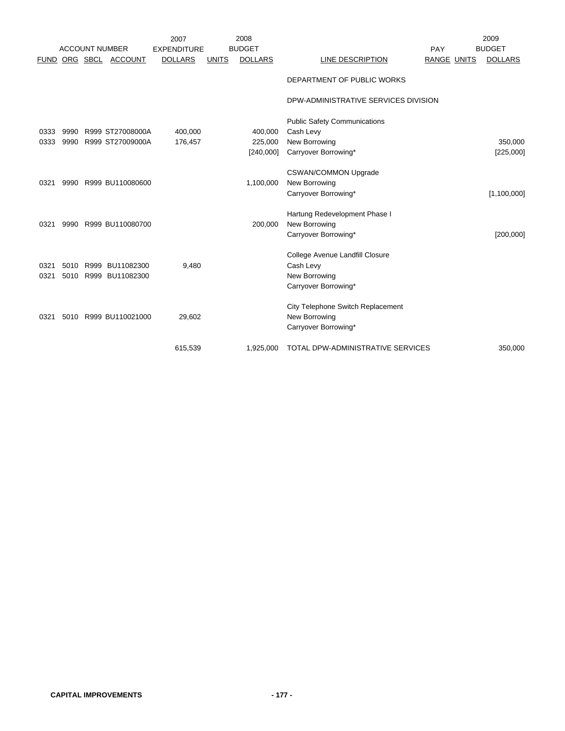|             |      |      |                       | 2007               |              | 2008           |                                      |                    | 2009           |
|-------------|------|------|-----------------------|--------------------|--------------|----------------|--------------------------------------|--------------------|----------------|
|             |      |      | <b>ACCOUNT NUMBER</b> | <b>EXPENDITURE</b> |              | <b>BUDGET</b>  |                                      | PAY                | <b>BUDGET</b>  |
| <b>FUND</b> |      |      | ORG SBCL ACCOUNT      | <b>DOLLARS</b>     | <b>UNITS</b> | <b>DOLLARS</b> | LINE DESCRIPTION                     | <b>RANGE UNITS</b> | <b>DOLLARS</b> |
|             |      |      |                       |                    |              |                |                                      |                    |                |
|             |      |      |                       |                    |              |                | DEPARTMENT OF PUBLIC WORKS           |                    |                |
|             |      |      |                       |                    |              |                | DPW-ADMINISTRATIVE SERVICES DIVISION |                    |                |
|             |      |      |                       |                    |              |                | <b>Public Safety Communications</b>  |                    |                |
| 0333        | 9990 |      | R999 ST27008000A      | 400,000            |              | 400,000        | Cash Levy                            |                    |                |
| 0333        | 9990 |      | R999 ST27009000A      | 176,457            |              | 225,000        | New Borrowing                        |                    | 350,000        |
|             |      |      |                       |                    |              | [240,000]      | Carryover Borrowing*                 |                    | [225,000]      |
|             |      |      |                       |                    |              |                |                                      |                    |                |
|             |      |      |                       |                    |              |                | <b>CSWAN/COMMON Upgrade</b>          |                    |                |
| 0321        | 9990 |      | R999 BU110080600      |                    |              | 1,100,000      | New Borrowing                        |                    |                |
|             |      |      |                       |                    |              |                | Carryover Borrowing*                 |                    | [1,100,000]    |
|             |      |      |                       |                    |              |                |                                      |                    |                |
|             |      |      |                       |                    |              |                | Hartung Redevelopment Phase I        |                    |                |
| 0321        | 9990 |      | R999 BU110080700      |                    |              | 200,000        | New Borrowing                        |                    |                |
|             |      |      |                       |                    |              |                | Carryover Borrowing*                 |                    | [200,000]      |
|             |      |      |                       |                    |              |                | College Avenue Landfill Closure      |                    |                |
| 0321        | 5010 | R999 | BU11082300            | 9,480              |              |                | Cash Levy                            |                    |                |
| 0321        | 5010 |      | R999 BU11082300       |                    |              |                | New Borrowing                        |                    |                |
|             |      |      |                       |                    |              |                | Carryover Borrowing*                 |                    |                |
|             |      |      |                       |                    |              |                |                                      |                    |                |
|             |      |      |                       |                    |              |                | City Telephone Switch Replacement    |                    |                |
| 0321        | 5010 |      | R999 BU110021000      | 29,602             |              |                | New Borrowing                        |                    |                |
|             |      |      |                       |                    |              |                | Carryover Borrowing*                 |                    |                |
|             |      |      |                       | 615,539            |              | 1,925,000      | TOTAL DPW-ADMINISTRATIVE SERVICES    |                    | 350,000        |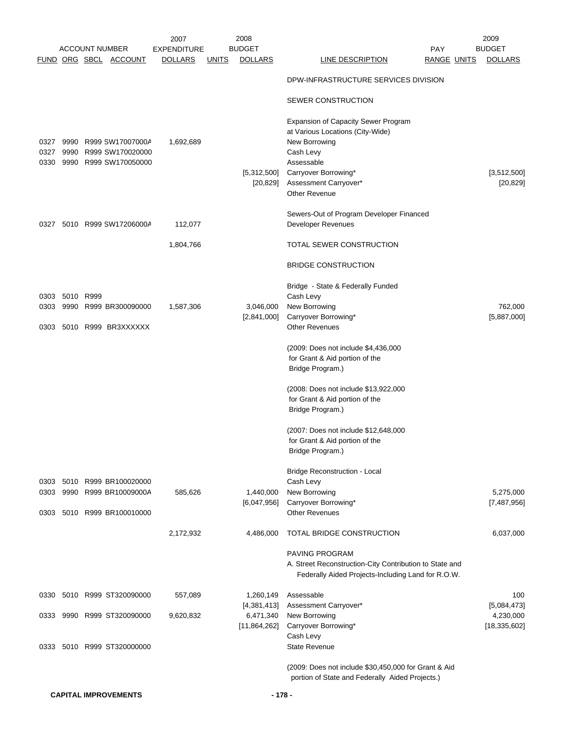|              |           |                       |                                           | 2007                          |              | 2008                            |                                                                         |                    | 2009                            |
|--------------|-----------|-----------------------|-------------------------------------------|-------------------------------|--------------|---------------------------------|-------------------------------------------------------------------------|--------------------|---------------------------------|
|              |           | <b>ACCOUNT NUMBER</b> | FUND ORG SBCL ACCOUNT                     | EXPENDITURE<br><b>DOLLARS</b> | <b>UNITS</b> | <b>BUDGET</b><br><b>DOLLARS</b> | <b>PAY</b><br>LINE DESCRIPTION                                          | <b>RANGE UNITS</b> | <b>BUDGET</b><br><b>DOLLARS</b> |
|              |           |                       |                                           |                               |              |                                 | DPW-INFRASTRUCTURE SERVICES DIVISION                                    |                    |                                 |
|              |           |                       |                                           |                               |              |                                 | SEWER CONSTRUCTION                                                      |                    |                                 |
|              |           |                       |                                           |                               |              |                                 |                                                                         |                    |                                 |
|              |           |                       |                                           |                               |              |                                 | Expansion of Capacity Sewer Program<br>at Various Locations (City-Wide) |                    |                                 |
| 0327<br>0327 | 9990      |                       | 9990 R999 SW17007000A<br>R999 SW170020000 | 1,692,689                     |              |                                 | New Borrowing<br>Cash Levy                                              |                    |                                 |
| 0330         |           |                       | 9990 R999 SW170050000                     |                               |              |                                 | Assessable                                                              |                    |                                 |
|              |           |                       |                                           |                               |              | [5,312,500]                     | Carryover Borrowing*                                                    |                    | [3,512,500]                     |
|              |           |                       |                                           |                               |              | $[20, 829]$                     | Assessment Carryover*<br><b>Other Revenue</b>                           |                    | [20, 829]                       |
|              |           |                       |                                           |                               |              |                                 |                                                                         |                    |                                 |
|              |           |                       |                                           |                               |              |                                 | Sewers-Out of Program Developer Financed                                |                    |                                 |
| 0327         |           |                       | 5010 R999 SW17206000A                     | 112,077                       |              |                                 | Developer Revenues                                                      |                    |                                 |
|              |           |                       |                                           | 1,804,766                     |              |                                 | TOTAL SEWER CONSTRUCTION                                                |                    |                                 |
|              |           |                       |                                           |                               |              |                                 | <b>BRIDGE CONSTRUCTION</b>                                              |                    |                                 |
|              |           |                       |                                           |                               |              |                                 | Bridge - State & Federally Funded                                       |                    |                                 |
| 0303         | 5010 R999 |                       |                                           |                               |              |                                 | Cash Levy                                                               |                    |                                 |
| 0303         | 9990      |                       | R999 BR300090000                          | 1,587,306                     |              | 3,046,000<br>[2,841,000]        | New Borrowing<br>Carryover Borrowing*                                   |                    | 762,000<br>[5,887,000]          |
| 0303         |           |                       | 5010 R999 BR3XXXXXX                       |                               |              |                                 | <b>Other Revenues</b>                                                   |                    |                                 |
|              |           |                       |                                           |                               |              |                                 | (2009: Does not include \$4,436,000                                     |                    |                                 |
|              |           |                       |                                           |                               |              |                                 | for Grant & Aid portion of the                                          |                    |                                 |
|              |           |                       |                                           |                               |              |                                 | Bridge Program.)                                                        |                    |                                 |
|              |           |                       |                                           |                               |              |                                 | (2008: Does not include \$13,922,000                                    |                    |                                 |
|              |           |                       |                                           |                               |              |                                 | for Grant & Aid portion of the                                          |                    |                                 |
|              |           |                       |                                           |                               |              |                                 | Bridge Program.)                                                        |                    |                                 |
|              |           |                       |                                           |                               |              |                                 | (2007: Does not include \$12,648,000                                    |                    |                                 |
|              |           |                       |                                           |                               |              |                                 | for Grant & Aid portion of the<br>Bridge Program.)                      |                    |                                 |
|              |           |                       |                                           |                               |              |                                 |                                                                         |                    |                                 |
|              |           |                       | 5010 R999 BR100020000                     |                               |              |                                 | <b>Bridge Reconstruction - Local</b><br>Cash Levy                       |                    |                                 |
| 0303<br>0303 | 9990      |                       | R999 BR10009000A                          | 585,626                       |              | 1,440,000                       | New Borrowing                                                           |                    | 5,275,000                       |
|              |           |                       |                                           |                               |              | [6,047,956]                     | Carryover Borrowing*                                                    |                    | [7,487,956]                     |
| 0303         |           |                       | 5010 R999 BR100010000                     |                               |              |                                 | <b>Other Revenues</b>                                                   |                    |                                 |
|              |           |                       |                                           | 2,172,932                     |              | 4,486,000                       | TOTAL BRIDGE CONSTRUCTION                                               |                    | 6,037,000                       |
|              |           |                       |                                           |                               |              |                                 | <b>PAVING PROGRAM</b>                                                   |                    |                                 |
|              |           |                       |                                           |                               |              |                                 | A. Street Reconstruction-City Contribution to State and                 |                    |                                 |
|              |           |                       |                                           |                               |              |                                 | Federally Aided Projects-Including Land for R.O.W.                      |                    |                                 |
| 0330         |           |                       | 5010 R999 ST320090000                     | 557,089                       |              | 1,260,149                       | Assessable                                                              |                    | 100                             |
| 0333         |           |                       | 9990 R999 ST320090000                     | 9,620,832                     |              | [4,381,413]<br>6,471,340        | Assessment Carryover*<br>New Borrowing                                  |                    | [5,084,473]<br>4,230,000        |
|              |           |                       |                                           |                               |              | [11,864,262]                    | Carryover Borrowing*                                                    |                    | [18, 335, 602]                  |
|              |           |                       |                                           |                               |              |                                 | Cash Levy                                                               |                    |                                 |
| 0333         |           |                       | 5010 R999 ST320000000                     |                               |              |                                 | <b>State Revenue</b>                                                    |                    |                                 |
|              |           |                       |                                           |                               |              |                                 | (2009: Does not include \$30,450,000 for Grant & Aid                    |                    |                                 |
|              |           |                       |                                           |                               |              |                                 | portion of State and Federally Aided Projects.)                         |                    |                                 |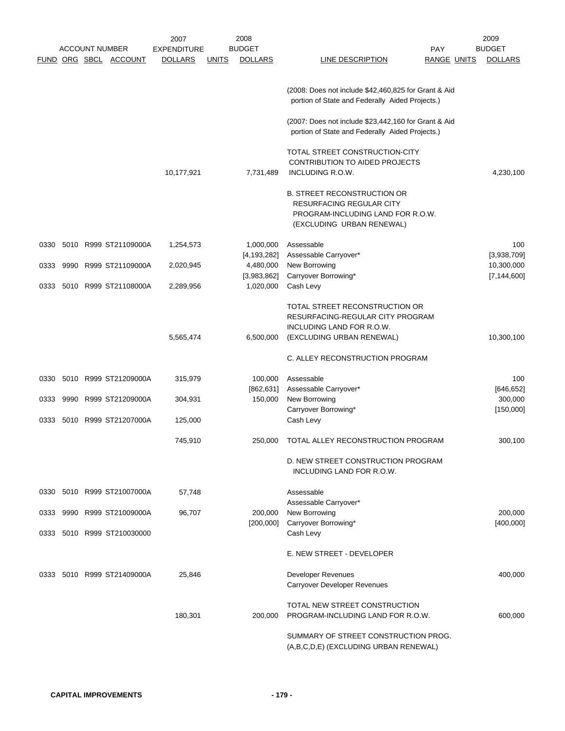|      |      |                       |                            | 2007               |              | 2008           |                                                                                                         |                    | 2009           |
|------|------|-----------------------|----------------------------|--------------------|--------------|----------------|---------------------------------------------------------------------------------------------------------|--------------------|----------------|
|      |      | <b>ACCOUNT NUMBER</b> |                            | <b>EXPENDITURE</b> |              | <b>BUDGET</b>  |                                                                                                         | <b>PAY</b>         | <b>BUDGET</b>  |
|      |      |                       | FUND ORG SBCL ACCOUNT      | <b>DOLLARS</b>     | <u>UNITS</u> | <b>DOLLARS</b> | LINE DESCRIPTION                                                                                        | <b>RANGE UNITS</b> | <b>DOLLARS</b> |
|      |      |                       |                            |                    |              |                |                                                                                                         |                    |                |
|      |      |                       |                            |                    |              |                |                                                                                                         |                    |                |
|      |      |                       |                            |                    |              |                | (2008: Does not include \$42,460,825 for Grant & Aid                                                    |                    |                |
|      |      |                       |                            |                    |              |                | portion of State and Federally Aided Projects.)                                                         |                    |                |
|      |      |                       |                            |                    |              |                |                                                                                                         |                    |                |
|      |      |                       |                            |                    |              |                | (2007: Does not include \$23,442,160 for Grant & Aid<br>portion of State and Federally Aided Projects.) |                    |                |
|      |      |                       |                            |                    |              |                |                                                                                                         |                    |                |
|      |      |                       |                            |                    |              |                | TOTAL STREET CONSTRUCTION-CITY                                                                          |                    |                |
|      |      |                       |                            |                    |              |                | CONTRIBUTION TO AIDED PROJECTS                                                                          |                    |                |
|      |      |                       |                            | 10,177,921         |              | 7,731,489      | INCLUDING R.O.W.                                                                                        |                    | 4,230,100      |
|      |      |                       |                            |                    |              |                |                                                                                                         |                    |                |
|      |      |                       |                            |                    |              |                | <b>B. STREET RECONSTRUCTION OR</b>                                                                      |                    |                |
|      |      |                       |                            |                    |              |                | <b>RESURFACING REGULAR CITY</b>                                                                         |                    |                |
|      |      |                       |                            |                    |              |                | PROGRAM-INCLUDING LAND FOR R.O.W.                                                                       |                    |                |
|      |      |                       |                            |                    |              |                | (EXCLUDING URBAN RENEWAL)                                                                               |                    |                |
|      |      |                       |                            |                    |              |                |                                                                                                         |                    |                |
| 0330 |      |                       | 5010 R999 ST21109000A      | 1,254,573          |              | 1,000,000      | Assessable                                                                                              |                    | 100            |
|      |      |                       |                            |                    |              | [4, 193, 282]  | Assessable Carryover*                                                                                   |                    | [3,938,709]    |
| 0333 | 9990 |                       | R999 ST21109000A           | 2,020,945          |              | 4,480,000      | New Borrowing                                                                                           |                    | 10,300,000     |
|      |      |                       |                            |                    |              | [3,983,862]    | Carryover Borrowing*                                                                                    |                    | [7, 144, 600]  |
| 0333 |      |                       | 5010 R999 ST21108000A      | 2,289,956          |              | 1,020,000      | Cash Levy                                                                                               |                    |                |
|      |      |                       |                            |                    |              |                |                                                                                                         |                    |                |
|      |      |                       |                            |                    |              |                | TOTAL STREET RECONSTRUCTION OR                                                                          |                    |                |
|      |      |                       |                            |                    |              |                | RESURFACING-REGULAR CITY PROGRAM                                                                        |                    |                |
|      |      |                       |                            |                    |              |                | INCLUDING LAND FOR R.O.W.                                                                               |                    |                |
|      |      |                       |                            | 5,565,474          |              | 6,500,000      | (EXCLUDING URBAN RENEWAL)                                                                               |                    | 10,300,100     |
|      |      |                       |                            |                    |              |                |                                                                                                         |                    |                |
|      |      |                       |                            |                    |              |                | C. ALLEY RECONSTRUCTION PROGRAM                                                                         |                    |                |
|      |      |                       |                            |                    |              |                |                                                                                                         |                    |                |
| 0330 |      |                       | 5010 R999 ST21209000A      | 315,979            |              | 100,000        | Assessable                                                                                              |                    | 100            |
|      |      |                       |                            |                    |              | [862, 631]     | Assessable Carryover*                                                                                   |                    | [646, 652]     |
| 0333 | 9990 |                       | R999 ST21209000A           | 304,931            |              | 150,000        | New Borrowing                                                                                           |                    | 300,000        |
|      |      |                       |                            |                    |              |                | Carryover Borrowing*                                                                                    |                    | [150,000]      |
| 0333 |      |                       | 5010 R999 ST21207000A      | 125,000            |              |                | Cash Levy                                                                                               |                    |                |
|      |      |                       |                            |                    |              |                |                                                                                                         |                    |                |
|      |      |                       |                            | 745,910            |              | 250,000        | TOTAL ALLEY RECONSTRUCTION PROGRAM                                                                      |                    | 300,100        |
|      |      |                       |                            |                    |              |                |                                                                                                         |                    |                |
|      |      |                       |                            |                    |              |                | D. NEW STREET CONSTRUCTION PROGRAM                                                                      |                    |                |
|      |      |                       |                            |                    |              |                | INCLUDING LAND FOR R.O.W.                                                                               |                    |                |
|      |      |                       |                            |                    |              |                | Assessable                                                                                              |                    |                |
|      |      |                       | 0330 5010 R999 ST21007000A | 57,748             |              |                |                                                                                                         |                    |                |
| 0333 |      |                       | 9990 R999 ST21009000A      | 96,707             |              | 200,000        | Assessable Carryover*<br>New Borrowing                                                                  |                    | 200,000        |
|      |      |                       |                            |                    |              | [200,000]      | Carryover Borrowing*                                                                                    |                    | [400,000]      |
|      |      |                       | 0333 5010 R999 ST210030000 |                    |              |                | Cash Levy                                                                                               |                    |                |
|      |      |                       |                            |                    |              |                |                                                                                                         |                    |                |
|      |      |                       |                            |                    |              |                | E. NEW STREET - DEVELOPER                                                                               |                    |                |
|      |      |                       |                            |                    |              |                |                                                                                                         |                    |                |
| 0333 |      |                       | 5010 R999 ST21409000A      | 25,846             |              |                | <b>Developer Revenues</b>                                                                               |                    | 400,000        |
|      |      |                       |                            |                    |              |                | Carryover Developer Revenues                                                                            |                    |                |
|      |      |                       |                            |                    |              |                |                                                                                                         |                    |                |
|      |      |                       |                            |                    |              |                | TOTAL NEW STREET CONSTRUCTION                                                                           |                    |                |
|      |      |                       |                            | 180,301            |              | 200,000        | PROGRAM-INCLUDING LAND FOR R.O.W.                                                                       |                    | 600,000        |
|      |      |                       |                            |                    |              |                |                                                                                                         |                    |                |
|      |      |                       |                            |                    |              |                | SUMMARY OF STREET CONSTRUCTION PROG.                                                                    |                    |                |
|      |      |                       |                            |                    |              |                | (A,B,C,D,E) (EXCLUDING URBAN RENEWAL)                                                                   |                    |                |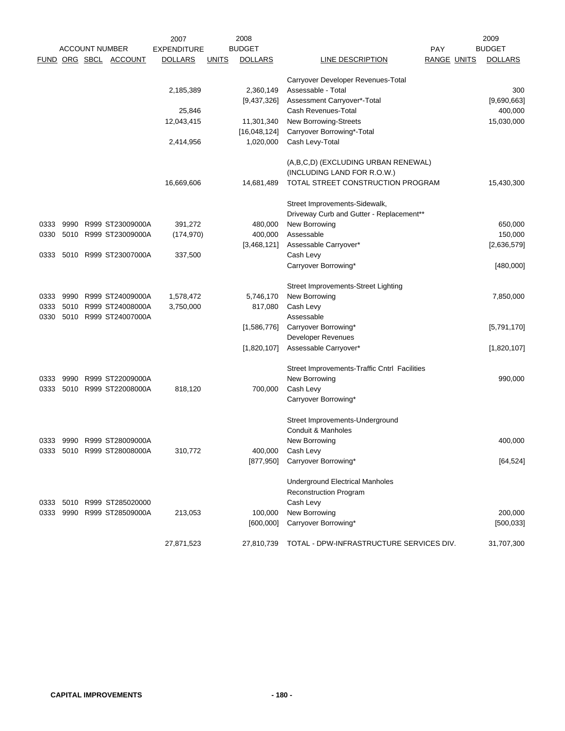| 2009                                            |
|-------------------------------------------------|
| <b>BUDGET</b><br>PAY                            |
| <b>DOLLARS</b><br><b>RANGE UNITS</b>            |
|                                                 |
|                                                 |
| 300                                             |
| [9,690,663]                                     |
| 400,000                                         |
| 15,030,000                                      |
|                                                 |
|                                                 |
|                                                 |
|                                                 |
| TOTAL STREET CONSTRUCTION PROGRAM<br>15,430,300 |
|                                                 |
|                                                 |
| 650,000                                         |
| 150,000                                         |
| [2,636,579]                                     |
|                                                 |
| [480,000]                                       |
|                                                 |
|                                                 |
| 7,850,000                                       |
|                                                 |
|                                                 |
| [5,791,170]                                     |
|                                                 |
| [1,820,107]                                     |
|                                                 |
| 990,000                                         |
|                                                 |
|                                                 |
|                                                 |
|                                                 |
|                                                 |
| 400,000                                         |
|                                                 |
| [64, 524]                                       |
|                                                 |
|                                                 |
|                                                 |
|                                                 |
| 200,000                                         |
| [500, 033]                                      |
|                                                 |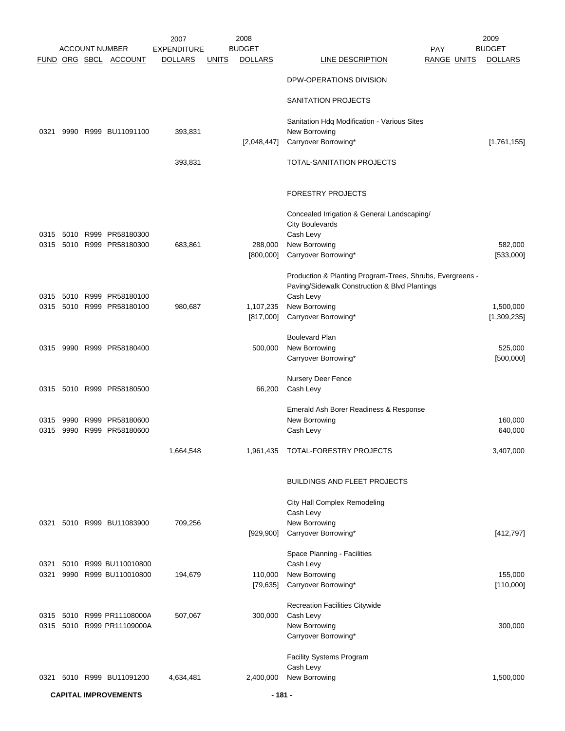|      |      |      |                                                | 2007                                 |              | 2008                            |                                                                       |                           | 2009                            |
|------|------|------|------------------------------------------------|--------------------------------------|--------------|---------------------------------|-----------------------------------------------------------------------|---------------------------|---------------------------------|
|      |      |      | <b>ACCOUNT NUMBER</b><br>FUND ORG SBCL ACCOUNT | <b>EXPENDITURE</b><br><b>DOLLARS</b> | <u>UNITS</u> | <b>BUDGET</b><br><b>DOLLARS</b> | <b>LINE DESCRIPTION</b>                                               | PAY<br><b>RANGE UNITS</b> | <b>BUDGET</b><br><b>DOLLARS</b> |
|      |      |      |                                                |                                      |              |                                 |                                                                       |                           |                                 |
|      |      |      |                                                |                                      |              |                                 | DPW-OPERATIONS DIVISION                                               |                           |                                 |
|      |      |      |                                                |                                      |              |                                 | SANITATION PROJECTS                                                   |                           |                                 |
|      |      |      |                                                |                                      |              |                                 | Sanitation Hdq Modification - Various Sites                           |                           |                                 |
| 0321 |      |      | 9990 R999 BU11091100                           | 393,831                              |              |                                 | New Borrowing                                                         |                           |                                 |
|      |      |      |                                                |                                      |              | [2,048,447]                     | Carryover Borrowing*                                                  |                           | [1,761,155]                     |
|      |      |      |                                                | 393,831                              |              |                                 | TOTAL-SANITATION PROJECTS                                             |                           |                                 |
|      |      |      |                                                |                                      |              |                                 | FORESTRY PROJECTS                                                     |                           |                                 |
|      |      |      |                                                |                                      |              |                                 | Concealed Irrigation & General Landscaping/<br><b>City Boulevards</b> |                           |                                 |
| 0315 | 5010 |      | R999 PR58180300                                |                                      |              |                                 | Cash Levy                                                             |                           |                                 |
| 0315 |      |      | 5010 R999 PR58180300                           | 683,861                              |              | 288,000                         | New Borrowing                                                         |                           | 582,000                         |
|      |      |      |                                                |                                      |              | [800,000]                       | Carryover Borrowing*                                                  |                           | [533,000]                       |
|      |      |      |                                                |                                      |              |                                 | Production & Planting Program-Trees, Shrubs, Evergreens -             |                           |                                 |
| 0315 |      |      | 5010 R999 PR58180100                           |                                      |              |                                 | Paving/Sidewalk Construction & Blvd Plantings<br>Cash Levy            |                           |                                 |
| 0315 |      |      | 5010 R999 PR58180100                           | 980,687                              |              | 1,107,235                       | New Borrowing                                                         |                           | 1,500,000                       |
|      |      |      |                                                |                                      |              | [817,000]                       | Carryover Borrowing*                                                  |                           | [1,309,235]                     |
|      |      |      |                                                |                                      |              |                                 | <b>Boulevard Plan</b>                                                 |                           |                                 |
| 0315 |      |      | 9990 R999 PR58180400                           |                                      |              | 500,000                         | New Borrowing                                                         |                           | 525,000                         |
|      |      |      |                                                |                                      |              |                                 | Carryover Borrowing*                                                  |                           | [500,000]                       |
|      |      |      |                                                |                                      |              |                                 | Nursery Deer Fence                                                    |                           |                                 |
|      |      |      | 0315 5010 R999 PR58180500                      |                                      |              | 66,200                          | Cash Levy                                                             |                           |                                 |
|      |      |      |                                                |                                      |              |                                 | Emerald Ash Borer Readiness & Response                                |                           |                                 |
| 0315 | 9990 | R999 | PR58180600                                     |                                      |              |                                 | New Borrowing                                                         |                           | 160,000                         |
| 0315 | 9990 |      | R999 PR58180600                                |                                      |              |                                 | Cash Levy                                                             |                           | 640,000                         |
|      |      |      |                                                | 1,664,548                            |              | 1,961,435                       | TOTAL-FORESTRY PROJECTS                                               |                           | 3,407,000                       |
|      |      |      |                                                |                                      |              |                                 | <b>BUILDINGS AND FLEET PROJECTS</b>                                   |                           |                                 |
|      |      |      |                                                |                                      |              |                                 | City Hall Complex Remodeling                                          |                           |                                 |
|      |      |      |                                                |                                      |              |                                 | Cash Levy                                                             |                           |                                 |
| 0321 |      |      | 5010 R999 BU11083900                           | 709,256                              |              | [929, 900]                      | New Borrowing<br>Carryover Borrowing*                                 |                           | [412, 797]                      |
|      |      |      |                                                |                                      |              |                                 | Space Planning - Facilities                                           |                           |                                 |
| 0321 |      |      | 5010 R999 BU110010800                          |                                      |              |                                 | Cash Levy                                                             |                           |                                 |
| 0321 |      |      | 9990 R999 BU110010800                          | 194,679                              |              | 110,000                         | New Borrowing                                                         |                           | 155,000                         |
|      |      |      |                                                |                                      |              | [79, 635]                       | Carryover Borrowing*                                                  |                           | [110,000]                       |
|      |      |      |                                                |                                      |              |                                 | <b>Recreation Facilities Citywide</b>                                 |                           |                                 |
|      |      |      | 0315 5010 R999 PR11108000A                     | 507,067                              |              | 300,000                         | Cash Levy                                                             |                           |                                 |
|      |      |      | 0315 5010 R999 PR11109000A                     |                                      |              |                                 | New Borrowing<br>Carryover Borrowing*                                 |                           | 300,000                         |
|      |      |      |                                                |                                      |              |                                 | Facility Systems Program                                              |                           |                                 |
|      |      |      |                                                |                                      |              |                                 | Cash Levy                                                             |                           |                                 |
| 0321 |      |      | 5010 R999 BU11091200                           | 4,634,481                            |              | 2,400,000                       | New Borrowing                                                         |                           | 1,500,000                       |

**CAPITAL IMPROVEMENTS - 181 -**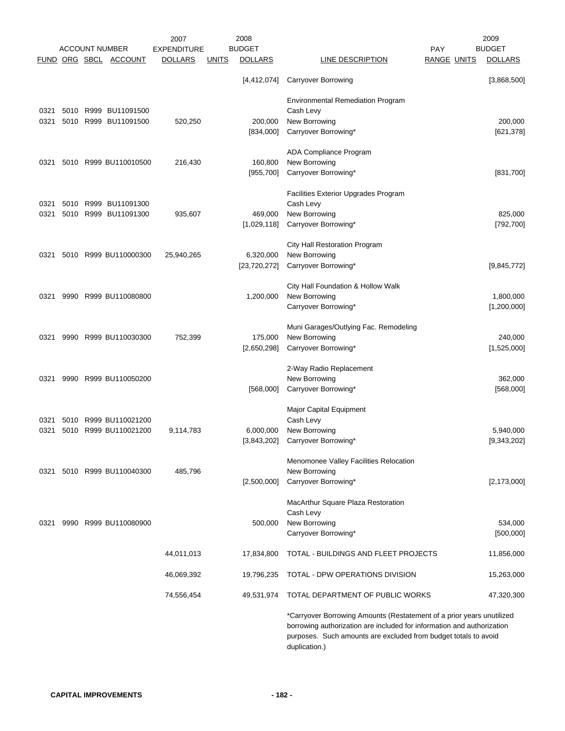|      |      |      |                       | 2007           |              | 2008           |                                                                                                                                                                                                                                     |                    | 2009           |
|------|------|------|-----------------------|----------------|--------------|----------------|-------------------------------------------------------------------------------------------------------------------------------------------------------------------------------------------------------------------------------------|--------------------|----------------|
|      |      |      | <b>ACCOUNT NUMBER</b> | EXPENDITURE    |              | <b>BUDGET</b>  |                                                                                                                                                                                                                                     | <b>PAY</b>         | <b>BUDGET</b>  |
|      |      |      | FUND ORG SBCL ACCOUNT | <b>DOLLARS</b> | <b>UNITS</b> | <b>DOLLARS</b> | LINE DESCRIPTION                                                                                                                                                                                                                    | <b>RANGE UNITS</b> | <b>DOLLARS</b> |
|      |      |      |                       |                |              | [4,412,074]    | <b>Carryover Borrowing</b>                                                                                                                                                                                                          |                    | [3,868,500]    |
|      |      |      |                       |                |              |                | <b>Environmental Remediation Program</b>                                                                                                                                                                                            |                    |                |
| 0321 |      |      | 5010 R999 BU11091500  |                |              |                | Cash Levy                                                                                                                                                                                                                           |                    |                |
| 0321 |      |      | 5010 R999 BU11091500  | 520,250        |              | 200,000        | New Borrowing                                                                                                                                                                                                                       |                    | 200,000        |
|      |      |      |                       |                |              | [834,000]      | Carryover Borrowing*                                                                                                                                                                                                                |                    | [621, 378]     |
|      |      |      |                       |                |              |                | ADA Compliance Program                                                                                                                                                                                                              |                    |                |
| 0321 |      |      | 5010 R999 BU110010500 | 216,430        |              | 160,800        | New Borrowing                                                                                                                                                                                                                       |                    |                |
|      |      |      |                       |                |              | [955,700]      | Carryover Borrowing*                                                                                                                                                                                                                |                    | [831,700]      |
|      |      |      |                       |                |              |                | Facilities Exterior Upgrades Program                                                                                                                                                                                                |                    |                |
| 0321 | 5010 | R999 | BU11091300            |                |              |                | Cash Levy                                                                                                                                                                                                                           |                    |                |
| 0321 |      |      | 5010 R999 BU11091300  | 935,607        |              | 469,000        | New Borrowing                                                                                                                                                                                                                       |                    | 825,000        |
|      |      |      |                       |                |              | [1,029,118]    | Carryover Borrowing*                                                                                                                                                                                                                |                    | [792, 700]     |
|      |      |      |                       |                |              |                | City Hall Restoration Program                                                                                                                                                                                                       |                    |                |
| 0321 |      |      | 5010 R999 BU110000300 | 25,940,265     |              | 6,320,000      | New Borrowing                                                                                                                                                                                                                       |                    |                |
|      |      |      |                       |                |              | [23, 720, 272] | Carryover Borrowing*                                                                                                                                                                                                                |                    | [9,845,772]    |
|      |      |      |                       |                |              |                | City Hall Foundation & Hollow Walk                                                                                                                                                                                                  |                    |                |
| 0321 | 9990 |      | R999 BU110080800      |                |              | 1,200,000      | New Borrowing                                                                                                                                                                                                                       |                    | 1,800,000      |
|      |      |      |                       |                |              |                | Carryover Borrowing*                                                                                                                                                                                                                |                    | [1,200,000]    |
|      |      |      |                       |                |              |                | Muni Garages/Outlying Fac. Remodeling                                                                                                                                                                                               |                    |                |
| 0321 | 9990 |      | R999 BU110030300      | 752,399        |              | 175,000        | New Borrowing                                                                                                                                                                                                                       |                    | 240,000        |
|      |      |      |                       |                |              | [2,650,298]    | Carryover Borrowing*                                                                                                                                                                                                                |                    | [1,525,000]    |
|      |      |      |                       |                |              |                | 2-Way Radio Replacement                                                                                                                                                                                                             |                    |                |
| 0321 |      |      | 9990 R999 BU110050200 |                |              |                | New Borrowing                                                                                                                                                                                                                       |                    | 362,000        |
|      |      |      |                       |                |              | [568,000]      | Carryover Borrowing*                                                                                                                                                                                                                |                    | [568,000]      |
|      |      |      |                       |                |              |                | Major Capital Equipment                                                                                                                                                                                                             |                    |                |
| 0321 | 5010 |      | R999 BU110021200      |                |              |                | Cash Levy                                                                                                                                                                                                                           |                    |                |
| 0321 | 5010 |      | R999 BU110021200      | 9,114,783      |              | 6,000,000      | New Borrowing                                                                                                                                                                                                                       |                    | 5,940,000      |
|      |      |      |                       |                |              | [3,843,202]    | Carryover Borrowing*                                                                                                                                                                                                                |                    | [9,343,202]    |
|      |      |      |                       |                |              |                | Menomonee Valley Facilities Relocation                                                                                                                                                                                              |                    |                |
| 0321 |      |      | 5010 R999 BU110040300 | 485,796        |              |                | New Borrowing                                                                                                                                                                                                                       |                    |                |
|      |      |      |                       |                |              | [2,500,000]    | Carryover Borrowing*                                                                                                                                                                                                                |                    | [2, 173, 000]  |
|      |      |      |                       |                |              |                | MacArthur Square Plaza Restoration                                                                                                                                                                                                  |                    |                |
|      |      |      |                       |                |              |                | Cash Levy                                                                                                                                                                                                                           |                    |                |
| 0321 |      |      | 9990 R999 BU110080900 |                |              | 500,000        | New Borrowing                                                                                                                                                                                                                       |                    | 534,000        |
|      |      |      |                       |                |              |                | Carryover Borrowing*                                                                                                                                                                                                                |                    | [500,000]      |
|      |      |      |                       | 44,011,013     |              | 17,834,800     | TOTAL - BUILDINGS AND FLEET PROJECTS                                                                                                                                                                                                |                    | 11,856,000     |
|      |      |      |                       | 46,069,392     |              | 19,796,235     | TOTAL - DPW OPERATIONS DIVISION                                                                                                                                                                                                     |                    | 15,263,000     |
|      |      |      |                       | 74,556,454     |              | 49,531,974     | TOTAL DEPARTMENT OF PUBLIC WORKS                                                                                                                                                                                                    |                    | 47,320,300     |
|      |      |      |                       |                |              |                | *Carryover Borrowing Amounts (Restatement of a prior years unutilized<br>borrowing authorization are included for information and authorization<br>purposes. Such amounts are excluded from budget totals to avoid<br>duplication.) |                    |                |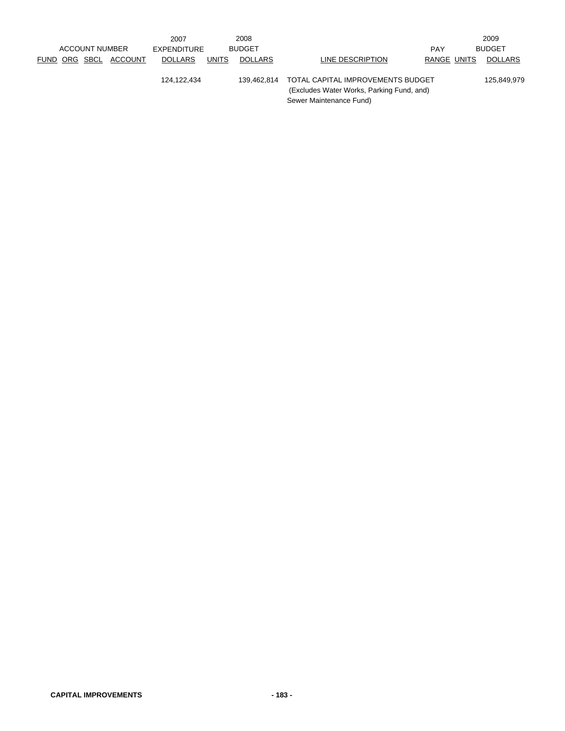|  | <b>ACCOUNT NUMBER</b> |                       | 2007<br>EXPENDITURE |              | 2008<br><b>BUDGET</b> |                                                                                                           | <b>PAY</b>  | 2009<br><b>BUDGET</b> |
|--|-----------------------|-----------------------|---------------------|--------------|-----------------------|-----------------------------------------------------------------------------------------------------------|-------------|-----------------------|
|  |                       | FUND ORG SBCL ACCOUNT | <b>DOLLARS</b>      | <b>UNITS</b> | <b>DOLLARS</b>        | LINE DESCRIPTION                                                                                          | RANGE UNITS | <b>DOLLARS</b>        |
|  |                       |                       | 124.122.434         |              | 139.462.814           | TOTAL CAPITAL IMPROVEMENTS BUDGET<br>(Excludes Water Works, Parking Fund, and)<br>Sewer Maintenance Fund) |             | 125.849.979           |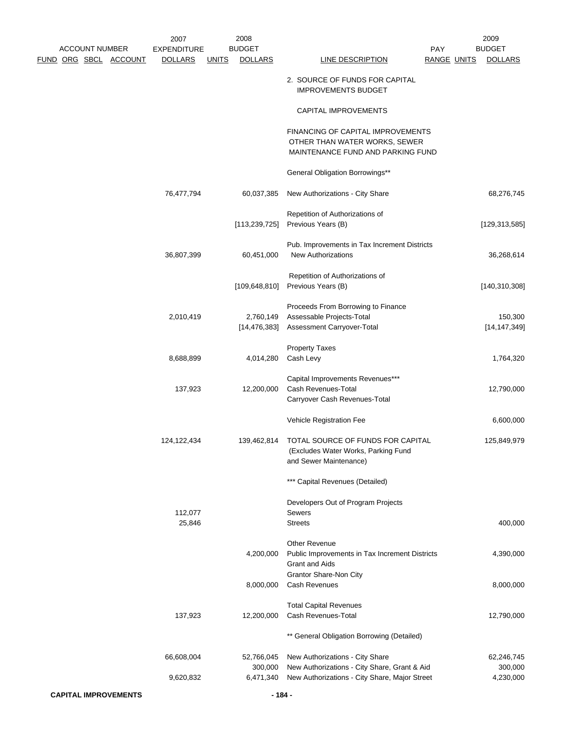|  | <b>ACCOUNT NUMBER</b> |                             | 2007<br><b>EXPENDITURE</b> |              | 2008<br><b>BUDGET</b>              |                                                                                                                                  | PAY                | 2009<br><b>BUDGET</b>              |
|--|-----------------------|-----------------------------|----------------------------|--------------|------------------------------------|----------------------------------------------------------------------------------------------------------------------------------|--------------------|------------------------------------|
|  |                       | FUND ORG SBCL ACCOUNT       | <b>DOLLARS</b>             | <b>UNITS</b> | <b>DOLLARS</b>                     | <b>LINE DESCRIPTION</b>                                                                                                          | <b>RANGE UNITS</b> | <b>DOLLARS</b>                     |
|  |                       |                             |                            |              |                                    | 2. SOURCE OF FUNDS FOR CAPITAL<br><b>IMPROVEMENTS BUDGET</b>                                                                     |                    |                                    |
|  |                       |                             |                            |              |                                    | CAPITAL IMPROVEMENTS                                                                                                             |                    |                                    |
|  |                       |                             |                            |              |                                    | FINANCING OF CAPITAL IMPROVEMENTS<br>OTHER THAN WATER WORKS, SEWER<br>MAINTENANCE FUND AND PARKING FUND                          |                    |                                    |
|  |                       |                             |                            |              |                                    | General Obligation Borrowings**                                                                                                  |                    |                                    |
|  |                       |                             | 76,477,794                 |              | 60,037,385                         | New Authorizations - City Share                                                                                                  |                    | 68,276,745                         |
|  |                       |                             |                            |              | [113, 239, 725]                    | Repetition of Authorizations of<br>Previous Years (B)                                                                            |                    | [129, 313, 585]                    |
|  |                       |                             | 36,807,399                 |              | 60,451,000                         | Pub. Improvements in Tax Increment Districts<br><b>New Authorizations</b>                                                        |                    | 36,268,614                         |
|  |                       |                             |                            |              | [109, 648, 810]                    | Repetition of Authorizations of<br>Previous Years (B)                                                                            |                    | [140, 310, 308]                    |
|  |                       |                             | 2,010,419                  |              | 2,760,149<br>[14, 476, 383]        | Proceeds From Borrowing to Finance<br>Assessable Projects-Total<br>Assessment Carryover-Total                                    |                    | 150,300<br>[14, 147, 349]          |
|  |                       |                             | 8,688,899                  |              | 4,014,280                          | <b>Property Taxes</b><br>Cash Levy                                                                                               |                    | 1,764,320                          |
|  |                       |                             | 137,923                    |              | 12,200,000                         | Capital Improvements Revenues***<br>Cash Revenues-Total<br>Carryover Cash Revenues-Total                                         |                    | 12,790,000                         |
|  |                       |                             |                            |              |                                    | Vehicle Registration Fee                                                                                                         |                    | 6,600,000                          |
|  |                       |                             | 124,122,434                |              | 139,462,814                        | TOTAL SOURCE OF FUNDS FOR CAPITAL<br>(Excludes Water Works, Parking Fund<br>and Sewer Maintenance)                               |                    | 125,849,979                        |
|  |                       |                             |                            |              |                                    | *** Capital Revenues (Detailed)                                                                                                  |                    |                                    |
|  |                       |                             | 112,077                    |              |                                    | Developers Out of Program Projects<br><b>Sewers</b>                                                                              |                    |                                    |
|  |                       |                             | 25,846                     |              |                                    | <b>Streets</b>                                                                                                                   |                    | 400,000                            |
|  |                       |                             |                            |              | 4,200,000                          | <b>Other Revenue</b><br>Public Improvements in Tax Increment Districts<br><b>Grant and Aids</b>                                  |                    | 4,390,000                          |
|  |                       |                             |                            |              | 8,000,000                          | Grantor Share-Non City<br>Cash Revenues                                                                                          |                    | 8,000,000                          |
|  |                       |                             | 137,923                    |              | 12,200,000                         | <b>Total Capital Revenues</b><br>Cash Revenues-Total                                                                             |                    | 12,790,000                         |
|  |                       |                             |                            |              |                                    | ** General Obligation Borrowing (Detailed)                                                                                       |                    |                                    |
|  |                       |                             | 66,608,004<br>9,620,832    |              | 52,766,045<br>300,000<br>6,471,340 | New Authorizations - City Share<br>New Authorizations - City Share, Grant & Aid<br>New Authorizations - City Share, Major Street |                    | 62,246,745<br>300,000<br>4,230,000 |
|  |                       | <b>CAPITAL IMPROVEMENTS</b> |                            |              | $-184-$                            |                                                                                                                                  |                    |                                    |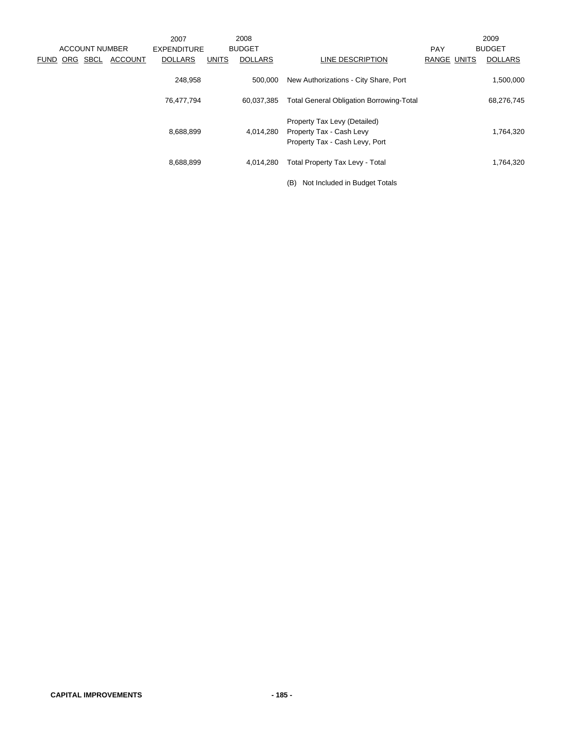|             |                       |                | 2007               |              | 2008           |                                                 |             | 2009           |
|-------------|-----------------------|----------------|--------------------|--------------|----------------|-------------------------------------------------|-------------|----------------|
|             | <b>ACCOUNT NUMBER</b> |                | <b>EXPENDITURE</b> |              | <b>BUDGET</b>  |                                                 | <b>PAY</b>  | <b>BUDGET</b>  |
| <b>FUND</b> | ORG SBCL              | <b>ACCOUNT</b> | <b>DOLLARS</b>     | <b>UNITS</b> | <b>DOLLARS</b> | LINE DESCRIPTION                                | RANGE UNITS | <b>DOLLARS</b> |
|             |                       |                | 248,958            |              | 500,000        | New Authorizations - City Share, Port           |             | 1,500,000      |
|             |                       |                | 76,477,794         |              | 60,037,385     | <b>Total General Obligation Borrowing-Total</b> |             | 68,276,745     |
|             |                       |                |                    |              |                | Property Tax Levy (Detailed)                    |             |                |
|             |                       |                | 8,688,899          |              | 4,014,280      | Property Tax - Cash Levy                        |             | 1,764,320      |
|             |                       |                |                    |              |                | Property Tax - Cash Levy, Port                  |             |                |
|             |                       |                | 8,688,899          |              | 4.014.280      | <b>Total Property Tax Levy - Total</b>          |             | 1,764,320      |
|             |                       |                |                    |              |                | (B)<br>Not Included in Budget Totals            |             |                |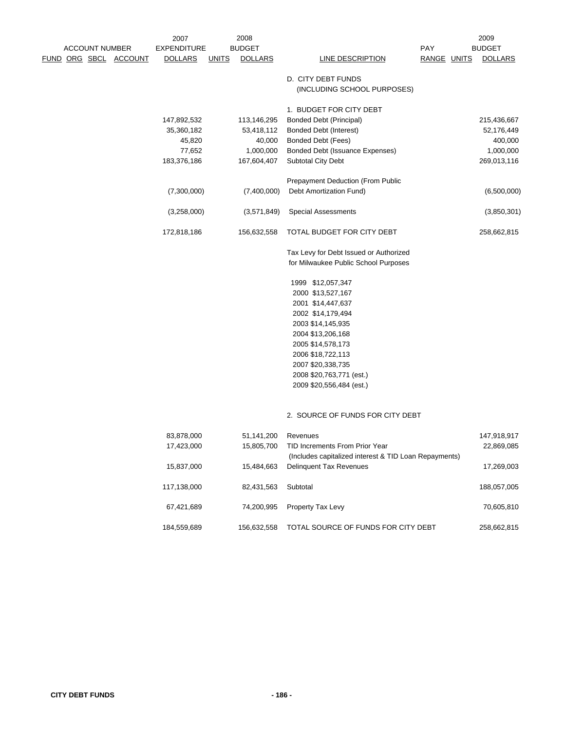|  |                       |                       | 2007               |              | 2008           |                                                       |             | 2009           |
|--|-----------------------|-----------------------|--------------------|--------------|----------------|-------------------------------------------------------|-------------|----------------|
|  | <b>ACCOUNT NUMBER</b> |                       | <b>EXPENDITURE</b> |              | <b>BUDGET</b>  |                                                       | <b>PAY</b>  | <b>BUDGET</b>  |
|  |                       | FUND ORG SBCL ACCOUNT | <b>DOLLARS</b>     | <u>UNITS</u> | <b>DOLLARS</b> | LINE DESCRIPTION                                      | RANGE UNITS | <b>DOLLARS</b> |
|  |                       |                       |                    |              |                | D. CITY DEBT FUNDS                                    |             |                |
|  |                       |                       |                    |              |                | (INCLUDING SCHOOL PURPOSES)                           |             |                |
|  |                       |                       |                    |              |                |                                                       |             |                |
|  |                       |                       |                    |              |                | 1. BUDGET FOR CITY DEBT                               |             |                |
|  |                       |                       | 147,892,532        |              | 113,146,295    | <b>Bonded Debt (Principal)</b>                        |             | 215,436,667    |
|  |                       |                       | 35,360,182         |              | 53,418,112     | <b>Bonded Debt (Interest)</b>                         |             | 52,176,449     |
|  |                       |                       | 45,820             |              | 40,000         | <b>Bonded Debt (Fees)</b>                             |             | 400,000        |
|  |                       |                       | 77,652             |              | 1,000,000      | Bonded Debt (Issuance Expenses)                       |             | 1,000,000      |
|  |                       |                       | 183,376,186        |              | 167,604,407    | <b>Subtotal City Debt</b>                             |             | 269,013,116    |
|  |                       |                       |                    |              |                | Prepayment Deduction (From Public                     |             |                |
|  |                       |                       | (7,300,000)        |              | (7,400,000)    | Debt Amortization Fund)                               |             | (6,500,000)    |
|  |                       |                       |                    |              |                |                                                       |             |                |
|  |                       |                       | (3,258,000)        |              | (3,571,849)    | <b>Special Assessments</b>                            |             | (3,850,301)    |
|  |                       |                       | 172,818,186        |              | 156,632,558    | TOTAL BUDGET FOR CITY DEBT                            |             | 258,662,815    |
|  |                       |                       |                    |              |                | Tax Levy for Debt Issued or Authorized                |             |                |
|  |                       |                       |                    |              |                | for Milwaukee Public School Purposes                  |             |                |
|  |                       |                       |                    |              |                | 1999 \$12,057,347                                     |             |                |
|  |                       |                       |                    |              |                | 2000 \$13,527,167                                     |             |                |
|  |                       |                       |                    |              |                | 2001 \$14,447,637                                     |             |                |
|  |                       |                       |                    |              |                |                                                       |             |                |
|  |                       |                       |                    |              |                | 2002 \$14,179,494                                     |             |                |
|  |                       |                       |                    |              |                | 2003 \$14,145,935                                     |             |                |
|  |                       |                       |                    |              |                | 2004 \$13,206,168                                     |             |                |
|  |                       |                       |                    |              |                | 2005 \$14,578,173                                     |             |                |
|  |                       |                       |                    |              |                | 2006 \$18,722,113                                     |             |                |
|  |                       |                       |                    |              |                | 2007 \$20,338,735                                     |             |                |
|  |                       |                       |                    |              |                | 2008 \$20,763,771 (est.)                              |             |                |
|  |                       |                       |                    |              |                | 2009 \$20,556,484 (est.)                              |             |                |
|  |                       |                       |                    |              |                | 2. SOURCE OF FUNDS FOR CITY DEBT                      |             |                |
|  |                       |                       |                    |              |                |                                                       |             |                |
|  |                       |                       | 83,878,000         |              | 51,141,200     | Revenues                                              |             | 147,918,917    |
|  |                       |                       | 17,423,000         |              | 15,805,700     | TID Increments From Prior Year                        |             | 22,869,085     |
|  |                       |                       |                    |              |                | (Includes capitalized interest & TID Loan Repayments) |             |                |
|  |                       |                       | 15,837,000         |              | 15,484,663     | <b>Delinquent Tax Revenues</b>                        |             | 17,269,003     |
|  |                       |                       |                    |              |                |                                                       |             |                |
|  |                       |                       | 117,138,000        |              | 82,431,563     | Subtotal                                              |             | 188,057,005    |
|  |                       |                       | 67,421,689         |              | 74,200,995     | Property Tax Levy                                     |             | 70,605,810     |
|  |                       |                       | 184,559,689        |              | 156,632,558    | TOTAL SOURCE OF FUNDS FOR CITY DEBT                   |             | 258,662,815    |
|  |                       |                       |                    |              |                |                                                       |             |                |
|  |                       |                       |                    |              |                |                                                       |             |                |
|  |                       |                       |                    |              |                |                                                       |             |                |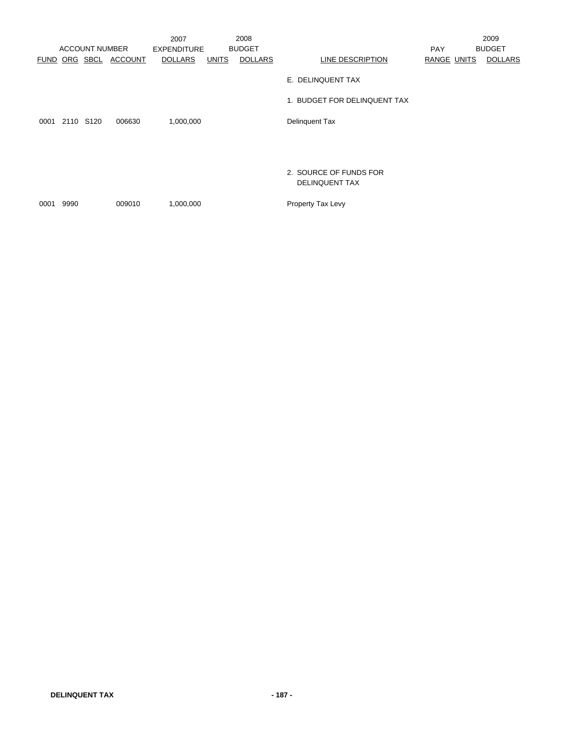|             |           | <b>ACCOUNT NUMBER</b> |         | 2007<br><b>EXPENDITURE</b> |              | 2008<br><b>BUDGET</b> |                                          | <b>PAY</b>  | 2009<br><b>BUDGET</b> |
|-------------|-----------|-----------------------|---------|----------------------------|--------------|-----------------------|------------------------------------------|-------------|-----------------------|
| <b>FUND</b> |           | ORG SBCL              | ACCOUNT | <b>DOLLARS</b>             | <b>UNITS</b> | <b>DOLLARS</b>        | LINE DESCRIPTION                         | RANGE UNITS | <b>DOLLARS</b>        |
|             |           |                       |         |                            |              |                       | E. DELINQUENT TAX                        |             |                       |
|             |           |                       |         |                            |              |                       | 1. BUDGET FOR DELINQUENT TAX             |             |                       |
| 0001        | 2110 S120 |                       | 006630  | 1,000,000                  |              |                       | <b>Delinquent Tax</b>                    |             |                       |
|             |           |                       |         |                            |              |                       |                                          |             |                       |
|             |           |                       |         |                            |              |                       |                                          |             |                       |
|             |           |                       |         |                            |              |                       | 2. SOURCE OF FUNDS FOR<br>DELINQUENT TAX |             |                       |
| 0001        | 9990      |                       | 009010  | 1,000,000                  |              |                       | Property Tax Levy                        |             |                       |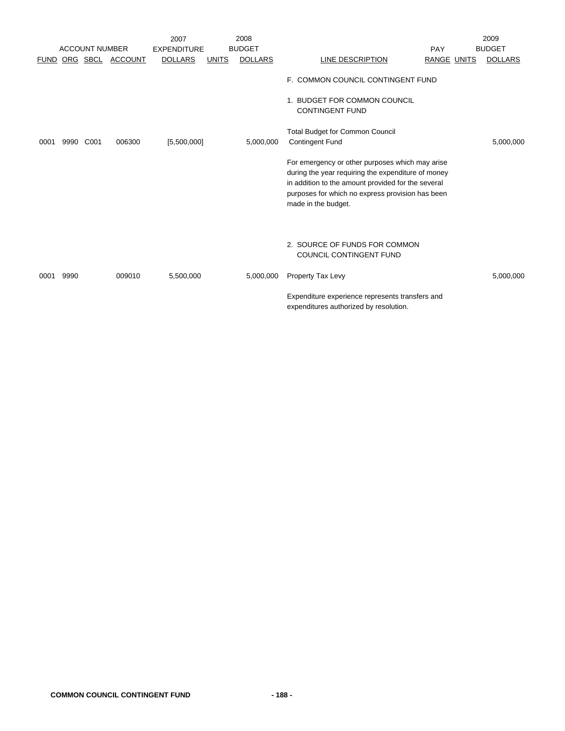|             |      |                       |                  | 2007               |              | 2008           |                                                                                                                                                                                                                                        |             | 2009           |
|-------------|------|-----------------------|------------------|--------------------|--------------|----------------|----------------------------------------------------------------------------------------------------------------------------------------------------------------------------------------------------------------------------------------|-------------|----------------|
|             |      | <b>ACCOUNT NUMBER</b> |                  | <b>EXPENDITURE</b> |              | <b>BUDGET</b>  |                                                                                                                                                                                                                                        | PAY         | <b>BUDGET</b>  |
| <b>FUND</b> |      |                       | ORG SBCL ACCOUNT | <b>DOLLARS</b>     | <b>UNITS</b> | <b>DOLLARS</b> | LINE DESCRIPTION                                                                                                                                                                                                                       | RANGE UNITS | <b>DOLLARS</b> |
|             |      |                       |                  |                    |              |                | F. COMMON COUNCIL CONTINGENT FUND<br>1. BUDGET FOR COMMON COUNCIL<br><b>CONTINGENT FUND</b><br><b>Total Budget for Common Council</b>                                                                                                  |             |                |
| 0001        | 9990 | C001                  | 006300           | [5,500,000]        |              | 5,000,000      | <b>Contingent Fund</b>                                                                                                                                                                                                                 |             | 5,000,000      |
|             |      |                       |                  |                    |              |                | For emergency or other purposes which may arise<br>during the year requiring the expenditure of money<br>in addition to the amount provided for the several<br>purposes for which no express provision has been<br>made in the budget. |             |                |
|             |      |                       |                  |                    |              |                | 2. SOURCE OF FUNDS FOR COMMON<br>COUNCIL CONTINGENT FUND                                                                                                                                                                               |             |                |
| 0001        | 9990 |                       | 009010           | 5,500,000          |              | 5,000,000      | Property Tax Levy                                                                                                                                                                                                                      |             | 5,000,000      |
|             |      |                       |                  |                    |              |                | Expenditure experience represents transfers and<br>expenditures authorized by resolution.                                                                                                                                              |             |                |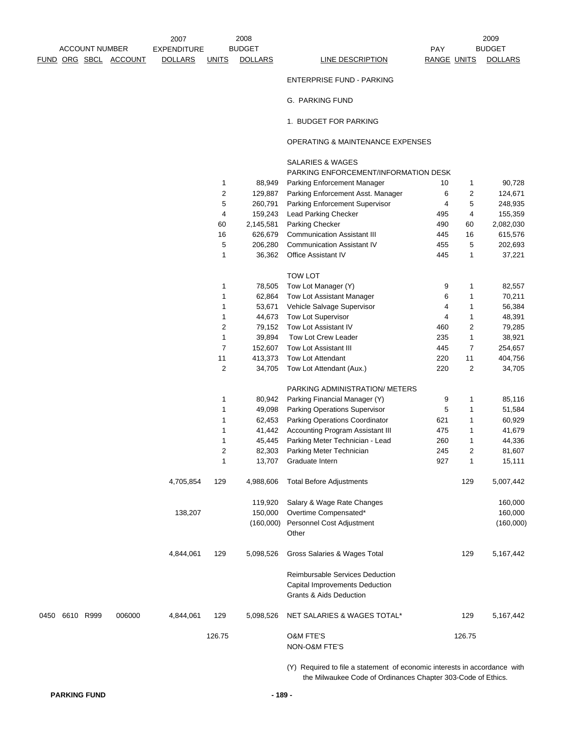2009

ENTERPRISE FUND - PARKING

G. PARKING FUND

1. BUDGET FOR PARKING

## OPERATING & MAINTENANCE EXPENSES

|                                     |                |           | <b>SALARIES &amp; WAGES</b><br>PARKING ENFORCEMENT/INFORMATION DESK                                     |     |                |           |  |
|-------------------------------------|----------------|-----------|---------------------------------------------------------------------------------------------------------|-----|----------------|-----------|--|
|                                     | 1              | 88,949    | Parking Enforcement Manager                                                                             | 10  | 1              | 90,728    |  |
|                                     | 2              | 129,887   | Parking Enforcement Asst. Manager                                                                       | 6   | 2              | 124,671   |  |
|                                     | 5              | 260,791   | Parking Enforcement Supervisor                                                                          | 4   | 5              | 248,935   |  |
|                                     | 4              | 159,243   | Lead Parking Checker                                                                                    | 495 | 4              | 155,359   |  |
|                                     | 60             | 2,145,581 | Parking Checker                                                                                         | 490 | 60             | 2,082,030 |  |
|                                     | 16             | 626,679   | <b>Communication Assistant III</b>                                                                      | 445 | 16             | 615,576   |  |
|                                     | 5              | 206,280   | <b>Communication Assistant IV</b>                                                                       | 455 | 5              | 202,693   |  |
|                                     | 1              | 36,362    | <b>Office Assistant IV</b>                                                                              | 445 | 1              | 37,221    |  |
|                                     |                |           |                                                                                                         |     |                |           |  |
|                                     |                |           | <b>TOW LOT</b>                                                                                          |     |                |           |  |
|                                     | 1              | 78,505    | Tow Lot Manager (Y)                                                                                     | 9   | 1              | 82,557    |  |
|                                     | 1              | 62,864    | Tow Lot Assistant Manager                                                                               | 6   | 1              | 70,211    |  |
|                                     | 1              | 53,671    | Vehicle Salvage Supervisor                                                                              | 4   | 1              | 56,384    |  |
|                                     | 1              | 44,673    | Tow Lot Supervisor                                                                                      | 4   | 1              | 48,391    |  |
|                                     | $\overline{c}$ | 79,152    | Tow Lot Assistant IV                                                                                    | 460 | 2              | 79,285    |  |
|                                     | 1              | 39,894    | Tow Lot Crew Leader                                                                                     | 235 | 1              | 38,921    |  |
|                                     | 7              | 152,607   | Tow Lot Assistant III                                                                                   | 445 | 7              | 254,657   |  |
|                                     | 11             | 413,373   | Tow Lot Attendant                                                                                       | 220 | 11             | 404,756   |  |
|                                     | 2              | 34,705    | Tow Lot Attendant (Aux.)                                                                                | 220 | 2              | 34,705    |  |
|                                     |                |           | PARKING ADMINISTRATION/ METERS                                                                          |     |                |           |  |
|                                     | 1              | 80,942    | Parking Financial Manager (Y)                                                                           | 9   | 1              | 85,116    |  |
|                                     | 1              | 49,098    | Parking Operations Supervisor                                                                           | 5   | 1              | 51,584    |  |
|                                     | 1              | 62,453    | Parking Operations Coordinator                                                                          | 621 | 1              | 60,929    |  |
|                                     | 1              | 41,442    | Accounting Program Assistant III                                                                        | 475 | 1              | 41,679    |  |
|                                     | 1              | 45,445    | Parking Meter Technician - Lead                                                                         | 260 | 1              | 44,336    |  |
|                                     | $\overline{c}$ | 82,303    | Parking Meter Technician                                                                                | 245 | $\overline{2}$ | 81,607    |  |
|                                     | 1              | 13,707    | Graduate Intern                                                                                         | 927 | 1              | 15,111    |  |
| 4,705,854                           | 129            | 4,988,606 | <b>Total Before Adjustments</b>                                                                         |     | 129            | 5,007,442 |  |
|                                     |                | 119,920   | Salary & Wage Rate Changes                                                                              |     |                | 160,000   |  |
| 138,207                             |                | 150,000   | Overtime Compensated*                                                                                   |     |                | 160,000   |  |
|                                     |                | (160,000) | Personnel Cost Adjustment                                                                               |     |                | (160,000) |  |
|                                     |                |           | Other                                                                                                   |     |                |           |  |
| 4,844,061                           | 129            | 5,098,526 | Gross Salaries & Wages Total                                                                            |     | 129            | 5,167,442 |  |
|                                     |                |           | Reimbursable Services Deduction<br>Capital Improvements Deduction<br><b>Grants &amp; Aids Deduction</b> |     |                |           |  |
| 006000<br>50 6610 R999<br>4,844,061 | 129            | 5,098,526 | NET SALARIES & WAGES TOTAL*                                                                             |     | 129            | 5,167,442 |  |
|                                     | 126.75         |           | <b>O&amp;M FTE'S</b><br>NON-O&M FTE'S                                                                   |     | 126.75         |           |  |

(Y) Required to file a statement of economic interests in accordance with the Milwaukee Code of Ordinances Chapter 303-Code of Ethics.

0450 6610 R999 006000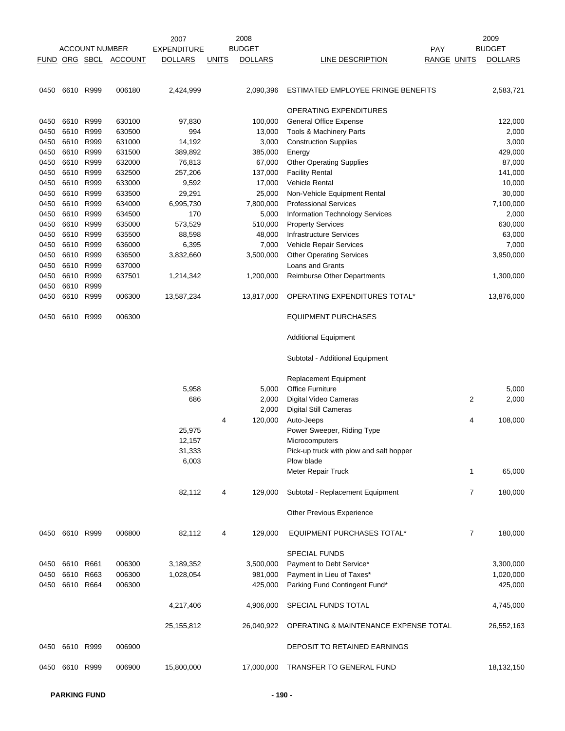|      |                |                       |                       | 2007               |              | 2008           |                                         |                    | 2009           |
|------|----------------|-----------------------|-----------------------|--------------------|--------------|----------------|-----------------------------------------|--------------------|----------------|
|      |                | <b>ACCOUNT NUMBER</b> |                       | <b>EXPENDITURE</b> |              | <b>BUDGET</b>  | PAY                                     |                    | <b>BUDGET</b>  |
|      |                |                       | FUND ORG SBCL ACCOUNT | <b>DOLLARS</b>     | <b>UNITS</b> | <b>DOLLARS</b> | LINE DESCRIPTION                        | <b>RANGE UNITS</b> | <b>DOLLARS</b> |
| 0450 | 6610 R999      |                       | 006180                | 2,424,999          |              | 2,090,396      | ESTIMATED EMPLOYEE FRINGE BENEFITS      |                    | 2,583,721      |
|      |                |                       |                       |                    |              |                | OPERATING EXPENDITURES                  |                    |                |
| 0450 | 6610 R999      |                       | 630100                | 97,830             |              | 100,000        | General Office Expense                  |                    | 122,000        |
| 0450 | 6610 R999      |                       | 630500                | 994                |              | 13,000         | Tools & Machinery Parts                 |                    | 2,000          |
| 0450 | 6610           | R999                  | 631000                | 14,192             |              | 3,000          | <b>Construction Supplies</b>            |                    | 3,000          |
| 0450 | 6610           | R999                  | 631500                | 389,892            |              | 385,000        | Energy                                  |                    | 429,000        |
| 0450 | 6610           | R999                  | 632000                | 76,813             |              | 67,000         | <b>Other Operating Supplies</b>         |                    | 87,000         |
| 0450 | 6610           | R999                  | 632500                | 257,206            |              | 137,000        | <b>Facility Rental</b>                  |                    | 141,000        |
| 0450 | 6610           | R999                  | 633000                | 9,592              |              | 17,000         | <b>Vehicle Rental</b>                   |                    | 10,000         |
| 0450 | 6610           | R999                  | 633500                | 29,291             |              | 25,000         | Non-Vehicle Equipment Rental            |                    | 30,000         |
| 0450 | 6610 R999      |                       | 634000                | 6,995,730          |              | 7,800,000      | <b>Professional Services</b>            |                    | 7,100,000      |
| 0450 | 6610           | R999                  | 634500                | 170                |              | 5,000          | Information Technology Services         |                    | 2,000          |
| 0450 | 6610           | R999                  | 635000                | 573,529            |              | 510,000        | <b>Property Services</b>                |                    | 630,000        |
| 0450 | 6610           | R999                  | 635500                | 88,598             |              | 48,000         | <b>Infrastructure Services</b>          |                    | 63,000         |
| 0450 | 6610           | R999                  | 636000                | 6,395              |              | 7,000          | Vehicle Repair Services                 |                    | 7,000          |
| 0450 | 6610           | R999                  | 636500                | 3,832,660          |              | 3,500,000      | <b>Other Operating Services</b>         |                    | 3,950,000      |
| 0450 | 6610           | R999                  | 637000                |                    |              |                | Loans and Grants                        |                    |                |
| 0450 | 6610 R999      |                       | 637501                | 1,214,342          |              | 1,200,000      | <b>Reimburse Other Departments</b>      |                    | 1,300,000      |
| 0450 | 6610           | R999                  |                       |                    |              |                |                                         |                    |                |
| 0450 | 6610           | R999                  | 006300                | 13,587,234         |              | 13,817,000     | OPERATING EXPENDITURES TOTAL*           |                    | 13,876,000     |
| 0450 | 6610 R999      |                       | 006300                |                    |              |                | <b>EQUIPMENT PURCHASES</b>              |                    |                |
|      |                |                       |                       |                    |              |                | <b>Additional Equipment</b>             |                    |                |
|      |                |                       |                       |                    |              |                | Subtotal - Additional Equipment         |                    |                |
|      |                |                       |                       |                    |              |                | <b>Replacement Equipment</b>            |                    |                |
|      |                |                       |                       | 5,958              |              | 5,000          | <b>Office Furniture</b>                 |                    | 5,000          |
|      |                |                       |                       | 686                |              | 2,000          | Digital Video Cameras                   | 2                  | 2,000          |
|      |                |                       |                       |                    |              | 2,000          | <b>Digital Still Cameras</b>            |                    |                |
|      |                |                       |                       |                    | 4            | 120,000        | Auto-Jeeps                              | 4                  | 108,000        |
|      |                |                       |                       | 25,975             |              |                | Power Sweeper, Riding Type              |                    |                |
|      |                |                       |                       | 12,157             |              |                | Microcomputers                          |                    |                |
|      |                |                       |                       | 31,333             |              |                | Pick-up truck with plow and salt hopper |                    |                |
|      |                |                       |                       | 6,003              |              |                | Plow blade                              |                    |                |
|      |                |                       |                       |                    |              |                | Meter Repair Truck                      | 1                  | 65,000         |
|      |                |                       |                       | 82,112             | 4            | 129,000        | Subtotal - Replacement Equipment        | 7                  | 180,000        |
|      |                |                       |                       |                    |              |                | <b>Other Previous Experience</b>        |                    |                |
|      | 0450 6610 R999 |                       | 006800                | 82,112             | 4            | 129,000        | <b>EQUIPMENT PURCHASES TOTAL*</b>       | $\overline{7}$     | 180,000        |
|      |                |                       |                       |                    |              |                | <b>SPECIAL FUNDS</b>                    |                    |                |
| 0450 | 6610 R661      |                       | 006300                | 3,189,352          |              | 3,500,000      | Payment to Debt Service*                |                    | 3,300,000      |
| 0450 | 6610 R663      |                       | 006300                | 1,028,054          |              | 981,000        | Payment in Lieu of Taxes*               |                    | 1,020,000      |
| 0450 | 6610           | R664                  | 006300                |                    |              | 425,000        | Parking Fund Contingent Fund*           |                    | 425,000        |
|      |                |                       |                       | 4,217,406          |              | 4,906,000      | SPECIAL FUNDS TOTAL                     |                    | 4,745,000      |
|      |                |                       |                       | 25, 155, 812       |              | 26,040,922     | OPERATING & MAINTENANCE EXPENSE TOTAL   |                    | 26,552,163     |
|      | 0450 6610 R999 |                       | 006900                |                    |              |                | DEPOSIT TO RETAINED EARNINGS            |                    |                |
| 0450 | 6610 R999      |                       | 006900                | 15,800,000         |              | 17,000,000     | TRANSFER TO GENERAL FUND                |                    | 18,132,150     |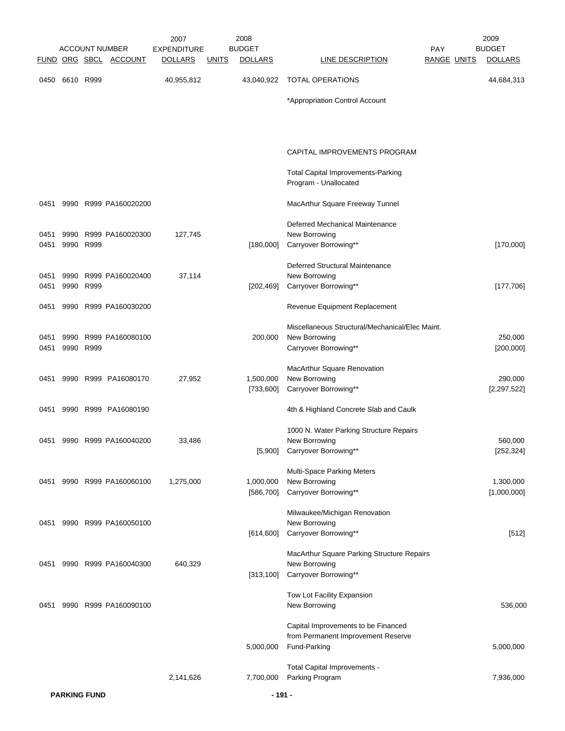|              |      |           | <b>ACCOUNT NUMBER</b>      | 2007<br><b>EXPENDITURE</b> |              | 2008<br><b>BUDGET</b>  |                                                                           | PAY                | 2009<br><b>BUDGET</b>    |
|--------------|------|-----------|----------------------------|----------------------------|--------------|------------------------|---------------------------------------------------------------------------|--------------------|--------------------------|
|              |      |           | FUND ORG SBCL ACCOUNT      | <b>DOLLARS</b>             | <u>UNITS</u> | <b>DOLLARS</b>         | <b>LINE DESCRIPTION</b>                                                   | <b>RANGE UNITS</b> | <b>DOLLARS</b>           |
| 0450         |      | 6610 R999 |                            | 40,955,812                 |              | 43,040,922             | <b>TOTAL OPERATIONS</b>                                                   |                    | 44,684,313               |
|              |      |           |                            |                            |              |                        |                                                                           |                    |                          |
|              |      |           |                            |                            |              |                        | *Appropriation Control Account                                            |                    |                          |
|              |      |           |                            |                            |              |                        | CAPITAL IMPROVEMENTS PROGRAM                                              |                    |                          |
|              |      |           |                            |                            |              |                        | <b>Total Capital Improvements-Parking</b><br>Program - Unallocated        |                    |                          |
| 0451         |      |           | 9990 R999 PA160020200      |                            |              |                        | MacArthur Square Freeway Tunnel                                           |                    |                          |
| 0451         |      |           | 9990 R999 PA160020300      | 127,745                    |              |                        | Deferred Mechanical Maintenance<br>New Borrowing                          |                    |                          |
| 0451         |      | 9990 R999 |                            |                            |              | [180,000]              | Carryover Borrowing**                                                     |                    | [170,000]                |
|              |      |           |                            |                            |              |                        | Deferred Structural Maintenance                                           |                    |                          |
| 0451<br>0451 | 9990 | 9990 R999 | R999 PA160020400           | 37,114                     |              | [202, 469]             | New Borrowing<br>Carryover Borrowing**                                    |                    | [177,706]                |
| 0451         |      |           | 9990 R999 PA160030200      |                            |              |                        | Revenue Equipment Replacement                                             |                    |                          |
|              |      |           |                            |                            |              |                        | Miscellaneous Structural/Mechanical/Elec Maint.                           |                    |                          |
| 0451<br>0451 |      | 9990 R999 | 9990 R999 PA160080100      |                            |              | 200,000                | New Borrowing<br>Carryover Borrowing**                                    |                    | 250,000<br>[200,000]     |
|              |      |           |                            |                            |              |                        | MacArthur Square Renovation                                               |                    |                          |
| 0451         |      |           | 9990 R999 PA16080170       | 27,952                     |              | 1,500,000<br>[733,600] | New Borrowing<br>Carryover Borrowing**                                    |                    | 290,000<br>[2, 297, 522] |
| 0451         |      |           | 9990 R999 PA16080190       |                            |              |                        | 4th & Highland Concrete Slab and Caulk                                    |                    |                          |
| 0451         |      |           | 9990 R999 PA160040200      | 33,486                     |              |                        | 1000 N. Water Parking Structure Repairs<br>New Borrowing                  |                    | 560,000                  |
|              |      |           |                            |                            |              |                        | [5,900] Carryover Borrowing**                                             |                    | [252, 324]               |
|              |      |           | 0451 9990 R999 PA160060100 | 1,275,000                  |              | 1,000,000              | <b>Multi-Space Parking Meters</b><br>New Borrowing                        |                    | 1,300,000                |
|              |      |           |                            |                            |              | [586,700]              | Carryover Borrowing**                                                     |                    | [1,000,000]              |
| 0451         |      |           | 9990 R999 PA160050100      |                            |              |                        | Milwaukee/Michigan Renovation<br>New Borrowing                            |                    |                          |
|              |      |           |                            |                            |              | [614, 600]             | Carryover Borrowing**                                                     |                    | $[512]$                  |
| 0451         |      |           | 9990 R999 PA160040300      | 640,329                    |              |                        | MacArthur Square Parking Structure Repairs<br>New Borrowing               |                    |                          |
|              |      |           |                            |                            |              | [313, 100]             | Carryover Borrowing**                                                     |                    |                          |
| 0451         | 9990 |           | R999 PA160090100           |                            |              |                        | Tow Lot Facility Expansion<br>New Borrowing                               |                    | 536,000                  |
|              |      |           |                            |                            |              |                        | Capital Improvements to be Financed<br>from Permanent Improvement Reserve |                    |                          |
|              |      |           |                            |                            |              | 5,000,000              | Fund-Parking                                                              |                    | 5,000,000                |
|              |      |           |                            | 2,141,626                  |              |                        | Total Capital Improvements -                                              |                    |                          |
|              |      |           |                            |                            |              | 7,700,000              | Parking Program                                                           |                    | 7,936,000                |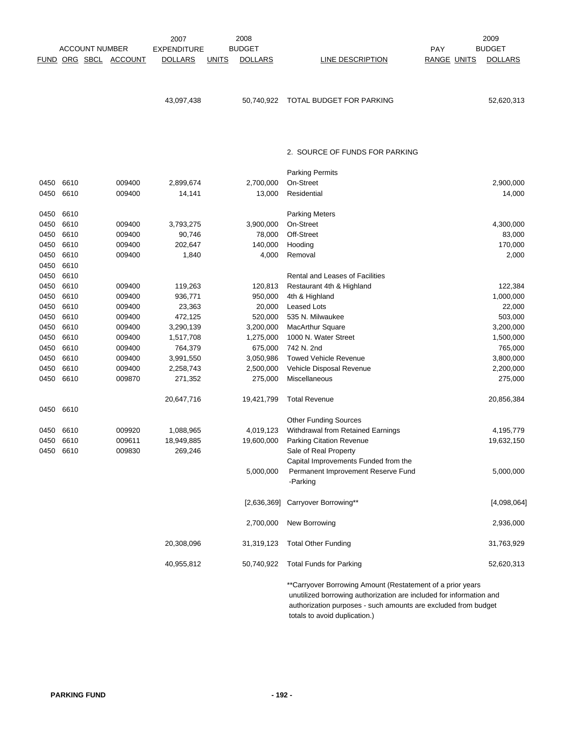|      |           | <b>ACCOUNT NUMBER</b><br><u>FUND ORG SBCL</u> | <b>ACCOUNT</b> | 2007<br><b>EXPENDITURE</b><br><b>DOLLARS</b> | <b>UNITS</b> | 2008<br><b>BUDGET</b><br><b>DOLLARS</b> | LINE DESCRIPTION                                                                                                                                                                     | PAY<br><b>RANGE UNITS</b> | 2009<br><b>BUDGET</b><br><b>DOLLARS</b> |
|------|-----------|-----------------------------------------------|----------------|----------------------------------------------|--------------|-----------------------------------------|--------------------------------------------------------------------------------------------------------------------------------------------------------------------------------------|---------------------------|-----------------------------------------|
|      |           |                                               |                |                                              |              |                                         |                                                                                                                                                                                      |                           |                                         |
|      |           |                                               |                | 43,097,438                                   |              | 50,740,922                              | TOTAL BUDGET FOR PARKING                                                                                                                                                             |                           | 52,620,313                              |
|      |           |                                               |                |                                              |              |                                         | 2. SOURCE OF FUNDS FOR PARKING                                                                                                                                                       |                           |                                         |
|      |           |                                               |                |                                              |              |                                         | <b>Parking Permits</b>                                                                                                                                                               |                           |                                         |
| 0450 | 6610      |                                               | 009400         | 2,899,674                                    |              | 2,700,000                               | On-Street                                                                                                                                                                            |                           | 2,900,000                               |
| 0450 | 6610      |                                               | 009400         | 14,141                                       |              | 13,000                                  | Residential                                                                                                                                                                          |                           | 14,000                                  |
| 0450 | 6610      |                                               |                |                                              |              |                                         | <b>Parking Meters</b>                                                                                                                                                                |                           |                                         |
| 0450 | 6610      |                                               | 009400         | 3,793,275                                    |              | 3,900,000                               | On-Street                                                                                                                                                                            |                           | 4,300,000                               |
| 0450 | 6610      |                                               | 009400         | 90,746                                       |              | 78,000                                  | Off-Street                                                                                                                                                                           |                           | 83,000                                  |
| 0450 | 6610      |                                               | 009400         | 202,647                                      |              | 140,000                                 | Hooding                                                                                                                                                                              |                           | 170,000                                 |
| 0450 | 6610      |                                               | 009400         | 1,840                                        |              | 4,000                                   | Removal                                                                                                                                                                              |                           | 2,000                                   |
| 0450 | 6610      |                                               |                |                                              |              |                                         |                                                                                                                                                                                      |                           |                                         |
| 0450 | 6610      |                                               |                |                                              |              |                                         | <b>Rental and Leases of Facilities</b>                                                                                                                                               |                           |                                         |
| 0450 | 6610      |                                               | 009400         | 119,263                                      |              | 120,813                                 | Restaurant 4th & Highland                                                                                                                                                            |                           | 122,384                                 |
| 0450 | 6610      |                                               | 009400         | 936,771                                      |              | 950,000                                 | 4th & Highland                                                                                                                                                                       |                           | 1,000,000                               |
| 0450 | 6610      |                                               | 009400         | 23,363                                       |              | 20,000                                  | <b>Leased Lots</b>                                                                                                                                                                   |                           | 22,000                                  |
| 0450 | 6610      |                                               | 009400         | 472,125                                      |              | 520,000                                 | 535 N. Milwaukee                                                                                                                                                                     |                           | 503,000                                 |
| 0450 | 6610      |                                               | 009400         | 3,290,139                                    |              | 3,200,000                               | MacArthur Square                                                                                                                                                                     |                           | 3,200,000                               |
| 0450 | 6610      |                                               | 009400         | 1,517,708                                    |              | 1,275,000                               | 1000 N. Water Street                                                                                                                                                                 |                           | 1,500,000                               |
| 0450 | 6610      |                                               | 009400         | 764,379                                      |              | 675,000                                 | 742 N. 2nd                                                                                                                                                                           |                           | 765,000                                 |
| 0450 | 6610      |                                               | 009400         | 3,991,550                                    |              | 3,050,986                               | <b>Towed Vehicle Revenue</b>                                                                                                                                                         |                           | 3,800,000                               |
| 0450 | 6610      |                                               | 009400         | 2,258,743                                    |              | 2,500,000                               | Vehicle Disposal Revenue                                                                                                                                                             |                           | 2,200,000                               |
| 0450 | 6610      |                                               | 009870         | 271,352                                      |              | 275,000                                 | Miscellaneous                                                                                                                                                                        |                           | 275,000                                 |
|      |           |                                               |                | 20,647,716                                   |              | 19,421,799                              | <b>Total Revenue</b>                                                                                                                                                                 |                           | 20,856,384                              |
| 0450 | 6610      |                                               |                |                                              |              |                                         |                                                                                                                                                                                      |                           |                                         |
|      |           |                                               |                |                                              |              |                                         | <b>Other Funding Sources</b>                                                                                                                                                         |                           |                                         |
| 0450 | 6610      |                                               | 009920         | 1,088,965                                    |              | 4,019,123                               | Withdrawal from Retained Earnings                                                                                                                                                    |                           | 4,195,779                               |
| 0450 | 6610      |                                               | 009611         | 18,949,885                                   |              | 19,600,000                              | Parking Citation Revenue                                                                                                                                                             |                           | 19,632,150                              |
|      | 0450 6610 |                                               | 009830         | 269,246                                      |              |                                         | Sale of Real Property                                                                                                                                                                |                           |                                         |
|      |           |                                               |                |                                              |              |                                         | Capital Improvements Funded from the                                                                                                                                                 |                           |                                         |
|      |           |                                               |                |                                              |              | 5,000,000                               | Permanent Improvement Reserve Fund<br>-Parking                                                                                                                                       |                           | 5,000,000                               |
|      |           |                                               |                |                                              |              | [2,636,369]                             | Carryover Borrowing**                                                                                                                                                                |                           | [4,098,064]                             |
|      |           |                                               |                |                                              |              | 2,700,000                               | New Borrowing                                                                                                                                                                        |                           | 2,936,000                               |
|      |           |                                               |                | 20,308,096                                   |              | 31,319,123                              | <b>Total Other Funding</b>                                                                                                                                                           |                           | 31,763,929                              |
|      |           |                                               |                | 40,955,812                                   |              | 50,740,922                              | <b>Total Funds for Parking</b>                                                                                                                                                       |                           | 52,620,313                              |
|      |           |                                               |                |                                              |              |                                         | ** Carryover Borrowing Amount (Restatement of a prior years<br>unutilized borrowing authorization are included for information and<br>purposes such amounts are evoluded from budget |                           |                                         |

 authorization purposes - such amounts are excluded from budget totals to avoid duplication.)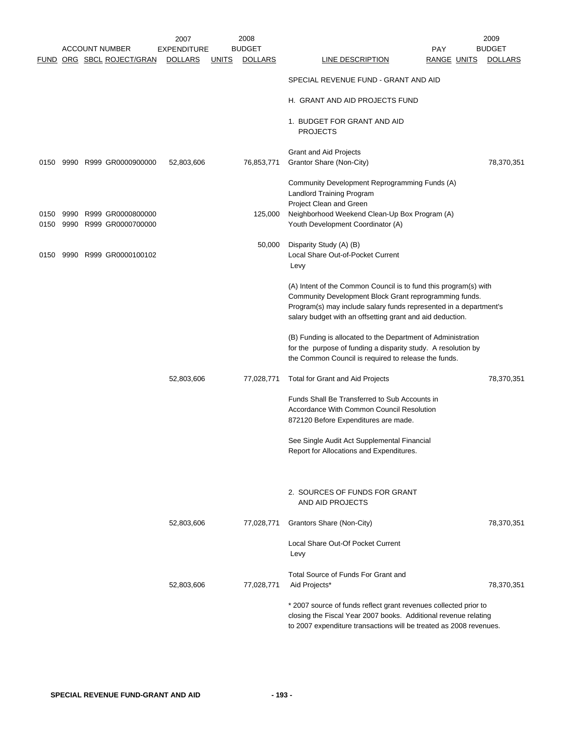|              |              |                                        | 2007               |              | 2008           |                                                                                                                                                                                                                                                              | 2009           |
|--------------|--------------|----------------------------------------|--------------------|--------------|----------------|--------------------------------------------------------------------------------------------------------------------------------------------------------------------------------------------------------------------------------------------------------------|----------------|
|              |              | <b>ACCOUNT NUMBER</b>                  | <b>EXPENDITURE</b> |              | <b>BUDGET</b>  | <b>PAY</b>                                                                                                                                                                                                                                                   | <b>BUDGET</b>  |
|              |              | FUND ORG SBCL ROJECT/GRAN              | <b>DOLLARS</b>     | <u>UNITS</u> | <b>DOLLARS</b> | <b>LINE DESCRIPTION</b><br>RANGE UNITS                                                                                                                                                                                                                       | <b>DOLLARS</b> |
|              |              |                                        |                    |              |                | SPECIAL REVENUE FUND - GRANT AND AID                                                                                                                                                                                                                         |                |
|              |              |                                        |                    |              |                | H. GRANT AND AID PROJECTS FUND                                                                                                                                                                                                                               |                |
|              |              |                                        |                    |              |                | 1. BUDGET FOR GRANT AND AID<br><b>PROJECTS</b>                                                                                                                                                                                                               |                |
|              |              |                                        |                    |              |                | <b>Grant and Aid Projects</b>                                                                                                                                                                                                                                |                |
| 0150         |              | 9990 R999 GR0000900000                 | 52,803,606         |              | 76,853,771     | Grantor Share (Non-City)                                                                                                                                                                                                                                     | 78,370,351     |
|              |              |                                        |                    |              |                | Community Development Reprogramming Funds (A)<br>Landlord Training Program                                                                                                                                                                                   |                |
|              |              |                                        |                    |              |                | Project Clean and Green                                                                                                                                                                                                                                      |                |
| 0150<br>0150 | 9990<br>9990 | R999 GR0000800000<br>R999 GR0000700000 |                    |              | 125,000        | Neighborhood Weekend Clean-Up Box Program (A)<br>Youth Development Coordinator (A)                                                                                                                                                                           |                |
|              |              |                                        |                    |              | 50,000         | Disparity Study (A) (B)                                                                                                                                                                                                                                      |                |
| 0150         |              | 9990 R999 GR0000100102                 |                    |              |                | Local Share Out-of-Pocket Current<br>Levy                                                                                                                                                                                                                    |                |
|              |              |                                        |                    |              |                | (A) Intent of the Common Council is to fund this program(s) with<br>Community Development Block Grant reprogramming funds.<br>Program(s) may include salary funds represented in a department's<br>salary budget with an offsetting grant and aid deduction. |                |
|              |              |                                        |                    |              |                | (B) Funding is allocated to the Department of Administration<br>for the purpose of funding a disparity study. A resolution by<br>the Common Council is required to release the funds.                                                                        |                |
|              |              |                                        | 52,803,606         |              | 77,028,771     | Total for Grant and Aid Projects                                                                                                                                                                                                                             | 78,370,351     |
|              |              |                                        |                    |              |                | Funds Shall Be Transferred to Sub Accounts in                                                                                                                                                                                                                |                |
|              |              |                                        |                    |              |                | Accordance With Common Council Resolution<br>872120 Before Expenditures are made.                                                                                                                                                                            |                |
|              |              |                                        |                    |              |                | See Single Audit Act Supplemental Financial<br>Report for Allocations and Expenditures.                                                                                                                                                                      |                |
|              |              |                                        |                    |              |                |                                                                                                                                                                                                                                                              |                |
|              |              |                                        |                    |              |                | 2. SOURCES OF FUNDS FOR GRANT<br>AND AID PROJECTS                                                                                                                                                                                                            |                |
|              |              |                                        | 52,803,606         |              | 77,028,771     | Grantors Share (Non-City)                                                                                                                                                                                                                                    | 78,370,351     |
|              |              |                                        |                    |              |                | Local Share Out-Of Pocket Current<br>Levy                                                                                                                                                                                                                    |                |
|              |              |                                        | 52,803,606         |              | 77,028,771     | Total Source of Funds For Grant and<br>Aid Projects*                                                                                                                                                                                                         | 78,370,351     |
|              |              |                                        |                    |              |                | * 2007 source of funds reflect grant revenues collected prior to<br>closing the Fiscal Year 2007 books. Additional revenue relating<br>to 2007 expenditure transactions will be treated as 2008 revenues.                                                    |                |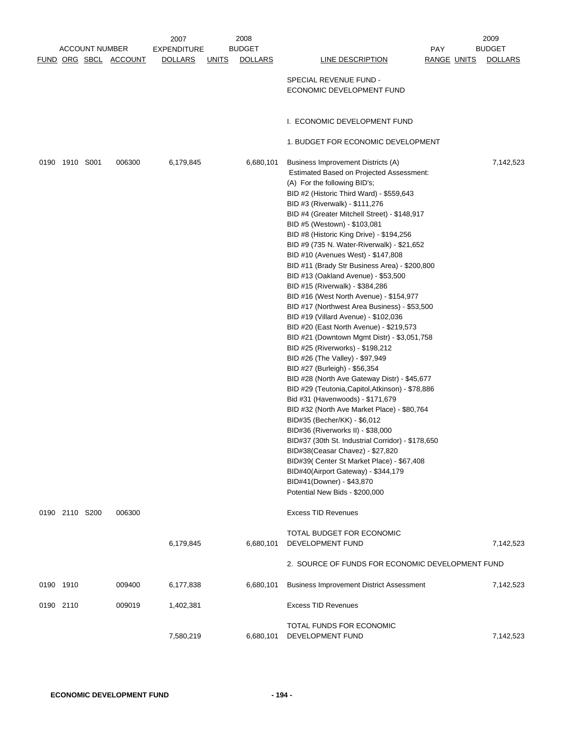|           |                |                       |                       | 2007               |              | 2008           |                                                                                |             | 2009           |
|-----------|----------------|-----------------------|-----------------------|--------------------|--------------|----------------|--------------------------------------------------------------------------------|-------------|----------------|
|           |                | <b>ACCOUNT NUMBER</b> |                       | <b>EXPENDITURE</b> |              | <b>BUDGET</b>  |                                                                                | <b>PAY</b>  | <b>BUDGET</b>  |
|           |                |                       | FUND ORG SBCL ACCOUNT | <b>DOLLARS</b>     | <u>UNITS</u> | <b>DOLLARS</b> | LINE DESCRIPTION                                                               | RANGE UNITS | <b>DOLLARS</b> |
|           |                |                       |                       |                    |              |                | SPECIAL REVENUE FUND -                                                         |             |                |
|           |                |                       |                       |                    |              |                | ECONOMIC DEVELOPMENT FUND                                                      |             |                |
|           |                |                       |                       |                    |              |                |                                                                                |             |                |
|           |                |                       |                       |                    |              |                |                                                                                |             |                |
|           |                |                       |                       |                    |              |                | I. ECONOMIC DEVELOPMENT FUND                                                   |             |                |
|           |                |                       |                       |                    |              |                |                                                                                |             |                |
|           |                |                       |                       |                    |              |                | 1. BUDGET FOR ECONOMIC DEVELOPMENT                                             |             |                |
|           |                |                       |                       |                    |              |                |                                                                                |             |                |
|           | 0190 1910 S001 |                       | 006300                | 6,179,845          |              | 6,680,101      | Business Improvement Districts (A)                                             |             | 7,142,523      |
|           |                |                       |                       |                    |              |                | <b>Estimated Based on Projected Assessment:</b>                                |             |                |
|           |                |                       |                       |                    |              |                | (A) For the following BID's;                                                   |             |                |
|           |                |                       |                       |                    |              |                | BID #2 (Historic Third Ward) - \$559,643                                       |             |                |
|           |                |                       |                       |                    |              |                | BID #3 (Riverwalk) - \$111,276<br>BID #4 (Greater Mitchell Street) - \$148,917 |             |                |
|           |                |                       |                       |                    |              |                | BID #5 (Westown) - \$103,081                                                   |             |                |
|           |                |                       |                       |                    |              |                | BID #8 (Historic King Drive) - \$194,256                                       |             |                |
|           |                |                       |                       |                    |              |                | BID #9 (735 N. Water-Riverwalk) - \$21,652                                     |             |                |
|           |                |                       |                       |                    |              |                | BID #10 (Avenues West) - \$147,808                                             |             |                |
|           |                |                       |                       |                    |              |                | BID #11 (Brady Str Business Area) - \$200,800                                  |             |                |
|           |                |                       |                       |                    |              |                | BID #13 (Oakland Avenue) - \$53,500                                            |             |                |
|           |                |                       |                       |                    |              |                | BID #15 (Riverwalk) - \$384,286                                                |             |                |
|           |                |                       |                       |                    |              |                | BID #16 (West North Avenue) - \$154,977                                        |             |                |
|           |                |                       |                       |                    |              |                | BID #17 (Northwest Area Business) - \$53,500                                   |             |                |
|           |                |                       |                       |                    |              |                | BID #19 (Villard Avenue) - \$102,036                                           |             |                |
|           |                |                       |                       |                    |              |                | BID #20 (East North Avenue) - \$219,573                                        |             |                |
|           |                |                       |                       |                    |              |                | BID #21 (Downtown Mgmt Distr) - \$3,051,758                                    |             |                |
|           |                |                       |                       |                    |              |                | BID #25 (Riverworks) - \$198,212                                               |             |                |
|           |                |                       |                       |                    |              |                | BID #26 (The Valley) - \$97,949<br>BID #27 (Burleigh) - \$56,354               |             |                |
|           |                |                       |                       |                    |              |                | BID #28 (North Ave Gateway Distr) - \$45,677                                   |             |                |
|           |                |                       |                       |                    |              |                | BID #29 (Teutonia, Capitol, Atkinson) - \$78,886                               |             |                |
|           |                |                       |                       |                    |              |                | Bid #31 (Havenwoods) - \$171,679                                               |             |                |
|           |                |                       |                       |                    |              |                | BID #32 (North Ave Market Place) - \$80,764                                    |             |                |
|           |                |                       |                       |                    |              |                | BID#35 (Becher/KK) - \$6,012                                                   |             |                |
|           |                |                       |                       |                    |              |                | BID#36 (Riverworks II) - \$38,000                                              |             |                |
|           |                |                       |                       |                    |              |                | BID#37 (30th St. Industrial Corridor) - \$178,650                              |             |                |
|           |                |                       |                       |                    |              |                | BID#38(Ceasar Chavez) - \$27,820                                               |             |                |
|           |                |                       |                       |                    |              |                | BID#39( Center St Market Place) - \$67,408                                     |             |                |
|           |                |                       |                       |                    |              |                | BID#40(Airport Gateway) - \$344,179                                            |             |                |
|           |                |                       |                       |                    |              |                | BID#41(Downer) - \$43,870                                                      |             |                |
|           |                |                       |                       |                    |              |                | Potential New Bids - \$200,000                                                 |             |                |
|           | 0190 2110 S200 |                       | 006300                |                    |              |                | <b>Excess TID Revenues</b>                                                     |             |                |
|           |                |                       |                       |                    |              |                |                                                                                |             |                |
|           |                |                       |                       |                    |              |                | TOTAL BUDGET FOR ECONOMIC                                                      |             |                |
|           |                |                       |                       | 6,179,845          |              | 6,680,101      | DEVELOPMENT FUND                                                               |             | 7,142,523      |
|           |                |                       |                       |                    |              |                |                                                                                |             |                |
|           |                |                       |                       |                    |              |                | 2. SOURCE OF FUNDS FOR ECONOMIC DEVELOPMENT FUND                               |             |                |
| 0190 1910 |                |                       | 009400                | 6,177,838          |              | 6,680,101      | <b>Business Improvement District Assessment</b>                                |             | 7,142,523      |
| 0190 2110 |                |                       | 009019                | 1,402,381          |              |                | <b>Excess TID Revenues</b>                                                     |             |                |
|           |                |                       |                       |                    |              |                |                                                                                |             |                |
|           |                |                       |                       |                    |              |                | TOTAL FUNDS FOR ECONOMIC                                                       |             |                |
|           |                |                       |                       | 7,580,219          |              | 6,680,101      | DEVELOPMENT FUND                                                               |             | 7,142,523      |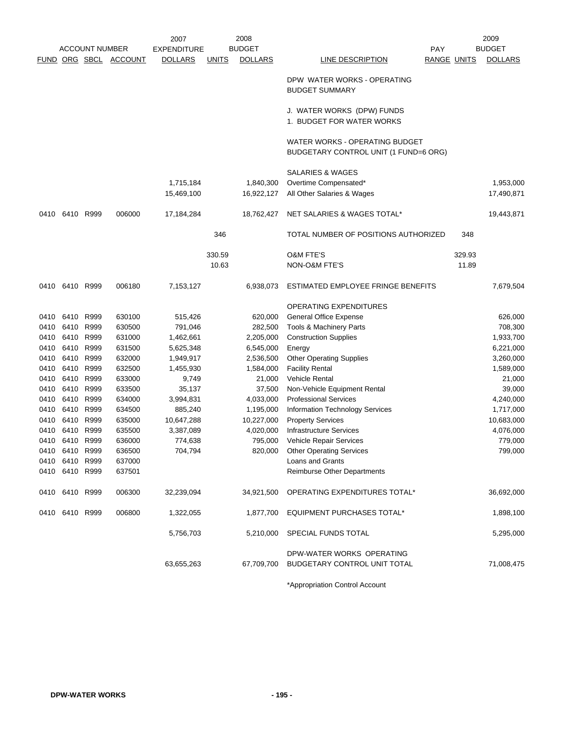|      |                |                       |                | 2007               |              | 2008           |                                                                         |                    | 2009           |
|------|----------------|-----------------------|----------------|--------------------|--------------|----------------|-------------------------------------------------------------------------|--------------------|----------------|
|      |                | <b>ACCOUNT NUMBER</b> |                | <b>EXPENDITURE</b> |              | <b>BUDGET</b>  | <b>PAY</b>                                                              |                    | <b>BUDGET</b>  |
|      |                | FUND ORG SBCL         | <b>ACCOUNT</b> | <b>DOLLARS</b>     | <b>UNITS</b> | <b>DOLLARS</b> | LINE DESCRIPTION                                                        | <b>RANGE UNITS</b> | <b>DOLLARS</b> |
|      |                |                       |                |                    |              |                | DPW WATER WORKS - OPERATING<br><b>BUDGET SUMMARY</b>                    |                    |                |
|      |                |                       |                |                    |              |                | J. WATER WORKS (DPW) FUNDS<br>1. BUDGET FOR WATER WORKS                 |                    |                |
|      |                |                       |                |                    |              |                | WATER WORKS - OPERATING BUDGET<br>BUDGETARY CONTROL UNIT (1 FUND=6 ORG) |                    |                |
|      |                |                       |                |                    |              |                | <b>SALARIES &amp; WAGES</b>                                             |                    |                |
|      |                |                       |                | 1,715,184          |              | 1,840,300      | Overtime Compensated*                                                   |                    | 1,953,000      |
|      |                |                       |                | 15,469,100         |              | 16,922,127     | All Other Salaries & Wages                                              |                    | 17,490,871     |
|      |                |                       |                |                    |              |                |                                                                         |                    |                |
| 0410 |                | 6410 R999             | 006000         | 17,184,284         |              | 18,762,427     | NET SALARIES & WAGES TOTAL*                                             |                    | 19,443,871     |
|      |                |                       |                |                    | 346          |                | TOTAL NUMBER OF POSITIONS AUTHORIZED                                    | 348                |                |
|      |                |                       |                |                    | 330.59       |                | <b>O&amp;M FTE'S</b>                                                    | 329.93             |                |
|      |                |                       |                |                    | 10.63        |                | NON-O&M FTE'S                                                           | 11.89              |                |
| 0410 | 6410 R999      |                       | 006180         | 7,153,127          |              | 6,938,073      | ESTIMATED EMPLOYEE FRINGE BENEFITS                                      |                    | 7,679,504      |
|      |                |                       |                |                    |              |                | OPERATING EXPENDITURES                                                  |                    |                |
| 0410 | 6410           | R999                  | 630100         | 515,426            |              | 620,000        | General Office Expense                                                  |                    | 626,000        |
| 0410 | 6410           | R999                  | 630500         | 791,046            |              | 282,500        | Tools & Machinery Parts                                                 |                    | 708,300        |
| 0410 |                | 6410 R999             | 631000         | 1,462,661          |              | 2,205,000      | <b>Construction Supplies</b>                                            |                    | 1,933,700      |
| 0410 | 6410           | R999                  | 631500         | 5,625,348          |              | 6,545,000      | Energy                                                                  |                    | 6,221,000      |
| 0410 | 6410 R999      |                       | 632000         | 1,949,917          |              | 2,536,500      | <b>Other Operating Supplies</b>                                         |                    | 3,260,000      |
| 0410 | 6410 R999      |                       | 632500         | 1,455,930          |              | 1,584,000      | <b>Facility Rental</b>                                                  |                    | 1,589,000      |
| 0410 | 6410           | R999                  | 633000         | 9,749              |              | 21,000         | Vehicle Rental                                                          |                    | 21,000         |
| 0410 | 6410           | R999                  | 633500         | 35,137             |              | 37,500         | Non-Vehicle Equipment Rental                                            |                    | 39,000         |
| 0410 | 6410           | R999                  | 634000         | 3,994,831          |              | 4,033,000      | <b>Professional Services</b>                                            |                    | 4,240,000      |
| 0410 |                | 6410 R999             | 634500         | 885,240            |              | 1,195,000      | <b>Information Technology Services</b>                                  |                    | 1,717,000      |
| 0410 | 6410           | R999                  | 635000         | 10,647,288         |              | 10,227,000     | <b>Property Services</b>                                                |                    | 10,683,000     |
| 0410 | 6410           | R999                  | 635500         | 3,387,089          |              | 4,020,000      | <b>Infrastructure Services</b>                                          |                    | 4,076,000      |
| 0410 | 6410 R999      |                       | 636000         | 774,638            |              | 795,000        | Vehicle Repair Services                                                 |                    | 779,000        |
|      | 0410 6410 R999 |                       | 636500         | 704,794            |              | 820,000        | <b>Other Operating Services</b>                                         |                    | 799,000        |
|      | 0410 6410 R999 |                       | 637000         |                    |              |                | Loans and Grants                                                        |                    |                |
|      | 0410 6410 R999 |                       | 637501         |                    |              |                | Reimburse Other Departments                                             |                    |                |
|      | 0410 6410 R999 |                       | 006300         | 32,239,094         |              | 34,921,500     | OPERATING EXPENDITURES TOTAL*                                           |                    | 36,692,000     |
|      | 0410 6410 R999 |                       | 006800         | 1,322,055          |              | 1,877,700      | <b>EQUIPMENT PURCHASES TOTAL*</b>                                       |                    | 1,898,100      |
|      |                |                       |                | 5,756,703          |              | 5,210,000      | SPECIAL FUNDS TOTAL                                                     |                    | 5,295,000      |
|      |                |                       |                | 63,655,263         |              | 67,709,700     | DPW-WATER WORKS OPERATING<br><b>BUDGETARY CONTROL UNIT TOTAL</b>        |                    | 71,008,475     |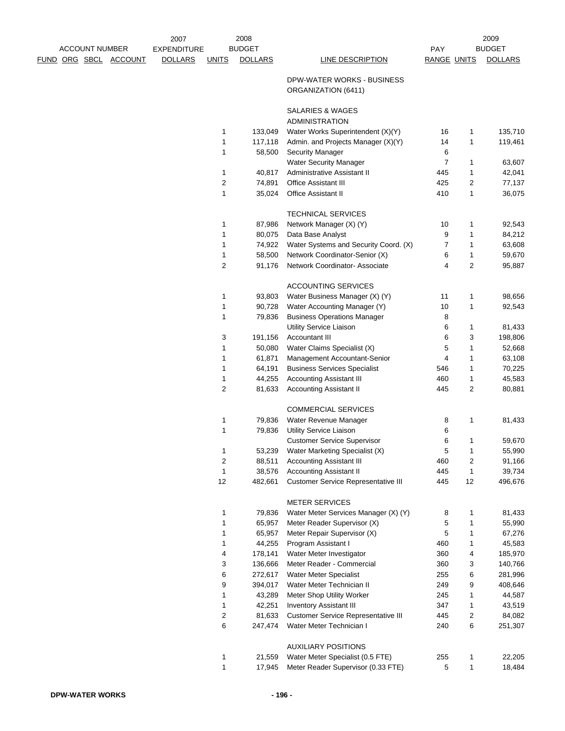|  | <b>ACCOUNT NUMBER</b> |                       | 2007<br><b>EXPENDITURE</b> |              | 2008<br><b>BUDGET</b> |                                                               | PAY                |                | 2009<br><b>BUDGET</b> |
|--|-----------------------|-----------------------|----------------------------|--------------|-----------------------|---------------------------------------------------------------|--------------------|----------------|-----------------------|
|  |                       | FUND ORG SBCL ACCOUNT | <b>DOLLARS</b>             | <b>UNITS</b> | <b>DOLLARS</b>        | <b>LINE DESCRIPTION</b>                                       | <b>RANGE UNITS</b> |                | <b>DOLLARS</b>        |
|  |                       |                       |                            |              |                       |                                                               |                    |                |                       |
|  |                       |                       |                            |              |                       | DPW-WATER WORKS - BUSINESS<br>ORGANIZATION (6411)             |                    |                |                       |
|  |                       |                       |                            |              |                       | SALARIES & WAGES                                              |                    |                |                       |
|  |                       |                       |                            |              |                       | <b>ADMINISTRATION</b>                                         |                    |                |                       |
|  |                       |                       |                            | 1<br>1       | 133,049               | Water Works Superintendent (X)(Y)                             | 16<br>14           | 1<br>1         | 135,710               |
|  |                       |                       |                            | 1            | 117,118<br>58,500     | Admin. and Projects Manager (X)(Y)<br><b>Security Manager</b> | 6                  |                | 119,461               |
|  |                       |                       |                            |              |                       | Water Security Manager                                        | $\overline{7}$     | 1              | 63,607                |
|  |                       |                       |                            | 1            | 40,817                | Administrative Assistant II                                   | 445                | 1              | 42,041                |
|  |                       |                       |                            | 2            | 74,891                | <b>Office Assistant III</b>                                   | 425                | 2              | 77,137                |
|  |                       |                       |                            | 1            | 35,024                | Office Assistant II                                           | 410                | 1              | 36,075                |
|  |                       |                       |                            |              |                       | <b>TECHNICAL SERVICES</b>                                     |                    |                |                       |
|  |                       |                       |                            | 1            | 87,986                | Network Manager (X) (Y)                                       | 10                 | 1              | 92,543                |
|  |                       |                       |                            | 1            | 80,075                | Data Base Analyst                                             | 9                  | 1              | 84,212                |
|  |                       |                       |                            | 1            | 74,922                | Water Systems and Security Coord. (X)                         | $\overline{7}$     | 1              | 63,608                |
|  |                       |                       |                            | 1            | 58,500                | Network Coordinator-Senior (X)                                | 6                  | 1              | 59,670                |
|  |                       |                       |                            | 2            | 91,176                | Network Coordinator- Associate                                | $\overline{4}$     | $\overline{2}$ | 95,887                |
|  |                       |                       |                            |              |                       | <b>ACCOUNTING SERVICES</b>                                    |                    |                |                       |
|  |                       |                       |                            | 1            | 93,803                | Water Business Manager (X) (Y)                                | 11                 | 1              | 98,656                |
|  |                       |                       |                            | 1            | 90,728                | Water Accounting Manager (Y)                                  | 10                 | 1              | 92,543                |
|  |                       |                       |                            | 1            | 79,836                | <b>Business Operations Manager</b>                            | 8                  |                |                       |
|  |                       |                       |                            |              |                       | Utility Service Liaison                                       | 6                  | 1              | 81,433                |
|  |                       |                       |                            | 3<br>1       | 191,156<br>50,080     | <b>Accountant III</b>                                         | 6<br>5             | 3<br>1         | 198,806<br>52,668     |
|  |                       |                       |                            | 1            | 61,871                | Water Claims Specialist (X)<br>Management Accountant-Senior   | 4                  | 1              | 63,108                |
|  |                       |                       |                            | 1            | 64,191                | <b>Business Services Specialist</b>                           | 546                | 1              | 70,225                |
|  |                       |                       |                            | 1            | 44,255                | <b>Accounting Assistant III</b>                               | 460                | 1              | 45,583                |
|  |                       |                       |                            | 2            | 81,633                | <b>Accounting Assistant II</b>                                | 445                | 2              | 80,881                |
|  |                       |                       |                            |              |                       | <b>COMMERCIAL SERVICES</b>                                    |                    |                |                       |
|  |                       |                       |                            | 1            | 79,836                | Water Revenue Manager                                         | 8                  | 1              | 81,433                |
|  |                       |                       |                            | 1            | 79,836                | Utility Service Liaison                                       | 6                  |                |                       |
|  |                       |                       |                            |              |                       | <b>Customer Service Supervisor</b>                            | 6                  | 1              | 59,670                |
|  |                       |                       |                            | 1            | 53,239                | Water Marketing Specialist (X)                                | 5                  | 1              | 55,990                |
|  |                       |                       |                            | 2            | 88,511                | <b>Accounting Assistant III</b>                               | 460                | 2              | 91,166                |
|  |                       |                       |                            | 1            | 38,576                | <b>Accounting Assistant II</b>                                | 445                | 1              | 39,734                |
|  |                       |                       |                            | 12           | 482,661               | <b>Customer Service Representative III</b>                    | 445                | 12             | 496,676               |
|  |                       |                       |                            |              |                       | <b>METER SERVICES</b>                                         |                    |                |                       |
|  |                       |                       |                            | 1            | 79,836                | Water Meter Services Manager (X) (Y)                          | 8                  | 1              | 81,433                |
|  |                       |                       |                            | 1<br>1       | 65,957<br>65,957      | Meter Reader Supervisor (X)<br>Meter Repair Supervisor (X)    | 5<br>5             | 1<br>1         | 55,990<br>67,276      |
|  |                       |                       |                            | 1            | 44,255                | Program Assistant I                                           | 460                | 1              | 45,583                |
|  |                       |                       |                            | 4            | 178,141               | Water Meter Investigator                                      | 360                | 4              | 185,970               |
|  |                       |                       |                            | 3            | 136,666               | Meter Reader - Commercial                                     | 360                | 3              | 140,766               |
|  |                       |                       |                            | 6            | 272,617               | Water Meter Specialist                                        | 255                | 6              | 281,996               |
|  |                       |                       |                            | 9            | 394,017               | Water Meter Technician II                                     | 249                | 9              | 408,646               |
|  |                       |                       |                            | 1            | 43,289                | Meter Shop Utility Worker                                     | 245                | 1              | 44,587                |
|  |                       |                       |                            | 1            | 42,251                | <b>Inventory Assistant III</b>                                | 347                | 1              | 43,519                |
|  |                       |                       |                            | 2            | 81,633                | <b>Customer Service Representative III</b>                    | 445                | 2              | 84,082                |
|  |                       |                       |                            | 6            | 247,474               | Water Meter Technician I                                      | 240                | 6              | 251,307               |
|  |                       |                       |                            |              |                       | <b>AUXILIARY POSITIONS</b>                                    |                    |                |                       |
|  |                       |                       |                            | 1            | 21,559                | Water Meter Specialist (0.5 FTE)                              | 255                | 1              | 22,205                |
|  |                       |                       |                            | $\mathbf{1}$ | 17,945                | Meter Reader Supervisor (0.33 FTE)                            | 5                  | 1              | 18,484                |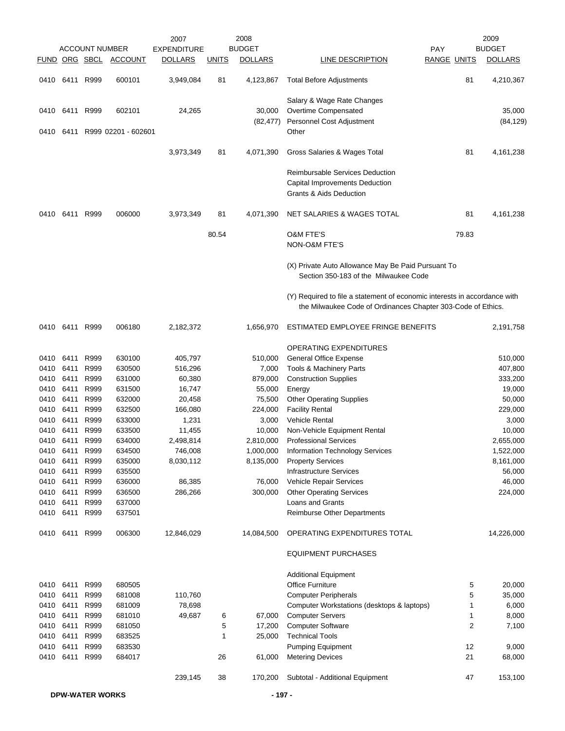|              |              | <b>ACCOUNT NUMBER</b> |                     | 2007<br><b>EXPENDITURE</b> |              | 2008<br><b>BUDGET</b> |                                                                                                                                           | <b>PAY</b>         | 2009<br><b>BUDGET</b> |
|--------------|--------------|-----------------------|---------------------|----------------------------|--------------|-----------------------|-------------------------------------------------------------------------------------------------------------------------------------------|--------------------|-----------------------|
|              |              | FUND ORG SBCL         | <b>ACCOUNT</b>      | DOLLARS                    | <b>UNITS</b> | <b>DOLLARS</b>        | LINE DESCRIPTION                                                                                                                          | <b>RANGE UNITS</b> | <b>DOLLARS</b>        |
| 0410         | 6411         | R999                  | 600101              | 3,949,084                  | 81           | 4,123,867             | <b>Total Before Adjustments</b>                                                                                                           | 81                 | 4,210,367             |
|              |              |                       |                     |                            |              |                       | Salary & Wage Rate Changes                                                                                                                |                    |                       |
|              | 0410 6411    | R999                  | 602101              | 24,265                     |              | 30,000                | Overtime Compensated                                                                                                                      |                    | 35,000                |
|              |              |                       |                     |                            |              | (82, 477)             | Personnel Cost Adjustment                                                                                                                 |                    | (84, 129)             |
| 0410         | 6411         |                       | R999 02201 - 602601 |                            |              |                       | Other                                                                                                                                     |                    |                       |
|              |              |                       |                     | 3,973,349                  | 81           | 4,071,390             | Gross Salaries & Wages Total                                                                                                              | 81                 | 4,161,238             |
|              |              |                       |                     |                            |              |                       | <b>Reimbursable Services Deduction</b>                                                                                                    |                    |                       |
|              |              |                       |                     |                            |              |                       | Capital Improvements Deduction                                                                                                            |                    |                       |
|              |              |                       |                     |                            |              |                       | <b>Grants &amp; Aids Deduction</b>                                                                                                        |                    |                       |
| 0410         | 6411         | R999                  | 006000              | 3,973,349                  | 81           | 4,071,390             | NET SALARIES & WAGES TOTAL                                                                                                                | 81                 | 4,161,238             |
|              |              |                       |                     |                            | 80.54        |                       | <b>O&amp;M FTE'S</b>                                                                                                                      | 79.83              |                       |
|              |              |                       |                     |                            |              |                       | <b>NON-O&amp;M FTE'S</b>                                                                                                                  |                    |                       |
|              |              |                       |                     |                            |              |                       | (X) Private Auto Allowance May Be Paid Pursuant To<br>Section 350-183 of the Milwaukee Code                                               |                    |                       |
|              |              |                       |                     |                            |              |                       | (Y) Required to file a statement of economic interests in accordance with<br>the Milwaukee Code of Ordinances Chapter 303-Code of Ethics. |                    |                       |
| 0410         | 6411         | R999                  | 006180              | 2,182,372                  |              | 1,656,970             | ESTIMATED EMPLOYEE FRINGE BENEFITS                                                                                                        |                    | 2,191,758             |
|              |              |                       |                     |                            |              |                       | OPERATING EXPENDITURES                                                                                                                    |                    |                       |
| 0410         | 6411         | R999                  | 630100              | 405,797                    |              | 510,000               | General Office Expense                                                                                                                    |                    | 510,000               |
| 0410         | 6411         | R999                  | 630500              | 516,296                    |              | 7,000                 | Tools & Machinery Parts                                                                                                                   |                    | 407,800               |
| 0410         | 6411         | R999                  | 631000              | 60,380                     |              | 879,000               | <b>Construction Supplies</b>                                                                                                              |                    | 333,200               |
| 0410         | 6411         | R999                  | 631500              | 16,747                     |              | 55,000                | Energy                                                                                                                                    |                    | 19,000                |
| 0410         | 6411         | R999                  | 632000              | 20,458                     |              | 75,500                | <b>Other Operating Supplies</b>                                                                                                           |                    | 50,000                |
| 0410         | 6411         | R999                  | 632500              | 166,080                    |              | 224,000               | <b>Facility Rental</b>                                                                                                                    |                    | 229,000               |
| 0410         | 6411         | R999                  | 633000              | 1,231                      |              | 3,000                 | Vehicle Rental                                                                                                                            |                    | 3,000                 |
| 0410         | 6411         | R999                  | 633500              | 11,455                     |              | 10,000                | Non-Vehicle Equipment Rental                                                                                                              |                    | 10,000                |
| 0410         | 6411         | R999                  | 634000              | 2,498,814                  |              | 2,810,000             | <b>Professional Services</b>                                                                                                              |                    | 2,655,000             |
| 0410         | 6411         | R999                  | 634500              | 746,008                    |              | 1,000,000             | <b>Information Technology Services</b>                                                                                                    |                    | 1,522,000             |
| 0410         | 6411         | R999                  | 635000              | 8,030,112                  |              | 8,135,000             | <b>Property Services</b>                                                                                                                  |                    | 8,161,000             |
| 0410<br>0410 | 6411<br>6411 | R999<br>R999          | 635500<br>636000    | 86,385                     |              | 76,000                | <b>Infrastructure Services</b><br>Vehicle Repair Services                                                                                 |                    | 56,000<br>46,000      |
| 0410         | 6411         | R999                  | 636500              | 286,266                    |              | 300,000               | <b>Other Operating Services</b>                                                                                                           |                    | 224,000               |
| 0410         | 6411         | R999                  | 637000              |                            |              |                       | <b>Loans and Grants</b>                                                                                                                   |                    |                       |
| 0410         | 6411         | R999                  | 637501              |                            |              |                       | Reimburse Other Departments                                                                                                               |                    |                       |
| 0410         |              | 6411 R999             | 006300              | 12,846,029                 |              | 14,084,500            | OPERATING EXPENDITURES TOTAL                                                                                                              |                    | 14,226,000            |
|              |              |                       |                     |                            |              |                       | <b>EQUIPMENT PURCHASES</b>                                                                                                                |                    |                       |
|              |              |                       |                     |                            |              |                       | <b>Additional Equipment</b>                                                                                                               |                    |                       |
| 0410         | 6411         | R999                  | 680505              |                            |              |                       | Office Furniture                                                                                                                          | 5                  | 20,000                |
| 0410         | 6411         | R999                  | 681008              | 110,760                    |              |                       | <b>Computer Peripherals</b>                                                                                                               | 5                  | 35,000                |
| 0410         | 6411         | R999                  | 681009              | 78,698                     |              |                       | Computer Workstations (desktops & laptops)                                                                                                | 1                  | 6,000                 |
| 0410         | 6411         | R999                  | 681010              | 49,687                     | 6            | 67,000                | <b>Computer Servers</b>                                                                                                                   | 1                  | 8,000                 |
| 0410         | 6411         | R999                  | 681050              |                            | 5            | 17,200                | <b>Computer Software</b>                                                                                                                  | 2                  | 7,100                 |
| 0410         | 6411         | R999                  | 683525              |                            | 1            | 25,000                | <b>Technical Tools</b>                                                                                                                    |                    |                       |
| 0410         | 6411         | R999                  | 683530              |                            |              |                       | <b>Pumping Equipment</b>                                                                                                                  | 12                 | 9,000                 |
| 0410         | 6411         | R999                  | 684017              |                            | 26           | 61,000                | <b>Metering Devices</b>                                                                                                                   | 21                 | 68,000                |
|              |              |                       |                     | 239,145                    | 38           | 170,200               | Subtotal - Additional Equipment                                                                                                           | 47                 | 153,100               |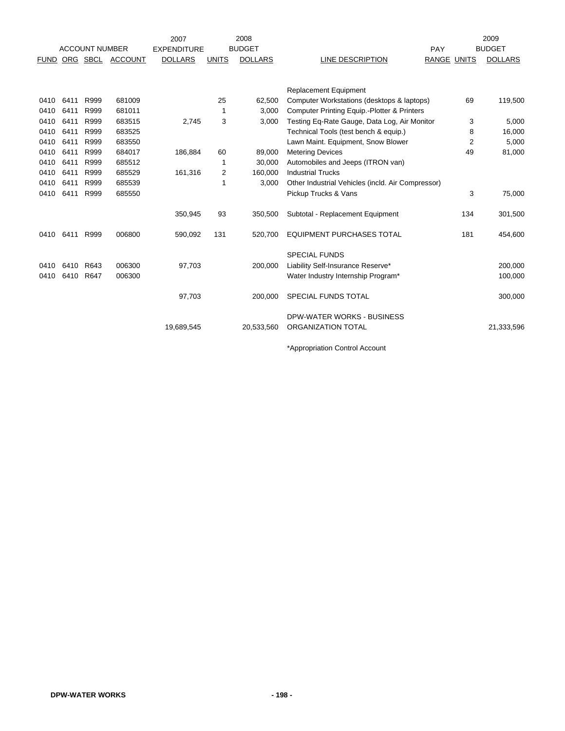|             |      |                       |                | 2007               |                | 2008           |                                                   |                    |                | 2009            |
|-------------|------|-----------------------|----------------|--------------------|----------------|----------------|---------------------------------------------------|--------------------|----------------|-----------------|
|             |      | <b>ACCOUNT NUMBER</b> |                | <b>EXPENDITURE</b> |                | <b>BUDGET</b>  |                                                   | PAY                |                | <b>BUDGET</b>   |
| <b>FUND</b> |      | ORG SBCL              | <b>ACCOUNT</b> | <b>DOLLARS</b>     | <b>UNITS</b>   | <b>DOLLARS</b> | LINE DESCRIPTION                                  | <b>RANGE UNITS</b> |                | <b>DOLLARS</b>  |
|             |      |                       |                |                    |                |                |                                                   |                    |                |                 |
|             |      |                       |                |                    |                |                | <b>Replacement Equipment</b>                      |                    |                |                 |
| 0410        | 6411 | R999                  | 681009         |                    | 25             | 62,500         | Computer Workstations (desktops & laptops)        |                    | 69             | 119,500         |
| 0410        | 6411 | R999                  | 681011         |                    | 1              | 3,000          | Computer Printing Equip.-Plotter & Printers       |                    |                |                 |
| 0410        | 6411 | R999                  | 683515         | 2,745              | 3              | 3.000          | Testing Eq-Rate Gauge, Data Log, Air Monitor      |                    | 3              | 5,000           |
| 0410        | 6411 | R999                  | 683525         |                    |                |                | Technical Tools (test bench & equip.)             |                    | 8              |                 |
| 0410        | 6411 | R999                  | 683550         |                    |                |                | Lawn Maint. Equipment, Snow Blower                |                    | $\overline{2}$ | 16,000<br>5,000 |
| 0410        | 6411 | R999                  | 684017         | 186,884            | 60             | 89,000         | <b>Metering Devices</b>                           |                    | 49             | 81,000          |
| 0410        | 6411 | R999                  | 685512         |                    |                | 30,000         | Automobiles and Jeeps (ITRON van)                 |                    |                |                 |
| 0410        |      | R999                  | 685529         |                    | 1              |                | <b>Industrial Trucks</b>                          |                    |                |                 |
|             | 6411 |                       |                | 161,316            | $\overline{2}$ | 160,000        |                                                   |                    |                |                 |
| 0410        | 6411 | R999                  | 685539         |                    | 1              | 3,000          | Other Industrial Vehicles (incld. Air Compressor) |                    |                |                 |
| 0410        | 6411 | R999                  | 685550         |                    |                |                | Pickup Trucks & Vans                              |                    | 3              | 75,000          |
|             |      |                       |                | 350,945            | 93             | 350,500        | Subtotal - Replacement Equipment                  |                    | 134            | 301,500         |
| 0410        | 6411 | R999                  | 006800         | 590,092            | 131            | 520,700        | <b>EQUIPMENT PURCHASES TOTAL</b>                  |                    | 181            | 454,600         |
|             |      |                       |                |                    |                |                | <b>SPECIAL FUNDS</b>                              |                    |                |                 |
| 0410        | 6410 | R643                  | 006300         | 97,703             |                | 200,000        | Liability Self-Insurance Reserve*                 |                    |                | 200,000         |
| 0410        | 6410 | R647                  | 006300         |                    |                |                | Water Industry Internship Program*                |                    |                | 100,000         |
|             |      |                       |                |                    |                |                |                                                   |                    |                |                 |
|             |      |                       |                | 97,703             |                | 200.000        | <b>SPECIAL FUNDS TOTAL</b>                        |                    |                | 300,000         |
|             |      |                       |                |                    |                |                | DPW-WATER WORKS - BUSINESS                        |                    |                |                 |
|             |      |                       |                | 19,689,545         |                | 20,533,560     | ORGANIZATION TOTAL                                |                    |                | 21,333,596      |
|             |      |                       |                |                    |                |                |                                                   |                    |                |                 |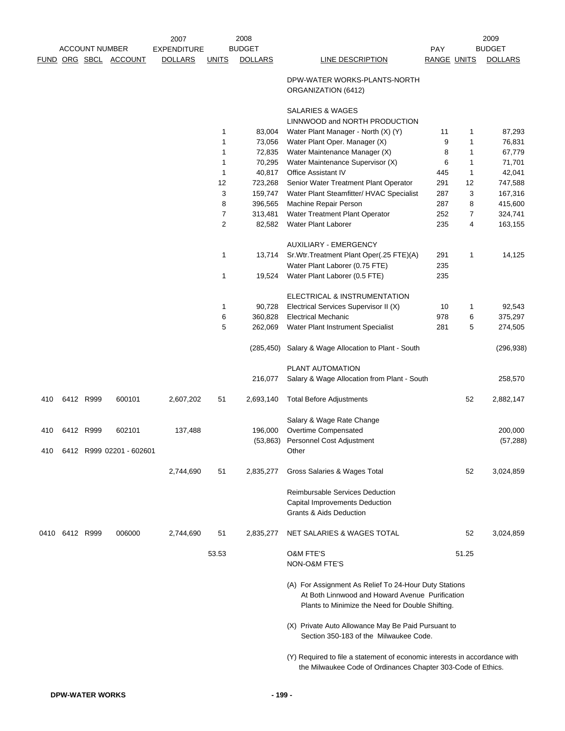|      |           |                       |                          | 2007               |                | 2008           |                                                                                                                                                              |             |       | 2009           |
|------|-----------|-----------------------|--------------------------|--------------------|----------------|----------------|--------------------------------------------------------------------------------------------------------------------------------------------------------------|-------------|-------|----------------|
|      |           | <b>ACCOUNT NUMBER</b> |                          | <b>EXPENDITURE</b> |                | <b>BUDGET</b>  |                                                                                                                                                              | <b>PAY</b>  |       | <b>BUDGET</b>  |
|      |           |                       | FUND ORG SBCL ACCOUNT    | <b>DOLLARS</b>     | <b>UNITS</b>   | <b>DOLLARS</b> | LINE DESCRIPTION                                                                                                                                             | RANGE UNITS |       | <b>DOLLARS</b> |
|      |           |                       |                          |                    |                |                | DPW-WATER WORKS-PLANTS-NORTH<br>ORGANIZATION (6412)                                                                                                          |             |       |                |
|      |           |                       |                          |                    |                |                | <b>SALARIES &amp; WAGES</b><br>LINNWOOD and NORTH PRODUCTION                                                                                                 |             |       |                |
|      |           |                       |                          |                    | 1              | 83,004         | Water Plant Manager - North (X) (Y)                                                                                                                          | 11          | 1     | 87,293         |
|      |           |                       |                          |                    | $\mathbf{1}$   | 73,056         | Water Plant Oper. Manager (X)                                                                                                                                | 9           | 1     | 76,831         |
|      |           |                       |                          |                    | 1              | 72,835         | Water Maintenance Manager (X)                                                                                                                                | 8           | 1     | 67,779         |
|      |           |                       |                          |                    | 1              | 70,295         | Water Maintenance Supervisor (X)                                                                                                                             | 6           | 1     | 71,701         |
|      |           |                       |                          |                    | 1              | 40,817         | Office Assistant IV                                                                                                                                          | 445         | 1     | 42,041         |
|      |           |                       |                          |                    | 12             | 723,268        | Senior Water Treatment Plant Operator                                                                                                                        | 291         | 12    | 747,588        |
|      |           |                       |                          |                    | 3              | 159,747        | Water Plant Steamfitter/ HVAC Specialist                                                                                                                     | 287         | 3     | 167,316        |
|      |           |                       |                          |                    | 8              | 396,565        | Machine Repair Person                                                                                                                                        | 287         | 8     | 415,600        |
|      |           |                       |                          |                    | $\overline{7}$ | 313,481        | Water Treatment Plant Operator                                                                                                                               | 252         | 7     | 324,741        |
|      |           |                       |                          |                    | $\overline{2}$ | 82,582         | Water Plant Laborer                                                                                                                                          | 235         | 4     | 163,155        |
|      |           |                       |                          |                    |                |                | <b>AUXILIARY - EMERGENCY</b>                                                                                                                                 |             |       |                |
|      |           |                       |                          |                    | 1              | 13,714         | Sr. Wtr. Treatment Plant Oper(.25 FTE)(A)                                                                                                                    | 291         | 1     | 14,125         |
|      |           |                       |                          |                    |                |                | Water Plant Laborer (0.75 FTE)                                                                                                                               | 235         |       |                |
|      |           |                       |                          |                    | 1              | 19,524         | Water Plant Laborer (0.5 FTE)                                                                                                                                | 235         |       |                |
|      |           |                       |                          |                    |                |                | ELECTRICAL & INSTRUMENTATION                                                                                                                                 |             |       |                |
|      |           |                       |                          |                    | $\mathbf{1}$   | 90,728         | Electrical Services Supervisor II (X)                                                                                                                        | 10          | 1     | 92,543         |
|      |           |                       |                          |                    | 6              | 360,828        | <b>Electrical Mechanic</b>                                                                                                                                   | 978         | 6     | 375,297        |
|      |           |                       |                          |                    | 5              | 262,069        | Water Plant Instrument Specialist                                                                                                                            | 281         | 5     | 274,505        |
|      |           |                       |                          |                    |                | (285, 450)     | Salary & Wage Allocation to Plant - South                                                                                                                    |             |       | (296, 938)     |
|      |           |                       |                          |                    |                |                | PLANT AUTOMATION                                                                                                                                             |             |       |                |
|      |           |                       |                          |                    |                | 216,077        | Salary & Wage Allocation from Plant - South                                                                                                                  |             |       | 258,570        |
| 410  |           | 6412 R999             | 600101                   | 2,607,202          | 51             | 2,693,140      | <b>Total Before Adjustments</b>                                                                                                                              |             | 52    | 2,882,147      |
|      |           |                       |                          |                    |                |                | Salary & Wage Rate Change                                                                                                                                    |             |       |                |
| 410  |           | 6412 R999             | 602101                   | 137,488            |                | 196,000        | Overtime Compensated                                                                                                                                         |             |       | 200,000        |
|      |           |                       | 6412 R999 02201 - 602601 |                    |                |                | (53,863) Personnel Cost Adjustment                                                                                                                           |             |       | (57, 288)      |
| 410  |           |                       |                          |                    |                |                | Other                                                                                                                                                        |             |       |                |
|      |           |                       |                          | 2,744,690          | 51             | 2,835,277      | Gross Salaries & Wages Total                                                                                                                                 |             | 52    | 3,024,859      |
|      |           |                       |                          |                    |                |                | Reimbursable Services Deduction                                                                                                                              |             |       |                |
|      |           |                       |                          |                    |                |                | <b>Capital Improvements Deduction</b>                                                                                                                        |             |       |                |
|      |           |                       |                          |                    |                |                | <b>Grants &amp; Aids Deduction</b>                                                                                                                           |             |       |                |
| 0410 | 6412 R999 |                       | 006000                   | 2,744,690          | 51             | 2,835,277      | NET SALARIES & WAGES TOTAL                                                                                                                                   |             | 52    | 3,024,859      |
|      |           |                       |                          |                    | 53.53          |                | <b>O&amp;M FTE'S</b><br>NON-O&M FTE'S                                                                                                                        |             | 51.25 |                |
|      |           |                       |                          |                    |                |                | (A) For Assignment As Relief To 24-Hour Duty Stations<br>At Both Linnwood and Howard Avenue Purification<br>Plants to Minimize the Need for Double Shifting. |             |       |                |
|      |           |                       |                          |                    |                |                | (X) Private Auto Allowance May Be Paid Pursuant to<br>Section 350-183 of the Milwaukee Code.                                                                 |             |       |                |
|      |           |                       |                          |                    |                |                | (Y) Required to file a statement of economic interests in accordance with<br>the Milwaukee Code of Ordinances Chapter 303-Code of Ethics.                    |             |       |                |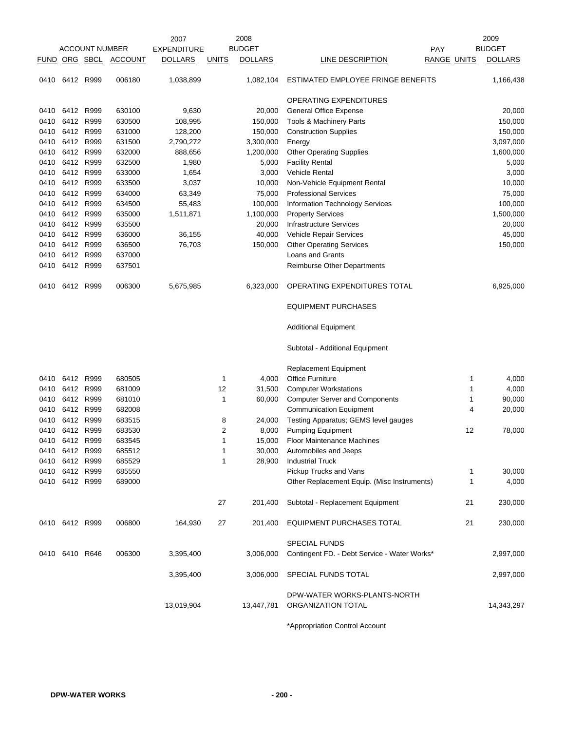|               |                |                       |                | 2007               |              | 2008           |                                                    |             |    | 2009           |
|---------------|----------------|-----------------------|----------------|--------------------|--------------|----------------|----------------------------------------------------|-------------|----|----------------|
|               |                | <b>ACCOUNT NUMBER</b> |                | <b>EXPENDITURE</b> |              | <b>BUDGET</b>  |                                                    | <b>PAY</b>  |    | <b>BUDGET</b>  |
| FUND ORG SBCL |                |                       | <b>ACCOUNT</b> | <b>DOLLARS</b>     | <b>UNITS</b> | <b>DOLLARS</b> | LINE DESCRIPTION                                   | RANGE UNITS |    | <b>DOLLARS</b> |
| 0410          | 6412 R999      |                       | 006180         | 1,038,899          |              | 1,082,104      | ESTIMATED EMPLOYEE FRINGE BENEFITS                 |             |    | 1,166,438      |
|               |                |                       |                |                    |              |                | OPERATING EXPENDITURES                             |             |    |                |
| 0410          | 6412 R999      |                       | 630100         | 9,630              |              | 20,000         | <b>General Office Expense</b>                      |             |    | 20,000         |
| 0410          | 6412 R999      |                       | 630500         | 108,995            |              | 150,000        | Tools & Machinery Parts                            |             |    | 150,000        |
| 0410          | 6412 R999      |                       | 631000         | 128,200            |              | 150,000        | <b>Construction Supplies</b>                       |             |    | 150,000        |
| 0410          | 6412 R999      |                       | 631500         | 2,790,272          |              | 3,300,000      | Energy                                             |             |    | 3,097,000      |
| 0410          | 6412 R999      |                       | 632000         | 888,656            |              | 1,200,000      | <b>Other Operating Supplies</b>                    |             |    | 1,600,000      |
| 0410          |                | 6412 R999             | 632500         | 1,980              |              | 5,000          | <b>Facility Rental</b>                             |             |    | 5,000          |
| 0410          | 6412           | R999                  | 633000         | 1,654              |              | 3,000          | Vehicle Rental                                     |             |    | 3,000          |
| 0410          | 6412 R999      |                       | 633500         | 3,037              |              | 10,000         | Non-Vehicle Equipment Rental                       |             |    | 10,000         |
| 0410          | 6412 R999      |                       | 634000         | 63,349             |              | 75,000         | <b>Professional Services</b>                       |             |    | 75,000         |
| 0410          | 6412 R999      |                       | 634500         | 55,483             |              | 100,000        | Information Technology Services                    |             |    | 100,000        |
| 0410          | 6412 R999      |                       | 635000         | 1,511,871          |              | 1,100,000      | <b>Property Services</b>                           |             |    | 1,500,000      |
| 0410          | 6412 R999      |                       | 635500         |                    |              | 20,000         | <b>Infrastructure Services</b>                     |             |    | 20,000         |
| 0410          | 6412           | R999                  | 636000         | 36,155             |              | 40,000         | Vehicle Repair Services                            |             |    | 45,000         |
| 0410          | 6412 R999      |                       | 636500         | 76,703             |              | 150,000        | <b>Other Operating Services</b>                    |             |    | 150,000        |
| 0410          | 6412 R999      |                       | 637000         |                    |              |                | Loans and Grants                                   |             |    |                |
| 0410          | 6412 R999      |                       | 637501         |                    |              |                | <b>Reimburse Other Departments</b>                 |             |    |                |
| 0410          | 6412 R999      |                       | 006300         | 5,675,985          |              | 6,323,000      | OPERATING EXPENDITURES TOTAL                       |             |    | 6,925,000      |
|               |                |                       |                |                    |              |                | <b>EQUIPMENT PURCHASES</b>                         |             |    |                |
|               |                |                       |                |                    |              |                | <b>Additional Equipment</b>                        |             |    |                |
|               |                |                       |                |                    |              |                | Subtotal - Additional Equipment                    |             |    |                |
|               |                |                       |                |                    |              |                | Replacement Equipment                              |             |    |                |
| 0410          | 6412 R999      |                       | 680505         |                    | 1            | 4,000          | <b>Office Furniture</b>                            |             | 1  | 4,000          |
| 0410          | 6412           | R999                  | 681009         |                    | 12           | 31,500         | <b>Computer Workstations</b>                       |             | 1  | 4,000          |
| 0410          | 6412 R999      |                       | 681010         |                    | 1            | 60,000         | <b>Computer Server and Components</b>              |             | 1  | 90,000         |
| 0410          | 6412 R999      |                       | 682008         |                    |              |                | <b>Communication Equipment</b>                     |             | 4  | 20,000         |
| 0410          | 6412           | R999                  | 683515         |                    | 8            | 24,000         | Testing Apparatus; GEMS level gauges               |             |    |                |
| 0410          | 6412           | R999                  | 683530         |                    | 2            | 8,000          | <b>Pumping Equipment</b>                           |             | 12 | 78,000         |
| 0410          | 6412 R999      |                       | 683545         |                    | 1            | 15,000         | <b>Floor Maintenance Machines</b>                  |             |    |                |
|               | 0410 6412 R999 |                       | 685512         |                    | 1            | 30,000         | Automobiles and Jeeps                              |             |    |                |
| 0410          | 6412 R999      |                       | 685529         |                    | 1            | 28,900         | <b>Industrial Truck</b>                            |             |    |                |
| 0410          | 6412 R999      |                       | 685550         |                    |              |                | Pickup Trucks and Vans                             |             | 1  | 30,000         |
|               | 0410 6412 R999 |                       | 689000         |                    |              |                | Other Replacement Equip. (Misc Instruments)        |             | 1  | 4,000          |
|               |                |                       |                |                    | 27           | 201,400        | Subtotal - Replacement Equipment                   |             | 21 | 230,000        |
|               | 0410 6412 R999 |                       | 006800         | 164,930            | 27           | 201,400        | EQUIPMENT PURCHASES TOTAL                          |             | 21 | 230,000        |
|               |                |                       |                |                    |              |                | <b>SPECIAL FUNDS</b>                               |             |    |                |
|               | 0410 6410 R646 |                       | 006300         | 3,395,400          |              | 3,006,000      | Contingent FD. - Debt Service - Water Works*       |             |    | 2,997,000      |
|               |                |                       |                | 3,395,400          |              | 3,006,000      | SPECIAL FUNDS TOTAL                                |             |    | 2,997,000      |
|               |                |                       |                | 13,019,904         |              | 13,447,781     | DPW-WATER WORKS-PLANTS-NORTH<br>ORGANIZATION TOTAL |             |    | 14,343,297     |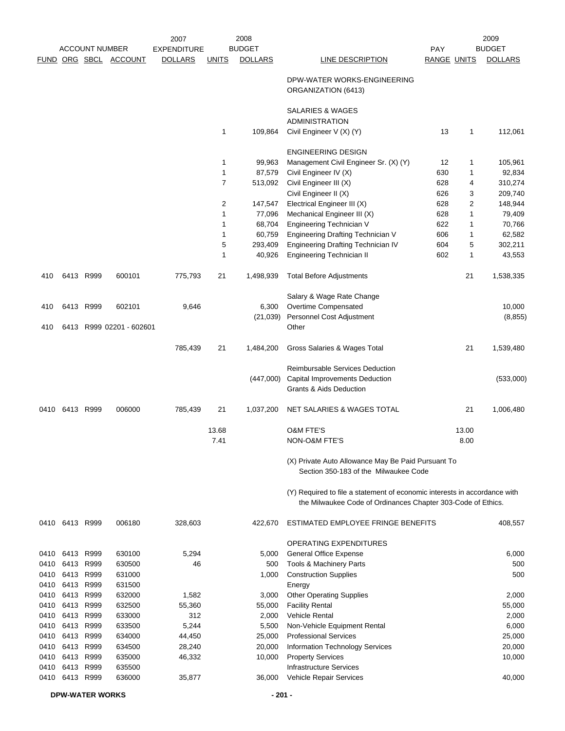|      |                | <b>ACCOUNT NUMBER</b> |                          | 2007<br><b>EXPENDITURE</b> |                | 2008<br><b>BUDGET</b> |                                                                                                                                           | PAY                |       | 2009<br><b>BUDGET</b> |
|------|----------------|-----------------------|--------------------------|----------------------------|----------------|-----------------------|-------------------------------------------------------------------------------------------------------------------------------------------|--------------------|-------|-----------------------|
|      |                |                       | FUND ORG SBCL ACCOUNT    | <b>DOLLARS</b>             | <b>UNITS</b>   | <b>DOLLARS</b>        | <b>LINE DESCRIPTION</b>                                                                                                                   | <b>RANGE UNITS</b> |       | <b>DOLLARS</b>        |
|      |                |                       |                          |                            |                |                       | DPW-WATER WORKS-ENGINEERING<br>ORGANIZATION (6413)                                                                                        |                    |       |                       |
|      |                |                       |                          |                            |                |                       | SALARIES & WAGES                                                                                                                          |                    |       |                       |
|      |                |                       |                          |                            | 1              | 109,864               | <b>ADMINISTRATION</b><br>Civil Engineer V (X) (Y)                                                                                         | 13                 | 1     | 112,061               |
|      |                |                       |                          |                            |                |                       | <b>ENGINEERING DESIGN</b>                                                                                                                 |                    |       |                       |
|      |                |                       |                          |                            | 1              | 99,963                | Management Civil Engineer Sr. (X) (Y)                                                                                                     | 12                 | 1     | 105,961               |
|      |                |                       |                          |                            | 1              | 87,579                | Civil Engineer IV (X)                                                                                                                     | 630                | 1     | 92,834                |
|      |                |                       |                          |                            | $\overline{7}$ | 513,092               | Civil Engineer III (X)                                                                                                                    | 628                | 4     | 310,274               |
|      |                |                       |                          |                            |                |                       | Civil Engineer II (X)                                                                                                                     | 626                | 3     | 209,740               |
|      |                |                       |                          |                            | 2              | 147,547               | Electrical Engineer III (X)                                                                                                               | 628                | 2     | 148,944               |
|      |                |                       |                          |                            | 1              | 77,096                | Mechanical Engineer III (X)                                                                                                               | 628                | 1     | 79,409                |
|      |                |                       |                          |                            | 1              | 68,704                | Engineering Technician V                                                                                                                  | 622                | 1     | 70,766                |
|      |                |                       |                          |                            | 1              | 60,759                | <b>Engineering Drafting Technician V</b>                                                                                                  | 606                | 1     | 62,582                |
|      |                |                       |                          |                            | 5              | 293,409               | <b>Engineering Drafting Technician IV</b>                                                                                                 | 604                | 5     | 302,211               |
|      |                |                       |                          |                            | 1              | 40,926                | <b>Engineering Technician II</b>                                                                                                          | 602                | 1     | 43,553                |
| 410  |                | 6413 R999             | 600101                   | 775,793                    | 21             | 1,498,939             | <b>Total Before Adjustments</b>                                                                                                           |                    | 21    | 1,538,335             |
|      |                |                       |                          |                            |                |                       | Salary & Wage Rate Change                                                                                                                 |                    |       |                       |
| 410  |                | 6413 R999             | 602101                   | 9,646                      |                | 6,300                 | Overtime Compensated                                                                                                                      |                    |       | 10,000                |
|      |                |                       |                          |                            |                | (21, 039)             | Personnel Cost Adjustment                                                                                                                 |                    |       | (8, 855)              |
| 410  |                |                       | 6413 R999 02201 - 602601 |                            |                |                       | Other                                                                                                                                     |                    |       |                       |
|      |                |                       |                          | 785,439                    | 21             | 1,484,200             | Gross Salaries & Wages Total                                                                                                              |                    | 21    | 1,539,480             |
|      |                |                       |                          |                            |                |                       | Reimbursable Services Deduction                                                                                                           |                    |       |                       |
|      |                |                       |                          |                            |                | (447,000)             | Capital Improvements Deduction<br><b>Grants &amp; Aids Deduction</b>                                                                      |                    |       | (533,000)             |
| 0410 | 6413 R999      |                       | 006000                   | 785,439                    | 21             | 1,037,200             | NET SALARIES & WAGES TOTAL                                                                                                                |                    | 21    | 1,006,480             |
|      |                |                       |                          |                            | 13.68          |                       | <b>O&amp;M FTE'S</b>                                                                                                                      |                    | 13.00 |                       |
|      |                |                       |                          |                            | 7.41           |                       | NON-O&M FTE'S                                                                                                                             |                    | 8.00  |                       |
|      |                |                       |                          |                            |                |                       | (X) Private Auto Allowance May Be Paid Pursuant To<br>Section 350-183 of the Milwaukee Code                                               |                    |       |                       |
|      |                |                       |                          |                            |                |                       | (Y) Required to file a statement of economic interests in accordance with<br>the Milwaukee Code of Ordinances Chapter 303-Code of Ethics. |                    |       |                       |
|      | 0410 6413 R999 |                       | 006180                   | 328,603                    |                | 422,670               | ESTIMATED EMPLOYEE FRINGE BENEFITS                                                                                                        |                    |       | 408,557               |
|      |                |                       |                          |                            |                |                       | OPERATING EXPENDITURES                                                                                                                    |                    |       |                       |
| 0410 |                | 6413 R999             | 630100                   | 5,294                      |                | 5,000                 | <b>General Office Expense</b>                                                                                                             |                    |       | 6,000                 |
| 0410 | 6413           | R999                  | 630500                   | 46                         |                | 500                   | Tools & Machinery Parts                                                                                                                   |                    |       | 500                   |
| 0410 |                | 6413 R999             | 631000                   |                            |                | 1,000                 | <b>Construction Supplies</b>                                                                                                              |                    |       | 500                   |
| 0410 | 6413           | R999                  | 631500                   |                            |                |                       | Energy                                                                                                                                    |                    |       |                       |
| 0410 |                | 6413 R999             | 632000                   | 1,582                      |                | 3,000                 | <b>Other Operating Supplies</b>                                                                                                           |                    |       | 2,000                 |
| 0410 |                | 6413 R999             | 632500                   | 55,360                     |                | 55,000                | <b>Facility Rental</b>                                                                                                                    |                    |       | 55,000                |
| 0410 |                | 6413 R999             | 633000                   | 312                        |                | 2,000                 | <b>Vehicle Rental</b>                                                                                                                     |                    |       | 2,000                 |
| 0410 |                | 6413 R999             | 633500                   | 5,244                      |                | 5,500                 | Non-Vehicle Equipment Rental                                                                                                              |                    |       | 6,000                 |
| 0410 |                | 6413 R999             | 634000                   | 44,450                     |                | 25,000                | <b>Professional Services</b>                                                                                                              |                    |       | 25,000                |
| 0410 |                | 6413 R999             | 634500                   | 28,240                     |                | 20,000                | <b>Information Technology Services</b>                                                                                                    |                    |       | 20,000                |
| 0410 | 6413 R999      |                       | 635000                   | 46,332                     |                | 10,000                | <b>Property Services</b>                                                                                                                  |                    |       | 10,000                |
| 0410 |                | 6413 R999             | 635500                   |                            |                |                       | <b>Infrastructure Services</b>                                                                                                            |                    |       |                       |
| 0410 |                | 6413 R999             | 636000                   | 35,877                     |                | 36,000                | Vehicle Repair Services                                                                                                                   |                    |       | 40,000                |

**DPW-WATER WORKS** - 201 -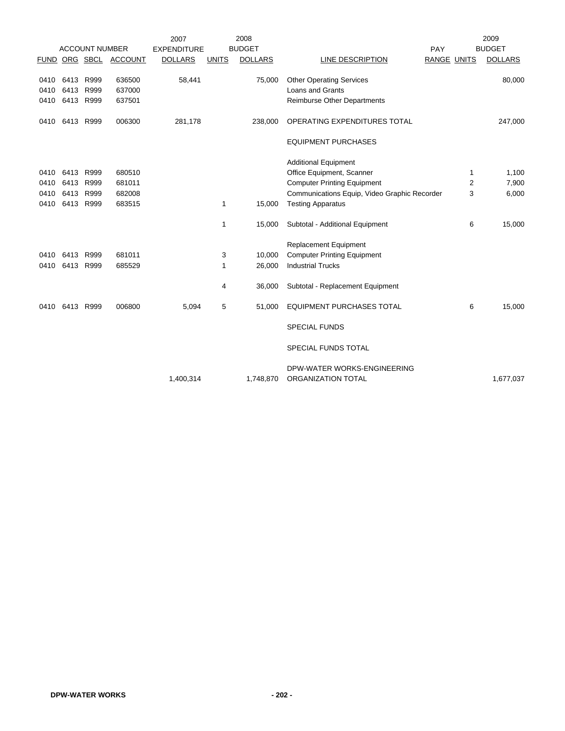|      |           |                       |                       | 2007               |              | 2008           |                                              |             |   | 2009           |
|------|-----------|-----------------------|-----------------------|--------------------|--------------|----------------|----------------------------------------------|-------------|---|----------------|
|      |           | <b>ACCOUNT NUMBER</b> |                       | <b>EXPENDITURE</b> |              | <b>BUDGET</b>  |                                              | PAY         |   | <b>BUDGET</b>  |
|      |           |                       | FUND ORG SBCL ACCOUNT | <b>DOLLARS</b>     | <b>UNITS</b> | <b>DOLLARS</b> | LINE DESCRIPTION                             | RANGE UNITS |   | <b>DOLLARS</b> |
|      |           |                       |                       |                    |              |                |                                              |             |   |                |
| 0410 | 6413      | R999                  | 636500                | 58,441             |              | 75,000         | <b>Other Operating Services</b>              |             |   | 80,000         |
| 0410 | 6413      | R999                  | 637000                |                    |              |                | <b>Loans and Grants</b>                      |             |   |                |
| 0410 | 6413 R999 |                       | 637501                |                    |              |                | <b>Reimburse Other Departments</b>           |             |   |                |
| 0410 | 6413      | R999                  | 006300                | 281,178            |              | 238,000        | OPERATING EXPENDITURES TOTAL                 |             |   | 247,000        |
|      |           |                       |                       |                    |              |                | <b>EQUIPMENT PURCHASES</b>                   |             |   |                |
|      |           |                       |                       |                    |              |                | <b>Additional Equipment</b>                  |             |   |                |
| 0410 | 6413      | R999                  | 680510                |                    |              |                | Office Equipment, Scanner                    |             | 1 | 1,100          |
| 0410 | 6413      | R999                  | 681011                |                    |              |                | <b>Computer Printing Equipment</b>           |             | 2 | 7,900          |
| 0410 | 6413      | R999                  | 682008                |                    |              |                | Communications Equip, Video Graphic Recorder |             | 3 | 6,000          |
| 0410 | 6413      | R999                  | 683515                |                    | 1            | 15,000         | <b>Testing Apparatus</b>                     |             |   |                |
|      |           |                       |                       |                    |              |                |                                              |             |   |                |
|      |           |                       |                       |                    | 1            | 15,000         | Subtotal - Additional Equipment              |             | 6 | 15,000         |
|      |           |                       |                       |                    |              |                | <b>Replacement Equipment</b>                 |             |   |                |
| 0410 | 6413      | R999                  | 681011                |                    | 3            | 10,000         | <b>Computer Printing Equipment</b>           |             |   |                |
| 0410 | 6413      | R999                  | 685529                |                    | 1            | 26,000         | <b>Industrial Trucks</b>                     |             |   |                |
|      |           |                       |                       |                    | 4            | 36,000         | Subtotal - Replacement Equipment             |             |   |                |
|      |           |                       |                       |                    |              |                |                                              |             |   |                |
| 0410 | 6413      | R999                  | 006800                | 5,094              | 5            | 51,000         | <b>EQUIPMENT PURCHASES TOTAL</b>             |             | 6 | 15,000         |
|      |           |                       |                       |                    |              |                | <b>SPECIAL FUNDS</b>                         |             |   |                |
|      |           |                       |                       |                    |              |                | SPECIAL FUNDS TOTAL                          |             |   |                |
|      |           |                       |                       |                    |              |                | DPW-WATER WORKS-ENGINEERING                  |             |   |                |
|      |           |                       |                       | 1,400,314          |              | 1,748,870      | ORGANIZATION TOTAL                           |             |   | 1,677,037      |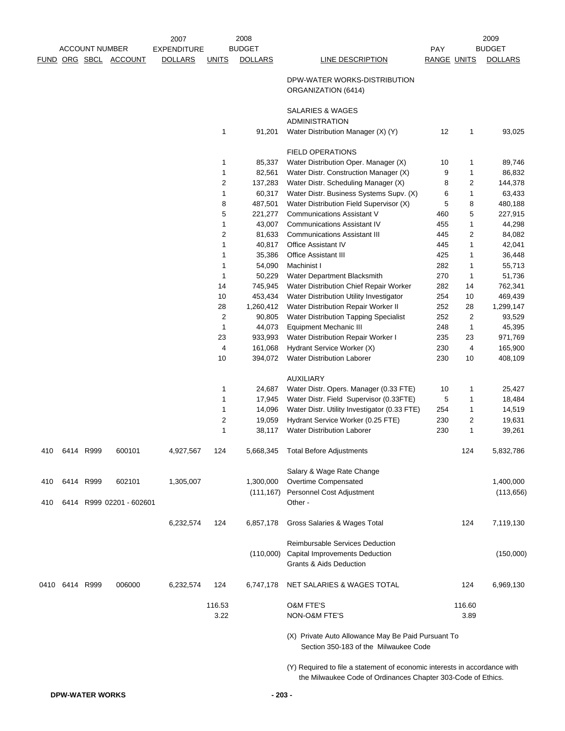|     |           |                       |                       | 2007               |                | 2008              |                                                                                                                                           |             |                         | 2009              |
|-----|-----------|-----------------------|-----------------------|--------------------|----------------|-------------------|-------------------------------------------------------------------------------------------------------------------------------------------|-------------|-------------------------|-------------------|
|     |           | <b>ACCOUNT NUMBER</b> |                       | <b>EXPENDITURE</b> |                | <b>BUDGET</b>     |                                                                                                                                           | <b>PAY</b>  |                         | <b>BUDGET</b>     |
|     |           |                       | FUND ORG SBCL ACCOUNT | <b>DOLLARS</b>     | <b>UNITS</b>   | <b>DOLLARS</b>    | LINE DESCRIPTION                                                                                                                          | RANGE UNITS |                         | <b>DOLLARS</b>    |
|     |           |                       |                       |                    |                |                   | DPW-WATER WORKS-DISTRIBUTION<br>ORGANIZATION (6414)                                                                                       |             |                         |                   |
|     |           |                       |                       |                    |                |                   | <b>SALARIES &amp; WAGES</b><br><b>ADMINISTRATION</b>                                                                                      |             |                         |                   |
|     |           |                       |                       |                    | 1              | 91,201            | Water Distribution Manager (X) (Y)                                                                                                        | 12          | 1                       | 93,025            |
|     |           |                       |                       |                    |                |                   | <b>FIELD OPERATIONS</b>                                                                                                                   |             |                         |                   |
|     |           |                       |                       |                    | 1              | 85,337            | Water Distribution Oper. Manager (X)                                                                                                      | 10          | 1                       | 89,746            |
|     |           |                       |                       |                    | 1              | 82,561            | Water Distr. Construction Manager (X)                                                                                                     | 9           | 1                       | 86,832            |
|     |           |                       |                       |                    | $\overline{2}$ | 137,283           | Water Distr. Scheduling Manager (X)                                                                                                       | 8           | $\overline{2}$          | 144,378           |
|     |           |                       |                       |                    | 1              | 60,317            | Water Distr. Business Systems Supv. (X)                                                                                                   | 6           | 1                       | 63,433            |
|     |           |                       |                       |                    | 8              | 487,501           | Water Distribution Field Supervisor (X)                                                                                                   | 5           | 8                       | 480,188           |
|     |           |                       |                       |                    | 5              | 221,277           | <b>Communications Assistant V</b>                                                                                                         | 460         | 5                       | 227,915           |
|     |           |                       |                       |                    | 1              | 43,007            | <b>Communications Assistant IV</b>                                                                                                        | 455         | 1                       | 44,298            |
|     |           |                       |                       |                    | 2              | 81,633            | <b>Communications Assistant III</b>                                                                                                       | 445         | $\overline{\mathbf{c}}$ | 84,082            |
|     |           |                       |                       |                    | 1              | 40,817            | <b>Office Assistant IV</b>                                                                                                                | 445         | 1                       | 42,041            |
|     |           |                       |                       |                    | 1              | 35,386            | Office Assistant III<br>Machinist I                                                                                                       | 425         | $\mathbf{1}$            | 36,448            |
|     |           |                       |                       |                    | 1<br>1         | 54,090            | Water Department Blacksmith                                                                                                               | 282<br>270  | 1                       | 55,713            |
|     |           |                       |                       |                    | 14             | 50,229<br>745,945 | Water Distribution Chief Repair Worker                                                                                                    | 282         | $\mathbf{1}$<br>14      | 51,736<br>762,341 |
|     |           |                       |                       |                    | 10             | 453,434           | Water Distribution Utility Investigator                                                                                                   | 254         | 10                      | 469,439           |
|     |           |                       |                       |                    | 28             | 1,260,412         | Water Distribution Repair Worker II                                                                                                       | 252         | 28                      | 1,299,147         |
|     |           |                       |                       |                    | 2              | 90,805            | Water Distribution Tapping Specialist                                                                                                     | 252         | $\overline{2}$          | 93,529            |
|     |           |                       |                       |                    | 1              | 44,073            | <b>Equipment Mechanic III</b>                                                                                                             | 248         | $\mathbf{1}$            | 45,395            |
|     |           |                       |                       |                    | 23             | 933,993           | Water Distribution Repair Worker I                                                                                                        | 235         | 23                      | 971,769           |
|     |           |                       |                       |                    | 4              | 161,068           | Hydrant Service Worker (X)                                                                                                                | 230         | 4                       | 165,900           |
|     |           |                       |                       |                    | 10             | 394,072           | <b>Water Distribution Laborer</b>                                                                                                         | 230         | 10                      | 408,109           |
|     |           |                       |                       |                    |                |                   | <b>AUXILIARY</b>                                                                                                                          |             |                         |                   |
|     |           |                       |                       |                    | 1              | 24,687            | Water Distr. Opers. Manager (0.33 FTE)                                                                                                    | 10          | 1                       | 25,427            |
|     |           |                       |                       |                    | 1              | 17,945            | Water Distr. Field Supervisor (0.33FTE)                                                                                                   | 5           | 1                       | 18,484            |
|     |           |                       |                       |                    | 1              | 14,096            | Water Distr. Utility Investigator (0.33 FTE)                                                                                              | 254         | 1                       | 14,519            |
|     |           |                       |                       |                    | $\sqrt{2}$     | 19,059            | Hydrant Service Worker (0.25 FTE)                                                                                                         | 230         | $\overline{2}$          | 19,631            |
|     |           |                       |                       |                    | 1              | 38,117            | <b>Water Distribution Laborer</b>                                                                                                         | 230         | 1                       | 39,261            |
| 410 | 6414 R999 |                       | 600101                | 4,927,567          | 124            | 5,668,345         | <b>Total Before Adjustments</b>                                                                                                           |             | 124                     | 5,832,786         |
|     |           |                       |                       |                    |                |                   | Salary & Wage Rate Change                                                                                                                 |             |                         |                   |
| 410 |           | 6414 R999             | 602101                | 1,305,007          |                | 1,300,000         | Overtime Compensated                                                                                                                      |             |                         | 1,400,000         |
| 410 | 6414      |                       | R999 02201 - 602601   |                    |                | (111, 167)        | Personnel Cost Adjustment<br>Other -                                                                                                      |             |                         | (113, 656)        |
|     |           |                       |                       | 6,232,574          | 124            | 6,857,178         | Gross Salaries & Wages Total                                                                                                              |             | 124                     | 7,119,130         |
|     |           |                       |                       |                    |                |                   | Reimbursable Services Deduction                                                                                                           |             |                         |                   |
|     |           |                       |                       |                    |                | (110,000)         | Capital Improvements Deduction<br><b>Grants &amp; Aids Deduction</b>                                                                      |             |                         | (150,000)         |
|     | 0410 6414 | R999                  | 006000                | 6,232,574          | 124            | 6,747,178         | NET SALARIES & WAGES TOTAL                                                                                                                |             | 124                     | 6,969,130         |
|     |           |                       |                       |                    | 116.53         |                   | <b>O&amp;M FTE'S</b>                                                                                                                      |             | 116.60                  |                   |
|     |           |                       |                       |                    | 3.22           |                   | NON-O&M FTE'S                                                                                                                             |             | 3.89                    |                   |
|     |           |                       |                       |                    |                |                   | (X) Private Auto Allowance May Be Paid Pursuant To<br>Section 350-183 of the Milwaukee Code                                               |             |                         |                   |
|     |           |                       |                       |                    |                |                   | (Y) Required to file a statement of economic interests in accordance with<br>the Milwaukee Code of Ordinances Chapter 303-Code of Ethics. |             |                         |                   |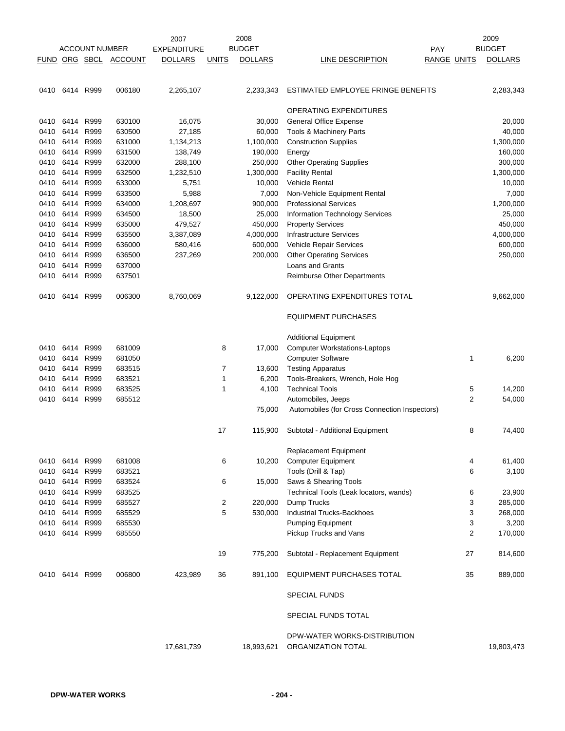|             |                |                       |                | 2007               |              | 2008           |                                                    |                    | 2009           |
|-------------|----------------|-----------------------|----------------|--------------------|--------------|----------------|----------------------------------------------------|--------------------|----------------|
|             |                | <b>ACCOUNT NUMBER</b> |                | <b>EXPENDITURE</b> |              | <b>BUDGET</b>  |                                                    | <b>PAY</b>         | <b>BUDGET</b>  |
| <b>FUND</b> |                | ORG SBCL              | <b>ACCOUNT</b> | <b>DOLLARS</b>     | <b>UNITS</b> | <b>DOLLARS</b> | LINE DESCRIPTION                                   | <b>RANGE UNITS</b> | <b>DOLLARS</b> |
|             |                |                       |                |                    |              |                |                                                    |                    |                |
| 0410        | 6414 R999      |                       | 006180         | 2,265,107          |              | 2,233,343      | ESTIMATED EMPLOYEE FRINGE BENEFITS                 |                    | 2,283,343      |
|             |                |                       |                |                    |              |                | OPERATING EXPENDITURES                             |                    |                |
| 0410        | 6414 R999      |                       | 630100         | 16,075             |              | 30,000         | <b>General Office Expense</b>                      |                    | 20,000         |
| 0410        | 6414           | R999                  | 630500         | 27,185             |              | 60,000         | Tools & Machinery Parts                            |                    | 40,000         |
| 0410        |                | 6414 R999             | 631000         | 1,134,213          |              | 1,100,000      | <b>Construction Supplies</b>                       |                    | 1,300,000      |
| 0410        | 6414 R999      |                       | 631500         | 138,749            |              | 190,000        | Energy                                             |                    | 160,000        |
| 0410        |                | 6414 R999             | 632000         | 288,100            |              | 250,000        | <b>Other Operating Supplies</b>                    |                    | 300,000        |
| 0410        | 6414           | R999                  | 632500         | 1,232,510          |              | 1,300,000      | <b>Facility Rental</b>                             |                    | 1,300,000      |
| 0410        | 6414 R999      |                       | 633000         | 5,751              |              | 10,000         | Vehicle Rental                                     |                    | 10,000         |
| 0410        | 6414           | R999                  | 633500         | 5,988              |              | 7,000          | Non-Vehicle Equipment Rental                       |                    | 7,000          |
| 0410        | 6414           | R999                  | 634000         | 1,208,697          |              | 900,000        | <b>Professional Services</b>                       |                    | 1,200,000      |
| 0410        |                | 6414 R999             | 634500         | 18,500             |              | 25,000         | Information Technology Services                    |                    | 25,000         |
| 0410        | 6414           | R999                  | 635000         | 479,527            |              | 450,000        | <b>Property Services</b>                           |                    | 450,000        |
| 0410        |                | 6414 R999             | 635500         | 3,387,089          |              | 4,000,000      | Infrastructure Services                            |                    | 4,000,000      |
| 0410        | 6414           | R999                  | 636000         | 580,416            |              | 600,000        | Vehicle Repair Services                            |                    | 600,000        |
| 0410        |                | 6414 R999             | 636500         | 237,269            |              | 200,000        | <b>Other Operating Services</b>                    |                    | 250,000        |
| 0410        | 6414           | R999                  | 637000         |                    |              |                | Loans and Grants                                   |                    |                |
| 0410        | 6414           | R999                  | 637501         |                    |              |                | <b>Reimburse Other Departments</b>                 |                    |                |
| 0410        | 6414 R999      |                       | 006300         | 8,760,069          |              | 9,122,000      | OPERATING EXPENDITURES TOTAL                       |                    | 9,662,000      |
|             |                |                       |                |                    |              |                | <b>EQUIPMENT PURCHASES</b>                         |                    |                |
|             |                |                       |                |                    |              |                |                                                    |                    |                |
|             |                |                       |                |                    |              |                | <b>Additional Equipment</b>                        |                    |                |
| 0410        | 6414           | R999                  | 681009         |                    | 8            | 17,000         | <b>Computer Workstations-Laptops</b>               |                    |                |
| 0410        |                | 6414 R999             | 681050         |                    |              |                | <b>Computer Software</b>                           | 1                  | 6,200          |
| 0410        | 6414 R999      |                       | 683515         |                    | 7            | 13,600         | <b>Testing Apparatus</b>                           |                    |                |
| 0410        |                | 6414 R999             | 683521         |                    | 1            | 6,200          | Tools-Breakers, Wrench, Hole Hog                   |                    |                |
| 0410        | 6414           | R999                  | 683525         |                    | 1            | 4,100          | <b>Technical Tools</b>                             | 5                  | 14,200         |
| 0410        | 6414           | R999                  | 685512         |                    |              |                | Automobiles, Jeeps                                 | $\overline{2}$     | 54,000         |
|             |                |                       |                |                    |              | 75,000         | Automobiles (for Cross Connection Inspectors)      |                    |                |
|             |                |                       |                |                    | 17           | 115,900        | Subtotal - Additional Equipment                    | 8                  | 74,400         |
|             |                |                       |                |                    |              |                | Replacement Equipment                              |                    |                |
|             | 0410 6414 R999 |                       | 681008         |                    | 6            | 10,200         | <b>Computer Equipment</b>                          | 4                  | 61,400         |
| 0410        | 6414 R999      |                       | 683521         |                    |              |                | Tools (Drill & Tap)                                | 6                  | 3,100          |
| 0410        | 6414 R999      |                       | 683524         |                    | 6            | 15,000         | Saws & Shearing Tools                              |                    |                |
| 0410        | 6414 R999      |                       | 683525         |                    |              |                | Technical Tools (Leak locators, wands)             | 6                  | 23,900         |
| 0410        | 6414 R999      |                       | 685527         |                    | 2            | 220,000        | Dump Trucks                                        | 3                  | 285,000        |
| 0410        |                | 6414 R999             | 685529         |                    | 5            | 530,000        | <b>Industrial Trucks-Backhoes</b>                  | 3                  | 268,000        |
| 0410        | 6414 R999      |                       | 685530         |                    |              |                | <b>Pumping Equipment</b>                           | 3                  | 3,200          |
| 0410        | 6414 R999      |                       | 685550         |                    |              |                | Pickup Trucks and Vans                             | 2                  | 170,000        |
|             |                |                       |                |                    | 19           | 775,200        | Subtotal - Replacement Equipment                   | 27                 | 814,600        |
| 0410        |                | 6414 R999             | 006800         | 423,989            | 36           | 891,100        | <b>EQUIPMENT PURCHASES TOTAL</b>                   | 35                 | 889,000        |
|             |                |                       |                |                    |              |                | <b>SPECIAL FUNDS</b>                               |                    |                |
|             |                |                       |                |                    |              |                | SPECIAL FUNDS TOTAL                                |                    |                |
|             |                |                       |                |                    |              |                |                                                    |                    |                |
|             |                |                       |                | 17,681,739         |              | 18,993,621     | DPW-WATER WORKS-DISTRIBUTION<br>ORGANIZATION TOTAL |                    | 19,803,473     |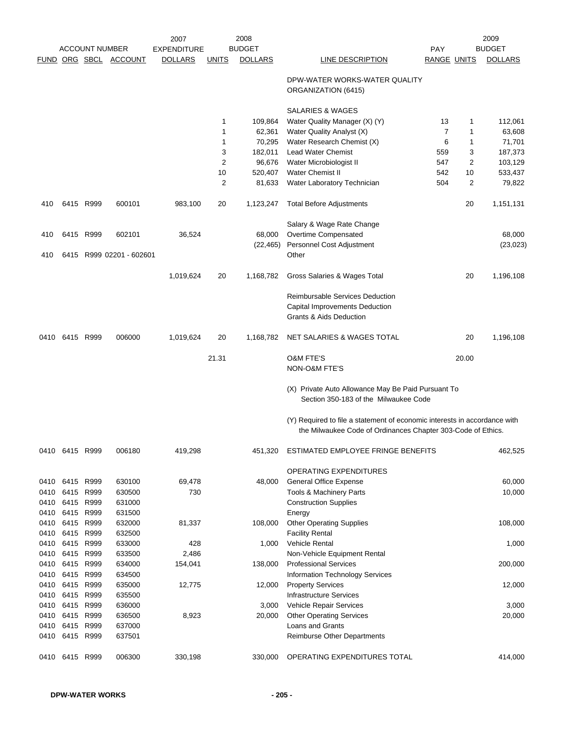|      |                |                       |                          | 2007               |              | 2008           |                                                                                                                                           |                    |       | 2009           |
|------|----------------|-----------------------|--------------------------|--------------------|--------------|----------------|-------------------------------------------------------------------------------------------------------------------------------------------|--------------------|-------|----------------|
|      |                | <b>ACCOUNT NUMBER</b> |                          | <b>EXPENDITURE</b> |              | <b>BUDGET</b>  |                                                                                                                                           | <b>PAY</b>         |       | <b>BUDGET</b>  |
|      |                |                       | FUND ORG SBCL ACCOUNT    | <b>DOLLARS</b>     | <b>UNITS</b> | <b>DOLLARS</b> | LINE DESCRIPTION                                                                                                                          | <b>RANGE UNITS</b> |       | <b>DOLLARS</b> |
|      |                |                       |                          |                    |              |                | DPW-WATER WORKS-WATER QUALITY<br>ORGANIZATION (6415)                                                                                      |                    |       |                |
|      |                |                       |                          |                    |              |                | <b>SALARIES &amp; WAGES</b>                                                                                                               |                    |       |                |
|      |                |                       |                          |                    | 1            | 109,864        | Water Quality Manager (X) (Y)                                                                                                             | 13                 | 1     | 112,061        |
|      |                |                       |                          |                    | 1            | 62,361         | Water Quality Analyst (X)                                                                                                                 | 7                  | 1     | 63,608         |
|      |                |                       |                          |                    | 1            | 70,295         | Water Research Chemist (X)                                                                                                                | 6                  | 1     | 71,701         |
|      |                |                       |                          |                    | 3            | 182,011        | <b>Lead Water Chemist</b>                                                                                                                 | 559                | 3     | 187,373        |
|      |                |                       |                          |                    | 2            | 96,676         | Water Microbiologist II                                                                                                                   | 547                | 2     | 103,129        |
|      |                |                       |                          |                    | 10           | 520,407        | <b>Water Chemist II</b>                                                                                                                   | 542                | 10    | 533,437        |
|      |                |                       |                          |                    | 2            | 81,633         | Water Laboratory Technician                                                                                                               | 504                | 2     | 79,822         |
| 410  |                | 6415 R999             | 600101                   | 983,100            | 20           | 1,123,247      | <b>Total Before Adjustments</b>                                                                                                           |                    | 20    | 1,151,131      |
|      |                |                       |                          |                    |              |                | Salary & Wage Rate Change                                                                                                                 |                    |       |                |
| 410  |                | 6415 R999             | 602101                   | 36,524             |              | 68,000         | Overtime Compensated                                                                                                                      |                    |       | 68,000         |
|      |                |                       |                          |                    |              | (22, 465)      | Personnel Cost Adjustment                                                                                                                 |                    |       | (23, 023)      |
| 410  |                |                       | 6415 R999 02201 - 602601 |                    |              |                | Other                                                                                                                                     |                    |       |                |
|      |                |                       |                          | 1,019,624          | 20           | 1,168,782      | Gross Salaries & Wages Total                                                                                                              |                    | 20    | 1,196,108      |
|      |                |                       |                          |                    |              |                | Reimbursable Services Deduction<br>Capital Improvements Deduction<br><b>Grants &amp; Aids Deduction</b>                                   |                    |       |                |
| 0410 | 6415 R999      |                       | 006000                   | 1,019,624          | 20           | 1,168,782      | NET SALARIES & WAGES TOTAL                                                                                                                |                    | 20    | 1,196,108      |
|      |                |                       |                          |                    | 21.31        |                | <b>O&amp;M FTE'S</b><br>NON-O&M FTE'S                                                                                                     |                    | 20.00 |                |
|      |                |                       |                          |                    |              |                | (X) Private Auto Allowance May Be Paid Pursuant To<br>Section 350-183 of the Milwaukee Code                                               |                    |       |                |
|      |                |                       |                          |                    |              |                | (Y) Required to file a statement of economic interests in accordance with<br>the Milwaukee Code of Ordinances Chapter 303-Code of Ethics. |                    |       |                |
|      | 0410 6415 R999 |                       | 006180                   | 419,298            |              | 451,320        | ESTIMATED EMPLOYEE FRINGE BENEFITS                                                                                                        |                    |       | 462,525        |
|      |                |                       |                          |                    |              |                | OPERATING EXPENDITURES                                                                                                                    |                    |       |                |
| 0410 | 6415 R999      |                       | 630100                   | 69,478             |              | 48,000         | <b>General Office Expense</b>                                                                                                             |                    |       | 60,000         |
| 0410 | 6415 R999      |                       | 630500                   | 730                |              |                | Tools & Machinery Parts                                                                                                                   |                    |       | 10,000         |
| 0410 | 6415           | R999                  | 631000                   |                    |              |                | <b>Construction Supplies</b>                                                                                                              |                    |       |                |
| 0410 | 6415 R999      |                       | 631500                   |                    |              |                | Energy                                                                                                                                    |                    |       |                |
| 0410 | 6415           | R999                  | 632000                   | 81,337             |              | 108,000        | <b>Other Operating Supplies</b>                                                                                                           |                    |       | 108,000        |
| 0410 | 6415           | R999                  | 632500                   |                    |              |                | <b>Facility Rental</b>                                                                                                                    |                    |       |                |
| 0410 | 6415           | R999                  | 633000                   | 428                |              | 1,000          | <b>Vehicle Rental</b>                                                                                                                     |                    |       | 1,000          |
| 0410 | 6415 R999      |                       | 633500                   | 2,486              |              |                | Non-Vehicle Equipment Rental                                                                                                              |                    |       |                |
| 0410 | 6415           | R999                  | 634000                   | 154,041            |              | 138,000        | <b>Professional Services</b>                                                                                                              |                    |       | 200,000        |
| 0410 | 6415           | R999                  | 634500                   |                    |              |                | Information Technology Services                                                                                                           |                    |       |                |
| 0410 | 6415 R999      |                       | 635000                   | 12,775             |              | 12,000         | <b>Property Services</b>                                                                                                                  |                    |       | 12,000         |
| 0410 | 6415           | R999                  | 635500                   |                    |              |                | <b>Infrastructure Services</b>                                                                                                            |                    |       |                |
| 0410 | 6415           | R999                  | 636000                   |                    |              | 3,000          | Vehicle Repair Services                                                                                                                   |                    |       | 3,000          |
| 0410 | 6415           | R999                  | 636500                   | 8,923              |              | 20,000         | <b>Other Operating Services</b>                                                                                                           |                    |       | 20,000         |
| 0410 | 6415           | R999                  | 637000                   |                    |              |                | Loans and Grants                                                                                                                          |                    |       |                |
| 0410 | 6415 R999      |                       | 637501                   |                    |              |                | <b>Reimburse Other Departments</b>                                                                                                        |                    |       |                |
| 0410 | 6415 R999      |                       | 006300                   | 330,198            |              | 330,000        | OPERATING EXPENDITURES TOTAL                                                                                                              |                    |       | 414,000        |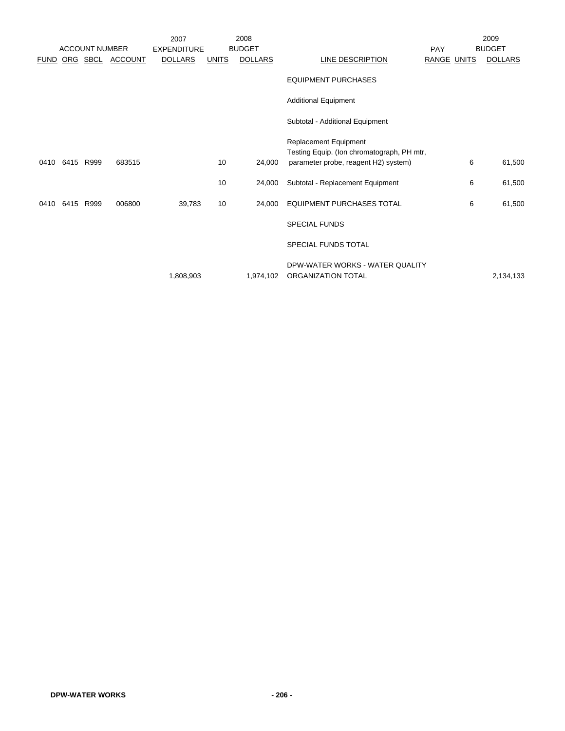|             |           |                       |                  | 2007               |              | 2008           |                                                       |                    | 2009           |
|-------------|-----------|-----------------------|------------------|--------------------|--------------|----------------|-------------------------------------------------------|--------------------|----------------|
|             |           | <b>ACCOUNT NUMBER</b> |                  | <b>EXPENDITURE</b> |              | <b>BUDGET</b>  |                                                       | <b>PAY</b>         | <b>BUDGET</b>  |
| <b>FUND</b> |           |                       | ORG SBCL ACCOUNT | <b>DOLLARS</b>     | <b>UNITS</b> | <b>DOLLARS</b> | LINE DESCRIPTION                                      | <b>RANGE UNITS</b> | <b>DOLLARS</b> |
|             |           |                       |                  |                    |              |                | <b>EQUIPMENT PURCHASES</b>                            |                    |                |
|             |           |                       |                  |                    |              |                | <b>Additional Equipment</b>                           |                    |                |
|             |           |                       |                  |                    |              |                | Subtotal - Additional Equipment                       |                    |                |
|             |           |                       |                  |                    |              |                | Replacement Equipment                                 |                    |                |
|             |           |                       |                  |                    |              |                | Testing Equip. (Ion chromatograph, PH mtr,            |                    |                |
| 0410        | 6415 R999 |                       | 683515           |                    | 10           | 24,000         | parameter probe, reagent H2) system)                  | 6                  | 61,500         |
|             |           |                       |                  |                    | 10           | 24,000         | Subtotal - Replacement Equipment                      | 6                  | 61,500         |
| 0410        | 6415 R999 |                       | 006800           | 39,783             | 10           | 24,000         | <b>EQUIPMENT PURCHASES TOTAL</b>                      | 6                  | 61,500         |
|             |           |                       |                  |                    |              |                | <b>SPECIAL FUNDS</b>                                  |                    |                |
|             |           |                       |                  |                    |              |                | SPECIAL FUNDS TOTAL                                   |                    |                |
|             |           |                       |                  | 1,808,903          |              | 1,974,102      | DPW-WATER WORKS - WATER QUALITY<br>ORGANIZATION TOTAL |                    | 2,134,133      |
|             |           |                       |                  |                    |              |                |                                                       |                    |                |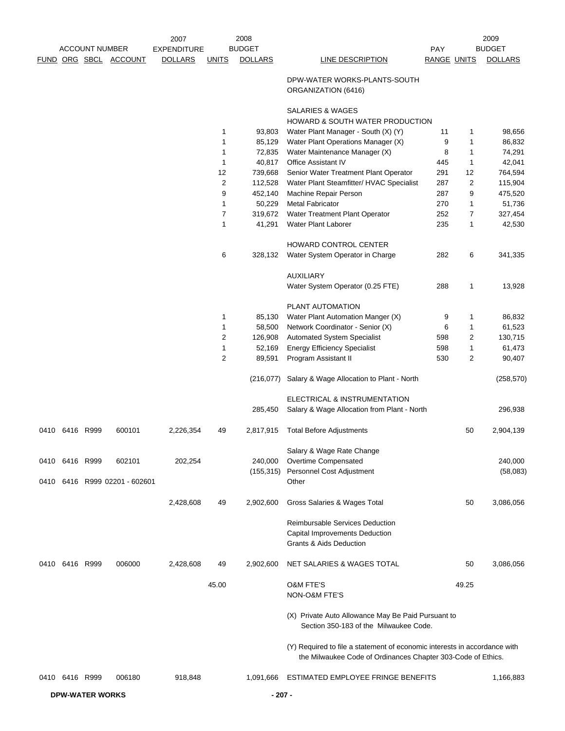|      |                |                        |                          | 2007               |                | 2008           |                                                                                                                                           |             |            | 2009           |
|------|----------------|------------------------|--------------------------|--------------------|----------------|----------------|-------------------------------------------------------------------------------------------------------------------------------------------|-------------|------------|----------------|
|      |                | <b>ACCOUNT NUMBER</b>  |                          | <b>EXPENDITURE</b> |                | <b>BUDGET</b>  |                                                                                                                                           | <b>PAY</b>  |            | <b>BUDGET</b>  |
|      |                |                        | FUND ORG SBCL ACCOUNT    | <b>DOLLARS</b>     | <b>UNITS</b>   | <b>DOLLARS</b> | <b>LINE DESCRIPTION</b>                                                                                                                   | RANGE UNITS |            | <b>DOLLARS</b> |
|      |                |                        |                          |                    |                |                | DPW-WATER WORKS-PLANTS-SOUTH<br>ORGANIZATION (6416)                                                                                       |             |            |                |
|      |                |                        |                          |                    |                |                | SALARIES & WAGES<br>HOWARD & SOUTH WATER PRODUCTION                                                                                       |             |            |                |
|      |                |                        |                          |                    | 1              | 93,803         | Water Plant Manager - South (X) (Y)                                                                                                       | 11          | 1          | 98,656         |
|      |                |                        |                          |                    | 1              | 85,129         | Water Plant Operations Manager (X)                                                                                                        | 9           | 1          | 86,832         |
|      |                |                        |                          |                    | 1              | 72,835         | Water Maintenance Manager (X)                                                                                                             | 8           | 1          | 74,291         |
|      |                |                        |                          |                    | 1              | 40,817         | <b>Office Assistant IV</b>                                                                                                                | 445         | 1          | 42,041         |
|      |                |                        |                          |                    | 12             | 739,668        | Senior Water Treatment Plant Operator                                                                                                     | 291         | 12         | 764,594        |
|      |                |                        |                          |                    | $\overline{c}$ | 112,528        | Water Plant Steamfitter/ HVAC Specialist                                                                                                  | 287         | $\sqrt{2}$ | 115,904        |
|      |                |                        |                          |                    | 9              | 452,140        | Machine Repair Person                                                                                                                     | 287         | 9          | 475,520        |
|      |                |                        |                          |                    | 1              | 50,229         | <b>Metal Fabricator</b>                                                                                                                   | 270         | 1          | 51,736         |
|      |                |                        |                          |                    | 7              | 319,672        | Water Treatment Plant Operator                                                                                                            | 252         | 7          | 327,454        |
|      |                |                        |                          |                    | 1              | 41,291         | Water Plant Laborer                                                                                                                       | 235         | 1          | 42,530         |
|      |                |                        |                          |                    |                |                | HOWARD CONTROL CENTER                                                                                                                     |             |            |                |
|      |                |                        |                          |                    | 6              | 328,132        | Water System Operator in Charge                                                                                                           | 282         | 6          | 341,335        |
|      |                |                        |                          |                    |                |                |                                                                                                                                           |             |            |                |
|      |                |                        |                          |                    |                |                | <b>AUXILIARY</b>                                                                                                                          |             |            |                |
|      |                |                        |                          |                    |                |                | Water System Operator (0.25 FTE)                                                                                                          | 288         | 1          | 13,928         |
|      |                |                        |                          |                    |                |                | PLANT AUTOMATION                                                                                                                          |             |            |                |
|      |                |                        |                          |                    | 1              | 85,130         | Water Plant Automation Manger (X)                                                                                                         | 9           | 1          | 86,832         |
|      |                |                        |                          |                    | 1              | 58,500         | Network Coordinator - Senior (X)                                                                                                          | 6           | 1          | 61,523         |
|      |                |                        |                          |                    | 2              | 126,908        | Automated System Specialist                                                                                                               | 598         | 2          | 130,715        |
|      |                |                        |                          |                    | 1              | 52,169         | <b>Energy Efficiency Specialist</b>                                                                                                       | 598         | 1          | 61,473         |
|      |                |                        |                          |                    | 2              | 89,591         | Program Assistant II                                                                                                                      | 530         | 2          | 90,407         |
|      |                |                        |                          |                    |                | (216, 077)     | Salary & Wage Allocation to Plant - North                                                                                                 |             |            | (258, 570)     |
|      |                |                        |                          |                    |                |                | ELECTRICAL & INSTRUMENTATION                                                                                                              |             |            |                |
|      |                |                        |                          |                    |                | 285,450        | Salary & Wage Allocation from Plant - North                                                                                               |             |            | 296,938        |
| 0410 |                | 6416 R999              | 600101                   | 2,226,354          | 49             | 2,817,915      | <b>Total Before Adjustments</b>                                                                                                           |             | 50         | 2,904,139      |
|      |                |                        |                          |                    |                |                | Salary & Wage Rate Change                                                                                                                 |             |            |                |
|      | 0410 6416 R999 |                        | 602101                   | 202,254            |                | 240,000        | Overtime Compensated                                                                                                                      |             |            | 240,000        |
| 0410 |                |                        | 6416 R999 02201 - 602601 |                    |                |                | (155,315) Personnel Cost Adjustment<br>Other                                                                                              |             |            | (58,083)       |
|      |                |                        |                          | 2,428,608          | 49             | 2,902,600      | Gross Salaries & Wages Total                                                                                                              |             | 50         | 3,086,056      |
|      |                |                        |                          |                    |                |                |                                                                                                                                           |             |            |                |
|      |                |                        |                          |                    |                |                | Reimbursable Services Deduction<br><b>Capital Improvements Deduction</b><br><b>Grants &amp; Aids Deduction</b>                            |             |            |                |
| 0410 |                | 6416 R999              | 006000                   | 2,428,608          | 49             | 2,902,600      | NET SALARIES & WAGES TOTAL                                                                                                                |             | 50         | 3,086,056      |
|      |                |                        |                          |                    | 45.00          |                | <b>O&amp;M FTE'S</b><br>NON-O&M FTE'S                                                                                                     |             | 49.25      |                |
|      |                |                        |                          |                    |                |                | (X) Private Auto Allowance May Be Paid Pursuant to<br>Section 350-183 of the Milwaukee Code.                                              |             |            |                |
|      |                |                        |                          |                    |                |                | (Y) Required to file a statement of economic interests in accordance with<br>the Milwaukee Code of Ordinances Chapter 303-Code of Ethics. |             |            |                |
|      | 0410 6416 R999 |                        | 006180                   | 918,848            |                | 1,091,666      | ESTIMATED EMPLOYEE FRINGE BENEFITS                                                                                                        |             |            | 1,166,883      |
|      |                | <b>DPW-WATER WORKS</b> |                          |                    |                | $-207 -$       |                                                                                                                                           |             |            |                |
|      |                |                        |                          |                    |                |                |                                                                                                                                           |             |            |                |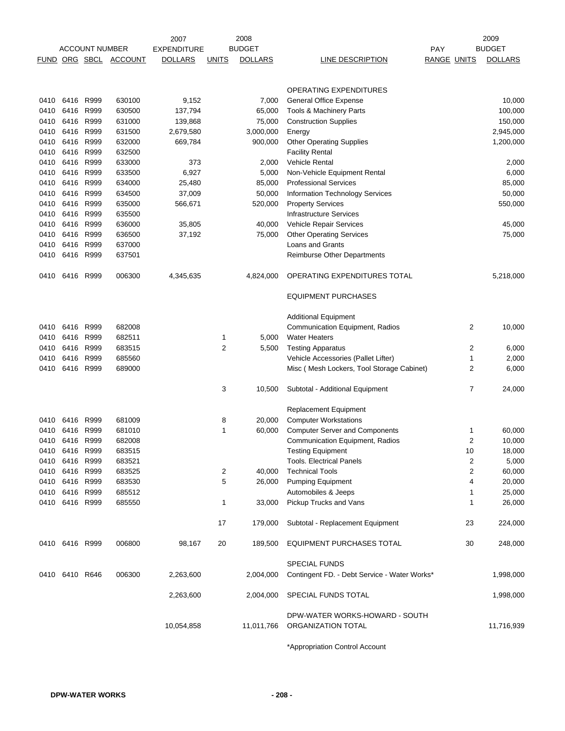|               |                   |                       |                  | 2007               |                | 2008           |                                                              |                    |                      | 2009            |
|---------------|-------------------|-----------------------|------------------|--------------------|----------------|----------------|--------------------------------------------------------------|--------------------|----------------------|-----------------|
|               |                   | <b>ACCOUNT NUMBER</b> |                  | <b>EXPENDITURE</b> |                | <b>BUDGET</b>  |                                                              | <b>PAY</b>         |                      | <b>BUDGET</b>   |
| FUND ORG SBCL |                   |                       | <b>ACCOUNT</b>   | <b>DOLLARS</b>     | <b>UNITS</b>   | <b>DOLLARS</b> | LINE DESCRIPTION                                             | <b>RANGE UNITS</b> |                      | <b>DOLLARS</b>  |
|               |                   |                       |                  |                    |                |                |                                                              |                    |                      |                 |
|               |                   |                       |                  |                    |                |                | OPERATING EXPENDITURES                                       |                    |                      |                 |
| 0410          | 6416 R999         |                       | 630100           | 9,152              |                | 7,000          | <b>General Office Expense</b>                                |                    |                      | 10,000          |
| 0410          | 6416              | R999                  | 630500           | 137,794            |                | 65,000         | Tools & Machinery Parts                                      |                    |                      | 100,000         |
| 0410          | 6416              | R999                  | 631000           | 139,868            |                | 75,000         | <b>Construction Supplies</b>                                 |                    |                      | 150,000         |
| 0410          | 6416              | R999                  | 631500           | 2,679,580          |                | 3,000,000      | Energy                                                       |                    |                      | 2,945,000       |
| 0410          | 6416 R999         |                       | 632000           | 669,784            |                | 900,000        | <b>Other Operating Supplies</b>                              |                    |                      | 1,200,000       |
| 0410          | 6416              | R999                  | 632500           |                    |                |                | <b>Facility Rental</b>                                       |                    |                      |                 |
| 0410          | 6416              | R999                  | 633000           | 373                |                | 2,000          | <b>Vehicle Rental</b>                                        |                    |                      | 2,000           |
| 0410          | 6416              | R999                  | 633500           | 6,927              |                | 5,000          | Non-Vehicle Equipment Rental                                 |                    |                      | 6,000           |
| 0410          | 6416              | R999                  | 634000           | 25,480             |                | 85,000         | <b>Professional Services</b>                                 |                    |                      | 85,000          |
| 0410          | 6416              | R999                  | 634500           | 37,009             |                | 50,000         | Information Technology Services                              |                    |                      | 50,000          |
| 0410          | 6416              | R999                  | 635000           | 566,671            |                | 520,000        | <b>Property Services</b>                                     |                    |                      | 550,000         |
| 0410          | 6416              | R999                  | 635500           |                    |                |                | <b>Infrastructure Services</b>                               |                    |                      |                 |
| 0410          | 6416              | R999                  | 636000           | 35,805             |                | 40,000         | Vehicle Repair Services                                      |                    |                      | 45,000          |
| 0410          | 6416              | R999                  | 636500           | 37,192             |                | 75,000         | <b>Other Operating Services</b>                              |                    |                      | 75,000          |
| 0410          | 6416              | R999                  | 637000           |                    |                |                | <b>Loans and Grants</b>                                      |                    |                      |                 |
| 0410          | 6416              | R999                  | 637501           |                    |                |                | <b>Reimburse Other Departments</b>                           |                    |                      |                 |
|               |                   |                       |                  |                    |                |                |                                                              |                    |                      |                 |
| 0410          |                   | 6416 R999             | 006300           | 4,345,635          |                | 4,824,000      | OPERATING EXPENDITURES TOTAL                                 |                    |                      | 5,218,000       |
|               |                   |                       |                  |                    |                |                | <b>EQUIPMENT PURCHASES</b>                                   |                    |                      |                 |
|               |                   |                       |                  |                    |                |                | <b>Additional Equipment</b>                                  |                    |                      |                 |
| 0410          | 6416              | R999                  | 682008           |                    |                |                | Communication Equipment, Radios                              |                    | $\overline{2}$       | 10,000          |
| 0410          | 6416              | R999                  | 682511           |                    | 1              | 5,000          | <b>Water Heaters</b>                                         |                    |                      |                 |
| 0410          | 6416              | R999                  | 683515           |                    | $\overline{2}$ | 5,500          | <b>Testing Apparatus</b>                                     |                    | 2                    | 6,000           |
| 0410          | 6416              | R999                  | 685560           |                    |                |                | Vehicle Accessories (Pallet Lifter)                          |                    | 1                    | 2,000           |
| 0410          | 6416 R999         |                       | 689000           |                    |                |                | Misc (Mesh Lockers, Tool Storage Cabinet)                    |                    | 2                    | 6,000           |
|               |                   |                       |                  |                    | 3              | 10,500         | Subtotal - Additional Equipment                              |                    | 7                    | 24,000          |
|               |                   |                       |                  |                    |                |                |                                                              |                    |                      |                 |
| 0410          | 6416              | R999                  | 681009           |                    | 8              | 20,000         | <b>Replacement Equipment</b><br><b>Computer Workstations</b> |                    |                      |                 |
| 0410          | 6416              | R999                  | 681010           |                    | 1              | 60,000         | <b>Computer Server and Components</b>                        |                    | 1                    | 60,000          |
| 0410          | 6416 R999         |                       | 682008           |                    |                |                | <b>Communication Equipment, Radios</b>                       |                    | $\overline{2}$       | 10,000          |
| 0410          |                   |                       |                  |                    |                |                |                                                              |                    |                      |                 |
| 0410          | 6416 R999<br>6416 | R999                  | 683515<br>683521 |                    |                |                | Testing Equipment<br><b>Tools. Electrical Panels</b>         |                    | 10<br>$\overline{2}$ | 18,000<br>5,000 |
| 0410          | 6416 R999         |                       | 683525           |                    | $\overline{2}$ | 40,000         | <b>Technical Tools</b>                                       |                    | 2                    | 60,000          |
| 0410          | 6416 R999         |                       | 683530           |                    | 5              | 26,000         | <b>Pumping Equipment</b>                                     |                    | 4                    | 20,000          |
| 0410          | 6416 R999         |                       | 685512           |                    |                |                | Automobiles & Jeeps                                          |                    | 1                    | 25,000          |
| 0410          | 6416 R999         |                       | 685550           |                    | $\mathbf{1}$   | 33,000         | Pickup Trucks and Vans                                       |                    | 1                    | 26,000          |
|               |                   |                       |                  |                    | 17             | 179,000        | Subtotal - Replacement Equipment                             |                    | 23                   | 224,000         |
|               |                   |                       |                  |                    |                |                |                                                              |                    |                      |                 |
|               | 0410 6416 R999    |                       | 006800           | 98,167             | 20             | 189,500        | <b>EQUIPMENT PURCHASES TOTAL</b>                             |                    | 30                   | 248,000         |
|               |                   |                       |                  |                    |                |                | <b>SPECIAL FUNDS</b>                                         |                    |                      |                 |
|               | 0410 6410 R646    |                       | 006300           | 2,263,600          |                | 2,004,000      | Contingent FD. - Debt Service - Water Works*                 |                    |                      | 1,998,000       |
|               |                   |                       |                  | 2,263,600          |                | 2,004,000      | SPECIAL FUNDS TOTAL                                          |                    |                      | 1,998,000       |
|               |                   |                       |                  |                    |                |                | DPW-WATER WORKS-HOWARD - SOUTH                               |                    |                      |                 |
|               |                   |                       |                  | 10,054,858         |                | 11,011,766     | ORGANIZATION TOTAL                                           |                    |                      | 11,716,939      |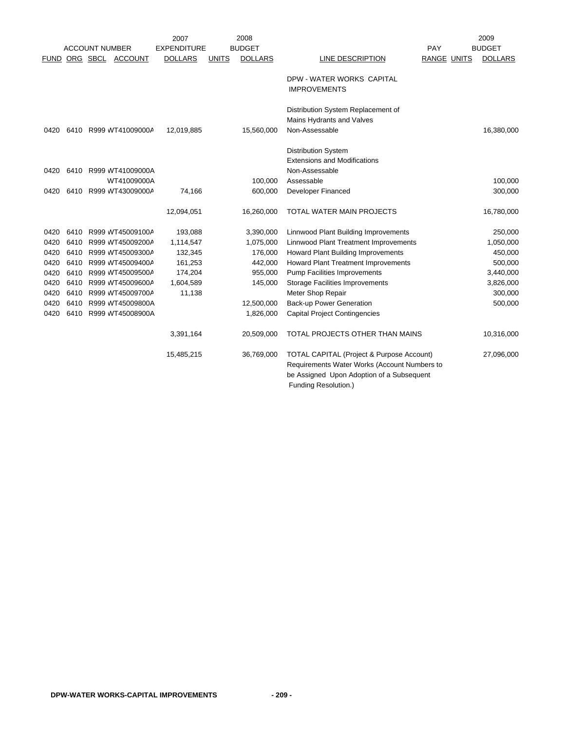|      |      |                       |                       | 2007               |              | 2008           |                                                                                                                                                                           |                    | 2009           |
|------|------|-----------------------|-----------------------|--------------------|--------------|----------------|---------------------------------------------------------------------------------------------------------------------------------------------------------------------------|--------------------|----------------|
|      |      | <b>ACCOUNT NUMBER</b> |                       | <b>EXPENDITURE</b> |              | <b>BUDGET</b>  |                                                                                                                                                                           | PAY                | <b>BUDGET</b>  |
|      |      | FUND ORG SBCL ACCOUNT |                       | <b>DOLLARS</b>     | <b>UNITS</b> | <b>DOLLARS</b> | LINE DESCRIPTION                                                                                                                                                          | <b>RANGE UNITS</b> | <b>DOLLARS</b> |
|      |      |                       |                       |                    |              |                | DPW - WATER WORKS CAPITAL<br><b>IMPROVEMENTS</b>                                                                                                                          |                    |                |
|      |      |                       |                       |                    |              |                | Distribution System Replacement of<br>Mains Hydrants and Valves                                                                                                           |                    |                |
| 0420 |      | 6410 R999 WT41009000A |                       | 12,019,885         |              | 15,560,000     | Non-Assessable                                                                                                                                                            |                    | 16,380,000     |
| 0420 |      |                       | 6410 R999 WT41009000A |                    |              |                | <b>Distribution System</b><br><b>Extensions and Modifications</b><br>Non-Assessable                                                                                       |                    |                |
|      |      |                       | WT41009000A           |                    |              | 100,000        | Assessable                                                                                                                                                                |                    | 100,000        |
| 0420 |      | 6410 R999 WT43009000A |                       | 74,166             |              | 600,000        | Developer Financed                                                                                                                                                        |                    | 300,000        |
|      |      |                       |                       | 12,094,051         |              | 16,260,000     | TOTAL WATER MAIN PROJECTS                                                                                                                                                 |                    | 16,780,000     |
| 0420 |      | 6410 R999 WT45009100A |                       | 193,088            |              | 3,390,000      | Linnwood Plant Building Improvements                                                                                                                                      |                    | 250,000        |
| 0420 | 6410 | R999 WT45009200A      |                       | 1,114,547          |              | 1,075,000      | Linnwood Plant Treatment Improvements                                                                                                                                     |                    | 1,050,000      |
| 0420 | 6410 |                       | R999 WT45009300A      | 132,345            |              | 176,000        | <b>Howard Plant Building Improvements</b>                                                                                                                                 |                    | 450,000        |
| 0420 | 6410 |                       | R999 WT45009400A      | 161,253            |              | 442,000        | <b>Howard Plant Treatment Improvements</b>                                                                                                                                |                    | 500,000        |
| 0420 |      | 6410 R999 WT45009500A |                       | 174,204            |              | 955,000        | <b>Pump Facilities Improvements</b>                                                                                                                                       |                    | 3,440,000      |
| 0420 |      | 6410 R999 WT45009600A |                       | 1,604,589          |              | 145,000        | Storage Facilities Improvements                                                                                                                                           |                    | 3,826,000      |
| 0420 | 6410 |                       | R999 WT45009700A      | 11,138             |              |                | Meter Shop Repair                                                                                                                                                         |                    | 300,000        |
| 0420 | 6410 |                       | R999 WT45009800A      |                    |              | 12,500,000     | <b>Back-up Power Generation</b>                                                                                                                                           |                    | 500,000        |
| 0420 | 6410 |                       | R999 WT45008900A      |                    |              | 1,826,000      | <b>Capital Project Contingencies</b>                                                                                                                                      |                    |                |
|      |      |                       |                       | 3,391,164          |              | 20,509,000     | TOTAL PROJECTS OTHER THAN MAINS                                                                                                                                           |                    | 10,316,000     |
|      |      |                       |                       | 15,485,215         |              | 36,769,000     | <b>TOTAL CAPITAL (Project &amp; Purpose Account)</b><br>Requirements Water Works (Account Numbers to<br>be Assigned Upon Adoption of a Subsequent<br>Funding Resolution.) |                    | 27,096,000     |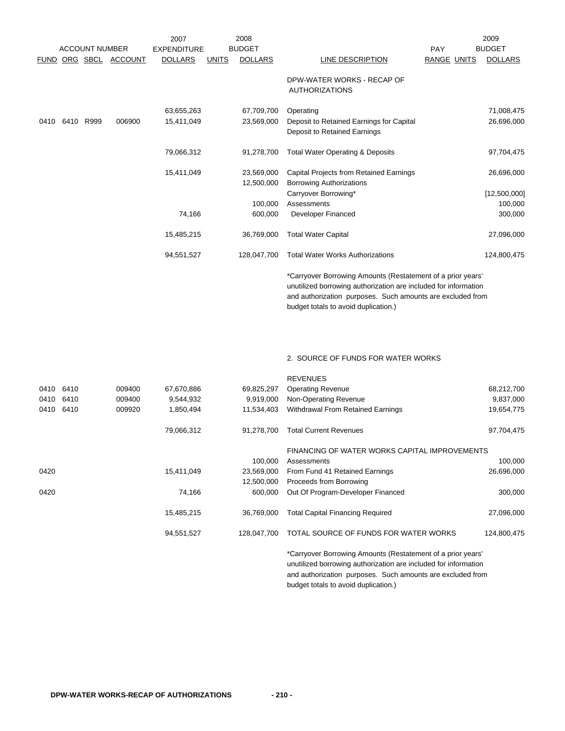|             |      |                       |                | 2007               |              | 2008           |                                                                                                                                |                    | 2009           |
|-------------|------|-----------------------|----------------|--------------------|--------------|----------------|--------------------------------------------------------------------------------------------------------------------------------|--------------------|----------------|
|             |      | <b>ACCOUNT NUMBER</b> |                | <b>EXPENDITURE</b> |              | <b>BUDGET</b>  |                                                                                                                                | <b>PAY</b>         | <b>BUDGET</b>  |
| <b>FUND</b> |      | ORG SBCL              | <b>ACCOUNT</b> | <b>DOLLARS</b>     | <b>UNITS</b> | <b>DOLLARS</b> | LINE DESCRIPTION                                                                                                               | <b>RANGE UNITS</b> | <b>DOLLARS</b> |
|             |      |                       |                |                    |              |                | DPW-WATER WORKS - RECAP OF<br><b>AUTHORIZATIONS</b>                                                                            |                    |                |
|             |      |                       |                | 63,655,263         |              | 67,709,700     | Operating                                                                                                                      |                    | 71,008,475     |
| 0410        | 6410 | R999                  | 006900         | 15,411,049         |              | 23,569,000     | Deposit to Retained Earnings for Capital                                                                                       |                    | 26,696,000     |
|             |      |                       |                |                    |              |                | Deposit to Retained Earnings                                                                                                   |                    |                |
|             |      |                       |                | 79,066,312         |              | 91,278,700     | <b>Total Water Operating &amp; Deposits</b>                                                                                    |                    | 97,704,475     |
|             |      |                       |                | 15,411,049         |              | 23,569,000     | Capital Projects from Retained Earnings                                                                                        |                    | 26,696,000     |
|             |      |                       |                |                    |              | 12,500,000     | Borrowing Authorizations                                                                                                       |                    |                |
|             |      |                       |                |                    |              |                | Carryover Borrowing*                                                                                                           |                    | [12,500,000]   |
|             |      |                       |                |                    |              | 100,000        | Assessments                                                                                                                    |                    | 100,000        |
|             |      |                       |                | 74,166             |              | 600,000        | Developer Financed                                                                                                             |                    | 300,000        |
|             |      |                       |                | 15,485,215         |              | 36,769,000     | <b>Total Water Capital</b>                                                                                                     |                    | 27,096,000     |
|             |      |                       |                | 94,551,527         |              | 128,047,700    | <b>Total Water Works Authorizations</b>                                                                                        |                    | 124,800,475    |
|             |      |                       |                |                    |              |                | *Carryover Borrowing Amounts (Restatement of a prior years'<br>unutilized borrowing authorization are included for information |                    |                |

and authorization purposes. Such amounts are excluded from budget totals to avoid duplication.)

#### 2. SOURCE OF FUNDS FOR WATER WORKS

|      |      |        |            |             | <b>REVENUES</b>                                             |             |
|------|------|--------|------------|-------------|-------------------------------------------------------------|-------------|
| 0410 | 6410 | 009400 | 67,670,886 | 69,825,297  | <b>Operating Revenue</b>                                    | 68,212,700  |
| 0410 | 6410 | 009400 | 9,544,932  | 9,919,000   | Non-Operating Revenue                                       | 9,837,000   |
| 0410 | 6410 | 009920 | 1,850,494  | 11,534,403  | Withdrawal From Retained Earnings                           | 19,654,775  |
|      |      |        | 79,066,312 | 91,278,700  | <b>Total Current Revenues</b>                               | 97,704,475  |
|      |      |        |            |             | FINANCING OF WATER WORKS CAPITAL IMPROVEMENTS               |             |
|      |      |        |            | 100,000     | Assessments                                                 | 100,000     |
| 0420 |      |        | 15,411,049 | 23,569,000  | From Fund 41 Retained Earnings                              | 26,696,000  |
|      |      |        |            | 12,500,000  | Proceeds from Borrowing                                     |             |
| 0420 |      |        | 74,166     | 600,000     | Out Of Program-Developer Financed                           | 300,000     |
|      |      |        | 15,485,215 | 36,769,000  | <b>Total Capital Financing Required</b>                     | 27,096,000  |
|      |      |        | 94,551,527 | 128,047,700 | TOTAL SOURCE OF FUNDS FOR WATER WORKS                       | 124,800,475 |
|      |      |        |            |             | *Carryover Borrowing Amounts (Restatement of a prior years' |             |

unutilized borrowing authorization are included for information and authorization purposes. Such amounts are excluded from budget totals to avoid duplication.)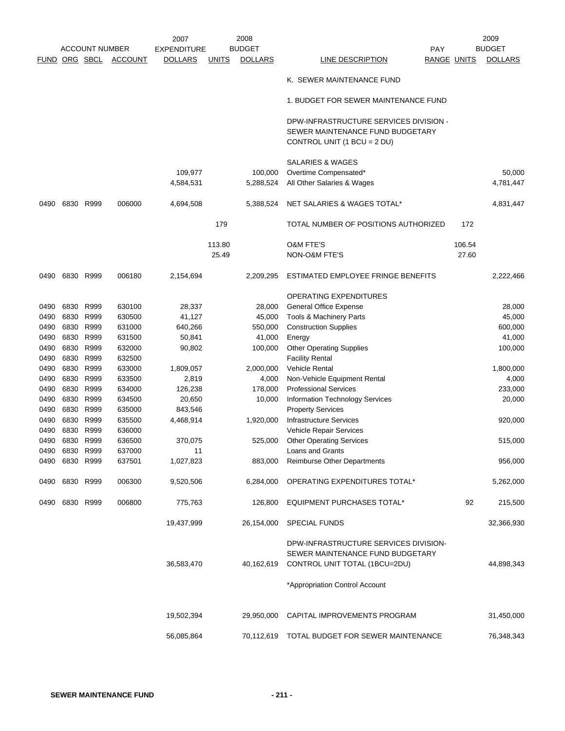|             |           |                       |                | 2007               |              | 2008           |                                                                            |                    | 2009           |
|-------------|-----------|-----------------------|----------------|--------------------|--------------|----------------|----------------------------------------------------------------------------|--------------------|----------------|
|             |           | <b>ACCOUNT NUMBER</b> |                | <b>EXPENDITURE</b> |              | <b>BUDGET</b>  | <b>PAY</b>                                                                 |                    | <b>BUDGET</b>  |
| <b>FUND</b> |           | ORG SBCL              | <b>ACCOUNT</b> | <b>DOLLARS</b>     | <b>UNITS</b> | <b>DOLLARS</b> | LINE DESCRIPTION                                                           | <b>RANGE UNITS</b> | <b>DOLLARS</b> |
|             |           |                       |                |                    |              |                | K. SEWER MAINTENANCE FUND                                                  |                    |                |
|             |           |                       |                |                    |              |                | 1. BUDGET FOR SEWER MAINTENANCE FUND                                       |                    |                |
|             |           |                       |                |                    |              |                | DPW-INFRASTRUCTURE SERVICES DIVISION -<br>SEWER MAINTENANCE FUND BUDGETARY |                    |                |
|             |           |                       |                |                    |              |                | CONTROL UNIT (1 BCU = 2 DU)                                                |                    |                |
|             |           |                       |                |                    |              |                | <b>SALARIES &amp; WAGES</b>                                                |                    |                |
|             |           |                       |                | 109,977            |              | 100,000        | Overtime Compensated*                                                      |                    | 50,000         |
|             |           |                       |                | 4,584,531          |              | 5,288,524      | All Other Salaries & Wages                                                 |                    | 4,781,447      |
| 0490        | 6830      | R999                  | 006000         | 4,694,508          |              | 5,388,524      | NET SALARIES & WAGES TOTAL*                                                |                    | 4,831,447      |
|             |           |                       |                |                    | 179          |                | TOTAL NUMBER OF POSITIONS AUTHORIZED                                       | 172                |                |
|             |           |                       |                |                    | 113.80       |                | O&M FTE'S                                                                  | 106.54             |                |
|             |           |                       |                |                    | 25.49        |                | <b>NON-O&amp;M FTE'S</b>                                                   | 27.60              |                |
| 0490        |           | 6830 R999             | 006180         | 2,154,694          |              | 2,209,295      | ESTIMATED EMPLOYEE FRINGE BENEFITS                                         |                    | 2,222,466      |
|             |           |                       |                |                    |              |                | <b>OPERATING EXPENDITURES</b>                                              |                    |                |
| 0490        |           | 6830 R999             | 630100         | 28,337             |              | 28,000         | <b>General Office Expense</b>                                              |                    | 28,000         |
| 0490        | 6830 R999 |                       | 630500         | 41,127             |              | 45,000         | Tools & Machinery Parts                                                    |                    | 45,000         |
| 0490        |           | 6830 R999             | 631000         | 640,266            |              | 550,000        | <b>Construction Supplies</b>                                               |                    | 600,000        |
| 0490        | 6830      | R999                  | 631500         | 50,841             |              | 41,000         | Energy                                                                     |                    | 41,000         |
| 0490        | 6830      | R999                  | 632000         | 90,802             |              | 100,000        | <b>Other Operating Supplies</b>                                            |                    | 100,000        |
| 0490        | 6830      | R999                  | 632500         |                    |              |                | <b>Facility Rental</b>                                                     |                    |                |
| 0490        | 6830      | R999                  | 633000         | 1,809,057          |              | 2,000,000      | Vehicle Rental                                                             |                    | 1,800,000      |
| 0490        | 6830      | R999                  | 633500         | 2,819              |              | 4,000          | Non-Vehicle Equipment Rental                                               |                    | 4,000          |
| 0490        | 6830      | R999                  | 634000         | 126,238            |              | 178,000        | <b>Professional Services</b>                                               |                    | 233,000        |
| 0490        | 6830 R999 |                       | 634500         | 20,650             |              | 10,000         | Information Technology Services                                            |                    | 20,000         |
| 0490        | 6830      | R999                  | 635000         | 843,546            |              |                | <b>Property Services</b>                                                   |                    |                |
| 0490        | 6830      | R999                  | 635500         | 4,468,914          |              | 1,920,000      | <b>Infrastructure Services</b>                                             |                    | 920,000        |
| 0490        | 6830      | R999                  | 636000         |                    |              |                | Vehicle Repair Services                                                    |                    |                |
| 0490        |           | 6830 R999             | 636500         | 370,075            |              | 525,000        | <b>Other Operating Services</b>                                            |                    | 515,000        |
| 0490        | 6830 R999 |                       | 637000         | 11                 |              |                | Loans and Grants                                                           |                    |                |
| 0490        | 6830 R999 |                       | 637501         | 1,027,823          |              | 883,000        | <b>Reimburse Other Departments</b>                                         |                    | 956,000        |
| 0490        | 6830 R999 |                       | 006300         | 9,520,506          |              | 6,284,000      | OPERATING EXPENDITURES TOTAL*                                              |                    | 5,262,000      |
| 0490        | 6830 R999 |                       | 006800         | 775,763            |              | 126,800        | EQUIPMENT PURCHASES TOTAL*                                                 | 92                 | 215,500        |
|             |           |                       |                | 19,437,999         |              | 26,154,000     | SPECIAL FUNDS                                                              |                    | 32,366,930     |
|             |           |                       |                |                    |              |                | DPW-INFRASTRUCTURE SERVICES DIVISION-                                      |                    |                |
|             |           |                       |                |                    |              |                | SEWER MAINTENANCE FUND BUDGETARY                                           |                    |                |
|             |           |                       |                | 36,583,470         |              | 40,162,619     | CONTROL UNIT TOTAL (1BCU=2DU)                                              |                    | 44,898,343     |
|             |           |                       |                |                    |              |                | *Appropriation Control Account                                             |                    |                |
|             |           |                       |                | 19,502,394         |              | 29,950,000     | CAPITAL IMPROVEMENTS PROGRAM                                               |                    | 31,450,000     |
|             |           |                       |                |                    |              |                |                                                                            |                    |                |
|             |           |                       |                | 56,085,864         |              | 70,112,619     | TOTAL BUDGET FOR SEWER MAINTENANCE                                         |                    | 76,348,343     |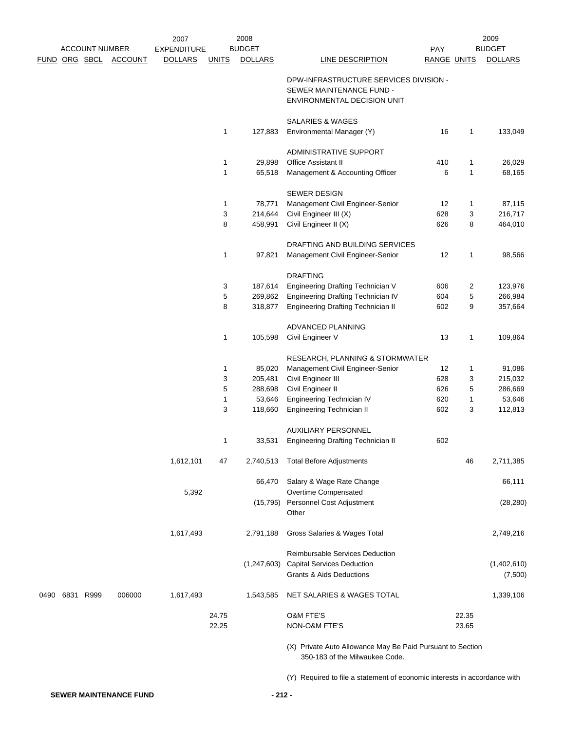|      | <b>ACCOUNT NUMBER</b> |                | 2007<br><b>EXPENDITURE</b> |                | 2008<br><b>BUDGET</b> |                                                            | PAY                |                | 2009<br><b>BUDGET</b> |
|------|-----------------------|----------------|----------------------------|----------------|-----------------------|------------------------------------------------------------|--------------------|----------------|-----------------------|
|      | FUND ORG SBCL         | <b>ACCOUNT</b> | <b>DOLLARS</b>             | <b>UNITS</b>   | <b>DOLLARS</b>        | LINE DESCRIPTION                                           | <b>RANGE UNITS</b> |                | <b>DOLLARS</b>        |
|      |                       |                |                            |                |                       |                                                            |                    |                |                       |
|      |                       |                |                            |                |                       | DPW-INFRASTRUCTURE SERVICES DIVISION -                     |                    |                |                       |
|      |                       |                |                            |                |                       | SEWER MAINTENANCE FUND -                                   |                    |                |                       |
|      |                       |                |                            |                |                       | ENVIRONMENTAL DECISION UNIT                                |                    |                |                       |
|      |                       |                |                            |                |                       | <b>SALARIES &amp; WAGES</b>                                |                    |                |                       |
|      |                       |                |                            | 1              | 127,883               | Environmental Manager (Y)                                  | 16                 | 1              | 133,049               |
|      |                       |                |                            |                |                       | ADMINISTRATIVE SUPPORT                                     |                    |                |                       |
|      |                       |                |                            | 1              | 29,898                | <b>Office Assistant II</b>                                 | 410                | 1              | 26,029                |
|      |                       |                |                            | 1              | 65,518                | Management & Accounting Officer                            | 6                  | 1              | 68,165                |
|      |                       |                |                            |                |                       |                                                            |                    |                |                       |
|      |                       |                |                            |                |                       | <b>SEWER DESIGN</b>                                        |                    |                |                       |
|      |                       |                |                            | 1              | 78,771                | Management Civil Engineer-Senior                           | 12                 | $\mathbf{1}$   | 87,115                |
|      |                       |                |                            | 3<br>8         | 214,644<br>458,991    | Civil Engineer III (X)<br>Civil Engineer II (X)            | 628<br>626         | 3<br>8         | 216,717<br>464,010    |
|      |                       |                |                            |                |                       |                                                            |                    |                |                       |
|      |                       |                |                            |                |                       | DRAFTING AND BUILDING SERVICES                             |                    |                |                       |
|      |                       |                |                            | 1              | 97,821                | Management Civil Engineer-Senior                           | 12                 | 1              | 98,566                |
|      |                       |                |                            |                |                       | <b>DRAFTING</b>                                            |                    |                |                       |
|      |                       |                |                            | 3              | 187,614               | <b>Engineering Drafting Technician V</b>                   | 606                | 2              | 123,976               |
|      |                       |                |                            | 5              | 269,862               | <b>Engineering Drafting Technician IV</b>                  | 604                | 5              | 266,984               |
|      |                       |                |                            | 8              | 318,877               | <b>Engineering Drafting Technician II</b>                  | 602                | 9              | 357,664               |
|      |                       |                |                            |                |                       |                                                            |                    |                |                       |
|      |                       |                |                            |                |                       | ADVANCED PLANNING                                          | 13                 |                | 109,864               |
|      |                       |                |                            | 1              | 105,598               | Civil Engineer V                                           |                    | 1              |                       |
|      |                       |                |                            |                |                       | RESEARCH, PLANNING & STORMWATER                            |                    |                |                       |
|      |                       |                |                            | 1              | 85,020                | Management Civil Engineer-Senior                           | 12                 | 1              | 91,086                |
|      |                       |                |                            | 3              | 205,481               | Civil Engineer III                                         | 628                | 3              | 215,032               |
|      |                       |                |                            | 5              | 288,698               | Civil Engineer II                                          | 626                | 5              | 286,669               |
|      |                       |                |                            | 1              | 53,646                | <b>Engineering Technician IV</b>                           | 620                | 1              | 53,646                |
|      |                       |                |                            | 3              | 118,660               | <b>Engineering Technician II</b>                           | 602                | 3              | 112,813               |
|      |                       |                |                            |                |                       | <b>AUXILIARY PERSONNEL</b>                                 |                    |                |                       |
|      |                       |                |                            | 1              | 33,531                | <b>Engineering Drafting Technician II</b>                  | 602                |                |                       |
|      |                       |                | 1,612,101                  | 47             |                       | <b>Total Before Adjustments</b>                            |                    |                | 2,711,385             |
|      |                       |                |                            |                | 2,740,513             |                                                            |                    | 46             |                       |
|      |                       |                |                            |                | 66,470                | Salary & Wage Rate Change                                  |                    |                | 66,111                |
|      |                       |                | 5,392                      |                |                       | Overtime Compensated                                       |                    |                |                       |
|      |                       |                |                            |                |                       | (15,795) Personnel Cost Adjustment                         |                    |                | (28, 280)             |
|      |                       |                |                            |                |                       | Other                                                      |                    |                |                       |
|      |                       |                | 1,617,493                  |                | 2,791,188             | Gross Salaries & Wages Total                               |                    |                | 2,749,216             |
|      |                       |                |                            |                |                       |                                                            |                    |                |                       |
|      |                       |                |                            |                |                       | Reimbursable Services Deduction                            |                    |                |                       |
|      |                       |                |                            |                | (1,247,603)           | <b>Capital Services Deduction</b>                          |                    |                | (1,402,610)           |
|      |                       |                |                            |                |                       | <b>Grants &amp; Aids Deductions</b>                        |                    |                | (7,500)               |
| 0490 | 6831 R999             | 006000         | 1,617,493                  |                | 1,543,585             | NET SALARIES & WAGES TOTAL                                 |                    |                | 1,339,106             |
|      |                       |                |                            |                |                       |                                                            |                    |                |                       |
|      |                       |                |                            | 24.75<br>22.25 |                       | O&M FTE'S<br>NON-O&M FTE'S                                 |                    | 22.35<br>23.65 |                       |
|      |                       |                |                            |                |                       |                                                            |                    |                |                       |
|      |                       |                |                            |                |                       | (X) Private Auto Allowance May Be Paid Pursuant to Section |                    |                |                       |
|      |                       |                |                            |                |                       | 350-183 of the Milwaukee Code.                             |                    |                |                       |

(Y) Required to file a statement of economic interests in accordance with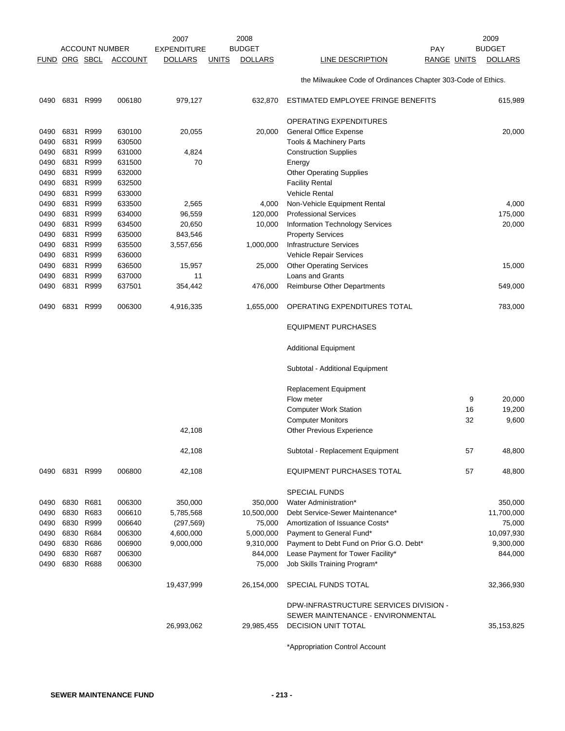| FUND ORG SBCL |              | <b>ACCOUNT NUMBER</b> | <b>ACCOUNT</b>   | 2007<br><b>EXPENDITURE</b><br><b>DOLLARS</b> | <b>UNITS</b> | 2008<br><b>BUDGET</b><br><b>DOLLARS</b> | PAY<br><b>LINE DESCRIPTION</b><br><b>RANGE UNITS</b>         |          | 2009<br><b>BUDGET</b><br><b>DOLLARS</b> |
|---------------|--------------|-----------------------|------------------|----------------------------------------------|--------------|-----------------------------------------|--------------------------------------------------------------|----------|-----------------------------------------|
|               |              |                       |                  |                                              |              |                                         |                                                              |          |                                         |
|               |              |                       |                  |                                              |              |                                         | the Milwaukee Code of Ordinances Chapter 303-Code of Ethics. |          |                                         |
| 0490          | 6831         | R999                  | 006180           | 979,127                                      |              | 632,870                                 | ESTIMATED EMPLOYEE FRINGE BENEFITS                           |          | 615,989                                 |
|               |              |                       |                  |                                              |              |                                         | <b>OPERATING EXPENDITURES</b>                                |          |                                         |
| 0490          | 6831         | R999                  | 630100           | 20,055                                       |              | 20,000                                  | General Office Expense                                       |          | 20,000                                  |
| 0490          | 6831         | R999                  | 630500           |                                              |              |                                         | Tools & Machinery Parts                                      |          |                                         |
| 0490          | 6831         | R999                  | 631000           | 4,824                                        |              |                                         | <b>Construction Supplies</b>                                 |          |                                         |
| 0490          | 6831<br>6831 | R999<br>R999          | 631500<br>632000 | 70                                           |              |                                         | Energy                                                       |          |                                         |
| 0490<br>0490  | 6831         | R999                  | 632500           |                                              |              |                                         | <b>Other Operating Supplies</b><br><b>Facility Rental</b>    |          |                                         |
| 0490          | 6831         | R999                  | 633000           |                                              |              |                                         | <b>Vehicle Rental</b>                                        |          |                                         |
| 0490          | 6831         | R999                  | 633500           | 2,565                                        |              | 4,000                                   | Non-Vehicle Equipment Rental                                 |          | 4,000                                   |
| 0490          | 6831         | R999                  | 634000           | 96,559                                       |              | 120,000                                 | <b>Professional Services</b>                                 |          | 175,000                                 |
| 0490          | 6831         | R999                  | 634500           | 20,650                                       |              | 10,000                                  | <b>Information Technology Services</b>                       |          | 20,000                                  |
| 0490          | 6831         | R999                  | 635000           | 843,546                                      |              |                                         | <b>Property Services</b>                                     |          |                                         |
| 0490          | 6831         | R999                  | 635500           | 3,557,656                                    |              | 1,000,000                               | <b>Infrastructure Services</b>                               |          |                                         |
| 0490          | 6831         | R999                  | 636000           |                                              |              |                                         | Vehicle Repair Services                                      |          |                                         |
| 0490          | 6831         | R999                  | 636500           | 15,957                                       |              | 25,000                                  | <b>Other Operating Services</b>                              |          | 15,000                                  |
| 0490          | 6831         | R999                  | 637000           | 11                                           |              |                                         | Loans and Grants                                             |          |                                         |
| 0490          | 6831         | R999                  | 637501           | 354,442                                      |              | 476,000                                 | <b>Reimburse Other Departments</b>                           |          | 549,000                                 |
| 0490          | 6831         | R999                  | 006300           | 4,916,335                                    |              | 1,655,000                               | OPERATING EXPENDITURES TOTAL                                 |          | 783,000                                 |
|               |              |                       |                  |                                              |              |                                         | <b>EQUIPMENT PURCHASES</b>                                   |          |                                         |
|               |              |                       |                  |                                              |              |                                         | Additional Equipment                                         |          |                                         |
|               |              |                       |                  |                                              |              |                                         | Subtotal - Additional Equipment                              |          |                                         |
|               |              |                       |                  |                                              |              |                                         | <b>Replacement Equipment</b>                                 |          |                                         |
|               |              |                       |                  |                                              |              |                                         | Flow meter                                                   | 9        | 20,000                                  |
|               |              |                       |                  |                                              |              |                                         | <b>Computer Work Station</b>                                 | 16<br>32 | 19,200<br>9,600                         |
|               |              |                       |                  | 42,108                                       |              |                                         | <b>Computer Monitors</b><br>Other Previous Experience        |          |                                         |
|               |              |                       |                  | 42,108                                       |              |                                         | Subtotal - Replacement Equipment                             | 57       | 48,800                                  |
| 0490          | 6831         | R999                  | 006800           | 42,108                                       |              |                                         | <b>EQUIPMENT PURCHASES TOTAL</b>                             | 57       | 48,800                                  |
|               |              |                       |                  |                                              |              |                                         | <b>SPECIAL FUNDS</b>                                         |          |                                         |
| 0490          | 6830         | R681                  | 006300           | 350,000                                      |              | 350,000                                 | Water Administration*                                        |          | 350,000                                 |
| 0490          | 6830         | R683                  | 006610           | 5,785,568                                    |              | 10,500,000                              | Debt Service-Sewer Maintenance*                              |          | 11,700,000                              |
| 0490          | 6830         | R999                  | 006640           | (297, 569)                                   |              | 75,000                                  | Amortization of Issuance Costs*                              |          | 75,000                                  |
| 0490          | 6830         | R684                  | 006300           | 4,600,000                                    |              | 5,000,000                               | Payment to General Fund*                                     |          | 10,097,930                              |
| 0490          | 6830 R686    |                       | 006900           | 9,000,000                                    |              | 9,310,000                               | Payment to Debt Fund on Prior G.O. Debt*                     |          | 9,300,000                               |
| 0490          | 6830         | R687                  | 006300           |                                              |              | 844,000                                 | Lease Payment for Tower Facility*                            |          | 844,000                                 |
| 0490          | 6830         | R688                  | 006300           |                                              |              | 75,000                                  | Job Skills Training Program*                                 |          |                                         |
|               |              |                       |                  | 19,437,999                                   |              | 26,154,000                              | SPECIAL FUNDS TOTAL                                          |          | 32,366,930                              |
|               |              |                       |                  |                                              |              |                                         | DPW-INFRASTRUCTURE SERVICES DIVISION -                       |          |                                         |
|               |              |                       |                  |                                              |              |                                         | SEWER MAINTENANCE - ENVIRONMENTAL                            |          |                                         |
|               |              |                       |                  | 26,993,062                                   |              | 29,985,455                              | DECISION UNIT TOTAL                                          |          | 35, 153, 825                            |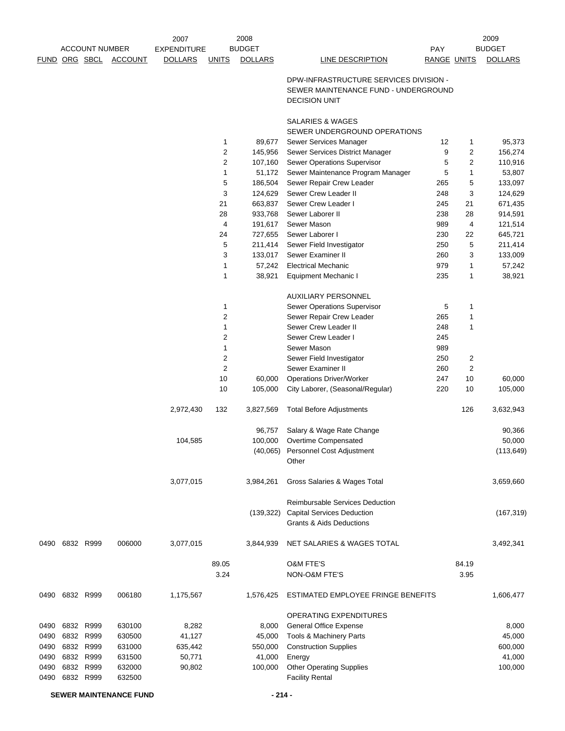|             |                       |                | 2007               |                | 2008           |                                                                                                        |             |                | 2009           |
|-------------|-----------------------|----------------|--------------------|----------------|----------------|--------------------------------------------------------------------------------------------------------|-------------|----------------|----------------|
|             | <b>ACCOUNT NUMBER</b> |                | <b>EXPENDITURE</b> |                | <b>BUDGET</b>  |                                                                                                        | PAY         |                | <b>BUDGET</b>  |
| <b>FUND</b> | ORG SBCL              | <b>ACCOUNT</b> | <b>DOLLARS</b>     | <b>UNITS</b>   | <b>DOLLARS</b> | <b>LINE DESCRIPTION</b>                                                                                | RANGE UNITS |                | <b>DOLLARS</b> |
|             |                       |                |                    |                |                | DPW-INFRASTRUCTURE SERVICES DIVISION -<br>SEWER MAINTENANCE FUND - UNDERGROUND<br><b>DECISION UNIT</b> |             |                |                |
|             |                       |                |                    |                |                | SALARIES & WAGES                                                                                       |             |                |                |
|             |                       |                |                    |                |                | SEWER UNDERGROUND OPERATIONS                                                                           |             |                |                |
|             |                       |                |                    | $\mathbf{1}$   | 89,677         | Sewer Services Manager                                                                                 | 12          | 1              | 95,373         |
|             |                       |                |                    | $\overline{2}$ | 145,956        | Sewer Services District Manager                                                                        | 9           | $\overline{2}$ | 156,274        |
|             |                       |                |                    | $\sqrt{2}$     | 107,160        | Sewer Operations Supervisor                                                                            | 5           | $\overline{c}$ | 110,916        |
|             |                       |                |                    | $\mathbf{1}$   | 51,172         | Sewer Maintenance Program Manager                                                                      | 5           | 1              | 53,807         |
|             |                       |                |                    | 5              | 186,504        | Sewer Repair Crew Leader                                                                               | 265         | 5              | 133,097        |
|             |                       |                |                    | 3              | 124,629        | Sewer Crew Leader II                                                                                   | 248         | 3              | 124,629        |
|             |                       |                |                    | 21             | 663,837        | Sewer Crew Leader I                                                                                    | 245         | 21             | 671,435        |
|             |                       |                |                    | 28             | 933,768        | Sewer Laborer II                                                                                       | 238         | 28             | 914,591        |
|             |                       |                |                    | 4              | 191,617        | Sewer Mason                                                                                            | 989         | 4              | 121,514        |
|             |                       |                |                    | 24             | 727,655        | Sewer Laborer I                                                                                        | 230         | 22             | 645,721        |
|             |                       |                |                    | 5              | 211,414        | Sewer Field Investigator                                                                               | 250         | 5              | 211,414        |
|             |                       |                |                    | 3              | 133,017        | Sewer Examiner II                                                                                      | 260         | 3              | 133,009        |
|             |                       |                |                    | 1              | 57,242         | <b>Electrical Mechanic</b>                                                                             | 979         | $\mathbf{1}$   | 57,242         |
|             |                       |                |                    | 1              | 38,921         | <b>Equipment Mechanic I</b>                                                                            | 235         | $\mathbf{1}$   | 38,921         |
|             |                       |                |                    |                |                | <b>AUXILIARY PERSONNEL</b>                                                                             |             |                |                |
|             |                       |                |                    | $\mathbf{1}$   |                | Sewer Operations Supervisor                                                                            | 5           | $\mathbf{1}$   |                |
|             |                       |                |                    | $\sqrt{2}$     |                | Sewer Repair Crew Leader                                                                               | 265         | 1              |                |
|             |                       |                |                    | $\mathbf 1$    |                | Sewer Crew Leader II                                                                                   | 248         | 1              |                |
|             |                       |                |                    | 2              |                | Sewer Crew Leader I                                                                                    | 245         |                |                |
|             |                       |                |                    | $\mathbf{1}$   |                | Sewer Mason                                                                                            | 989         |                |                |
|             |                       |                |                    | $\sqrt{2}$     |                | Sewer Field Investigator                                                                               | 250         | 2              |                |
|             |                       |                |                    | $\overline{c}$ |                | Sewer Examiner II                                                                                      | 260         | 2              |                |
|             |                       |                |                    | 10             | 60,000         | <b>Operations Driver/Worker</b>                                                                        | 247         | 10             | 60,000         |
|             |                       |                |                    | 10             | 105,000        | City Laborer, (Seasonal/Regular)                                                                       | 220         | 10             | 105,000        |
|             |                       |                | 2,972,430          | 132            | 3,827,569      | <b>Total Before Adjustments</b>                                                                        |             | 126            | 3,632,943      |
|             |                       |                |                    |                | 96,757         | Salary & Wage Rate Change                                                                              |             |                | 90,366         |
|             |                       |                | 104,585            |                | 100,000        | Overtime Compensated                                                                                   |             |                | 50,000         |
|             |                       |                |                    |                |                | (40,065) Personnel Cost Adjustment<br>Other                                                            |             |                | (113, 649)     |
|             |                       |                | 3,077,015          |                | 3,984,261      | Gross Salaries & Wages Total                                                                           |             |                | 3,659,660      |
|             |                       |                |                    |                |                | <b>Reimbursable Services Deduction</b>                                                                 |             |                |                |
|             |                       |                |                    |                | (139, 322)     | <b>Capital Services Deduction</b>                                                                      |             |                | (167, 319)     |
|             |                       |                |                    |                |                | Grants & Aids Deductions                                                                               |             |                |                |
| 0490        | 6832 R999             | 006000         | 3,077,015          |                | 3,844,939      | NET SALARIES & WAGES TOTAL                                                                             |             |                | 3,492,341      |
|             |                       |                |                    | 89.05          |                | <b>O&amp;M FTE'S</b>                                                                                   |             | 84.19          |                |
|             |                       |                |                    | 3.24           |                | NON-O&M FTE'S                                                                                          |             | 3.95           |                |
| 0490        | 6832 R999             | 006180         | 1,175,567          |                | 1,576,425      | ESTIMATED EMPLOYEE FRINGE BENEFITS                                                                     |             |                | 1,606,477      |
|             |                       |                |                    |                |                | OPERATING EXPENDITURES                                                                                 |             |                |                |
| 0490        | 6832 R999             | 630100         | 8,282              |                | 8,000          | General Office Expense                                                                                 |             |                | 8,000          |
| 0490        | 6832 R999             | 630500         | 41,127             |                | 45,000         | Tools & Machinery Parts                                                                                |             |                | 45,000         |
| 0490        | 6832 R999             | 631000         | 635,442            |                | 550,000        | <b>Construction Supplies</b>                                                                           |             |                | 600,000        |
| 0490        | 6832 R999             | 631500         | 50,771             |                | 41,000         | Energy                                                                                                 |             |                | 41,000         |
| 0490        | 6832 R999             | 632000         | 90,802             |                | 100,000        | <b>Other Operating Supplies</b>                                                                        |             |                | 100,000        |
| 0490        | 6832 R999             | 632500         |                    |                |                | <b>Facility Rental</b>                                                                                 |             |                |                |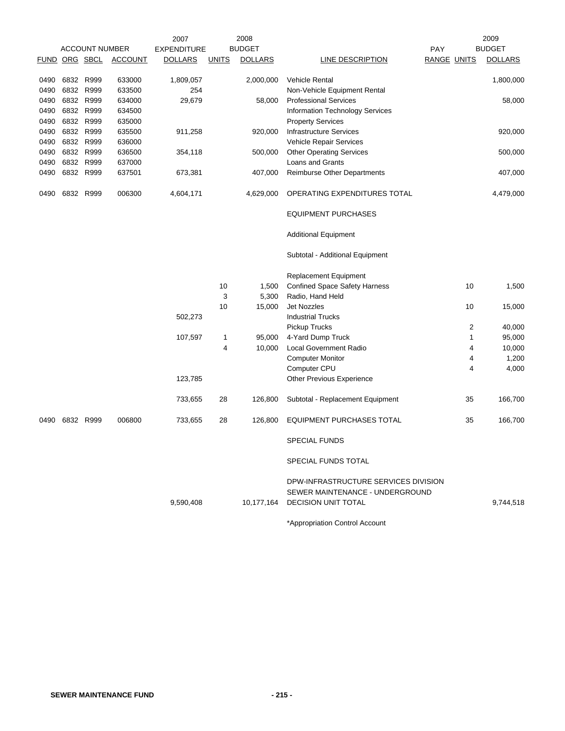|             |           |                       |                | 2007               |              | 2008           |                                      |                    |    | 2009           |
|-------------|-----------|-----------------------|----------------|--------------------|--------------|----------------|--------------------------------------|--------------------|----|----------------|
|             |           | <b>ACCOUNT NUMBER</b> |                | <b>EXPENDITURE</b> |              | <b>BUDGET</b>  |                                      | <b>PAY</b>         |    | <b>BUDGET</b>  |
| <b>FUND</b> |           | ORG SBCL              | <b>ACCOUNT</b> | <b>DOLLARS</b>     | <b>UNITS</b> | <b>DOLLARS</b> | LINE DESCRIPTION                     | <b>RANGE UNITS</b> |    | <b>DOLLARS</b> |
| 0490        | 6832 R999 |                       | 633000         | 1,809,057          |              | 2,000,000      | <b>Vehicle Rental</b>                |                    |    | 1,800,000      |
| 0490        | 6832 R999 |                       | 633500         | 254                |              |                | Non-Vehicle Equipment Rental         |                    |    |                |
| 0490        | 6832 R999 |                       | 634000         | 29,679             |              | 58,000         | <b>Professional Services</b>         |                    |    | 58,000         |
| 0490        | 6832 R999 |                       | 634500         |                    |              |                | Information Technology Services      |                    |    |                |
| 0490        | 6832 R999 |                       | 635000         |                    |              |                | <b>Property Services</b>             |                    |    |                |
| 0490        | 6832 R999 |                       | 635500         | 911,258            |              | 920,000        | <b>Infrastructure Services</b>       |                    |    | 920,000        |
| 0490        | 6832 R999 |                       | 636000         |                    |              |                | Vehicle Repair Services              |                    |    |                |
| 0490        |           | 6832 R999             | 636500         | 354,118            |              | 500,000        | <b>Other Operating Services</b>      |                    |    | 500,000        |
| 0490        |           | 6832 R999             | 637000         |                    |              |                | Loans and Grants                     |                    |    |                |
| 0490        | 6832 R999 |                       | 637501         | 673,381            |              | 407,000        | <b>Reimburse Other Departments</b>   |                    |    | 407,000        |
|             |           |                       |                |                    |              |                |                                      |                    |    |                |
| 0490        | 6832 R999 |                       | 006300         | 4,604,171          |              | 4,629,000      | OPERATING EXPENDITURES TOTAL         |                    |    | 4,479,000      |
|             |           |                       |                |                    |              |                | <b>EQUIPMENT PURCHASES</b>           |                    |    |                |
|             |           |                       |                |                    |              |                | <b>Additional Equipment</b>          |                    |    |                |
|             |           |                       |                |                    |              |                | Subtotal - Additional Equipment      |                    |    |                |
|             |           |                       |                |                    |              |                | <b>Replacement Equipment</b>         |                    |    |                |
|             |           |                       |                |                    | 10           | 1,500          | <b>Confined Space Safety Harness</b> |                    | 10 | 1,500          |
|             |           |                       |                |                    | 3            | 5,300          | Radio, Hand Held                     |                    |    |                |
|             |           |                       |                |                    | 10           | 15,000         | <b>Jet Nozzles</b>                   |                    | 10 | 15,000         |
|             |           |                       |                | 502,273            |              |                | <b>Industrial Trucks</b>             |                    |    |                |
|             |           |                       |                |                    |              |                | Pickup Trucks                        |                    | 2  | 40,000         |
|             |           |                       |                | 107,597            | 1            | 95,000         | 4-Yard Dump Truck                    |                    | 1  | 95,000         |
|             |           |                       |                |                    | 4            | 10,000         | <b>Local Government Radio</b>        |                    | 4  | 10,000         |
|             |           |                       |                |                    |              |                | <b>Computer Monitor</b>              |                    | 4  | 1,200          |
|             |           |                       |                |                    |              |                | Computer CPU                         |                    | 4  | 4,000          |
|             |           |                       |                | 123,785            |              |                | Other Previous Experience            |                    |    |                |
|             |           |                       |                |                    |              |                |                                      |                    |    |                |
|             |           |                       |                | 733,655            | 28           | 126,800        | Subtotal - Replacement Equipment     |                    | 35 | 166,700        |
| 0490        | 6832 R999 |                       | 006800         | 733,655            | 28           | 126,800        | <b>EQUIPMENT PURCHASES TOTAL</b>     |                    | 35 | 166,700        |
|             |           |                       |                |                    |              |                | <b>SPECIAL FUNDS</b>                 |                    |    |                |
|             |           |                       |                |                    |              |                | SPECIAL FUNDS TOTAL                  |                    |    |                |
|             |           |                       |                |                    |              |                | DPW-INFRASTRUCTURE SERVICES DIVISION |                    |    |                |
|             |           |                       |                |                    |              |                | SEWER MAINTENANCE - UNDERGROUND      |                    |    |                |
|             |           |                       |                | 9,590,408          |              |                | 10,177,164 DECISION UNIT TOTAL       |                    |    | 9,744,518      |
|             |           |                       |                |                    |              |                | *Appropriation Control Account       |                    |    |                |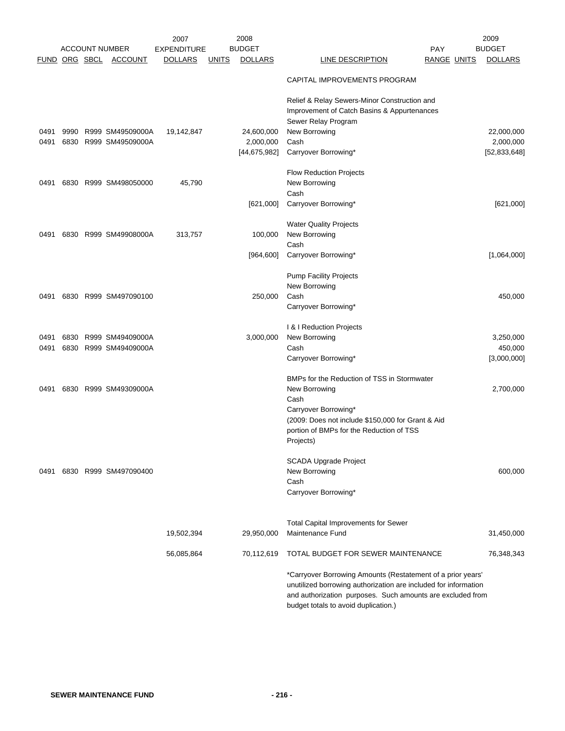|      |  | <b>ACCOUNT NUMBER</b> | 2007<br><b>EXPENDITURE</b> |              | 2008<br><b>BUDGET</b> |                                                                                                                                | <b>PAY</b>  | 2009<br><b>BUDGET</b> |
|------|--|-----------------------|----------------------------|--------------|-----------------------|--------------------------------------------------------------------------------------------------------------------------------|-------------|-----------------------|
|      |  | FUND ORG SBCL ACCOUNT | <b>DOLLARS</b>             | <u>UNITS</u> | <b>DOLLARS</b>        | <b>LINE DESCRIPTION</b>                                                                                                        | RANGE UNITS | <b>DOLLARS</b>        |
|      |  |                       |                            |              |                       | CAPITAL IMPROVEMENTS PROGRAM                                                                                                   |             |                       |
|      |  |                       |                            |              |                       | Relief & Relay Sewers-Minor Construction and<br>Improvement of Catch Basins & Appurtenances<br>Sewer Relay Program             |             |                       |
| 0491 |  | 9990 R999 SM49509000A | 19,142,847                 |              | 24,600,000            | New Borrowing                                                                                                                  |             | 22,000,000            |
| 0491 |  | 6830 R999 SM49509000A |                            |              | 2,000,000             | Cash                                                                                                                           |             | 2,000,000             |
|      |  |                       |                            |              | [44, 675, 982]        | Carryover Borrowing*                                                                                                           |             | [52, 833, 648]        |
|      |  |                       |                            |              |                       | <b>Flow Reduction Projects</b>                                                                                                 |             |                       |
| 0491 |  | 6830 R999 SM498050000 | 45,790                     |              |                       | New Borrowing                                                                                                                  |             |                       |
|      |  |                       |                            |              |                       | Cash                                                                                                                           |             |                       |
|      |  |                       |                            |              | [621,000]             | Carryover Borrowing*                                                                                                           |             | [621,000]             |
|      |  |                       |                            |              |                       | <b>Water Quality Projects</b>                                                                                                  |             |                       |
| 0491 |  | 6830 R999 SM49908000A | 313,757                    |              | 100,000               | New Borrowing                                                                                                                  |             |                       |
|      |  |                       |                            |              |                       | Cash                                                                                                                           |             |                       |
|      |  |                       |                            |              | [964, 600]            | Carryover Borrowing*                                                                                                           |             | [1,064,000]           |
|      |  |                       |                            |              |                       | <b>Pump Facility Projects</b>                                                                                                  |             |                       |
|      |  |                       |                            |              |                       | New Borrowing                                                                                                                  |             |                       |
| 0491 |  | 6830 R999 SM497090100 |                            |              | 250,000               | Cash                                                                                                                           |             | 450,000               |
|      |  |                       |                            |              |                       | Carryover Borrowing*                                                                                                           |             |                       |
|      |  |                       |                            |              |                       | I & I Reduction Projects                                                                                                       |             |                       |
| 0491 |  | 6830 R999 SM49409000A |                            |              | 3,000,000             | New Borrowing                                                                                                                  |             | 3,250,000             |
| 0491 |  | 6830 R999 SM49409000A |                            |              |                       | Cash                                                                                                                           |             | 450,000               |
|      |  |                       |                            |              |                       | Carryover Borrowing*                                                                                                           |             | [3,000,000]           |
|      |  |                       |                            |              |                       | BMPs for the Reduction of TSS in Stormwater                                                                                    |             |                       |
| 0491 |  | 6830 R999 SM49309000A |                            |              |                       | New Borrowing<br>Cash                                                                                                          |             | 2,700,000             |
|      |  |                       |                            |              |                       | Carryover Borrowing*                                                                                                           |             |                       |
|      |  |                       |                            |              |                       | (2009: Does not include \$150,000 for Grant & Aid                                                                              |             |                       |
|      |  |                       |                            |              |                       | portion of BMPs for the Reduction of TSS                                                                                       |             |                       |
|      |  |                       |                            |              |                       | Projects)                                                                                                                      |             |                       |
|      |  |                       |                            |              |                       | <b>SCADA Upgrade Project</b>                                                                                                   |             |                       |
| 0491 |  | 6830 R999 SM497090400 |                            |              |                       | New Borrowing                                                                                                                  |             | 600,000               |
|      |  |                       |                            |              |                       | Cash                                                                                                                           |             |                       |
|      |  |                       |                            |              |                       | Carryover Borrowing*                                                                                                           |             |                       |
|      |  |                       |                            |              |                       |                                                                                                                                |             |                       |
|      |  |                       |                            |              |                       | <b>Total Capital Improvements for Sewer</b>                                                                                    |             |                       |
|      |  |                       | 19,502,394                 |              | 29,950,000            | Maintenance Fund                                                                                                               |             | 31,450,000            |
|      |  |                       | 56,085,864                 |              | 70,112,619            | TOTAL BUDGET FOR SEWER MAINTENANCE                                                                                             |             | 76,348,343            |
|      |  |                       |                            |              |                       | *Carryover Borrowing Amounts (Restatement of a prior years'<br>unutilized borrowing authorization are included for information |             |                       |
|      |  |                       |                            |              |                       | and authorization purposes. Such amounts are excluded from                                                                     |             |                       |
|      |  |                       |                            |              |                       | budget totals to avoid duplication.)                                                                                           |             |                       |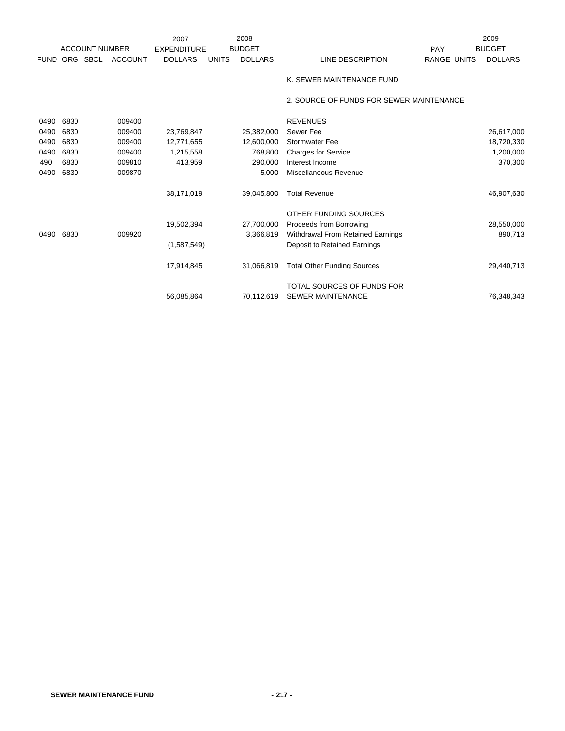|      |                                        |                | 2007                                 |              | 2008           |                                          |                    | 2009           |
|------|----------------------------------------|----------------|--------------------------------------|--------------|----------------|------------------------------------------|--------------------|----------------|
|      | <b>ACCOUNT NUMBER</b><br>FUND ORG SBCL | <b>ACCOUNT</b> | <b>EXPENDITURE</b><br><b>DOLLARS</b> | <b>UNITS</b> | <b>BUDGET</b>  | LINE DESCRIPTION                         | PAY<br>RANGE UNITS | <b>BUDGET</b>  |
|      |                                        |                |                                      |              | <b>DOLLARS</b> |                                          |                    | <b>DOLLARS</b> |
|      |                                        |                |                                      |              |                | K. SEWER MAINTENANCE FUND                |                    |                |
|      |                                        |                |                                      |              |                | 2. SOURCE OF FUNDS FOR SEWER MAINTENANCE |                    |                |
| 0490 | 6830                                   | 009400         |                                      |              |                | <b>REVENUES</b>                          |                    |                |
| 0490 | 6830                                   | 009400         | 23,769,847                           |              | 25,382,000     | Sewer Fee                                |                    | 26,617,000     |
| 0490 | 6830                                   | 009400         | 12,771,655                           |              | 12,600,000     | <b>Stormwater Fee</b>                    |                    | 18,720,330     |
| 0490 | 6830                                   | 009400         | 1,215,558                            |              | 768,800        | <b>Charges for Service</b>               |                    | 1,200,000      |
| 490  | 6830                                   | 009810         | 413,959                              |              | 290,000        | Interest Income                          |                    | 370,300        |
| 0490 | 6830                                   | 009870         |                                      |              | 5,000          | Miscellaneous Revenue                    |                    |                |
|      |                                        |                | 38,171,019                           |              | 39,045,800     | <b>Total Revenue</b>                     |                    | 46,907,630     |
|      |                                        |                |                                      |              |                | OTHER FUNDING SOURCES                    |                    |                |
|      |                                        |                | 19,502,394                           |              | 27,700,000     | Proceeds from Borrowing                  |                    | 28,550,000     |
| 0490 | 6830                                   | 009920         |                                      |              | 3,366,819      | Withdrawal From Retained Earnings        |                    | 890,713        |
|      |                                        |                | (1,587,549)                          |              |                | Deposit to Retained Earnings             |                    |                |
|      |                                        |                | 17,914,845                           |              | 31,066,819     | <b>Total Other Funding Sources</b>       |                    | 29,440,713     |
|      |                                        |                |                                      |              |                | TOTAL SOURCES OF FUNDS FOR               |                    |                |
|      |                                        |                | 56.085.864                           |              | 70,112,619     | <b>SEWER MAINTENANCE</b>                 |                    | 76.348.343     |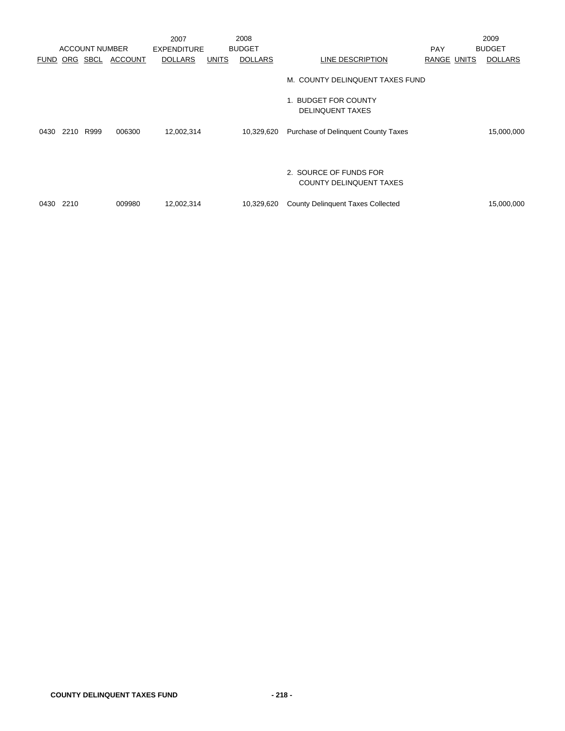|      |      |                       |                | 2007               |              | 2008           |                                                          |                    | 2009           |
|------|------|-----------------------|----------------|--------------------|--------------|----------------|----------------------------------------------------------|--------------------|----------------|
|      |      | <b>ACCOUNT NUMBER</b> |                | <b>EXPENDITURE</b> |              | <b>BUDGET</b>  |                                                          | <b>PAY</b>         | <b>BUDGET</b>  |
| FUND |      | ORG SBCL              | <b>ACCOUNT</b> | <b>DOLLARS</b>     | <b>UNITS</b> | <b>DOLLARS</b> | LINE DESCRIPTION                                         | <b>RANGE UNITS</b> | <b>DOLLARS</b> |
|      |      |                       |                |                    |              |                | M. COUNTY DELINQUENT TAXES FUND                          |                    |                |
|      |      |                       |                |                    |              |                | 1. BUDGET FOR COUNTY<br><b>DELINQUENT TAXES</b>          |                    |                |
| 0430 | 2210 | R999                  | 006300         | 12,002,314         |              | 10,329,620     | Purchase of Delinquent County Taxes                      |                    | 15,000,000     |
|      |      |                       |                |                    |              |                | 2. SOURCE OF FUNDS FOR<br><b>COUNTY DELINQUENT TAXES</b> |                    |                |
| 0430 | 2210 |                       | 009980         | 12,002,314         |              | 10,329,620     | <b>County Delinquent Taxes Collected</b>                 |                    | 15,000,000     |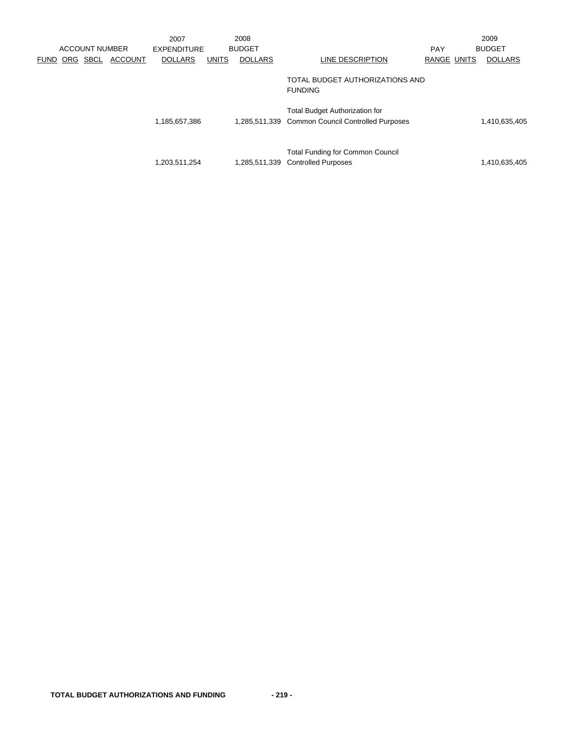|             |     | <b>ACCOUNT NUMBER</b> |                | 2007<br><b>EXPENDITURE</b> |              | 2008<br><b>BUDGET</b> |                                                                                           | <b>PAY</b>         | 2009<br><b>BUDGET</b> |
|-------------|-----|-----------------------|----------------|----------------------------|--------------|-----------------------|-------------------------------------------------------------------------------------------|--------------------|-----------------------|
| <b>FUND</b> | ORG | SBCL                  | <b>ACCOUNT</b> | <b>DOLLARS</b>             | <b>UNITS</b> | <b>DOLLARS</b>        | LINE DESCRIPTION                                                                          | <b>RANGE UNITS</b> | <b>DOLLARS</b>        |
|             |     |                       |                |                            |              |                       | TOTAL BUDGET AUTHORIZATIONS AND<br><b>FUNDING</b>                                         |                    |                       |
|             |     |                       |                | 1,185,657,386              |              |                       | <b>Total Budget Authorization for</b><br>1,285,511,339 Common Council Controlled Purposes |                    | 1,410,635,405         |
|             |     |                       |                | 1,203,511,254              |              |                       | <b>Total Funding for Common Council</b><br>1,285,511,339 Controlled Purposes              |                    | 1,410,635,405         |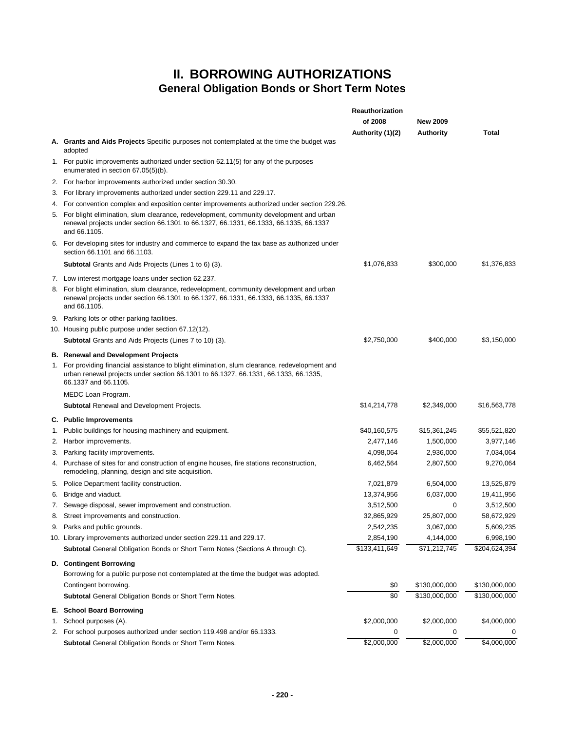## **II. BORROWING AUTHORIZATIONS General Obligation Bonds or Short Term Notes**

|    |                                                                                                                                                                                                               | Reauthorization<br>of 2008<br>Authority (1)(2) | <b>New 2009</b><br><b>Authority</b> | Total         |
|----|---------------------------------------------------------------------------------------------------------------------------------------------------------------------------------------------------------------|------------------------------------------------|-------------------------------------|---------------|
|    | <b>A.</b> Grants and Aids Projects Specific purposes not contemplated at the time the budget was<br>adopted                                                                                                   |                                                |                                     |               |
|    | 1. For public improvements authorized under section 62.11(5) for any of the purposes<br>enumerated in section 67.05(5)(b).                                                                                    |                                                |                                     |               |
|    | 2. For harbor improvements authorized under section 30.30.                                                                                                                                                    |                                                |                                     |               |
| З. | For library improvements authorized under section 229.11 and 229.17.                                                                                                                                          |                                                |                                     |               |
| 4. | For convention complex and exposition center improvements authorized under section 229.26.                                                                                                                    |                                                |                                     |               |
|    | 5. For blight elimination, slum clearance, redevelopment, community development and urban<br>renewal projects under section 66.1301 to 66.1327, 66.1331, 66.1333, 66.1335, 66.1337<br>and 66.1105.            |                                                |                                     |               |
|    | 6. For developing sites for industry and commerce to expand the tax base as authorized under<br>section 66.1101 and 66.1103.                                                                                  |                                                |                                     |               |
|    | Subtotal Grants and Aids Projects (Lines 1 to 6) (3).                                                                                                                                                         | \$1,076,833                                    | \$300,000                           | \$1,376,833   |
|    | 7. Low interest mortgage loans under section 62.237.                                                                                                                                                          |                                                |                                     |               |
|    | 8. For blight elimination, slum clearance, redevelopment, community development and urban<br>renewal projects under section 66.1301 to 66.1327, 66.1331, 66.1333, 66.1335, 66.1337<br>and 66.1105.            |                                                |                                     |               |
|    | 9. Parking lots or other parking facilities.                                                                                                                                                                  |                                                |                                     |               |
|    | 10. Housing public purpose under section 67.12(12).                                                                                                                                                           |                                                |                                     |               |
|    | <b>Subtotal</b> Grants and Aids Projects (Lines 7 to 10) (3).                                                                                                                                                 | \$2,750,000                                    | \$400,000                           | \$3,150,000   |
|    | <b>B.</b> Renewal and Development Projects                                                                                                                                                                    |                                                |                                     |               |
|    | 1. For providing financial assistance to blight elimination, slum clearance, redevelopment and<br>urban renewal projects under section 66.1301 to 66.1327, 66.1331, 66.1333, 66.1335,<br>66.1337 and 66.1105. |                                                |                                     |               |
|    | MEDC Loan Program.                                                                                                                                                                                            |                                                |                                     |               |
|    | Subtotal Renewal and Development Projects.                                                                                                                                                                    | \$14,214,778                                   | \$2,349,000                         | \$16,563,778  |
|    | C. Public Improvements                                                                                                                                                                                        |                                                |                                     |               |
| 1. | Public buildings for housing machinery and equipment.                                                                                                                                                         | \$40,160,575                                   | \$15,361,245                        | \$55,521,820  |
| 2. | Harbor improvements.                                                                                                                                                                                          | 2,477,146                                      | 1,500,000                           | 3,977,146     |
| 3. | Parking facility improvements.                                                                                                                                                                                | 4,098,064                                      | 2,936,000                           | 7,034,064     |
|    | 4. Purchase of sites for and construction of engine houses, fire stations reconstruction,<br>remodeling, planning, design and site acquisition.                                                               | 6,462,564                                      | 2,807,500                           | 9,270,064     |
|    | 5. Police Department facility construction.                                                                                                                                                                   | 7,021,879                                      | 6,504,000                           | 13,525,879    |
|    | 6. Bridge and viaduct.                                                                                                                                                                                        | 13,374,956                                     | 6,037,000                           | 19,411,956    |
|    | 7. Sewage disposal, sewer improvement and construction.                                                                                                                                                       | 3,512,500                                      | 0                                   | 3,512,500     |
| 8. | Street improvements and construction.                                                                                                                                                                         | 32,865,929                                     | 25,807,000                          | 58,672,929    |
|    | 9. Parks and public grounds.                                                                                                                                                                                  | 2,542,235                                      | 3,067,000                           | 5,609,235     |
|    | 10. Library improvements authorized under section 229.11 and 229.17.                                                                                                                                          | 2,854,190                                      | 4,144,000                           | 6,998,190     |
|    | Subtotal General Obligation Bonds or Short Term Notes (Sections A through C).                                                                                                                                 | \$133,411,649                                  | \$71,212,745                        | \$204,624,394 |
|    | D. Contingent Borrowing                                                                                                                                                                                       |                                                |                                     |               |
|    | Borrowing for a public purpose not contemplated at the time the budget was adopted.                                                                                                                           |                                                |                                     |               |
|    | Contingent borrowing.                                                                                                                                                                                         | \$0                                            | \$130,000,000                       | \$130,000,000 |
|    | <b>Subtotal General Obligation Bonds or Short Term Notes.</b>                                                                                                                                                 | \$0                                            | \$130,000,000                       | \$130,000,000 |
|    | E. School Board Borrowing                                                                                                                                                                                     |                                                |                                     |               |
| 1. | School purposes (A).                                                                                                                                                                                          | \$2,000,000                                    | \$2,000,000                         | \$4,000,000   |
|    | 2. For school purposes authorized under section 119.498 and/or 66.1333.                                                                                                                                       | 0                                              | 0                                   | 0             |
|    | Subtotal General Obligation Bonds or Short Term Notes.                                                                                                                                                        | \$2,000,000                                    | \$2,000,000                         | \$4,000,000   |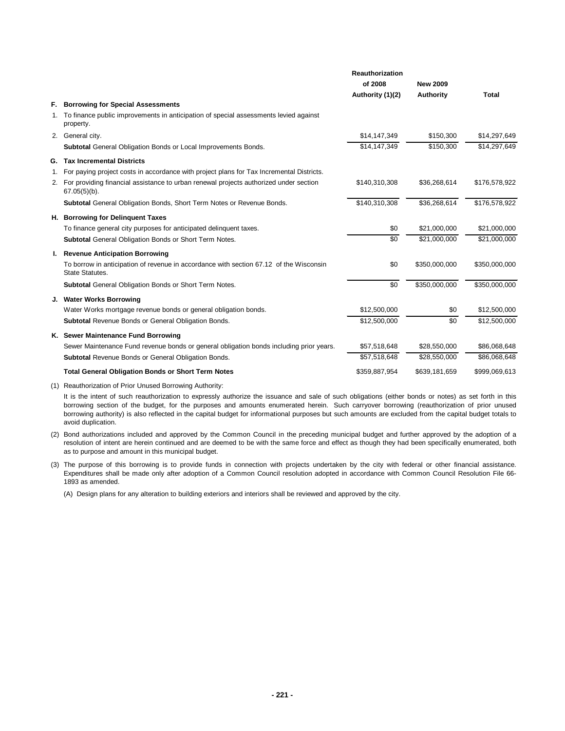|    |                                                                                                                  | Reauthorization  |                 |               |
|----|------------------------------------------------------------------------------------------------------------------|------------------|-----------------|---------------|
|    |                                                                                                                  | of 2008          | <b>New 2009</b> |               |
|    |                                                                                                                  | Authority (1)(2) | Authority       | <b>Total</b>  |
| F. | <b>Borrowing for Special Assessments</b>                                                                         |                  |                 |               |
|    | 1. To finance public improvements in anticipation of special assessments levied against<br>property.             |                  |                 |               |
|    | 2. General city.                                                                                                 | \$14,147,349     | \$150,300       | \$14,297,649  |
|    | Subtotal General Obligation Bonds or Local Improvements Bonds.                                                   | \$14,147,349     | \$150.300       | \$14,297,649  |
|    | <b>G.</b> Tax Incremental Districts                                                                              |                  |                 |               |
| 1. | For paying project costs in accordance with project plans for Tax Incremental Districts.                         |                  |                 |               |
|    | 2. For providing financial assistance to urban renewal projects authorized under section<br>$67.05(5)(b)$ .      | \$140,310,308    | \$36,268,614    | \$176,578,922 |
|    | Subtotal General Obligation Bonds, Short Term Notes or Revenue Bonds.                                            | \$140,310,308    | \$36,268,614    | \$176,578,922 |
|    | H. Borrowing for Delinquent Taxes                                                                                |                  |                 |               |
|    | To finance general city purposes for anticipated delinguent taxes.                                               | \$0              | \$21,000,000    | \$21,000,000  |
|    | <b>Subtotal General Obligation Bonds or Short Term Notes.</b>                                                    | \$0              | \$21,000,000    | \$21,000,000  |
|    | I. Revenue Anticipation Borrowing                                                                                |                  |                 |               |
|    | To borrow in anticipation of revenue in accordance with section 67.12 of the Wisconsin<br><b>State Statutes.</b> | \$0              | \$350,000,000   | \$350,000,000 |
|    | <b>Subtotal General Obligation Bonds or Short Term Notes.</b>                                                    | $\overline{50}$  | \$350,000,000   | \$350,000,000 |
|    | J. Water Works Borrowing                                                                                         |                  |                 |               |
|    | Water Works mortgage revenue bonds or general obligation bonds.                                                  | \$12,500,000     | \$0             | \$12,500,000  |
|    | Subtotal Revenue Bonds or General Obligation Bonds.                                                              | \$12,500,000     | \$0             | \$12,500,000  |
|    | K. Sewer Maintenance Fund Borrowing                                                                              |                  |                 |               |
|    | Sewer Maintenance Fund revenue bonds or general obligation bonds including prior years.                          | \$57,518,648     | \$28,550,000    | \$86,068,648  |
|    | Subtotal Revenue Bonds or General Obligation Bonds.                                                              | \$57,518,648     | \$28,550,000    | \$86,068,648  |
|    | <b>Total General Obligation Bonds or Short Term Notes</b>                                                        | \$359,887,954    | \$639,181,659   | \$999,069,613 |
|    |                                                                                                                  |                  |                 |               |

(1) Reauthorization of Prior Unused Borrowing Authority:

It is the intent of such reauthorization to expressly authorize the issuance and sale of such obligations (either bonds or notes) as set forth in this borrowing section of the budget, for the purposes and amounts enumerated herein. Such carryover borrowing (reauthorization of prior unused borrowing authority) is also reflected in the capital budget for informational purposes but such amounts are excluded from the capital budget totals to avoid duplication.

- (2) Bond authorizations included and approved by the Common Council in the preceding municipal budget and further approved by the adoption of a resolution of intent are herein continued and are deemed to be with the same force and effect as though they had been specifically enumerated, both as to purpose and amount in this municipal budget.
- (3) The purpose of this borrowing is to provide funds in connection with projects undertaken by the city with federal or other financial assistance. Expenditures shall be made only after adoption of a Common Council resolution adopted in accordance with Common Council Resolution File 66- 1893 as amended.

(A) Design plans for any alteration to building exteriors and interiors shall be reviewed and approved by the city.